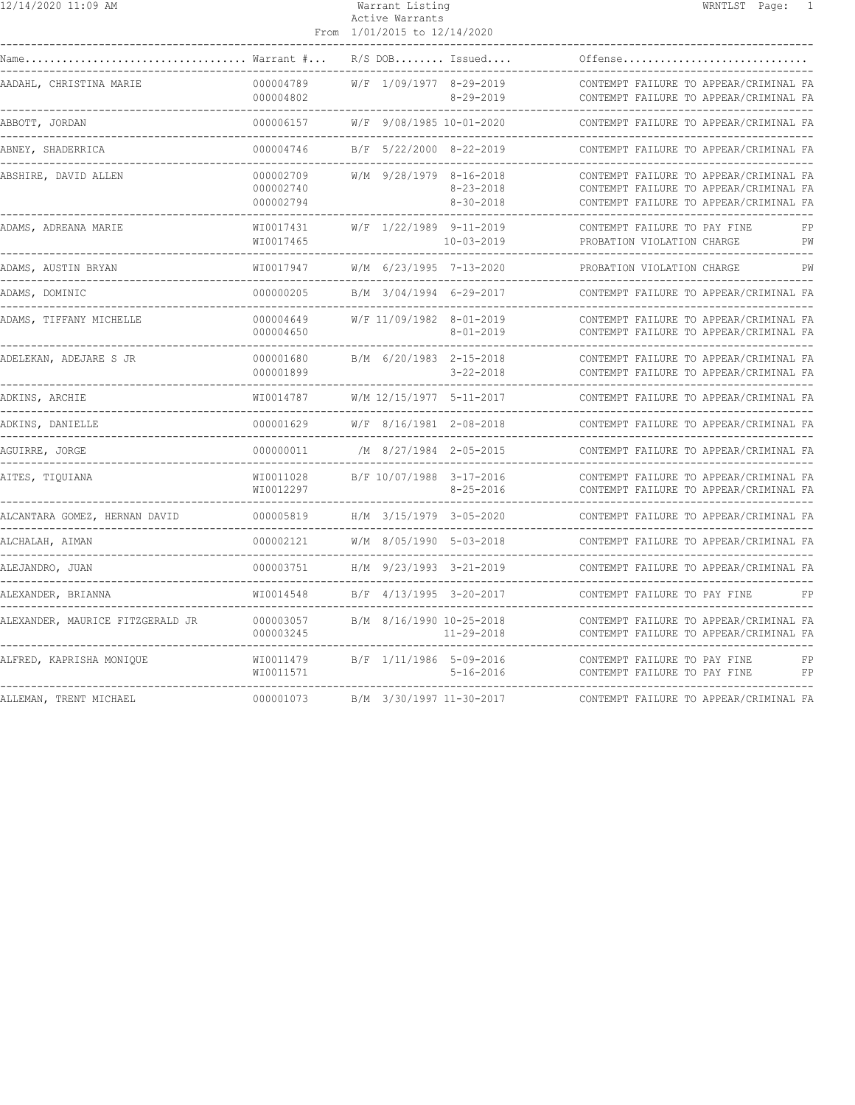| 12/14/2020 11:09 AM              |                                     | Warrant Listing<br>Active Warrants<br>From 1/01/2015 to 12/14/2020 | WRNTLST Page: 1                                                                                                            |
|----------------------------------|-------------------------------------|--------------------------------------------------------------------|----------------------------------------------------------------------------------------------------------------------------|
|                                  |                                     | $R/S$ DOB Issued                                                   | ------------------------------<br>Offense                                                                                  |
| AADAHL, CHRISTINA MARIE          | 000004789<br>000004802              | W/F 1/09/1977 8-29-2019<br>$8 - 29 - 2019$                         | CONTEMPT FAILURE TO APPEAR/CRIMINAL FA<br>CONTEMPT FAILURE TO APPEAR/CRIMINAL FA                                           |
| ABBOTT, JORDAN                   | 000006157                           | W/F 9/08/1985 10-01-2020                                           | CONTEMPT FAILURE TO APPEAR/CRIMINAL FA                                                                                     |
| ABNEY, SHADERRICA                | 000004746                           | B/F 5/22/2000 8-22-2019                                            | CONTEMPT FAILURE TO APPEAR/CRIMINAL FA                                                                                     |
| ABSHIRE, DAVID ALLEN             | 000002709<br>000002740<br>000002794 | W/M 9/28/1979 8-16-2018<br>$8 - 23 - 2018$<br>$8 - 30 - 2018$      | CONTEMPT FAILURE TO APPEAR/CRIMINAL FA<br>CONTEMPT FAILURE TO APPEAR/CRIMINAL FA<br>CONTEMPT FAILURE TO APPEAR/CRIMINAL FA |
| ADAMS, ADREANA MARIE             | WI0017431<br>WI0017465              | W/F 1/22/1989 9-11-2019<br>10-03-2019                              | CONTEMPT FAILURE TO PAY FINE<br>FP<br>PROBATION VIOLATION CHARGE<br>PW                                                     |
| ADAMS, AUSTIN BRYAN              | WI0017947                           | W/M 6/23/1995 7-13-2020                                            | PROBATION VIOLATION CHARGE<br>PW                                                                                           |
| ADAMS, DOMINIC                   | 000000205                           | B/M 3/04/1994 6-29-2017                                            | CONTEMPT FAILURE TO APPEAR/CRIMINAL FA                                                                                     |
| ADAMS, TIFFANY MICHELLE          | 000004649<br>000004650              | W/F 11/09/1982 8-01-2019<br>$8 - 01 - 2019$                        | CONTEMPT FAILURE TO APPEAR/CRIMINAL FA<br>CONTEMPT FAILURE TO APPEAR/CRIMINAL FA                                           |
| ADELEKAN, ADEJARE S JR           | 000001680<br>000001899              | B/M 6/20/1983 2-15-2018<br>$3 - 22 - 2018$                         | CONTEMPT FAILURE TO APPEAR/CRIMINAL FA<br>CONTEMPT FAILURE TO APPEAR/CRIMINAL FA                                           |
| ADKINS, ARCHIE                   | WI0014787                           | W/M 12/15/1977 5-11-2017                                           | CONTEMPT FAILURE TO APPEAR/CRIMINAL FA                                                                                     |
| ADKINS, DANIELLE                 |                                     |                                                                    | CONTEMPT FAILURE TO APPEAR/CRIMINAL FA                                                                                     |
| AGUIRRE, JORGE                   |                                     |                                                                    | CONTEMPT FAILURE TO APPEAR/CRIMINAL FA                                                                                     |
| AITES, TIQUIANA                  | WI0011028<br>WI0012297              | B/F 10/07/1988 3-17-2016<br>$8 - 25 - 2016$                        | CONTEMPT FAILURE TO APPEAR/CRIMINAL FA<br>CONTEMPT FAILURE TO APPEAR/CRIMINAL FA                                           |
| ALCANTARA GOMEZ, HERNAN DAVID    | 000005819                           | H/M 3/15/1979 3-05-2020                                            | CONTEMPT FAILURE TO APPEAR/CRIMINAL FA                                                                                     |
| ALCHALAH, AIMAN                  | 000002121                           | W/M 8/05/1990 5-03-2018                                            | CONTEMPT FAILURE TO APPEAR/CRIMINAL FA                                                                                     |
| ALEJANDRO, JUAN                  | 000003751                           | H/M 9/23/1993 3-21-2019                                            | CONTEMPT FAILURE TO APPEAR/CRIMINAL FA                                                                                     |
| ALEXANDER, BRIANNA               | WI0014548                           | B/F 4/13/1995 3-20-2017                                            | CONTEMPT FAILURE TO PAY FINE<br>FP                                                                                         |
| ALEXANDER, MAURICE FITZGERALD JR | 000003057<br>000003245              | B/M 8/16/1990 10-25-2018<br>11-29-2018                             | CONTEMPT FAILURE TO APPEAR/CRIMINAL FA<br>CONTEMPT FAILURE TO APPEAR/CRIMINAL FA                                           |
| ALFRED, KAPRISHA MONIQUE         | WI0011479<br>WI0011571              | B/F 1/11/1986 5-09-2016<br>$5 - 16 - 2016$                         | CONTEMPT FAILURE TO PAY FINE<br>FP<br>CONTEMPT FAILURE TO PAY FINE<br>FP                                                   |
| ALLEMAN, TRENT MICHAEL           | 000001073                           | B/M 3/30/1997 11-30-2017                                           | CONTEMPT FAILURE TO APPEAR/CRIMINAL FA                                                                                     |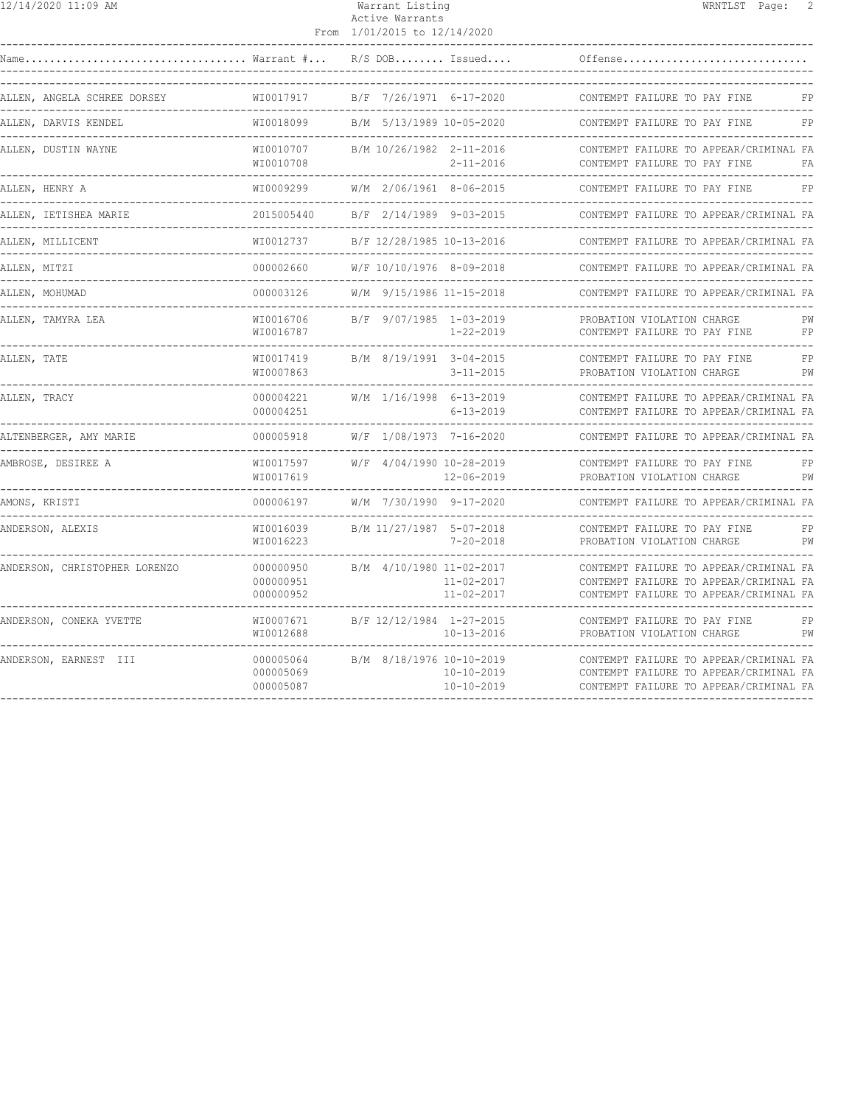| 12/14/2020 11:09 AM                                |                                                 | Warrant Listing<br>Active Warrants<br>From 1/01/2015 to 12/14/2020 | WRNTLST Page: 2                                                                                                            |
|----------------------------------------------------|-------------------------------------------------|--------------------------------------------------------------------|----------------------------------------------------------------------------------------------------------------------------|
|                                                    |                                                 |                                                                    | Offense                                                                                                                    |
| ALLEN, ANGELA SCHREE DORSEY                        | WI0017917                                       | B/F 7/26/1971 6-17-2020                                            | CONTEMPT FAILURE TO PAY FINE<br>FP                                                                                         |
| ALLEN, DARVIS KENDEL                               | WI0018099                                       | B/M 5/13/1989 10-05-2020                                           | CONTEMPT FAILURE TO PAY FINE<br>FP                                                                                         |
| ALLEN, DUSTIN WAYNE                                | WI0010707<br>WI0010708                          | B/M 10/26/1982 2-11-2016<br>$2 - 11 - 2016$<br>----------------    | CONTEMPT FAILURE TO APPEAR/CRIMINAL FA<br>CONTEMPT FAILURE TO PAY FINE<br>FA                                               |
| ALLEN, HENRY A                                     | WI0009299                                       | W/M 2/06/1961 8-06-2015                                            | CONTEMPT FAILURE TO PAY FINE<br>FP                                                                                         |
| ALLEN, IETISHEA MARIE                              | 2015005440                                      | B/F 2/14/1989 9-03-2015                                            | CONTEMPT FAILURE TO APPEAR/CRIMINAL FA                                                                                     |
| ALLEN, MILLICENT                                   | WI0012737                                       | B/F 12/28/1985 10-13-2016                                          | CONTEMPT FAILURE TO APPEAR/CRIMINAL FA                                                                                     |
| ALLEN, MITZI                                       | 000002660                                       | W/F 10/10/1976 8-09-2018                                           | CONTEMPT FAILURE TO APPEAR/CRIMINAL FA                                                                                     |
| ALLEN, MOHUMAD<br>-------------------------------- | 000003126                                       | W/M 9/15/1986 11-15-2018                                           | CONTEMPT FAILURE TO APPEAR/CRIMINAL FA                                                                                     |
| ALLEN, TAMYRA LEA                                  | WI0016706<br>WI0016787                          | B/F 9/07/1985 1-03-2019<br>1-22-2019                               | PROBATION VIOLATION CHARGE<br>PW<br>CONTEMPT FAILURE TO PAY FINE<br>FP                                                     |
| ALLEN, TATE                                        | WI0017419<br>WI0007863                          | B/M 8/19/1991 3-04-2015<br>$3 - 11 - 2015$                         | FP<br>CONTEMPT FAILURE TO PAY FINE<br>PROBATION VIOLATION CHARGE<br>PW                                                     |
| ALLEN, TRACY                                       | 000004221<br>000004251<br>--------------------- | W/M 1/16/1998 6-13-2019<br>6-13-2019                               | CONTEMPT FAILURE TO APPEAR/CRIMINAL FA<br>CONTEMPT FAILURE TO APPEAR/CRIMINAL FA                                           |
| ALTENBERGER, AMY MARIE                             | 000005918                                       | W/F 1/08/1973 7-16-2020                                            | CONTEMPT FAILURE TO APPEAR/CRIMINAL FA                                                                                     |
| AMBROSE, DESIREE A                                 | WI0017597<br>WI0017619                          | W/F 4/04/1990 10-28-2019<br>12-06-2019                             | CONTEMPT FAILURE TO PAY FINE<br>FP<br>PROBATION VIOLATION CHARGE<br>PW                                                     |
| AMONS, KRISTI                                      | 000006197                                       | W/M 7/30/1990 9-17-2020                                            | CONTEMPT FAILURE TO APPEAR/CRIMINAL FA                                                                                     |
| ANDERSON, ALEXIS                                   | WI0016039<br>WI0016223                          | B/M 11/27/1987 5-07-2018<br>$7 - 20 - 2018$                        | CONTEMPT FAILURE TO PAY FINE<br>FP<br>PROBATION VIOLATION CHARGE<br>PW                                                     |
| ANDERSON, CHRISTOPHER LORENZO                      | 000000950<br>000000951<br>000000952             | B/M 4/10/1980 11-02-2017<br>$11 - 02 - 2017$<br>$11 - 02 - 2017$   | CONTEMPT FAILURE TO APPEAR/CRIMINAL FA<br>CONTEMPT FAILURE TO APPEAR/CRIMINAL FA<br>CONTEMPT FAILURE TO APPEAR/CRIMINAL FA |
| ANDERSON, CONEKA YVETTE                            | WI0007671<br>WI0012688                          | B/F 12/12/1984 1-27-2015<br>$10 - 13 - 2016$                       | CONTEMPT FAILURE TO PAY FINE<br>FP<br>PROBATION VIOLATION CHARGE<br>PW                                                     |
| ANDERSON, EARNEST III                              | 000005064<br>000005069<br>000005087             | B/M 8/18/1976 10-10-2019<br>10-10-2019<br>$10 - 10 - 2019$         | CONTEMPT FAILURE TO APPEAR/CRIMINAL FA<br>CONTEMPT FAILURE TO APPEAR/CRIMINAL FA<br>CONTEMPT FAILURE TO APPEAR/CRIMINAL FA |
|                                                    |                                                 |                                                                    |                                                                                                                            |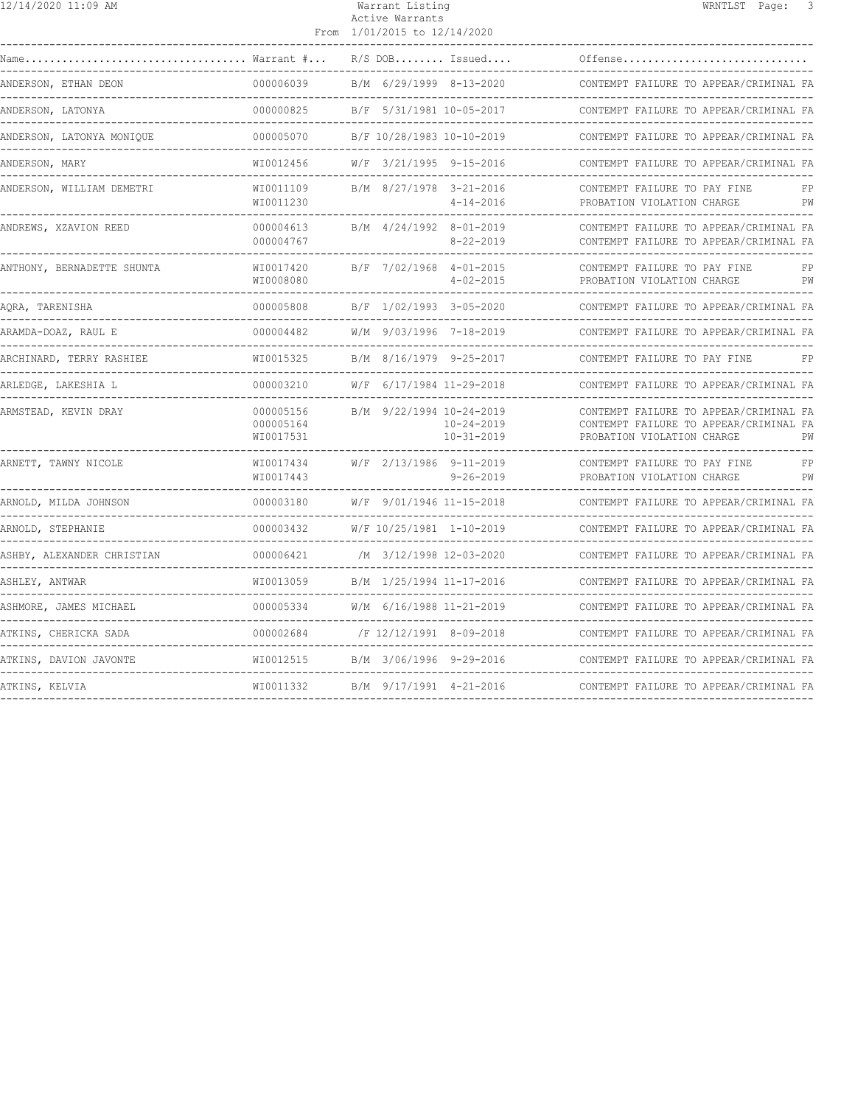| 12/14/2020 11:09 AM        |                                     | Warrant Listing<br>Active Warrants<br>From 1/01/2015 to 12/14/2020 |                                                                  | WRNTLST Page:                                                                                                  | 3        |
|----------------------------|-------------------------------------|--------------------------------------------------------------------|------------------------------------------------------------------|----------------------------------------------------------------------------------------------------------------|----------|
| Warrant #                  |                                     |                                                                    | $R/S$ DOB Issued                                                 | Offense                                                                                                        |          |
| ANDERSON, ETHAN DEON       | 000006039                           | B/M 6/29/1999 8-13-2020                                            |                                                                  | CONTEMPT FAILURE TO APPEAR/CRIMINAL FA                                                                         |          |
| ANDERSON, LATONYA          | 000000825                           |                                                                    | B/F 5/31/1981 10-05-2017                                         | CONTEMPT FAILURE TO APPEAR/CRIMINAL FA                                                                         |          |
| ANDERSON, LATONYA MONIQUE  | 000005070                           |                                                                    | B/F 10/28/1983 10-10-2019                                        | CONTEMPT FAILURE TO APPEAR/CRIMINAL FA                                                                         |          |
| ANDERSON, MARY             | WI0012456                           | W/F 3/21/1995 9-15-2016                                            |                                                                  | CONTEMPT FAILURE TO APPEAR/CRIMINAL FA<br>-----------------------------                                        |          |
| ANDERSON, WILLIAM DEMETRI  | WI0011109<br>WI0011230              | B/M 8/27/1978 3-21-2016                                            | $4 - 14 - 2016$                                                  | CONTEMPT FAILURE TO PAY FINE<br>PROBATION VIOLATION CHARGE                                                     | FP<br>PW |
| ANDREWS, XZAVION REED      | 000004613<br>000004767              | B/M 4/24/1992 8-01-2019                                            | $8 - 22 - 2019$                                                  | CONTEMPT FAILURE TO APPEAR/CRIMINAL FA<br>CONTEMPT FAILURE TO APPEAR/CRIMINAL FA                               |          |
| ANTHONY, BERNADETTE SHUNTA | WI0017420<br>WI0008080              | B/F 7/02/1968 4-01-2015                                            | $4 - 02 - 2015$                                                  | CONTEMPT FAILURE TO PAY FINE<br>PROBATION VIOLATION CHARGE                                                     | FP<br>PW |
| AORA, TARENISHA            | 000005808                           | B/F 1/02/1993 3-05-2020                                            |                                                                  | CONTEMPT FAILURE TO APPEAR/CRIMINAL FA                                                                         |          |
| ARAMDA-DOAZ, RAUL E        | 000004482                           |                                                                    | W/M 9/03/1996 7-18-2019                                          | CONTEMPT FAILURE TO APPEAR/CRIMINAL FA<br>___________________________                                          |          |
| ARCHINARD, TERRY RASHIEE   | WI0015325                           |                                                                    | B/M 8/16/1979 9-25-2017                                          | CONTEMPT FAILURE TO PAY FINE                                                                                   | FP       |
| ARLEDGE, LAKESHIA L        | 000003210                           |                                                                    | W/F 6/17/1984 11-29-2018                                         | CONTEMPT FAILURE TO APPEAR/CRIMINAL FA                                                                         |          |
| ARMSTEAD, KEVIN DRAY       | 000005156<br>000005164<br>WI0017531 |                                                                    | B/M 9/22/1994 10-24-2019<br>$10 - 24 - 2019$<br>$10 - 31 - 2019$ | CONTEMPT FAILURE TO APPEAR/CRIMINAL FA<br>CONTEMPT FAILURE TO APPEAR/CRIMINAL FA<br>PROBATION VIOLATION CHARGE | PW       |
| ARNETT, TAWNY NICOLE       | WI0017434<br>WI0017443              | W/F 2/13/1986 9-11-2019                                            | 9-26-2019                                                        | CONTEMPT FAILURE TO PAY FINE<br>PROBATION VIOLATION CHARGE                                                     | FP<br>PW |
| ARNOLD, MILDA JOHNSON      | 000003180                           | W/F 9/01/1946 11-15-2018                                           |                                                                  | CONTEMPT FAILURE TO APPEAR/CRIMINAL FA                                                                         |          |
| ARNOLD, STEPHANIE          | 000003432                           |                                                                    | W/F 10/25/1981 1-10-2019                                         | CONTEMPT FAILURE TO APPEAR/CRIMINAL FA                                                                         |          |
| ASHBY, ALEXANDER CHRISTIAN | 000006421                           |                                                                    | /M 3/12/1998 12-03-2020                                          | CONTEMPT FAILURE TO APPEAR/CRIMINAL FA                                                                         |          |
| ASHLEY, ANTWAR             | WI0013059                           |                                                                    | B/M 1/25/1994 11-17-2016                                         | CONTEMPT FAILURE TO APPEAR/CRIMINAL FA                                                                         |          |
| ASHMORE, JAMES MICHAEL     | 000005334                           | W/M 6/16/1988 11-21-2019                                           |                                                                  | CONTEMPT FAILURE TO APPEAR/CRIMINAL FA                                                                         |          |
| ATKINS, CHERICKA SADA      | 000002684                           |                                                                    | /F 12/12/1991 8-09-2018                                          | CONTEMPT FAILURE TO APPEAR/CRIMINAL FA                                                                         |          |
| ATKINS, DAVION JAVONTE     | WI0012515                           |                                                                    | B/M 3/06/1996 9-29-2016                                          | CONTEMPT FAILURE TO APPEAR/CRIMINAL FA                                                                         |          |
| ATKINS, KELVIA             | WI0011332 B/M 9/17/1991 4-21-2016   |                                                                    |                                                                  | CONTEMPT FAILURE TO APPEAR/CRIMINAL FA<br>----------------------                                               |          |
|                            |                                     |                                                                    |                                                                  |                                                                                                                |          |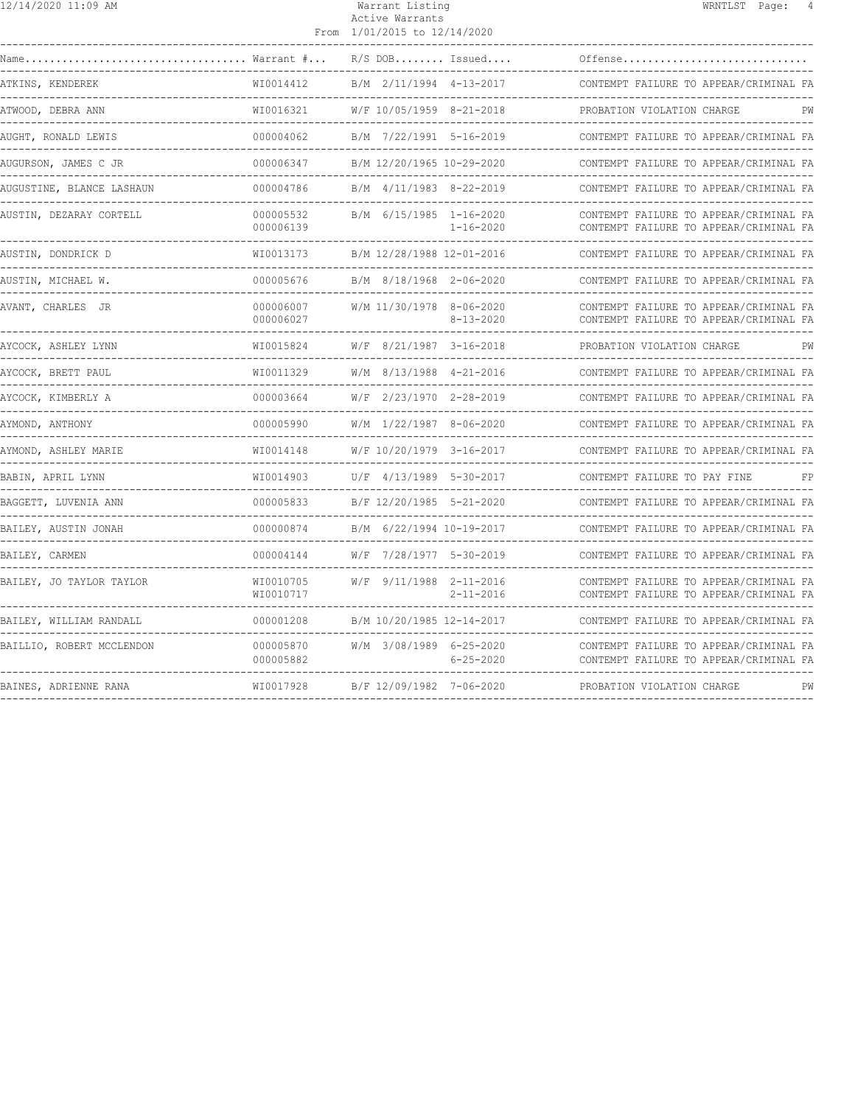| 12/14/2020 11:09 AM                                              |                              | Warrant Listing<br>Active Warrants<br>From 1/01/2015 to 12/14/2020 | WRNTLST Page: 4                                                                  |
|------------------------------------------------------------------|------------------------------|--------------------------------------------------------------------|----------------------------------------------------------------------------------|
| Warrant #<br>Name                                                |                              | $R/S$ DOB Issued                                                   | Offense                                                                          |
| ATKINS, KENDEREK                                                 | WI0014412                    | B/M 2/11/1994 4-13-2017                                            | CONTEMPT FAILURE TO APPEAR/CRIMINAL FA                                           |
| ATWOOD, DEBRA ANN                                                | WI0016321                    | W/F 10/05/1959 8-21-2018                                           | PROBATION VIOLATION CHARGE                                                       |
| AUGHT, RONALD LEWIS                                              | 000004062                    | B/M 7/22/1991 5-16-2019                                            | CONTEMPT FAILURE TO APPEAR/CRIMINAL FA                                           |
| AUGURSON, JAMES C JR<br>---------------                          | 000006347                    | B/M 12/20/1965 10-29-2020                                          | CONTEMPT FAILURE TO APPEAR/CRIMINAL FA                                           |
| AUGUSTINE, BLANCE LASHAUN<br>. _ _ _ _ _ _ _ _ _ _ _ _ _ _ _ _ _ | 000004786                    | B/M 4/11/1983 8-22-2019                                            | CONTEMPT FAILURE TO APPEAR/CRIMINAL FA                                           |
| AUSTIN, DEZARAY CORTELL<br>--------------------------------      | 000005532<br>000006139       | B/M 6/15/1985 1-16-2020<br>$1 - 16 - 2020$                         | CONTEMPT FAILURE TO APPEAR/CRIMINAL FA<br>CONTEMPT FAILURE TO APPEAR/CRIMINAL FA |
| AUSTIN, DONDRICK D                                               | WI0013173                    | B/M 12/28/1988 12-01-2016                                          | CONTEMPT FAILURE TO APPEAR/CRIMINAL FA                                           |
| AUSTIN, MICHAEL W.                                               | 000005676<br>--------------- | B/M 8/18/1968 2-06-2020                                            | CONTEMPT FAILURE TO APPEAR/CRIMINAL FA<br>----------------------------------     |
| AVANT, CHARLES JR                                                | 000006007<br>000006027       | W/M 11/30/1978 8-06-2020<br>$8 - 13 - 2020$                        | CONTEMPT FAILURE TO APPEAR/CRIMINAL FA<br>CONTEMPT FAILURE TO APPEAR/CRIMINAL FA |
| AYCOCK, ASHLEY LYNN                                              | WI0015824                    | W/F 8/21/1987 3-16-2018                                            | PROBATION VIOLATION CHARGE                                                       |
| AYCOCK, BRETT PAUL                                               | WI0011329                    | W/M 8/13/1988 4-21-2016                                            | CONTEMPT FAILURE TO APPEAR/CRIMINAL FA                                           |
| AYCOCK, KIMBERLY A                                               | 000003664                    | W/F 2/23/1970 2-28-2019                                            | CONTEMPT FAILURE TO APPEAR/CRIMINAL FA                                           |
| AYMOND, ANTHONY                                                  | 000005990                    | W/M 1/22/1987 8-06-2020<br>-------------------------------         | CONTEMPT FAILURE TO APPEAR/CRIMINAL FA                                           |
| AYMOND, ASHLEY MARIE                                             | WI0014148                    | W/F 10/20/1979 3-16-2017                                           | CONTEMPT FAILURE TO APPEAR/CRIMINAL FA                                           |
| BABIN, APRIL LYNN                                                | WI0014903                    | U/F 4/13/1989 5-30-2017                                            | CONTEMPT FAILURE TO PAY FINE                                                     |
| BAGGETT, LUVENIA ANN                                             | 000005833                    | B/F 12/20/1985 5-21-2020                                           | CONTEMPT FAILURE TO APPEAR/CRIMINAL FA                                           |
| BAILEY, AUSTIN JONAH                                             | 000000874                    | B/M 6/22/1994 10-19-2017                                           | CONTEMPT FAILURE TO APPEAR/CRIMINAL FA                                           |
| BAILEY, CARMEN                                                   | 000004144                    | W/F 7/28/1977 5-30-2019                                            | CONTEMPT FAILURE TO APPEAR/CRIMINAL FA                                           |
| BAILEY, JO TAYLOR TAYLOR                                         | WI0010705<br>WI0010717       | W/F 9/11/1988 2-11-2016<br>$2 - 11 - 2016$                         | CONTEMPT FAILURE TO APPEAR/CRIMINAL FA<br>CONTEMPT FAILURE TO APPEAR/CRIMINAL FA |
| BAILEY, WILLIAM RANDALL                                          | 000001208                    | B/M 10/20/1985 12-14-2017                                          | CONTEMPT FAILURE TO APPEAR/CRIMINAL FA                                           |
| BAILLIO, ROBERT MCCLENDON                                        | 000005870<br>000005882       | W/M 3/08/1989 6-25-2020<br>$6 - 25 - 2020$                         | CONTEMPT FAILURE TO APPEAR/CRIMINAL FA<br>CONTEMPT FAILURE TO APPEAR/CRIMINAL FA |
| BAINES, ADRIENNE RANA                                            | WI0017928                    | B/F 12/09/1982 7-06-2020                                           | PW<br>PROBATION VIOLATION CHARGE                                                 |
|                                                                  |                              |                                                                    |                                                                                  |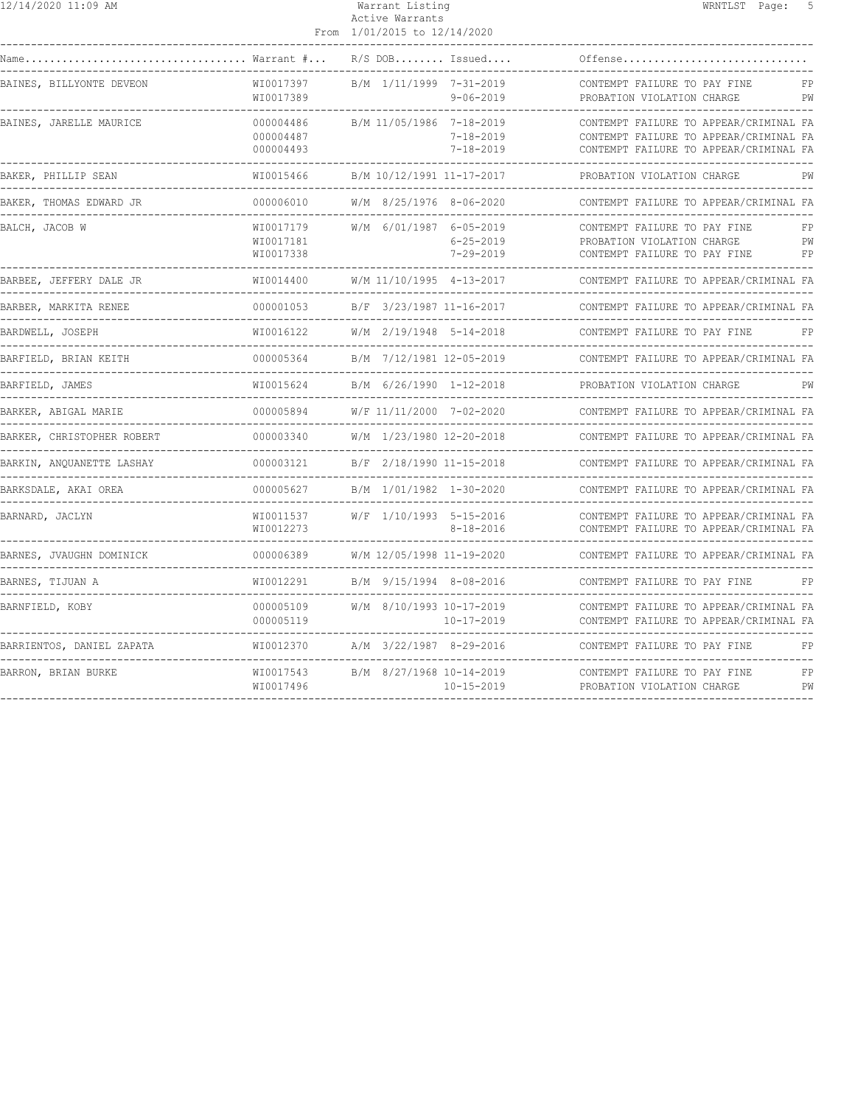| 12/14/2020 11:09 AM                                      |                                            | Warrant Listing<br>Active Warrants<br>From 1/01/2015 to 12/14/2020       | WRNTLST Page:<br>-5                                                                                                        |
|----------------------------------------------------------|--------------------------------------------|--------------------------------------------------------------------------|----------------------------------------------------------------------------------------------------------------------------|
| $\ldots$ Warrant $\#$<br>Name                            |                                            | $R/S$ DOB Issued                                                         | Offense                                                                                                                    |
| BAINES, BILLYONTE DEVEON                                 | WI0017397<br>WI0017389                     | B/M 1/11/1999 7-31-2019<br>$9 - 06 - 2019$                               | CONTEMPT FAILURE TO PAY FINE<br>FP<br>PROBATION VIOLATION CHARGE<br>PW                                                     |
| BAINES, JARELLE MAURICE                                  | 000004486<br>000004487<br>000004493        | B/M 11/05/1986 7-18-2019<br>$7 - 18 - 2019$<br>$7 - 18 - 2019$           | CONTEMPT FAILURE TO APPEAR/CRIMINAL FA<br>CONTEMPT FAILURE TO APPEAR/CRIMINAL FA<br>CONTEMPT FAILURE TO APPEAR/CRIMINAL FA |
| BAKER, PHILLIP SEAN                                      | WI0015466<br>--------------                | B/M 10/12/1991 11-17-2017                                                | PROBATION VIOLATION CHARGE<br>PW                                                                                           |
| BAKER, THOMAS EDWARD JR<br>---------------               | 000006010                                  | W/M 8/25/1976 8-06-2020                                                  | CONTEMPT FAILURE TO APPEAR/CRIMINAL FA                                                                                     |
| BALCH, JACOB W                                           | WI0017179<br>WI0017181<br>WI0017338        | W/M 6/01/1987 6-05-2019<br>$6 - 25 - 2019$<br>$7 - 29 - 2019$            | CONTEMPT FAILURE TO PAY FINE<br>FP<br>PROBATION VIOLATION CHARGE<br>PW<br>CONTEMPT FAILURE TO PAY FINE<br>FP               |
| BARBEE, JEFFERY DALE JR<br>----------------              | WI0014400                                  | W/M 11/10/1995 4-13-2017                                                 | CONTEMPT FAILURE TO APPEAR/CRIMINAL FA                                                                                     |
| BARBER, MARKITA RENEE                                    | 000001053<br>-----------                   | B/F 3/23/1987 11-16-2017                                                 | CONTEMPT FAILURE TO APPEAR/CRIMINAL FA                                                                                     |
| BARDWELL, JOSEPH                                         | WI0016122                                  | W/M 2/19/1948 5-14-2018                                                  | CONTEMPT FAILURE TO PAY FINE                                                                                               |
| BARFIELD, BRIAN KEITH                                    | 000005364                                  | B/M 7/12/1981 12-05-2019                                                 | CONTEMPT FAILURE TO APPEAR/CRIMINAL FA                                                                                     |
| BARFIELD, JAMES                                          | WI0015624                                  | B/M 6/26/1990 1-12-2018                                                  | PROBATION VIOLATION CHARGE<br>PW                                                                                           |
| BARKER, ABIGAL MARIE                                     | 000005894<br>-----------                   | W/F 11/11/2000 7-02-2020                                                 | CONTEMPT FAILURE TO APPEAR/CRIMINAL FA<br>________________________                                                         |
| BARKER, CHRISTOPHER ROBERT                               | 000003340                                  | W/M 1/23/1980 12-20-2018                                                 | CONTEMPT FAILURE TO APPEAR/CRIMINAL FA                                                                                     |
| BARKIN, ANOUANETTE LASHAY                                | 000003121                                  | B/F 2/18/1990 11-15-2018                                                 | CONTEMPT FAILURE TO APPEAR/CRIMINAL FA                                                                                     |
| BARKSDALE, AKAI OREA                                     | 000005627                                  | B/M 1/01/1982 1-30-2020                                                  | CONTEMPT FAILURE TO APPEAR/CRIMINAL FA                                                                                     |
| BARNARD, JACLYN<br>------------------------------------- | WI0011537<br>WI0012273<br>---------------- | W/F 1/10/1993 5-15-2016<br>$8 - 18 - 2016$<br>-------------------------- | CONTEMPT FAILURE TO APPEAR/CRIMINAL FA<br>CONTEMPT FAILURE TO APPEAR/CRIMINAL FA                                           |
| BARNES, JVAUGHN DOMINICK                                 | 000006389                                  | W/M 12/05/1998 11-19-2020                                                | CONTEMPT FAILURE TO APPEAR/CRIMINAL FA                                                                                     |
| BARNES, TIJUAN A                                         | WI0012291<br>------------                  | B/M 9/15/1994 8-08-2016                                                  | CONTEMPT FAILURE TO PAY FINE<br>FP<br>-----------------------------                                                        |
| BARNFIELD, KOBY                                          | 000005109<br>000005119                     | W/M 8/10/1993 10-17-2019<br>$10 - 17 - 2019$                             | CONTEMPT FAILURE TO APPEAR/CRIMINAL FA<br>CONTEMPT FAILURE TO APPEAR/CRIMINAL FA                                           |
| BARRIENTOS, DANIEL ZAPATA                                | WI0012370                                  | A/M 3/22/1987 8-29-2016                                                  | CONTEMPT FAILURE TO PAY FINE<br>FP                                                                                         |
| BARRON, BRIAN BURKE                                      | WI0017543<br>WI0017496                     | B/M 8/27/1968 10-14-2019<br>$10 - 15 - 2019$                             | CONTEMPT FAILURE TO PAY FINE<br>FP<br>PW<br>PROBATION VIOLATION CHARGE                                                     |
|                                                          |                                            |                                                                          |                                                                                                                            |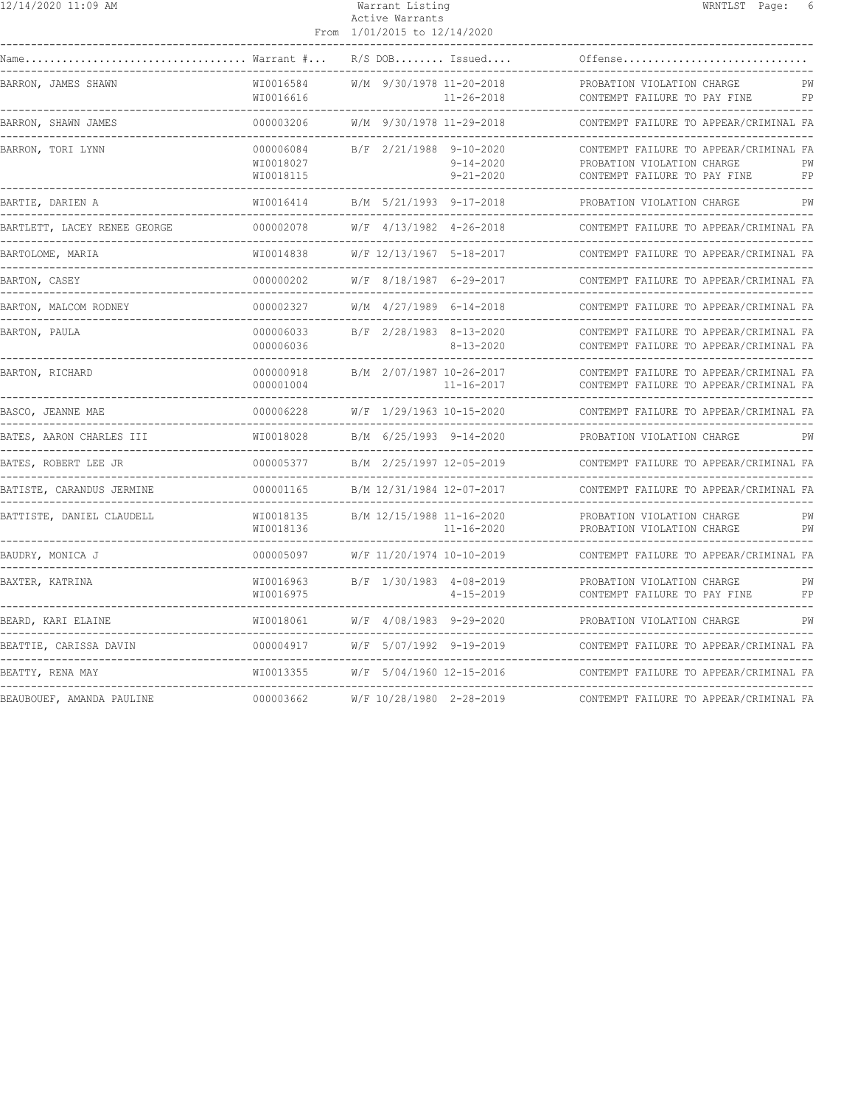| 12/14/2020 11:09 AM          |                                     | Warrant Listing<br>Active Warrants<br>From 1/01/2015 to 12/14/2020 | WRNTLST Page: 6                                                                                                  |
|------------------------------|-------------------------------------|--------------------------------------------------------------------|------------------------------------------------------------------------------------------------------------------|
|                              |                                     | $R/S$ DOB Issued                                                   | Offense                                                                                                          |
| BARRON, JAMES SHAWN          | WI0016584<br>WI0016616              | W/M 9/30/1978 11-20-2018<br>11-26-2018                             | PROBATION VIOLATION CHARGE<br>PW<br>CONTEMPT FAILURE TO PAY FINE<br>FP                                           |
| BARRON, SHAWN JAMES          | 000003206                           | W/M 9/30/1978 11-29-2018                                           | CONTEMPT FAILURE TO APPEAR/CRIMINAL FA                                                                           |
| BARRON, TORI LYNN            | 000006084<br>WI0018027<br>WI0018115 | B/F 2/21/1988 9-10-2020<br>$9 - 14 - 2020$<br>$9 - 21 - 2020$      | CONTEMPT FAILURE TO APPEAR/CRIMINAL FA<br>PROBATION VIOLATION CHARGE<br>PW<br>CONTEMPT FAILURE TO PAY FINE<br>FP |
| BARTIE, DARIEN A             | WI0016414                           | B/M 5/21/1993 9-17-2018                                            | PROBATION VIOLATION CHARGE<br>PW                                                                                 |
| BARTLETT, LACEY RENEE GEORGE | 000002078                           | W/F 4/13/1982 4-26-2018                                            | CONTEMPT FAILURE TO APPEAR/CRIMINAL FA                                                                           |
| BARTOLOME, MARIA             | WI0014838                           | W/F 12/13/1967 5-18-2017                                           | CONTEMPT FAILURE TO APPEAR/CRIMINAL FA                                                                           |
| BARTON, CASEY                | 000000202                           | W/F 8/18/1987 6-29-2017                                            | CONTEMPT FAILURE TO APPEAR/CRIMINAL FA                                                                           |
| BARTON, MALCOM RODNEY        | 000002327<br>----------------       | W/M 4/27/1989 6-14-2018                                            | CONTEMPT FAILURE TO APPEAR/CRIMINAL FA                                                                           |
| BARTON, PAULA                | 000006033<br>000006036              | B/F 2/28/1983 8-13-2020<br>8-13-2020                               | CONTEMPT FAILURE TO APPEAR/CRIMINAL FA<br>CONTEMPT FAILURE TO APPEAR/CRIMINAL FA                                 |
| BARTON, RICHARD              | 000000918<br>000001004              | B/M 2/07/1987 10-26-2017<br>11-16-2017                             | CONTEMPT FAILURE TO APPEAR/CRIMINAL FA<br>CONTEMPT FAILURE TO APPEAR/CRIMINAL FA                                 |
| BASCO, JEANNE MAE            | 000006228                           | W/F 1/29/1963 10-15-2020                                           | CONTEMPT FAILURE TO APPEAR/CRIMINAL FA                                                                           |
| BATES, AARON CHARLES III     | WI0018028                           | B/M 6/25/1993 9-14-2020                                            | PROBATION VIOLATION CHARGE<br>PW                                                                                 |
| BATES, ROBERT LEE JR         | 000005377                           | B/M 2/25/1997 12-05-2019                                           | CONTEMPT FAILURE TO APPEAR/CRIMINAL FA                                                                           |
| BATISTE, CARANDUS JERMINE    | 000001165                           | B/M 12/31/1984 12-07-2017                                          | CONTEMPT FAILURE TO APPEAR/CRIMINAL FA                                                                           |
| BATTISTE, DANIEL CLAUDELL    | WI0018135<br>WI0018136              | B/M 12/15/1988 11-16-2020<br>$11 - 16 - 2020$                      | PROBATION VIOLATION CHARGE<br>PW<br>PW<br>PROBATION VIOLATION CHARGE                                             |
| BAUDRY, MONICA J             | 000005097                           | W/F 11/20/1974 10-10-2019                                          | CONTEMPT FAILURE TO APPEAR/CRIMINAL FA                                                                           |
| BAXTER, KATRINA              | WI0016963<br>WI0016975              | B/F 1/30/1983 4-08-2019<br>4-15-2019                               | PROBATION VIOLATION CHARGE<br>PW<br>FP<br>CONTEMPT FAILURE TO PAY FINE                                           |
| BEARD, KARI ELAINE           | WI0018061                           | W/F 4/08/1983 9-29-2020<br>---------------                         | PROBATION VIOLATION CHARGE<br>PW<br>----------------------------                                                 |
| BEATTIE, CARISSA DAVIN       | 000004917                           | W/F 5/07/1992 9-19-2019                                            | CONTEMPT FAILURE TO APPEAR/CRIMINAL FA                                                                           |
| BEATTY, RENA MAY             | WI0013355                           | W/F 5/04/1960 12-15-2016                                           | CONTEMPT FAILURE TO APPEAR/CRIMINAL FA                                                                           |
| BEAUBOUEF, AMANDA PAULINE    | 000003662                           | W/F 10/28/1980 2-28-2019                                           | CONTEMPT FAILURE TO APPEAR/CRIMINAL FA                                                                           |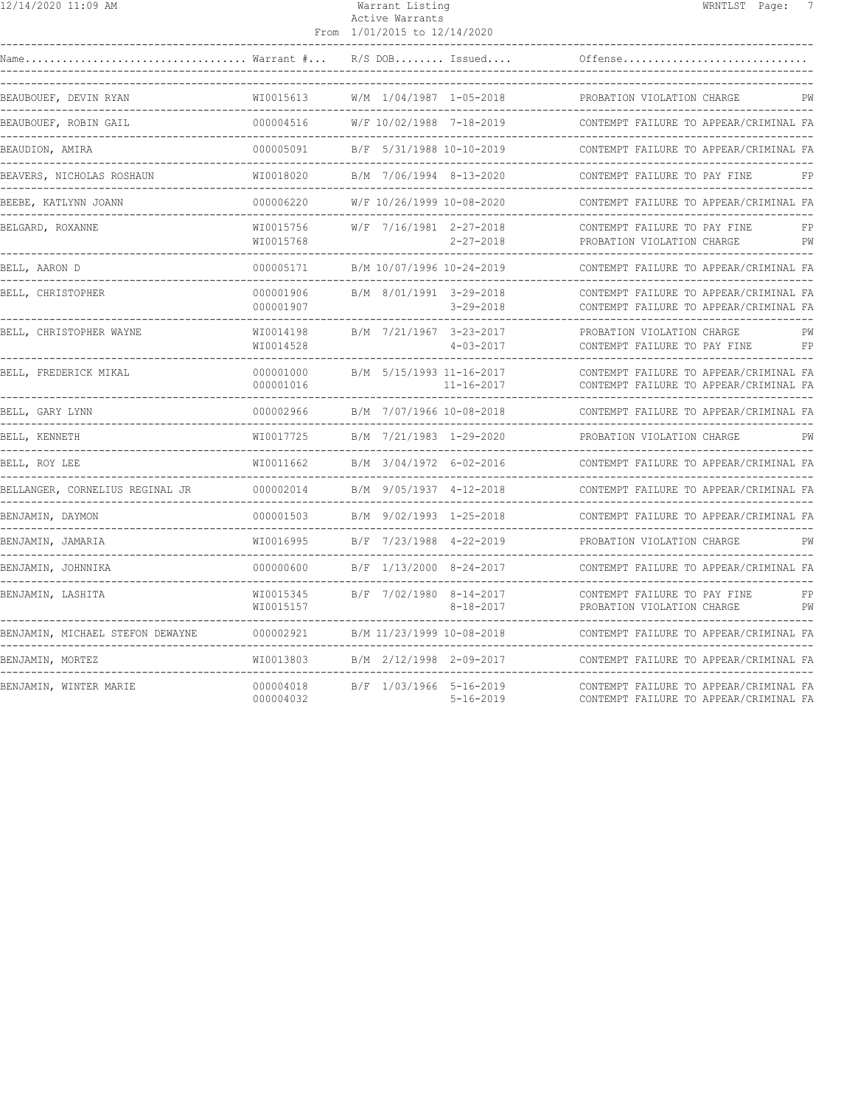| 12/14/2020 11:09 AM                  |                                               | Warrant Listing<br>Active Warrants<br>From 1/01/2015 to 12/14/2020 | WRNTLST Page:                                                                                                           |
|--------------------------------------|-----------------------------------------------|--------------------------------------------------------------------|-------------------------------------------------------------------------------------------------------------------------|
| Warrant #<br>Name                    |                                               | $R/S$ DOB Issued                                                   | Offense                                                                                                                 |
| BEAUBOUEF, DEVIN RYAN                | WI0015613                                     | W/M 1/04/1987 1-05-2018                                            | PROBATION VIOLATION CHARGE<br>PW                                                                                        |
| BEAUBOUEF, ROBIN GAIL                | 000004516                                     | W/F 10/02/1988 7-18-2019                                           | CONTEMPT FAILURE TO APPEAR/CRIMINAL FA                                                                                  |
| BEAUDION, AMIRA                      | 000005091                                     | B/F 5/31/1988 10-10-2019                                           | CONTEMPT FAILURE TO APPEAR/CRIMINAL FA                                                                                  |
| BEAVERS, NICHOLAS ROSHAUN            | WI0018020                                     | B/M 7/06/1994 8-13-2020                                            | CONTEMPT FAILURE TO PAY FINE<br>FP                                                                                      |
| BEEBE, KATLYNN JOANN<br>------------ | 000006220                                     | W/F 10/26/1999 10-08-2020                                          | CONTEMPT FAILURE TO APPEAR/CRIMINAL FA                                                                                  |
| BELGARD, ROXANNE                     | WI0015756<br>WI0015768                        | W/F 7/16/1981 2-27-2018<br>$2 - 27 - 2018$                         | CONTEMPT FAILURE TO PAY FINE<br>FP<br>PROBATION VIOLATION CHARGE<br>PW                                                  |
| BELL, AARON D                        | 000005171                                     | B/M 10/07/1996 10-24-2019                                          | CONTEMPT FAILURE TO APPEAR/CRIMINAL FA                                                                                  |
| BELL, CHRISTOPHER                    | 000001906<br>000001907                        | B/M 8/01/1991 3-29-2018<br>$3 - 29 - 2018$                         | CONTEMPT FAILURE TO APPEAR/CRIMINAL FA<br>CONTEMPT FAILURE TO APPEAR/CRIMINAL FA                                        |
| BELL, CHRISTOPHER WAYNE              | WI0014198<br>WI0014528                        | B/M 7/21/1967 3-23-2017<br>$4 - 03 - 2017$                         | PROBATION VIOLATION CHARGE<br>PW<br>CONTEMPT FAILURE TO PAY FINE<br>F P                                                 |
| BELL, FREDERICK MIKAL                | 000001000<br>000001016<br>___________________ | B/M 5/15/1993 11-16-2017<br>11-16-2017                             | CONTEMPT FAILURE TO APPEAR/CRIMINAL FA<br>CONTEMPT FAILURE TO APPEAR/CRIMINAL FA<br>----------------------------------- |
| BELL, GARY LYNN                      | 000002966                                     | B/M 7/07/1966 10-08-2018                                           | CONTEMPT FAILURE TO APPEAR/CRIMINAL FA                                                                                  |
| BELL, KENNETH                        | WI0017725                                     | B/M 7/21/1983 1-29-2020                                            | PROBATION VIOLATION CHARGE<br>PW                                                                                        |
| BELL, ROY LEE                        | WI0011662                                     | B/M 3/04/1972 6-02-2016                                            | CONTEMPT FAILURE TO APPEAR/CRIMINAL FA                                                                                  |
| BELLANGER, CORNELIUS REGINAL JR      | 000002014                                     | B/M 9/05/1937 4-12-2018                                            | CONTEMPT FAILURE TO APPEAR/CRIMINAL FA                                                                                  |
| BENJAMIN, DAYMON                     | 000001503                                     | B/M 9/02/1993 1-25-2018                                            | CONTEMPT FAILURE TO APPEAR/CRIMINAL FA                                                                                  |
| BENJAMIN, JAMARIA                    | WI0016995                                     | B/F 7/23/1988 4-22-2019                                            | PROBATION VIOLATION CHARGE<br>PW                                                                                        |
| BENJAMIN, JOHNNIKA                   | 000000600                                     | B/F 1/13/2000 8-24-2017                                            | CONTEMPT FAILURE TO APPEAR/CRIMINAL FA                                                                                  |
| BENJAMIN, LASHITA                    | WI0015345<br>WI0015157                        | B/F 7/02/1980 8-14-2017<br>$8 - 18 - 2017$                         | CONTEMPT FAILURE TO PAY FINE<br>FP<br>PROBATION VIOLATION CHARGE<br>PW                                                  |
| BENJAMIN, MICHAEL STEFON DEWAYNE     | 000002921                                     | B/M 11/23/1999 10-08-2018                                          | CONTEMPT FAILURE TO APPEAR/CRIMINAL FA                                                                                  |
| BENJAMIN, MORTEZ                     | WI0013803                                     | B/M 2/12/1998 2-09-2017                                            | CONTEMPT FAILURE TO APPEAR/CRIMINAL FA                                                                                  |
| BENJAMIN, WINTER MARIE               | 000004018<br>000004032                        | B/F 1/03/1966 5-16-2019<br>$5 - 16 - 2019$                         | CONTEMPT FAILURE TO APPEAR/CRIMINAL FA<br>CONTEMPT FAILURE TO APPEAR/CRIMINAL FA                                        |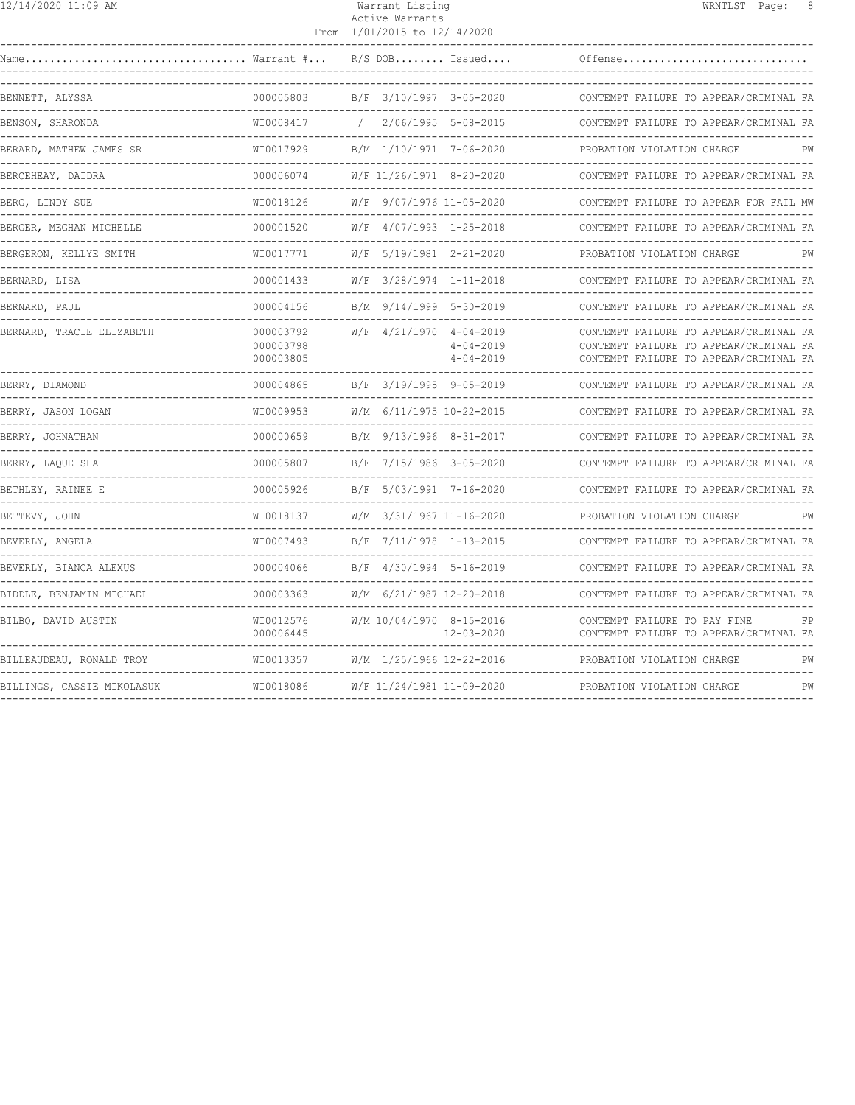|--|

#### 12/14/2020 11:09 AM Warrant Listing WRNTLST Page: 8 Active Warrants From 1/01/2015 to 12/14/2020

| Name                       | $\ldots \ldots \ldots$ Warrant $\# \ldots$ |                           | $R/S$ DOB Issued                   | Offense                                                                                                                    |    |
|----------------------------|--------------------------------------------|---------------------------|------------------------------------|----------------------------------------------------------------------------------------------------------------------------|----|
| BENNETT, ALYSSA            | 000005803                                  |                           | B/F 3/10/1997 3-05-2020            | CONTEMPT FAILURE TO APPEAR/CRIMINAL FA                                                                                     |    |
| BENSON, SHARONDA           | WI0008417                                  | 2/06/1995 5-08-2015       |                                    | CONTEMPT FAILURE TO APPEAR/CRIMINAL FA                                                                                     |    |
| BERARD, MATHEW JAMES SR    | WI0017929                                  | B/M 1/10/1971 7-06-2020   |                                    | PROBATION VIOLATION CHARGE                                                                                                 | PW |
| BERCEHEAY, DAIDRA          | 000006074                                  | W/F 11/26/1971 8-20-2020  |                                    | CONTEMPT FAILURE TO APPEAR/CRIMINAL FA                                                                                     |    |
| BERG, LINDY SUE            | WI0018126                                  | W/F 9/07/1976 11-05-2020  |                                    | CONTEMPT FAILURE TO APPEAR FOR FAIL MW                                                                                     |    |
| BERGER, MEGHAN MICHELLE    | 000001520                                  | W/F 4/07/1993 1-25-2018   |                                    | CONTEMPT FAILURE TO APPEAR/CRIMINAL FA                                                                                     |    |
| BERGERON, KELLYE SMITH     | WI0017771                                  | W/F 5/19/1981 2-21-2020   |                                    | PROBATION VIOLATION CHARGE                                                                                                 | PW |
| BERNARD, LISA              | 000001433                                  | W/F 3/28/1974 1-11-2018   |                                    | CONTEMPT FAILURE TO APPEAR/CRIMINAL FA                                                                                     |    |
| BERNARD, PAUL              | 000004156                                  | B/M 9/14/1999 5-30-2019   |                                    | CONTEMPT FAILURE TO APPEAR/CRIMINAL FA                                                                                     |    |
| BERNARD, TRACIE ELIZABETH  | 000003792<br>000003798<br>000003805        | W/F 4/21/1970 4-04-2019   | $4 - 04 - 2019$<br>$4 - 04 - 2019$ | CONTEMPT FAILURE TO APPEAR/CRIMINAL FA<br>CONTEMPT FAILURE TO APPEAR/CRIMINAL FA<br>CONTEMPT FAILURE TO APPEAR/CRIMINAL FA |    |
| BERRY, DIAMOND             | 000004865                                  | B/F 3/19/1995 9-05-2019   |                                    | CONTEMPT FAILURE TO APPEAR/CRIMINAL FA                                                                                     |    |
| BERRY, JASON LOGAN         | WI0009953                                  | W/M 6/11/1975 10-22-2015  |                                    | CONTEMPT FAILURE TO APPEAR/CRIMINAL FA                                                                                     |    |
| BERRY, JOHNATHAN           | 000000659                                  | B/M 9/13/1996 8-31-2017   |                                    | CONTEMPT FAILURE TO APPEAR/CRIMINAL FA                                                                                     |    |
| BERRY, LAQUEISHA           | 000005807                                  | B/F 7/15/1986 3-05-2020   |                                    | CONTEMPT FAILURE TO APPEAR/CRIMINAL FA                                                                                     |    |
| BETHLEY, RAINEE E          | 000005926                                  | B/F 5/03/1991 7-16-2020   |                                    | CONTEMPT FAILURE TO APPEAR/CRIMINAL FA                                                                                     |    |
| BETTEVY, JOHN              | WI0018137                                  | W/M 3/31/1967 11-16-2020  |                                    | PROBATION VIOLATION CHARGE                                                                                                 | PW |
| BEVERLY, ANGELA            | WI0007493                                  | B/F 7/11/1978 1-13-2015   |                                    | CONTEMPT FAILURE TO APPEAR/CRIMINAL FA                                                                                     |    |
| BEVERLY, BIANCA ALEXUS     | 000004066                                  | B/F 4/30/1994 5-16-2019   |                                    | CONTEMPT FAILURE TO APPEAR/CRIMINAL FA                                                                                     |    |
| BIDDLE, BENJAMIN MICHAEL   | 000003363                                  | W/M 6/21/1987 12-20-2018  |                                    | CONTEMPT FAILURE TO APPEAR/CRIMINAL FA                                                                                     |    |
| BILBO, DAVID AUSTIN        | WI0012576<br>000006445                     | W/M 10/04/1970 8-15-2016  | $12 - 03 - 2020$                   | CONTEMPT FAILURE TO PAY FINE<br>CONTEMPT FAILURE TO APPEAR/CRIMINAL FA                                                     | FP |
| BILLEAUDEAU, RONALD TROY   | WI0013357<br>___________                   | W/M 1/25/1966 12-22-2016  |                                    | PROBATION VIOLATION CHARGE                                                                                                 | PW |
| BILLINGS, CASSIE MIKOLASUK | WI0018086                                  | W/F 11/24/1981 11-09-2020 |                                    | PROBATION VIOLATION CHARGE                                                                                                 | PW |
|                            |                                            |                           |                                    |                                                                                                                            |    |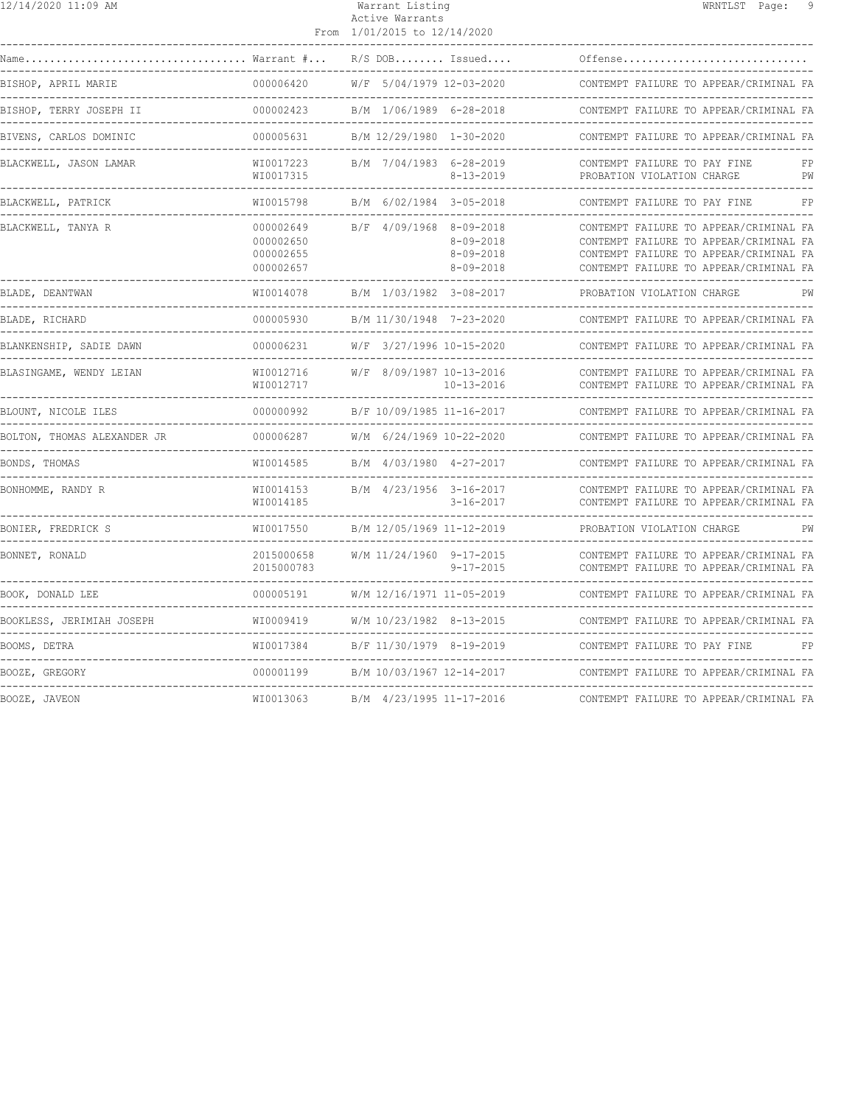| 12/14/2020 11:09 AM           |                                                                          | Warrant Listing<br>Active Warrants<br>From 1/01/2015 to 12/14/2020               | - 9<br>WRNTLST Page:                                                                                                                                                                                  |
|-------------------------------|--------------------------------------------------------------------------|----------------------------------------------------------------------------------|-------------------------------------------------------------------------------------------------------------------------------------------------------------------------------------------------------|
|                               |                                                                          | $R/S$ DOB Issued                                                                 | Offense                                                                                                                                                                                               |
| BISHOP, APRIL MARIE           | 000006420                                                                | W/F 5/04/1979 12-03-2020                                                         | CONTEMPT FAILURE TO APPEAR/CRIMINAL FA                                                                                                                                                                |
| BISHOP, TERRY JOSEPH II       | 000002423                                                                | B/M 1/06/1989 6-28-2018                                                          | CONTEMPT FAILURE TO APPEAR/CRIMINAL FA                                                                                                                                                                |
| BIVENS, CARLOS DOMINIC        | 000005631                                                                | B/M 12/29/1980 1-30-2020                                                         | CONTEMPT FAILURE TO APPEAR/CRIMINAL FA                                                                                                                                                                |
| BLACKWELL, JASON LAMAR        | WI0017223<br>WI0017315                                                   | B/M 7/04/1983 6-28-2019<br>$8 - 13 - 2019$                                       | CONTEMPT FAILURE TO PAY FINE<br>PW<br>PROBATION VIOLATION CHARGE                                                                                                                                      |
| BLACKWELL, PATRICK            | WI0015798                                                                | B/M 6/02/1984 3-05-2018                                                          | FP<br>CONTEMPT FAILURE TO PAY FINE                                                                                                                                                                    |
| BLACKWELL, TANYA R            | 000002649<br>000002650<br>000002655<br>000002657<br>-------------------- | B/F 4/09/1968 8-09-2018<br>$8 - 09 - 2018$<br>$8 - 09 - 2018$<br>$8 - 09 - 2018$ | CONTEMPT FAILURE TO APPEAR/CRIMINAL FA<br>CONTEMPT FAILURE TO APPEAR/CRIMINAL FA<br>CONTEMPT FAILURE TO APPEAR/CRIMINAL FA<br>CONTEMPT FAILURE TO APPEAR/CRIMINAL FA<br>----------------------------- |
| BLADE, DEANTWAN               | WI0014078                                                                | B/M 1/03/1982 3-08-2017                                                          | PROBATION VIOLATION CHARGE<br>PW                                                                                                                                                                      |
| BLADE, RICHARD                | 000005930                                                                | B/M 11/30/1948 7-23-2020                                                         | CONTEMPT FAILURE TO APPEAR/CRIMINAL FA                                                                                                                                                                |
| BLANKENSHIP, SADIE DAWN       | 000006231                                                                | W/F 3/27/1996 10-15-2020                                                         | CONTEMPT FAILURE TO APPEAR/CRIMINAL FA                                                                                                                                                                |
| BLASINGAME, WENDY LEIAN       | WI0012716<br>WI0012717<br>-------------------                            | W/F 8/09/1987 10-13-2016<br>10-13-2016                                           | CONTEMPT FAILURE TO APPEAR/CRIMINAL FA<br>CONTEMPT FAILURE TO APPEAR/CRIMINAL FA                                                                                                                      |
| BLOUNT, NICOLE ILES           | 000000992                                                                | B/F 10/09/1985 11-16-2017                                                        | CONTEMPT FAILURE TO APPEAR/CRIMINAL FA                                                                                                                                                                |
| BOLTON, THOMAS ALEXANDER JR   | 000006287                                                                | W/M 6/24/1969 10-22-2020                                                         | CONTEMPT FAILURE TO APPEAR/CRIMINAL FA                                                                                                                                                                |
| BONDS, THOMAS                 | WI0014585                                                                | B/M 4/03/1980 4-27-2017                                                          | CONTEMPT FAILURE TO APPEAR/CRIMINAL FA                                                                                                                                                                |
| BONHOMME, RANDY R             | WI0014153<br>WI0014185                                                   | B/M 4/23/1956 3-16-2017<br>$3 - 16 - 2017$                                       | CONTEMPT FAILURE TO APPEAR/CRIMINAL FA<br>CONTEMPT FAILURE TO APPEAR/CRIMINAL FA                                                                                                                      |
| BONIER, FREDRICK S            | WI0017550                                                                | B/M 12/05/1969 11-12-2019                                                        | PROBATION VIOLATION CHARGE<br>PW<br>----------------------------------                                                                                                                                |
| BONNET, RONALD                | 2015000658<br>2015000783                                                 | W/M 11/24/1960 9-17-2015<br>$9 - 17 - 2015$                                      | CONTEMPT FAILURE TO APPEAR/CRIMINAL FA<br>CONTEMPT FAILURE TO APPEAR/CRIMINAL FA                                                                                                                      |
| BOOK, DONALD LEE              | 000005191                                                                | W/M 12/16/1971 11-05-2019                                                        | CONTEMPT FAILURE TO APPEAR/CRIMINAL FA                                                                                                                                                                |
| BOOKLESS, JERIMIAH JOSEPH     | WI0009419                                                                | W/M 10/23/1982 8-13-2015                                                         | CONTEMPT FAILURE TO APPEAR/CRIMINAL FA                                                                                                                                                                |
| BOOMS, DETRA                  | WI0017384                                                                | B/F 11/30/1979 8-19-2019                                                         | CONTEMPT FAILURE TO PAY FINE<br>FP                                                                                                                                                                    |
| BOOZE, GREGORY<br>----------- | 000001199                                                                | B/M 10/03/1967 12-14-2017                                                        | CONTEMPT FAILURE TO APPEAR/CRIMINAL FA                                                                                                                                                                |
| BOOZE, JAVEON                 | WI0013063                                                                | B/M 4/23/1995 11-17-2016                                                         | CONTEMPT FAILURE TO APPEAR/CRIMINAL FA                                                                                                                                                                |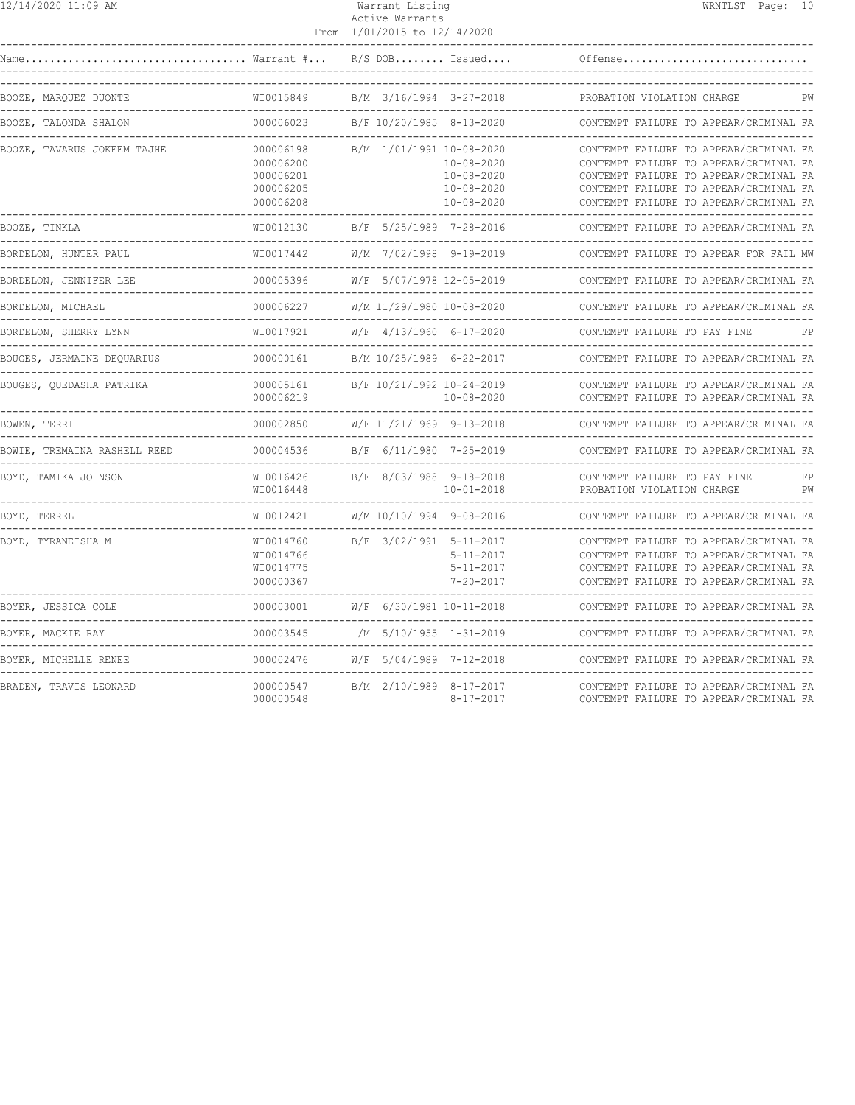| 12/14/2020 11:09 AM |  |  |
|---------------------|--|--|
|---------------------|--|--|

# Active Warrants

|                                                      |                                                               | From 1/01/2015 to 12/14/2020                                                                       |                                                                                                                                                                                                                |
|------------------------------------------------------|---------------------------------------------------------------|----------------------------------------------------------------------------------------------------|----------------------------------------------------------------------------------------------------------------------------------------------------------------------------------------------------------------|
|                                                      |                                                               |                                                                                                    | Offense                                                                                                                                                                                                        |
| BOOZE, MAROUEZ DUONTE                                | WI0015849                                                     | B/M 3/16/1994 3-27-2018                                                                            | PROBATION VIOLATION CHARGE<br>PW                                                                                                                                                                               |
| BOOZE, TALONDA SHALON                                | 000006023                                                     | B/F 10/20/1985 8-13-2020                                                                           | CONTEMPT FAILURE TO APPEAR/CRIMINAL FA                                                                                                                                                                         |
| BOOZE, TAVARUS JOKEEM TAJHE                          | 000006198<br>000006200<br>000006201<br>000006205<br>000006208 | B/M 1/01/1991 10-08-2020<br>$10 - 08 - 2020$<br>10-08-2020<br>$10 - 08 - 2020$<br>$10 - 08 - 2020$ | CONTEMPT FAILURE TO APPEAR/CRIMINAL FA<br>CONTEMPT FAILURE TO APPEAR/CRIMINAL FA<br>CONTEMPT FAILURE TO APPEAR/CRIMINAL FA<br>CONTEMPT FAILURE TO APPEAR/CRIMINAL FA<br>CONTEMPT FAILURE TO APPEAR/CRIMINAL FA |
| -----------------------------------<br>BOOZE, TINKLA | WI0012130                                                     | B/F 5/25/1989 7-28-2016                                                                            | CONTEMPT FAILURE TO APPEAR/CRIMINAL FA                                                                                                                                                                         |
| BORDELON, HUNTER PAUL                                | WI0017442                                                     | W/M 7/02/1998 9-19-2019                                                                            | CONTEMPT FAILURE TO APPEAR FOR FAIL MW                                                                                                                                                                         |
| BORDELON, JENNIFER LEE                               | 000005396                                                     | W/F 5/07/1978 12-05-2019                                                                           | CONTEMPT FAILURE TO APPEAR/CRIMINAL FA                                                                                                                                                                         |
| BORDELON, MICHAEL                                    | 000006227                                                     | W/M 11/29/1980 10-08-2020                                                                          | CONTEMPT FAILURE TO APPEAR/CRIMINAL FA                                                                                                                                                                         |
| BORDELON, SHERRY LYNN                                | WI0017921                                                     | W/F 4/13/1960 6-17-2020                                                                            | CONTEMPT FAILURE TO PAY FINE<br>FP                                                                                                                                                                             |
| BOUGES, JERMAINE DEOUARIUS                           | 000000161                                                     | B/M 10/25/1989 6-22-2017                                                                           | CONTEMPT FAILURE TO APPEAR/CRIMINAL FA                                                                                                                                                                         |
| BOUGES, QUEDASHA PATRIKA                             | 000005161<br>000006219                                        | B/F 10/21/1992 10-24-2019<br>10-08-2020                                                            | CONTEMPT FAILURE TO APPEAR/CRIMINAL FA<br>CONTEMPT FAILURE TO APPEAR/CRIMINAL FA                                                                                                                               |
| BOWEN, TERRI                                         | 000002850                                                     | W/F 11/21/1969 9-13-2018                                                                           | CONTEMPT FAILURE TO APPEAR/CRIMINAL FA                                                                                                                                                                         |
| BOWIE. TREMAINA RASHELL REED                         | 000004536                                                     | B/F 6/11/1980 7-25-2019                                                                            | CONTEMPT FAILURE TO APPEAR/CRIMINAL FA                                                                                                                                                                         |
| BOYD, TAMIKA JOHNSON                                 | WI0016426<br>WI0016448                                        | B/F 8/03/1988 9-18-2018<br>$10 - 01 - 2018$                                                        | CONTEMPT FAILURE TO PAY FINE<br>FP<br>PROBATION VIOLATION CHARGE<br>PW                                                                                                                                         |
| BOYD, TERREL                                         | WI0012421                                                     | W/M 10/10/1994 9-08-2016                                                                           | CONTEMPT FAILURE TO APPEAR/CRIMINAL FA<br>_____________________________________                                                                                                                                |
| BOYD, TYRANEISHA M                                   | WI0014760<br>WI0014766<br>WI0014775<br>000000367              | B/F 3/02/1991 5-11-2017<br>$5 - 11 - 2017$<br>$5 - 11 - 2017$<br>$7 - 20 - 2017$                   | CONTEMPT FAILURE TO APPEAR/CRIMINAL FA<br>CONTEMPT FAILURE TO APPEAR/CRIMINAL FA<br>CONTEMPT FAILURE TO APPEAR/CRIMINAL FA<br>CONTEMPT FAILURE TO APPEAR/CRIMINAL FA                                           |
| BOYER, JESSICA COLE                                  | 000003001                                                     | W/F 6/30/1981 10-11-2018                                                                           | CONTEMPT FAILURE TO APPEAR/CRIMINAL FA                                                                                                                                                                         |
| ________________<br>BOYER, MACKIE RAY                |                                                               | 000003545 /M 5/10/1955 1-31-2019<br>-------------------------- <sup>-----</sup> -                  | CONTEMPT FAILURE TO APPEAR/CRIMINAL FA                                                                                                                                                                         |
| BOYER, MICHELLE RENEE                                | 000002476                                                     | W/F 5/04/1989 7-12-2018                                                                            | CONTEMPT FAILURE TO APPEAR/CRIMINAL FA                                                                                                                                                                         |
| BRADEN, TRAVIS LEONARD                               | 000000547<br>000000548                                        | B/M 2/10/1989 8-17-2017<br>$8 - 17 - 2017$                                                         | CONTEMPT FAILURE TO APPEAR/CRIMINAL FA<br>CONTEMPT FAILURE TO APPEAR/CRIMINAL FA                                                                                                                               |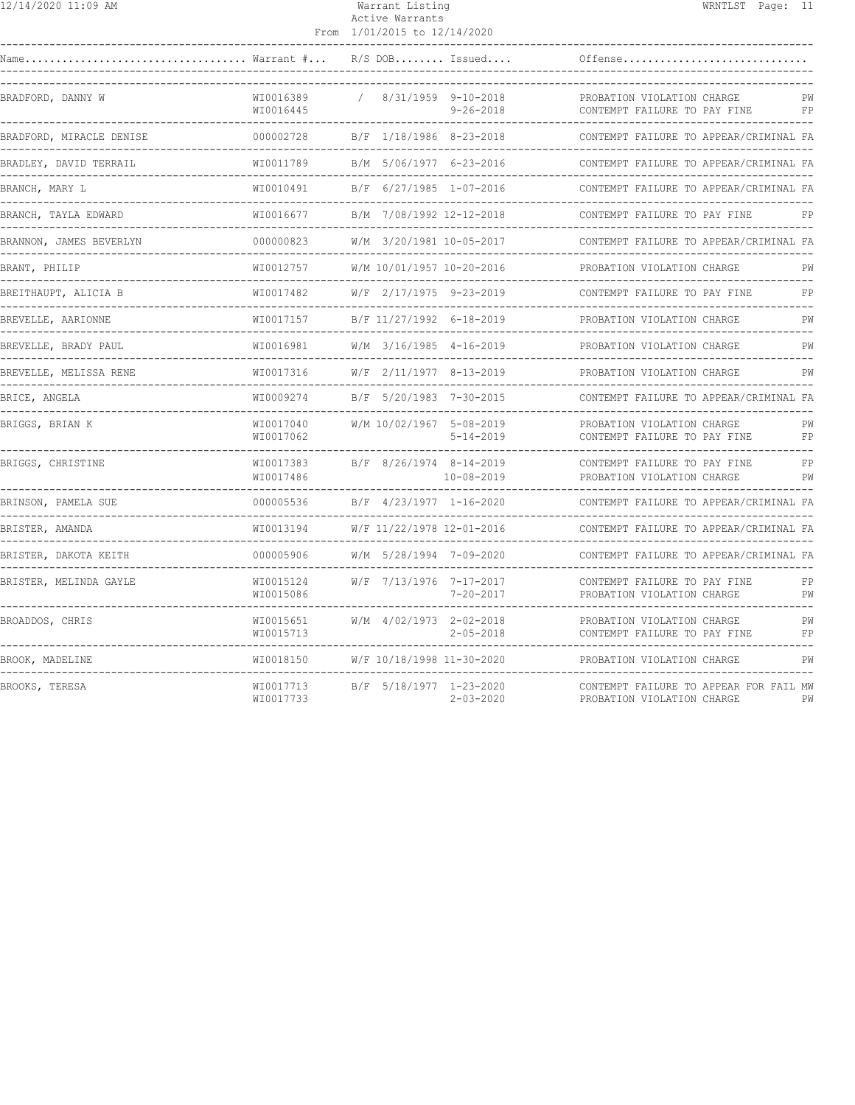|  | 2/14/2020 11:09 AM |  |  |
|--|--------------------|--|--|
|--|--------------------|--|--|

#### 12/14/2020 11:09 AM Warrant Listing WRNTLST Page: 11 Active Warrants

|                                                                  |                          | From 1/01/2015 to 12/14/2020                    |                                        |                                                                                   |          |
|------------------------------------------------------------------|--------------------------|-------------------------------------------------|----------------------------------------|-----------------------------------------------------------------------------------|----------|
| $\ldots \ldots \ldots \ldots \ldots$ Warrant $\# \ldots$<br>Name |                          |                                                 | $R/S$ DOB Issued                       | Offense                                                                           |          |
| BRADFORD, DANNY W                                                | WI0016389<br>WI0016445   |                                                 | 8/31/1959 9-10-2018<br>$9 - 26 - 2018$ | PROBATION VIOLATION CHARGE<br>CONTEMPT FAILURE TO PAY FINE                        | РW<br>FP |
| BRADFORD, MIRACLE DENISE                                         | 000002728                | B/F 1/18/1986 8-23-2018                         |                                        | CONTEMPT FAILURE TO APPEAR/CRIMINAL FA                                            |          |
| BRADLEY, DAVID TERRAIL                                           | WI0011789                | B/M 5/06/1977 6-23-2016                         |                                        | CONTEMPT FAILURE TO APPEAR/CRIMINAL FA                                            |          |
| BRANCH, MARY L<br>-----------                                    | WI0010491<br>----------- | B/F 6/27/1985 1-07-2016                         |                                        | CONTEMPT FAILURE TO APPEAR/CRIMINAL FA                                            |          |
| BRANCH, TAYLA EDWARD                                             | WI0016677                | B/M 7/08/1992 12-12-2018                        |                                        | CONTEMPT FAILURE TO PAY FINE                                                      | FP       |
| BRANNON, JAMES BEVERLYN                                          | 000000823                | W/M 3/20/1981 10-05-2017                        |                                        | CONTEMPT FAILURE TO APPEAR/CRIMINAL FA                                            |          |
| BRANT, PHILIP                                                    | WI0012757                | W/M 10/01/1957 10-20-2016                       |                                        | PROBATION VIOLATION CHARGE                                                        | PW       |
| BREITHAUPT, ALICIA B                                             | WI0017482                | W/F 2/17/1975 9-23-2019                         |                                        | CONTEMPT FAILURE TO PAY FINE                                                      | FP       |
| BREVELLE, AARIONNE                                               | WI0017157                | B/F 11/27/1992 6-18-2019                        |                                        | PROBATION VIOLATION CHARGE                                                        | PW       |
| BREVELLE, BRADY PAUL                                             | WI0016981                | W/M 3/16/1985 4-16-2019                         |                                        | PROBATION VIOLATION CHARGE                                                        | PW       |
| BREVELLE, MELISSA RENE                                           | WI0017316                | W/F 2/11/1977 8-13-2019                         |                                        | PROBATION VIOLATION CHARGE                                                        | PW       |
| BRICE, ANGELA                                                    | WI0009274                | B/F 5/20/1983 7-30-2015                         |                                        | CONTEMPT FAILURE TO APPEAR/CRIMINAL FA                                            |          |
| BRIGGS, BRIAN K                                                  | WI0017040<br>WI0017062   | W/M 10/02/1967 5-08-2019                        | $5 - 14 - 2019$                        | PROBATION VIOLATION CHARGE<br>CONTEMPT FAILURE TO PAY FINE                        | PW<br>FP |
| BRIGGS, CHRISTINE                                                | WI0017383<br>WI0017486   | B/F 8/26/1974 8-14-2019                         | $10 - 08 - 2019$                       | CONTEMPT FAILURE TO PAY FINE<br>PROBATION VIOLATION CHARGE                        | FP<br>PW |
| BRINSON, PAMELA SUE                                              | 000005536                | B/F 4/23/1977 1-16-2020<br>-------------------- |                                        | CONTEMPT FAILURE TO APPEAR/CRIMINAL FA                                            |          |
| BRISTER, AMANDA                                                  | WI0013194                | W/F 11/22/1978 12-01-2016                       |                                        | CONTEMPT FAILURE TO APPEAR/CRIMINAL FA                                            |          |
| BRISTER, DAKOTA KEITH                                            | 000005906                | W/M 5/28/1994 7-09-2020                         |                                        | CONTEMPT FAILURE TO APPEAR/CRIMINAL FA                                            |          |
| BRISTER, MELINDA GAYLE                                           | WI0015124<br>WI0015086   | W/F 7/13/1976 7-17-2017                         | $7 - 20 - 2017$                        | CONTEMPT FAILURE TO PAY FINE<br>PROBATION VIOLATION CHARGE<br>------------------- | FP<br>PW |
| BROADDOS, CHRIS                                                  | WI0015651<br>WI0015713   | W/M 4/02/1973 2-02-2018                         | $2 - 05 - 2018$                        | PROBATION VIOLATION CHARGE<br>CONTEMPT FAILURE TO PAY FINE                        | PW<br>FP |
| BROOK, MADELINE                                                  | WI0018150                | W/F 10/18/1998 11-30-2020                       |                                        | PROBATION VIOLATION CHARGE                                                        | PW       |
| BROOKS, TERESA                                                   | WI0017713<br>WI0017733   | B/F 5/18/1977 1-23-2020                         | $2 - 03 - 2020$                        | CONTEMPT FAILURE TO APPEAR FOR FAIL MW<br>PROBATION VIOLATION CHARGE              | PW       |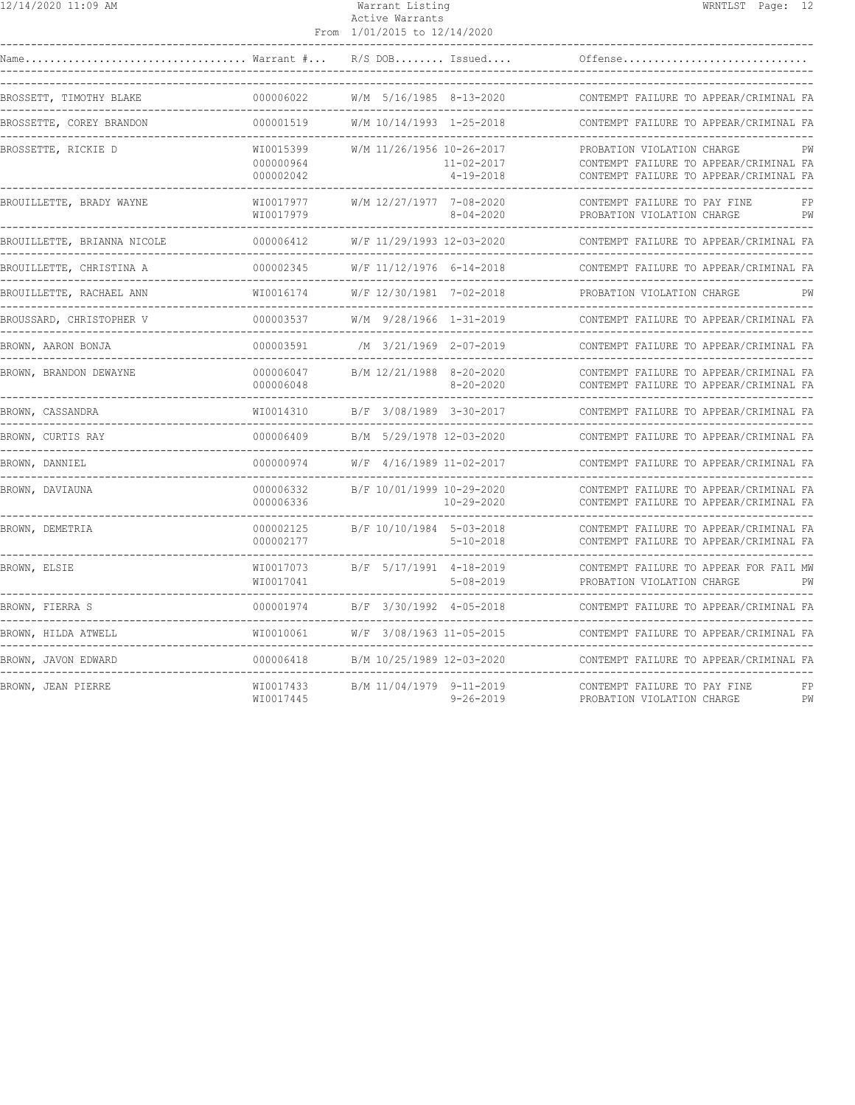| 12/14/2020 11:09 AM                     |                                                | Warrant Listing<br>Active Warrants<br>From 1/01/2015 to 12/14/2020 | WRNTLST Page: 12                                                                                                     |
|-----------------------------------------|------------------------------------------------|--------------------------------------------------------------------|----------------------------------------------------------------------------------------------------------------------|
| Warrant #<br>Name                       |                                                | $R/S$ DOB Issued                                                   | Offense                                                                                                              |
| BROSSETT, TIMOTHY BLAKE                 | 000006022                                      | W/M 5/16/1985 8-13-2020                                            | CONTEMPT FAILURE TO APPEAR/CRIMINAL FA                                                                               |
| BROSSETTE, COREY BRANDON                | 000001519                                      | W/M 10/14/1993 1-25-2018                                           | CONTEMPT FAILURE TO APPEAR/CRIMINAL FA<br><u>.</u>                                                                   |
| BROSSETTE, RICKIE D                     | WI0015399<br>000000964<br>000002042            | W/M 11/26/1956 10-26-2017<br>$11 - 02 - 2017$<br>$4 - 19 - 2018$   | PROBATION VIOLATION CHARGE<br>РW<br>CONTEMPT FAILURE TO APPEAR/CRIMINAL FA<br>CONTEMPT FAILURE TO APPEAR/CRIMINAL FA |
| BROUILLETTE, BRADY WAYNE                | WI0017977<br>WI0017979                         | W/M 12/27/1977 7-08-2020<br>$8 - 04 - 2020$                        | CONTEMPT FAILURE TO PAY FINE<br>FP<br>PROBATION VIOLATION CHARGE<br>PW                                               |
| BROUILLETTE, BRIANNA NICOLE             | 000006412                                      | W/F 11/29/1993 12-03-2020                                          | CONTEMPT FAILURE TO APPEAR/CRIMINAL FA                                                                               |
| BROUILLETTE, CHRISTINA A                | 000002345                                      | W/F 11/12/1976 6-14-2018                                           | CONTEMPT FAILURE TO APPEAR/CRIMINAL FA                                                                               |
| BROUILLETTE, RACHAEL ANN                | WI0016174                                      | W/F 12/30/1981 7-02-2018                                           | PROBATION VIOLATION CHARGE<br>РW                                                                                     |
| BROUSSARD, CHRISTOPHER V                | 000003537                                      | W/M 9/28/1966 1-31-2019                                            | CONTEMPT FAILURE TO APPEAR/CRIMINAL FA                                                                               |
| BROWN, AARON BONJA<br>_________________ | 000003591                                      | /M 3/21/1969 2-07-2019                                             | CONTEMPT FAILURE TO APPEAR/CRIMINAL FA                                                                               |
| BROWN, BRANDON DEWAYNE                  | 000006047<br>000006048<br>-------------------- | B/M 12/21/1988 8-20-2020<br>8-20-2020                              | CONTEMPT FAILURE TO APPEAR/CRIMINAL FA<br>CONTEMPT FAILURE TO APPEAR/CRIMINAL FA                                     |
| BROWN, CASSANDRA<br>----------------    | WI0014310<br>---------------                   | B/F 3/08/1989 3-30-2017                                            | CONTEMPT FAILURE TO APPEAR/CRIMINAL FA                                                                               |
| BROWN, CURTIS RAY                       | 000006409                                      | B/M 5/29/1978 12-03-2020                                           | CONTEMPT FAILURE TO APPEAR/CRIMINAL FA                                                                               |
| BROWN, DANNIEL                          | 000000974                                      | W/F 4/16/1989 11-02-2017                                           | CONTEMPT FAILURE TO APPEAR/CRIMINAL FA                                                                               |
| BROWN, DAVIAUNA                         | 000006332<br>000006336                         | B/F 10/01/1999 10-29-2020<br>$10 - 29 - 2020$                      | CONTEMPT FAILURE TO APPEAR/CRIMINAL FA<br>CONTEMPT FAILURE TO APPEAR/CRIMINAL FA                                     |
| BROWN, DEMETRIA                         | 000002125<br>000002177                         | B/F 10/10/1984 5-03-2018<br>$5 - 10 - 2018$                        | CONTEMPT FAILURE TO APPEAR/CRIMINAL FA<br>CONTEMPT FAILURE TO APPEAR/CRIMINAL FA                                     |
| BROWN, ELSIE                            | WI0017073<br>WI0017041                         | B/F 5/17/1991 4-18-2019<br>$5 - 08 - 2019$                         | CONTEMPT FAILURE TO APPEAR FOR FAIL MW<br>PROBATION VIOLATION CHARGE<br>PW                                           |
| BROWN, FIERRA S                         | 000001974                                      | B/F 3/30/1992 4-05-2018                                            | CONTEMPT FAILURE TO APPEAR/CRIMINAL FA                                                                               |
| BROWN, HILDA ATWELL                     | WI0010061                                      | W/F 3/08/1963 11-05-2015                                           | CONTEMPT FAILURE TO APPEAR/CRIMINAL FA                                                                               |
| BROWN, JAVON EDWARD                     | 000006418                                      | B/M 10/25/1989 12-03-2020                                          | CONTEMPT FAILURE TO APPEAR/CRIMINAL FA                                                                               |
| BROWN, JEAN PIERRE                      | WI0017433<br>WI0017445                         | B/M 11/04/1979 9-11-2019<br>$9 - 26 - 2019$                        | CONTEMPT FAILURE TO PAY FINE<br>FP<br>PW<br>PROBATION VIOLATION CHARGE                                               |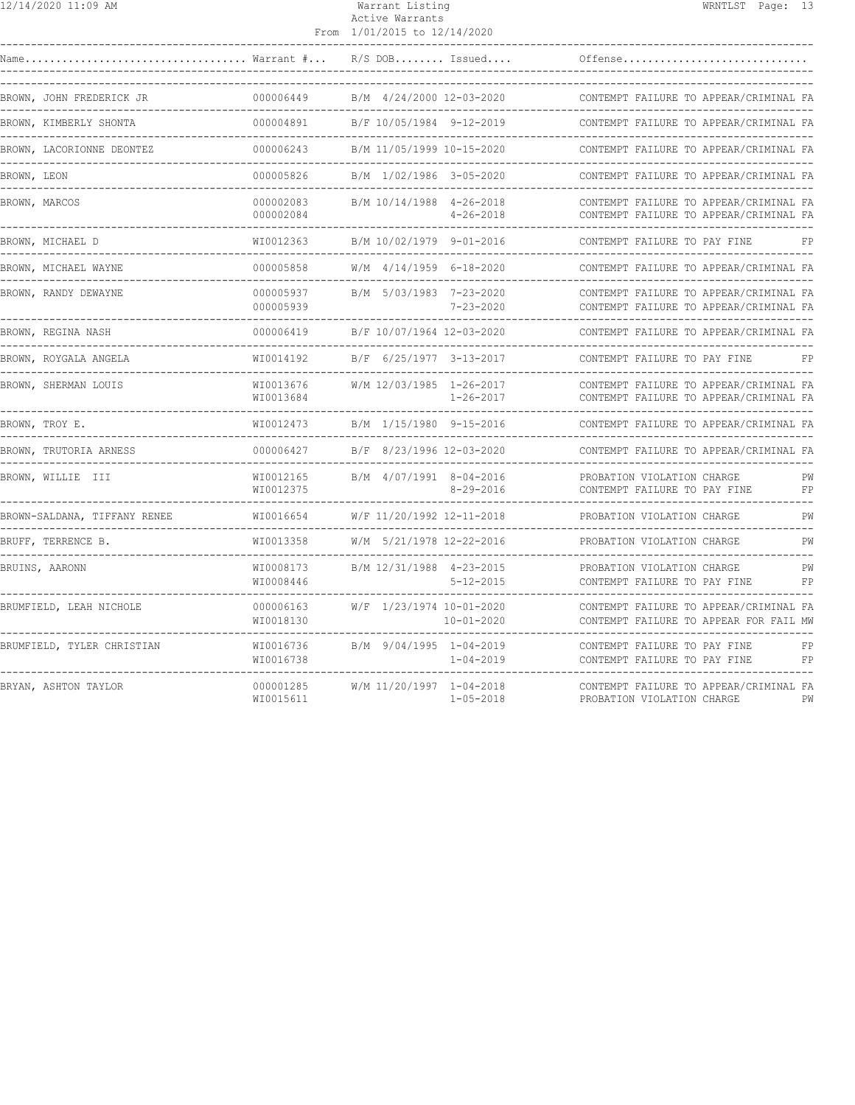| 12/14/2020 11:09 AM                           |                        | Warrant Listing<br>Active Warrants<br>From 1/01/2015 to 12/14/2020 |                                              |                                                                                  | WRNTLST Page: 13 |          |
|-----------------------------------------------|------------------------|--------------------------------------------------------------------|----------------------------------------------|----------------------------------------------------------------------------------|------------------|----------|
| Warrant #                                     |                        |                                                                    | $R/S$ DOB Issued                             | Offense                                                                          |                  |          |
| BROWN, JOHN FREDERICK JR                      | 000006449              |                                                                    | B/M 4/24/2000 12-03-2020                     | CONTEMPT FAILURE TO APPEAR/CRIMINAL FA                                           |                  |          |
| BROWN, KIMBERLY SHONTA                        | 000004891              |                                                                    | B/F 10/05/1984 9-12-2019                     | CONTEMPT FAILURE TO APPEAR/CRIMINAL FA                                           |                  |          |
| BROWN, LACORIONNE DEONTEZ                     | 000006243              |                                                                    | B/M 11/05/1999 10-15-2020                    | CONTEMPT FAILURE TO APPEAR/CRIMINAL FA                                           |                  |          |
| BROWN, LEON                                   | 000005826              |                                                                    | B/M 1/02/1986 3-05-2020                      | CONTEMPT FAILURE TO APPEAR/CRIMINAL FA                                           |                  |          |
| BROWN, MARCOS                                 | 000002083<br>000002084 |                                                                    | B/M 10/14/1988 4-26-2018<br>$4 - 26 - 2018$  | CONTEMPT FAILURE TO APPEAR/CRIMINAL FA<br>CONTEMPT FAILURE TO APPEAR/CRIMINAL FA |                  |          |
| BROWN, MICHAEL D<br>____________              | WI0012363              |                                                                    | B/M 10/02/1979 9-01-2016                     | CONTEMPT FAILURE TO PAY FINE                                                     |                  | FP       |
| BROWN, MICHAEL WAYNE                          | 000005858              |                                                                    | $W/M$ 4/14/1959 6-18-2020                    | CONTEMPT FAILURE TO APPEAR/CRIMINAL FA                                           |                  |          |
| BROWN, RANDY DEWAYNE                          | 000005937<br>000005939 |                                                                    | B/M 5/03/1983 7-23-2020<br>$7 - 23 - 2020$   | CONTEMPT FAILURE TO APPEAR/CRIMINAL FA<br>CONTEMPT FAILURE TO APPEAR/CRIMINAL FA |                  |          |
| BROWN, REGINA NASH                            | 000006419              |                                                                    | B/F 10/07/1964 12-03-2020                    | CONTEMPT FAILURE TO APPEAR/CRIMINAL FA                                           |                  |          |
| BROWN, ROYGALA ANGELA<br>-------------------- | WI0014192              |                                                                    | B/F 6/25/1977 3-13-2017                      | CONTEMPT FAILURE TO PAY FINE                                                     |                  | FP       |
| BROWN, SHERMAN LOUIS                          | WI0013676<br>WI0013684 |                                                                    | W/M 12/03/1985 1-26-2017<br>$1 - 26 - 2017$  | CONTEMPT FAILURE TO APPEAR/CRIMINAL FA<br>CONTEMPT FAILURE TO APPEAR/CRIMINAL FA |                  |          |
| BROWN, TROY E.                                | WI0012473              |                                                                    | B/M 1/15/1980 9-15-2016                      | CONTEMPT FAILURE TO APPEAR/CRIMINAL FA                                           |                  |          |
| BROWN, TRUTORIA ARNESS                        | 000006427              |                                                                    | B/F 8/23/1996 12-03-2020                     | CONTEMPT FAILURE TO APPEAR/CRIMINAL FA                                           |                  |          |
| BROWN, WILLIE III                             | WI0012165<br>WI0012375 |                                                                    | B/M 4/07/1991 8-04-2016<br>$8 - 29 - 2016$   | PROBATION VIOLATION CHARGE<br>CONTEMPT FAILURE TO PAY FINE                       |                  | PW<br>FP |
| BROWN-SALDANA, TIFFANY RENEE                  | WI0016654              |                                                                    | W/F 11/20/1992 12-11-2018                    | PROBATION VIOLATION CHARGE                                                       |                  | PW       |
| BRUFF, TERRENCE B.                            | WI0013358              |                                                                    | W/M 5/21/1978 12-22-2016                     | PROBATION VIOLATION CHARGE                                                       |                  | PW       |
| BRUINS, AARONN                                | WI0008173<br>WI0008446 |                                                                    | B/M 12/31/1988 4-23-2015<br>$5 - 12 - 2015$  | PROBATION VIOLATION CHARGE<br>CONTEMPT FAILURE TO PAY FINE                       |                  | PW<br>FP |
| BRUMFIELD, LEAH NICHOLE                       | 000006163<br>WI0018130 |                                                                    | W/F 1/23/1974 10-01-2020<br>$10 - 01 - 2020$ | CONTEMPT FAILURE TO APPEAR/CRIMINAL FA<br>CONTEMPT FAILURE TO APPEAR FOR FAIL MW |                  |          |
| BRUMFIELD, TYLER CHRISTIAN                    | WI0016736<br>WI0016738 |                                                                    | B/M 9/04/1995 1-04-2019<br>$1 - 04 - 2019$   | CONTEMPT FAILURE TO PAY FINE<br>CONTEMPT FAILURE TO PAY FINE                     |                  | FP<br>FP |
| BRYAN, ASHTON TAYLOR                          | 000001285<br>WI0015611 |                                                                    | W/M 11/20/1997 1-04-2018<br>$1 - 05 - 2018$  | CONTEMPT FAILURE TO APPEAR/CRIMINAL FA<br>PROBATION VIOLATION CHARGE             |                  | PW       |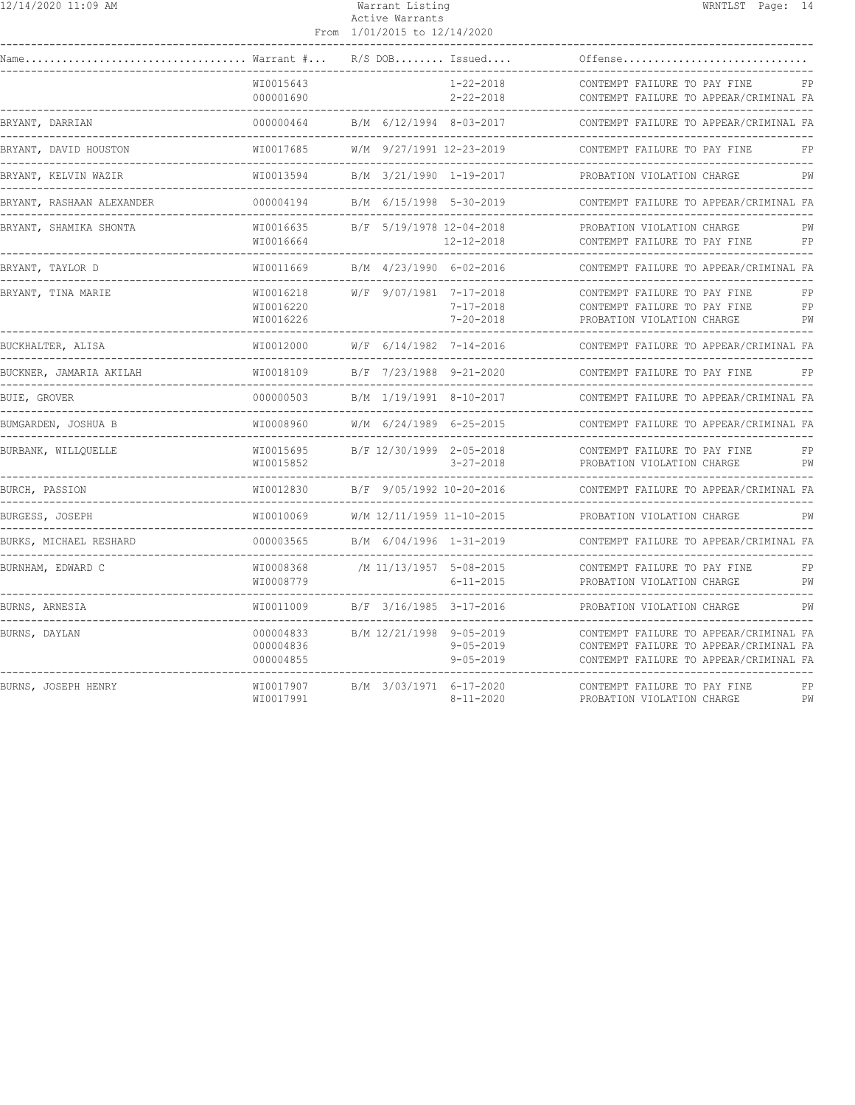| 12/14/2020 11:09 AM |
|---------------------|
|---------------------|

## Warrant Listing WRNTLST Page: 14 Active Warrants

|                                                                               |                                     | From 1/01/2015 to 12/14/2020 |                                    |                                                                                                                            |                |
|-------------------------------------------------------------------------------|-------------------------------------|------------------------------|------------------------------------|----------------------------------------------------------------------------------------------------------------------------|----------------|
|                                                                               |                                     |                              | $R/S$ DOB Issued                   | Offense                                                                                                                    |                |
|                                                                               | WI0015643<br>000001690<br>.         |                              | $1 - 22 - 2018$<br>2-22-2018       | CONTEMPT FAILURE TO PAY FINE<br>CONTEMPT FAILURE TO APPEAR/CRIMINAL FA                                                     | FP             |
| BRYANT, DARRIAN                                                               | 000000464                           | B/M 6/12/1994 8-03-2017      |                                    | CONTEMPT FAILURE TO APPEAR/CRIMINAL FA                                                                                     |                |
| BRYANT, DAVID HOUSTON                                                         | WI0017685                           | W/M 9/27/1991 12-23-2019     |                                    | CONTEMPT FAILURE TO PAY FINE                                                                                               | FP             |
| BRYANT, KELVIN WAZIR                                                          | WI0013594                           | B/M 3/21/1990 1-19-2017      |                                    | PROBATION VIOLATION CHARGE                                                                                                 | PW             |
| BRYANT, RASHAAN ALEXANDER                                                     | 000004194                           | B/M 6/15/1998 5-30-2019      |                                    | CONTEMPT FAILURE TO APPEAR/CRIMINAL FA                                                                                     |                |
| BRYANT, SHAMIKA SHONTA                                                        | WI0016635<br>WI0016664              | B/F 5/19/1978 12-04-2018     | $12 - 12 - 2018$                   | PROBATION VIOLATION CHARGE<br>CONTEMPT FAILURE TO PAY FINE                                                                 | PW<br>FP       |
| BRYANT, TAYLOR D                                                              | WI0011669                           | B/M 4/23/1990 6-02-2016      |                                    | CONTEMPT FAILURE TO APPEAR/CRIMINAL FA                                                                                     |                |
| BRYANT, TINA MARIE                                                            | WI0016218<br>WI0016220<br>WI0016226 | W/F 9/07/1981 7-17-2018      | $7 - 17 - 2018$<br>$7 - 20 - 2018$ | CONTEMPT FAILURE TO PAY FINE<br>CONTEMPT FAILURE TO PAY FINE<br>PROBATION VIOLATION CHARGE                                 | FP<br>FP<br>PW |
| BUCKHALTER, ALISA                                                             | WI0012000<br><u> Liberalis Libe</u> | W/F 6/14/1982 7-14-2016      |                                    | CONTEMPT FAILURE TO APPEAR/CRIMINAL FA                                                                                     |                |
| BUCKNER, JAMARIA AKILAH                                                       | WI0018109                           | B/F 7/23/1988 9-21-2020      |                                    | CONTEMPT FAILURE TO PAY FINE                                                                                               | FP             |
| BUIE, GROVER                                                                  | 000000503                           | B/M 1/19/1991 8-10-2017      |                                    | CONTEMPT FAILURE TO APPEAR/CRIMINAL FA                                                                                     |                |
| BUMGARDEN, JOSHUA B<br>---------------------                                  | WI0008960                           | W/M 6/24/1989 6-25-2015      |                                    | CONTEMPT FAILURE TO APPEAR/CRIMINAL FA                                                                                     |                |
| BURBANK, WILLQUELLE                                                           | WI0015695<br>WI0015852              | B/F 12/30/1999 2-05-2018     | 3-27-2018                          | CONTEMPT FAILURE TO PAY FINE<br>PROBATION VIOLATION CHARGE                                                                 | FP<br>PW       |
| BURCH, PASSION                                                                | WI0012830                           | B/F 9/05/1992 10-20-2016     |                                    | CONTEMPT FAILURE TO APPEAR/CRIMINAL FA                                                                                     |                |
| BURGESS, JOSEPH                                                               | WI0010069                           | W/M 12/11/1959 11-10-2015    |                                    | PROBATION VIOLATION CHARGE                                                                                                 | PW             |
| BURKS, MICHAEL RESHARD<br>--------------------------------<br>--------------- | 000003565                           | B/M 6/04/1996 1-31-2019      |                                    | CONTEMPT FAILURE TO APPEAR/CRIMINAL FA                                                                                     |                |
| BURNHAM, EDWARD C                                                             | WI0008368<br>WI0008779              | /M 11/13/1957 5-08-2015      | $6 - 11 - 2015$                    | CONTEMPT FAILURE TO PAY FINE<br>PROBATION VIOLATION CHARGE                                                                 | FP<br>PW       |
| BURNS, ARNESIA                                                                | WI0011009                           | B/F 3/16/1985 3-17-2016      |                                    | PROBATION VIOLATION CHARGE                                                                                                 | PW             |
| BURNS, DAYLAN                                                                 | 000004833<br>000004836<br>000004855 | B/M 12/21/1998 9-05-2019     | $9 - 05 - 2019$<br>$9 - 05 - 2019$ | CONTEMPT FAILURE TO APPEAR/CRIMINAL FA<br>CONTEMPT FAILURE TO APPEAR/CRIMINAL FA<br>CONTEMPT FAILURE TO APPEAR/CRIMINAL FA |                |
| BURNS, JOSEPH HENRY                                                           | WI0017907<br>WI0017991              | B/M 3/03/1971 6-17-2020      | $8 - 11 - 2020$                    | CONTEMPT FAILURE TO PAY FINE<br>PROBATION VIOLATION CHARGE                                                                 | FP<br>PW       |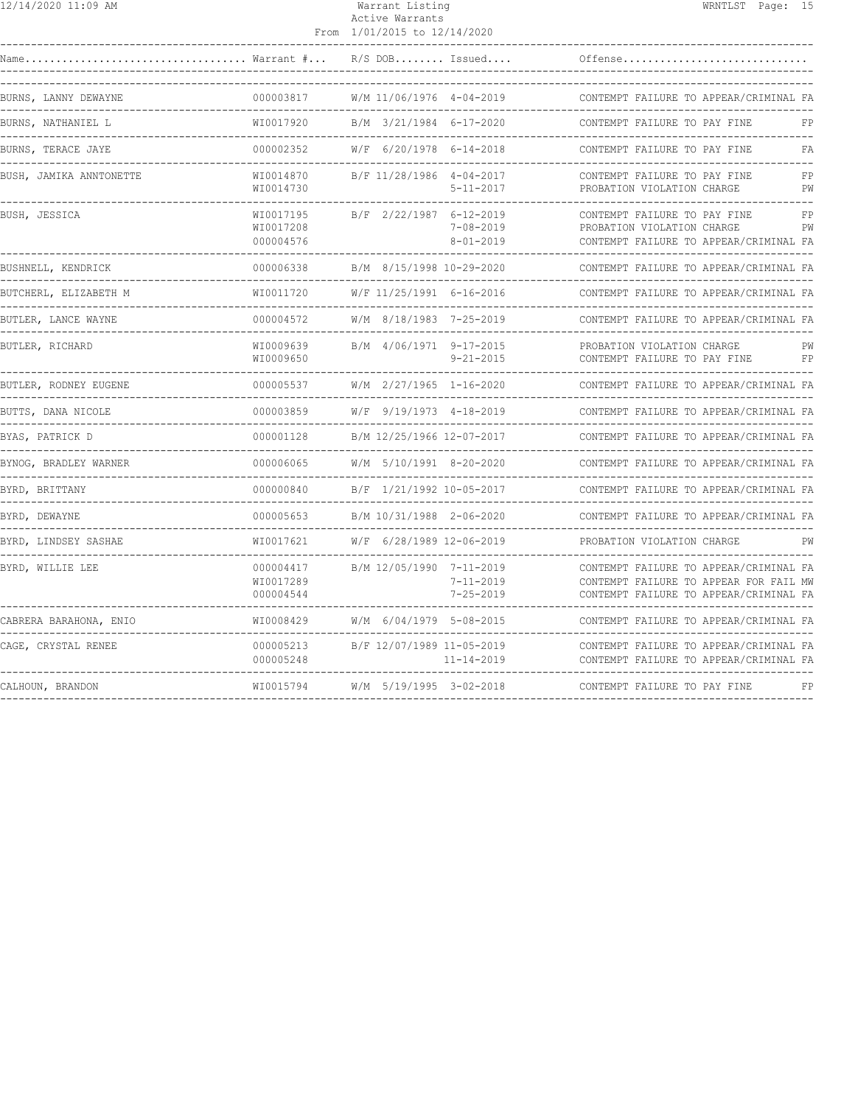| 2/14/2020 11:09 AM |
|--------------------|
|--------------------|

## 12/14/2020 11:09 AM Warrant Listing WRNTLST Page: 15 Active Warrants

|                                                 |                                     | From 1/01/2015 to 12/14/2020                     |                                    |                                                                                                                                                               |                  |
|-------------------------------------------------|-------------------------------------|--------------------------------------------------|------------------------------------|---------------------------------------------------------------------------------------------------------------------------------------------------------------|------------------|
|                                                 |                                     |                                                  |                                    | Offense                                                                                                                                                       |                  |
| BURNS, LANNY DEWAYNE                            | 000003817                           | W/M 11/06/1976 4-04-2019                         |                                    | CONTEMPT FAILURE TO APPEAR/CRIMINAL FA                                                                                                                        |                  |
| BURNS, NATHANIEL L                              | WI0017920                           | B/M 3/21/1984 6-17-2020                          |                                    | CONTEMPT FAILURE TO PAY FINE<br>-------------------------------                                                                                               | FP               |
| BURNS, TERACE JAYE<br>------------------------  | 000002352                           | W/F 6/20/1978 6-14-2018                          |                                    | CONTEMPT FAILURE TO PAY FINE<br>-------------------                                                                                                           | FA               |
| BUSH, JAMIKA ANNTONETTE                         | WI0014870<br>WI0014730              | B/F 11/28/1986 4-04-2017                         | $5 - 11 - 2017$                    | CONTEMPT FAILURE TO PAY FINE<br>PROBATION VIOLATION CHARGE                                                                                                    | FP<br>PW         |
| BUSH, JESSICA                                   | WI0017195<br>WI0017208<br>000004576 | B/F 2/22/1987 6-12-2019                          | $7 - 08 - 2019$<br>$8 - 01 - 2019$ | CONTEMPT FAILURE TO PAY FINE<br>PROBATION VIOLATION CHARGE<br>CONTEMPT FAILURE TO APPEAR/CRIMINAL FA                                                          | FP<br>PW         |
| BUSHNELL, KENDRICK                              | 000006338                           | B/M 8/15/1998 10-29-2020<br>-------------------- |                                    | CONTEMPT FAILURE TO APPEAR/CRIMINAL FA                                                                                                                        |                  |
| BUTCHERL, ELIZABETH M                           | WI0011720                           | W/F 11/25/1991 6-16-2016                         |                                    | CONTEMPT FAILURE TO APPEAR/CRIMINAL FA                                                                                                                        |                  |
| BUTLER, LANCE WAYNE                             | 000004572                           | W/M 8/18/1983 7-25-2019                          |                                    | CONTEMPT FAILURE TO APPEAR/CRIMINAL FA<br>_________________________                                                                                           |                  |
| BUTLER, RICHARD                                 | WI0009639<br>WI0009650              | B/M 4/06/1971 9-17-2015                          | $9 - 21 - 2015$                    | PROBATION VIOLATION CHARGE<br>CONTEMPT FAILURE TO PAY FINE                                                                                                    | PW<br>${\rm FP}$ |
| BUTLER, RODNEY EUGENE                           | 000005537                           | W/M 2/27/1965 1-16-2020                          |                                    | CONTEMPT FAILURE TO APPEAR/CRIMINAL FA                                                                                                                        |                  |
| BUTTS, DANA NICOLE                              | 000003859                           | W/F 9/19/1973 4-18-2019                          |                                    | CONTEMPT FAILURE TO APPEAR/CRIMINAL FA                                                                                                                        |                  |
| BYAS, PATRICK D<br>____________________________ | 000001128                           | B/M 12/25/1966 12-07-2017                        |                                    | CONTEMPT FAILURE TO APPEAR/CRIMINAL FA                                                                                                                        |                  |
| BYNOG, BRADLEY WARNER<br>------------           | 000006065                           | W/M 5/10/1991 8-20-2020                          |                                    | CONTEMPT FAILURE TO APPEAR/CRIMINAL FA                                                                                                                        |                  |
| BYRD, BRITTANY                                  | 000000840                           | B/F 1/21/1992 10-05-2017                         |                                    | CONTEMPT FAILURE TO APPEAR/CRIMINAL FA                                                                                                                        |                  |
| BYRD, DEWAYNE                                   | 000005653<br>------------           | B/M 10/31/1988 2-06-2020                         |                                    | CONTEMPT FAILURE TO APPEAR/CRIMINAL FA                                                                                                                        |                  |
| BYRD, LINDSEY SASHAE                            | WI0017621                           | W/F 6/28/1989 12-06-2019                         |                                    | PROBATION VIOLATION CHARGE                                                                                                                                    | PW               |
| BYRD, WILLIE LEE                                | 000004417<br>WI0017289<br>000004544 | B/M 12/05/1990 7-11-2019                         | $7 - 11 - 2019$<br>$7 - 25 - 2019$ | CONTEMPT FAILURE TO APPEAR/CRIMINAL FA<br>CONTEMPT FAILURE TO APPEAR FOR FAIL MW<br>CONTEMPT FAILURE TO APPEAR/CRIMINAL FA<br>------------------------------- |                  |
| CABRERA BARAHONA, ENIO                          | WI0008429                           | W/M 6/04/1979 5-08-2015                          |                                    | CONTEMPT FAILURE TO APPEAR/CRIMINAL FA<br>--------------------------                                                                                          |                  |
| CAGE, CRYSTAL RENEE                             | 000005213<br>000005248              | B/F 12/07/1989 11-05-2019                        | $11 - 14 - 2019$                   | CONTEMPT FAILURE TO APPEAR/CRIMINAL FA<br>CONTEMPT FAILURE TO APPEAR/CRIMINAL FA                                                                              |                  |
| CALHOUN, BRANDON                                | WI0015794                           | W/M 5/19/1995 3-02-2018                          |                                    | CONTEMPT FAILURE TO PAY FINE                                                                                                                                  | FP               |
|                                                 |                                     |                                                  |                                    |                                                                                                                                                               |                  |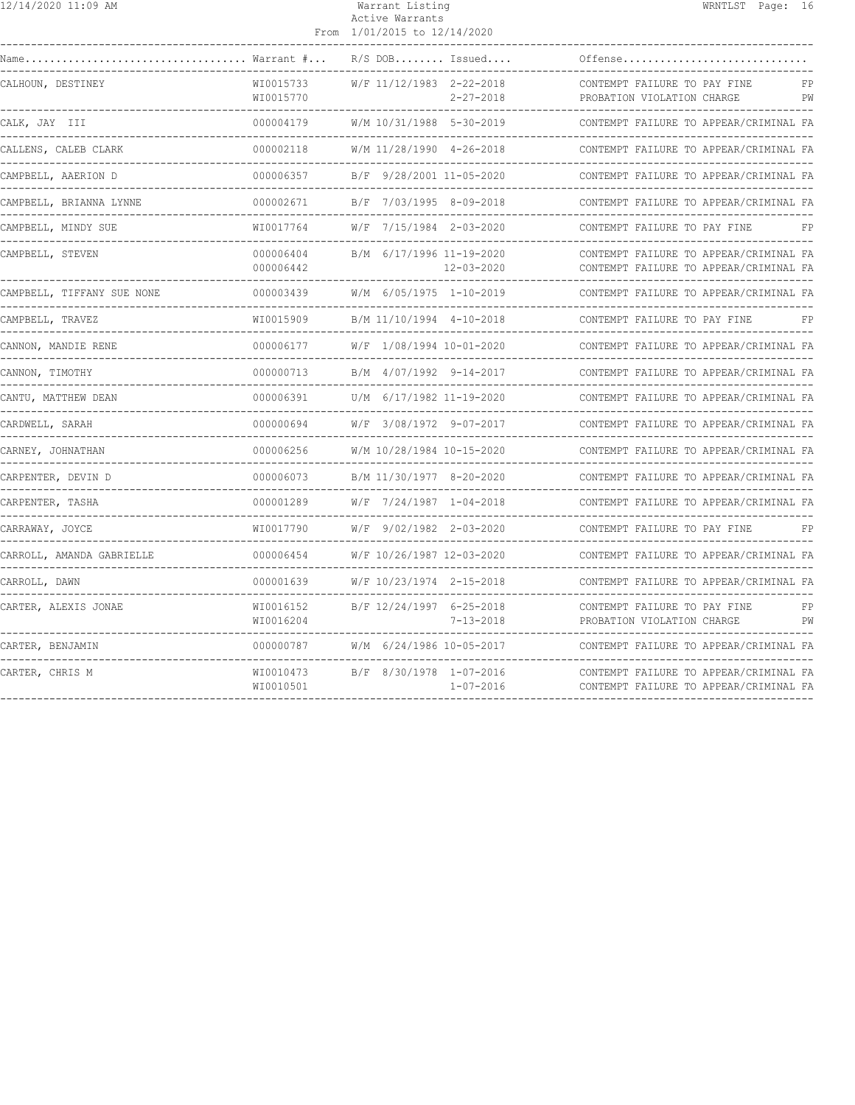| 12/14/2020 11:09 AM                            |                              | Warrant Listing<br>Active Warrants<br>From 1/01/2015 to 12/14/2020                   | WRNTLST Page: 16                                                                 |
|------------------------------------------------|------------------------------|--------------------------------------------------------------------------------------|----------------------------------------------------------------------------------|
|                                                | Warrant #                    | $R/S$ DOB Issued                                                                     | Offense                                                                          |
| CALHOUN, DESTINEY                              | WI0015733<br>WI0015770       | W/F 11/12/1983 2-22-2018<br>$2 - 27 - 2018$<br>------------------------------------- | CONTEMPT FAILURE TO PAY FINE<br>FP<br>PROBATION VIOLATION CHARGE<br>PW           |
| CALK, JAY III                                  | 000004179                    | W/M 10/31/1988 5-30-2019                                                             | CONTEMPT FAILURE TO APPEAR/CRIMINAL FA                                           |
| CALLENS, CALEB CLARK                           | 000002118                    | W/M 11/28/1990 4-26-2018                                                             | CONTEMPT FAILURE TO APPEAR/CRIMINAL FA                                           |
| CAMPBELL, AAERION D                            | 000006357<br>---------       | B/F 9/28/2001 11-05-2020                                                             | CONTEMPT FAILURE TO APPEAR/CRIMINAL FA                                           |
| CAMPBELL, BRIANNA LYNNE                        | 000002671                    | B/F 7/03/1995 8-09-2018                                                              | CONTEMPT FAILURE TO APPEAR/CRIMINAL FA                                           |
| CAMPBELL, MINDY SUE                            | WI0017764                    | W/F 7/15/1984 2-03-2020                                                              | CONTEMPT FAILURE TO PAY FINE<br>FP                                               |
| CAMPBELL, STEVEN                               | 000006404<br>000006442       | B/M 6/17/1996 11-19-2020<br>$12 - 03 - 2020$                                         | CONTEMPT FAILURE TO APPEAR/CRIMINAL FA<br>CONTEMPT FAILURE TO APPEAR/CRIMINAL FA |
| CAMPBELL, TIFFANY SUE NONE                     | 000003439                    | W/M 6/05/1975 1-10-2019                                                              | CONTEMPT FAILURE TO APPEAR/CRIMINAL FA                                           |
| CAMPBELL, TRAVEZ                               | WI0015909                    | B/M 11/10/1994 4-10-2018                                                             | CONTEMPT FAILURE TO PAY FINE<br>FP                                               |
| CANNON, MANDIE RENE                            | 000006177                    | W/F 1/08/1994 10-01-2020                                                             | CONTEMPT FAILURE TO APPEAR/CRIMINAL FA                                           |
| CANNON, TIMOTHY<br>. Le celle de la cal        | 000000713                    | B/M 4/07/1992 9-14-2017                                                              | CONTEMPT FAILURE TO APPEAR/CRIMINAL FA                                           |
| CANTU, MATTHEW DEAN<br>----------------------- | 000006391                    | U/M 6/17/1982 11-19-2020                                                             | CONTEMPT FAILURE TO APPEAR/CRIMINAL FA                                           |
| CARDWELL, SARAH                                | 000000694                    | W/F 3/08/1972 9-07-2017                                                              | CONTEMPT FAILURE TO APPEAR/CRIMINAL FA                                           |
| CARNEY, JOHNATHAN                              | 000006256                    | W/M 10/28/1984 10-15-2020                                                            | CONTEMPT FAILURE TO APPEAR/CRIMINAL FA                                           |
| CARPENTER, DEVIN D                             | 000006073                    | B/M 11/30/1977 8-20-2020                                                             | CONTEMPT FAILURE TO APPEAR/CRIMINAL FA                                           |
| CARPENTER, TASHA                               | 000001289                    | W/F 7/24/1987 1-04-2018                                                              | CONTEMPT FAILURE TO APPEAR/CRIMINAL FA                                           |
| CARRAWAY, JOYCE                                | WI0017790                    | W/F 9/02/1982 2-03-2020                                                              | CONTEMPT FAILURE TO PAY FINE<br>FP                                               |
| CARROLL, AMANDA GABRIELLE                      | 000006454                    | W/F 10/26/1987 12-03-2020                                                            | CONTEMPT FAILURE TO APPEAR/CRIMINAL FA                                           |
| CARROLL, DAWN                                  | 000001639<br>--------------- | W/F 10/23/1974 2-15-2018                                                             | CONTEMPT FAILURE TO APPEAR/CRIMINAL FA                                           |
| CARTER, ALEXIS JONAE                           | WI0016152<br>WI0016204       | B/F 12/24/1997 6-25-2018<br>$7 - 13 - 2018$                                          | CONTEMPT FAILURE TO PAY FINE<br>FP<br>PROBATION VIOLATION CHARGE<br>PW           |
| CARTER, BENJAMIN                               | 000000787                    | W/M 6/24/1986 10-05-2017                                                             | CONTEMPT FAILURE TO APPEAR/CRIMINAL FA                                           |
| CARTER, CHRIS M                                | WI0010473<br>WI0010501       | B/F 8/30/1978 1-07-2016<br>$1 - 07 - 2016$                                           | CONTEMPT FAILURE TO APPEAR/CRIMINAL FA<br>CONTEMPT FAILURE TO APPEAR/CRIMINAL FA |
|                                                |                              |                                                                                      |                                                                                  |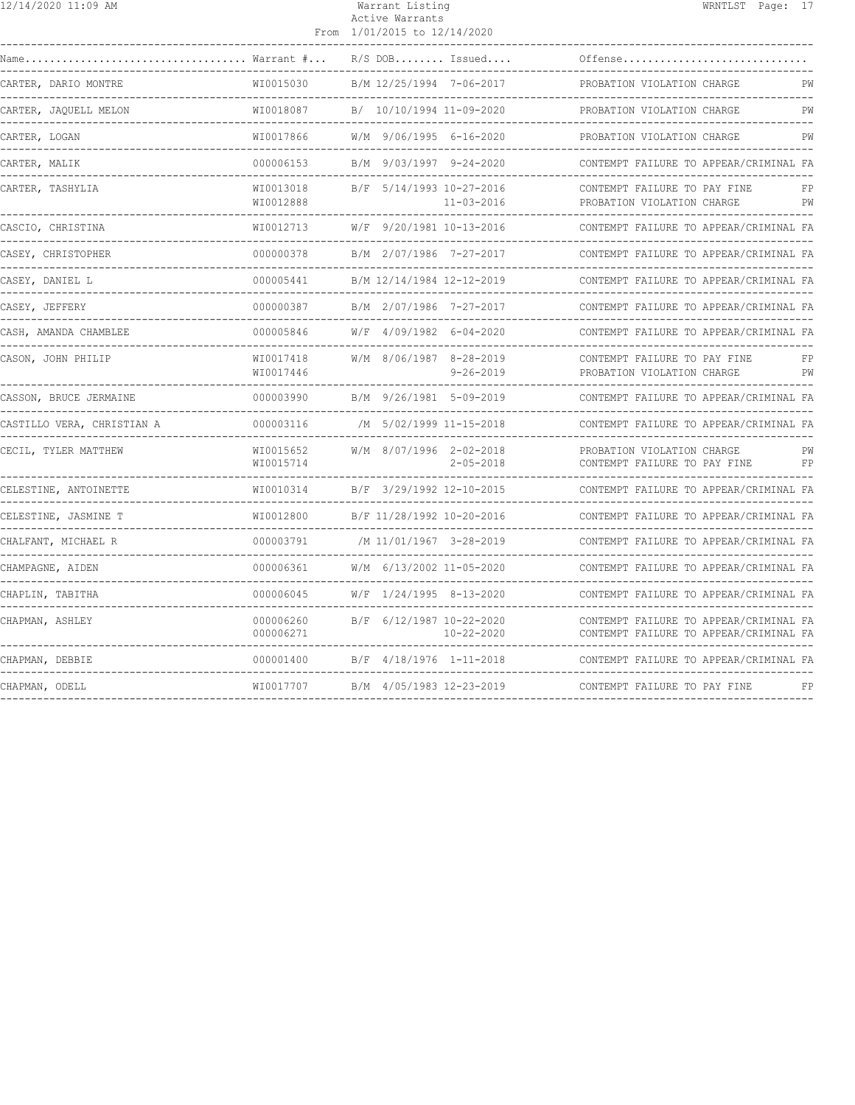| 12/14/2020 11:09 AM                                       |                        | Warrant Listing<br>Active Warrants<br>From 1/01/2015 to 12/14/2020 |                                              | WRNTLST Page: 17                                                                 |          |
|-----------------------------------------------------------|------------------------|--------------------------------------------------------------------|----------------------------------------------|----------------------------------------------------------------------------------|----------|
| $\ldots \ldots \ldots \ldots$ Warrant $\# \ldots$<br>Name |                        |                                                                    | $R/S$ DOB Issued                             | Offense                                                                          |          |
| CARTER, DARIO MONTRE                                      | WI0015030              |                                                                    | B/M 12/25/1994 7-06-2017                     | PROBATION VIOLATION CHARGE<br>----------------------------                       | PW       |
| CARTER, JAQUELL MELON                                     | WI0018087              |                                                                    | B/ 10/10/1994 11-09-2020                     | PROBATION VIOLATION CHARGE                                                       | PW       |
| CARTER, LOGAN                                             | WI0017866              |                                                                    | $W/M$ 9/06/1995 6-16-2020                    | PROBATION VIOLATION CHARGE                                                       | PW       |
| CARTER, MALIK                                             | 000006153              |                                                                    | B/M 9/03/1997 9-24-2020                      | CONTEMPT FAILURE TO APPEAR/CRIMINAL FA<br>-------------------------------        |          |
| CARTER, TASHYLIA                                          | WI0013018<br>WI0012888 |                                                                    | B/F 5/14/1993 10-27-2016<br>$11 - 03 - 2016$ | CONTEMPT FAILURE TO PAY FINE<br>PROBATION VIOLATION CHARGE                       | FP<br>PW |
| CASCIO, CHRISTINA<br>. <u>.</u> .                         | WI0012713              |                                                                    | W/F 9/20/1981 10-13-2016                     | CONTEMPT FAILURE TO APPEAR/CRIMINAL FA                                           |          |
| CASEY, CHRISTOPHER                                        | 000000378              |                                                                    | B/M 2/07/1986 7-27-2017                      | CONTEMPT FAILURE TO APPEAR/CRIMINAL FA                                           |          |
| CASEY, DANIEL L                                           | 000005441              |                                                                    | B/M 12/14/1984 12-12-2019                    | CONTEMPT FAILURE TO APPEAR/CRIMINAL FA                                           |          |
| CASEY, JEFFERY                                            | 000000387              |                                                                    | B/M 2/07/1986 7-27-2017                      | CONTEMPT FAILURE TO APPEAR/CRIMINAL FA                                           |          |
| CASH, AMANDA CHAMBLEE                                     | 000005846              |                                                                    | W/F 4/09/1982 6-04-2020                      | CONTEMPT FAILURE TO APPEAR/CRIMINAL FA                                           |          |
| CASON, JOHN PHILIP                                        | WI0017418<br>WI0017446 |                                                                    | W/M 8/06/1987 8-28-2019<br>$9 - 26 - 2019$   | CONTEMPT FAILURE TO PAY FINE<br>PROBATION VIOLATION CHARGE                       | FP<br>PW |
| CASSON, BRUCE JERMAINE                                    | 000003990              |                                                                    | B/M 9/26/1981 5-09-2019                      | CONTEMPT FAILURE TO APPEAR/CRIMINAL FA                                           |          |
| CASTILLO VERA, CHRISTIAN A                                | 000003116              |                                                                    | /M 5/02/1999 11-15-2018                      | CONTEMPT FAILURE TO APPEAR/CRIMINAL FA                                           |          |
| CECIL, TYLER MATTHEW                                      | WI0015652<br>WI0015714 |                                                                    | W/M 8/07/1996 2-02-2018<br>$2 - 05 - 2018$   | PROBATION VIOLATION CHARGE<br>CONTEMPT FAILURE TO PAY FINE                       | PW<br>FP |
| CELESTINE, ANTOINETTE                                     | WI0010314              |                                                                    | B/F 3/29/1992 12-10-2015                     | CONTEMPT FAILURE TO APPEAR/CRIMINAL FA                                           |          |
| CELESTINE, JASMINE T                                      | WI0012800              |                                                                    | B/F 11/28/1992 10-20-2016                    | CONTEMPT FAILURE TO APPEAR/CRIMINAL FA                                           |          |
| CHALFANT, MICHAEL R                                       | 000003791              |                                                                    | /M 11/01/1967 3-28-2019                      | CONTEMPT FAILURE TO APPEAR/CRIMINAL FA                                           |          |
| CHAMPAGNE, AIDEN                                          | 000006361              |                                                                    | W/M 6/13/2002 11-05-2020                     | CONTEMPT FAILURE TO APPEAR/CRIMINAL FA                                           |          |
| CHAPLIN, TABITHA                                          | 000006045              |                                                                    | W/F 1/24/1995 8-13-2020                      | CONTEMPT FAILURE TO APPEAR/CRIMINAL FA                                           |          |
| CHAPMAN, ASHLEY                                           | 000006260<br>000006271 |                                                                    | B/F 6/12/1987 10-22-2020<br>$10 - 22 - 2020$ | CONTEMPT FAILURE TO APPEAR/CRIMINAL FA<br>CONTEMPT FAILURE TO APPEAR/CRIMINAL FA |          |
| CHAPMAN, DEBBIE                                           | 000001400              |                                                                    | B/F 4/18/1976 1-11-2018                      | CONTEMPT FAILURE TO APPEAR/CRIMINAL FA                                           |          |
| CHAPMAN, ODELL                                            | WI0017707              |                                                                    | B/M 4/05/1983 12-23-2019                     | CONTEMPT FAILURE TO PAY FINE                                                     | FP       |
|                                                           |                        |                                                                    |                                              |                                                                                  |          |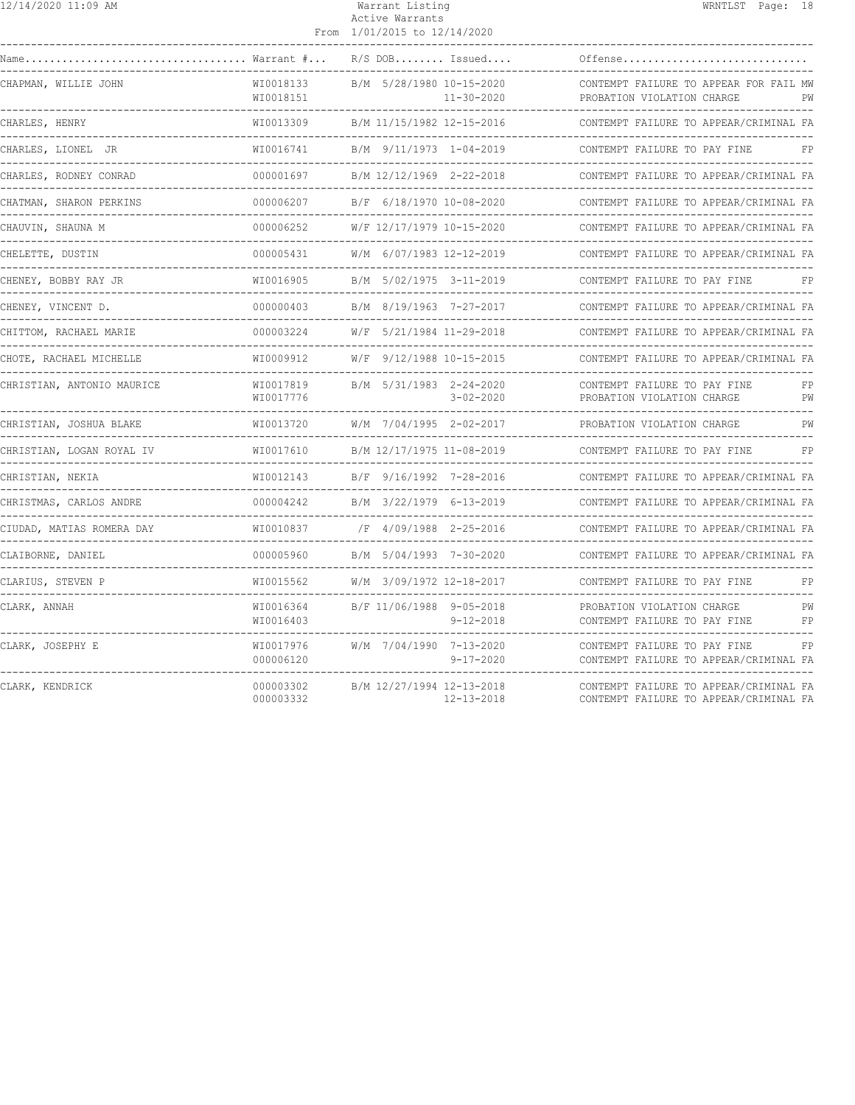| 12/14/2020 11:09 AM        |                        | Warrant Listing<br>Active Warrants<br>From 1/01/2015 to 12/14/2020 | WRNTLST Page: 18                                                                 |
|----------------------------|------------------------|--------------------------------------------------------------------|----------------------------------------------------------------------------------|
|                            |                        | $R/S$ DOB Issued                                                   | Offense                                                                          |
| CHAPMAN, WILLIE JOHN       | WI0018133<br>WI0018151 | B/M 5/28/1980 10-15-2020<br>$11 - 30 - 2020$                       | CONTEMPT FAILURE TO APPEAR FOR FAIL MW<br>PROBATION VIOLATION CHARGE<br>PW       |
| CHARLES, HENRY             | WT0013309              | B/M 11/15/1982 12-15-2016                                          | CONTEMPT FAILURE TO APPEAR/CRIMINAL FA                                           |
| CHARLES, LIONEL JR         | WI0016741              | B/M 9/11/1973 1-04-2019                                            | CONTEMPT FAILURE TO PAY FINE<br>FP                                               |
| CHARLES, RODNEY CONRAD     | 000001697              | B/M 12/12/1969 2-22-2018                                           | CONTEMPT FAILURE TO APPEAR/CRIMINAL FA                                           |
| CHATMAN, SHARON PERKINS    | 000006207              | B/F 6/18/1970 10-08-2020                                           | CONTEMPT FAILURE TO APPEAR/CRIMINAL FA                                           |
| CHAUVIN, SHAUNA M          | 000006252              | W/F 12/17/1979 10-15-2020                                          | CONTEMPT FAILURE TO APPEAR/CRIMINAL FA                                           |
| CHELETTE, DUSTIN           | 000005431              | W/M 6/07/1983 12-12-2019                                           | CONTEMPT FAILURE TO APPEAR/CRIMINAL FA                                           |
| CHENEY, BOBBY RAY JR       |                        |                                                                    | CONTEMPT FAILURE TO PAY FINE<br>FP.                                              |
| CHENEY, VINCENT D.         | 000000403              | B/M 8/19/1963 7-27-2017                                            | CONTEMPT FAILURE TO APPEAR/CRIMINAL FA                                           |
| CHITTOM, RACHAEL MARIE     |                        | 000003224 W/F 5/21/1984 11-29-2018                                 | CONTEMPT FAILURE TO APPEAR/CRIMINAL FA                                           |
| CHOTE, RACHAEL MICHELLE    | WI0009912              | W/F 9/12/1988 10-15-2015                                           | CONTEMPT FAILURE TO APPEAR/CRIMINAL FA                                           |
| CHRISTIAN, ANTONIO MAURICE | WI0017819<br>WI0017776 | B/M 5/31/1983 2-24-2020<br>$3 - 02 - 2020$                         | CONTEMPT FAILURE TO PAY FINE<br>FP.<br>PROBATION VIOLATION CHARGE<br>PW          |
| CHRISTIAN, JOSHUA BLAKE    | WI0013720              | W/M 7/04/1995 2-02-2017                                            | PROBATION VIOLATION CHARGE<br>PW                                                 |
| CHRISTIAN, LOGAN ROYAL IV  | WI0017610              | B/M 12/17/1975 11-08-2019                                          | FP<br>CONTEMPT FAILURE TO PAY FINE                                               |
| CHRISTIAN, NEKIA           | WI0012143              | B/F 9/16/1992 7-28-2016                                            | CONTEMPT FAILURE TO APPEAR/CRIMINAL FA                                           |
| CHRISTMAS, CARLOS ANDRE    |                        | 000004242 B/M 3/22/1979 6-13-2019                                  | CONTEMPT FAILURE TO APPEAR/CRIMINAL FA                                           |
| CIUDAD, MATIAS ROMERA DAY  | WI0010837              | /F 4/09/1988 2-25-2016                                             | CONTEMPT FAILURE TO APPEAR/CRIMINAL FA                                           |
| CLAIBORNE, DANIEL          | 000005960              | B/M 5/04/1993 7-30-2020                                            | CONTEMPT FAILURE TO APPEAR/CRIMINAL FA                                           |
| CLARIUS, STEVEN P          | WI0015562              | W/M 3/09/1972 12-18-2017                                           | CONTEMPT FAILURE TO PAY FINE                                                     |
| CLARK, ANNAH               | WI0016364<br>WI0016403 | B/F 11/06/1988 9-05-2018<br>$9 - 12 - 2018$                        | PROBATION VIOLATION CHARGE<br>PW<br>CONTEMPT FAILURE TO PAY FINE<br>FP           |
| CLARK, JOSEPHY E           | WI0017976<br>000006120 | W/M 7/04/1990 7-13-2020<br>$9 - 17 - 2020$                         | CONTEMPT FAILURE TO PAY FINE<br>FP<br>CONTEMPT FAILURE TO APPEAR/CRIMINAL FA     |
| CLARK, KENDRICK            | 000003302<br>000003332 | B/M 12/27/1994 12-13-2018<br>$12 - 13 - 2018$                      | CONTEMPT FAILURE TO APPEAR/CRIMINAL FA<br>CONTEMPT FAILURE TO APPEAR/CRIMINAL FA |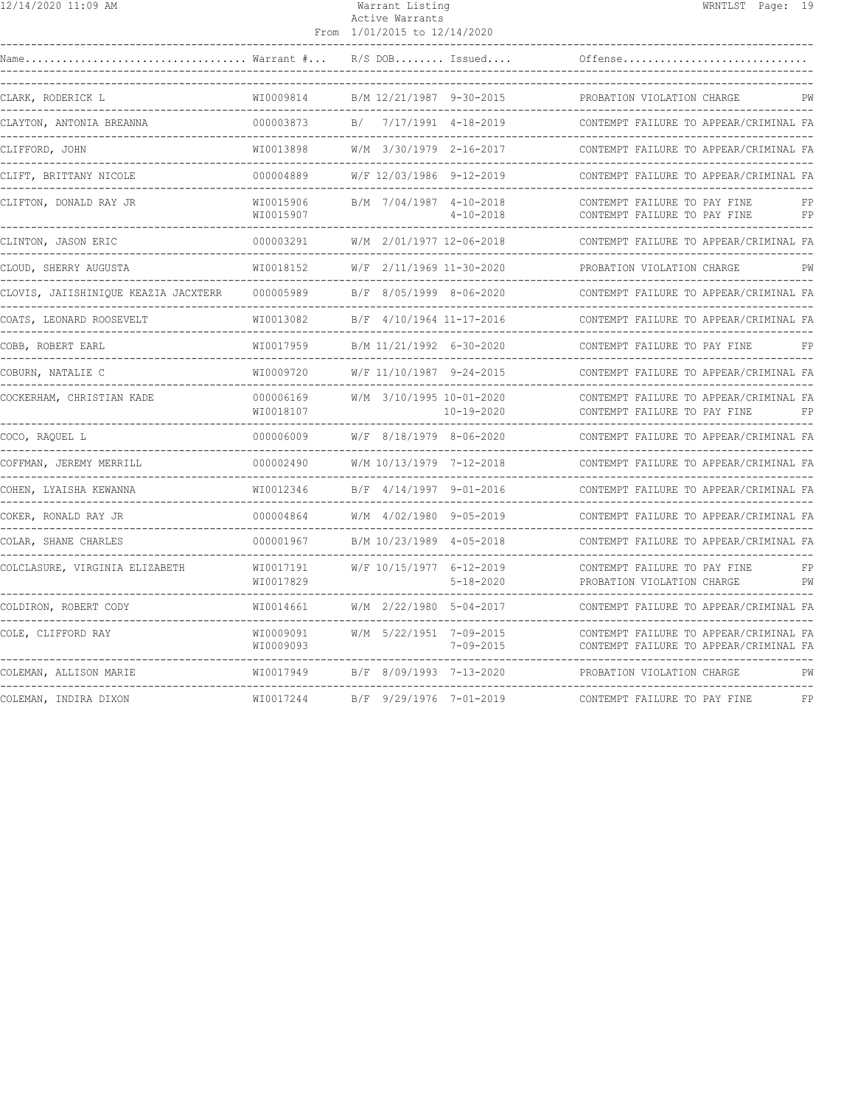| 12/14/2020 11:09 AM                                                                    |                        | Warrant Listing<br>Active Warrants<br>From 1/01/2015 to 12/14/2020 | WRNTLST Page: 19                                                             |
|----------------------------------------------------------------------------------------|------------------------|--------------------------------------------------------------------|------------------------------------------------------------------------------|
|                                                                                        |                        |                                                                    | Offense                                                                      |
| CLARK, RODERICK L                                                                      |                        | WI0009814 B/M 12/21/1987 9-30-2015                                 | PROBATION VIOLATION CHARGE<br><b>PW</b>                                      |
| CLAYTON, ANTONIA BREANNA                                                               | 000003873              | B/ 7/17/1991 4-18-2019<br>---------------------                    | CONTEMPT FAILURE TO APPEAR/CRIMINAL FA                                       |
| CLIFFORD, JOHN<br>--------------------------                                           | WI0013898              | W/M 3/30/1979 2-16-2017                                            | CONTEMPT FAILURE TO APPEAR/CRIMINAL FA                                       |
| CLIFT, BRITTANY NICOLE                                                                 | 000004889              | W/F 12/03/1986 9-12-2019                                           | CONTEMPT FAILURE TO APPEAR/CRIMINAL FA                                       |
| CLIFTON, DONALD RAY JR<br>________________________________                             | WI0015906<br>WI0015907 | B/M 7/04/1987 4-10-2018<br>$4 - 10 - 2018$                         | CONTEMPT FAILURE TO PAY FINE<br>FP<br>CONTEMPT FAILURE TO PAY FINE FP        |
| CLINTON, JASON ERIC                                                                    | 000003291              | W/M 2/01/1977 12-06-2018                                           | CONTEMPT FAILURE TO APPEAR/CRIMINAL FA                                       |
| CLOUD, SHERRY AUGUSTA                                                                  | WI0018152              | W/F 2/11/1969 11-30-2020                                           | PROBATION VIOLATION CHARGE<br>PW                                             |
| CLOVIS, JAIISHINIQUE KEAZIA JACXTERR      000005989          B/F  8/05/1999  8-06-2020 |                        |                                                                    | CONTEMPT FAILURE TO APPEAR/CRIMINAL FA                                       |
| COATS, LEONARD ROOSEVELT                                                               | WI0013082              | B/F 4/10/1964 11-17-2016<br>--------------------                   | CONTEMPT FAILURE TO APPEAR/CRIMINAL FA                                       |
| COBB, ROBERT EARL<br>-----------------------------                                     | WI0017959              | B/M 11/21/1992 6-30-2020                                           | CONTEMPT FAILURE TO PAY FINE<br>FP                                           |
| COBURN, NATALIE C                                                                      | WI0009720              | W/F 11/10/1987 9-24-2015                                           | CONTEMPT FAILURE TO APPEAR/CRIMINAL FA                                       |
| COCKERHAM, CHRISTIAN KADE                                                              | 000006169<br>WI0018107 | W/M 3/10/1995 10-01-2020<br>10-19-2020                             | CONTEMPT FAILURE TO APPEAR/CRIMINAL FA<br>CONTEMPT FAILURE TO PAY FINE<br>FP |
| COCO, RAQUEL L                                                                         | 000006009              | W/F 8/18/1979 8-06-2020                                            | CONTEMPT FAILURE TO APPEAR/CRIMINAL FA                                       |
| COFFMAN, JEREMY MERRILL                                                                | 000002490              | W/M 10/13/1979 7-12-2018                                           | CONTEMPT FAILURE TO APPEAR/CRIMINAL FA                                       |
| COHEN, LYAISHA KEWANNA<br>------------------------------------                         | WI0012346              | B/F 4/14/1997 9-01-2016                                            | CONTEMPT FAILURE TO APPEAR/CRIMINAL FA                                       |
| COKER, RONALD RAY JR                                                                   |                        | 000004864 W/M 4/02/1980 9-05-2019<br>--------------------          | CONTEMPT FAILURE TO APPEAR/CRIMINAL FA                                       |
| COLAR, SHANE CHARLES<br>------------------------------                                 |                        | 000001967 B/M 10/23/1989 4-05-2018                                 | CONTEMPT FAILURE TO APPEAR/CRIMINAL FA                                       |
| COLCLASURE, VIRGINIA ELIZABETH                                                         | WI0017191<br>WI0017829 | W/F 10/15/1977 6-12-2019<br>$5 - 18 - 2020$                        | CONTEMPT FAILURE TO PAY FINE<br>FP<br>PW<br>PROBATION VIOLATION CHARGE       |

------------------------------------------------------------------------------------------------------------------------------------ COLDIRON, ROBERT CODY WI0014661 W/M 2/22/1980 5-04-2017 CONTEMPT FAILURE TO APPEAR/CRIMINAL FA ------------------------------------------------------------------------------------------------------------------------------------

------------------------------------------------------------------------------------------------------------------------------------ COLEMAN, ALLISON MARIE WI0017949 B/F 8/09/1993 7-13-2020 PROBATION VIOLATION CHARGE PW ------------------------------------------------------------------------------------------------------------------------------------ COLEMAN, INDIRA DIXON WI0017244 B/F 9/29/1976 7-01-2019 CONTEMPT FAILURE TO PAY FINE FP

 $W10009091$   $W/M$  5/22/1951 7-09-2015 CONTEMPT FAILURE TO APPEAR/CRIMINAL FA WI0009093 7-09-2015 CONTEMPT FAILURE TO APPEAR/CRIMINAL FA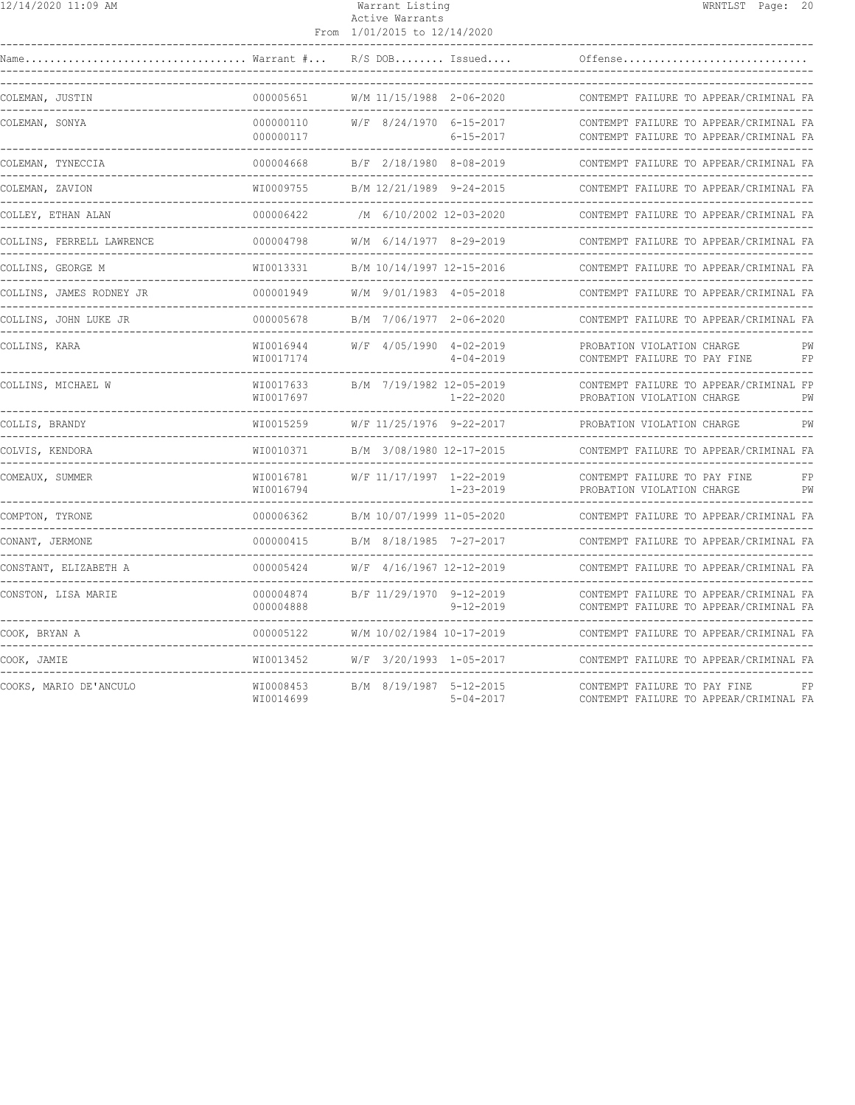## Warrant Listing **WRNTLST** Page: 20 Active Warrants

|                           |                        | From 1/01/2015 to 12/14/2020                       |                                  |                                                                                  |          |
|---------------------------|------------------------|----------------------------------------------------|----------------------------------|----------------------------------------------------------------------------------|----------|
| Warrant #<br>Name         |                        | $R/S$ DOB Issued                                   |                                  | Offense                                                                          |          |
| COLEMAN, JUSTIN           | 000005651              | W/M 11/15/1988 2-06-2020                           | -------------------------------- | CONTEMPT FAILURE TO APPEAR/CRIMINAL FA                                           |          |
| COLEMAN, SONYA            | 000000110<br>000000117 | W/F 8/24/1970 6-15-2017                            | $6 - 15 - 2017$                  | CONTEMPT FAILURE TO APPEAR/CRIMINAL FA<br>CONTEMPT FAILURE TO APPEAR/CRIMINAL FA |          |
| COLEMAN, TYNECCIA         | 000004668              | B/F 2/18/1980 8-08-2019                            |                                  | CONTEMPT FAILURE TO APPEAR/CRIMINAL FA                                           |          |
| COLEMAN, ZAVION           | WI0009755              | B/M 12/21/1989 9-24-2015                           |                                  | CONTEMPT FAILURE TO APPEAR/CRIMINAL FA                                           |          |
| COLLEY, ETHAN ALAN        | 000006422              | /M 6/10/2002 12-03-2020                            |                                  | CONTEMPT FAILURE TO APPEAR/CRIMINAL FA                                           |          |
| COLLINS, FERRELL LAWRENCE | 000004798              | W/M 6/14/1977 8-29-2019                            |                                  | CONTEMPT FAILURE TO APPEAR/CRIMINAL FA                                           |          |
| COLLINS, GEORGE M         | WI0013331              | B/M 10/14/1997 12-15-2016                          |                                  | CONTEMPT FAILURE TO APPEAR/CRIMINAL FA                                           |          |
| COLLINS, JAMES RODNEY JR  | 000001949              | W/M 9/01/1983 4-05-2018                            |                                  | CONTEMPT FAILURE TO APPEAR/CRIMINAL FA                                           |          |
| COLLINS, JOHN LUKE JR     | 000005678              | B/M 7/06/1977 2-06-2020                            |                                  | CONTEMPT FAILURE TO APPEAR/CRIMINAL FA                                           |          |
| COLLINS, KARA             | WI0016944<br>WI0017174 | W/F 4/05/1990 4-02-2019                            | $4 - 04 - 2019$                  | PROBATION VIOLATION CHARGE<br>CONTEMPT FAILURE TO PAY FINE                       | РW<br>FP |
| COLLINS, MICHAEL W        | WI0017633<br>WI0017697 | B/M 7/19/1982 12-05-2019                           | $1 - 22 - 2020$                  | CONTEMPT FAILURE TO APPEAR/CRIMINAL FP<br>PROBATION VIOLATION CHARGE             | PW       |
| COLLIS, BRANDY            | WI0015259              | W/F 11/25/1976 9-22-2017                           |                                  | PROBATION VIOLATION CHARGE                                                       | PW       |
| COLVIS, KENDORA           | WI0010371              | B/M 3/08/1980 12-17-2015                           |                                  | CONTEMPT FAILURE TO APPEAR/CRIMINAL FA                                           |          |
| COMEAUX, SUMMER           | WI0016781<br>WI0016794 | W/F 11/17/1997 1-22-2019                           | $1 - 23 - 2019$                  | CONTEMPT FAILURE TO PAY FINE<br>PROBATION VIOLATION CHARGE                       | FP<br>PW |
| COMPTON, TYRONE           | 000006362              | B/M 10/07/1999 11-05-2020                          |                                  | CONTEMPT FAILURE TO APPEAR/CRIMINAL FA                                           |          |
| CONANT, JERMONE           | 000000415              | B/M 8/18/1985 7-27-2017                            |                                  | CONTEMPT FAILURE TO APPEAR/CRIMINAL FA                                           |          |
| CONSTANT, ELIZABETH A     | 000005424              | W/F 4/16/1967 12-12-2019<br>---------------------- |                                  | CONTEMPT FAILURE TO APPEAR/CRIMINAL FA<br>---------------------------------      |          |
| CONSTON, LISA MARIE       | 000004874<br>000004888 | B/F 11/29/1970 9-12-2019                           | $9 - 12 - 2019$                  | CONTEMPT FAILURE TO APPEAR/CRIMINAL FA<br>CONTEMPT FAILURE TO APPEAR/CRIMINAL FA |          |
| COOK, BRYAN A             | 000005122              | W/M 10/02/1984 10-17-2019                          |                                  | CONTEMPT FAILURE TO APPEAR/CRIMINAL FA                                           |          |
| COOK, JAMIE               | WI0013452              | W/F 3/20/1993 1-05-2017                            |                                  | CONTEMPT FAILURE TO APPEAR/CRIMINAL FA                                           |          |
| COOKS, MARIO DE'ANCULO    | WI0008453<br>WI0014699 | B/M 8/19/1987 5-12-2015                            | $5 - 04 - 2017$                  | CONTEMPT FAILURE TO PAY FINE<br>CONTEMPT FAILURE TO APPEAR/CRIMINAL FA           | FP       |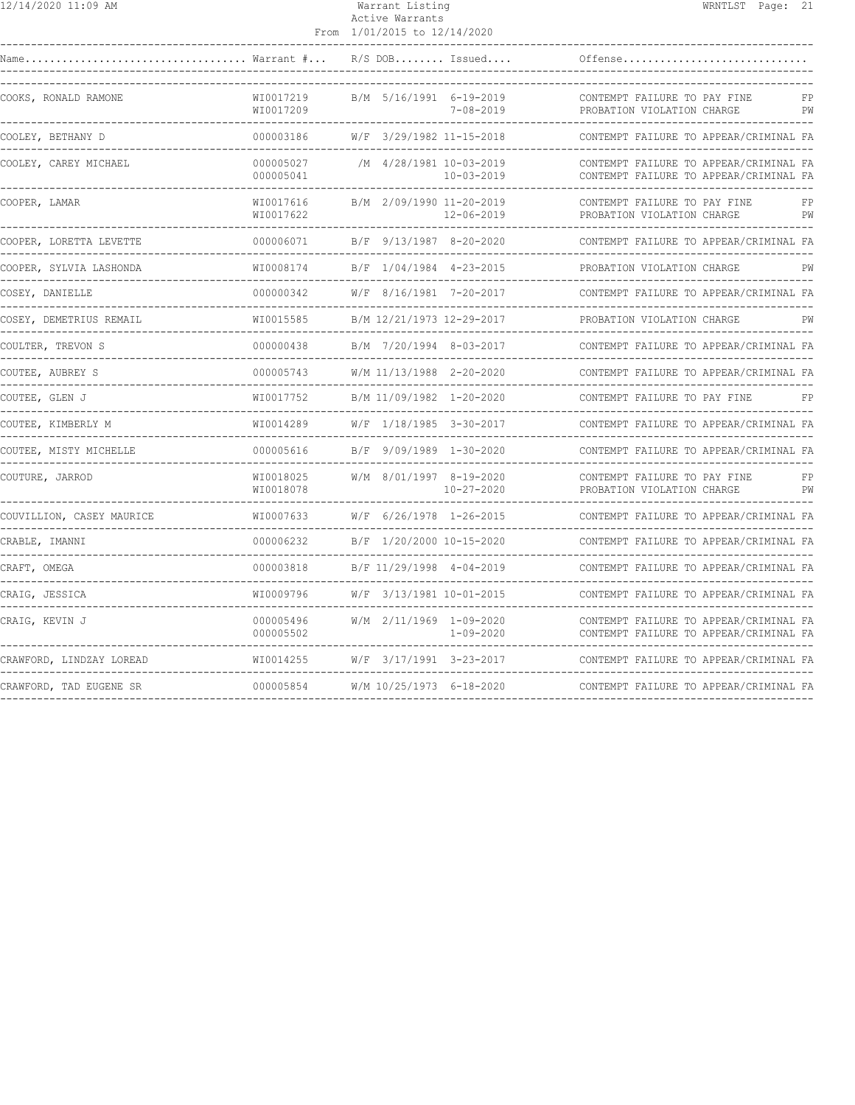| 12/14/2020 11:09 AM                                                |                                    | Warrant Listing<br>Active Warrants<br>From 1/01/2015 to 12/14/2020 |                                             |                                                                                  | WRNTLST Page: 21 |          |
|--------------------------------------------------------------------|------------------------------------|--------------------------------------------------------------------|---------------------------------------------|----------------------------------------------------------------------------------|------------------|----------|
|                                                                    |                                    |                                                                    | $R/S$ DOB Issued                            | Offense                                                                          |                  |          |
| COOKS, RONALD RAMONE                                               | WI0017219<br>WI0017209             |                                                                    | B/M 5/16/1991 6-19-2019<br>$7 - 08 - 2019$  | CONTEMPT FAILURE TO PAY FINE<br>PROBATION VIOLATION CHARGE                       |                  | FP<br>PW |
| COOLEY, BETHANY D                                                  | 000003186                          |                                                                    | W/F 3/29/1982 11-15-2018                    | CONTEMPT FAILURE TO APPEAR/CRIMINAL FA                                           |                  |          |
| COOLEY, CAREY MICHAEL                                              | 000005027<br>000005041             |                                                                    | /M 4/28/1981 10-03-2019<br>10-03-2019       | CONTEMPT FAILURE TO APPEAR/CRIMINAL FA<br>CONTEMPT FAILURE TO APPEAR/CRIMINAL FA |                  |          |
| COOPER, LAMAR                                                      | WI0017616<br>WI0017622             |                                                                    | B/M 2/09/1990 11-20-2019<br>12-06-2019      | CONTEMPT FAILURE TO PAY FINE<br>PROBATION VIOLATION CHARGE                       |                  | FP<br>PW |
| COOPER, LORETTA LEVETTE                                            | 000006071                          |                                                                    | B/F 9/13/1987 8-20-2020                     | CONTEMPT FAILURE TO APPEAR/CRIMINAL FA                                           |                  |          |
| COOPER, SYLVIA LASHONDA                                            | WI0008174                          |                                                                    | B/F 1/04/1984 4-23-2015                     | PROBATION VIOLATION CHARGE                                                       |                  | PW       |
| COSEY, DANIELLE<br>------------<br>------------------------------- | 000000342                          |                                                                    | W/F 8/16/1981 7-20-2017                     | CONTEMPT FAILURE TO APPEAR/CRIMINAL FA                                           |                  |          |
| COSEY, DEMETRIUS REMAIL                                            | WI0015585                          |                                                                    | B/M 12/21/1973 12-29-2017                   | PROBATION VIOLATION CHARGE                                                       |                  | PW       |
| COULTER, TREVON S                                                  | 000000438                          |                                                                    | B/M 7/20/1994 8-03-2017                     | CONTEMPT FAILURE TO APPEAR/CRIMINAL FA                                           |                  |          |
| COUTEE, AUBREY S                                                   | 000005743                          |                                                                    | W/M 11/13/1988 2-20-2020                    | CONTEMPT FAILURE TO APPEAR/CRIMINAL FA                                           |                  |          |
| COUTEE, GLEN J                                                     | WI0017752                          |                                                                    | B/M 11/09/1982 1-20-2020                    | CONTEMPT FAILURE TO PAY FINE                                                     |                  | FP       |
| COUTEE, KIMBERLY M                                                 | WI0014289                          |                                                                    | W/F 1/18/1985 3-30-2017                     | CONTEMPT FAILURE TO APPEAR/CRIMINAL FA                                           |                  |          |
| COUTEE, MISTY MICHELLE                                             | 000005616                          |                                                                    | B/F 9/09/1989 1-30-2020                     | CONTEMPT FAILURE TO APPEAR/CRIMINAL FA<br>------------------------------         |                  |          |
| COUTURE, JARROD                                                    | WI0018025<br>WI0018078             |                                                                    | W/M 8/01/1997 8-19-2020<br>$10 - 27 - 2020$ | CONTEMPT FAILURE TO PAY FINE<br>PROBATION VIOLATION CHARGE                       |                  | FP<br>PW |
| COUVILLION, CASEY MAURICE                                          | WI0007633                          |                                                                    | W/F 6/26/1978 1-26-2015                     | CONTEMPT FAILURE TO APPEAR/CRIMINAL FA                                           |                  |          |
| CRABLE, IMANNI                                                     | 000006232                          |                                                                    | B/F 1/20/2000 10-15-2020                    | CONTEMPT FAILURE TO APPEAR/CRIMINAL FA                                           |                  |          |
| CRAFT, OMEGA                                                       | 000003818<br><u>______________</u> |                                                                    | B/F 11/29/1998 4-04-2019                    | CONTEMPT FAILURE TO APPEAR/CRIMINAL FA                                           |                  |          |
| CRAIG, JESSICA<br>-----------                                      | WI0009796                          |                                                                    | W/F 3/13/1981 10-01-2015                    | CONTEMPT FAILURE TO APPEAR/CRIMINAL FA                                           |                  |          |
| CRAIG, KEVIN J                                                     | 000005496<br>000005502             |                                                                    | W/M 2/11/1969 1-09-2020<br>$1 - 09 - 2020$  | CONTEMPT FAILURE TO APPEAR/CRIMINAL FA<br>CONTEMPT FAILURE TO APPEAR/CRIMINAL FA |                  |          |
| CRAWFORD, LINDZAY LOREAD                                           | WI0014255                          |                                                                    | W/F 3/17/1991 3-23-2017                     | CONTEMPT FAILURE TO APPEAR/CRIMINAL FA                                           |                  |          |
| CRAWFORD, TAD EUGENE SR                                            | 000005854                          |                                                                    | W/M 10/25/1973 6-18-2020                    | CONTEMPT FAILURE TO APPEAR/CRIMINAL FA                                           |                  |          |
|                                                                    |                                    |                                                                    |                                             |                                                                                  |                  |          |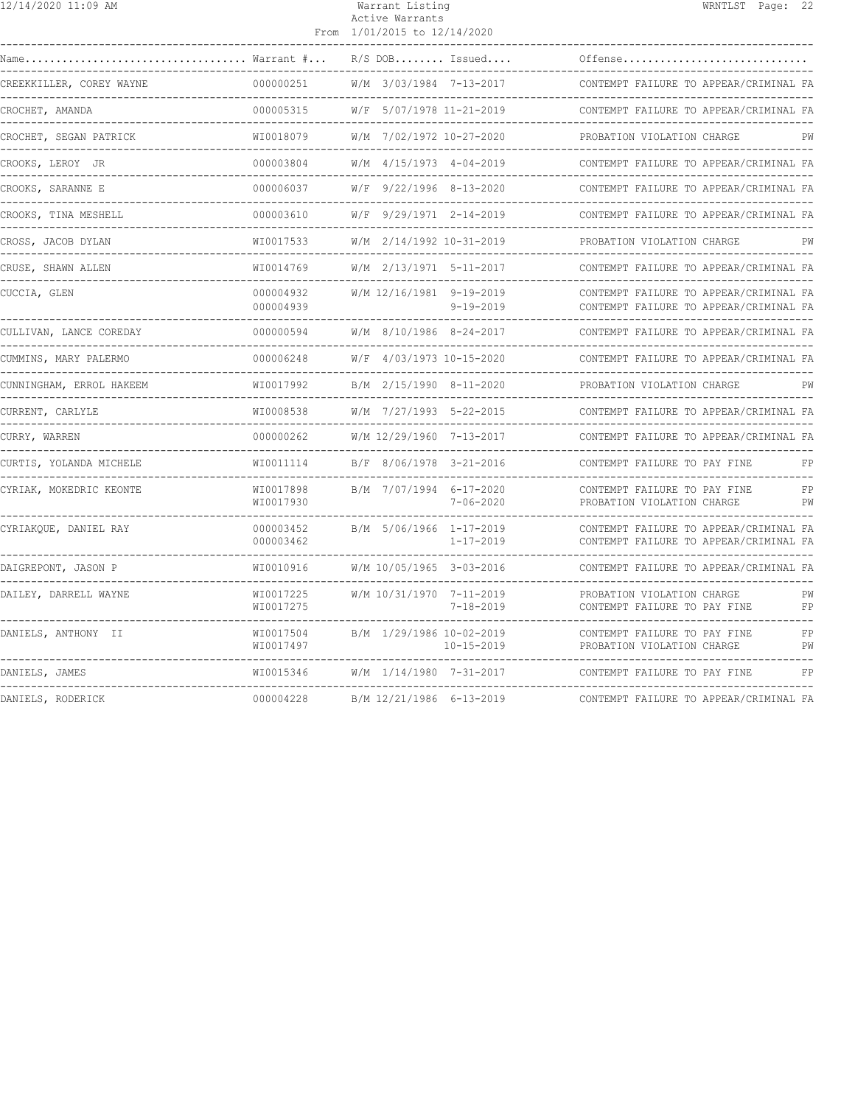| 12/14/2020 11:09 AM                                     |                              | Warrant Listing<br>Active Warrants<br>From 1/01/2015 to 12/14/2020 | WRNTLST Page: 22                                                                 |
|---------------------------------------------------------|------------------------------|--------------------------------------------------------------------|----------------------------------------------------------------------------------|
| Warrant #<br>Name                                       |                              | $R/S$ DOB Issued                                                   | Offense                                                                          |
| CREEKKILLER, COREY WAYNE                                | 000000251                    | W/M 3/03/1984 7-13-2017                                            | CONTEMPT FAILURE TO APPEAR/CRIMINAL FA                                           |
| CROCHET, AMANDA                                         | 000005315                    | W/F 5/07/1978 11-21-2019                                           | CONTEMPT FAILURE TO APPEAR/CRIMINAL FA                                           |
| CROCHET, SEGAN PATRICK                                  | WI0018079                    | W/M 7/02/1972 10-27-2020                                           | PROBATION VIOLATION CHARGE<br>PW                                                 |
| CROOKS, LEROY JR                                        | 000003804                    | W/M 4/15/1973 4-04-2019                                            | CONTEMPT FAILURE TO APPEAR/CRIMINAL FA                                           |
| -------------------------------<br>CROOKS, SARANNE E    | 000006037                    | $W/F$ 9/22/1996 8-13-2020                                          | CONTEMPT FAILURE TO APPEAR/CRIMINAL FA                                           |
| CROOKS, TINA MESHELL                                    | 000003610                    | W/F 9/29/1971 2-14-2019                                            | CONTEMPT FAILURE TO APPEAR/CRIMINAL FA                                           |
| CROSS, JACOB DYLAN<br>--------------------------------- | WI0017533                    | W/M 2/14/1992 10-31-2019                                           | PROBATION VIOLATION CHARGE<br>PW                                                 |
| CRUSE, SHAWN ALLEN                                      | WI0014769                    | W/M 2/13/1971 5-11-2017                                            | CONTEMPT FAILURE TO APPEAR/CRIMINAL FA                                           |
| CUCCIA, GLEN                                            | 000004932<br>000004939       | W/M 12/16/1981 9-19-2019<br>$9 - 19 - 2019$                        | CONTEMPT FAILURE TO APPEAR/CRIMINAL FA<br>CONTEMPT FAILURE TO APPEAR/CRIMINAL FA |
| CULLIVAN, LANCE COREDAY                                 | 000000594                    | W/M 8/10/1986 8-24-2017                                            | CONTEMPT FAILURE TO APPEAR/CRIMINAL FA                                           |
| CUMMINS, MARY PALERMO                                   | 000006248                    | W/F 4/03/1973 10-15-2020                                           | CONTEMPT FAILURE TO APPEAR/CRIMINAL FA                                           |
| CUNNINGHAM, ERROL HAKEEM                                | WI0017992                    | B/M 2/15/1990 8-11-2020                                            | PROBATION VIOLATION CHARGE<br>PW                                                 |
| CURRENT, CARLYLE                                        | WI0008538<br>--------------- | W/M 7/27/1993 5-22-2015                                            | CONTEMPT FAILURE TO APPEAR/CRIMINAL FA                                           |
| CURRY, WARREN                                           | 000000262                    | W/M 12/29/1960 7-13-2017                                           | CONTEMPT FAILURE TO APPEAR/CRIMINAL FA                                           |
| CURTIS, YOLANDA MICHELE                                 | WI0011114                    | B/F 8/06/1978 3-21-2016                                            | CONTEMPT FAILURE TO PAY FINE<br>FP                                               |
| CYRIAK, MOKEDRIC KEONTE                                 | WI0017898<br>WI0017930       | B/M 7/07/1994 6-17-2020<br>$7 - 06 - 2020$                         | CONTEMPT FAILURE TO PAY FINE<br>FP<br>PW<br>PROBATION VIOLATION CHARGE           |
| CYRIAKQUE, DANIEL RAY                                   | 000003452<br>000003462       | B/M 5/06/1966 1-17-2019<br>$1 - 17 - 2019$                         | CONTEMPT FAILURE TO APPEAR/CRIMINAL FA<br>CONTEMPT FAILURE TO APPEAR/CRIMINAL FA |
| DAIGREPONT, JASON P                                     | WI0010916                    | W/M 10/05/1965 3-03-2016                                           | CONTEMPT FAILURE TO APPEAR/CRIMINAL FA<br>----------------------                 |
| DAILEY, DARRELL WAYNE                                   | WI0017225<br>WI0017275       | W/M 10/31/1970 7-11-2019<br>$7 - 18 - 2019$                        | PROBATION VIOLATION CHARGE<br>PW<br>FP<br>CONTEMPT FAILURE TO PAY FINE           |
| DANIELS, ANTHONY II                                     | WI0017504<br>WI0017497       | B/M 1/29/1986 10-02-2019<br>$10 - 15 - 2019$                       | CONTEMPT FAILURE TO PAY FINE<br>FP<br>PW<br>PROBATION VIOLATION CHARGE           |
| DANIELS, JAMES                                          | WI0015346                    | W/M 1/14/1980 7-31-2017                                            | FP<br>CONTEMPT FAILURE TO PAY FINE                                               |
| DANIELS, RODERICK                                       | 000004228                    | B/M 12/21/1986 6-13-2019                                           | CONTEMPT FAILURE TO APPEAR/CRIMINAL FA                                           |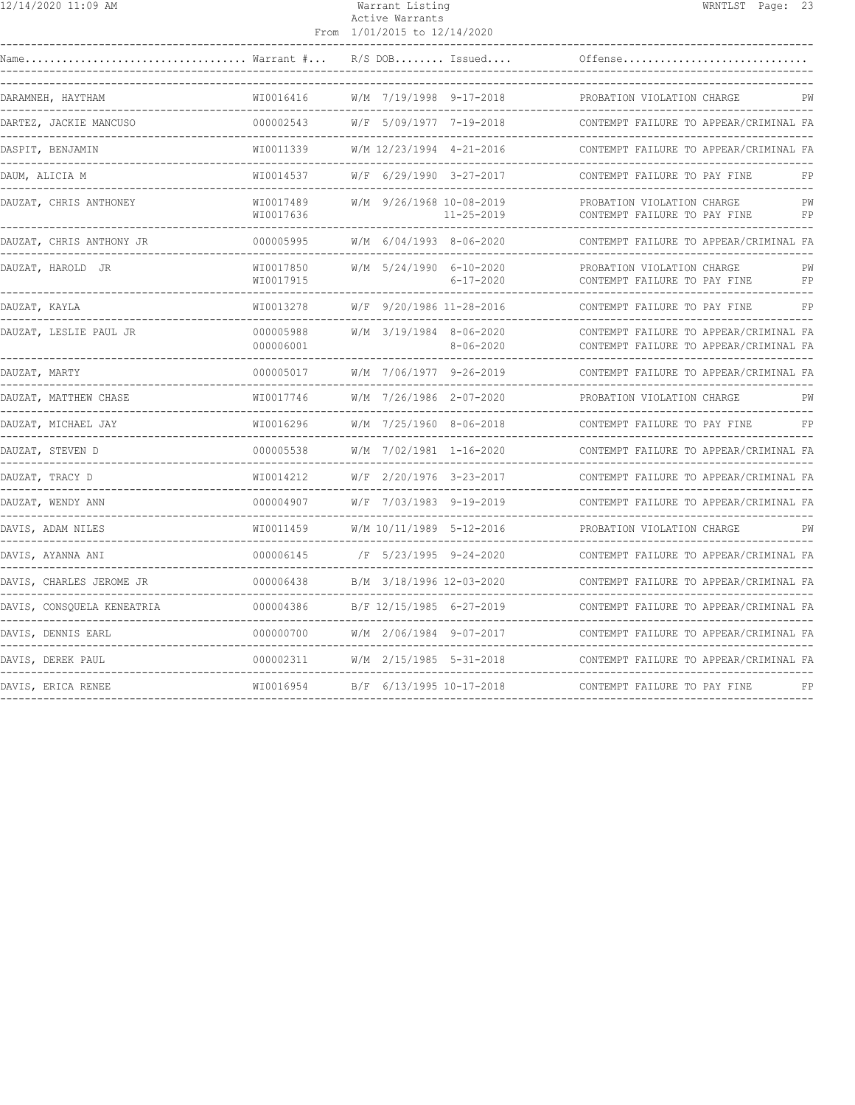| $\frac{12}{14}$ /14/2020 11:09 AM                     |                                            | Warrant Listing<br>Active Warrants           | WRNTLST Page: 23                                                                 |
|-------------------------------------------------------|--------------------------------------------|----------------------------------------------|----------------------------------------------------------------------------------|
|                                                       |                                            | From 1/01/2015 to 12/14/2020                 |                                                                                  |
| Name                                                  | $\ldots \ldots \ldots$ Warrant $\# \ldots$ | $R/S$ DOB Issued                             | Offense                                                                          |
| DARAMNEH, HAYTHAM                                     | WI0016416<br>---------------               | W/M 7/19/1998 9-17-2018                      | PROBATION VIOLATION CHARGE<br>PW                                                 |
| DARTEZ, JACKIE MANCUSO                                | 000002543                                  | W/F 5/09/1977 7-19-2018                      | CONTEMPT FAILURE TO APPEAR/CRIMINAL FA                                           |
| DASPIT, BENJAMIN                                      | WI0011339                                  | W/M 12/23/1994 4-21-2016                     | CONTEMPT FAILURE TO APPEAR/CRIMINAL FA                                           |
| DAUM, ALICIA M                                        | WI0014537                                  | W/F 6/29/1990 3-27-2017                      | CONTEMPT FAILURE TO PAY FINE                                                     |
| DAUZAT, CHRIS ANTHONEY                                | WI0017489<br>WI0017636                     | W/M 9/26/1968 10-08-2019<br>$11 - 25 - 2019$ | PROBATION VIOLATION CHARGE<br>PW<br>FP<br>CONTEMPT FAILURE TO PAY FINE           |
| DAUZAT, CHRIS ANTHONY JR                              | 000005995                                  | $W/M$ 6/04/1993 8-06-2020                    | CONTEMPT FAILURE TO APPEAR/CRIMINAL FA<br>____________________________           |
| DAUZAT, HAROLD JR                                     | WI0017850<br>WI0017915                     | W/M 5/24/1990 6-10-2020<br>$6 - 17 - 2020$   | PROBATION VIOLATION CHARGE<br>PW<br>CONTEMPT FAILURE TO PAY FINE<br>FP           |
| DAUZAT, KAYLA                                         | WI0013278                                  | W/F 9/20/1986 11-28-2016                     | CONTEMPT FAILURE TO PAY FINE<br>FP                                               |
| DAUZAT, LESLIE PAUL JR                                | 000005988<br>000006001                     | W/M 3/19/1984 8-06-2020<br>$8 - 06 - 2020$   | CONTEMPT FAILURE TO APPEAR/CRIMINAL FA<br>CONTEMPT FAILURE TO APPEAR/CRIMINAL FA |
| DAUZAT, MARTY                                         | 000005017                                  | W/M 7/06/1977 9-26-2019                      | CONTEMPT FAILURE TO APPEAR/CRIMINAL FA                                           |
| ------------<br>DAUZAT, MATTHEW CHASE                 | . _ _ _ _ _ _ _ _ _ _<br>WI0017746         | W/M 7/26/1986 2-07-2020                      | PW<br>PROBATION VIOLATION CHARGE                                                 |
| DAUZAT, MICHAEL JAY                                   | WI0016296                                  | W/M 7/25/1960 8-06-2018                      | CONTEMPT FAILURE TO PAY FINE<br>FP                                               |
| DAUZAT, STEVEN D                                      | 000005538                                  | W/M 7/02/1981 1-16-2020                      | CONTEMPT FAILURE TO APPEAR/CRIMINAL FA                                           |
| DAUZAT, TRACY D                                       | WI0014212                                  | W/F 2/20/1976 3-23-2017                      | CONTEMPT FAILURE TO APPEAR/CRIMINAL FA                                           |
| DAUZAT, WENDY ANN<br>____________                     | 000004907                                  | W/F 7/03/1983 9-19-2019                      | CONTEMPT FAILURE TO APPEAR/CRIMINAL FA                                           |
| DAVIS, ADAM NILES                                     | WI0011459                                  | W/M 10/11/1989 5-12-2016                     | PROBATION VIOLATION CHARGE<br>PM                                                 |
| DAVIS, AYANNA ANI<br>-------------------------------- | 000006145                                  | /F 5/23/1995 9-24-2020                       | CONTEMPT FAILURE TO APPEAR/CRIMINAL FA                                           |
| DAVIS, CHARLES JEROME JR                              | 000006438                                  | B/M 3/18/1996 12-03-2020                     | CONTEMPT FAILURE TO APPEAR/CRIMINAL FA                                           |
| DAVIS, CONSQUELA KENEATRIA                            | 000004386                                  | B/F 12/15/1985 6-27-2019                     | CONTEMPT FAILURE TO APPEAR/CRIMINAL FA                                           |
| DAVIS, DENNIS EARL                                    | 000000700                                  | W/M 2/06/1984 9-07-2017                      | CONTEMPT FAILURE TO APPEAR/CRIMINAL FA                                           |
| DAVIS, DEREK PAUL                                     | 000002311                                  | W/M 2/15/1985 5-31-2018                      | CONTEMPT FAILURE TO APPEAR/CRIMINAL FA                                           |
| DAVIS, ERICA RENEE                                    | WI0016954                                  | B/F 6/13/1995 10-17-2018                     | CONTEMPT FAILURE TO PAY FINE<br>FP                                               |
|                                                       |                                            |                                              |                                                                                  |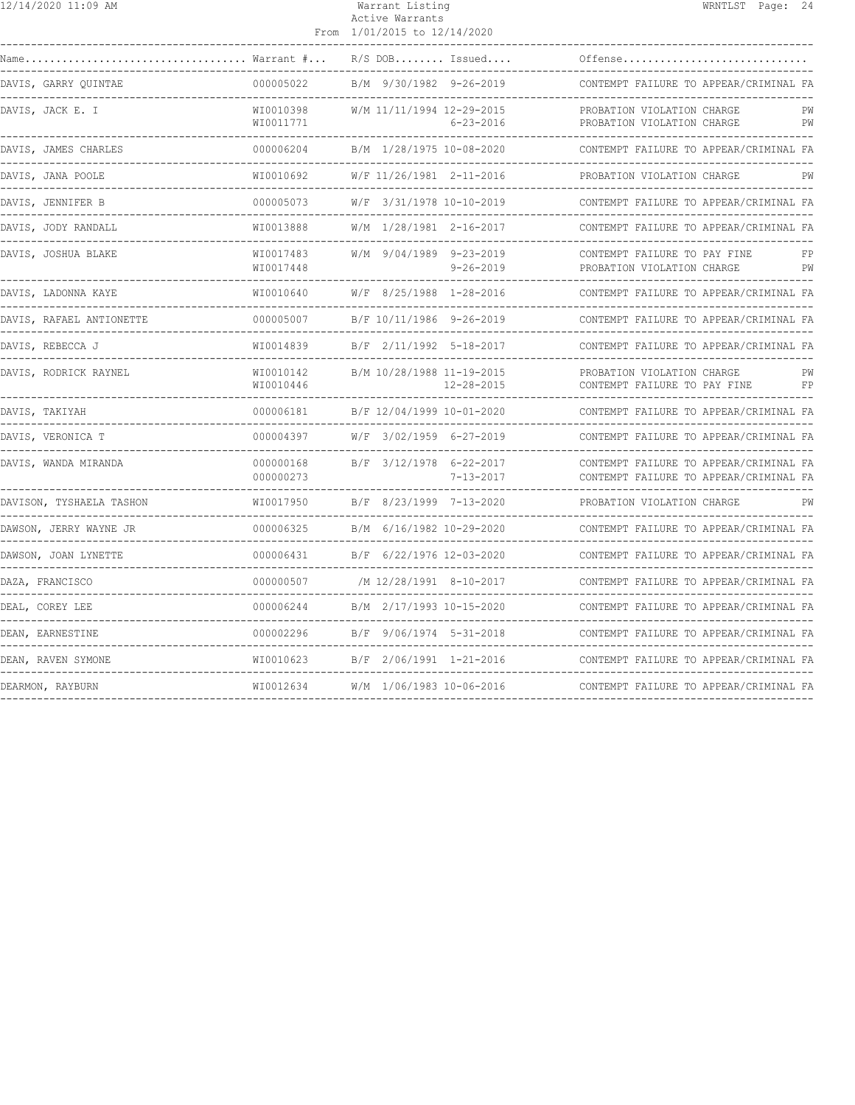| 12/14/2020 11:09 AM                               |                               | Warrant Listing<br>Active Warrants<br>From 1/01/2015 to 12/14/2020  | WRNTLST Page: 24                                                                 |
|---------------------------------------------------|-------------------------------|---------------------------------------------------------------------|----------------------------------------------------------------------------------|
|                                                   | $\ldots$ Warrant $\#$         | $R/S$ DOB Issued                                                    | Offense                                                                          |
| DAVIS, GARRY OUINTAE                              | 000005022                     | B/M 9/30/1982 9-26-2019                                             | CONTEMPT FAILURE TO APPEAR/CRIMINAL FA                                           |
| DAVIS, JACK E. I                                  | WI0010398<br>WI0011771        | W/M 11/11/1994 12-29-2015<br>$6 - 23 - 2016$                        | PROBATION VIOLATION CHARGE<br>PW<br>PW<br>PROBATION VIOLATION CHARGE             |
| DAVIS, JAMES CHARLES<br>. _ _ _ _ _ _ _ _ _ _ _ _ | 000006204                     | B/M 1/28/1975 10-08-2020                                            | CONTEMPT FAILURE TO APPEAR/CRIMINAL FA                                           |
| DAVIS, JANA POOLE                                 | WI0010692                     | W/F 11/26/1981 2-11-2016                                            | PROBATION VIOLATION CHARGE<br>PW                                                 |
| DAVIS, JENNIFER B                                 | 000005073                     | W/F 3/31/1978 10-10-2019                                            | CONTEMPT FAILURE TO APPEAR/CRIMINAL FA                                           |
| DAVIS, JODY RANDALL                               | WI0013888                     | W/M 1/28/1981 2-16-2017                                             | CONTEMPT FAILURE TO APPEAR/CRIMINAL FA<br>-----------------------------          |
| DAVIS, JOSHUA BLAKE                               | WI0017483<br>WI0017448        | W/M 9/04/1989 9-23-2019<br>$9 - 26 - 2019$                          | CONTEMPT FAILURE TO PAY FINE<br>FP<br>PROBATION VIOLATION CHARGE<br>PW           |
| DAVIS, LADONNA KAYE                               | WI0010640                     | W/F 8/25/1988 1-28-2016                                             | CONTEMPT FAILURE TO APPEAR/CRIMINAL FA                                           |
| DAVIS, RAFAEL ANTIONETTE                          | 000005007                     | B/F 10/11/1986 9-26-2019                                            | CONTEMPT FAILURE TO APPEAR/CRIMINAL FA                                           |
| DAVIS, REBECCA J                                  | WI0014839                     | B/F 2/11/1992 5-18-2017                                             | CONTEMPT FAILURE TO APPEAR/CRIMINAL FA                                           |
| DAVIS, RODRICK RAYNEL                             | WI0010142<br>WI0010446        | B/M 10/28/1988 11-19-2015<br>$12 - 28 - 2015$                       | PROBATION VIOLATION CHARGE<br>PW<br>CONTEMPT FAILURE TO PAY FINE<br>FP           |
| DAVIS, TAKIYAH<br>. _ _ _ _ _ _ _ _ _ _ _ _ _ _   | 000006181<br>---------------- | B/F 12/04/1999 10-01-2020<br>-------------------------------------- | CONTEMPT FAILURE TO APPEAR/CRIMINAL FA                                           |
| DAVIS, VERONICA T                                 | 000004397                     | W/F 3/02/1959 6-27-2019                                             | CONTEMPT FAILURE TO APPEAR/CRIMINAL FA                                           |
| DAVIS, WANDA MIRANDA                              | 000000168<br>000000273        | B/F 3/12/1978 6-22-2017<br>$7 - 13 - 2017$                          | CONTEMPT FAILURE TO APPEAR/CRIMINAL FA<br>CONTEMPT FAILURE TO APPEAR/CRIMINAL FA |
| DAVISON, TYSHAELA TASHON                          | WI0017950                     | B/F 8/23/1999 7-13-2020                                             | PROBATION VIOLATION CHARGE<br>PW                                                 |
| DAWSON, JERRY WAYNE JR                            | 000006325                     | B/M 6/16/1982 10-29-2020                                            | CONTEMPT FAILURE TO APPEAR/CRIMINAL FA                                           |
| DAWSON, JOAN LYNETTE                              | 000006431                     | B/F 6/22/1976 12-03-2020                                            | CONTEMPT FAILURE TO APPEAR/CRIMINAL FA                                           |
| DAZA, FRANCISCO                                   | 000000507                     | /M 12/28/1991 8-10-2017                                             | CONTEMPT FAILURE TO APPEAR/CRIMINAL FA                                           |
| DEAL, COREY LEE                                   | 000006244                     | B/M 2/17/1993 10-15-2020                                            | CONTEMPT FAILURE TO APPEAR/CRIMINAL FA                                           |
| DEAN, EARNESTINE                                  | 000002296                     | B/F 9/06/1974 5-31-2018                                             | CONTEMPT FAILURE TO APPEAR/CRIMINAL FA                                           |
| DEAN, RAVEN SYMONE                                | WI0010623                     | B/F 2/06/1991 1-21-2016                                             | CONTEMPT FAILURE TO APPEAR/CRIMINAL FA                                           |
| DEARMON, RAYBURN                                  | WI0012634                     | W/M 1/06/1983 10-06-2016                                            | CONTEMPT FAILURE TO APPEAR/CRIMINAL FA                                           |
|                                                   |                               |                                                                     |                                                                                  |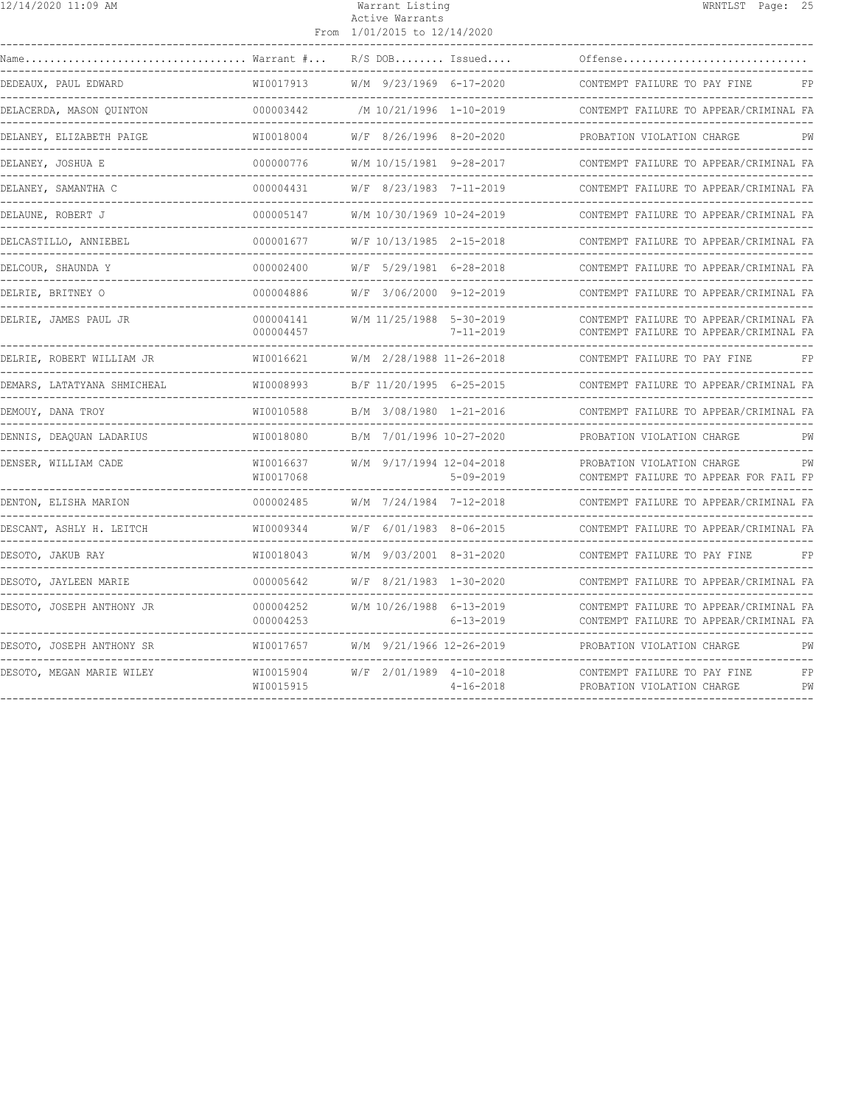| 12/14/2020 11:09 AM         |                                         | Warrant Listing<br>Active Warrants<br>From 1/01/2015 to 12/14/2020 | WRNTLST Page: 25                                                                 |
|-----------------------------|-----------------------------------------|--------------------------------------------------------------------|----------------------------------------------------------------------------------|
|                             | Warrant #                               | $R/S$ DOB Issued                                                   | Offense                                                                          |
| DEDEAUX, PAUL EDWARD        | WI0017913                               | W/M 9/23/1969 6-17-2020                                            | CONTEMPT FAILURE TO PAY FINE<br>FP                                               |
| DELACERDA, MASON QUINTON    | 000003442                               | /M 10/21/1996 1-10-2019                                            | CONTEMPT FAILURE TO APPEAR/CRIMINAL FA                                           |
| DELANEY, ELIZABETH PAIGE    | WI0018004                               | W/F 8/26/1996 8-20-2020                                            | PW<br>PROBATION VIOLATION CHARGE                                                 |
| DELANEY, JOSHUA E           | 000000776                               | W/M 10/15/1981 9-28-2017                                           | CONTEMPT FAILURE TO APPEAR/CRIMINAL FA                                           |
| DELANEY, SAMANTHA C         | 000004431                               | W/F 8/23/1983 7-11-2019                                            | CONTEMPT FAILURE TO APPEAR/CRIMINAL FA                                           |
| DELAUNE, ROBERT J           | 000005147                               | W/M 10/30/1969 10-24-2019                                          | CONTEMPT FAILURE TO APPEAR/CRIMINAL FA                                           |
| DELCASTILLO, ANNIEBEL       | 000001677                               | W/F 10/13/1985 2-15-2018                                           | CONTEMPT FAILURE TO APPEAR/CRIMINAL FA                                           |
| DELCOUR, SHAUNDA Y          | 000002400                               | W/F 5/29/1981 6-28-2018                                            | CONTEMPT FAILURE TO APPEAR/CRIMINAL FA                                           |
| DELRIE, BRITNEY O           | 000004886                               | W/F 3/06/2000 9-12-2019                                            | CONTEMPT FAILURE TO APPEAR/CRIMINAL FA                                           |
| DELRIE, JAMES PAUL JR       | 000004141<br>000004457                  | W/M 11/25/1988 5-30-2019<br>$7 - 11 - 2019$                        | CONTEMPT FAILURE TO APPEAR/CRIMINAL FA<br>CONTEMPT FAILURE TO APPEAR/CRIMINAL FA |
| DELRIE, ROBERT WILLIAM JR   | WI0016621                               | W/M 2/28/1988 11-26-2018                                           | CONTEMPT FAILURE TO PAY FINE<br>FP                                               |
| DEMARS, LATATYANA SHMICHEAL | WI0008993                               | B/F 11/20/1995 6-25-2015                                           | CONTEMPT FAILURE TO APPEAR/CRIMINAL FA                                           |
| DEMOUY, DANA TROY           | WI0010588                               | B/M 3/08/1980 1-21-2016                                            | CONTEMPT FAILURE TO APPEAR/CRIMINAL FA                                           |
| DENNIS, DEAQUAN LADARIUS    | WI0018080                               | B/M 7/01/1996 10-27-2020                                           | PROBATION VIOLATION CHARGE<br>PW                                                 |
| DENSER, WILLIAM CADE        | WI0016637<br>WI0017068<br>------------- | W/M 9/17/1994 12-04-2018<br>$5 - 09 - 2019$                        | PROBATION VIOLATION CHARGE<br>PW<br>CONTEMPT FAILURE TO APPEAR FOR FAIL FP       |
| DENTON, ELISHA MARION       | 000002485                               | W/M 7/24/1984 7-12-2018                                            | CONTEMPT FAILURE TO APPEAR/CRIMINAL FA                                           |
| DESCANT, ASHLY H. LEITCH    | WI0009344                               | W/F 6/01/1983 8-06-2015                                            | CONTEMPT FAILURE TO APPEAR/CRIMINAL FA<br>--------------------------             |
| DESOTO, JAKUB RAY           | WI0018043                               | W/M 9/03/2001 8-31-2020                                            | CONTEMPT FAILURE TO PAY FINE<br>FP                                               |
| DESOTO, JAYLEEN MARIE       | 000005642                               | W/F 8/21/1983 1-30-2020                                            | CONTEMPT FAILURE TO APPEAR/CRIMINAL FA                                           |
| DESOTO, JOSEPH ANTHONY JR   | 000004252<br>000004253                  | W/M 10/26/1988 6-13-2019<br>$6 - 13 - 2019$                        | CONTEMPT FAILURE TO APPEAR/CRIMINAL FA<br>CONTEMPT FAILURE TO APPEAR/CRIMINAL FA |
| DESOTO, JOSEPH ANTHONY SR   | WI0017657                               | W/M 9/21/1966 12-26-2019                                           | PROBATION VIOLATION CHARGE<br>PW                                                 |
| DESOTO, MEGAN MARIE WILEY   | WI0015904<br>WI0015915                  | W/F 2/01/1989 4-10-2018<br>$4 - 16 - 2018$                         | CONTEMPT FAILURE TO PAY FINE<br>FP<br>PROBATION VIOLATION CHARGE<br>PW           |
|                             |                                         |                                                                    |                                                                                  |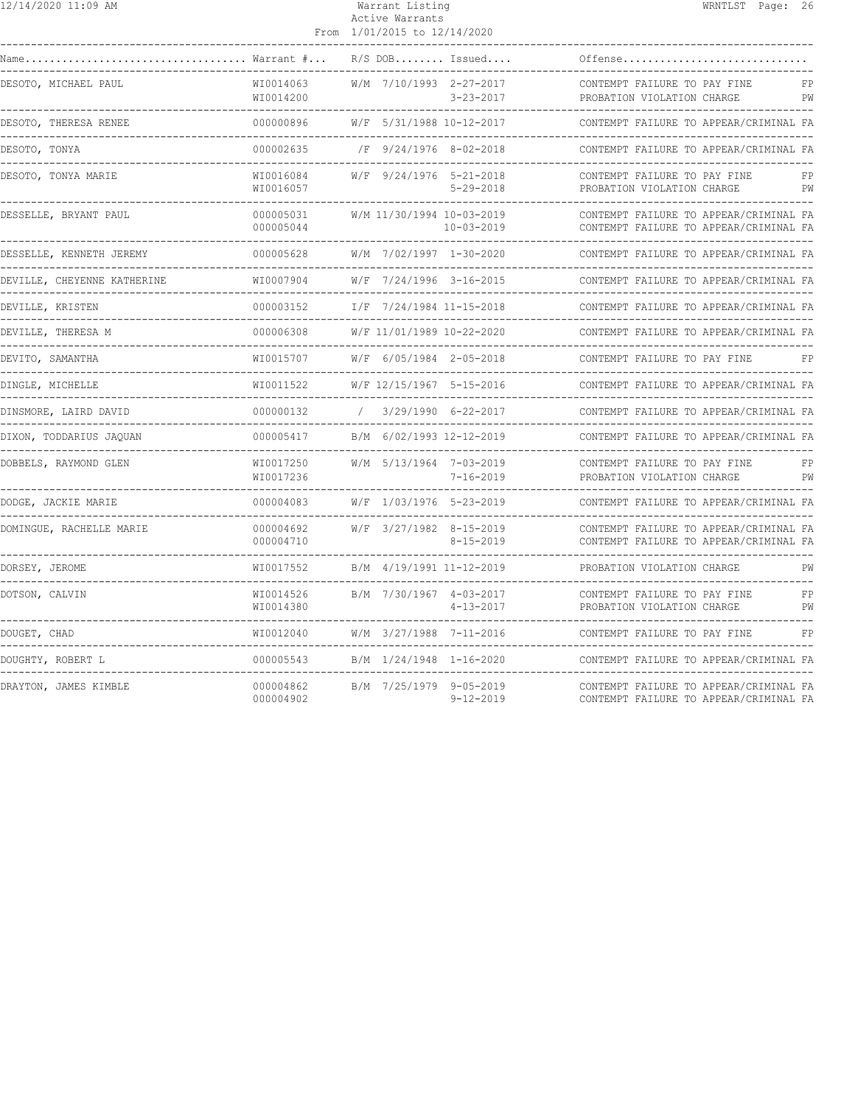| 12/14/2020 11:09 AM                            |                                             | Warrant Listing<br>Active Warrants<br>From 1/01/2015 to 12/14/2020 | WRNTLST Page: 26                                                                 |
|------------------------------------------------|---------------------------------------------|--------------------------------------------------------------------|----------------------------------------------------------------------------------|
| Name                                           | Warrant #                                   | $R/S$ DOB Issued                                                   | Offense                                                                          |
| DESOTO, MICHAEL PAUL                           | WI0014063<br>WI0014200                      | W/M 7/10/1993 2-27-2017<br>$3 - 23 - 2017$                         | CONTEMPT FAILURE TO PAY FINE<br>FP<br>PROBATION VIOLATION CHARGE<br>PW           |
| DESOTO, THERESA RENEE                          | 000000896                                   | W/F 5/31/1988 10-12-2017                                           | CONTEMPT FAILURE TO APPEAR/CRIMINAL FA                                           |
| DESOTO, TONYA<br>. _ _ _ _ _ _ _ _ _ _ _ _ _ _ | 000002635                                   | /F 9/24/1976 8-02-2018                                             | CONTEMPT FAILURE TO APPEAR/CRIMINAL FA                                           |
| DESOTO, TONYA MARIE                            | WI0016084<br>WI0016057                      | W/F 9/24/1976 5-21-2018<br>$5 - 29 - 2018$                         | CONTEMPT FAILURE TO PAY FINE<br>FP<br>PROBATION VIOLATION CHARGE<br>PW           |
| DESSELLE, BRYANT PAUL                          | 000005031<br>000005044<br>--------------    | W/M 11/30/1994 10-03-2019<br>$10 - 03 - 2019$                      | CONTEMPT FAILURE TO APPEAR/CRIMINAL FA<br>CONTEMPT FAILURE TO APPEAR/CRIMINAL FA |
| DESSELLE, KENNETH JEREMY                       | 000005628<br>_______________                | W/M 7/02/1997 1-30-2020<br>--------------------------------------  | CONTEMPT FAILURE TO APPEAR/CRIMINAL FA                                           |
| DEVILLE, CHEYENNE KATHERINE                    | WI0007904                                   | W/F 7/24/1996 3-16-2015                                            | CONTEMPT FAILURE TO APPEAR/CRIMINAL FA                                           |
| DEVILLE, KRISTEN                               | 000003152                                   | I/F 7/24/1984 11-15-2018                                           | CONTEMPT FAILURE TO APPEAR/CRIMINAL FA                                           |
| DEVILLE, THERESA M                             | 000006308                                   | W/F 11/01/1989 10-22-2020                                          | CONTEMPT FAILURE TO APPEAR/CRIMINAL FA                                           |
| DEVITO, SAMANTHA                               | WI0015707                                   | W/F 6/05/1984 2-05-2018                                            | CONTEMPT FAILURE TO PAY FINE<br>FP                                               |
| DINGLE, MICHELLE                               | WI0011522<br>___________                    | W/F 12/15/1967 5-15-2016                                           | CONTEMPT FAILURE TO APPEAR/CRIMINAL FA                                           |
| DINSMORE, LAIRD DAVID                          | 000000132                                   | 3/29/1990 6-22-2017                                                | CONTEMPT FAILURE TO APPEAR/CRIMINAL FA                                           |
| DIXON, TODDARIUS JAQUAN                        | 000005417                                   | B/M 6/02/1993 12-12-2019                                           | CONTEMPT FAILURE TO APPEAR/CRIMINAL FA<br>------------------------------------   |
| DOBBELS, RAYMOND GLEN                          | WI0017250<br>WI0017236<br>----------------- | W/M 5/13/1964 7-03-2019<br>7-16-2019                               | CONTEMPT FAILURE TO PAY FINE<br>FP<br>PROBATION VIOLATION CHARGE<br>PW           |
| DODGE, JACKIE MARIE                            | 000004083                                   | W/F 1/03/1976 5-23-2019                                            | CONTEMPT FAILURE TO APPEAR/CRIMINAL FA<br>____________________________           |
| DOMINGUE, RACHELLE MARIE                       | 000004692<br>000004710                      | W/F 3/27/1982 8-15-2019<br>$8 - 15 - 2019$                         | CONTEMPT FAILURE TO APPEAR/CRIMINAL FA<br>CONTEMPT FAILURE TO APPEAR/CRIMINAL FA |
| DORSEY, JEROME                                 | WI0017552                                   | B/M 4/19/1991 11-12-2019                                           | PROBATION VIOLATION CHARGE<br>PW<br>-------------------------                    |
| DOTSON, CALVIN                                 | WI0014526<br>WI0014380                      | B/M 7/30/1967 4-03-2017<br>$4 - 13 - 2017$                         | CONTEMPT FAILURE TO PAY FINE<br>FP<br>PROBATION VIOLATION CHARGE<br>PW           |
| DOUGET, CHAD                                   | WI0012040                                   | W/M 3/27/1988 7-11-2016                                            | CONTEMPT FAILURE TO PAY FINE<br>FP                                               |
| DOUGHTY, ROBERT L                              | 000005543                                   | B/M 1/24/1948 1-16-2020                                            | CONTEMPT FAILURE TO APPEAR/CRIMINAL FA                                           |
| DRAYTON, JAMES KIMBLE                          | 000004862<br>000004902                      | B/M 7/25/1979 9-05-2019<br>$9 - 12 - 2019$                         | CONTEMPT FAILURE TO APPEAR/CRIMINAL FA<br>CONTEMPT FAILURE TO APPEAR/CRIMINAL FA |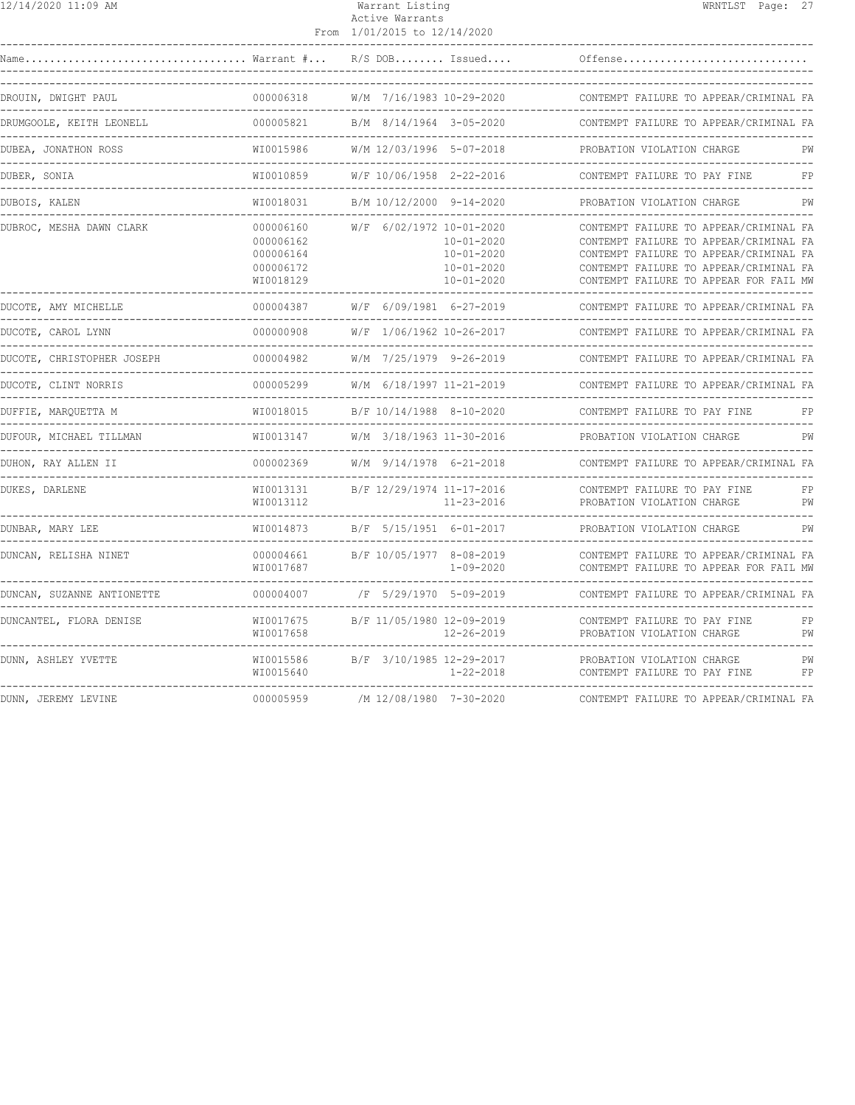| 12/14/2020 11:09 AM                    |                                                               | Warrant Listing<br>Active Warrants<br>From 1/01/2015 to 12/14/2020                                       | WRNTLST Page: 27                                                                                                                                                                                               |
|----------------------------------------|---------------------------------------------------------------|----------------------------------------------------------------------------------------------------------|----------------------------------------------------------------------------------------------------------------------------------------------------------------------------------------------------------------|
| Name                                   |                                                               | $\ldots \ldots \ldots \ldots \ldots$ Warrant $\# \ldots$ R/S DOB Issued                                  | Offense                                                                                                                                                                                                        |
| DROUIN, DWIGHT PAUL                    | 000006318                                                     | W/M 7/16/1983 10-29-2020                                                                                 | CONTEMPT FAILURE TO APPEAR/CRIMINAL FA                                                                                                                                                                         |
| DRUMGOOLE, KEITH LEONELL               | 000005821                                                     | B/M 8/14/1964 3-05-2020                                                                                  | CONTEMPT FAILURE TO APPEAR/CRIMINAL FA                                                                                                                                                                         |
| DUBEA, JONATHON ROSS                   | WI0015986                                                     | W/M 12/03/1996 5-07-2018                                                                                 | PROBATION VIOLATION CHARGE<br>PW                                                                                                                                                                               |
| DUBER, SONIA                           | WI0010859                                                     | W/F 10/06/1958 2-22-2016                                                                                 | CONTEMPT FAILURE TO PAY FINE<br>FP                                                                                                                                                                             |
| DUBOIS, KALEN                          | WI0018031                                                     | B/M 10/12/2000 9-14-2020                                                                                 | PROBATION VIOLATION CHARGE<br>PW                                                                                                                                                                               |
| DUBROC, MESHA DAWN CLARK               | 000006160<br>000006162<br>000006164<br>000006172<br>WI0018129 | W/F 6/02/1972 10-01-2020<br>$10 - 01 - 2020$<br>$10 - 01 - 2020$<br>$10 - 01 - 2020$<br>$10 - 01 - 2020$ | CONTEMPT FAILURE TO APPEAR/CRIMINAL FA<br>CONTEMPT FAILURE TO APPEAR/CRIMINAL FA<br>CONTEMPT FAILURE TO APPEAR/CRIMINAL FA<br>CONTEMPT FAILURE TO APPEAR/CRIMINAL FA<br>CONTEMPT FAILURE TO APPEAR FOR FAIL MW |
| DUCOTE, AMY MICHELLE                   | 000004387                                                     | W/F 6/09/1981 6-27-2019                                                                                  | CONTEMPT FAILURE TO APPEAR/CRIMINAL FA                                                                                                                                                                         |
| DUCOTE, CAROL LYNN                     | 000000908                                                     | W/F 1/06/1962 10-26-2017                                                                                 | CONTEMPT FAILURE TO APPEAR/CRIMINAL FA                                                                                                                                                                         |
| DUCOTE, CHRISTOPHER JOSEPH             | 000004982                                                     | W/M 7/25/1979 9-26-2019                                                                                  | CONTEMPT FAILURE TO APPEAR/CRIMINAL FA                                                                                                                                                                         |
| DUCOTE, CLINT NORRIS                   |                                                               | 000005299 W/M 6/18/1997 11-21-2019                                                                       | CONTEMPT FAILURE TO APPEAR/CRIMINAL FA                                                                                                                                                                         |
| DUFFIE, MAROUETTA M<br>--------------- | WI0018015                                                     | B/F 10/14/1988 8-10-2020                                                                                 | CONTEMPT FAILURE TO PAY FINE<br>FP                                                                                                                                                                             |
| DUFOUR, MICHAEL TILLMAN                | WI0013147                                                     | W/M 3/18/1963 11-30-2016                                                                                 | PW<br>PROBATION VIOLATION CHARGE                                                                                                                                                                               |
| DUHON, RAY ALLEN II                    | 000002369                                                     | W/M 9/14/1978 6-21-2018                                                                                  | CONTEMPT FAILURE TO APPEAR/CRIMINAL FA                                                                                                                                                                         |
| DUKES, DARLENE                         | WI0013131<br>WI0013112                                        | B/F 12/29/1974 11-17-2016<br>$11 - 23 - 2016$                                                            | CONTEMPT FAILURE TO PAY FINE<br>FP<br>PROBATION VIOLATION CHARGE<br>PW                                                                                                                                         |
| DUNBAR, MARY LEE                       | WI0014873                                                     | B/F 5/15/1951 6-01-2017<br>--------------------                                                          | PROBATION VIOLATION CHARGE<br>PW                                                                                                                                                                               |
| DUNCAN, RELISHA NINET                  | 000004661<br>WI0017687                                        | B/F 10/05/1977 8-08-2019<br>$1 - 09 - 2020$                                                              | CONTEMPT FAILURE TO APPEAR/CRIMINAL FA<br>CONTEMPT FAILURE TO APPEAR FOR FAIL MW                                                                                                                               |
| DUNCAN, SUZANNE ANTIONETTE             |                                                               | 000004007 /F 5/29/1970 5-09-2019                                                                         | CONTEMPT FAILURE TO APPEAR/CRIMINAL FA<br>----------------------------------                                                                                                                                   |
| DUNCANTEL, FLORA DENISE                | WI0017675<br>WI0017658                                        | B/F 11/05/1980 12-09-2019<br>$12 - 26 - 2019$                                                            | CONTEMPT FAILURE TO PAY FINE<br>FP<br>PROBATION VIOLATION CHARGE<br>PW                                                                                                                                         |
| DUNN, ASHLEY YVETTE                    | WI0015586<br>WI0015640                                        | B/F 3/10/1985 12-29-2017<br>1-22-2018                                                                    | PROBATION VIOLATION CHARGE<br>PW<br>CONTEMPT FAILURE TO PAY FINE<br>FP                                                                                                                                         |
| DUNN, JEREMY LEVINE                    | 000005959                                                     | /M 12/08/1980 7-30-2020                                                                                  | CONTEMPT FAILURE TO APPEAR/CRIMINAL FA                                                                                                                                                                         |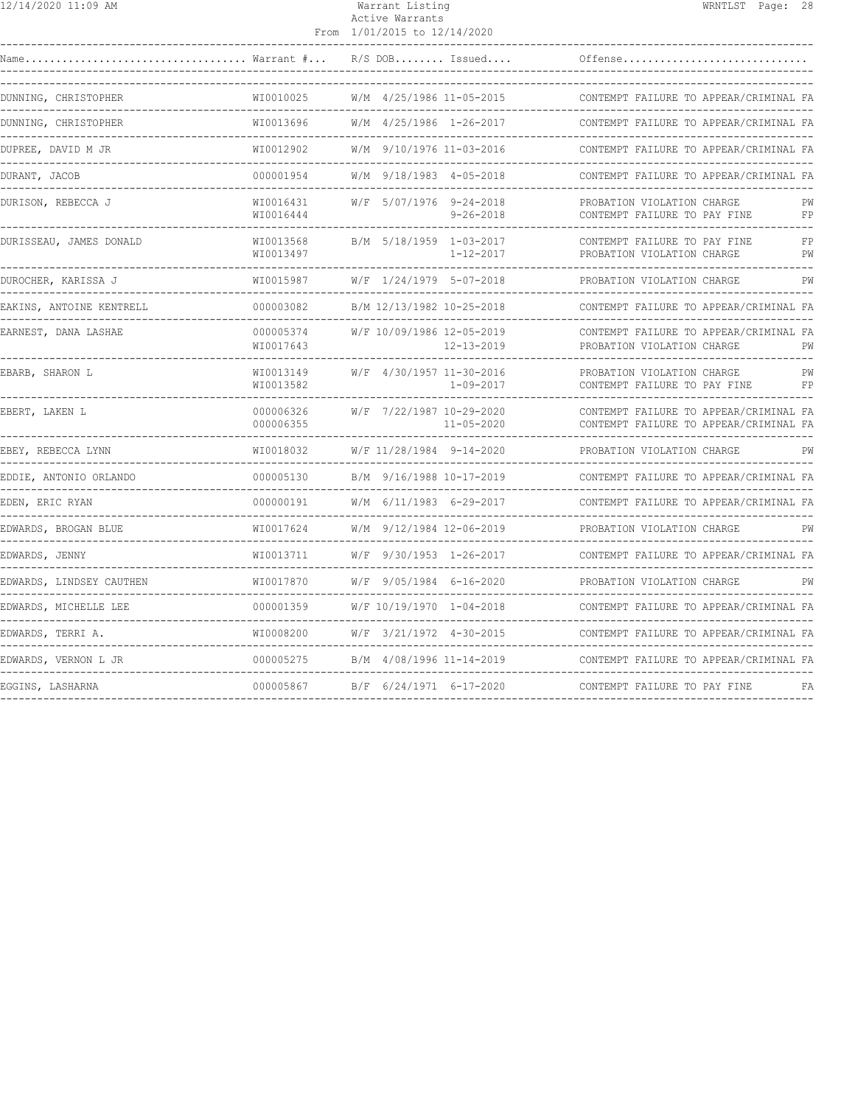| 12/14/2020 11:09 AM                           |                                 | Warrant Listing<br>Active Warrants<br>From 1/01/2015 to 12/14/2020 |                                              | WRNTLST Page: 28                                                                 |  |          |  |
|-----------------------------------------------|---------------------------------|--------------------------------------------------------------------|----------------------------------------------|----------------------------------------------------------------------------------|--|----------|--|
| Warrant #<br>Name                             |                                 |                                                                    | R/S DOB Issued                               | Offense                                                                          |  |          |  |
| DUNNING, CHRISTOPHER<br>___________________   | WI0010025                       |                                                                    | W/M 4/25/1986 11-05-2015                     | CONTEMPT FAILURE TO APPEAR/CRIMINAL FA                                           |  |          |  |
| DUNNING, CHRISTOPHER                          | WI0013696                       |                                                                    | W/M 4/25/1986 1-26-2017                      | CONTEMPT FAILURE TO APPEAR/CRIMINAL FA                                           |  |          |  |
| DUPREE, DAVID M JR                            | WI0012902                       |                                                                    | W/M 9/10/1976 11-03-2016                     | CONTEMPT FAILURE TO APPEAR/CRIMINAL FA                                           |  |          |  |
| DURANT, JACOB                                 | 000001954                       |                                                                    | W/M 9/18/1983 4-05-2018                      | CONTEMPT FAILURE TO APPEAR/CRIMINAL FA                                           |  |          |  |
| DURISON, REBECCA J                            | WI0016431<br>WI0016444          |                                                                    | W/F 5/07/1976 9-24-2018<br>$9 - 26 - 2018$   | PROBATION VIOLATION CHARGE<br>CONTEMPT FAILURE TO PAY FINE                       |  | PW<br>FP |  |
| DURISSEAU, JAMES DONALD                       | WI0013568<br>WI0013497          |                                                                    | B/M 5/18/1959 1-03-2017<br>$1 - 12 - 2017$   | CONTEMPT FAILURE TO PAY FINE<br>PROBATION VIOLATION CHARGE                       |  | FP<br>PW |  |
| DUROCHER, KARISSA J                           | WI0015987                       |                                                                    | W/F 1/24/1979 5-07-2018                      | PROBATION VIOLATION CHARGE                                                       |  | PW       |  |
| EAKINS, ANTOINE KENTRELL                      | 000003082<br><u>uuuuuuuuuuu</u> |                                                                    | B/M 12/13/1982 10-25-2018                    | CONTEMPT FAILURE TO APPEAR/CRIMINAL FA<br>_____________________________          |  |          |  |
| EARNEST, DANA LASHAE                          | 000005374<br>WI0017643          |                                                                    | W/F 10/09/1986 12-05-2019<br>12-13-2019      | CONTEMPT FAILURE TO APPEAR/CRIMINAL FA<br>PROBATION VIOLATION CHARGE             |  | PW       |  |
| EBARB, SHARON L                               | WI0013149<br>WI0013582          |                                                                    | W/F 4/30/1957 11-30-2016<br>1-09-2017        | PROBATION VIOLATION CHARGE<br>CONTEMPT FAILURE TO PAY FINE                       |  | PW<br>FP |  |
| EBERT, LAKEN L                                | 000006326<br>000006355          |                                                                    | W/F 7/22/1987 10-29-2020<br>$11 - 05 - 2020$ | CONTEMPT FAILURE TO APPEAR/CRIMINAL FA<br>CONTEMPT FAILURE TO APPEAR/CRIMINAL FA |  |          |  |
| EBEY, REBECCA LYNN                            | WI0018032                       |                                                                    | W/F 11/28/1984 9-14-2020                     | PROBATION VIOLATION CHARGE                                                       |  | PW       |  |
| EDDIE, ANTONIO ORLANDO                        | 000005130                       |                                                                    | B/M 9/16/1988 10-17-2019                     | CONTEMPT FAILURE TO APPEAR/CRIMINAL FA                                           |  |          |  |
| EDEN, ERIC RYAN                               | 000000191                       |                                                                    | W/M 6/11/1983 6-29-2017                      | CONTEMPT FAILURE TO APPEAR/CRIMINAL FA                                           |  |          |  |
| EDWARDS, BROGAN BLUE                          | WI0017624                       |                                                                    | W/M 9/12/1984 12-06-2019                     | PROBATION VIOLATION CHARGE                                                       |  |          |  |
| EDWARDS, JENNY<br>--------------------------- | WI0013711                       |                                                                    | W/F 9/30/1953 1-26-2017                      | CONTEMPT FAILURE TO APPEAR/CRIMINAL FA                                           |  |          |  |
| EDWARDS, LINDSEY CAUTHEN                      | WI0017870                       |                                                                    | W/F 9/05/1984 6-16-2020                      | PROBATION VIOLATION CHARGE                                                       |  | PW       |  |
| EDWARDS, MICHELLE LEE                         | 000001359                       |                                                                    | W/F 10/19/1970 1-04-2018                     | CONTEMPT FAILURE TO APPEAR/CRIMINAL FA                                           |  |          |  |
| EDWARDS, TERRI A.                             | WI0008200                       |                                                                    | W/F 3/21/1972 4-30-2015                      | CONTEMPT FAILURE TO APPEAR/CRIMINAL FA                                           |  |          |  |
| EDWARDS, VERNON L JR                          | 000005275                       |                                                                    | B/M 4/08/1996 11-14-2019                     | CONTEMPT FAILURE TO APPEAR/CRIMINAL FA                                           |  |          |  |
| EGGINS, LASHARNA                              | 000005867                       |                                                                    | B/F 6/24/1971 6-17-2020                      | CONTEMPT FAILURE TO PAY FINE                                                     |  | FA       |  |
|                                               |                                 |                                                                    |                                              |                                                                                  |  |          |  |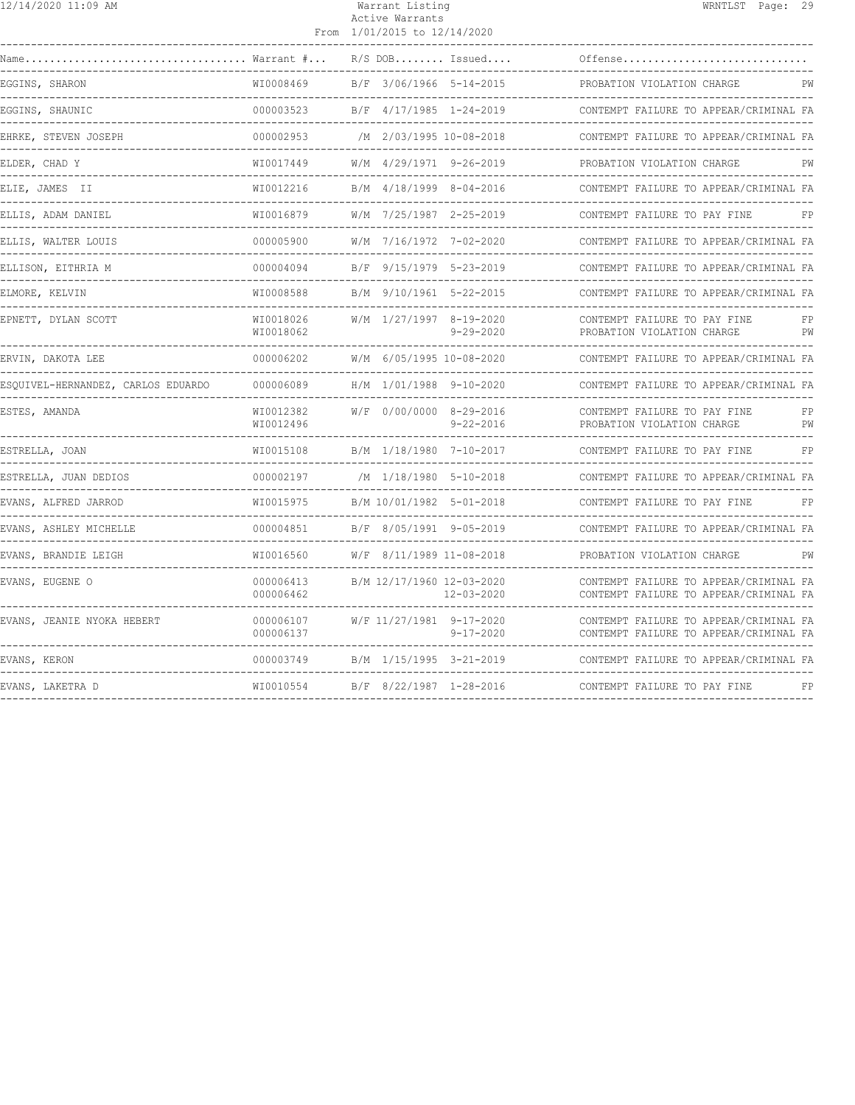| 12/14/2020 11:09 AM                |                           | Warrant Listing                                 | WRNTLST Page: 29                                                                 |
|------------------------------------|---------------------------|-------------------------------------------------|----------------------------------------------------------------------------------|
|                                    |                           | Active Warrants<br>From 1/01/2015 to 12/14/2020 |                                                                                  |
| Name                               | Warrant #                 | $R/S$ DOB Issued                                | Offense                                                                          |
| EGGINS, SHARON                     | WI0008469                 | B/F 3/06/1966 5-14-2015                         | PROBATION VIOLATION CHARGE<br>PW                                                 |
| EGGINS, SHAUNIC                    | 000003523<br>___________  | B/F 4/17/1985 1-24-2019                         | CONTEMPT FAILURE TO APPEAR/CRIMINAL FA                                           |
| EHRKE, STEVEN JOSEPH               | 000002953<br>------------ | /M 2/03/1995 10-08-2018                         | CONTEMPT FAILURE TO APPEAR/CRIMINAL FA                                           |
| ELDER, CHAD Y                      | WT0017449                 | W/M 4/29/1971 9-26-2019                         | PROBATION VIOLATION CHARGE                                                       |
| ELIE, JAMES II                     | WI0012216                 | B/M 4/18/1999 8-04-2016                         | CONTEMPT FAILURE TO APPEAR/CRIMINAL FA                                           |
| ELLIS, ADAM DANIEL                 | WI0016879                 | W/M 7/25/1987 2-25-2019                         | CONTEMPT FAILURE TO PAY FINE<br>FP                                               |
| ELLIS, WALTER LOUIS                | 000005900                 | W/M 7/16/1972 7-02-2020                         | CONTEMPT FAILURE TO APPEAR/CRIMINAL FA                                           |
| ELLISON, EITHRIA M                 | 000004094                 | B/F 9/15/1979 5-23-2019                         | CONTEMPT FAILURE TO APPEAR/CRIMINAL FA                                           |
| ELMORE, KELVIN                     | WT0008588                 | B/M 9/10/1961 5-22-2015                         | CONTEMPT FAILURE TO APPEAR/CRIMINAL FA                                           |
| EPNETT, DYLAN SCOTT                | WI0018026<br>WI0018062    | W/M 1/27/1997 8-19-2020<br>$9 - 29 - 2020$      | CONTEMPT FAILURE TO PAY FINE<br>FP<br>PROBATION VIOLATION CHARGE<br>PW           |
| ERVIN, DAKOTA LEE                  | 000006202                 | W/M 6/05/1995 10-08-2020                        | CONTEMPT FAILURE TO APPEAR/CRIMINAL FA                                           |
| ESOUIVEL-HERNANDEZ, CARLOS EDUARDO | 000006089                 | H/M 1/01/1988 9-10-2020                         | CONTEMPT FAILURE TO APPEAR/CRIMINAL FA                                           |
| ESTES, AMANDA                      | WI0012382<br>WI0012496    | W/F 0/00/0000 8-29-2016<br>$9 - 22 - 2016$      | CONTEMPT FAILURE TO PAY FINE<br>FP<br>PROBATION VIOLATION CHARGE<br>PW           |
| ESTRELLA, JOAN                     | WI0015108                 | B/M 1/18/1980 7-10-2017                         | FP<br>CONTEMPT FAILURE TO PAY FINE                                               |
| ESTRELLA, JUAN DEDIOS              | 000002197                 | /M 1/18/1980 5-10-2018                          | CONTEMPT FAILURE TO APPEAR/CRIMINAL FA<br>---------------------------------      |
| EVANS, ALFRED JARROD               | WI0015975                 | B/M 10/01/1982 5-01-2018                        | CONTEMPT FAILURE TO PAY FINE<br>FP                                               |
| EVANS, ASHLEY MICHELLE             | 000004851                 | B/F 8/05/1991 9-05-2019                         | CONTEMPT FAILURE TO APPEAR/CRIMINAL FA                                           |
| EVANS, BRANDIE LEIGH               | WI0016560                 | W/F 8/11/1989 11-08-2018                        | PROBATION VIOLATION CHARGE<br>PW                                                 |
| EVANS, EUGENE O                    | 000006413<br>000006462    | B/M 12/17/1960 12-03-2020<br>$12 - 03 - 2020$   | CONTEMPT FAILURE TO APPEAR/CRIMINAL FA<br>CONTEMPT FAILURE TO APPEAR/CRIMINAL FA |
| EVANS, JEANIE NYOKA HEBERT         | 000006107<br>000006137    | W/F 11/27/1981 9-17-2020<br>$9 - 17 - 2020$     | CONTEMPT FAILURE TO APPEAR/CRIMINAL FA<br>CONTEMPT FAILURE TO APPEAR/CRIMINAL FA |
| EVANS, KERON                       | 000003749                 | B/M 1/15/1995 3-21-2019                         | CONTEMPT FAILURE TO APPEAR/CRIMINAL FA                                           |
| EVANS, LAKETRA D                   | WI0010554                 | B/F 8/22/1987 1-28-2016                         | CONTEMPT FAILURE TO PAY FINE<br>FP                                               |
|                                    |                           |                                                 |                                                                                  |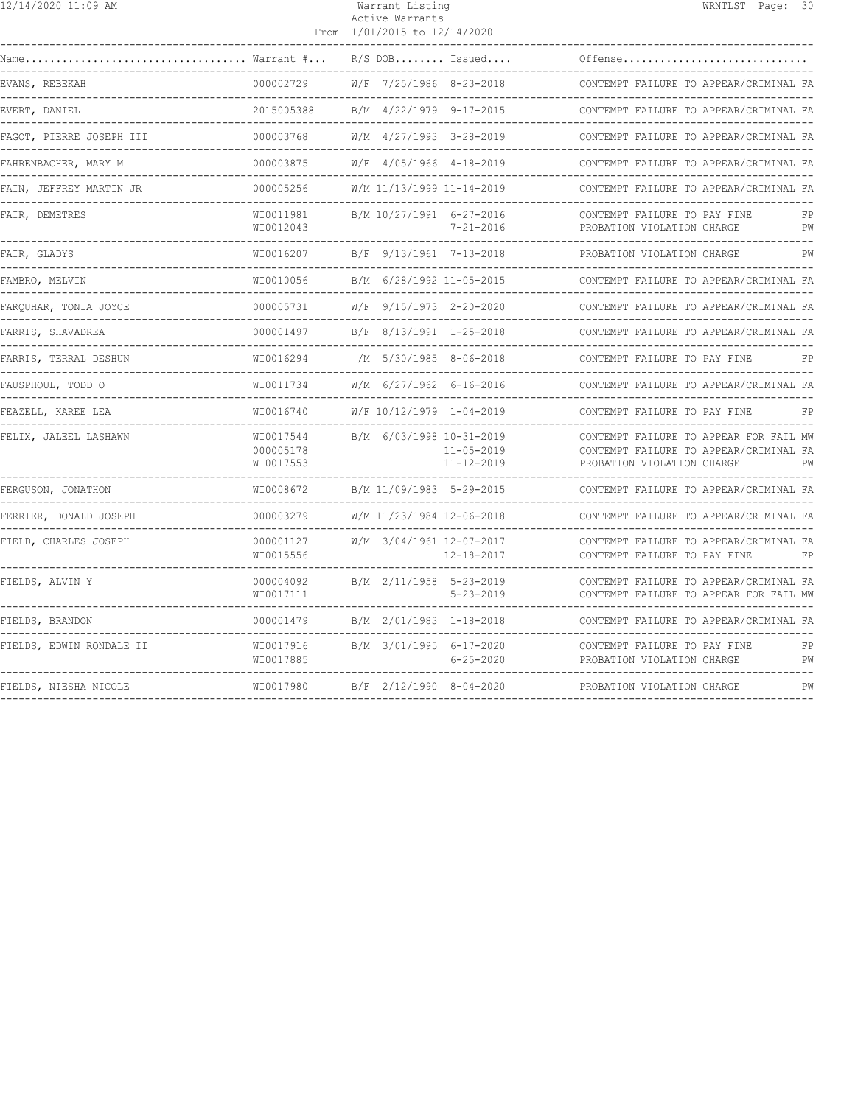| 12/14/2020 11:09 AM      |                                     | Warrant Listing<br>Active Warrants<br>From 1/01/2015 to 12/14/2020 |                                      | WRNTLST Page: 30                                                                                                     |  |
|--------------------------|-------------------------------------|--------------------------------------------------------------------|--------------------------------------|----------------------------------------------------------------------------------------------------------------------|--|
| Name                     | Warrant #                           |                                                                    | $R/S$ DOB Issued                     | Offense                                                                                                              |  |
| EVANS, REBEKAH           | 000002729                           | W/F 7/25/1986 8-23-2018                                            |                                      | CONTEMPT FAILURE TO APPEAR/CRIMINAL FA                                                                               |  |
| EVERT, DANIEL            | 2015005388                          | B/M 4/22/1979 9-17-2015                                            |                                      | CONTEMPT FAILURE TO APPEAR/CRIMINAL FA                                                                               |  |
| FAGOT, PIERRE JOSEPH III | 000003768                           | W/M 4/27/1993 3-28-2019                                            |                                      | CONTEMPT FAILURE TO APPEAR/CRIMINAL FA                                                                               |  |
| FAHRENBACHER, MARY M     | 000003875                           | $W/F$ 4/05/1966 4-18-2019                                          |                                      | CONTEMPT FAILURE TO APPEAR/CRIMINAL FA                                                                               |  |
| FAIN, JEFFREY MARTIN JR  | 000005256                           | W/M 11/13/1999 11-14-2019                                          |                                      | CONTEMPT FAILURE TO APPEAR/CRIMINAL FA                                                                               |  |
| FAIR, DEMETRES           | WI0011981<br>WI0012043              | B/M 10/27/1991 6-27-2016                                           | $7 - 21 - 2016$                      | CONTEMPT FAILURE TO PAY FINE<br>FP<br>PROBATION VIOLATION CHARGE<br>PW<br>-------------------------------            |  |
| FAIR, GLADYS             | WI0016207                           | B/F 9/13/1961 7-13-2018                                            |                                      | PROBATION VIOLATION CHARGE<br>PW                                                                                     |  |
| FAMBRO, MELVIN           | WI0010056                           | B/M 6/28/1992 11-05-2015                                           |                                      | CONTEMPT FAILURE TO APPEAR/CRIMINAL FA<br>----------------------------------                                         |  |
| FAROUHAR, TONIA JOYCE    | 000005731                           | W/F 9/15/1973 2-20-2020                                            |                                      | CONTEMPT FAILURE TO APPEAR/CRIMINAL FA                                                                               |  |
| FARRIS, SHAVADREA        | 000001497                           | B/F 8/13/1991 1-25-2018                                            |                                      | CONTEMPT FAILURE TO APPEAR/CRIMINAL FA                                                                               |  |
| FARRIS, TERRAL DESHUN    | WI0016294                           | /M 5/30/1985 8-06-2018                                             |                                      | CONTEMPT FAILURE TO PAY FINE<br>FP                                                                                   |  |
| FAUSPHOUL, TODD O        | WI0011734<br>.                      |                                                                    | W/M 6/27/1962 6-16-2016              | CONTEMPT FAILURE TO APPEAR/CRIMINAL FA                                                                               |  |
| FEAZELL, KAREE LEA       | WI0016740                           |                                                                    | W/F 10/12/1979 1-04-2019             | CONTEMPT FAILURE TO PAY FINE<br>FP                                                                                   |  |
| FELIX, JALEEL LASHAWN    | WI0017544<br>000005178<br>WI0017553 | B/M 6/03/1998 10-31-2019                                           | $11 - 05 - 2019$<br>$11 - 12 - 2019$ | CONTEMPT FAILURE TO APPEAR FOR FAIL MW<br>CONTEMPT FAILURE TO APPEAR/CRIMINAL FA<br>PROBATION VIOLATION CHARGE<br>PW |  |
| FERGUSON, JONATHON       | WI0008672                           | B/M 11/09/1983 5-29-2015                                           |                                      | CONTEMPT FAILURE TO APPEAR/CRIMINAL FA                                                                               |  |
| FERRIER, DONALD JOSEPH   | 000003279                           | W/M 11/23/1984 12-06-2018                                          |                                      | CONTEMPT FAILURE TO APPEAR/CRIMINAL FA                                                                               |  |
| FIELD, CHARLES JOSEPH    | 000001127<br>WI0015556              | W/M 3/04/1961 12-07-2017                                           | $12 - 18 - 2017$                     | CONTEMPT FAILURE TO APPEAR/CRIMINAL FA<br>CONTEMPT FAILURE TO PAY FINE<br>FP                                         |  |
| FIELDS, ALVIN Y          | 000004092<br>WI0017111              | B/M 2/11/1958 5-23-2019                                            | $5 - 23 - 2019$                      | CONTEMPT FAILURE TO APPEAR/CRIMINAL FA<br>CONTEMPT FAILURE TO APPEAR FOR FAIL MW                                     |  |
| FIELDS, BRANDON          | 000001479                           | B/M 2/01/1983 1-18-2018                                            |                                      | CONTEMPT FAILURE TO APPEAR/CRIMINAL FA                                                                               |  |
| FIELDS, EDWIN RONDALE II | WI0017916<br>WI0017885              | B/M 3/01/1995 6-17-2020                                            | $6 - 25 - 2020$                      | CONTEMPT FAILURE TO PAY FINE<br>FP<br>PROBATION VIOLATION CHARGE<br>PW                                               |  |
| FIELDS, NIESHA NICOLE    | WI0017980                           | B/F 2/12/1990 8-04-2020                                            |                                      | PW<br>PROBATION VIOLATION CHARGE                                                                                     |  |
|                          |                                     |                                                                    |                                      |                                                                                                                      |  |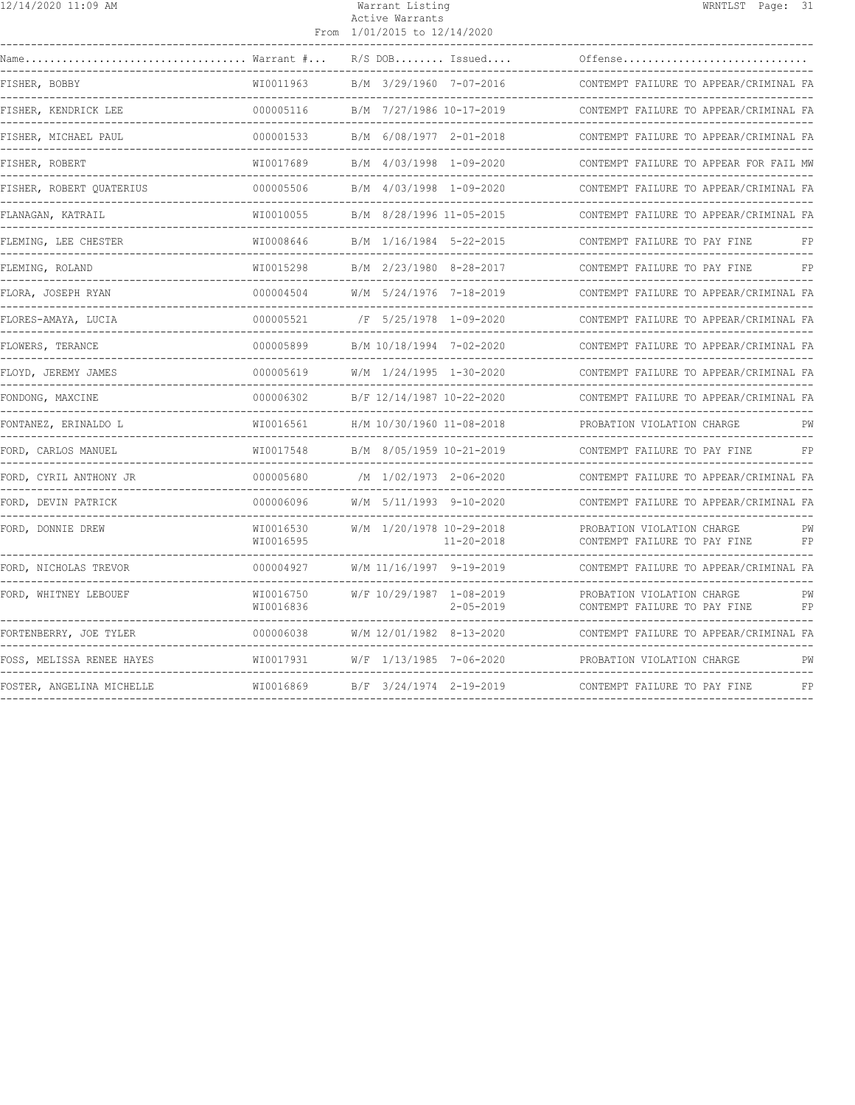| 12/14/2020 11:09 AM       |                          | Warrant Listing<br>Active Warrants<br>From 1/01/2015 to 12/14/2020 | WRNTLST Page: 31                                                           |
|---------------------------|--------------------------|--------------------------------------------------------------------|----------------------------------------------------------------------------|
| Warrant #                 |                          | $R/S$ DOB Issued                                                   | Offense                                                                    |
| FISHER, BOBBY             | WI0011963                | B/M 3/29/1960 7-07-2016                                            | CONTEMPT FAILURE TO APPEAR/CRIMINAL FA                                     |
| FISHER, KENDRICK LEE      | 000005116                | B/M 7/27/1986 10-17-2019                                           | CONTEMPT FAILURE TO APPEAR/CRIMINAL FA                                     |
| FISHER, MICHAEL PAUL      | 000001533                | B/M 6/08/1977 2-01-2018                                            | CONTEMPT FAILURE TO APPEAR/CRIMINAL FA                                     |
| FISHER, ROBERT            | WI0017689                | B/M 4/03/1998 1-09-2020                                            | CONTEMPT FAILURE TO APPEAR FOR FAIL MW                                     |
| FISHER, ROBERT QUATERIUS  | 000005506                | B/M 4/03/1998 1-09-2020                                            | CONTEMPT FAILURE TO APPEAR/CRIMINAL FA<br>-------------------------------- |
| FLANAGAN, KATRAIL         | WI0010055                | B/M 8/28/1996 11-05-2015                                           | CONTEMPT FAILURE TO APPEAR/CRIMINAL FA<br>_______________________________  |
| FLEMING, LEE CHESTER      | WI0008646                | B/M 1/16/1984 5-22-2015                                            | CONTEMPT FAILURE TO PAY FINE<br>FP                                         |
| FLEMING, ROLAND           | WI0015298                | B/M 2/23/1980 8-28-2017                                            | CONTEMPT FAILURE TO PAY FINE<br>FP                                         |
| FLORA, JOSEPH RYAN        | 000004504                | W/M 5/24/1976 7-18-2019                                            | CONTEMPT FAILURE TO APPEAR/CRIMINAL FA                                     |
| FLORES-AMAYA, LUCIA       | 000005521                | /F 5/25/1978 1-09-2020                                             | CONTEMPT FAILURE TO APPEAR/CRIMINAL FA                                     |
| FLOWERS, TERANCE          | 000005899                | B/M 10/18/1994 7-02-2020                                           | CONTEMPT FAILURE TO APPEAR/CRIMINAL FA                                     |
| FLOYD, JEREMY JAMES       | 000005619                | W/M 1/24/1995 1-30-2020                                            | CONTEMPT FAILURE TO APPEAR/CRIMINAL FA                                     |
| FONDONG, MAXCINE          | 000006302                | B/F 12/14/1987 10-22-2020                                          | CONTEMPT FAILURE TO APPEAR/CRIMINAL FA                                     |
| FONTANEZ, ERINALDO L      | WI0016561                | H/M 10/30/1960 11-08-2018                                          | PROBATION VIOLATION CHARGE<br>PW                                           |
| FORD, CARLOS MANUEL       | WI0017548                | B/M 8/05/1959 10-21-2019                                           | CONTEMPT FAILURE TO PAY FINE<br>FP                                         |
| FORD, CYRIL ANTHONY JR    | 000005680<br>----------- | /M 1/02/1973 2-06-2020                                             | CONTEMPT FAILURE TO APPEAR/CRIMINAL FA                                     |
| FORD, DEVIN PATRICK       | 000006096                | W/M 5/11/1993 9-10-2020                                            | CONTEMPT FAILURE TO APPEAR/CRIMINAL FA                                     |
| FORD, DONNIE DREW         | WI0016530<br>WI0016595   | W/M 1/20/1978 10-29-2018<br>$11 - 20 - 2018$                       | PROBATION VIOLATION CHARGE<br>PW<br>CONTEMPT FAILURE TO PAY FINE<br>FP     |
| FORD, NICHOLAS TREVOR     | 000004927                | W/M 11/16/1997 9-19-2019                                           | CONTEMPT FAILURE TO APPEAR/CRIMINAL FA                                     |
| FORD, WHITNEY LEBOUEF     | WI0016750<br>WI0016836   | W/F 10/29/1987 1-08-2019<br>$2 - 05 - 2019$                        | PROBATION VIOLATION CHARGE<br>PW<br>CONTEMPT FAILURE TO PAY FINE<br>FP     |
| FORTENBERRY, JOE TYLER    | 000006038                | W/M 12/01/1982 8-13-2020                                           | CONTEMPT FAILURE TO APPEAR/CRIMINAL FA                                     |
| FOSS, MELISSA RENEE HAYES | WI0017931                | W/F 1/13/1985 7-06-2020                                            | PROBATION VIOLATION CHARGE<br>PW                                           |
| FOSTER, ANGELINA MICHELLE | WI0016869                | B/F 3/24/1974 2-19-2019                                            | FP<br>CONTEMPT FAILURE TO PAY FINE                                         |
|                           |                          |                                                                    |                                                                            |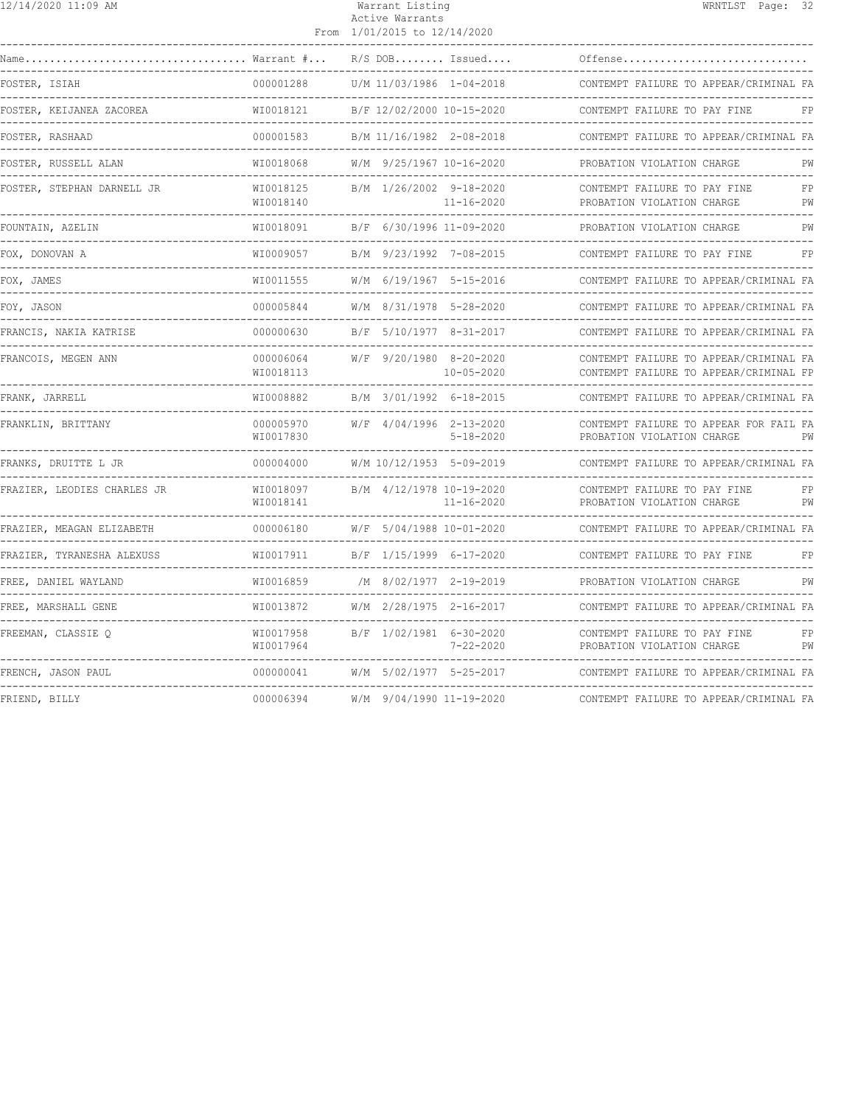| 12/14/2020 11:09 AM         |                        | Warrant Listing<br>Active Warrants<br>From 1/01/2015 to 12/14/2020 | WRNTLST Page: 32                                                                                                     |
|-----------------------------|------------------------|--------------------------------------------------------------------|----------------------------------------------------------------------------------------------------------------------|
| Name                        | Warrant #              | $R/S$ DOB Issued                                                   | Offense                                                                                                              |
| FOSTER, ISIAH               | 000001288              | U/M 11/03/1986 1-04-2018                                           | CONTEMPT FAILURE TO APPEAR/CRIMINAL FA                                                                               |
| FOSTER, KEIJANEA ZACOREA    | WI0018121              | B/F 12/02/2000 10-15-2020                                          | -------------------------------<br>CONTEMPT FAILURE TO PAY FINE<br>FP                                                |
| FOSTER, RASHAAD             | 000001583              | B/M 11/16/1982 2-08-2018                                           | CONTEMPT FAILURE TO APPEAR/CRIMINAL FA<br>----------------------------                                               |
| FOSTER, RUSSELL ALAN        | WI0018068              | W/M 9/25/1967 10-16-2020                                           | PROBATION VIOLATION CHARGE<br>РW                                                                                     |
| FOSTER, STEPHAN DARNELL JR  | WI0018125<br>WI0018140 | B/M 1/26/2002 9-18-2020<br>$11 - 16 - 2020$                        | FP<br>CONTEMPT FAILURE TO PAY FINE<br>PROBATION VIOLATION CHARGE<br>PW                                               |
| FOUNTAIN, AZELIN            | WI0018091              | B/F 6/30/1996 11-09-2020<br>----------------                       | PROBATION VIOLATION CHARGE<br>PW                                                                                     |
| FOX, DONOVAN A              | WI0009057              | B/M 9/23/1992 7-08-2015                                            | CONTEMPT FAILURE TO PAY FINE<br>FP                                                                                   |
| FOX, JAMES                  | WI0011555              | W/M 6/19/1967 5-15-2016                                            | CONTEMPT FAILURE TO APPEAR/CRIMINAL FA                                                                               |
| FOY, JASON                  | 000005844              | W/M 8/31/1978 5-28-2020                                            | CONTEMPT FAILURE TO APPEAR/CRIMINAL FA                                                                               |
| FRANCIS, NAKIA KATRISE      | 000000630              | B/F 5/10/1977 8-31-2017                                            | CONTEMPT FAILURE TO APPEAR/CRIMINAL FA                                                                               |
| FRANCOIS, MEGEN ANN         | 000006064<br>WI0018113 | W/F 9/20/1980 8-20-2020<br>$10 - 05 - 2020$                        | CONTEMPT FAILURE TO APPEAR/CRIMINAL FA<br>CONTEMPT FAILURE TO APPEAR/CRIMINAL FP                                     |
| FRANK, JARRELL              | WI0008882              | B/M 3/01/1992 6-18-2015<br>_________________                       | CONTEMPT FAILURE TO APPEAR/CRIMINAL FA<br>------------------------------                                             |
| FRANKLIN, BRITTANY          | 000005970<br>WI0017830 | W/F 4/04/1996 2-13-2020<br>$5 - 18 - 2020$                         | CONTEMPT FAILURE TO APPEAR FOR FAIL FA<br>PROBATION VIOLATION CHARGE<br>PW<br>______________________________________ |
| FRANKS, DRUITTE L JR        | 000004000              | W/M 10/12/1953 5-09-2019                                           | CONTEMPT FAILURE TO APPEAR/CRIMINAL FA                                                                               |
| FRAZIER, LEODIES CHARLES JR | WI0018097<br>WT0018141 | B/M 4/12/1978 10-19-2020<br>$11 - 16 - 2020$                       | CONTEMPT FAILURE TO PAY FINE<br>FP<br>PROBATION VIOLATION CHARGE<br>PW                                               |
| FRAZIER, MEAGAN ELIZABETH   | 000006180              | W/F 5/04/1988 10-01-2020                                           | CONTEMPT FAILURE TO APPEAR/CRIMINAL FA                                                                               |
| FRAZIER, TYRANESHA ALEXUSS  | WI0017911              | B/F 1/15/1999 6-17-2020                                            | CONTEMPT FAILURE TO PAY FINE<br>FP                                                                                   |
| FREE, DANIEL WAYLAND        | WI0016859              | /M 8/02/1977 2-19-2019                                             | PROBATION VIOLATION CHARGE<br>PW                                                                                     |
| FREE, MARSHALL GENE         | WI0013872              | $W/M$ 2/28/1975 2-16-2017                                          | CONTEMPT FAILURE TO APPEAR/CRIMINAL FA                                                                               |
| FREEMAN, CLASSIE Q          | WI0017958<br>WI0017964 | B/F 1/02/1981 6-30-2020<br>7-22-2020                               | CONTEMPT FAILURE TO PAY FINE<br>FP<br>PROBATION VIOLATION CHARGE<br>PW                                               |
| FRENCH, JASON PAUL          | 000000041              | W/M 5/02/1977 5-25-2017                                            | CONTEMPT FAILURE TO APPEAR/CRIMINAL FA                                                                               |
| FRIEND, BILLY               | 000006394              | W/M 9/04/1990 11-19-2020                                           | CONTEMPT FAILURE TO APPEAR/CRIMINAL FA                                                                               |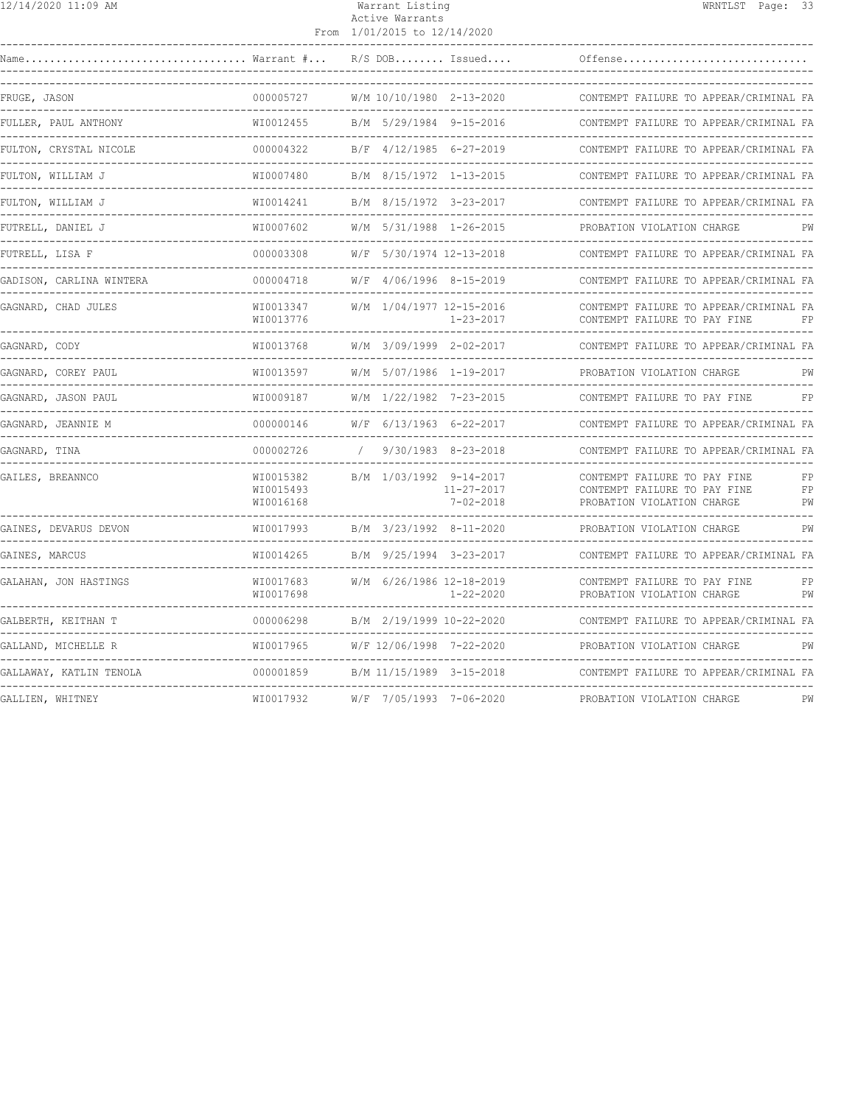|  | 12/14/2020 11:09 AM |  |  |  |
|--|---------------------|--|--|--|
|--|---------------------|--|--|--|

#### Warrant Listing National Communication of MRNTLST Page: 33 Active Warrants

|                                    |                                     | From 1/01/2015 to 12/14/2020 |                                     |                                                                                            |                |
|------------------------------------|-------------------------------------|------------------------------|-------------------------------------|--------------------------------------------------------------------------------------------|----------------|
| Name. $\ldots$                     | $\ldots$ Warrant $\# \ldots$        |                              | $R/S$ DOB Issued                    | Offense                                                                                    |                |
| FRUGE, JASON<br>---------------    | 000005727<br>------------           | W/M 10/10/1980 2-13-2020     |                                     | CONTEMPT FAILURE TO APPEAR/CRIMINAL FA                                                     |                |
| FULLER, PAUL ANTHONY               | WI0012455                           | B/M 5/29/1984 9-15-2016      |                                     | CONTEMPT FAILURE TO APPEAR/CRIMINAL FA                                                     |                |
| FULTON, CRYSTAL NICOLE             | 000004322                           | B/F 4/12/1985 6-27-2019      |                                     | CONTEMPT FAILURE TO APPEAR/CRIMINAL FA                                                     |                |
| FULTON, WILLIAM J<br>.             | WI0007480                           | B/M 8/15/1972 1-13-2015      |                                     | CONTEMPT FAILURE TO APPEAR/CRIMINAL FA                                                     |                |
| FULTON, WILLIAM J<br>------------- | WI0014241                           | B/M 8/15/1972 3-23-2017      |                                     | CONTEMPT FAILURE TO APPEAR/CRIMINAL FA<br>--------------------------                       |                |
| FUTRELL, DANIEL J<br>-----------   | WI0007602                           | W/M 5/31/1988 1-26-2015      |                                     | PROBATION VIOLATION CHARGE                                                                 | PW             |
| FUTRELL, LISA F                    | 000003308                           | W/F 5/30/1974 12-13-2018     |                                     | CONTEMPT FAILURE TO APPEAR/CRIMINAL FA                                                     |                |
| GADISON, CARLINA WINTERA           | 000004718                           | $W/F$ 4/06/1996 8-15-2019    |                                     | CONTEMPT FAILURE TO APPEAR/CRIMINAL FA                                                     |                |
| GAGNARD, CHAD JULES                | WI0013347<br>WI0013776              | W/M 1/04/1977 12-15-2016     | $1 - 23 - 2017$                     | CONTEMPT FAILURE TO APPEAR/CRIMINAL FA<br>CONTEMPT FAILURE TO PAY FINE                     | FP             |
| GAGNARD, CODY                      | WI0013768                           | W/M 3/09/1999 2-02-2017      |                                     | CONTEMPT FAILURE TO APPEAR/CRIMINAL FA                                                     |                |
| GAGNARD, COREY PAUL                | WI0013597                           | W/M 5/07/1986 1-19-2017      |                                     | PROBATION VIOLATION CHARGE                                                                 | PW             |
| GAGNARD, JASON PAUL                | WI0009187                           | W/M 1/22/1982 7-23-2015      |                                     | CONTEMPT FAILURE TO PAY FINE                                                               | FP             |
| GAGNARD, JEANNIE M                 | 000000146                           | W/F 6/13/1963 6-22-2017      |                                     | CONTEMPT FAILURE TO APPEAR/CRIMINAL FA                                                     |                |
| GAGNARD, TINA                      | 000002726                           |                              | $9/30/1983$ $8-23-2018$             | CONTEMPT FAILURE TO APPEAR/CRIMINAL FA                                                     |                |
| GAILES, BREANNCO                   | WI0015382<br>WI0015493<br>WI0016168 | B/M 1/03/1992 9-14-2017      | $11 - 27 - 2017$<br>$7 - 02 - 2018$ | CONTEMPT FAILURE TO PAY FINE<br>CONTEMPT FAILURE TO PAY FINE<br>PROBATION VIOLATION CHARGE | FP<br>FP<br>PW |
| GAINES, DEVARUS DEVON              | WI0017993                           | B/M 3/23/1992 8-11-2020      |                                     | PROBATION VIOLATION CHARGE                                                                 | PW             |
| GAINES, MARCUS                     | WI0014265                           | B/M 9/25/1994 3-23-2017      |                                     | CONTEMPT FAILURE TO APPEAR/CRIMINAL FA                                                     |                |
| GALAHAN, JON HASTINGS              | WI0017683<br>WI0017698              | W/M 6/26/1986 12-18-2019     | $1 - 22 - 2020$                     | CONTEMPT FAILURE TO PAY FINE<br>PROBATION VIOLATION CHARGE                                 | FP<br>PW       |
| GALBERTH, KEITHAN T                | 000006298                           | B/M 2/19/1999 10-22-2020     |                                     | CONTEMPT FAILURE TO APPEAR/CRIMINAL FA                                                     |                |
| GALLAND, MICHELLE R                | WI0017965                           | W/F 12/06/1998 7-22-2020     |                                     | PROBATION VIOLATION CHARGE                                                                 | PW             |
| GALLAWAY, KATLIN TENOLA            | 000001859                           | B/M 11/15/1989 3-15-2018     |                                     | CONTEMPT FAILURE TO APPEAR/CRIMINAL FA                                                     |                |
| GALLIEN, WHITNEY                   | WI0017932                           | W/F 7/05/1993 7-06-2020      |                                     | PROBATION VIOLATION CHARGE                                                                 | PW             |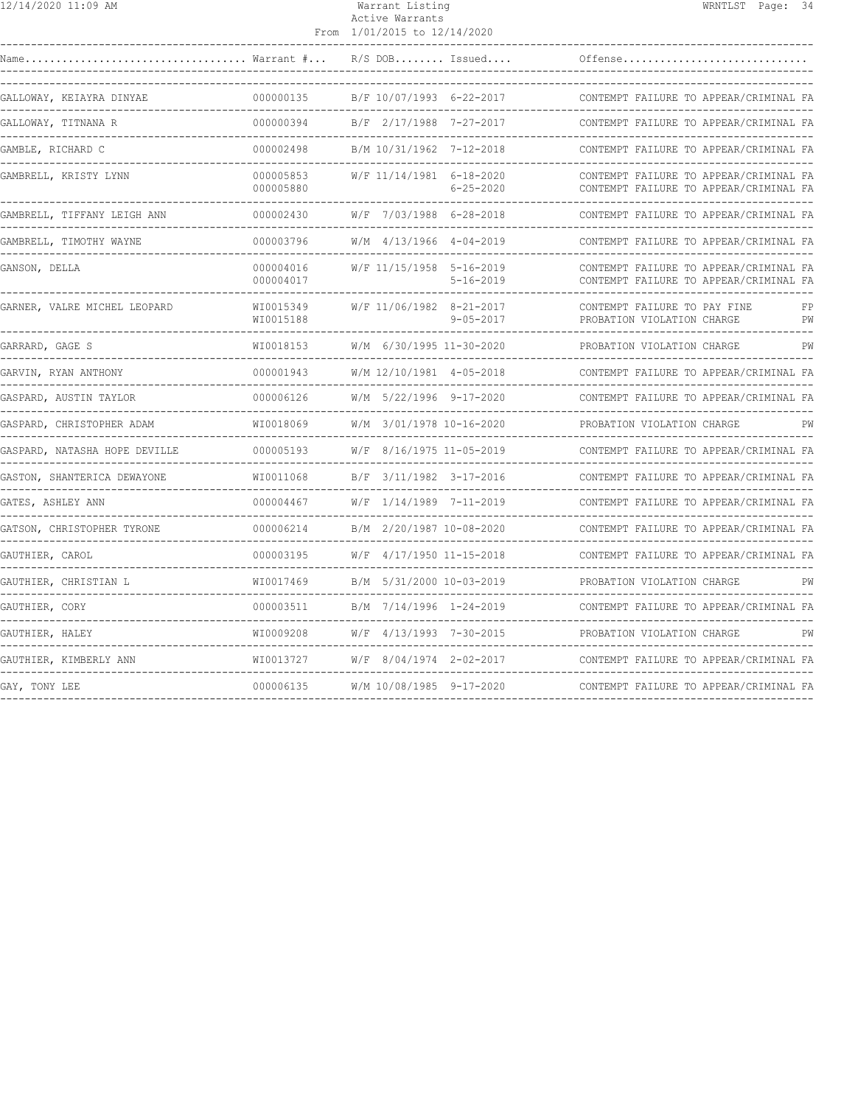| $12/14/2020$ 11:09 AM                |                                            | Warrant Listing<br>Active Warrants<br>From 1/01/2015 to 12/14/2020 | WRNTLST Page: 34                                                                                                  |
|--------------------------------------|--------------------------------------------|--------------------------------------------------------------------|-------------------------------------------------------------------------------------------------------------------|
|                                      |                                            | $R/S$ DOB Issued                                                   | Offense                                                                                                           |
| GALLOWAY, KEIAYRA DINYAE             | 000000135                                  | B/F 10/07/1993 6-22-2017                                           | CONTEMPT FAILURE TO APPEAR/CRIMINAL FA                                                                            |
| GALLOWAY, TITNANA R                  | 000000394                                  | B/F 2/17/1988 7-27-2017                                            | CONTEMPT FAILURE TO APPEAR/CRIMINAL FA                                                                            |
| GAMBLE, RICHARD C                    | 000002498                                  | B/M 10/31/1962 7-12-2018                                           | CONTEMPT FAILURE TO APPEAR/CRIMINAL FA                                                                            |
| GAMBRELL, KRISTY LYNN                | 000005853<br>000005880                     | W/F 11/14/1981 6-18-2020<br>$6 - 25 - 2020$                        | CONTEMPT FAILURE TO APPEAR/CRIMINAL FA<br>CONTEMPT FAILURE TO APPEAR/CRIMINAL FA                                  |
| GAMBRELL, TIFFANY LEIGH ANN          | 000002430                                  | W/F 7/03/1988 6-28-2018                                            | CONTEMPT FAILURE TO APPEAR/CRIMINAL FA                                                                            |
| GAMBRELL, TIMOTHY WAYNE              | 000003796<br>. _ _ _ _ _ _ _ _ _ _ _ _ _ _ | W/M 4/13/1966 4-04-2019                                            | CONTEMPT FAILURE TO APPEAR/CRIMINAL FA<br>--------------------------------                                        |
| GANSON, DELLA                        | 000004016<br>000004017                     | W/F 11/15/1958 5-16-2019<br>$5 - 16 - 2019$                        | CONTEMPT FAILURE TO APPEAR/CRIMINAL FA<br>CONTEMPT FAILURE TO APPEAR/CRIMINAL FA<br>----------------------------- |
| GARNER, VALRE MICHEL LEOPARD         | WI0015349<br>WI0015188                     | W/F 11/06/1982 8-21-2017<br>$9 - 05 - 2017$                        | CONTEMPT FAILURE TO PAY FINE<br>FP<br>PROBATION VIOLATION CHARGE<br>PW                                            |
| GARRARD, GAGE S                      | WI0018153<br><u>___________</u>            | W/M 6/30/1995 11-30-2020                                           | PROBATION VIOLATION CHARGE<br>PW                                                                                  |
| GARVIN, RYAN ANTHONY                 | 000001943<br>.                             | W/M 12/10/1981 4-05-2018                                           | CONTEMPT FAILURE TO APPEAR/CRIMINAL FA                                                                            |
| GASPARD, AUSTIN TAYLOR               | 000006126                                  | W/M 5/22/1996 9-17-2020                                            | CONTEMPT FAILURE TO APPEAR/CRIMINAL FA                                                                            |
| GASPARD, CHRISTOPHER ADAM            | WI0018069                                  | W/M 3/01/1978 10-16-2020                                           | PROBATION VIOLATION CHARGE                                                                                        |
| GASPARD, NATASHA HOPE DEVILLE        | 000005193                                  | W/F 8/16/1975 11-05-2019                                           | CONTEMPT FAILURE TO APPEAR/CRIMINAL FA                                                                            |
| GASTON, SHANTERICA DEWAYONE          | WI0011068<br>--------------                | B/F 3/11/1982 3-17-2016 CONTEMPT FAIL                              | CONTEMPT FAILURE TO APPEAR/CRIMINAL FA                                                                            |
| GATES, ASHLEY ANN<br>_______________ | 000004467                                  | W/F 1/14/1989 7-11-2019                                            | CONTEMPT FAILURE TO APPEAR/CRIMINAL FA                                                                            |
| GATSON, CHRISTOPHER TYRONE           | 000006214                                  | B/M 2/20/1987 10-08-2020                                           | CONTEMPT FAILURE TO APPEAR/CRIMINAL FA                                                                            |
| GAUTHIER, CAROL                      | 000003195                                  | W/F 4/17/1950 11-15-2018                                           | CONTEMPT FAILURE TO APPEAR/CRIMINAL FA                                                                            |
| GAUTHIER, CHRISTIAN L                | WI0017469<br>________________              | B/M 5/31/2000 10-03-2019                                           | PROBATION VIOLATION CHARGE<br>PW                                                                                  |
| GAUTHIER, CORY                       | 000003511                                  | B/M 7/14/1996 1-24-2019                                            | CONTEMPT FAILURE TO APPEAR/CRIMINAL FA                                                                            |
| GAUTHIER, HALEY                      | WI0009208                                  | $W/F$ 4/13/1993 7-30-2015                                          | PROBATION VIOLATION CHARGE<br>PW                                                                                  |
| GAUTHIER, KIMBERLY ANN               | WI0013727                                  | W/F 8/04/1974 2-02-2017                                            | CONTEMPT FAILURE TO APPEAR/CRIMINAL FA                                                                            |
| GAY, TONY LEE                        |                                            |                                                                    | CONTEMPT FAILURE TO APPEAR/CRIMINAL FA                                                                            |
|                                      |                                            |                                                                    |                                                                                                                   |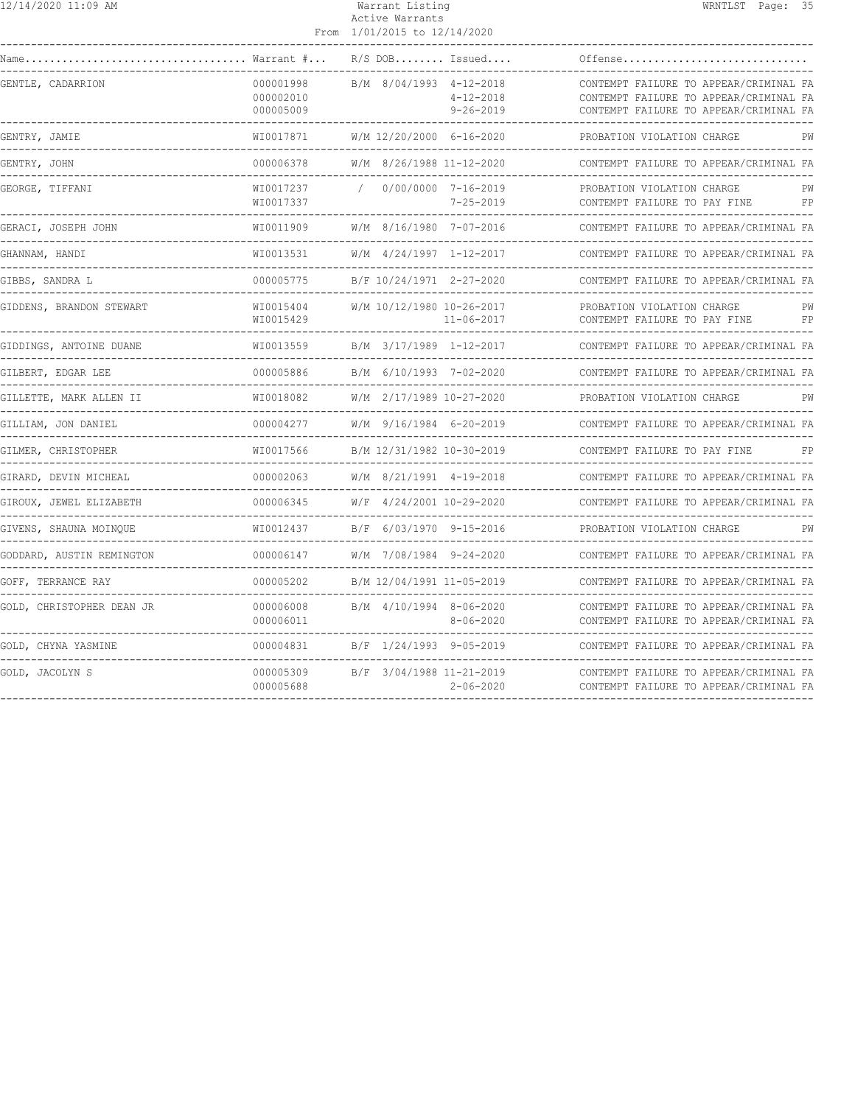| $12/14/2020$ 11:09 AM                                     |                                     | Warrant Listing<br>Active Warrants<br>From 1/01/2015 to 12/14/2020 | WRNTLST Page: 35                                                                                                           |
|-----------------------------------------------------------|-------------------------------------|--------------------------------------------------------------------|----------------------------------------------------------------------------------------------------------------------------|
| Warrant #<br>Name                                         |                                     | $R/S$ DOB Issued                                                   | Offense                                                                                                                    |
| GENTLE, CADARRION                                         | 000001998<br>000002010<br>000005009 | B/M 8/04/1993 4-12-2018<br>$4 - 12 - 2018$<br>$9 - 26 - 2019$      | CONTEMPT FAILURE TO APPEAR/CRIMINAL FA<br>CONTEMPT FAILURE TO APPEAR/CRIMINAL FA<br>CONTEMPT FAILURE TO APPEAR/CRIMINAL FA |
| GENTRY, JAMIE<br>-----------------                        | WI0017871<br>------------           | W/M 12/20/2000 6-16-2020                                           | PROBATION VIOLATION CHARGE<br>PW                                                                                           |
| GENTRY, JOHN                                              | 000006378                           | W/M 8/26/1988 11-12-2020                                           | CONTEMPT FAILURE TO APPEAR/CRIMINAL FA                                                                                     |
| GEORGE, TIFFANI                                           | WI0017237<br>WI0017337              | $0/00/0000$ 7-16-2019<br>$7 - 25 - 2019$                           | PROBATION VIOLATION CHARGE<br>PW<br>CONTEMPT FAILURE TO PAY FINE<br>FP                                                     |
| GERACI, JOSEPH JOHN<br>---------------------------------- | WI0011909                           | W/M 8/16/1980 7-07-2016                                            | CONTEMPT FAILURE TO APPEAR/CRIMINAL FA                                                                                     |
| GHANNAM, HANDI                                            | WI0013531                           | W/M 4/24/1997 1-12-2017                                            | CONTEMPT FAILURE TO APPEAR/CRIMINAL FA                                                                                     |
| GIBBS, SANDRA L                                           | 000005775                           | B/F 10/24/1971 2-27-2020                                           | CONTEMPT FAILURE TO APPEAR/CRIMINAL FA                                                                                     |
| GIDDENS, BRANDON STEWART                                  | WI0015404<br>WI0015429              | W/M 10/12/1980 10-26-2017<br>$11 - 06 - 2017$                      | PROBATION VIOLATION CHARGE<br>PW<br>CONTEMPT FAILURE TO PAY FINE<br>FP                                                     |
| GIDDINGS, ANTOINE DUANE                                   | WI0013559<br>. <u>.</u> .           | B/M 3/17/1989 1-12-2017                                            | CONTEMPT FAILURE TO APPEAR/CRIMINAL FA                                                                                     |
| GILBERT, EDGAR LEE                                        | 000005886                           | B/M 6/10/1993 7-02-2020<br>---------------------------------       | CONTEMPT FAILURE TO APPEAR/CRIMINAL FA                                                                                     |
| GILLETTE, MARK ALLEN II                                   | WI0018082                           | W/M 2/17/1989 10-27-2020                                           | PROBATION VIOLATION CHARGE<br>PW                                                                                           |
| GILLIAM, JON DANIEL                                       | 000004277                           | W/M 9/16/1984 6-20-2019                                            | CONTEMPT FAILURE TO APPEAR/CRIMINAL FA                                                                                     |
| GILMER, CHRISTOPHER                                       | WI0017566                           | B/M 12/31/1982 10-30-2019                                          | CONTEMPT FAILURE TO PAY FINE<br>FP                                                                                         |
| GIRARD, DEVIN MICHEAL                                     | 000002063                           | W/M 8/21/1991 4-19-2018                                            | CONTEMPT FAILURE TO APPEAR/CRIMINAL FA                                                                                     |
| GIROUX, JEWEL ELIZABETH                                   | 000006345                           | W/F 4/24/2001 10-29-2020                                           | CONTEMPT FAILURE TO APPEAR/CRIMINAL FA                                                                                     |
| GIVENS, SHAUNA MOINQUE                                    | WI0012437                           | B/F 6/03/1970 9-15-2016                                            | PROBATION VIOLATION CHARGE                                                                                                 |
| GODDARD, AUSTIN REMINGTON                                 | 000006147                           | W/M 7/08/1984 9-24-2020                                            | CONTEMPT FAILURE TO APPEAR/CRIMINAL FA                                                                                     |
| GOFF, TERRANCE RAY                                        | 000005202                           | B/M 12/04/1991 11-05-2019                                          | CONTEMPT FAILURE TO APPEAR/CRIMINAL FA                                                                                     |
| GOLD, CHRISTOPHER DEAN JR                                 | 000006008<br>000006011              | B/M 4/10/1994 8-06-2020<br>$8 - 06 - 2020$                         | CONTEMPT FAILURE TO APPEAR/CRIMINAL FA<br>CONTEMPT FAILURE TO APPEAR/CRIMINAL FA                                           |
| GOLD, CHYNA YASMINE                                       | 000004831                           | B/F 1/24/1993 9-05-2019                                            | CONTEMPT FAILURE TO APPEAR/CRIMINAL FA                                                                                     |
| GOLD, JACOLYN S                                           | 000005309<br>000005688              | B/F 3/04/1988 11-21-2019<br>$2 - 06 - 2020$                        | CONTEMPT FAILURE TO APPEAR/CRIMINAL FA<br>CONTEMPT FAILURE TO APPEAR/CRIMINAL FA                                           |
|                                                           |                                     |                                                                    |                                                                                                                            |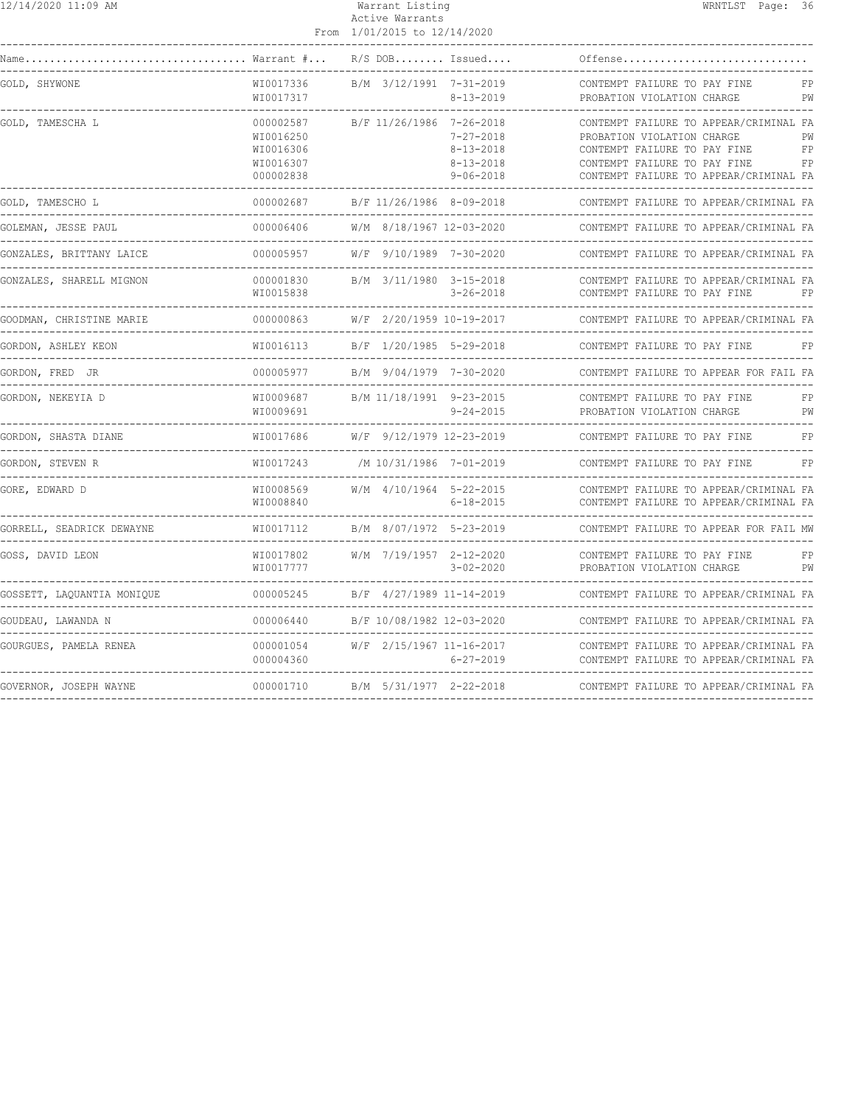| 12/14/2020 11:09 AM |  |
|---------------------|--|
|---------------------|--|

#### Warrant Listing WRNTLST Page: 36 Active Warrants

|                            |                                                               | From 1/01/2015 to 12/14/2020 |                                                                          |                                                                                                                                                                                                  |
|----------------------------|---------------------------------------------------------------|------------------------------|--------------------------------------------------------------------------|--------------------------------------------------------------------------------------------------------------------------------------------------------------------------------------------------|
|                            |                                                               |                              | $R/S$ DOB Issued                                                         | Offense                                                                                                                                                                                          |
| GOLD, SHYWONE              | WI0017336<br>WI0017317                                        | B/M 3/12/1991 7-31-2019      | $8 - 13 - 2019$                                                          | CONTEMPT FAILURE TO PAY FINE<br>FP<br>PROBATION VIOLATION CHARGE<br>PW                                                                                                                           |
| GOLD, TAMESCHA L           | 000002587<br>WI0016250<br>WI0016306<br>WI0016307<br>000002838 | B/F 11/26/1986 7-26-2018     | $7 - 27 - 2018$<br>$8 - 13 - 2018$<br>$8 - 13 - 2018$<br>$9 - 06 - 2018$ | CONTEMPT FAILURE TO APPEAR/CRIMINAL FA<br>PROBATION VIOLATION CHARGE<br>PW<br>CONTEMPT FAILURE TO PAY FINE<br>FP<br>CONTEMPT FAILURE TO PAY FINE<br>FP<br>CONTEMPT FAILURE TO APPEAR/CRIMINAL FA |
| GOLD, TAMESCHO L           | 000002687                                                     |                              |                                                                          | B/F 11/26/1986 8-09-2018 CONTEMPT FAILURE TO APPEAR/C<br>CONTEMPT FAILURE TO APPEAR/CRIMINAL FA                                                                                                  |
| GOLEMAN, JESSE PAUL        | 000006406                                                     | W/M 8/18/1967 12-03-2020     |                                                                          | CONTEMPT FAILURE TO APPEAR/CRIMINAL FA                                                                                                                                                           |
| GONZALES, BRITTANY LAICE   | 000005957                                                     |                              | W/F 9/10/1989 7-30-2020                                                  | CONTEMPT FAILURE TO APPEAR/CRIMINAL FA                                                                                                                                                           |
| GONZALES, SHARELL MIGNON   | 000001830<br>WI0015838                                        | B/M 3/11/1980 3-15-2018      | $3 - 26 - 2018$                                                          | CONTEMPT FAILURE TO APPEAR/CRIMINAL FA<br>CONTEMPT FAILURE TO PAY FINE<br>FP                                                                                                                     |
| GOODMAN, CHRISTINE MARIE   | 000000863                                                     | W/F 2/20/1959 10-19-2017     |                                                                          | CONTEMPT FAILURE TO APPEAR/CRIMINAL FA                                                                                                                                                           |
| GORDON, ASHLEY KEON        | WI0016113                                                     | B/F 1/20/1985 5-29-2018      |                                                                          | CONTEMPT FAILURE TO PAY FINE<br>FP                                                                                                                                                               |
| GORDON, FRED JR            | 000005977                                                     | B/M 9/04/1979 7-30-2020      |                                                                          | CONTEMPT FAILURE TO APPEAR FOR FAIL FA                                                                                                                                                           |
| GORDON, NEKEYIA D          | WI0009687<br>WI0009691                                        | B/M 11/18/1991 9-23-2015     | $9 - 24 - 2015$                                                          | CONTEMPT FAILURE TO PAY FINE<br>FP<br>PROBATION VIOLATION CHARGE<br>PW                                                                                                                           |
| GORDON, SHASTA DIANE       | WI0017686                                                     |                              | W/F 9/12/1979 12-23-2019                                                 | CONTEMPT FAILURE TO PAY FINE<br>FP                                                                                                                                                               |
| GORDON, STEVEN R           | WI0017243                                                     | /M 10/31/1986 7-01-2019      |                                                                          | CONTEMPT FAILURE TO PAY FINE<br>FP                                                                                                                                                               |
| GORE, EDWARD D             | WI0008569<br>WI0008840                                        | W/M 4/10/1964 5-22-2015      | $6 - 18 - 2015$                                                          | CONTEMPT FAILURE TO APPEAR/CRIMINAL FA<br>CONTEMPT FAILURE TO APPEAR/CRIMINAL FA                                                                                                                 |
| GORRELL, SEADRICK DEWAYNE  | WI0017112                                                     |                              | B/M 8/07/1972 5-23-2019                                                  | CONTEMPT FAILURE TO APPEAR FOR FAIL MW                                                                                                                                                           |
| GOSS, DAVID LEON           | WI0017802<br>WI0017777<br>--------------                      | W/M 7/19/1957 2-12-2020      | $3 - 02 - 2020$                                                          | CONTEMPT FAILURE TO PAY FINE<br>FP<br>PROBATION VIOLATION CHARGE<br>PW                                                                                                                           |
| GOSSETT, LAQUANTIA MONIQUE | 000005245                                                     |                              | B/F 4/27/1989 11-14-2019                                                 | CONTEMPT FAILURE TO APPEAR/CRIMINAL FA                                                                                                                                                           |
| GOUDEAU, LAWANDA N         | 000006440                                                     |                              | B/F 10/08/1982 12-03-2020                                                | CONTEMPT FAILURE TO APPEAR/CRIMINAL FA<br>_______________________                                                                                                                                |
| GOURGUES, PAMELA RENEA     | 000001054<br>000004360                                        | W/F 2/15/1967 11-16-2017     | 6-27-2019                                                                | CONTEMPT FAILURE TO APPEAR/CRIMINAL FA<br>CONTEMPT FAILURE TO APPEAR/CRIMINAL FA                                                                                                                 |
| GOVERNOR, JOSEPH WAYNE     |                                                               |                              | 000001710 B/M 5/31/1977 2-22-2018                                        | CONTEMPT FAILURE TO APPEAR/CRIMINAL FA                                                                                                                                                           |
|                            |                                                               |                              |                                                                          |                                                                                                                                                                                                  |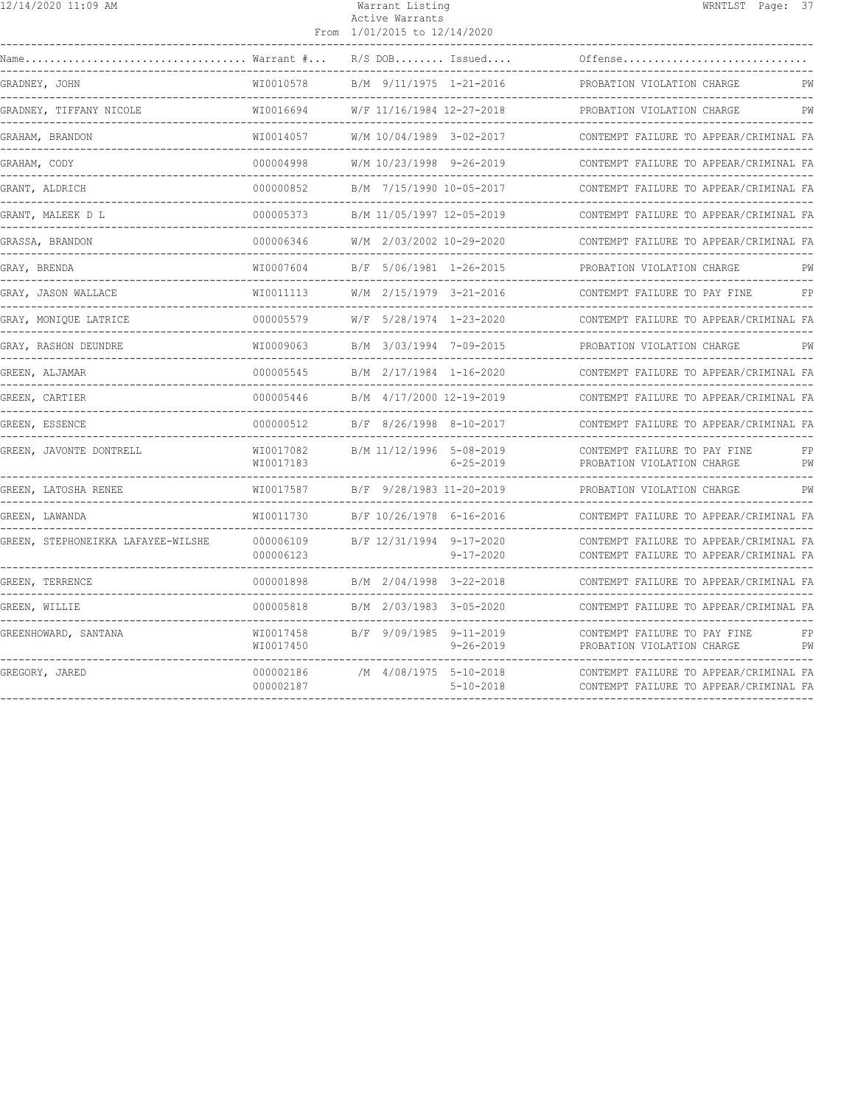| 12/14/2020 11:09 AM                                       |                                  | Warrant Listing<br>Active Warrants<br>From 1/01/2015 to 12/14/2020 |                         |                                                                                  | WRNTLST Page: 37 |          |
|-----------------------------------------------------------|----------------------------------|--------------------------------------------------------------------|-------------------------|----------------------------------------------------------------------------------|------------------|----------|
| $\ldots \ldots \ldots \ldots$ Warrant $\# \ldots$<br>Name |                                  | $R/S$ DOB Issued                                                   |                         | Offense                                                                          |                  |          |
| GRADNEY, JOHN                                             | WI0010578                        | B/M 9/11/1975 1-21-2016                                            |                         | PROBATION VIOLATION CHARGE                                                       |                  | PW       |
| GRADNEY, TIFFANY NICOLE                                   | WI0016694                        | W/F 11/16/1984 12-27-2018                                          |                         | PROBATION VIOLATION CHARGE                                                       |                  | PW       |
| GRAHAM, BRANDON                                           | WI0014057                        | W/M 10/04/1989 3-02-2017                                           |                         | CONTEMPT FAILURE TO APPEAR/CRIMINAL FA                                           |                  |          |
| GRAHAM, CODY                                              | 000004998                        | W/M 10/23/1998 9-26-2019                                           |                         | CONTEMPT FAILURE TO APPEAR/CRIMINAL FA                                           |                  |          |
| GRANT, ALDRICH                                            | 000000852                        | B/M 7/15/1990 10-05-2017                                           |                         | CONTEMPT FAILURE TO APPEAR/CRIMINAL FA                                           |                  |          |
| GRANT, MALEEK D L                                         | 000005373<br>. _ _ _ _ _ _ _ _ _ | B/M 11/05/1997 12-05-2019                                          |                         | CONTEMPT FAILURE TO APPEAR/CRIMINAL FA                                           |                  |          |
| GRASSA, BRANDON                                           | 000006346                        | W/M 2/03/2002 10-29-2020                                           |                         | CONTEMPT FAILURE TO APPEAR/CRIMINAL FA                                           |                  |          |
| GRAY, BRENDA                                              | WI0007604                        | B/F 5/06/1981 1-26-2015                                            |                         | PROBATION VIOLATION CHARGE                                                       |                  | PW       |
| GRAY, JASON WALLACE                                       | WI0011113                        | W/M 2/15/1979 3-21-2016                                            |                         | CONTEMPT FAILURE TO PAY FINE                                                     |                  | FP       |
| GRAY, MONIQUE LATRICE                                     | 000005579                        | W/F 5/28/1974 1-23-2020                                            |                         | CONTEMPT FAILURE TO APPEAR/CRIMINAL FA                                           |                  |          |
| GRAY, RASHON DEUNDRE                                      | WI0009063<br>____________        | B/M 3/03/1994 7-09-2015                                            |                         | PROBATION VIOLATION CHARGE                                                       |                  | PW       |
| GREEN, ALJAMAR                                            | 000005545                        |                                                                    | B/M 2/17/1984 1-16-2020 | CONTEMPT FAILURE TO APPEAR/CRIMINAL FA                                           |                  |          |
| GREEN, CARTIER                                            | 000005446                        | B/M 4/17/2000 12-19-2019                                           |                         | CONTEMPT FAILURE TO APPEAR/CRIMINAL FA                                           |                  |          |
| GREEN, ESSENCE                                            | 000000512                        |                                                                    | B/F 8/26/1998 8-10-2017 | CONTEMPT FAILURE TO APPEAR/CRIMINAL FA                                           |                  |          |
| GREEN, JAVONTE DONTRELL                                   | WI0017082<br>WI0017183           | B/M 11/12/1996 5-08-2019                                           | $6 - 25 - 2019$         | CONTEMPT FAILURE TO PAY FINE<br>PROBATION VIOLATION CHARGE                       |                  | FP<br>PW |
| GREEN, LATOSHA RENEE                                      | WI0017587                        | B/F 9/28/1983 11-20-2019                                           |                         | PROBATION VIOLATION CHARGE                                                       |                  | PW       |
| GREEN, LAWANDA                                            | WI0011730                        | B/F 10/26/1978 6-16-2016                                           |                         | CONTEMPT FAILURE TO APPEAR/CRIMINAL FA                                           |                  |          |
| GREEN, STEPHONEIKKA LAFAYEE-WILSHE                        | 000006109<br>000006123           | B/F 12/31/1994 9-17-2020                                           | $9 - 17 - 2020$         | CONTEMPT FAILURE TO APPEAR/CRIMINAL FA<br>CONTEMPT FAILURE TO APPEAR/CRIMINAL FA |                  |          |
| GREEN, TERRENCE                                           | 000001898                        | B/M 2/04/1998 3-22-2018                                            |                         | CONTEMPT FAILURE TO APPEAR/CRIMINAL FA                                           |                  |          |
| GREEN, WILLIE                                             | 000005818                        | B/M 2/03/1983 3-05-2020                                            |                         | CONTEMPT FAILURE TO APPEAR/CRIMINAL FA                                           |                  |          |
| GREENHOWARD, SANTANA                                      | WI0017458<br>WI0017450           | B/F 9/09/1985 9-11-2019                                            | $9 - 26 - 2019$         | CONTEMPT FAILURE TO PAY FINE<br>PROBATION VIOLATION CHARGE                       |                  | FP<br>PW |
| GREGORY, JARED                                            | 000002186<br>000002187           | /M 4/08/1975 5-10-2018                                             | $5 - 10 - 2018$         | CONTEMPT FAILURE TO APPEAR/CRIMINAL FA<br>CONTEMPT FAILURE TO APPEAR/CRIMINAL FA |                  |          |
|                                                           |                                  |                                                                    |                         |                                                                                  |                  |          |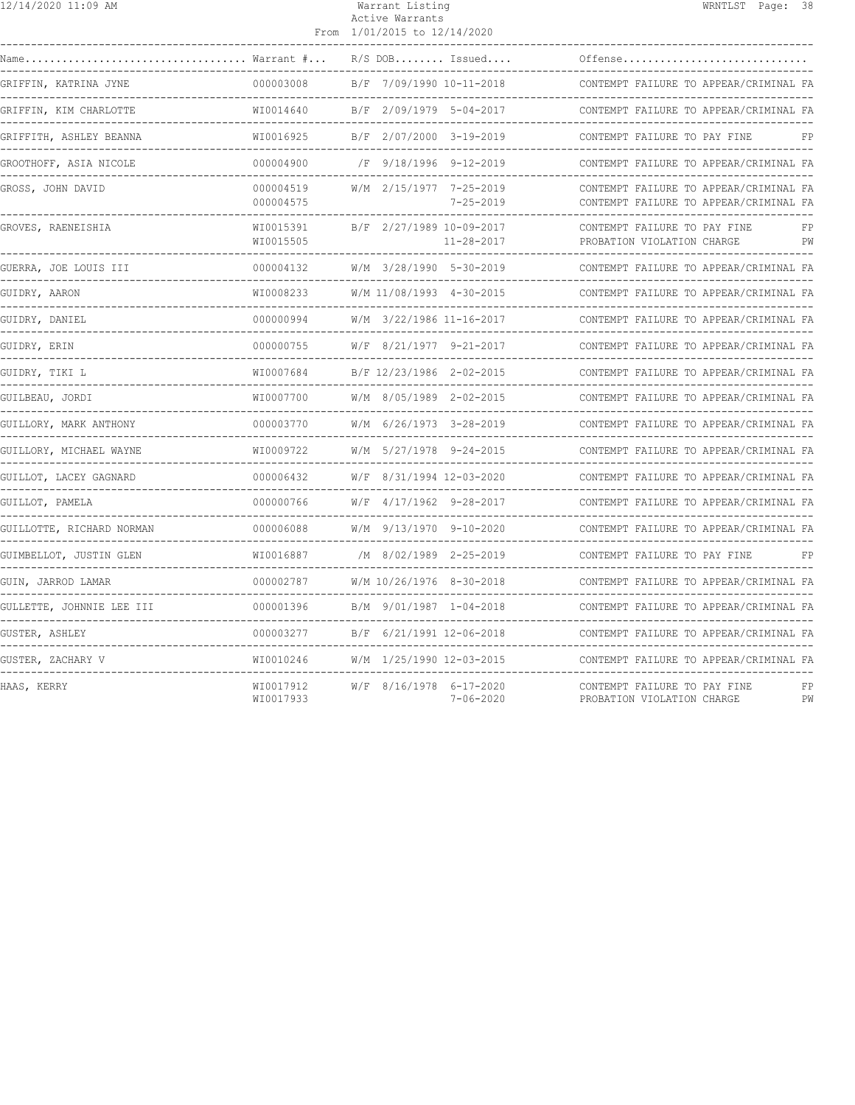| 12/14/2020 11:09 AM                                                                                                                    |                             | Warrant Listing<br>Active Warrants<br>From 1/01/2015 to 12/14/2020 | WRNTLST Page: 38                                                                 |
|----------------------------------------------------------------------------------------------------------------------------------------|-----------------------------|--------------------------------------------------------------------|----------------------------------------------------------------------------------|
| $\texttt{Name} \dots \dots \dots \dots \dots \dots \dots \dots \dots \dots \dots \ \texttt{Warrant} \ \texttt{\#} \dots \ \texttt{\#}$ |                             | $R/S$ DOB Issued                                                   | Offense                                                                          |
| GRIFFIN, KATRINA JYNE                                                                                                                  | 000003008                   | B/F 7/09/1990 10-11-2018                                           | CONTEMPT FAILURE TO APPEAR/CRIMINAL FA                                           |
| GRIFFIN, KIM CHARLOTTE                                                                                                                 | WI0014640                   | B/F 2/09/1979 5-04-2017                                            | CONTEMPT FAILURE TO APPEAR/CRIMINAL FA                                           |
| GRIFFITH, ASHLEY BEANNA                                                                                                                | WI0016925                   | B/F 2/07/2000 3-19-2019                                            | CONTEMPT FAILURE TO PAY FINE                                                     |
| GROOTHOFF, ASIA NICOLE                                                                                                                 | --------------<br>000004900 | /F 9/18/1996 9-12-2019                                             | CONTEMPT FAILURE TO APPEAR/CRIMINAL FA                                           |
| GROSS, JOHN DAVID                                                                                                                      | 000004519<br>000004575      | W/M 2/15/1977 7-25-2019<br>$7 - 25 - 2019$                         | CONTEMPT FAILURE TO APPEAR/CRIMINAL FA<br>CONTEMPT FAILURE TO APPEAR/CRIMINAL FA |
| GROVES, RAENEISHIA                                                                                                                     | WI0015391<br>WI0015505      | B/F 2/27/1989 10-09-2017<br>$11 - 28 - 2017$                       | CONTEMPT FAILURE TO PAY FINE<br>FP<br>PROBATION VIOLATION CHARGE<br>PW           |
| GUERRA, JOE LOUIS III                                                                                                                  | 000004132                   | W/M 3/28/1990 5-30-2019                                            | CONTEMPT FAILURE TO APPEAR/CRIMINAL FA                                           |
| GUIDRY, AARON                                                                                                                          | WI0008233                   | W/M 11/08/1993 4-30-2015                                           | CONTEMPT FAILURE TO APPEAR/CRIMINAL FA                                           |
| GUIDRY, DANIEL                                                                                                                         | 000000994                   | W/M 3/22/1986 11-16-2017                                           | CONTEMPT FAILURE TO APPEAR/CRIMINAL FA                                           |
| GUIDRY, ERIN                                                                                                                           | 000000755                   | W/F 8/21/1977 9-21-2017                                            | CONTEMPT FAILURE TO APPEAR/CRIMINAL FA                                           |
| GUIDRY, TIKI L                                                                                                                         | WI0007684                   | B/F 12/23/1986 2-02-2015                                           | CONTEMPT FAILURE TO APPEAR/CRIMINAL FA                                           |
| GUILBEAU, JORDI                                                                                                                        | WI0007700                   | W/M 8/05/1989 2-02-2015                                            | CONTEMPT FAILURE TO APPEAR/CRIMINAL FA                                           |
| GUILLORY, MARK ANTHONY                                                                                                                 | 000003770                   | W/M 6/26/1973 3-28-2019                                            | CONTEMPT FAILURE TO APPEAR/CRIMINAL FA                                           |
| GUILLORY, MICHAEL WAYNE                                                                                                                | WI0009722                   | W/M 5/27/1978 9-24-2015                                            | CONTEMPT FAILURE TO APPEAR/CRIMINAL FA                                           |
| GUILLOT, LACEY GAGNARD                                                                                                                 | 000006432                   | W/F 8/31/1994 12-03-2020                                           | CONTEMPT FAILURE TO APPEAR/CRIMINAL FA                                           |
| GUILLOT, PAMELA                                                                                                                        | 000000766                   | $W/F$ 4/17/1962 9-28-2017                                          | CONTEMPT FAILURE TO APPEAR/CRIMINAL FA                                           |
| GUILLOTTE, RICHARD NORMAN                                                                                                              | 000006088                   | W/M 9/13/1970 9-10-2020                                            | CONTEMPT FAILURE TO APPEAR/CRIMINAL FA                                           |
| GUIMBELLOT, JUSTIN GLEN                                                                                                                | WI0016887                   | /M 8/02/1989 2-25-2019                                             | CONTEMPT FAILURE TO PAY FINE<br>FP                                               |
| GUIN, JARROD LAMAR                                                                                                                     | 000002787                   | W/M 10/26/1976 8-30-2018                                           | CONTEMPT FAILURE TO APPEAR/CRIMINAL FA                                           |
| GULLETTE, JOHNNIE LEE III                                                                                                              | 000001396                   | B/M 9/01/1987 1-04-2018                                            | CONTEMPT FAILURE TO APPEAR/CRIMINAL FA                                           |
| GUSTER, ASHLEY                                                                                                                         | 000003277                   | B/F 6/21/1991 12-06-2018                                           | CONTEMPT FAILURE TO APPEAR/CRIMINAL FA                                           |
| GUSTER, ZACHARY V                                                                                                                      | WI0010246                   | W/M 1/25/1990 12-03-2015                                           | CONTEMPT FAILURE TO APPEAR/CRIMINAL FA                                           |
| HAAS, KERRY                                                                                                                            | WI0017912<br>WI0017933      | W/F 8/16/1978 6-17-2020<br>$7 - 06 - 2020$                         | CONTEMPT FAILURE TO PAY FINE<br>FP<br>PROBATION VIOLATION CHARGE<br>PW           |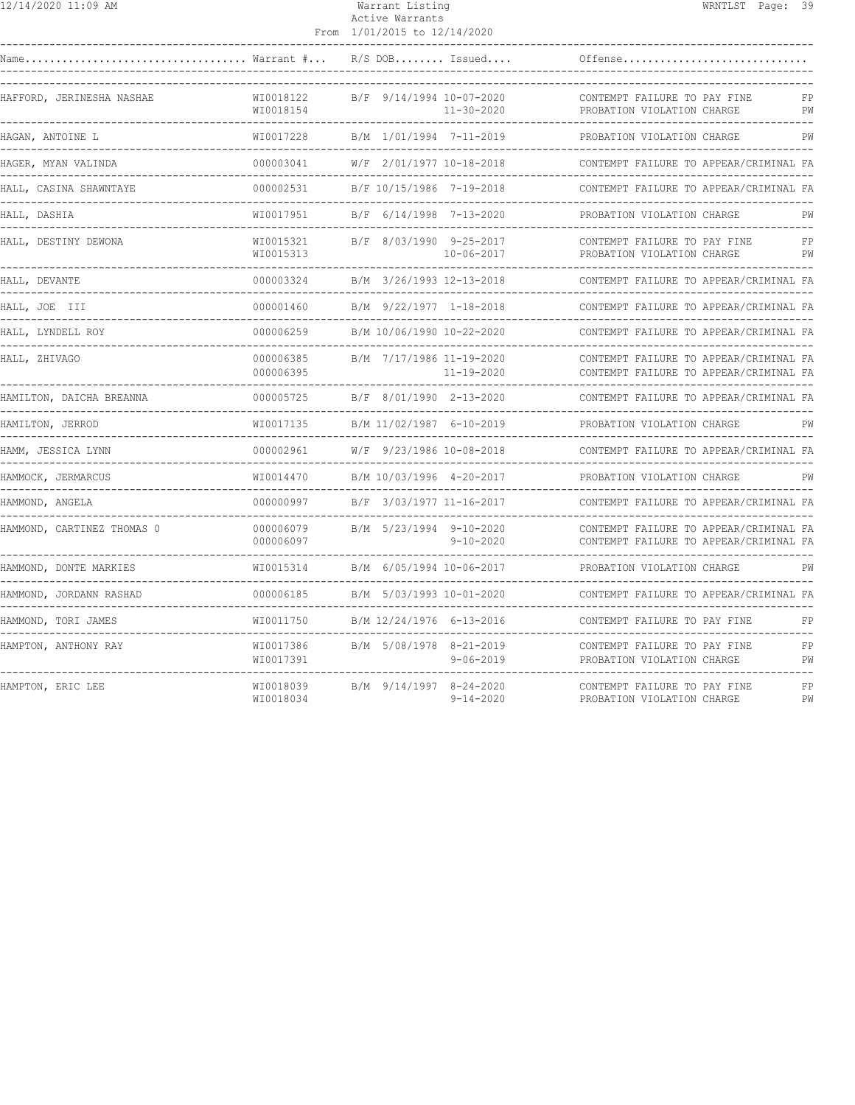| 12/14/2020 11:09 AM |  |
|---------------------|--|
|---------------------|--|

## Warrant Listing WRNTLST Page: 39 Active Warrants

|                            |                            | From 1/01/2015 to 12/14/2020                      |                 |                                                                                  |          |
|----------------------------|----------------------------|---------------------------------------------------|-----------------|----------------------------------------------------------------------------------|----------|
| Warrant #<br>Name          |                            | $R/S$ DOB Issued                                  |                 | Offense                                                                          |          |
| HAFFORD, JERINESHA NASHAE  | WI0018122<br>WI0018154     | B/F 9/14/1994 10-07-2020<br>$11 - 30 - 2020$      |                 | CONTEMPT FAILURE TO PAY FINE<br>PROBATION VIOLATION CHARGE                       | FP<br>PW |
| HAGAN, ANTOINE L           | WI0017228                  | B/M 1/01/1994 7-11-2019<br>________________       |                 | PROBATION VIOLATION CHARGE                                                       | PW       |
| HAGER, MYAN VALINDA        | 000003041                  | W/F 2/01/1977 10-18-2018                          |                 | CONTEMPT FAILURE TO APPEAR/CRIMINAL FA                                           |          |
| HALL, CASINA SHAWNTAYE     | 000002531                  | B/F 10/15/1986 7-19-2018                          |                 | CONTEMPT FAILURE TO APPEAR/CRIMINAL FA                                           |          |
| HALL, DASHIA               | WI0017951                  | B/F 6/14/1998 7-13-2020                           |                 | PROBATION VIOLATION CHARGE                                                       | PW       |
| HALL, DESTINY DEWONA       | WI0015321<br>WI0015313     | B/F 8/03/1990 9-25-2017<br>$10 - 06 - 2017$       |                 | CONTEMPT FAILURE TO PAY FINE<br>PROBATION VIOLATION CHARGE                       | FP<br>PW |
| HALL, DEVANTE              | 000003324                  | B/M 3/26/1993 12-13-2018                          |                 | CONTEMPT FAILURE TO APPEAR/CRIMINAL FA                                           |          |
| HALL, JOE III              | 000001460<br>------------- | B/M 9/22/1977 1-18-2018                           |                 | CONTEMPT FAILURE TO APPEAR/CRIMINAL FA                                           |          |
| HALL, LYNDELL ROY          | 000006259                  | B/M 10/06/1990 10-22-2020                         |                 | CONTEMPT FAILURE TO APPEAR/CRIMINAL FA                                           |          |
| HALL, ZHIVAGO              | 000006385<br>000006395     | B/M 7/17/1986 11-19-2020<br>11-19-2020            |                 | CONTEMPT FAILURE TO APPEAR/CRIMINAL FA<br>CONTEMPT FAILURE TO APPEAR/CRIMINAL FA |          |
| HAMILTON, DAICHA BREANNA   | 000005725                  | B/F 8/01/1990 2-13-2020                           |                 | CONTEMPT FAILURE TO APPEAR/CRIMINAL FA                                           |          |
| HAMILTON, JERROD           | WI0017135                  | B/M 11/02/1987 6-10-2019                          |                 | PROBATION VIOLATION CHARGE                                                       | PW       |
| HAMM, JESSICA LYNN         | 000002961                  | W/F 9/23/1986 10-08-2018                          |                 | CONTEMPT FAILURE TO APPEAR/CRIMINAL FA                                           |          |
| HAMMOCK, JERMARCUS         | WI0014470                  | B/M 10/03/1996 4-20-2017                          |                 | PROBATION VIOLATION CHARGE                                                       |          |
| HAMMOND, ANGELA            | 000000997                  | B/F 3/03/1977 11-16-2017<br><u>______________</u> |                 | CONTEMPT FAILURE TO APPEAR/CRIMINAL FA                                           |          |
| HAMMOND, CARTINEZ THOMAS 0 | 000006079<br>000006097     | B/M 5/23/1994 9-10-2020                           | $9 - 10 - 2020$ | CONTEMPT FAILURE TO APPEAR/CRIMINAL FA<br>CONTEMPT FAILURE TO APPEAR/CRIMINAL FA |          |
| HAMMOND, DONTE MARKIES     | WI0015314                  | B/M 6/05/1994 10-06-2017                          |                 | PROBATION VIOLATION CHARGE                                                       | PW       |
| HAMMOND, JORDANN RASHAD    | 000006185                  | B/M 5/03/1993 10-01-2020                          |                 | CONTEMPT FAILURE TO APPEAR/CRIMINAL FA                                           |          |
| HAMMOND, TORI JAMES        | WI0011750                  | B/M 12/24/1976 6-13-2016                          |                 | CONTEMPT FAILURE TO PAY FINE                                                     | FP       |
| HAMPTON, ANTHONY RAY       | WI0017386<br>WI0017391     | B/M 5/08/1978 8-21-2019                           | $9 - 06 - 2019$ | CONTEMPT FAILURE TO PAY FINE<br>PROBATION VIOLATION CHARGE                       | FP<br>PW |
| HAMPTON, ERIC LEE          | WI0018039<br>WI0018034     | B/M 9/14/1997 8-24-2020                           | $9 - 14 - 2020$ | CONTEMPT FAILURE TO PAY FINE<br>PROBATION VIOLATION CHARGE                       | FP<br>PW |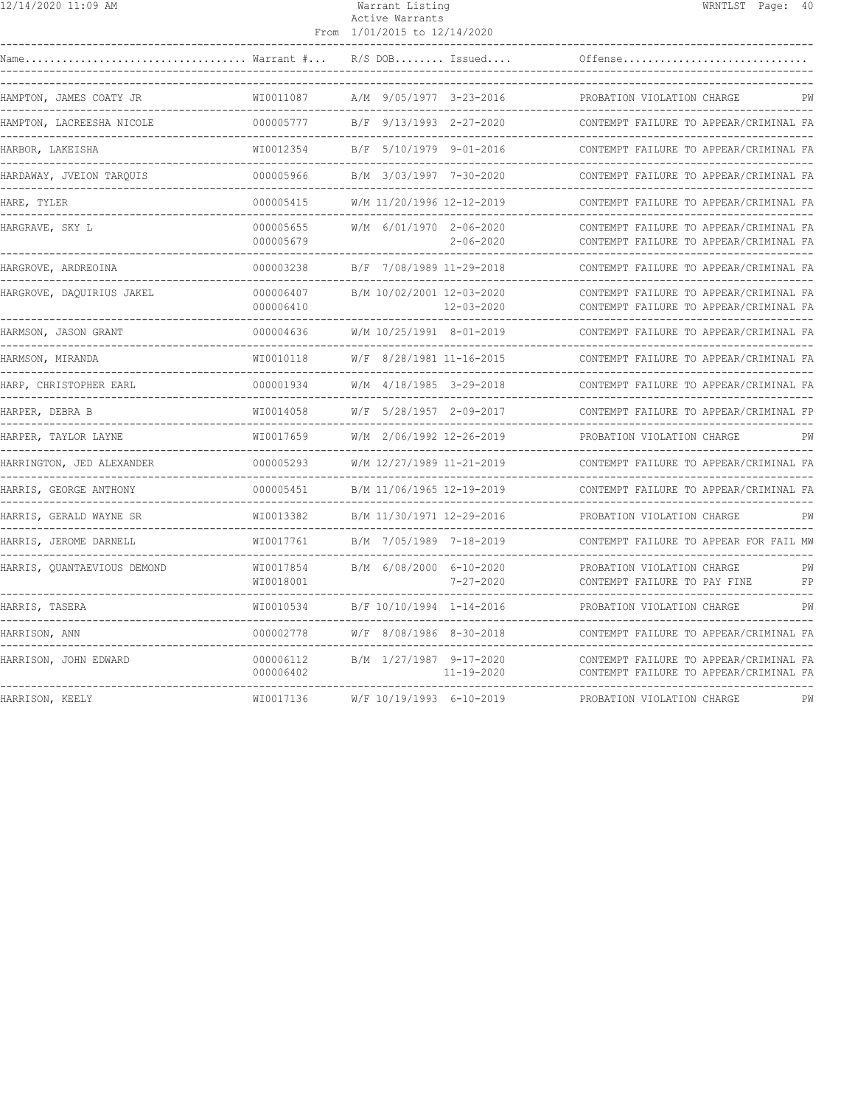| 12/14/2020 11:09 AM                                                   |                                     | Warrant Listing<br>Active Warrants<br>From 1/01/2015 to 12/14/2020 |                                                                                                     |                                        | WRNTLST Page: 40                 |          |
|-----------------------------------------------------------------------|-------------------------------------|--------------------------------------------------------------------|-----------------------------------------------------------------------------------------------------|----------------------------------------|----------------------------------|----------|
|                                                                       |                                     |                                                                    |                                                                                                     |                                        |                                  |          |
| HAMPTON, JAMES COATY JR                                               |                                     |                                                                    |                                                                                                     |                                        |                                  |          |
| HAMPTON, LACREESHA NICOLE                                             | 000005777 B/F 9/13/1993 2-27-2020   |                                                                    |                                                                                                     | CONTEMPT FAILURE TO APPEAR/CRIMINAL FA |                                  |          |
| HARBOR, LAKEISHA                                                      | WI0012354 B/F 5/10/1979 9-01-2016   |                                                                    |                                                                                                     | CONTEMPT FAILURE TO APPEAR/CRIMINAL FA |                                  |          |
| HARDAWAY, JVEION TARQUIS                                              |                                     |                                                                    |                                                                                                     | CONTEMPT FAILURE TO APPEAR/CRIMINAL FA |                                  |          |
| HARE, TYLER                                                           |                                     |                                                                    |                                                                                                     |                                        |                                  |          |
| HARGRAVE, SKY L                                                       | 000005679                           |                                                                    | 000005655 W/M 6/01/1970 2-06-2020 CONTEMPT FAILURE TO APPEAR/CRIMINAL FA<br>$2 - 06 - 2020$         | CONTEMPT FAILURE TO APPEAR/CRIMINAL FA |                                  |          |
| HARGROVE, ARDREOINA                                                   |                                     |                                                                    |                                                                                                     |                                        |                                  |          |
| HARGROVE, DAQUIRIUS JAKEL                                             | 000006410                           |                                                                    | 000006407 B/M 10/02/2001 12-03-2020 CONTEMPT FAILURE TO APPEAR/CRIMINAL FA<br>$12 - 03 - 2020$      | CONTEMPT FAILURE TO APPEAR/CRIMINAL FA |                                  |          |
| HARMSON, JASON GRANT                                                  | 000004636                           |                                                                    | W/M 10/25/1991 8-01-2019                                                                            | CONTEMPT FAILURE TO APPEAR/CRIMINAL FA |                                  |          |
| HARMSON, MIRANDA                                                      | WI0010118                           |                                                                    | W/F 8/28/1981 11-16-2015                                                                            | CONTEMPT FAILURE TO APPEAR/CRIMINAL FA |                                  |          |
|                                                                       |                                     |                                                                    |                                                                                                     |                                        |                                  |          |
| HARPER, DEBRA B                                                       |                                     |                                                                    | WI0014058 W/F 5/28/1957 2-09-2017 CONTEMPT FAILURE TO APPEAR/CRIMINAL FP                            |                                        |                                  |          |
| HARPER, TAYLOR LAYNE                                                  |                                     |                                                                    | WI0017659 W/M 2/06/1992 12-26-2019 PROBATION VIOLATION CHARGE                                       |                                        |                                  | PW       |
| HARRINGTON, JED ALEXANDER                                             |                                     |                                                                    | 000005293 W/M 12/27/1989 11-21-2019 CONTEMPT FAILURE TO APPEAR/CRIMINAL FA                          |                                        |                                  |          |
| HARRIS, GEORGE ANTHONY                                                |                                     |                                                                    | 000005451 B/M 11/06/1965 12-19-2019                                                                 | CONTEMPT FAILURE TO APPEAR/CRIMINAL FA |                                  |          |
| HARRIS, GERALD WAYNE SR                                               | WI0013382 B/M 11/30/1971 12-29-2016 |                                                                    |                                                                                                     | PROBATION VIOLATION CHARGE             | -------------------------------- | PW       |
| HARRIS, JEROME DARNELL<br>------------------------------------        |                                     |                                                                    | WI0017761 B/M 7/05/1989 7-18-2019 CONTEMPT FAILURE TO APPEAR FOR FAIL MW                            |                                        |                                  |          |
| HARRIS, QUANTAEVIOUS DEMOND<br>-------------------------------------- | WI0018001                           |                                                                    | $\verb WIO017854  B/M 6/08/2000 6-10-2020  PROBATION VIOLATION CHARGE \vspace{-0.1cm}$<br>7-27-2020 | CONTEMPT FAILURE TO PAY FINE           |                                  | PW<br>FP |
|                                                                       |                                     |                                                                    |                                                                                                     |                                        |                                  |          |

HARRIS, TASERA WI0010534 B/F 10/10/1994 1-14-2016 PROBATION VIOLATION CHARGE PW ------------------------------------------------------------------------------------------------------------------------------------ HARRISON, ANN 000002778 W/F 8/08/1986 8-30-2018 CONTEMPT FAILURE TO APPEAR/CRIMINAL FA ------------------------------------------------------------------------------------------------------------------------------------ HARRISON, JOHN EDWARD 000006112 B/M 1/27/1987 9-17-2020 CONTEMPT FAILURE TO APPEAR/CRIMINAL FA 000006402 11-19-2020 CONTEMPT FAILURE TO APPEAR/CRIMINAL FA ------------------------------------------------------------------------------------------------------------------------------------ HARRISON, KEELY WI0017136 W/F 10/19/1993 6-10-2019 PROBATION VIOLATION CHARGE PW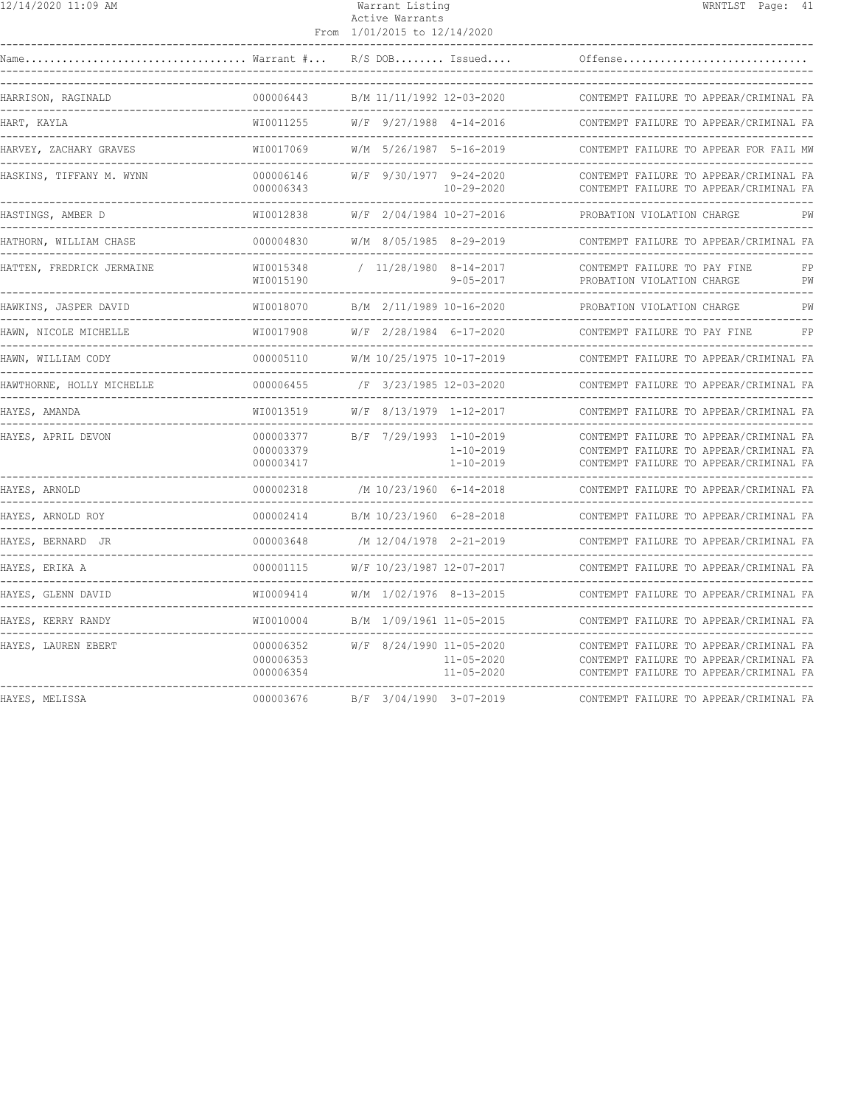| $\frac{12}{14}$ /14/2020 11:09 AM            |                                     | Warrant Listing<br>Active Warrants                                  | WRNTLST Page: 41                                                                                                           |
|----------------------------------------------|-------------------------------------|---------------------------------------------------------------------|----------------------------------------------------------------------------------------------------------------------------|
|                                              |                                     | From 1/01/2015 to 12/14/2020                                        |                                                                                                                            |
|                                              |                                     | $R/S$ DOB Issued                                                    | Offense                                                                                                                    |
| HARRISON, RAGINALD                           | 000006443                           | B/M 11/11/1992 12-03-2020                                           | CONTEMPT FAILURE TO APPEAR/CRIMINAL FA                                                                                     |
| HART, KAYLA                                  | WI0011255                           | W/F 9/27/1988 4-14-2016                                             | CONTEMPT FAILURE TO APPEAR/CRIMINAL FA                                                                                     |
| HARVEY, ZACHARY GRAVES                       | WI0017069                           | W/M 5/26/1987 5-16-2019                                             | CONTEMPT FAILURE TO APPEAR FOR FAIL MW                                                                                     |
| HASKINS, TIFFANY M. WYNN                     | 000006146<br>000006343              | W/F 9/30/1977 9-24-2020<br>$10 - 29 - 2020$<br>-------------------- | CONTEMPT FAILURE TO APPEAR/CRIMINAL FA<br>CONTEMPT FAILURE TO APPEAR/CRIMINAL FA                                           |
| HASTINGS, AMBER D                            | WI0012838<br>--------------         | W/F 2/04/1984 10-27-2016                                            | PROBATION VIOLATION CHARGE<br>PW                                                                                           |
| HATHORN, WILLIAM CHASE                       | 000004830                           | W/M 8/05/1985 8-29-2019                                             | CONTEMPT FAILURE TO APPEAR/CRIMINAL FA                                                                                     |
| HATTEN, FREDRICK JERMAINE                    | WI0015348<br>WI0015190              | $/ 11/28/1980 8-14-2017$<br>$9 - 05 - 2017$                         | CONTEMPT FAILURE TO PAY FINE<br>FP<br>PROBATION VIOLATION CHARGE<br>PW                                                     |
| HAWKINS, JASPER DAVID                        | WI0018070                           | B/M 2/11/1989 10-16-2020                                            | PROBATION VIOLATION CHARGE<br>PW                                                                                           |
| HAWN, NICOLE MICHELLE                        | WI0017908                           | W/F 2/28/1984 6-17-2020                                             | FP<br>CONTEMPT FAILURE TO PAY FINE                                                                                         |
| HAWN, WILLIAM CODY                           | 000005110                           | W/M 10/25/1975 10-17-2019                                           | CONTEMPT FAILURE TO APPEAR/CRIMINAL FA                                                                                     |
| HAWTHORNE, HOLLY MICHELLE                    | 000006455                           | /F 3/23/1985 12-03-2020                                             | CONTEMPT FAILURE TO APPEAR/CRIMINAL FA                                                                                     |
| HAYES, AMANDA                                | WI0013519<br>. <u>.</u> .           | W/F 8/13/1979 1-12-2017<br>-------------------------------------    | CONTEMPT FAILURE TO APPEAR/CRIMINAL FA<br>--------------------------------------                                           |
| HAYES, APRIL DEVON                           | 000003377<br>000003379<br>000003417 | B/F 7/29/1993 1-10-2019<br>$1 - 10 - 2019$<br>$1 - 10 - 2019$       | CONTEMPT FAILURE TO APPEAR/CRIMINAL FA<br>CONTEMPT FAILURE TO APPEAR/CRIMINAL FA<br>CONTEMPT FAILURE TO APPEAR/CRIMINAL FA |
| HAYES, ARNOLD                                | 000002318                           | /M 10/23/1960 6-14-2018<br>--------------------                     | CONTEMPT FAILURE TO APPEAR/CRIMINAL FA                                                                                     |
| HAYES, ARNOLD ROY<br>----------------------- | 000002414<br>_________              | B/M 10/23/1960 6-28-2018                                            | CONTEMPT FAILURE TO APPEAR/CRIMINAL FA                                                                                     |
| HAYES, BERNARD JR                            | 000003648                           | /M 12/04/1978 2-21-2019                                             | CONTEMPT FAILURE TO APPEAR/CRIMINAL FA                                                                                     |
| HAYES, ERIKA A                               | 000001115                           | W/F 10/23/1987 12-07-2017                                           | CONTEMPT FAILURE TO APPEAR/CRIMINAL FA                                                                                     |
| HAYES, GLENN DAVID                           | WI0009414                           | W/M 1/02/1976 8-13-2015                                             | CONTEMPT FAILURE TO APPEAR/CRIMINAL FA                                                                                     |
| HAYES, KERRY RANDY                           | WI0010004                           | B/M 1/09/1961 11-05-2015                                            | CONTEMPT FAILURE TO APPEAR/CRIMINAL FA                                                                                     |
| HAYES, LAUREN EBERT                          | 000006352<br>000006353<br>000006354 | W/F 8/24/1990 11-05-2020<br>$11 - 05 - 2020$<br>$11 - 05 - 2020$    | CONTEMPT FAILURE TO APPEAR/CRIMINAL FA<br>CONTEMPT FAILURE TO APPEAR/CRIMINAL FA<br>CONTEMPT FAILURE TO APPEAR/CRIMINAL FA |
| HAYES, MELISSA                               | 000003676                           | B/F 3/04/1990 3-07-2019                                             | CONTEMPT FAILURE TO APPEAR/CRIMINAL FA                                                                                     |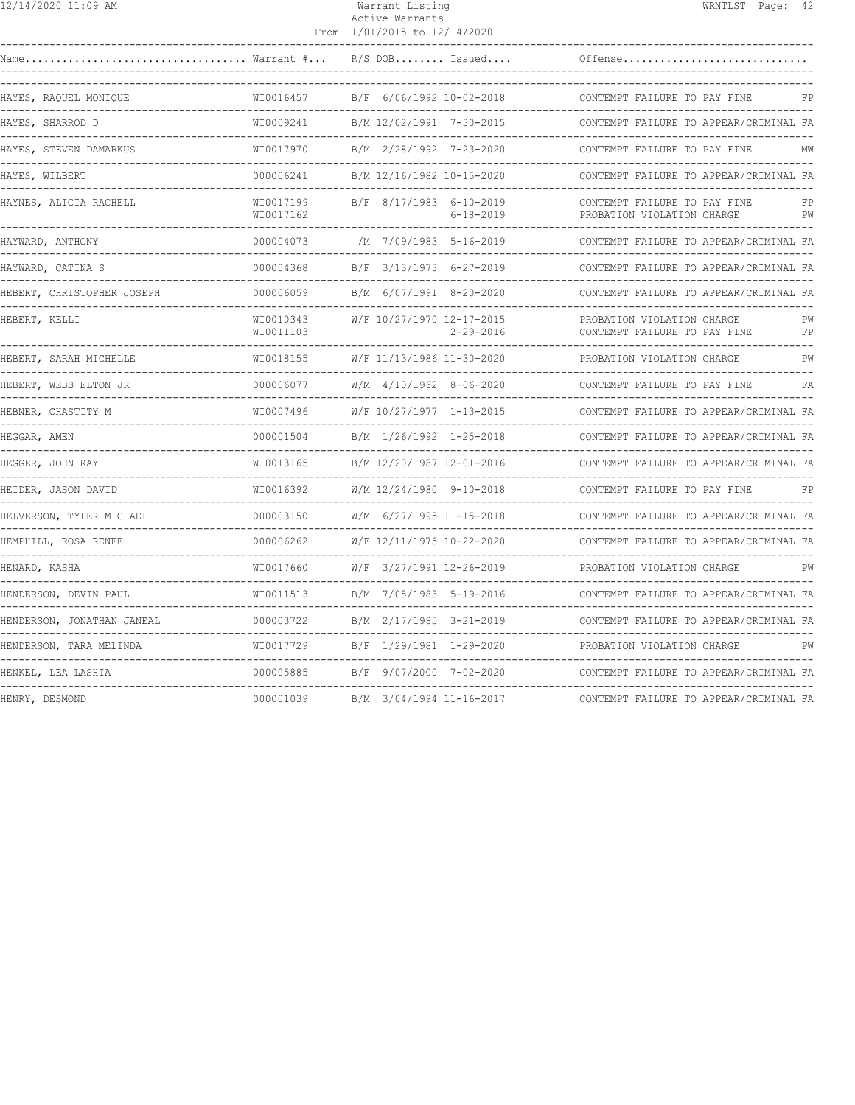| 12/14/2020 11:09 AM                  |                                                | Warrant Listing<br>Active Warrants<br>From 1/01/2015 to 12/14/2020 | WRNTLST Page: 42                                                               |
|--------------------------------------|------------------------------------------------|--------------------------------------------------------------------|--------------------------------------------------------------------------------|
| Warrant #<br>Name                    |                                                | $R/S$ DOB Issued                                                   | Offense                                                                        |
| HAYES, RAQUEL MONIQUE                | WI0016457                                      | B/F 6/06/1992 10-02-2018                                           | CONTEMPT FAILURE TO PAY FINE<br>FP                                             |
| HAYES, SHARROD D                     | WI0009241                                      | B/M 12/02/1991 7-30-2015                                           | CONTEMPT FAILURE TO APPEAR/CRIMINAL FA                                         |
| HAYES, STEVEN DAMARKUS               | WI0017970                                      | B/M 2/28/1992 7-23-2020                                            | CONTEMPT FAILURE TO PAY FINE<br>МW                                             |
| HAYES, WILBERT                       | 000006241                                      | B/M 12/16/1982 10-15-2020                                          | CONTEMPT FAILURE TO APPEAR/CRIMINAL FA                                         |
| HAYNES, ALICIA RACHELL               | WI0017199<br>WI0017162<br>-------------------- | B/F 8/17/1983 6-10-2019<br>6-18-2019                               | CONTEMPT FAILURE TO PAY FINE<br>PROBATION VIOLATION CHARGE<br>PW               |
| HAYWARD, ANTHONY                     | 000004073                                      | /M 7/09/1983 5-16-2019                                             | CONTEMPT FAILURE TO APPEAR/CRIMINAL FA                                         |
| HAYWARD, CATINA S                    | 000004368                                      | B/F 3/13/1973 6-27-2019                                            | CONTEMPT FAILURE TO APPEAR/CRIMINAL FA<br>____________________________________ |
| HEBERT, CHRISTOPHER JOSEPH           | 000006059                                      | B/M 6/07/1991 8-20-2020                                            | CONTEMPT FAILURE TO APPEAR/CRIMINAL FA                                         |
| HEBERT, KELLI                        | WI0010343<br>WI0011103                         | W/F 10/27/1970 12-17-2015<br>$2 - 29 - 2016$                       | PROBATION VIOLATION CHARGE<br>PW<br>CONTEMPT FAILURE TO PAY FINE<br>FP         |
| HEBERT, SARAH MICHELLE               | WI0018155                                      | W/F 11/13/1986 11-30-2020                                          | PROBATION VIOLATION CHARGE<br>PW                                               |
| HEBERT, WEBB ELTON JR                | 000006077<br>-------------                     | W/M 4/10/1962 8-06-2020                                            | CONTEMPT FAILURE TO PAY FINE<br>FA                                             |
| HEBNER, CHASTITY M<br>------------   | WI0007496                                      | W/F 10/27/1977 1-13-2015                                           | CONTEMPT FAILURE TO APPEAR/CRIMINAL FA                                         |
| HEGGAR, AMEN                         | 000001504                                      | B/M 1/26/1992 1-25-2018                                            | CONTEMPT FAILURE TO APPEAR/CRIMINAL FA                                         |
| HEGGER, JOHN RAY                     | WI0013165                                      | B/M 12/20/1987 12-01-2016                                          | CONTEMPT FAILURE TO APPEAR/CRIMINAL FA                                         |
| HEIDER, JASON DAVID                  | WI0016392                                      | W/M 12/24/1980 9-10-2018                                           | CONTEMPT FAILURE TO PAY FINE<br>FP                                             |
| HELVERSON, TYLER MICHAEL             | 000003150                                      | W/M 6/27/1995 11-15-2018                                           | CONTEMPT FAILURE TO APPEAR/CRIMINAL FA                                         |
| HEMPHILL, ROSA RENEE<br>------------ | 000006262                                      | W/F 12/11/1975 10-22-2020                                          | CONTEMPT FAILURE TO APPEAR/CRIMINAL FA                                         |
| HENARD, KASHA                        | WI0017660                                      | W/F 3/27/1991 12-26-2019                                           | PROBATION VIOLATION CHARGE<br>PW                                               |
| HENDERSON, DEVIN PAUL                | WT0011513                                      | B/M 7/05/1983 5-19-2016                                            | CONTEMPT FAILURE TO APPEAR/CRIMINAL FA                                         |
| HENDERSON, JONATHAN JANEAL           | 000003722                                      | B/M 2/17/1985 3-21-2019                                            | CONTEMPT FAILURE TO APPEAR/CRIMINAL FA                                         |
| HENDERSON, TARA MELINDA              | WI0017729                                      | B/F 1/29/1981 1-29-2020                                            | PROBATION VIOLATION CHARGE<br>PW                                               |
| HENKEL, LEA LASHIA                   | 000005885                                      | B/F 9/07/2000 7-02-2020                                            | CONTEMPT FAILURE TO APPEAR/CRIMINAL FA                                         |
| HENRY, DESMOND                       | 000001039                                      | B/M 3/04/1994 11-16-2017                                           | CONTEMPT FAILURE TO APPEAR/CRIMINAL FA                                         |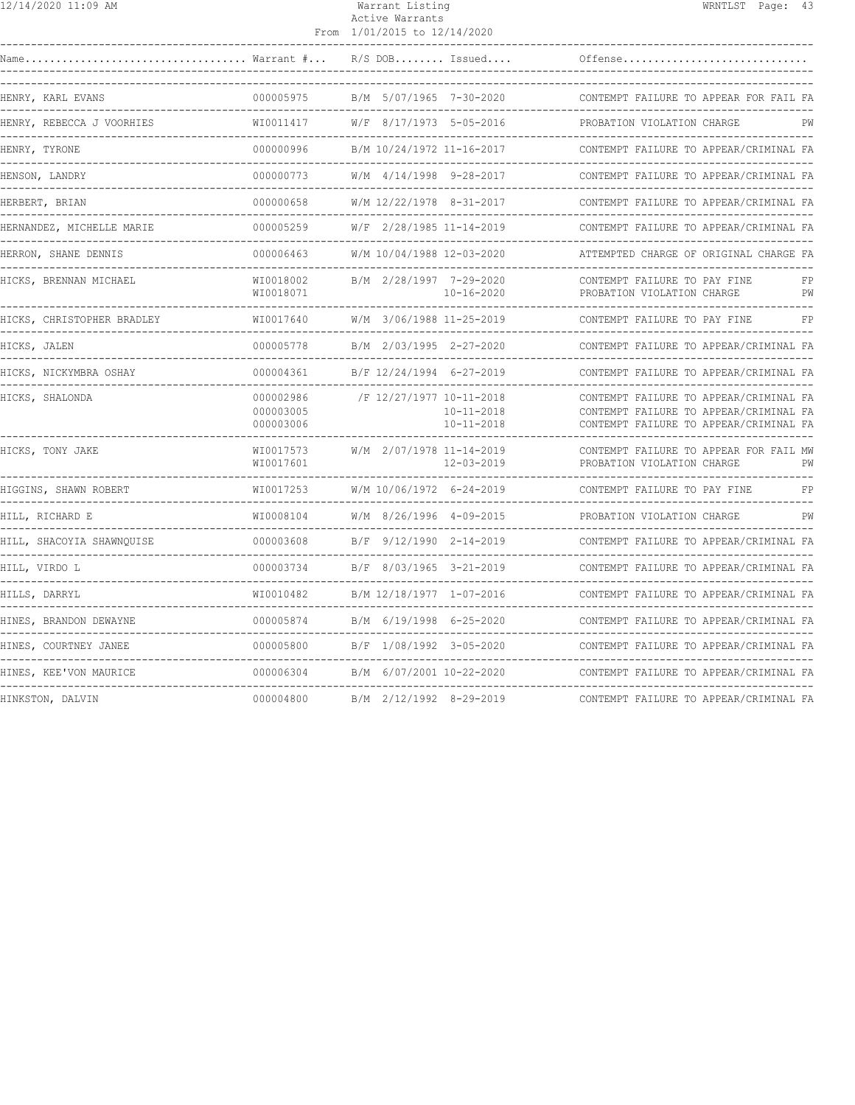| 12/14/2020 11:09 AM           |                                     | Warrant Listing<br>Active Warrants<br>From 1/01/2015 to 12/14/2020 | WRNTLST Page: 43                                                                                                           |
|-------------------------------|-------------------------------------|--------------------------------------------------------------------|----------------------------------------------------------------------------------------------------------------------------|
| Name                          | $\ldots$ Warrant $\# \ldots$        | $R/S$ DOB Issued                                                   | Offense                                                                                                                    |
| HENRY, KARL EVANS             | 000005975                           | B/M 5/07/1965 7-30-2020                                            | CONTEMPT FAILURE TO APPEAR FOR FAIL FA                                                                                     |
| HENRY, REBECCA J VOORHIES     | WI0011417                           | W/F<br>8/17/1973 5-05-2016                                         | PROBATION VIOLATION CHARGE<br>PW                                                                                           |
| HENRY, TYRONE<br>___________  | 000000996                           | B/M 10/24/1972 11-16-2017                                          | CONTEMPT FAILURE TO APPEAR/CRIMINAL FA                                                                                     |
| HENSON, LANDRY<br>----------  | 000000773                           | W/M 4/14/1998 9-28-2017                                            | CONTEMPT FAILURE TO APPEAR/CRIMINAL FA                                                                                     |
| HERBERT, BRIAN                | 000000658                           | W/M 12/22/1978 8-31-2017                                           | CONTEMPT FAILURE TO APPEAR/CRIMINAL FA                                                                                     |
| HERNANDEZ, MICHELLE MARIE     | 000005259                           | W/F 2/28/1985 11-14-2019                                           | CONTEMPT FAILURE TO APPEAR/CRIMINAL FA                                                                                     |
| HERRON, SHANE DENNIS          | 000006463                           | W/M 10/04/1988 12-03-2020                                          | ATTEMPTED CHARGE OF ORIGINAL CHARGE FA                                                                                     |
| HICKS, BRENNAN MICHAEL        | WI0018002<br>WI0018071              | B/M 2/28/1997 7-29-2020<br>$10 - 16 - 2020$                        | CONTEMPT FAILURE TO PAY FINE<br>FP<br>PROBATION VIOLATION CHARGE<br>PW                                                     |
| HICKS, CHRISTOPHER BRADLEY    | WI0017640                           | W/M 3/06/1988 11-25-2019                                           | CONTEMPT FAILURE TO PAY FINE<br>FP                                                                                         |
| HICKS, JALEN                  | 000005778                           | B/M 2/03/1995 2-27-2020                                            | CONTEMPT FAILURE TO APPEAR/CRIMINAL FA<br>__________________________________                                               |
| HICKS, NICKYMBRA OSHAY        | 000004361                           | B/F 12/24/1994 6-27-2019                                           | CONTEMPT FAILURE TO APPEAR/CRIMINAL FA                                                                                     |
| HICKS, SHALONDA               | 000002986<br>000003005<br>000003006 | /F 12/27/1977 10-11-2018<br>$10 - 11 - 2018$<br>$10 - 11 - 2018$   | CONTEMPT FAILURE TO APPEAR/CRIMINAL FA<br>CONTEMPT FAILURE TO APPEAR/CRIMINAL FA<br>CONTEMPT FAILURE TO APPEAR/CRIMINAL FA |
| HICKS, TONY JAKE              | WI0017573<br>WI0017601              | W/M 2/07/1978 11-14-2019<br>$12 - 03 - 2019$                       | CONTEMPT FAILURE TO APPEAR FOR FAIL MW<br>PW<br>PROBATION VIOLATION CHARGE                                                 |
| HIGGINS, SHAWN ROBERT         | WI0017253                           | W/M 10/06/1972 6-24-2019                                           | FP<br>CONTEMPT FAILURE TO PAY FINE                                                                                         |
| HILL, RICHARD E               | WI0008104                           | W/M 8/26/1996 4-09-2015                                            | PROBATION VIOLATION CHARGE<br>PW                                                                                           |
| HILL, SHACOYIA SHAWNQUISE     | 000003608                           | 9/12/1990 2-14-2019<br>B/F                                         | CONTEMPT FAILURE TO APPEAR/CRIMINAL FA                                                                                     |
| HILL, VIRDO L<br>------------ | 000003734                           | B/F 8/03/1965 3-21-2019                                            | CONTEMPT FAILURE TO APPEAR/CRIMINAL FA                                                                                     |
| HILLS, DARRYL                 | WI0010482                           | B/M 12/18/1977 1-07-2016                                           | CONTEMPT FAILURE TO APPEAR/CRIMINAL FA                                                                                     |
| HINES, BRANDON DEWAYNE        | 000005874                           | B/M 6/19/1998 6-25-2020                                            | CONTEMPT FAILURE TO APPEAR/CRIMINAL FA                                                                                     |
| HINES, COURTNEY JANEE         | 000005800                           | B/F 1/08/1992 3-05-2020                                            | CONTEMPT FAILURE TO APPEAR/CRIMINAL FA                                                                                     |
| HINES, KEE'VON MAURICE        | 000006304                           | B/M 6/07/2001 10-22-2020                                           | CONTEMPT FAILURE TO APPEAR/CRIMINAL FA                                                                                     |
|                               |                                     |                                                                    |                                                                                                                            |

HINKSTON, DALVIN 000004800 B/M 2/12/1992 8-29-2019 CONTEMPT FAILURE TO APPEAR/CRIMINAL FA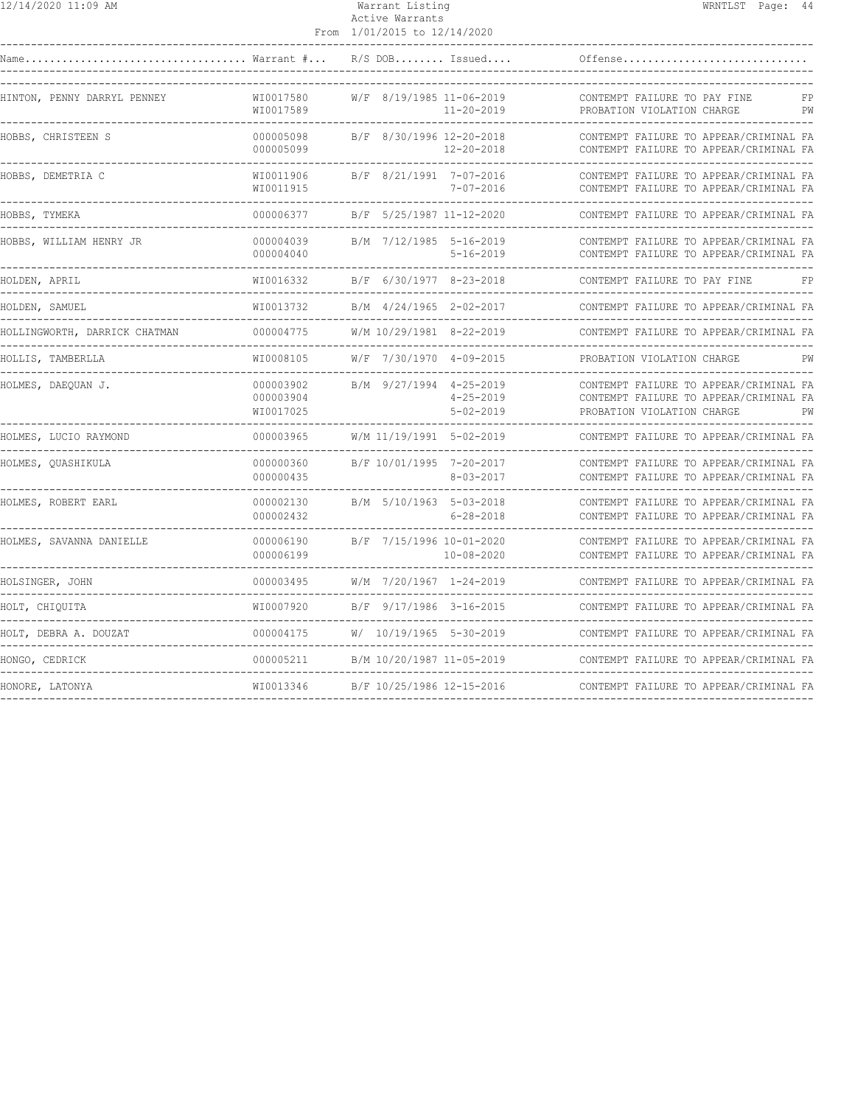| 12/14/2020 11:09 AM                                |                                          | Warrant Listing<br>Active Warrants<br>From 1/01/2015 to 12/14/2020 |                                    |                                                                                                                | WRNTLST Page: 44 |          |
|----------------------------------------------------|------------------------------------------|--------------------------------------------------------------------|------------------------------------|----------------------------------------------------------------------------------------------------------------|------------------|----------|
|                                                    |                                          | $R/S$ DOB Issued                                                   |                                    | Offense                                                                                                        |                  |          |
| HINTON, PENNY DARRYL PENNEY                        | WI0017580<br>WI0017589                   | W/F 8/19/1985 11-06-2019                                           | 11-20-2019                         | CONTEMPT FAILURE TO PAY FINE<br>PROBATION VIOLATION CHARGE                                                     |                  | FP<br>PW |
| HOBBS, CHRISTEEN S                                 | 000005098<br>000005099                   | B/F 8/30/1996 12-20-2018                                           | $12 - 20 - 2018$                   | CONTEMPT FAILURE TO APPEAR/CRIMINAL FA<br>CONTEMPT FAILURE TO APPEAR/CRIMINAL FA                               |                  |          |
| HOBBS, DEMETRIA C                                  | WI0011906<br>WI0011915                   | B/F 8/21/1991 7-07-2016                                            | 7-07-2016                          | CONTEMPT FAILURE TO APPEAR/CRIMINAL FA<br>CONTEMPT FAILURE TO APPEAR/CRIMINAL FA                               |                  |          |
| HOBBS, TYMEKA                                      | 000006377<br>--------------------        | B/F 5/25/1987 11-12-2020                                           |                                    | CONTEMPT FAILURE TO APPEAR/CRIMINAL FA                                                                         |                  |          |
| HOBBS, WILLIAM HENRY JR                            | 000004039<br>000004040                   | B/M 7/12/1985 5-16-2019                                            | 5-16-2019                          | CONTEMPT FAILURE TO APPEAR/CRIMINAL FA<br>CONTEMPT FAILURE TO APPEAR/CRIMINAL FA                               |                  |          |
| HOLDEN, APRIL                                      | WI0016332                                | B/F 6/30/1977 8-23-2018                                            |                                    | CONTEMPT FAILURE TO PAY FINE                                                                                   |                  | FP       |
| HOLDEN, SAMUEL                                     | WI0013732                                | B/M 4/24/1965 2-02-2017                                            |                                    | CONTEMPT FAILURE TO APPEAR/CRIMINAL FA                                                                         |                  |          |
| HOLLINGWORTH, DARRICK CHATMAN                      | 000004775                                | W/M 10/29/1981 8-22-2019                                           |                                    | CONTEMPT FAILURE TO APPEAR/CRIMINAL FA                                                                         |                  |          |
| HOLLIS, TAMBERLLA                                  | WI0008105                                | W/F 7/30/1970 4-09-2015                                            |                                    | PROBATION VIOLATION CHARGE                                                                                     |                  | PW       |
| HOLMES, DAEQUAN J.                                 | 000003902<br>000003904<br>WI0017025      | B/M 9/27/1994 4-25-2019                                            | $4 - 25 - 2019$<br>$5 - 02 - 2019$ | CONTEMPT FAILURE TO APPEAR/CRIMINAL FA<br>CONTEMPT FAILURE TO APPEAR/CRIMINAL FA<br>PROBATION VIOLATION CHARGE |                  | PW       |
| HOLMES, LUCIO RAYMOND                              | 000003965                                | W/M 11/19/1991 5-02-2019                                           |                                    | CONTEMPT FAILURE TO APPEAR/CRIMINAL FA                                                                         |                  |          |
| HOLMES, QUASHIKULA                                 | 000000360<br>000000435                   | B/F 10/01/1995 7-20-2017                                           | $8 - 0.3 - 2.017$                  | CONTEMPT FAILURE TO APPEAR/CRIMINAL FA<br>CONTEMPT FAILURE TO APPEAR/CRIMINAL FA                               |                  |          |
| HOLMES, ROBERT EARL                                | 000002130<br>000002432                   | B/M 5/10/1963 5-03-2018                                            | $6 - 28 - 2018$                    | CONTEMPT FAILURE TO APPEAR/CRIMINAL FA<br>CONTEMPT FAILURE TO APPEAR/CRIMINAL FA                               |                  |          |
| HOLMES, SAVANNA DANIELLE                           | 000006190<br>000006199<br>-------------- | B/F 7/15/1996 10-01-2020                                           | $10 - 08 - 2020$                   | CONTEMPT FAILURE TO APPEAR/CRIMINAL FA<br>CONTEMPT FAILURE TO APPEAR/CRIMINAL FA                               |                  |          |
| HOLSINGER, JOHN                                    | 000003495                                | W/M 7/20/1967 1-24-2019                                            |                                    | CONTEMPT FAILURE TO APPEAR/CRIMINAL FA                                                                         |                  |          |
| HOLT, CHIOUITA                                     | WI0007920                                | B/F 9/17/1986 3-16-2015                                            |                                    | CONTEMPT FAILURE TO APPEAR/CRIMINAL FA                                                                         |                  |          |
| HOLT, DEBRA A. DOUZAT                              | 000004175                                | W/ 10/19/1965 5-30-2019                                            |                                    | CONTEMPT FAILURE TO APPEAR/CRIMINAL FA                                                                         |                  |          |
| HONGO, CEDRICK<br>-------------------------------- | 000005211 B/M 10/20/1987 11-05-2019      |                                                                    |                                    | CONTEMPT FAILURE TO APPEAR/CRIMINAL FA                                                                         |                  |          |
|                                                    |                                          |                                                                    |                                    |                                                                                                                |                  |          |

HONORE, LATONYA WI0013346 B/F 10/25/1986 12-15-2016 CONTEMPT FAILURE TO APPEAR/CRIMINAL FA ------------------------------------------------------------------------------------------------------------------------------------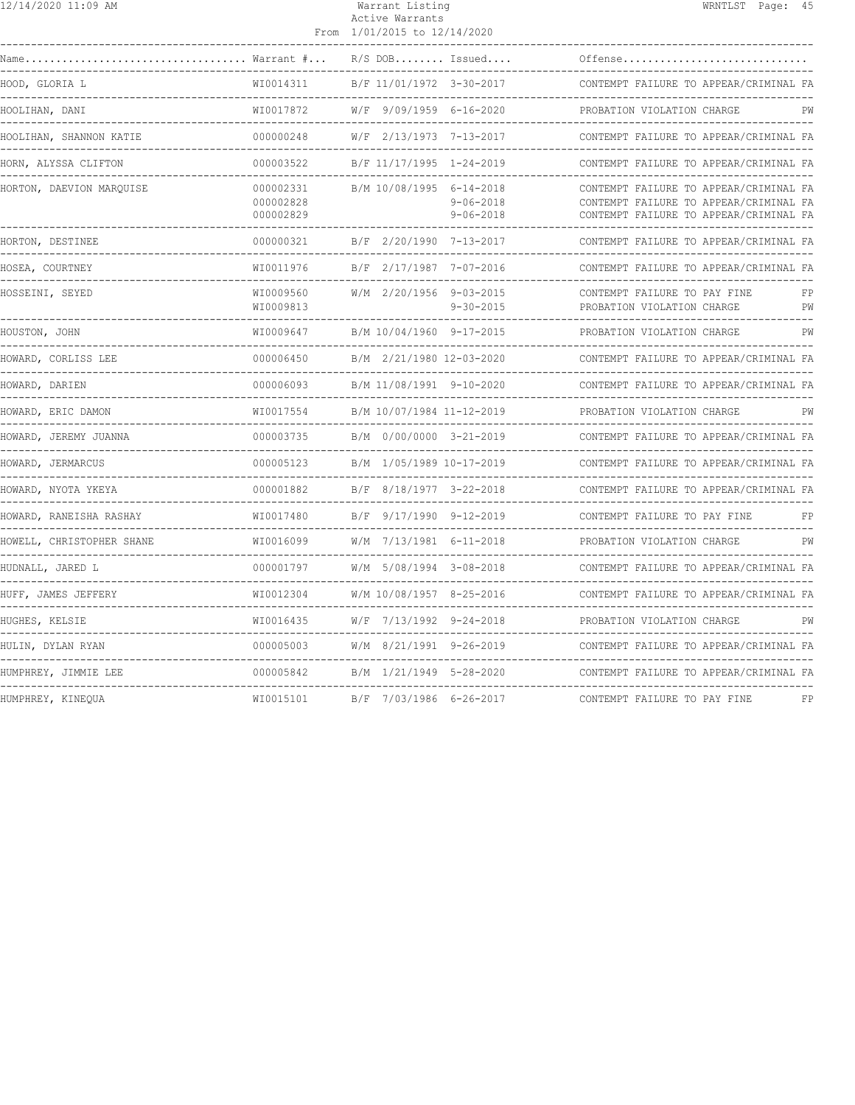| 12/14/2020 11:09 AM                       |                                     |  | Warrant Listing<br>Active Warrants<br>From 1/01/2015 to 12/14/2020 |                                    | WRNTLST Page: 45                                                                                                           |
|-------------------------------------------|-------------------------------------|--|--------------------------------------------------------------------|------------------------------------|----------------------------------------------------------------------------------------------------------------------------|
| Name                                      | Warrant #                           |  | $R/S$ DOB Issued                                                   |                                    | Offense                                                                                                                    |
| HOOD, GLORIA L<br>----------------------- | WI0014311                           |  | B/F 11/01/1972 3-30-2017                                           |                                    | CONTEMPT FAILURE TO APPEAR/CRIMINAL FA<br>-------------------------------                                                  |
| HOOLIHAN, DANI                            | WI0017872                           |  | W/F 9/09/1959 6-16-2020                                            |                                    | PROBATION VIOLATION CHARGE<br>PW                                                                                           |
| HOOLIHAN, SHANNON KATIE                   | 000000248                           |  | W/F 2/13/1973 7-13-2017                                            |                                    | CONTEMPT FAILURE TO APPEAR/CRIMINAL FA                                                                                     |
| HORN, ALYSSA CLIFTON                      | 000003522                           |  | B/F 11/17/1995 1-24-2019                                           |                                    | CONTEMPT FAILURE TO APPEAR/CRIMINAL FA                                                                                     |
| HORTON, DAEVION MAROUISE                  | 000002331<br>000002828<br>000002829 |  | B/M 10/08/1995 6-14-2018                                           | $9 - 06 - 2018$<br>$9 - 06 - 2018$ | CONTEMPT FAILURE TO APPEAR/CRIMINAL FA<br>CONTEMPT FAILURE TO APPEAR/CRIMINAL FA<br>CONTEMPT FAILURE TO APPEAR/CRIMINAL FA |
| HORTON, DESTINEE                          | ------------<br>000000321           |  | B/F 2/20/1990 7-13-2017                                            |                                    | CONTEMPT FAILURE TO APPEAR/CRIMINAL FA<br>------------------------------                                                   |
| HOSEA, COURTNEY                           | WI0011976                           |  | B/F 2/17/1987 7-07-2016                                            |                                    | CONTEMPT FAILURE TO APPEAR/CRIMINAL FA                                                                                     |
| HOSSEINI, SEYED                           | WI0009560<br>WI0009813              |  | W/M 2/20/1956 9-03-2015                                            | $9 - 30 - 2015$                    | CONTEMPT FAILURE TO PAY FINE<br>FP<br>PROBATION VIOLATION CHARGE<br>PW<br>---------------------------                      |
| HOUSTON, JOHN                             | WI0009647                           |  | B/M 10/04/1960 9-17-2015                                           |                                    | PROBATION VIOLATION CHARGE<br>PW                                                                                           |
| HOWARD, CORLISS LEE                       | 000006450                           |  | B/M 2/21/1980 12-03-2020                                           |                                    | CONTEMPT FAILURE TO APPEAR/CRIMINAL FA                                                                                     |
| HOWARD, DARIEN                            | 000006093                           |  | B/M 11/08/1991 9-10-2020                                           |                                    | CONTEMPT FAILURE TO APPEAR/CRIMINAL FA                                                                                     |
| HOWARD, ERIC DAMON                        | WI0017554                           |  | B/M 10/07/1984 11-12-2019                                          |                                    | PROBATION VIOLATION CHARGE<br>PW                                                                                           |
| HOWARD, JEREMY JUANNA                     | 000003735                           |  | B/M 0/00/0000 3-21-2019                                            |                                    | CONTEMPT FAILURE TO APPEAR/CRIMINAL FA                                                                                     |
| HOWARD, JERMARCUS                         | 000005123                           |  | B/M 1/05/1989 10-17-2019                                           |                                    | CONTEMPT FAILURE TO APPEAR/CRIMINAL FA                                                                                     |
| HOWARD, NYOTA YKEYA                       | 000001882                           |  | B/F 8/18/1977 3-22-2018                                            |                                    | CONTEMPT FAILURE TO APPEAR/CRIMINAL FA                                                                                     |
| HOWARD, RANEISHA RASHAY                   | WI0017480                           |  | B/F 9/17/1990 9-12-2019                                            |                                    | CONTEMPT FAILURE TO PAY FINE<br>FP<br>______________________________                                                       |
| HOWELL, CHRISTOPHER SHANE                 | WI0016099                           |  | W/M 7/13/1981 6-11-2018                                            |                                    | PROBATION VIOLATION CHARGE<br>PW                                                                                           |
| HUDNALL, JARED L                          | 000001797                           |  | W/M 5/08/1994 3-08-2018                                            |                                    | CONTEMPT FAILURE TO APPEAR/CRIMINAL FA                                                                                     |
| HUFF, JAMES JEFFERY                       | WI0012304                           |  | W/M 10/08/1957 8-25-2016                                           |                                    | CONTEMPT FAILURE TO APPEAR/CRIMINAL FA                                                                                     |
| HUGHES, KELSIE                            | WI0016435                           |  | W/F 7/13/1992 9-24-2018                                            |                                    | PROBATION VIOLATION CHARGE<br>PW                                                                                           |
| HULIN, DYLAN RYAN                         | 000005003                           |  | W/M 8/21/1991 9-26-2019                                            |                                    | CONTEMPT FAILURE TO APPEAR/CRIMINAL FA                                                                                     |
| HUMPHREY, JIMMIE LEE                      | 000005842                           |  | B/M 1/21/1949 5-28-2020                                            |                                    | CONTEMPT FAILURE TO APPEAR/CRIMINAL FA<br>_________________________________                                                |
| HUMPHREY, KINEQUA                         | WI0015101                           |  | B/F 7/03/1986 6-26-2017                                            |                                    | CONTEMPT FAILURE TO PAY FINE<br>FP                                                                                         |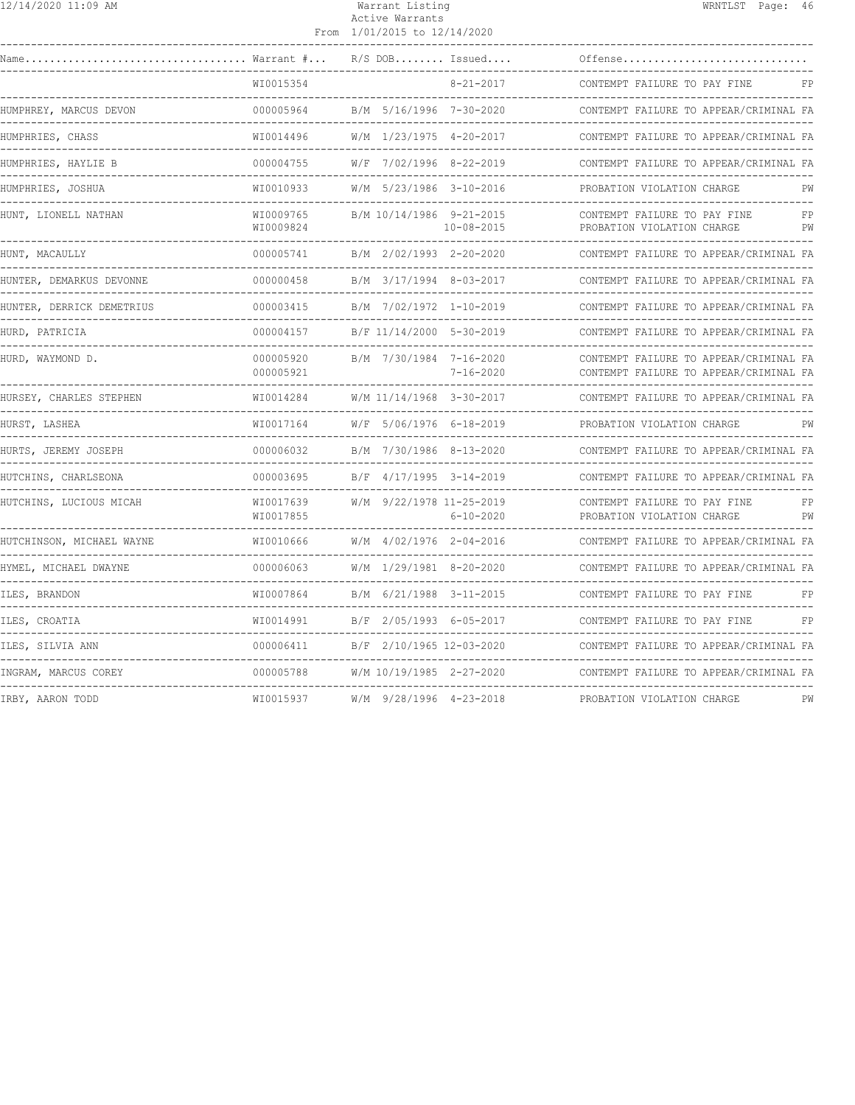| 12/14/2020 11:09 AM |  |  |  |  |  |
|---------------------|--|--|--|--|--|
|---------------------|--|--|--|--|--|

## Warrant Listing Natural Mexico and WRNTLST Page: 46 Active Warrants

|                                                            |                              | From 1/01/2015 to 12/14/2020 |                  |                                                                                  |          |
|------------------------------------------------------------|------------------------------|------------------------------|------------------|----------------------------------------------------------------------------------|----------|
| Name                                                       | $\ldots$ Warrant $\# \ldots$ | $R/S$ DOB Issued             |                  | Offense                                                                          |          |
|                                                            | WI0015354                    |                              | $8 - 21 - 2017$  | CONTEMPT FAILURE TO PAY FINE                                                     | FP       |
| HUMPHREY, MARCUS DEVON                                     | 000005964                    | B/M 5/16/1996 7-30-2020      |                  | CONTEMPT FAILURE TO APPEAR/CRIMINAL FA                                           |          |
| HUMPHRIES, CHASS                                           | WI0014496                    | W/M 1/23/1975 4-20-2017      |                  | CONTEMPT FAILURE TO APPEAR/CRIMINAL FA                                           |          |
| HUMPHRIES, HAYLIE B                                        | 000004755                    | W/F 7/02/1996 8-22-2019      |                  | CONTEMPT FAILURE TO APPEAR/CRIMINAL FA                                           |          |
| HUMPHRIES, JOSHUA<br>----------------                      | WI0010933                    | W/M 5/23/1986 3-10-2016      |                  | PROBATION VIOLATION CHARGE                                                       | PW       |
| HUNT, LIONELL NATHAN                                       | WI0009765<br>WI0009824       | B/M 10/14/1986 9-21-2015     | $10 - 08 - 2015$ | CONTEMPT FAILURE TO PAY FINE<br>PROBATION VIOLATION CHARGE                       | FP<br>РW |
| HUNT, MACAULLY                                             | 000005741                    | B/M 2/02/1993 2-20-2020      |                  | CONTEMPT FAILURE TO APPEAR/CRIMINAL FA                                           |          |
| HUNTER, DEMARKUS DEVONNE                                   | 000000458                    | B/M 3/17/1994 8-03-2017      |                  | CONTEMPT FAILURE TO APPEAR/CRIMINAL FA                                           |          |
| HUNTER, DERRICK DEMETRIUS                                  | 000003415                    | B/M 7/02/1972 1-10-2019      |                  | CONTEMPT FAILURE TO APPEAR/CRIMINAL FA                                           |          |
| HURD, PATRICIA                                             | 000004157                    | B/F 11/14/2000 5-30-2019     |                  | CONTEMPT FAILURE TO APPEAR/CRIMINAL FA                                           |          |
| HURD, WAYMOND D.                                           | 000005920<br>000005921       | B/M 7/30/1984 7-16-2020      | $7 - 16 - 2020$  | CONTEMPT FAILURE TO APPEAR/CRIMINAL FA<br>CONTEMPT FAILURE TO APPEAR/CRIMINAL FA |          |
| HURSEY, CHARLES STEPHEN                                    | WI0014284                    | W/M 11/14/1968 3-30-2017     |                  | CONTEMPT FAILURE TO APPEAR/CRIMINAL FA                                           |          |
| --------------------------<br>HURST, LASHEA<br>----------- | WI0017164                    | W/F 5/06/1976 6-18-2019      |                  | -----------------------------<br>PROBATION VIOLATION CHARGE                      | PW       |
| HURTS, JEREMY JOSEPH                                       | 000006032                    | B/M 7/30/1986 8-13-2020      |                  | CONTEMPT FAILURE TO APPEAR/CRIMINAL FA                                           |          |
| HUTCHINS, CHARLSEONA                                       | 000003695                    | B/F 4/17/1995 3-14-2019      |                  | CONTEMPT FAILURE TO APPEAR/CRIMINAL FA                                           |          |
| HUTCHINS, LUCIOUS MICAH                                    | WI0017639<br>WI0017855       | W/M 9/22/1978 11-25-2019     | $6 - 10 - 2020$  | CONTEMPT FAILURE TO PAY FINE<br>PROBATION VIOLATION CHARGE                       | FP<br>PW |
| HUTCHINSON, MICHAEL WAYNE                                  | WI0010666                    | W/M 4/02/1976 2-04-2016      |                  | CONTEMPT FAILURE TO APPEAR/CRIMINAL FA                                           |          |
| HYMEL, MICHAEL DWAYNE                                      | 000006063                    | W/M 1/29/1981 8-20-2020      |                  | CONTEMPT FAILURE TO APPEAR/CRIMINAL FA                                           |          |
| ILES, BRANDON                                              | WI0007864                    | B/M 6/21/1988 3-11-2015      |                  | CONTEMPT FAILURE TO PAY FINE                                                     | FP       |
| ILES, CROATIA                                              | WI0014991                    | B/F 2/05/1993 6-05-2017      |                  | CONTEMPT FAILURE TO PAY FINE                                                     | FP       |
| ILES, SILVIA ANN                                           | 000006411                    | B/F 2/10/1965 12-03-2020     |                  | CONTEMPT FAILURE TO APPEAR/CRIMINAL FA                                           |          |
| INGRAM, MARCUS COREY                                       | 000005788                    | W/M 10/19/1985 2-27-2020     |                  | CONTEMPT FAILURE TO APPEAR/CRIMINAL FA                                           |          |
| IRBY, AARON TODD                                           | WI0015937                    | W/M 9/28/1996 4-23-2018      |                  | PROBATION VIOLATION CHARGE                                                       | PW       |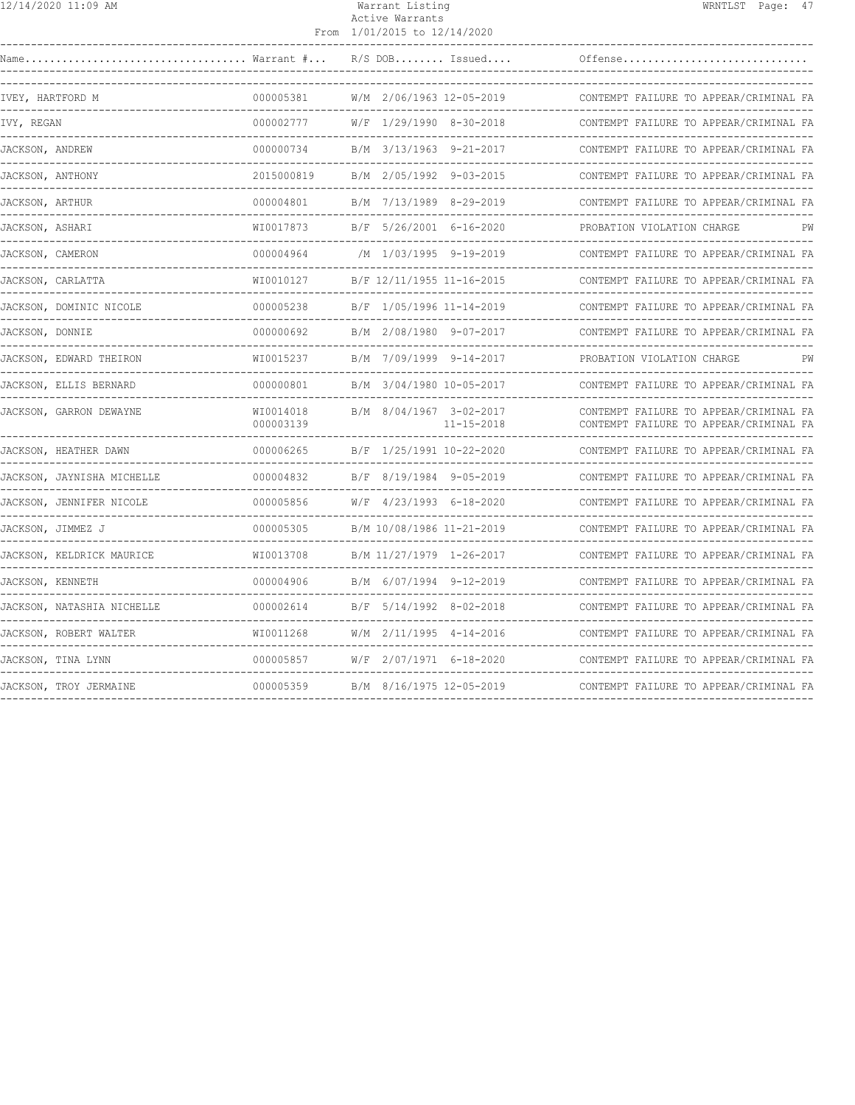|--|

#### Warrant Listing WRNTLST Page: 47 Active Warrants From 1/01/2015 to 12/14/2020

| Name<br>Warrant #          |                        |                           |                  | $R/S$ DOB Issued         | Offense                                                                          |    |
|----------------------------|------------------------|---------------------------|------------------|--------------------------|----------------------------------------------------------------------------------|----|
| IVEY, HARTFORD M           | 000005381              | W/M 2/06/1963 12-05-2019  |                  |                          | CONTEMPT FAILURE TO APPEAR/CRIMINAL FA                                           |    |
| IVY, REGAN                 | 000002777              | W/F 1/29/1990 8-30-2018   |                  |                          | CONTEMPT FAILURE TO APPEAR/CRIMINAL FA                                           |    |
| JACKSON, ANDREW            | 000000734              | B/M 3/13/1963 9-21-2017   |                  |                          | CONTEMPT FAILURE TO APPEAR/CRIMINAL FA<br>-------------------------              |    |
| JACKSON, ANTHONY           | 2015000819             | B/M 2/05/1992 9-03-2015   |                  |                          | CONTEMPT FAILURE TO APPEAR/CRIMINAL FA                                           |    |
| <b>JACKSON, ARTHUR</b>     | 000004801              | B/M 7/13/1989 8-29-2019   |                  |                          | CONTEMPT FAILURE TO APPEAR/CRIMINAL FA<br>--------------------                   |    |
| JACKSON, ASHARI            | WI0017873              | B/F 5/26/2001 6-16-2020   |                  |                          | PROBATION VIOLATION CHARGE                                                       |    |
| JACKSON, CAMERON           | 000004964              |                           |                  | /M 1/03/1995 9-19-2019   | CONTEMPT FAILURE TO APPEAR/CRIMINAL FA                                           |    |
| JACKSON, CARLATTA          | WI0010127              | B/F 12/11/1955 11-16-2015 |                  |                          | CONTEMPT FAILURE TO APPEAR/CRIMINAL FA                                           |    |
| JACKSON, DOMINIC NICOLE    | 000005238              |                           |                  | B/F 1/05/1996 11-14-2019 | CONTEMPT FAILURE TO APPEAR/CRIMINAL FA                                           |    |
| JACKSON, DONNIE            | 000000692              | B/M 2/08/1980 9-07-2017   |                  |                          | CONTEMPT FAILURE TO APPEAR/CRIMINAL FA                                           |    |
| JACKSON, EDWARD THEIRON    | WI0015237              | B/M 7/09/1999 9-14-2017   |                  |                          | PROBATION VIOLATION CHARGE                                                       | РW |
| JACKSON, ELLIS BERNARD     | 000000801              | B/M 3/04/1980 10-05-2017  |                  |                          | CONTEMPT FAILURE TO APPEAR/CRIMINAL FA                                           |    |
| JACKSON, GARRON DEWAYNE    | WI0014018<br>000003139 | B/M 8/04/1967 3-02-2017   |                  | $11 - 15 - 2018$         | CONTEMPT FAILURE TO APPEAR/CRIMINAL FA<br>CONTEMPT FAILURE TO APPEAR/CRIMINAL FA |    |
| JACKSON, HEATHER DAWN      | 000006265              | B/F 1/25/1991 10-22-2020  | ________________ |                          | CONTEMPT FAILURE TO APPEAR/CRIMINAL FA                                           |    |
| JACKSON, JAYNISHA MICHELLE | 000004832              | B/F 8/19/1984 9-05-2019   |                  |                          | CONTEMPT FAILURE TO APPEAR/CRIMINAL FA                                           |    |
| JACKSON, JENNIFER NICOLE   | 000005856              | $W/F$ 4/23/1993 6-18-2020 |                  |                          | CONTEMPT FAILURE TO APPEAR/CRIMINAL FA                                           |    |
| JACKSON, JIMMEZ J          | 000005305              | B/M 10/08/1986 11-21-2019 |                  |                          | CONTEMPT FAILURE TO APPEAR/CRIMINAL FA                                           |    |
| JACKSON, KELDRICK MAURICE  | WI0013708              | B/M 11/27/1979 1-26-2017  |                  |                          | CONTEMPT FAILURE TO APPEAR/CRIMINAL FA                                           |    |
| JACKSON, KENNETH           | 000004906              |                           |                  | B/M 6/07/1994 9-12-2019  | CONTEMPT FAILURE TO APPEAR/CRIMINAL FA                                           |    |
| JACKSON, NATASHIA NICHELLE | 000002614              |                           |                  | B/F 5/14/1992 8-02-2018  | CONTEMPT FAILURE TO APPEAR/CRIMINAL FA                                           |    |
| JACKSON, ROBERT WALTER     | WI0011268              | $W/M$ 2/11/1995 4-14-2016 |                  |                          | CONTEMPT FAILURE TO APPEAR/CRIMINAL FA                                           |    |
| JACKSON, TINA LYNN         | 000005857              | W/F 2/07/1971 6-18-2020   |                  |                          | CONTEMPT FAILURE TO APPEAR/CRIMINAL FA                                           |    |
| JACKSON, TROY JERMAINE     | 000005359              | B/M 8/16/1975 12-05-2019  |                  |                          | CONTEMPT FAILURE TO APPEAR/CRIMINAL FA                                           |    |
|                            |                        |                           |                  |                          |                                                                                  |    |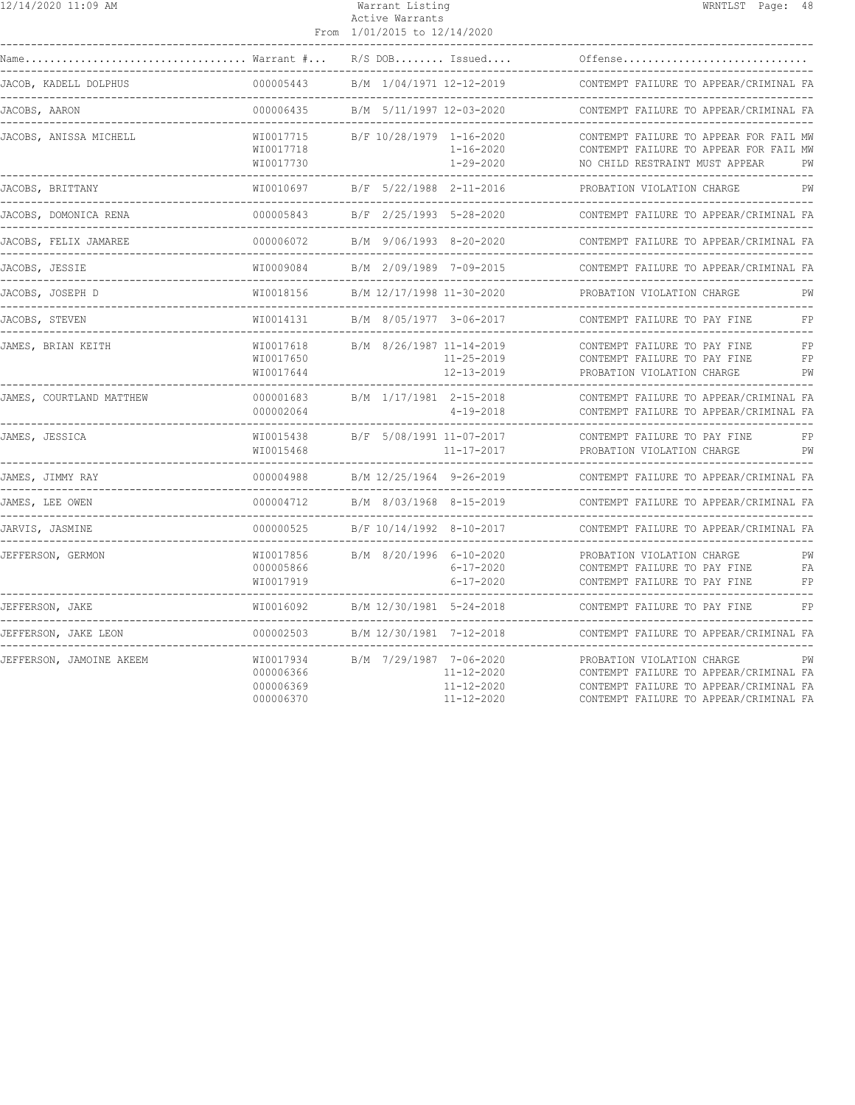| 12/14/2020 11:09 AM      |                                                  | Warrant Listing<br>Active Warrants<br>From 1/01/2015 to 12/14/2020                  | WRNTLST Page: 48                                                                                                                                               |
|--------------------------|--------------------------------------------------|-------------------------------------------------------------------------------------|----------------------------------------------------------------------------------------------------------------------------------------------------------------|
|                          | Warrant #                                        | $R/S$ DOB Issued                                                                    | Offense                                                                                                                                                        |
| JACOB, KADELL DOLPHUS    | 000005443                                        | B/M 1/04/1971 12-12-2019                                                            | CONTEMPT FAILURE TO APPEAR/CRIMINAL FA                                                                                                                         |
| JACOBS, AARON            | ---------------<br>000006435                     | B/M 5/11/1997 12-03-2020                                                            | CONTEMPT FAILURE TO APPEAR/CRIMINAL FA                                                                                                                         |
| JACOBS, ANISSA MICHELL   | WI0017715<br>WI0017718                           | B/F 10/28/1979 1-16-2020<br>1-16-2020                                               | CONTEMPT FAILURE TO APPEAR FOR FAIL MW<br>CONTEMPT FAILURE TO APPEAR FOR FAIL MW                                                                               |
| JACOBS, BRITTANY         | WI0017730<br>-------------<br>WI0010697          | 1-29-2020<br>B/F 5/22/1988 2-11-2016                                                | NO CHILD RESTRAINT MUST APPEAR<br>PW<br>PROBATION VIOLATION CHARGE<br>PW                                                                                       |
| JACOBS, DOMONICA RENA    | 000005843                                        | B/F 2/25/1993 5-28-2020                                                             | CONTEMPT FAILURE TO APPEAR/CRIMINAL FA                                                                                                                         |
| JACOBS, FELIX JAMAREE    | <u> Le Belese Beles</u><br>000006072             | B/M 9/06/1993 8-20-2020                                                             | CONTEMPT FAILURE TO APPEAR/CRIMINAL FA                                                                                                                         |
| JACOBS, JESSIE           | WI0009084                                        | B/M 2/09/1989 7-09-2015                                                             | CONTEMPT FAILURE TO APPEAR/CRIMINAL FA<br>--------------------------------                                                                                     |
| JACOBS, JOSEPH D         | WI0018156                                        | B/M 12/17/1998 11-30-2020                                                           | PROBATION VIOLATION CHARGE<br>PW                                                                                                                               |
| JACOBS, STEVEN           | WI0014131                                        | B/M 8/05/1977 3-06-2017                                                             | CONTEMPT FAILURE TO PAY FINE<br>FP                                                                                                                             |
| JAMES, BRIAN KEITH       | WI0017618<br>WI0017650<br>WI0017644              | B/M 8/26/1987 11-14-2019<br>11-25-2019<br>12-13-2019                                | CONTEMPT FAILURE TO PAY FINE<br>FP<br>CONTEMPT FAILURE TO PAY FINE<br>FP<br>PROBATION VIOLATION CHARGE<br>PW                                                   |
| JAMES, COURTLAND MATTHEW | 000001683<br>000002064                           | B/M 1/17/1981 2-15-2018<br>$4 - 19 - 2018$                                          | CONTEMPT FAILURE TO APPEAR/CRIMINAL FA<br>CONTEMPT FAILURE TO APPEAR/CRIMINAL FA                                                                               |
| JAMES, JESSICA           | WI0015438<br>WI0015468                           | B/F 5/08/1991 11-07-2017<br>11-17-2017                                              | CONTEMPT FAILURE TO PAY FINE<br>FP<br>PROBATION VIOLATION CHARGE<br>PW                                                                                         |
| JAMES, JIMMY RAY         | 000004988                                        | B/M 12/25/1964 9-26-2019                                                            | CONTEMPT FAILURE TO APPEAR/CRIMINAL FA                                                                                                                         |
| JAMES, LEE OWEN          | 000004712                                        | B/M 8/03/1968 8-15-2019                                                             | CONTEMPT FAILURE TO APPEAR/CRIMINAL FA                                                                                                                         |
| JARVIS, JASMINE          | 000000525                                        | B/F 10/14/1992 8-10-2017                                                            | CONTEMPT FAILURE TO APPEAR/CRIMINAL FA<br>-----------------------                                                                                              |
| JEFFERSON, GERMON        | WI0017856<br>000005866<br>WI0017919              | B/M 8/20/1996 6-10-2020<br>6-17-2020<br>$6 - 17 - 2020$                             | PROBATION VIOLATION CHARGE<br>PW<br>CONTEMPT FAILURE TO PAY FINE<br><b>FA</b><br>CONTEMPT FAILURE TO PAY FINE<br>FP                                            |
| JEFFERSON, JAKE          | WI0016092                                        | B/M 12/30/1981 5-24-2018                                                            | CONTEMPT FAILURE TO PAY FINE<br>FP                                                                                                                             |
| JEFFERSON, JAKE LEON     | 000002503                                        | B/M 12/30/1981 7-12-2018                                                            | CONTEMPT FAILURE TO APPEAR/CRIMINAL FA                                                                                                                         |
| JEFFERSON, JAMOINE AKEEM | WI0017934<br>000006366<br>000006369<br>000006370 | B/M 7/29/1987 7-06-2020<br>$11 - 12 - 2020$<br>$11 - 12 - 2020$<br>$11 - 12 - 2020$ | PROBATION VIOLATION CHARGE<br>PW<br>CONTEMPT FAILURE TO APPEAR/CRIMINAL FA<br>CONTEMPT FAILURE TO APPEAR/CRIMINAL FA<br>CONTEMPT FAILURE TO APPEAR/CRIMINAL FA |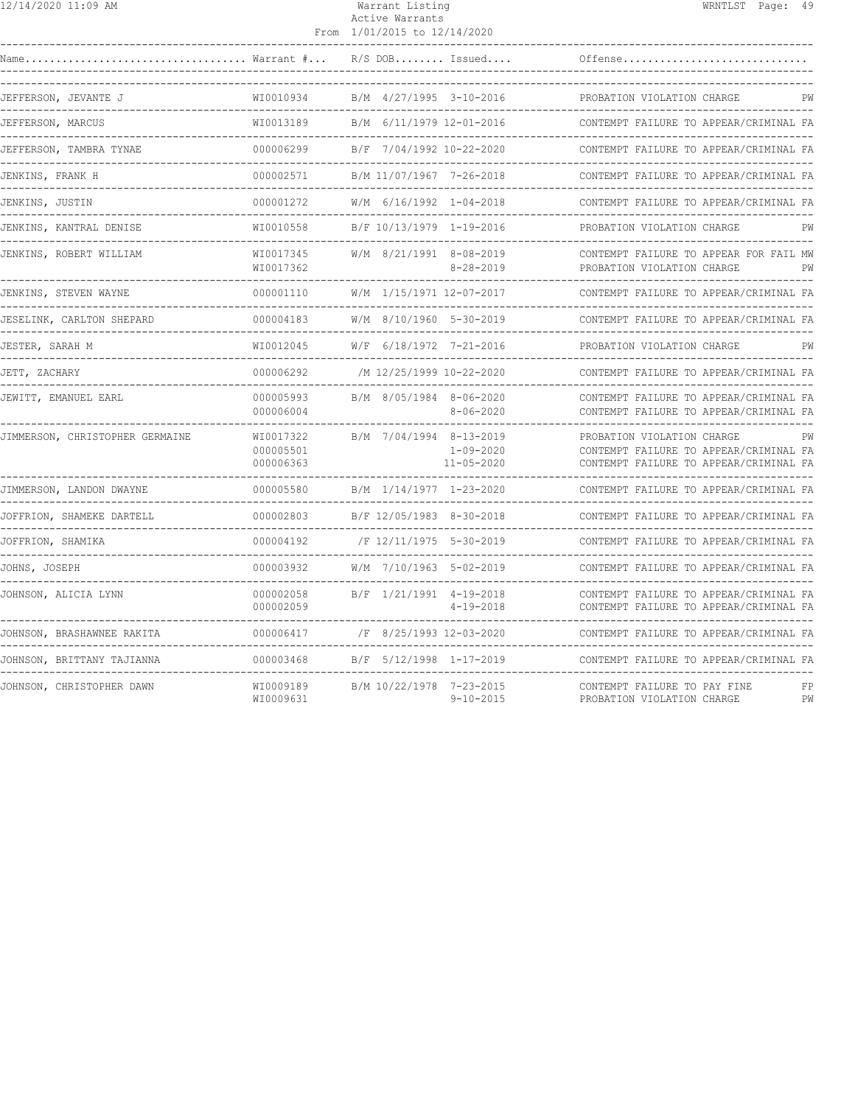| $\frac{12}{14}$ /14/2020 11:09 AM                            |                                                 | Warrant Listing<br>Active Warrants<br>From 1/01/2015 to 12/14/2020 |                                                                | WRNTLST Page: 49                                                                                                     |  |
|--------------------------------------------------------------|-------------------------------------------------|--------------------------------------------------------------------|----------------------------------------------------------------|----------------------------------------------------------------------------------------------------------------------|--|
|                                                              |                                                 |                                                                    | $R/S$ DOB Issued                                               | Offense                                                                                                              |  |
| JEFFERSON, JEVANTE J                                         | WI0010934                                       |                                                                    | B/M 4/27/1995 3-10-2016                                        | PROBATION VIOLATION CHARGE                                                                                           |  |
| JEFFERSON, MARCUS                                            | WT0013189                                       |                                                                    | B/M 6/11/1979 12-01-2016                                       | CONTEMPT FAILURE TO APPEAR/CRIMINAL FA                                                                               |  |
| JEFFERSON, TAMBRA TYNAE                                      | 000006299                                       |                                                                    | B/F 7/04/1992 10-22-2020                                       | CONTEMPT FAILURE TO APPEAR/CRIMINAL FA                                                                               |  |
| JENKINS, FRANK H<br>----------------------------------       | 000002571<br>-----------                        |                                                                    | B/M 11/07/1967 7-26-2018                                       | CONTEMPT FAILURE TO APPEAR/CRIMINAL FA                                                                               |  |
| JENKINS, JUSTIN                                              | 000001272                                       |                                                                    | W/M 6/16/1992 1-04-2018                                        | CONTEMPT FAILURE TO APPEAR/CRIMINAL FA                                                                               |  |
| JENKINS, KANTRAL DENISE<br>--------------------------------- | WI0010558                                       |                                                                    | B/F 10/13/1979 1-19-2016                                       | PROBATION VIOLATION CHARGE<br>PW                                                                                     |  |
| JENKINS, ROBERT WILLIAM                                      | WI0017345<br>WI0017362                          |                                                                    | W/M 8/21/1991 8-08-2019<br>$8 - 28 - 2019$                     | CONTEMPT FAILURE TO APPEAR FOR FAIL MW<br>PROBATION VIOLATION CHARGE<br>PW                                           |  |
| JENKINS, STEVEN WAYNE                                        | 000001110                                       |                                                                    | W/M 1/15/1971 12-07-2017                                       | CONTEMPT FAILURE TO APPEAR/CRIMINAL FA                                                                               |  |
| JESELINK, CARLTON SHEPARD                                    | 000004183                                       |                                                                    | W/M 8/10/1960 5-30-2019                                        | CONTEMPT FAILURE TO APPEAR/CRIMINAL FA                                                                               |  |
| JESTER, SARAH M                                              | WI0012045<br>______________                     |                                                                    | W/F 6/18/1972 7-21-2016                                        | PROBATION VIOLATION CHARGE<br>PW                                                                                     |  |
| JETT, ZACHARY                                                | 000006292                                       | _________________________                                          | /M 12/25/1999 10-22-2020                                       | CONTEMPT FAILURE TO APPEAR/CRIMINAL FA<br>__________________________________                                         |  |
| JEWITT, EMANUEL EARL                                         | 000005993<br>000006004                          |                                                                    | B/M 8/05/1984 8-06-2020<br>$8 - 06 - 2020$                     | CONTEMPT FAILURE TO APPEAR/CRIMINAL FA<br>CONTEMPT FAILURE TO APPEAR/CRIMINAL FA<br>-------------------------------- |  |
| JIMMERSON, CHRISTOPHER GERMAINE                              | WI0017322<br>000005501<br>000006363             |                                                                    | B/M 7/04/1994 8-13-2019<br>$1 - 09 - 2020$<br>$11 - 05 - 2020$ | PROBATION VIOLATION CHARGE<br>PW<br>CONTEMPT FAILURE TO APPEAR/CRIMINAL FA<br>CONTEMPT FAILURE TO APPEAR/CRIMINAL FA |  |
| JIMMERSON, LANDON DWAYNE                                     | 000005580                                       | -------------------                                                | B/M 1/14/1977 1-23-2020                                        | CONTEMPT FAILURE TO APPEAR/CRIMINAL FA                                                                               |  |
| JOFFRION, SHAMEKE DARTELL                                    | 000002803                                       |                                                                    | B/F 12/05/1983 8-30-2018                                       | CONTEMPT FAILURE TO APPEAR/CRIMINAL FA                                                                               |  |
| JOFFRION, SHAMIKA                                            | 000004192                                       |                                                                    | /F 12/11/1975 5-30-2019                                        | CONTEMPT FAILURE TO APPEAR/CRIMINAL FA                                                                               |  |
| JOHNS, JOSEPH                                                | 000003932                                       |                                                                    | W/M 7/10/1963 5-02-2019                                        | CONTEMPT FAILURE TO APPEAR/CRIMINAL FA                                                                               |  |
| JOHNSON, ALICIA LYNN                                         | 000002058<br>000002059<br>_____________________ |                                                                    | B/F 1/21/1991 4-19-2018<br>$4 - 19 - 2018$                     | CONTEMPT FAILURE TO APPEAR/CRIMINAL FA<br>CONTEMPT FAILURE TO APPEAR/CRIMINAL FA                                     |  |
| JOHNSON, BRASHAWNEE RAKITA                                   | 000006417                                       |                                                                    | /F 8/25/1993 12-03-2020                                        | CONTEMPT FAILURE TO APPEAR/CRIMINAL FA                                                                               |  |
| JOHNSON, BRITTANY TAJIANNA                                   | 000003468                                       |                                                                    | B/F 5/12/1998 1-17-2019                                        | CONTEMPT FAILURE TO APPEAR/CRIMINAL FA                                                                               |  |
| JOHNSON, CHRISTOPHER DAWN                                    | WI0009189<br>WI0009631                          |                                                                    | B/M 10/22/1978 7-23-2015<br>$9 - 10 - 2015$                    | CONTEMPT FAILURE TO PAY FINE<br>FP<br>PROBATION VIOLATION CHARGE<br>PW                                               |  |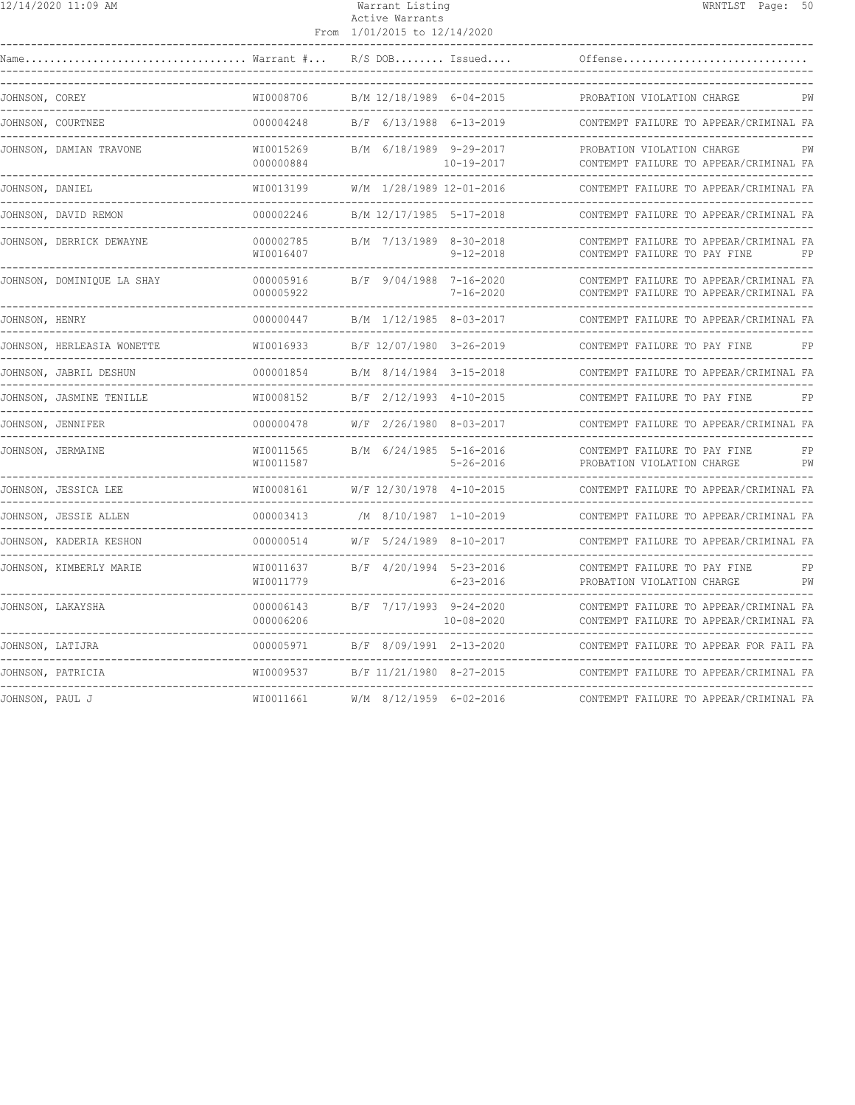| 2/14/2020 11:09 AM |
|--------------------|
|--------------------|

## 12/14/2020 11:09 AM Warrant Listing WRNTLST Page: 50 Active Warrants

| Name             | $\ldots$ Warrant $\# \ldots$             |                                                  |                                                  | $R/S$ DOB Issued | Offense                                                                                                 |
|------------------|------------------------------------------|--------------------------------------------------|--------------------------------------------------|------------------|---------------------------------------------------------------------------------------------------------|
| JOHNSON, COREY   | -------------------------------------    | WI0008706<br>----------------                    | B/M 12/18/1989 6-04-2015                         |                  | PROBATION VIOLATION CHARGE<br>PW                                                                        |
|                  | JOHNSON, COURTNEE                        | 000004248                                        | B/F 6/13/1988 6-13-2019                          |                  | CONTEMPT FAILURE TO APPEAR/CRIMINAL FA<br>-------------------                                           |
|                  | JOHNSON, DAMIAN TRAVONE                  | WI0015269<br>000000884<br>______________________ | B/M 6/18/1989 9-29-2017                          | $10 - 19 - 2017$ | PROBATION VIOLATION CHARGE<br>PW<br>CONTEMPT FAILURE TO APPEAR/CRIMINAL FA                              |
| JOHNSON, DANIEL  |                                          | WI0013199                                        | W/M 1/28/1989 12-01-2016<br>-------------------- |                  | CONTEMPT FAILURE TO APPEAR/CRIMINAL FA<br>-------------------------------                               |
|                  | JOHNSON, DAVID REMON                     | 000002246                                        | B/M 12/17/1985 5-17-2018                         |                  | CONTEMPT FAILURE TO APPEAR/CRIMINAL FA                                                                  |
|                  | JOHNSON, DERRICK DEWAYNE                 | 000002785<br>WI0016407                           | B/M 7/13/1989 8-30-2018                          | $9 - 12 - 2018$  | CONTEMPT FAILURE TO APPEAR/CRIMINAL FA<br>CONTEMPT FAILURE TO PAY FINE<br>FP                            |
|                  | JOHNSON, DOMINIQUE LA SHAY               | 000005916<br>000005922                           | B/F 9/04/1988 7-16-2020                          | $7 - 16 - 2020$  | CONTEMPT FAILURE TO APPEAR/CRIMINAL FA<br>CONTEMPT FAILURE TO APPEAR/CRIMINAL FA                        |
| JOHNSON, HENRY   |                                          | 000000447                                        | B/M 1/12/1985 8-03-2017                          |                  | CONTEMPT FAILURE TO APPEAR/CRIMINAL FA                                                                  |
|                  | JOHNSON, HERLEASIA WONETTE               | WI0016933                                        | B/F 12/07/1980 3-26-2019                         |                  | CONTEMPT FAILURE TO PAY FINE<br>FP                                                                      |
|                  | JOHNSON, JABRIL DESHUN                   | 000001854                                        | B/M 8/14/1984 3-15-2018                          |                  | CONTEMPT FAILURE TO APPEAR/CRIMINAL FA                                                                  |
|                  | JOHNSON, JASMINE TENILLE                 | WI0008152                                        | B/F 2/12/1993 4-10-2015                          |                  | CONTEMPT FAILURE TO PAY FINE<br>FP<br>-------------------------------                                   |
|                  | JOHNSON, JENNIFER                        | 000000478                                        | W/F 2/26/1980 8-03-2017                          |                  | CONTEMPT FAILURE TO APPEAR/CRIMINAL FA                                                                  |
|                  | JOHNSON, JERMAINE                        | WI0011565<br>WI0011587                           | B/M 6/24/1985 5-16-2016                          | $5 - 26 - 2016$  | CONTEMPT FAILURE TO PAY FINE<br>FP<br>PROBATION VIOLATION CHARGE<br>PW<br>----------------------------- |
|                  | JOHNSON, JESSICA LEE                     | WI0008161                                        | W/F 12/30/1978 4-10-2015                         |                  | CONTEMPT FAILURE TO APPEAR/CRIMINAL FA                                                                  |
|                  | JOHNSON, JESSIE ALLEN                    | 000003413                                        | /M 8/10/1987 1-10-2019                           |                  | CONTEMPT FAILURE TO APPEAR/CRIMINAL FA                                                                  |
|                  | JOHNSON, KADERIA KESHON<br>------------- | 000000514                                        | W/F 5/24/1989 8-10-2017                          |                  | CONTEMPT FAILURE TO APPEAR/CRIMINAL FA<br>___________________________                                   |
|                  | JOHNSON, KIMBERLY MARIE                  | WI0011637<br>WI0011779                           | B/F 4/20/1994 5-23-2016                          | $6 - 23 - 2016$  | CONTEMPT FAILURE TO PAY FINE<br>FP<br>PW<br>PROBATION VIOLATION CHARGE                                  |
|                  | JOHNSON, LAKAYSHA                        | 000006143<br>000006206                           | B/F 7/17/1993 9-24-2020                          | $10 - 08 - 2020$ | CONTEMPT FAILURE TO APPEAR/CRIMINAL FA<br>CONTEMPT FAILURE TO APPEAR/CRIMINAL FA                        |
| JOHNSON, LATIJRA |                                          | 000005971                                        | B/F 8/09/1991 2-13-2020                          |                  | CONTEMPT FAILURE TO APPEAR FOR FAIL FA<br>---------------------------------                             |
|                  | JOHNSON, PATRICIA                        | WI0009537                                        | B/F 11/21/1980 8-27-2015                         |                  | CONTEMPT FAILURE TO APPEAR/CRIMINAL FA                                                                  |
| JOHNSON, PAUL J  |                                          | WI0011661                                        | $W/M$ 8/12/1959 6-02-2016                        |                  | CONTEMPT FAILURE TO APPEAR/CRIMINAL FA                                                                  |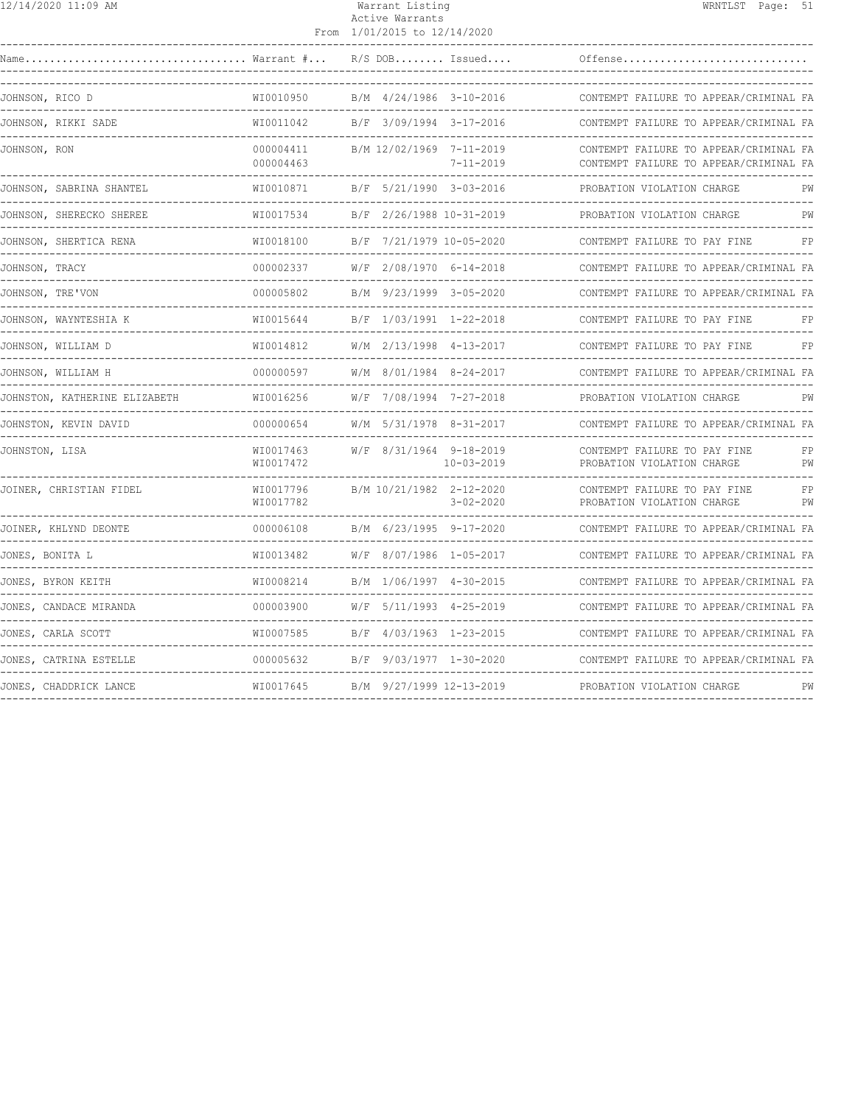| 12/14/2020 11:09 AM |
|---------------------|
|---------------------|

# Warrant Listing Natural Mension of the WRNTLST Page: 51 Active Warrants

|                                                             |                              | From 1/01/2015 to 12/14/2020                       |                         |                                                                                  |          |
|-------------------------------------------------------------|------------------------------|----------------------------------------------------|-------------------------|----------------------------------------------------------------------------------|----------|
| Warrant #<br>Name                                           |                              |                                                    | $R/S$ DOB Issued        | Offense                                                                          |          |
| JOHNSON, RICO D<br>---------------                          | WI0010950<br>--------------- |                                                    | B/M 4/24/1986 3-10-2016 | CONTEMPT FAILURE TO APPEAR/CRIMINAL FA                                           |          |
| JOHNSON, RIKKI SADE                                         | WI0011042                    | B/F 3/09/1994 3-17-2016                            |                         | CONTEMPT FAILURE TO APPEAR/CRIMINAL FA                                           |          |
| JOHNSON, RON                                                | 000004411<br>000004463       | B/M 12/02/1969 7-11-2019                           | $7 - 11 - 2019$         | CONTEMPT FAILURE TO APPEAR/CRIMINAL FA<br>CONTEMPT FAILURE TO APPEAR/CRIMINAL FA |          |
| JOHNSON, SABRINA SHANTEL<br>----------------------          | WI0010871<br>_______________ | B/F 5/21/1990 3-03-2016<br>_______________________ |                         | PROBATION VIOLATION CHARGE<br>------------------------                           | РW       |
| JOHNSON, SHERECKO SHEREE                                    | WI0017534<br>.               | B/F 2/26/1988 10-31-2019                           |                         | PROBATION VIOLATION CHARGE                                                       | PW       |
| JOHNSON, SHERTICA RENA                                      | WI0018100                    | B/F 7/21/1979 10-05-2020                           |                         | CONTEMPT FAILURE TO PAY FINE                                                     | FP       |
| JOHNSON, TRACY                                              | 000002337                    | W/F 2/08/1970 6-14-2018                            |                         | CONTEMPT FAILURE TO APPEAR/CRIMINAL FA                                           |          |
| JOHNSON, TRE'VON                                            | 000005802                    | B/M 9/23/1999 3-05-2020                            |                         | CONTEMPT FAILURE TO APPEAR/CRIMINAL FA                                           |          |
| JOHNSON, WAYNTESHIA K                                       | WI0015644                    | B/F 1/03/1991 1-22-2018                            |                         | CONTEMPT FAILURE TO PAY FINE                                                     | FP       |
| JOHNSON, WILLIAM D                                          | WI0014812                    | W/M 2/13/1998 4-13-2017                            |                         | CONTEMPT FAILURE TO PAY FINE                                                     | FP       |
| JOHNSON, WILLIAM H                                          | 000000597                    | W/M 8/01/1984 8-24-2017                            |                         | CONTEMPT FAILURE TO APPEAR/CRIMINAL FA                                           |          |
| JOHNSTON, KATHERINE ELIZABETH                               | WI0016256                    | W/F 7/08/1994 7-27-2018                            |                         | PROBATION VIOLATION CHARGE                                                       | PW       |
| JOHNSTON, KEVIN DAVID                                       | 000000654                    | W/M 5/31/1978 8-31-2017                            |                         | CONTEMPT FAILURE TO APPEAR/CRIMINAL FA                                           |          |
| JOHNSTON, LISA                                              | WI0017463<br>WI0017472       | W/F 8/31/1964 9-18-2019                            | $10 - 03 - 2019$        | CONTEMPT FAILURE TO PAY FINE<br>PROBATION VIOLATION CHARGE                       | FP<br>PW |
| JOINER, CHRISTIAN FIDEL                                     | WI0017796<br>WI0017782       | B/M 10/21/1982 2-12-2020                           | $3 - 02 - 2020$         | CONTEMPT FAILURE TO PAY FINE<br>PROBATION VIOLATION CHARGE                       | FP<br>PW |
| JOINER, KHLYND DEONTE                                       | 000006108                    | B/M 6/23/1995 9-17-2020                            |                         | CONTEMPT FAILURE TO APPEAR/CRIMINAL FA                                           |          |
| JONES, BONITA L                                             | WI0013482                    | W/F 8/07/1986 1-05-2017                            |                         | CONTEMPT FAILURE TO APPEAR/CRIMINAL FA                                           |          |
| JONES, BYRON KEITH                                          | WI0008214                    | B/M 1/06/1997 4-30-2015                            |                         | CONTEMPT FAILURE TO APPEAR/CRIMINAL FA                                           |          |
| JONES, CANDACE MIRANDA                                      | 000003900                    |                                                    | W/F 5/11/1993 4-25-2019 | CONTEMPT FAILURE TO APPEAR/CRIMINAL FA                                           |          |
| JONES, CARLA SCOTT<br>. _ _ _ _ _ _ _ _ _ _ _ _ _ _ _ _ _ _ | WI0007585                    | B/F 4/03/1963 1-23-2015                            |                         | CONTEMPT FAILURE TO APPEAR/CRIMINAL FA                                           |          |
| JONES, CATRINA ESTELLE                                      | 000005632                    | B/F 9/03/1977 1-30-2020                            |                         | CONTEMPT FAILURE TO APPEAR/CRIMINAL FA                                           |          |
| JONES, CHADDRICK LANCE                                      | WI0017645                    | B/M 9/27/1999 12-13-2019                           |                         | PROBATION VIOLATION CHARGE                                                       | PW       |
|                                                             |                              |                                                    |                         |                                                                                  |          |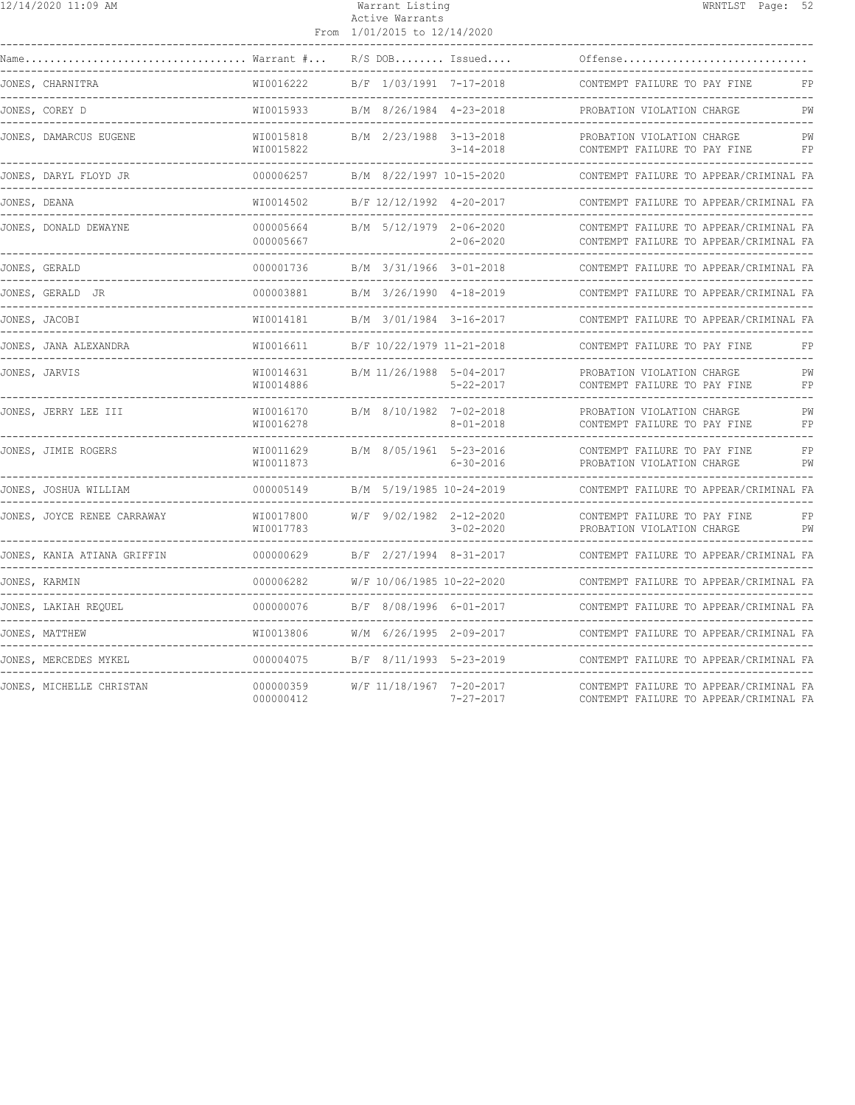|               | 12/14/2020 11:09 AM             |                                            | Warrant Listing<br>Active Warrants<br>From 1/01/2015 to 12/14/2020 |                                   |                                                                                  | WRNTLST Page: 52 |          |
|---------------|---------------------------------|--------------------------------------------|--------------------------------------------------------------------|-----------------------------------|----------------------------------------------------------------------------------|------------------|----------|
|               |                                 |                                            |                                                                    |                                   |                                                                                  |                  |          |
|               |                                 |                                            | $R/S$ DOB Issued                                                   |                                   | Offense                                                                          |                  |          |
|               | JONES, CHARNITRA                | WI0016222                                  | B/F 1/03/1991 7-17-2018                                            |                                   | CONTEMPT FAILURE TO PAY FINE                                                     |                  | FP       |
|               | JONES, COREY D                  | WI0015933                                  | B/M 8/26/1984 4-23-2018                                            |                                   | PROBATION VIOLATION CHARGE<br>----------------------                             |                  | PW       |
|               | JONES, DAMARCUS EUGENE          | WI0015818<br>WI0015822                     | B/M 2/23/1988 3-13-2018                                            | $3 - 14 - 2018$                   | PROBATION VIOLATION CHARGE<br>CONTEMPT FAILURE TO PAY FINE                       |                  | РW<br>FP |
|               | JONES, DARYL FLOYD JR           | 000006257                                  | B/M 8/22/1997 10-15-2020                                           |                                   | CONTEMPT FAILURE TO APPEAR/CRIMINAL FA<br>-----------------------------------    |                  |          |
| JONES, DEANA  |                                 | WI0014502                                  | B/F 12/12/1992 4-20-2017                                           |                                   | CONTEMPT FAILURE TO APPEAR/CRIMINAL FA                                           |                  |          |
|               | JONES, DONALD DEWAYNE           | 000005664<br>000005667                     | B/M 5/12/1979 2-06-2020                                            | $2 - 06 - 2020$                   | CONTEMPT FAILURE TO APPEAR/CRIMINAL FA<br>CONTEMPT FAILURE TO APPEAR/CRIMINAL FA |                  |          |
|               | JONES, GERALD                   | 000001736                                  | B/M 3/31/1966 3-01-2018                                            |                                   | CONTEMPT FAILURE TO APPEAR/CRIMINAL FA                                           |                  |          |
|               | JONES, GERALD JR                | 000003881                                  | B/M 3/26/1990 4-18-2019                                            |                                   | CONTEMPT FAILURE TO APPEAR/CRIMINAL FA                                           |                  |          |
|               | JONES, JACOBI                   | WI0014181                                  | B/M 3/01/1984 3-16-2017                                            |                                   | CONTEMPT FAILURE TO APPEAR/CRIMINAL FA                                           |                  |          |
|               | JONES, JANA ALEXANDRA           | WI0016611                                  | B/F 10/22/1979 11-21-2018                                          |                                   | CONTEMPT FAILURE TO PAY FINE                                                     |                  | FP       |
|               | JONES, JARVIS                   | WI0014631<br>WI0014886                     | B/M 11/26/1988 5-04-2017                                           | $5 - 22 - 2017$                   | PROBATION VIOLATION CHARGE<br>CONTEMPT FAILURE TO PAY FINE                       |                  | PW<br>FP |
|               | JONES, JERRY LEE III            | WI0016170<br>WI0016278                     | B/M 8/10/1982 7-02-2018                                            | $8 - 01 - 2018$                   | PROBATION VIOLATION CHARGE<br>CONTEMPT FAILURE TO PAY FINE                       |                  | PW<br>FP |
|               | JONES, JIMIE ROGERS             | WI0011629<br>WI0011873                     | B/M 8/05/1961 5-23-2016                                            | $6 - 30 - 2016$                   | CONTEMPT FAILURE TO PAY FINE<br>PROBATION VIOLATION CHARGE                       |                  | FP<br>PW |
|               | JONES, JOSHUA WILLIAM           | 000005149                                  | B/M 5/19/1985 10-24-2019                                           |                                   | CONTEMPT FAILURE TO APPEAR/CRIMINAL FA<br>--------------------------             |                  |          |
|               | JONES, JOYCE RENEE CARRAWAY     | WI0017800<br>WI0017783<br>---------------- | W/F 9/02/1982 2-12-2020                                            | $3 - 02 - 2020$<br>-------------- | CONTEMPT FAILURE TO PAY FINE<br>PROBATION VIOLATION CHARGE                       |                  | FP<br>PW |
|               | JONES, KANIA ATIANA GRIFFIN     | 000000629                                  | B/F 2/27/1994 8-31-2017                                            |                                   | CONTEMPT FAILURE TO APPEAR/CRIMINAL FA                                           |                  |          |
|               | JONES, KARMIN<br>______________ | 000006282<br>--------------                | W/F 10/06/1985 10-22-2020                                          |                                   | CONTEMPT FAILURE TO APPEAR/CRIMINAL FA<br>_______________________________        |                  |          |
| ------------- | JONES, LAKIAH REQUEL            | 000000076                                  | B/F 8/08/1996 6-01-2017                                            |                                   | CONTEMPT FAILURE TO APPEAR/CRIMINAL FA                                           |                  |          |
|               | JONES, MATTHEW                  | WI0013806                                  | W/M 6/26/1995 2-09-2017                                            |                                   | CONTEMPT FAILURE TO APPEAR/CRIMINAL FA                                           |                  |          |
|               | JONES, MERCEDES MYKEL           | 000004075                                  | B/F 8/11/1993 5-23-2019                                            |                                   | CONTEMPT FAILURE TO APPEAR/CRIMINAL FA                                           |                  |          |
|               | JONES, MICHELLE CHRISTAN        | 000000359<br>000000412                     | W/F 11/18/1967 7-20-2017                                           | $7 - 27 - 2017$                   | CONTEMPT FAILURE TO APPEAR/CRIMINAL FA<br>CONTEMPT FAILURE TO APPEAR/CRIMINAL FA |                  |          |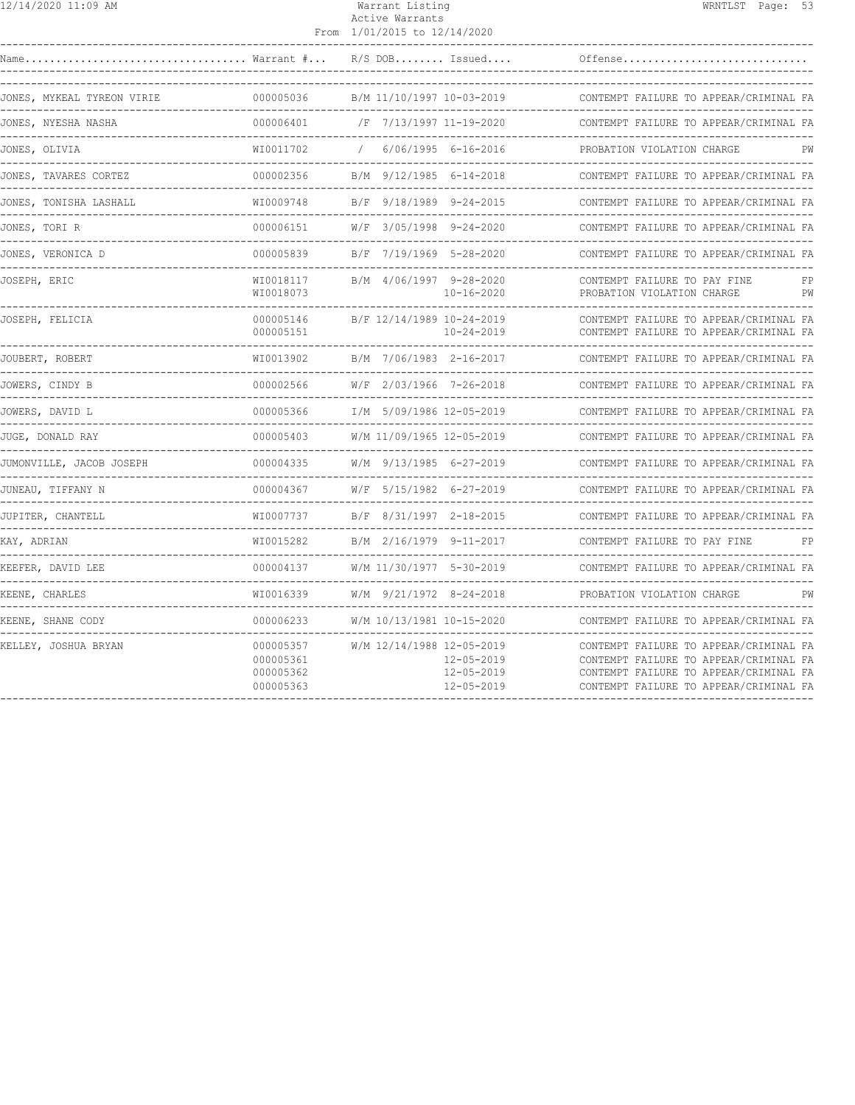| 12/14/2020 11:09 AM | Warrant Listing | WRNTLST Page: 53 |  |  |
|---------------------|-----------------|------------------|--|--|
|---------------------|-----------------|------------------|--|--|

### Active Warrants From 1/01/2015 to 12/14/2020

| Name                                                       |                                                  |                           |                                                                  |                                                                                                                                                                      |
|------------------------------------------------------------|--------------------------------------------------|---------------------------|------------------------------------------------------------------|----------------------------------------------------------------------------------------------------------------------------------------------------------------------|
| JONES, MYKEAL TYREON VIRIE                                 |                                                  |                           |                                                                  |                                                                                                                                                                      |
| JONES, NYESHA NASHA                                        | 000006401                                        |                           | /F 7/13/1997 11-19-2020<br>------------------------------------- | CONTEMPT FAILURE TO APPEAR/CRIMINAL FA                                                                                                                               |
| 001<br>----------------------------------<br>JONES, OLIVIA | WI0011702                                        | $\sqrt{2}$                | $6/06/1995$ $6-16-2016$                                          | PROBATION VIOLATION CHARGE<br>PW                                                                                                                                     |
| JONES, TAVARES CORTEZ                                      | 000002356                                        |                           | B/M 9/12/1985 6-14-2018                                          | CONTEMPT FAILURE TO APPEAR/CRIMINAL FA                                                                                                                               |
| JONES, TONISHA LASHALL                                     | WI0009748                                        | B/F 9/18/1989 9-24-2015   |                                                                  | CONTEMPT FAILURE TO APPEAR/CRIMINAL FA                                                                                                                               |
| JONES, TORI R                                              | 000006151                                        |                           | W/F 3/05/1998 9-24-2020                                          | CONTEMPT FAILURE TO APPEAR/CRIMINAL FA                                                                                                                               |
| JONES, VERONICA D                                          | 000005839                                        | B/F 7/19/1969 5-28-2020   |                                                                  | CONTEMPT FAILURE TO APPEAR/CRIMINAL FA                                                                                                                               |
| JOSEPH, ERIC                                               | WI0018117<br>WI0018073                           | B/M 4/06/1997 9-28-2020   | $10 - 16 - 2020$                                                 | CONTEMPT FAILURE TO PAY FINE<br>FP<br>PROBATION VIOLATION CHARGE<br>PW                                                                                               |
| JOSEPH, FELICIA                                            | 000005146<br>000005151                           | B/F 12/14/1989 10-24-2019 | $10 - 24 - 2019$                                                 | CONTEMPT FAILURE TO APPEAR/CRIMINAL FA<br>CONTEMPT FAILURE TO APPEAR/CRIMINAL FA                                                                                     |
| JOUBERT, ROBERT                                            | WI0013902                                        | B/M 7/06/1983 2-16-2017   |                                                                  | CONTEMPT FAILURE TO APPEAR/CRIMINAL FA                                                                                                                               |
| JOWERS, CINDY B                                            | 000002566                                        |                           | $W/F$ 2/03/1966 7-26-2018 CONTE                                  | CONTEMPT FAILURE TO APPEAR/CRIMINAL FA                                                                                                                               |
| JOWERS, DAVID L                                            | 000005366                                        |                           | I/M 5/09/1986 12-05-2019<br>---------------------                | CONTEMPT FAILURE TO APPEAR/CRIMINAL FA                                                                                                                               |
| JUGE, DONALD RAY                                           | 000005403                                        |                           |                                                                  | W/M 11/09/1965 12-05-2019 CONTEMPT FAILURE TO APPEAR/CRIMINAL FA                                                                                                     |
| JUMONVILLE, JACOB JOSEPH                                   | 000004335                                        |                           | W/M 9/13/1985 6-27-2019<br>---------------------                 | CONTEMPT FAILURE TO APPEAR/CRIMINAL FA                                                                                                                               |
| JUNEAU, TIFFANY N                                          |                                                  |                           |                                                                  | CONTEMPT FAILURE TO APPEAR/CRIMINAL FA                                                                                                                               |
| JUPITER, CHANTELL                                          | WI0007737                                        |                           |                                                                  | CONTEMPT FAILURE TO APPEAR/CRIMINAL FA                                                                                                                               |
| KAY, ADRIAN                                                | WI0015282                                        | B/M 2/16/1979 9-11-2017   |                                                                  | CONTEMPT FAILURE TO PAY FINE<br>FP                                                                                                                                   |
| KEEFER, DAVID LEE<br>------------                          | 000004137                                        |                           | W/M 11/30/1977 5-30-2019                                         | CONTEMPT FAILURE TO APPEAR/CRIMINAL FA                                                                                                                               |
| KEENE, CHARLES                                             |                                                  | W/M 9/21/1972 8-24-2018   |                                                                  | PROBATION VIOLATION CHARGE<br>PW                                                                                                                                     |
| KEENE, SHANE CODY                                          | 000006233                                        | W/M 10/13/1981 10-15-2020 |                                                                  | CONTEMPT FAILURE TO APPEAR/CRIMINAL FA                                                                                                                               |
| KELLEY, JOSHUA BRYAN                                       | 000005357<br>000005361<br>000005362<br>000005363 | W/M 12/14/1988 12-05-2019 | $12 - 05 - 2019$<br>$12 - 05 - 2019$<br>$12 - 05 - 2019$         | CONTEMPT FAILURE TO APPEAR/CRIMINAL FA<br>CONTEMPT FAILURE TO APPEAR/CRIMINAL FA<br>CONTEMPT FAILURE TO APPEAR/CRIMINAL FA<br>CONTEMPT FAILURE TO APPEAR/CRIMINAL FA |
|                                                            |                                                  |                           |                                                                  |                                                                                                                                                                      |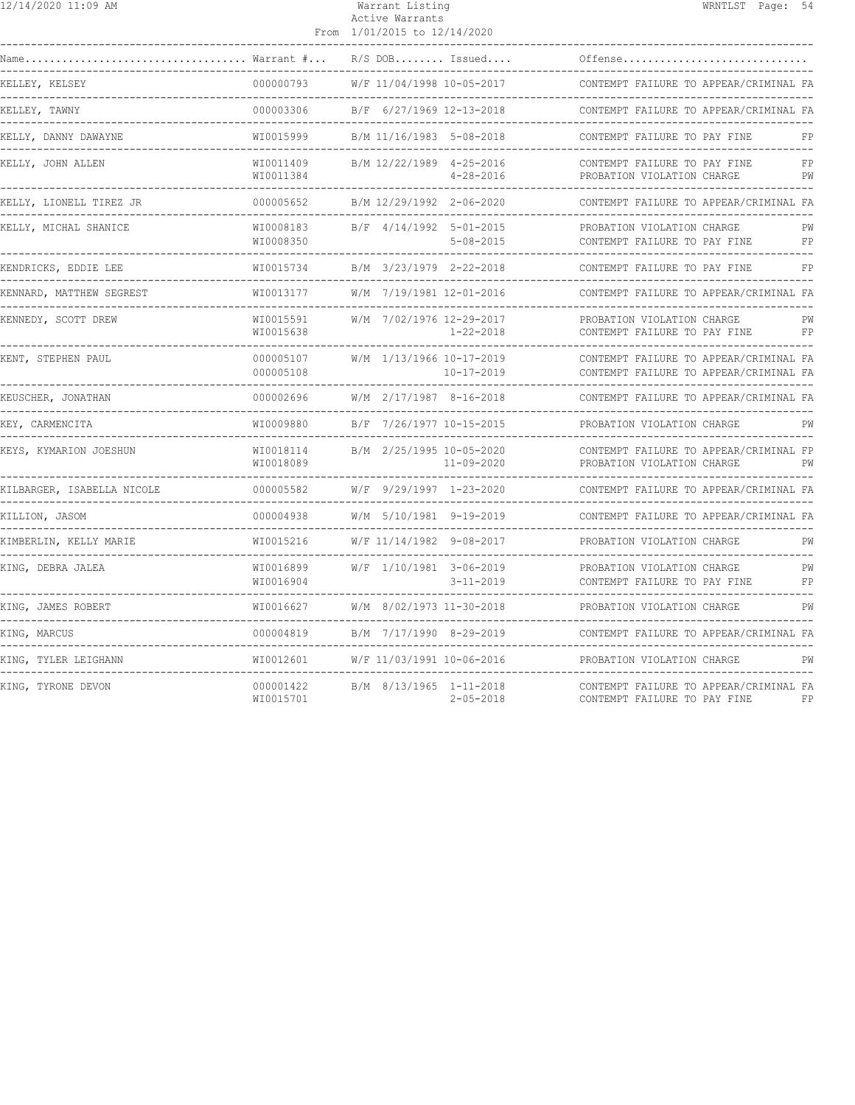| 12/14/2020 11:09 AM                                    |                             | Warrant Listing<br>Active Warrants<br>From 1/01/2015 to 12/14/2020 | WRNTLST Page: 54                                                                 |
|--------------------------------------------------------|-----------------------------|--------------------------------------------------------------------|----------------------------------------------------------------------------------|
| Warrant #<br>$\texttt{Name} \dots \texttt{.}$          |                             | $R/S$ DOB Issued                                                   | Offense                                                                          |
| KELLEY, KELSEY                                         | 000000793                   | W/F 11/04/1998 10-05-2017                                          | CONTEMPT FAILURE TO APPEAR/CRIMINAL FA                                           |
| KELLEY, TAWNY                                          | 000003306                   | B/F 6/27/1969 12-13-2018                                           | CONTEMPT FAILURE TO APPEAR/CRIMINAL FA                                           |
| KELLY, DANNY DAWAYNE                                   | WI0015999                   | B/M 11/16/1983 5-08-2018                                           | CONTEMPT FAILURE TO PAY FINE<br>FP                                               |
| KELLY, JOHN ALLEN                                      | WI0011409<br>WI0011384      | B/M 12/22/1989 4-25-2016<br>$4 - 28 - 2016$                        | CONTEMPT FAILURE TO PAY FINE<br>FP<br>PW<br>PROBATION VIOLATION CHARGE           |
| KELLY, LIONELL TIREZ JR                                | 000005652                   | B/M 12/29/1992 2-06-2020                                           | CONTEMPT FAILURE TO APPEAR/CRIMINAL FA                                           |
| KELLY, MICHAL SHANICE                                  | WI0008183<br>WI0008350      | B/F 4/14/1992 5-01-2015<br>$5 - 08 - 2015$                         | PROBATION VIOLATION CHARGE<br>PW<br>CONTEMPT FAILURE TO PAY FINE<br>FP           |
| KENDRICKS, EDDIE LEE<br>------------------------------ | WI0015734                   | B/M 3/23/1979 2-22-2018                                            | FP<br>CONTEMPT FAILURE TO PAY FINE                                               |
| KENNARD, MATTHEW SEGREST                               | WI0013177                   | W/M 7/19/1981 12-01-2016                                           | CONTEMPT FAILURE TO APPEAR/CRIMINAL FA                                           |
| KENNEDY, SCOTT DREW                                    | WI0015591<br>WI0015638      | W/M 7/02/1976 12-29-2017<br>$1 - 22 - 2018$                        | PROBATION VIOLATION CHARGE<br>PW<br>CONTEMPT FAILURE TO PAY FINE<br>FP           |
| KENT, STEPHEN PAUL                                     | 000005107<br>000005108      | W/M 1/13/1966 10-17-2019<br>$10 - 17 - 2019$                       | CONTEMPT FAILURE TO APPEAR/CRIMINAL FA<br>CONTEMPT FAILURE TO APPEAR/CRIMINAL FA |
| KEUSCHER, JONATHAN                                     | 000002696                   | W/M 2/17/1987 8-16-2018                                            | CONTEMPT FAILURE TO APPEAR/CRIMINAL FA                                           |
| KEY, CARMENCITA                                        | WI0009880                   | B/F 7/26/1977 10-15-2015                                           | PROBATION VIOLATION CHARGE<br>PW                                                 |
| KEYS, KYMARION JOESHUN                                 | WI0018114<br>WI0018089      | B/M 2/25/1995 10-05-2020<br>$11 - 09 - 2020$                       | CONTEMPT FAILURE TO APPEAR/CRIMINAL FP<br>PROBATION VIOLATION CHARGE<br>PW       |
| KILBARGER, ISABELLA NICOLE                             | 000005582                   | W/F 9/29/1997 1-23-2020                                            | CONTEMPT FAILURE TO APPEAR/CRIMINAL FA                                           |
| KILLION, JASOM                                         | 000004938<br>-------------- | W/M 5/10/1981 9-19-2019                                            | CONTEMPT FAILURE TO APPEAR/CRIMINAL FA                                           |
| KIMBERLIN, KELLY MARIE                                 | WI0015216                   | W/F 11/14/1982 9-08-2017                                           | PROBATION VIOLATION CHARGE<br>------------------------------                     |
| KING, DEBRA JALEA                                      | WI0016899<br>WI0016904      | W/F 1/10/1981 3-06-2019<br>$3 - 11 - 2019$                         | PROBATION VIOLATION CHARGE<br>PW<br>CONTEMPT FAILURE TO PAY FINE<br>FP           |
| KING, JAMES ROBERT                                     | WI0016627                   | W/M 8/02/1973 11-30-2018                                           | PROBATION VIOLATION CHARGE<br>PW                                                 |
| KING, MARCUS                                           | 000004819                   | B/M 7/17/1990 8-29-2019                                            | CONTEMPT FAILURE TO APPEAR/CRIMINAL FA                                           |
| KING, TYLER LEIGHANN                                   | WI0012601                   | W/F 11/03/1991 10-06-2016                                          | PROBATION VIOLATION CHARGE<br>PW                                                 |
| KING, TYRONE DEVON                                     | 000001422<br>WI0015701      | B/M 8/13/1965 1-11-2018<br>$2 - 05 - 2018$                         | CONTEMPT FAILURE TO APPEAR/CRIMINAL FA<br>CONTEMPT FAILURE TO PAY FINE<br>F P    |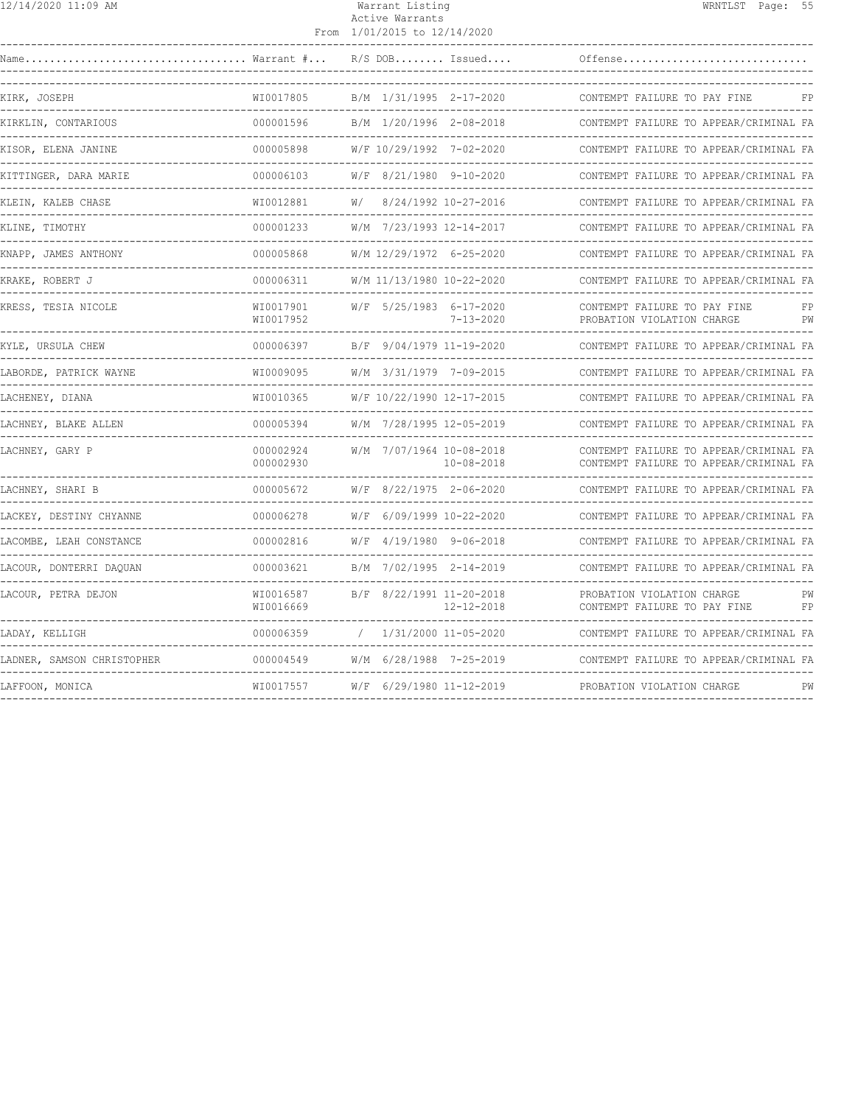| 12/14/2020 11:09 AM |
|---------------------|
|---------------------|

### Active Warrants From 1/01/2015 to 12/14/2020

|                            | $\ldots$ . Warrant $\# \ldots$ | $R/S$ DOB Issued                                   | Offense                                                                          |
|----------------------------|--------------------------------|----------------------------------------------------|----------------------------------------------------------------------------------|
| KIRK, JOSEPH               | WI0017805                      | B/M 1/31/1995 2-17-2020                            | CONTEMPT FAILURE TO PAY FINE                                                     |
| KIRKLIN, CONTARIOUS        | 000001596                      | B/M 1/20/1996 2-08-2018<br>----------------------- | CONTEMPT FAILURE TO APPEAR/CRIMINAL FA                                           |
| KISOR, ELENA JANINE        | 000005898                      | W/F 10/29/1992 7-02-2020                           | CONTEMPT FAILURE TO APPEAR/CRIMINAL FA                                           |
| KITTINGER, DARA MARIE      | 000006103                      | 8/21/1980 9-10-2020<br>W/F                         | CONTEMPT FAILURE TO APPEAR/CRIMINAL FA                                           |
| KLEIN, KALEB CHASE         | WI0012881                      | 8/24/1992 10-27-2016<br>W/                         | CONTEMPT FAILURE TO APPEAR/CRIMINAL FA                                           |
| KLINE, TIMOTHY             | 000001233                      | W/M 7/23/1993 12-14-2017                           | CONTEMPT FAILURE TO APPEAR/CRIMINAL FA                                           |
| KNAPP, JAMES ANTHONY       | 000005868                      | W/M 12/29/1972 6-25-2020                           | CONTEMPT FAILURE TO APPEAR/CRIMINAL FA                                           |
| KRAKE, ROBERT J            | 000006311                      | W/M 11/13/1980 10-22-2020                          | CONTEMPT FAILURE TO APPEAR/CRIMINAL FA                                           |
| KRESS, TESIA NICOLE        | WI0017901<br>WI0017952         | W/F 5/25/1983 6-17-2020<br>$7 - 13 - 2020$         | CONTEMPT FAILURE TO PAY FINE<br>FP<br>PROBATION VIOLATION CHARGE<br>PW           |
| KYLE, URSULA CHEW          | 000006397                      | B/F 9/04/1979 11-19-2020                           | CONTEMPT FAILURE TO APPEAR/CRIMINAL FA                                           |
| LABORDE, PATRICK WAYNE     | WI0009095                      | W/M 3/31/1979 7-09-2015                            | CONTEMPT FAILURE TO APPEAR/CRIMINAL FA                                           |
| LACHENEY, DIANA            | WI0010365                      | W/F 10/22/1990 12-17-2015                          | CONTEMPT FAILURE TO APPEAR/CRIMINAL FA                                           |
| LACHNEY, BLAKE ALLEN       | 000005394                      | W/M 7/28/1995 12-05-2019                           | CONTEMPT FAILURE TO APPEAR/CRIMINAL FA                                           |
| LACHNEY, GARY P            | 000002924<br>000002930         | W/M 7/07/1964 10-08-2018<br>$10 - 08 - 2018$       | CONTEMPT FAILURE TO APPEAR/CRIMINAL FA<br>CONTEMPT FAILURE TO APPEAR/CRIMINAL FA |
| LACHNEY, SHARI B           | 000005672                      | W/F 8/22/1975 2-06-2020                            | CONTEMPT FAILURE TO APPEAR/CRIMINAL FA                                           |
| LACKEY, DESTINY CHYANNE    | 000006278                      | W/F 6/09/1999 10-22-2020                           | CONTEMPT FAILURE TO APPEAR/CRIMINAL FA                                           |
| LACOMBE, LEAH CONSTANCE    | 000002816                      | W/F 4/19/1980 9-06-2018                            | CONTEMPT FAILURE TO APPEAR/CRIMINAL FA                                           |
| LACOUR, DONTERRI DAQUAN    | 000003621                      | B/M 7/02/1995 2-14-2019                            | CONTEMPT FAILURE TO APPEAR/CRIMINAL FA                                           |
| LACOUR, PETRA DEJON        | WI0016587<br>WI0016669         | B/F 8/22/1991 11-20-2018<br>$12 - 12 - 2018$       | PROBATION VIOLATION CHARGE<br>PW<br>FP<br>CONTEMPT FAILURE TO PAY FINE           |
| LADAY, KELLIGH             | 000006359                      | 1/31/2000 11-05-2020<br>$\sqrt{2}$                 | CONTEMPT FAILURE TO APPEAR/CRIMINAL FA                                           |
| LADNER, SAMSON CHRISTOPHER | 000004549                      | W/M 6/28/1988 7-25-2019                            | CONTEMPT FAILURE TO APPEAR/CRIMINAL FA                                           |
| LAFFOON, MONICA            | WI0017557                      | W/F 6/29/1980 11-12-2019                           | PROBATION VIOLATION CHARGE<br>PW                                                 |
|                            |                                |                                                    |                                                                                  |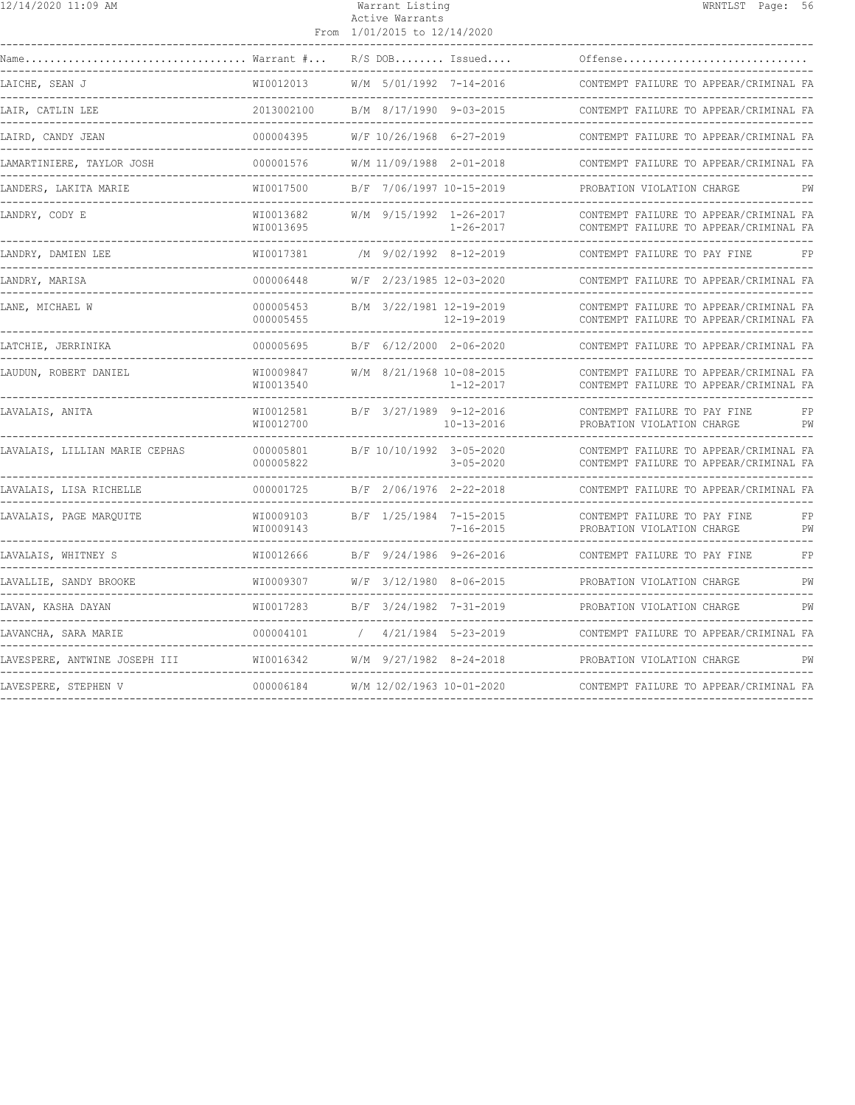| 12/14/2020 11:09 AM                               |                                                     | Warrant Listing<br>Active Warrants<br>From 1/01/2015 to 12/14/2020 |                       |                                                                                                                       | WRNTLST Page: 56 |          |
|---------------------------------------------------|-----------------------------------------------------|--------------------------------------------------------------------|-----------------------|-----------------------------------------------------------------------------------------------------------------------|------------------|----------|
| $\ldots \ldots \ldots \ldots$ Warrant $\# \ldots$ |                                                     | $R/S$ DOB Issued                                                   |                       | Offense                                                                                                               |                  |          |
| LAICHE, SEAN J                                    | WI0012013                                           | W/M 5/01/1992 7-14-2016                                            |                       | CONTEMPT FAILURE TO APPEAR/CRIMINAL FA                                                                                |                  |          |
| LAIR, CATLIN LEE                                  | 2013002100                                          | B/M 8/17/1990 9-03-2015                                            |                       | CONTEMPT FAILURE TO APPEAR/CRIMINAL FA                                                                                |                  |          |
| LAIRD, CANDY JEAN                                 | 000004395                                           | W/F 10/26/1968 6-27-2019                                           |                       | CONTEMPT FAILURE TO APPEAR/CRIMINAL FA                                                                                |                  |          |
| LAMARTINIERE, TAYLOR JOSH                         | 000001576                                           | W/M 11/09/1988 2-01-2018                                           |                       | CONTEMPT FAILURE TO APPEAR/CRIMINAL FA<br>------------------------------                                              |                  |          |
| LANDERS, LAKITA MARIE                             | WI0017500<br>-------------------------------------- | B/F 7/06/1997 10-15-2019                                           |                       | PROBATION VIOLATION CHARGE                                                                                            |                  | РW       |
| LANDRY, CODY E                                    | WI0013682<br>WI0013695                              | W/M 9/15/1992 1-26-2017                                            | $1 - 26 - 2017$       | CONTEMPT FAILURE TO APPEAR/CRIMINAL FA<br>CONTEMPT FAILURE TO APPEAR/CRIMINAL FA                                      |                  |          |
| LANDRY, DAMIEN LEE                                | WI0017381                                           | /M 9/02/1992 8-12-2019                                             |                       | CONTEMPT FAILURE TO PAY FINE                                                                                          |                  | FP       |
| LANDRY, MARISA                                    | 000006448                                           | W/F 2/23/1985 12-03-2020                                           |                       | CONTEMPT FAILURE TO APPEAR/CRIMINAL FA                                                                                |                  |          |
| LANE, MICHAEL W                                   | 000005453<br>000005455                              | B/M 3/22/1981 12-19-2019                                           | 12-19-2019            | CONTEMPT FAILURE TO APPEAR/CRIMINAL FA<br>CONTEMPT FAILURE TO APPEAR/CRIMINAL FA<br>_________________________________ |                  |          |
| LATCHIE, JERRINIKA                                | 000005695                                           | B/F 6/12/2000 2-06-2020                                            |                       | CONTEMPT FAILURE TO APPEAR/CRIMINAL FA                                                                                |                  |          |
| LAUDUN, ROBERT DANIEL                             | WI0009847<br>WI0013540                              | W/M 8/21/1968 10-08-2015                                           | $1 - 12 - 2017$       | CONTEMPT FAILURE TO APPEAR/CRIMINAL FA<br>CONTEMPT FAILURE TO APPEAR/CRIMINAL FA                                      |                  |          |
| LAVALAIS, ANITA                                   | WI0012581<br>WI0012700                              | B/F 3/27/1989 9-12-2016                                            | $10 - 13 - 2016$      | CONTEMPT FAILURE TO PAY FINE<br>PROBATION VIOLATION CHARGE                                                            |                  | FP<br>PW |
| LAVALAIS, LILLIAN MARIE CEPHAS                    | 000005801<br>000005822                              | B/F 10/10/1992 3-05-2020                                           | $3 - 05 - 2020$       | CONTEMPT FAILURE TO APPEAR/CRIMINAL FA<br>CONTEMPT FAILURE TO APPEAR/CRIMINAL FA                                      |                  |          |
| LAVALAIS, LISA RICHELLE                           | 000001725                                           | B/F 2/06/1976 2-22-2018                                            |                       | CONTEMPT FAILURE TO APPEAR/CRIMINAL FA                                                                                |                  |          |
| LAVALAIS, PAGE MARQUITE                           | WI0009103<br>WI0009143                              | B/F 1/25/1984 7-15-2015                                            | $7 - 16 - 2015$       | CONTEMPT FAILURE TO PAY FINE<br>PROBATION VIOLATION CHARGE<br>-------------------------                               |                  | FP<br>PW |
| LAVALAIS, WHITNEY S                               | WI0012666                                           | B/F 9/24/1986 9-26-2016                                            |                       | CONTEMPT FAILURE TO PAY FINE                                                                                          |                  | FP       |
| LAVALLIE, SANDY BROOKE                            | WI0009307                                           | W/F 3/12/1980 8-06-2015                                            |                       | PROBATION VIOLATION CHARGE                                                                                            |                  | PW       |
| LAVAN, KASHA DAYAN                                | WI0017283                                           | B/F 3/24/1982 7-31-2019                                            |                       | PROBATION VIOLATION CHARGE                                                                                            |                  | PW       |
| LAVANCHA, SARA MARIE                              | 000004101                                           |                                                                    | $4/21/1984$ 5-23-2019 | CONTEMPT FAILURE TO APPEAR/CRIMINAL FA                                                                                |                  |          |
| LAVESPERE, ANTWINE JOSEPH III                     | WI0016342                                           | W/M 9/27/1982 8-24-2018                                            |                       | PROBATION VIOLATION CHARGE                                                                                            |                  | PW       |
| LAVESPERE, STEPHEN V                              | 000006184                                           | W/M 12/02/1963 10-01-2020                                          |                       | CONTEMPT FAILURE TO APPEAR/CRIMINAL FA                                                                                |                  |          |
|                                                   |                                                     |                                                                    |                       |                                                                                                                       |                  |          |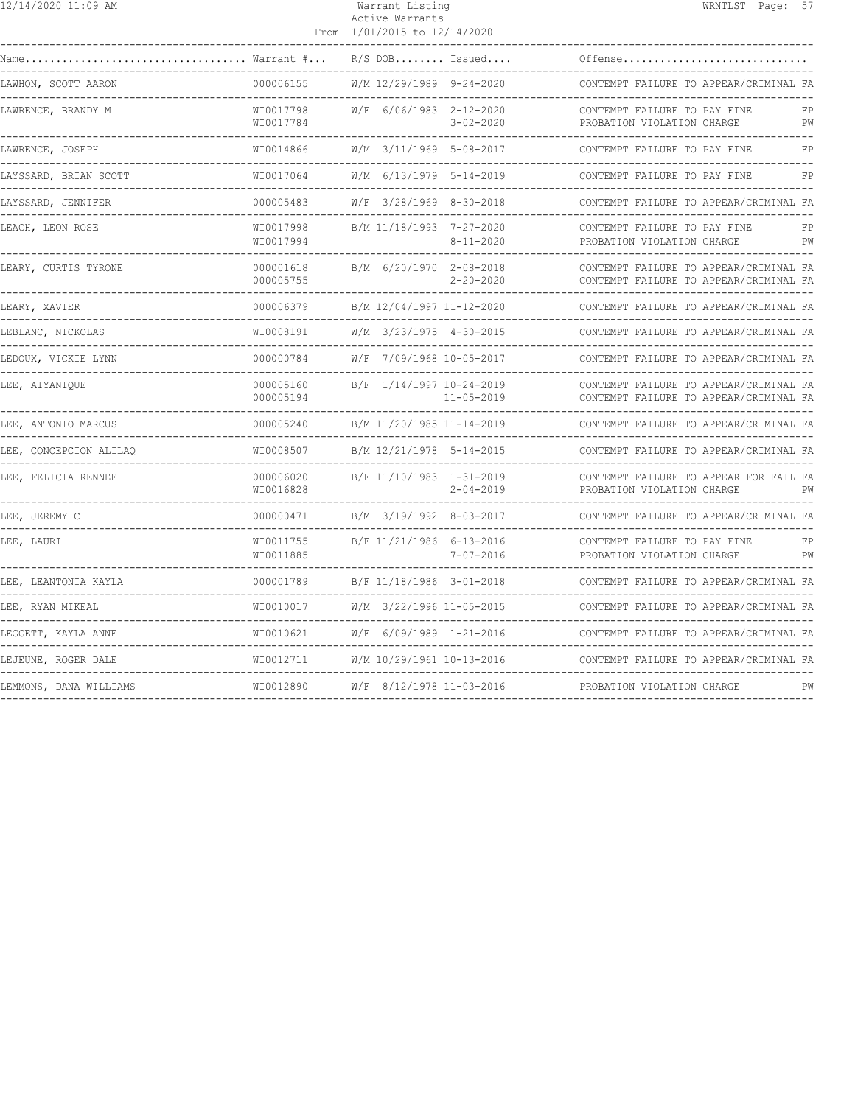| 12/14/2020 11:09 AM                               |                                          | Warrant Listing<br>Active Warrants<br>From 1/01/2015 to 12/14/2020 |                                                                           |                                                                                  | WRNTLST Page: 57 |          |
|---------------------------------------------------|------------------------------------------|--------------------------------------------------------------------|---------------------------------------------------------------------------|----------------------------------------------------------------------------------|------------------|----------|
| $\ldots \ldots \ldots \ldots$ Warrant $\# \ldots$ |                                          |                                                                    | $R/S$ DOB Issued                                                          | Offense                                                                          |                  |          |
| LAWHON, SCOTT AARON                               | 000006155                                |                                                                    | W/M 12/29/1989 9-24-2020                                                  | CONTEMPT FAILURE TO APPEAR/CRIMINAL FA                                           |                  |          |
| LAWRENCE, BRANDY M                                | WI0017798<br>WI0017784                   |                                                                    | W/F 6/06/1983 2-12-2020<br>$3 - 02 - 2020$                                | CONTEMPT FAILURE TO PAY FINE<br>PROBATION VIOLATION CHARGE                       |                  | FP<br>PW |
| LAWRENCE, JOSEPH<br>.                             | WI0014866                                |                                                                    | W/M 3/11/1969 5-08-2017                                                   | CONTEMPT FAILURE TO PAY FINE                                                     |                  | FP       |
| LAYSSARD, BRIAN SCOTT                             | WI0017064                                |                                                                    | W/M 6/13/1979 5-14-2019                                                   | CONTEMPT FAILURE TO PAY FINE                                                     |                  | FP       |
| LAYSSARD, JENNIFER                                | 000005483                                |                                                                    | $W/F$ 3/28/1969 8-30-2018                                                 | CONTEMPT FAILURE TO APPEAR/CRIMINAL FA                                           |                  |          |
| LEACH, LEON ROSE                                  | WI0017998<br>WI0017994                   |                                                                    | B/M 11/18/1993 7-27-2020<br>$8 - 11 - 2020$                               | CONTEMPT FAILURE TO PAY FINE<br>PROBATION VIOLATION CHARGE                       |                  | FP<br>PW |
| LEARY, CURTIS TYRONE                              | 000001618<br>000005755                   | B/M 6/20/1970 2-08-2018                                            | $2 - 20 - 2020$                                                           | CONTEMPT FAILURE TO APPEAR/CRIMINAL FA<br>CONTEMPT FAILURE TO APPEAR/CRIMINAL FA |                  |          |
| LEARY, XAVIER                                     | 000006379                                |                                                                    | B/M 12/04/1997 11-12-2020                                                 | CONTEMPT FAILURE TO APPEAR/CRIMINAL FA                                           |                  |          |
| LEBLANC, NICKOLAS                                 | WT0008191                                |                                                                    | W/M 3/23/1975 4-30-2015                                                   | CONTEMPT FAILURE TO APPEAR/CRIMINAL FA                                           |                  |          |
| LEDOUX, VICKIE LYNN<br>.                          | 000000784                                |                                                                    | W/F 7/09/1968 10-05-2017                                                  | CONTEMPT FAILURE TO APPEAR/CRIMINAL FA                                           |                  |          |
| LEE, AIYANIQUE                                    | 000005160<br>000005194                   |                                                                    | B/F 1/14/1997 10-24-2019<br>$11 - 05 - 2019$<br>------------------------- | CONTEMPT FAILURE TO APPEAR/CRIMINAL FA<br>CONTEMPT FAILURE TO APPEAR/CRIMINAL FA |                  |          |
| LEE, ANTONIO MARCUS                               | 000005240                                |                                                                    | B/M 11/20/1985 11-14-2019                                                 | CONTEMPT FAILURE TO APPEAR/CRIMINAL FA                                           |                  |          |
| LEE, CONCEPCION ALILAO                            | WI0008507<br>. _ _ _ _ _ _ _ _ _ _ _ _ _ | _____________________                                              | B/M 12/21/1978 5-14-2015                                                  | CONTEMPT FAILURE TO APPEAR/CRIMINAL FA                                           |                  |          |
| LEE, FELICIA RENNEE                               | 000006020<br>WI0016828                   |                                                                    | B/F 11/10/1983 1-31-2019<br>$2 - 04 - 2019$                               | CONTEMPT FAILURE TO APPEAR FOR FAIL FA<br>PROBATION VIOLATION CHARGE             |                  | PW       |
| LEE, JEREMY C                                     | 000000471                                | B/M 3/19/1992 8-03-2017                                            |                                                                           | CONTEMPT FAILURE TO APPEAR/CRIMINAL FA                                           |                  |          |
| LEE, LAURI                                        | WI0011755<br>WI0011885                   |                                                                    | B/F 11/21/1986 6-13-2016<br>$7 - 07 - 2016$                               | CONTEMPT FAILURE TO PAY FINE<br>PROBATION VIOLATION CHARGE                       |                  | FP<br>PW |
| LEE, LEANTONIA KAYLA                              | 000001789                                |                                                                    | B/F 11/18/1986 3-01-2018                                                  | CONTEMPT FAILURE TO APPEAR/CRIMINAL FA                                           |                  |          |
| LEE, RYAN MIKEAL                                  | WI0010017                                | W/M 3/22/1996 11-05-2015                                           |                                                                           | CONTEMPT FAILURE TO APPEAR/CRIMINAL FA                                           |                  |          |
| LEGGETT, KAYLA ANNE                               | WI0010621                                |                                                                    | $W/F$ 6/09/1989 1-21-2016                                                 | CONTEMPT FAILURE TO APPEAR/CRIMINAL FA                                           |                  |          |
| LEJEUNE, ROGER DALE                               | WI0012711                                |                                                                    | W/M 10/29/1961 10-13-2016                                                 | CONTEMPT FAILURE TO APPEAR/CRIMINAL FA                                           |                  |          |
| LEMMONS, DANA WILLIAMS                            | WI0012890                                | W/F 8/12/1978 11-03-2016                                           |                                                                           | PROBATION VIOLATION CHARGE                                                       |                  | PW       |
|                                                   |                                          |                                                                    |                                                                           |                                                                                  |                  |          |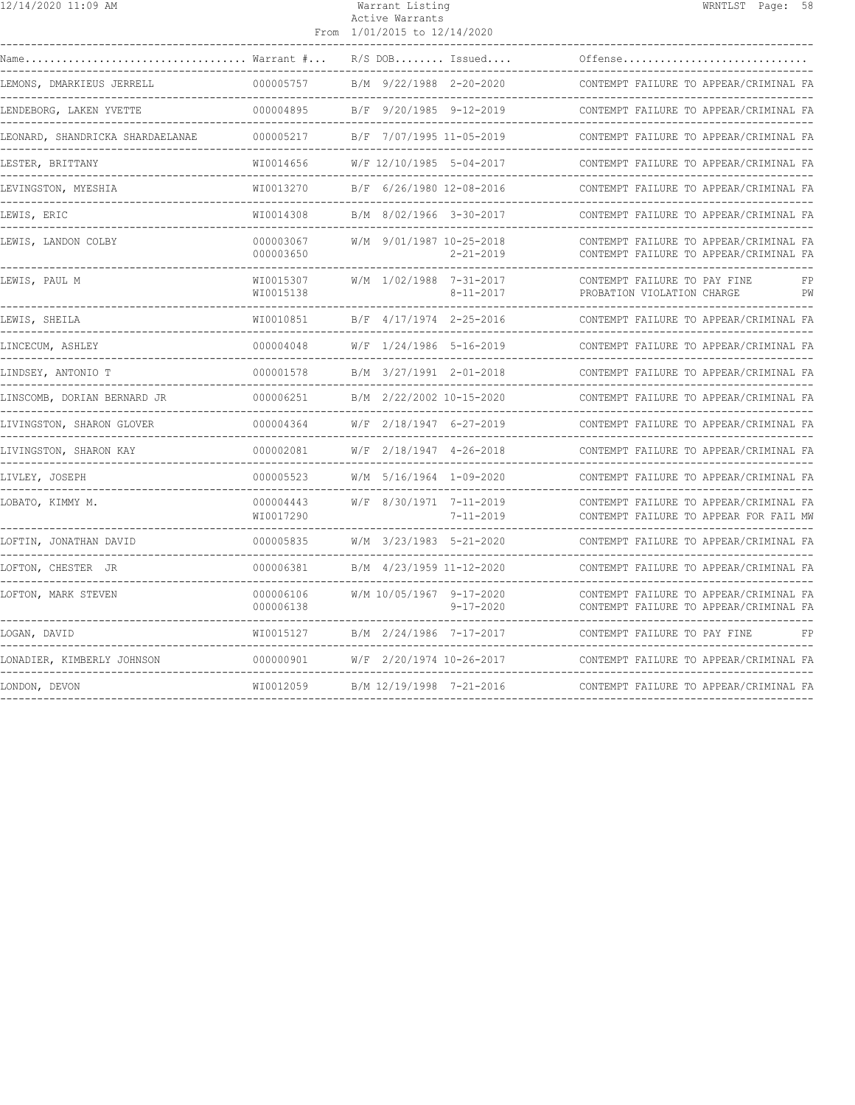| 12/14/2020 11:09 AM                                               |                        | Warrant Listing<br>Active Warrants<br>From 1/01/2015 to 12/14/2020 | WRNTLST Page: 58                                                                 |
|-------------------------------------------------------------------|------------------------|--------------------------------------------------------------------|----------------------------------------------------------------------------------|
|                                                                   |                        | $R/S$ DOB Issued                                                   | Offense                                                                          |
| LEMONS, DMARKIEUS JERRELL                                         | 000005757              | B/M 9/22/1988 2-20-2020                                            | CONTEMPT FAILURE TO APPEAR/CRIMINAL FA                                           |
| LENDEBORG, LAKEN YVETTE                                           | 000004895              | B/F 9/20/1985 9-12-2019                                            | CONTEMPT FAILURE TO APPEAR/CRIMINAL FA                                           |
| LEONARD, SHANDRICKA SHARDAELANAE                                  | 000005217              | B/F 7/07/1995 11-05-2019                                           | CONTEMPT FAILURE TO APPEAR/CRIMINAL FA                                           |
| LESTER, BRITTANY                                                  | WI0014656              | W/F 12/10/1985 5-04-2017                                           | CONTEMPT FAILURE TO APPEAR/CRIMINAL FA                                           |
| LEVINGSTON, MYESHIA                                               | WI0013270              | B/F 6/26/1980 12-08-2016                                           | CONTEMPT FAILURE TO APPEAR/CRIMINAL FA                                           |
| LEWIS, ERIC                                                       | WI0014308              | B/M 8/02/1966 3-30-2017                                            | CONTEMPT FAILURE TO APPEAR/CRIMINAL FA                                           |
| LEWIS, LANDON COLBY                                               | 000003067<br>000003650 | W/M 9/01/1987 10-25-2018<br>$2 - 21 - 2019$                        | CONTEMPT FAILURE TO APPEAR/CRIMINAL FA<br>CONTEMPT FAILURE TO APPEAR/CRIMINAL FA |
| LEWIS, PAUL M                                                     | WI0015307<br>WI0015138 | W/M 1/02/1988 7-31-2017<br>$8 - 11 - 2017$                         | CONTEMPT FAILURE TO PAY FINE<br>FP<br>PROBATION VIOLATION CHARGE<br>PW           |
| LEWIS, SHEILA                                                     | WI0010851              | B/F 4/17/1974 2-25-2016                                            | CONTEMPT FAILURE TO APPEAR/CRIMINAL FA                                           |
| LINCECUM, ASHLEY                                                  | 000004048              | W/F 1/24/1986 5-16-2019                                            | CONTEMPT FAILURE TO APPEAR/CRIMINAL FA                                           |
| LINDSEY, ANTONIO T                                                | 000001578              | B/M 3/27/1991 2-01-2018                                            | CONTEMPT FAILURE TO APPEAR/CRIMINAL FA                                           |
| LINSCOMB, DORIAN BERNARD JR                                       | 000006251              | B/M 2/22/2002 10-15-2020                                           | CONTEMPT FAILURE TO APPEAR/CRIMINAL FA                                           |
| LIVINGSTON, SHARON GLOVER                                         | 000004364              | W/F 2/18/1947 6-27-2019                                            | CONTEMPT FAILURE TO APPEAR/CRIMINAL FA                                           |
| LIVINGSTON, SHARON KAY                                            | 000002081              | W/F 2/18/1947 4-26-2018                                            | CONTEMPT FAILURE TO APPEAR/CRIMINAL FA                                           |
| LIVLEY, JOSEPH                                                    | 000005523              | W/M 5/16/1964 1-09-2020                                            | CONTEMPT FAILURE TO APPEAR/CRIMINAL FA                                           |
| LOBATO, KIMMY M.                                                  | 000004443<br>WI0017290 | W/F 8/30/1971 7-11-2019<br>7-11-2019                               | CONTEMPT FAILURE TO APPEAR/CRIMINAL FA<br>CONTEMPT FAILURE TO APPEAR FOR FAIL MW |
| LOFTIN, JONATHAN DAVID                                            | 000005835              | W/M 3/23/1983 5-21-2020                                            | CONTEMPT FAILURE TO APPEAR/CRIMINAL FA                                           |
| LOFTON, CHESTER JR                                                | 000006381              | B/M 4/23/1959 11-12-2020                                           | CONTEMPT FAILURE TO APPEAR/CRIMINAL FA                                           |
| LOFTON, MARK STEVEN                                               | 000006106<br>000006138 | W/M 10/05/1967 9-17-2020<br>$9 - 17 - 2020$                        | CONTEMPT FAILURE TO APPEAR/CRIMINAL FA<br>CONTEMPT FAILURE TO APPEAR/CRIMINAL FA |
| LOGAN, DAVID<br>------------------------------                    | WI0015127              | B/M 2/24/1986 7-17-2017                                            | CONTEMPT FAILURE TO PAY FINE                                                     |
| LONADIER, KIMBERLY JOHNSON<br>----------------------------------- | 000000901              | W/F 2/20/1974 10-26-2017                                           | CONTEMPT FAILURE TO APPEAR/CRIMINAL FA                                           |
| LONDON, DEVON                                                     | WI0012059              | B/M 12/19/1998 7-21-2016                                           | CONTEMPT FAILURE TO APPEAR/CRIMINAL FA                                           |
|                                                                   |                        |                                                                    |                                                                                  |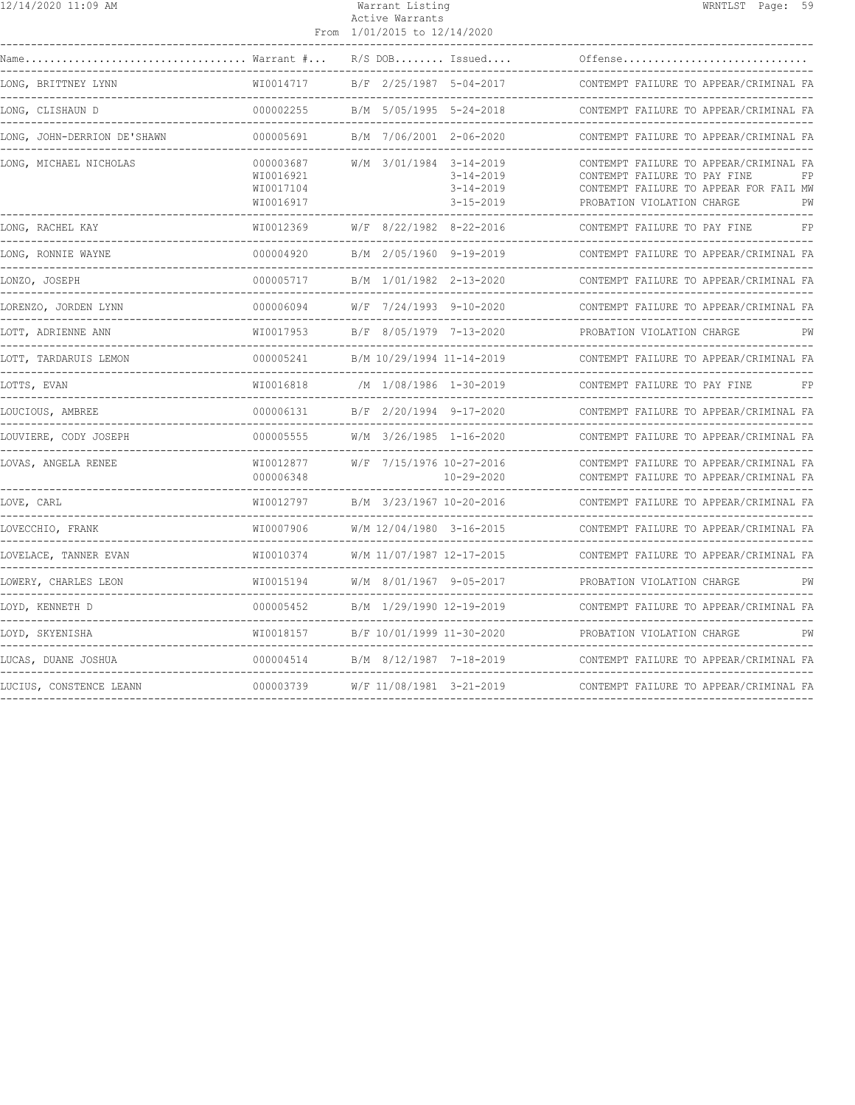| 12/14/2020 11:09 AM         |                                                  | Warrant Listing<br>Active Warrants<br>From 1/01/2015 to 12/14/2020 |                                                       | WRNTLST Page: 59                                                                                                                                           |
|-----------------------------|--------------------------------------------------|--------------------------------------------------------------------|-------------------------------------------------------|------------------------------------------------------------------------------------------------------------------------------------------------------------|
| Warrant #<br>Name           |                                                  |                                                                    | $R/S$ DOB Issued                                      | Offense                                                                                                                                                    |
| LONG, BRITTNEY LYNN         | WI0014717                                        | B/F 2/25/1987 5-04-2017                                            |                                                       | CONTEMPT FAILURE TO APPEAR/CRIMINAL FA                                                                                                                     |
| LONG, CLISHAUN D            | 000002255                                        | B/M 5/05/1995 5-24-2018                                            |                                                       | CONTEMPT FAILURE TO APPEAR/CRIMINAL FA                                                                                                                     |
| LONG, JOHN-DERRION DE'SHAWN | 000005691                                        | B/M 7/06/2001 2-06-2020                                            |                                                       | CONTEMPT FAILURE TO APPEAR/CRIMINAL FA                                                                                                                     |
| LONG, MICHAEL NICHOLAS      | 000003687<br>WI0016921<br>WI0017104<br>WI0016917 | W/M 3/01/1984 3-14-2019                                            | $3 - 14 - 2019$<br>$3 - 14 - 2019$<br>$3 - 15 - 2019$ | CONTEMPT FAILURE TO APPEAR/CRIMINAL FA<br>CONTEMPT FAILURE TO PAY FINE<br>FP<br>CONTEMPT FAILURE TO APPEAR FOR FAIL MW<br>PROBATION VIOLATION CHARGE<br>PW |
| LONG, RACHEL KAY            | WI0012369                                        | $W/F$ 8/22/1982 8-22-2016                                          |                                                       | FP<br>CONTEMPT FAILURE TO PAY FINE                                                                                                                         |
| LONG, RONNIE WAYNE          | 000004920                                        | B/M 2/05/1960 9-19-2019                                            |                                                       | CONTEMPT FAILURE TO APPEAR/CRIMINAL FA                                                                                                                     |
| LONZO, JOSEPH               | 000005717<br>---------                           |                                                                    | B/M 1/01/1982 2-13-2020                               | CONTEMPT FAILURE TO APPEAR/CRIMINAL FA                                                                                                                     |
| LORENZO, JORDEN LYNN        | 000006094                                        | W/F 7/24/1993 9-10-2020                                            |                                                       | CONTEMPT FAILURE TO APPEAR/CRIMINAL FA                                                                                                                     |
| LOTT, ADRIENNE ANN          | WT0017953                                        | B/F 8/05/1979 7-13-2020                                            |                                                       | PROBATION VIOLATION CHARGE                                                                                                                                 |
| LOTT, TARDARUIS LEMON       | 000005241                                        | B/M 10/29/1994 11-14-2019                                          |                                                       | CONTEMPT FAILURE TO APPEAR/CRIMINAL FA                                                                                                                     |
| LOTTS, EVAN                 | WI0016818                                        |                                                                    | /M 1/08/1986 1-30-2019                                | CONTEMPT FAILURE TO PAY FINE<br>FP                                                                                                                         |
| LOUCIOUS, AMBREE            | 000006131                                        |                                                                    | B/F 2/20/1994 9-17-2020                               | CONTEMPT FAILURE TO APPEAR/CRIMINAL FA                                                                                                                     |
| LOUVIERE, CODY JOSEPH       | 000005555                                        | W/M 3/26/1985 1-16-2020                                            |                                                       | CONTEMPT FAILURE TO APPEAR/CRIMINAL FA                                                                                                                     |
| LOVAS, ANGELA RENEE         | WI0012877<br>000006348                           | W/F 7/15/1976 10-27-2016                                           | 10-29-2020                                            | CONTEMPT FAILURE TO APPEAR/CRIMINAL FA<br>CONTEMPT FAILURE TO APPEAR/CRIMINAL FA                                                                           |
| LOVE, CARL                  | WI0012797                                        | B/M 3/23/1967 10-20-2016                                           |                                                       | CONTEMPT FAILURE TO APPEAR/CRIMINAL FA                                                                                                                     |
| LOVECCHIO, FRANK            | WI0007906                                        | W/M 12/04/1980 3-16-2015                                           |                                                       | CONTEMPT FAILURE TO APPEAR/CRIMINAL FA                                                                                                                     |
| LOVELACE, TANNER EVAN       | WT0010374                                        | W/M 11/07/1987 12-17-2015                                          |                                                       | CONTEMPT FAILURE TO APPEAR/CRIMINAL FA                                                                                                                     |
| LOWERY, CHARLES LEON        | WI0015194                                        |                                                                    | W/M 8/01/1967 9-05-2017                               | PROBATION VIOLATION CHARGE<br>PW                                                                                                                           |
| LOYD, KENNETH D             | 000005452                                        | B/M 1/29/1990 12-19-2019                                           |                                                       | CONTEMPT FAILURE TO APPEAR/CRIMINAL FA                                                                                                                     |
| LOYD, SKYENISHA             | WT0018157                                        | B/F 10/01/1999 11-30-2020                                          |                                                       | PROBATION VIOLATION CHARGE<br>PW                                                                                                                           |
| LUCAS, DUANE JOSHUA         | 000004514                                        |                                                                    | B/M 8/12/1987 7-18-2019                               | CONTEMPT FAILURE TO APPEAR/CRIMINAL FA                                                                                                                     |
| LUCIUS, CONSTENCE LEANN     | 000003739                                        |                                                                    | W/F 11/08/1981 3-21-2019                              | CONTEMPT FAILURE TO APPEAR/CRIMINAL FA                                                                                                                     |
|                             |                                                  |                                                                    |                                                       |                                                                                                                                                            |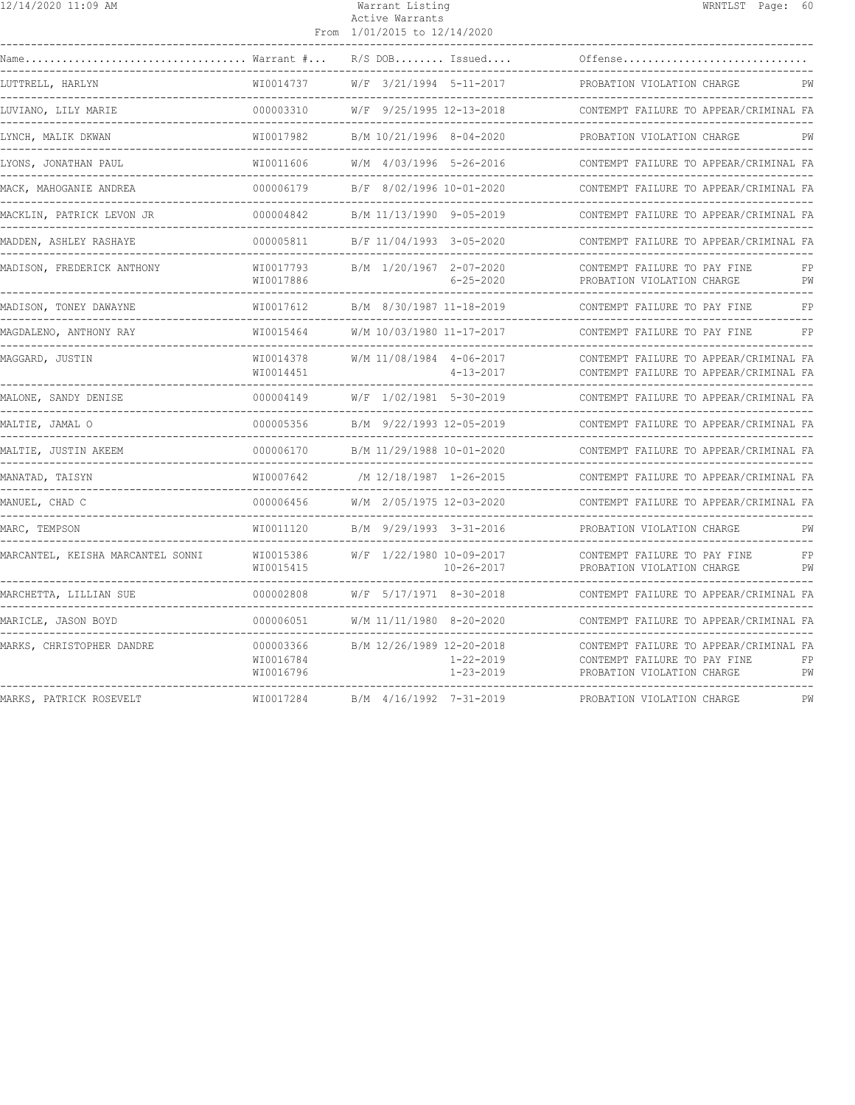| 12/14/2020 11:09 AM                                            |                                     | Warrant Listing<br>Active Warrants<br>From 1/01/2015 to 12/14/2020 | WRNTLST Page: 60                                                                                                 |
|----------------------------------------------------------------|-------------------------------------|--------------------------------------------------------------------|------------------------------------------------------------------------------------------------------------------|
|                                                                |                                     | $R/S$ DOB Issued<br>-----------------------                        | Offense                                                                                                          |
| LUTTRELL, HARLYN                                               | WI0014737                           | W/F 3/21/1994 5-11-2017                                            | PROBATION VIOLATION CHARGE<br>PW                                                                                 |
| LUVIANO, LILY MARIE                                            | 000003310                           | W/F 9/25/1995 12-13-2018                                           | CONTEMPT FAILURE TO APPEAR/CRIMINAL FA                                                                           |
| LYNCH, MALIK DKWAN                                             | WI0017982                           | B/M 10/21/1996 8-04-2020                                           | PROBATION VIOLATION CHARGE<br>PW                                                                                 |
| LYONS, JONATHAN PAUL                                           |                                     | WI0011606 W/M 4/03/1996 5-26-2016                                  | CONTEMPT FAILURE TO APPEAR/CRIMINAL FA                                                                           |
| MACK, MAHOGANIE ANDREA                                         | 000006179                           | B/F 8/02/1996 10-01-2020                                           | CONTEMPT FAILURE TO APPEAR/CRIMINAL FA                                                                           |
| MACKLIN, PATRICK LEVON JR                                      | 000004842                           | B/M 11/13/1990 9-05-2019                                           | CONTEMPT FAILURE TO APPEAR/CRIMINAL FA                                                                           |
| MADDEN, ASHLEY RASHAYE                                         | 000005811                           | B/F 11/04/1993 3-05-2020                                           | CONTEMPT FAILURE TO APPEAR/CRIMINAL FA                                                                           |
| MADISON, FREDERICK ANTHONY<br>-------------------------------- | WI0017793<br>WI0017886              | B/M 1/20/1967 2-07-2020<br>6-25-2020                               | CONTEMPT FAILURE TO PAY FINE<br>FP<br>PROBATION VIOLATION CHARGE<br>PW                                           |
| MADISON, TONEY DAWAYNE                                         | WI0017612                           | B/M 8/30/1987 11-18-2019                                           | CONTEMPT FAILURE TO PAY FINE<br>FP                                                                               |
| MAGDALENO, ANTHONY RAY                                         | WI0015464                           | W/M 10/03/1980 11-17-2017                                          | CONTEMPT FAILURE TO PAY FINE<br>FP                                                                               |
| MAGGARD, JUSTIN                                                | WI0014378<br>WI0014451              | W/M 11/08/1984 4-06-2017<br>$4 - 13 - 2017$                        | CONTEMPT FAILURE TO APPEAR/CRIMINAL FA<br>CONTEMPT FAILURE TO APPEAR/CRIMINAL FA                                 |
| MALONE, SANDY DENISE                                           | 000004149                           | W/F 1/02/1981 5-30-2019                                            | CONTEMPT FAILURE TO APPEAR/CRIMINAL FA                                                                           |
| MALTIE, JAMAL O                                                | 000005356                           | B/M 9/22/1993 12-05-2019                                           | CONTEMPT FAILURE TO APPEAR/CRIMINAL FA                                                                           |
| MALTIE, JUSTIN AKEEM                                           |                                     |                                                                    | CONTEMPT FAILURE TO APPEAR/CRIMINAL FA                                                                           |
| MANATAD, TAISYN                                                | WI0007642                           | /M 12/18/1987 1-26-2015                                            | CONTEMPT FAILURE TO APPEAR/CRIMINAL FA                                                                           |
| MANUEL, CHAD C                                                 |                                     |                                                                    | CONTEMPT FAILURE TO APPEAR/CRIMINAL FA                                                                           |
| MARC, TEMPSON                                                  | WI0011120                           | B/M 9/29/1993 3-31-2016                                            | PROBATION VIOLATION CHARGE<br>PW                                                                                 |
| MARCANTEL, KEISHA MARCANTEL SONNI                              | WI0015386<br>WI0015415              | W/F 1/22/1980 10-09-2017<br>$10 - 26 - 2017$                       | CONTEMPT FAILURE TO PAY FINE<br>FP<br>PROBATION VIOLATION CHARGE<br>PW                                           |
| MARCHETTA, LILLIAN SUE                                         | 000002808                           | W/F 5/17/1971 8-30-2018                                            | CONTEMPT FAILURE TO APPEAR/CRIMINAL FA                                                                           |
| MARICLE, JASON BOYD                                            | 000006051                           | W/M 11/11/1980 8-20-2020                                           | CONTEMPT FAILURE TO APPEAR/CRIMINAL FA                                                                           |
| MARKS, CHRISTOPHER DANDRE                                      | 000003366<br>WI0016784<br>WI0016796 | B/M 12/26/1989 12-20-2018<br>1-22-2019<br>$1 - 23 - 2019$          | CONTEMPT FAILURE TO APPEAR/CRIMINAL FA<br>CONTEMPT FAILURE TO PAY FINE<br>FP<br>PW<br>PROBATION VIOLATION CHARGE |
| MARKS, PATRICK ROSEVELT                                        | WI0017284                           | B/M 4/16/1992 7-31-2019                                            | PROBATION VIOLATION CHARGE<br>PW                                                                                 |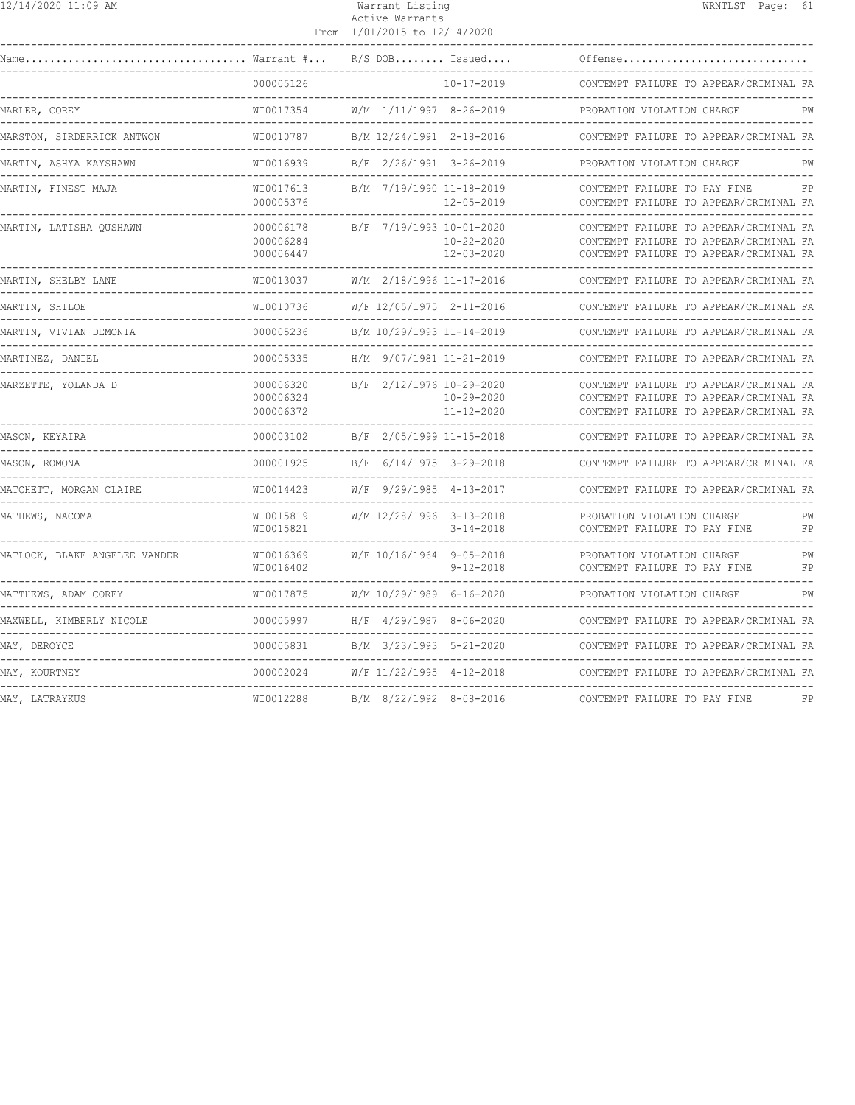## Warrant Listing Natural Mension of the WRNTLST Page: 61 Active Warrants

|                                        |                                     | From 1/01/2015 to 12/14/2020                 |                                      |                                                                                                                            |          |
|----------------------------------------|-------------------------------------|----------------------------------------------|--------------------------------------|----------------------------------------------------------------------------------------------------------------------------|----------|
|                                        |                                     | $R/S$ DOB Issued                             |                                      | Offense                                                                                                                    |          |
|                                        | 000005126                           |                                              | $10 - 17 - 2019$                     | CONTEMPT FAILURE TO APPEAR/CRIMINAL FA                                                                                     |          |
| MARLER, COREY                          | WI0017354                           | W/M 1/11/1997 8-26-2019                      |                                      | PROBATION VIOLATION CHARGE                                                                                                 | PW       |
| MARSTON, SIRDERRICK ANTWON             | WT0010787                           | B/M 12/24/1991 2-18-2016                     |                                      | CONTEMPT FAILURE TO APPEAR/CRIMINAL FA                                                                                     |          |
| MARTIN, ASHYA KAYSHAWN                 | WI0016939                           | B/F 2/26/1991 3-26-2019                      |                                      | PROBATION VIOLATION CHARGE                                                                                                 | РW       |
| MARTIN, FINEST MAJA                    | WI0017613<br>000005376              | B/M 7/19/1990 11-18-2019                     | $12 - 05 - 2019$                     | CONTEMPT FAILURE TO PAY FINE<br>CONTEMPT FAILURE TO APPEAR/CRIMINAL FA                                                     | FP       |
| MARTIN, LATISHA QUSHAWN                | 000006178<br>000006284<br>000006447 | B/F 7/19/1993 10-01-2020                     | $10 - 22 - 2020$<br>$12 - 03 - 2020$ | CONTEMPT FAILURE TO APPEAR/CRIMINAL FA<br>CONTEMPT FAILURE TO APPEAR/CRIMINAL FA<br>CONTEMPT FAILURE TO APPEAR/CRIMINAL FA |          |
| MARTIN, SHELBY LANE                    | WI0013037<br>---------------        | W/M 2/18/1996 11-17-2016                     |                                      | CONTEMPT FAILURE TO APPEAR/CRIMINAL FA                                                                                     |          |
| MARTIN, SHILOE                         | WI0010736<br>---------------        | W/F 12/05/1975 2-11-2016                     |                                      | CONTEMPT FAILURE TO APPEAR/CRIMINAL FA                                                                                     |          |
| MARTIN, VIVIAN DEMONIA<br>------------ | 000005236                           | B/M 10/29/1993 11-14-2019                    |                                      | CONTEMPT FAILURE TO APPEAR/CRIMINAL FA                                                                                     |          |
| MARTINEZ, DANIEL                       | 000005335                           | H/M 9/07/1981 11-21-2019                     |                                      | CONTEMPT FAILURE TO APPEAR/CRIMINAL FA                                                                                     |          |
| MARZETTE, YOLANDA D                    | 000006320<br>000006324<br>000006372 | B/F 2/12/1976 10-29-2020                     | $10 - 29 - 2020$<br>$11 - 12 - 2020$ | CONTEMPT FAILURE TO APPEAR/CRIMINAL FA<br>CONTEMPT FAILURE TO APPEAR/CRIMINAL FA<br>CONTEMPT FAILURE TO APPEAR/CRIMINAL FA |          |
| MASON, KEYAIRA                         | 000003102                           | B/F 2/05/1999 11-15-2018                     |                                      | CONTEMPT FAILURE TO APPEAR/CRIMINAL FA                                                                                     |          |
| MASON, ROMONA                          | 000001925                           | B/F 6/14/1975 3-29-2018<br>----------------- |                                      | CONTEMPT FAILURE TO APPEAR/CRIMINAL FA                                                                                     |          |
| MATCHETT, MORGAN CLAIRE                | WI0014423                           | W/F 9/29/1985 4-13-2017                      |                                      | CONTEMPT FAILURE TO APPEAR/CRIMINAL FA                                                                                     |          |
| MATHEWS, NACOMA                        | WI0015819<br>WI0015821              | W/M 12/28/1996 3-13-2018                     | $3 - 14 - 2018$                      | PROBATION VIOLATION CHARGE<br>CONTEMPT FAILURE TO PAY FINE                                                                 | PW<br>FP |
| MATLOCK, BLAKE ANGELEE VANDER          | WI0016369<br>WI0016402              | W/F 10/16/1964 9-05-2018                     | $9 - 12 - 2018$                      | PROBATION VIOLATION CHARGE<br>CONTEMPT FAILURE TO PAY FINE                                                                 | PW<br>FP |
| MATTHEWS, ADAM COREY                   | WI0017875                           | W/M 10/29/1989 6-16-2020                     |                                      | PROBATION VIOLATION CHARGE                                                                                                 | PW       |
| MAXWELL, KIMBERLY NICOLE               | 000005997                           | H/F 4/29/1987 8-06-2020                      |                                      | CONTEMPT FAILURE TO APPEAR/CRIMINAL FA                                                                                     |          |
| MAY, DEROYCE                           | 000005831                           | B/M 3/23/1993 5-21-2020<br>_______________   |                                      | CONTEMPT FAILURE TO APPEAR/CRIMINAL FA                                                                                     |          |
| MAY, KOURTNEY                          | 000002024                           | W/F 11/22/1995 4-12-2018                     |                                      | CONTEMPT FAILURE TO APPEAR/CRIMINAL FA                                                                                     |          |
| MAY, LATRAYKUS                         | WI0012288                           | B/M 8/22/1992 8-08-2016                      |                                      | CONTEMPT FAILURE TO PAY FINE                                                                                               | FP       |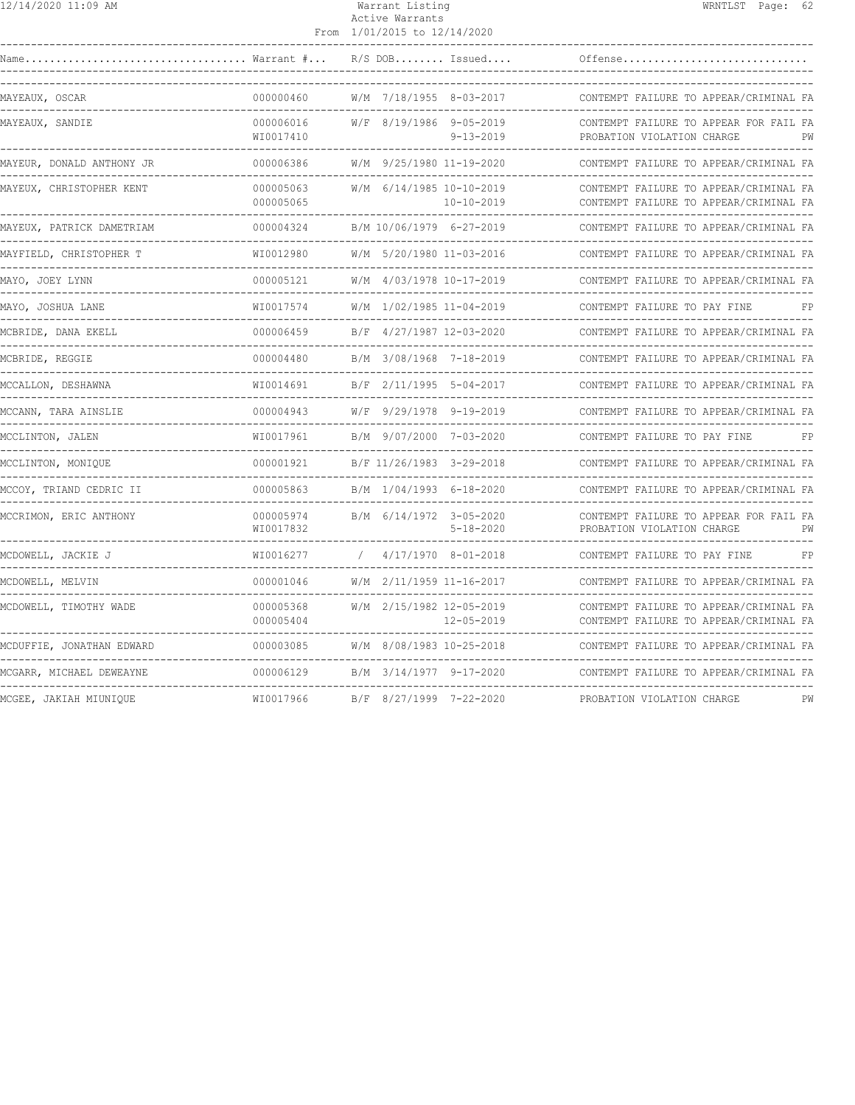|  | 12/14/2020 11:09 AM |  |  |  |
|--|---------------------|--|--|--|
|--|---------------------|--|--|--|

# Warrant Listing WRNTLST Page: 62 Active Warrants

|                                                                  |                        | From 1/01/2015 to 12/14/2020 |                                              |                                                                                  |    |
|------------------------------------------------------------------|------------------------|------------------------------|----------------------------------------------|----------------------------------------------------------------------------------|----|
| $\ldots \ldots \ldots \ldots \ldots$ Warrant $\# \ldots$<br>Name |                        |                              | $R/S$ DOB Issued                             | Offense                                                                          |    |
| MAYEAUX, OSCAR                                                   | 000000460              | W/M 7/18/1955 8-03-2017      |                                              | CONTEMPT FAILURE TO APPEAR/CRIMINAL FA                                           |    |
| MAYEAUX, SANDIE                                                  | 000006016<br>WI0017410 | W/F 8/19/1986 9-05-2019      | $9 - 13 - 2019$                              | CONTEMPT FAILURE TO APPEAR FOR FAIL FA<br>PROBATION VIOLATION CHARGE             | PW |
| MAYEUR, DONALD ANTHONY JR                                        | 000006386              | W/M 9/25/1980 11-19-2020     |                                              | CONTEMPT FAILURE TO APPEAR/CRIMINAL FA                                           |    |
| MAYEUX, CHRISTOPHER KENT                                         | 000005063<br>000005065 |                              | W/M 6/14/1985 10-10-2019<br>$10 - 10 - 2019$ | CONTEMPT FAILURE TO APPEAR/CRIMINAL FA<br>CONTEMPT FAILURE TO APPEAR/CRIMINAL FA |    |
| MAYEUX, PATRICK DAMETRIAM                                        | 000004324              | B/M 10/06/1979 6-27-2019     |                                              | CONTEMPT FAILURE TO APPEAR/CRIMINAL FA                                           |    |
| MAYFIELD, CHRISTOPHER T                                          | WI0012980              |                              | W/M 5/20/1980 11-03-2016                     | CONTEMPT FAILURE TO APPEAR/CRIMINAL FA                                           |    |
| MAYO, JOEY LYNN<br>------------                                  | 000005121              |                              | W/M 4/03/1978 10-17-2019                     | CONTEMPT FAILURE TO APPEAR/CRIMINAL FA                                           |    |
| MAYO, JOSHUA LANE                                                | WI0017574              |                              | W/M 1/02/1985 11-04-2019                     | CONTEMPT FAILURE TO PAY FINE                                                     | FP |
| MCBRIDE, DANA EKELL                                              | 000006459              |                              | B/F 4/27/1987 12-03-2020                     | CONTEMPT FAILURE TO APPEAR/CRIMINAL FA                                           |    |
| MCBRIDE, REGGIE                                                  | 000004480              |                              | B/M 3/08/1968 7-18-2019                      | CONTEMPT FAILURE TO APPEAR/CRIMINAL FA                                           |    |
| MCCALLON, DESHAWNA                                               | WI0014691              |                              | B/F 2/11/1995 5-04-2017                      | CONTEMPT FAILURE TO APPEAR/CRIMINAL FA                                           |    |
| MCCANN, TARA AINSLIE                                             | 000004943              |                              | W/F 9/29/1978 9-19-2019                      | CONTEMPT FAILURE TO APPEAR/CRIMINAL FA                                           |    |
| MCCLINTON, JALEN                                                 | WI0017961              |                              | B/M 9/07/2000 7-03-2020                      | CONTEMPT FAILURE TO PAY FINE                                                     | FP |
| MCCLINTON, MONIQUE                                               | 000001921              |                              | B/F 11/26/1983 3-29-2018                     | CONTEMPT FAILURE TO APPEAR/CRIMINAL FA                                           |    |
| MCCOY, TRIAND CEDRIC II                                          | 000005863              |                              | B/M 1/04/1993 6-18-2020                      | CONTEMPT FAILURE TO APPEAR/CRIMINAL FA                                           |    |
| MCCRIMON, ERIC ANTHONY                                           | 000005974<br>WI0017832 |                              | B/M 6/14/1972 3-05-2020<br>$5 - 18 - 2020$   | CONTEMPT FAILURE TO APPEAR FOR FAIL FA<br>PROBATION VIOLATION CHARGE             | PW |
| MCDOWELL, JACKIE J                                               | WI0016277              |                              | $4/17/1970$ 8-01-2018                        | CONTEMPT FAILURE TO PAY FINE                                                     | FP |
| MCDOWELL, MELVIN                                                 | 000001046              |                              | W/M 2/11/1959 11-16-2017                     | CONTEMPT FAILURE TO APPEAR/CRIMINAL FA                                           |    |
| MCDOWELL, TIMOTHY WADE                                           | 000005368<br>000005404 |                              | W/M 2/15/1982 12-05-2019<br>$12 - 05 - 2019$ | CONTEMPT FAILURE TO APPEAR/CRIMINAL FA<br>CONTEMPT FAILURE TO APPEAR/CRIMINAL FA |    |
| MCDUFFIE, JONATHAN EDWARD                                        | 000003085              | W/M 8/08/1983 10-25-2018     |                                              | CONTEMPT FAILURE TO APPEAR/CRIMINAL FA<br>--------------------                   |    |
| MCGARR, MICHAEL DEWEAYNE                                         | 000006129              | B/M 3/14/1977 9-17-2020      |                                              | CONTEMPT FAILURE TO APPEAR/CRIMINAL FA                                           |    |
| MCGEE, JAKIAH MIUNIQUE                                           | WI0017966              | B/F 8/27/1999 7-22-2020      |                                              | PROBATION VIOLATION CHARGE                                                       | PW |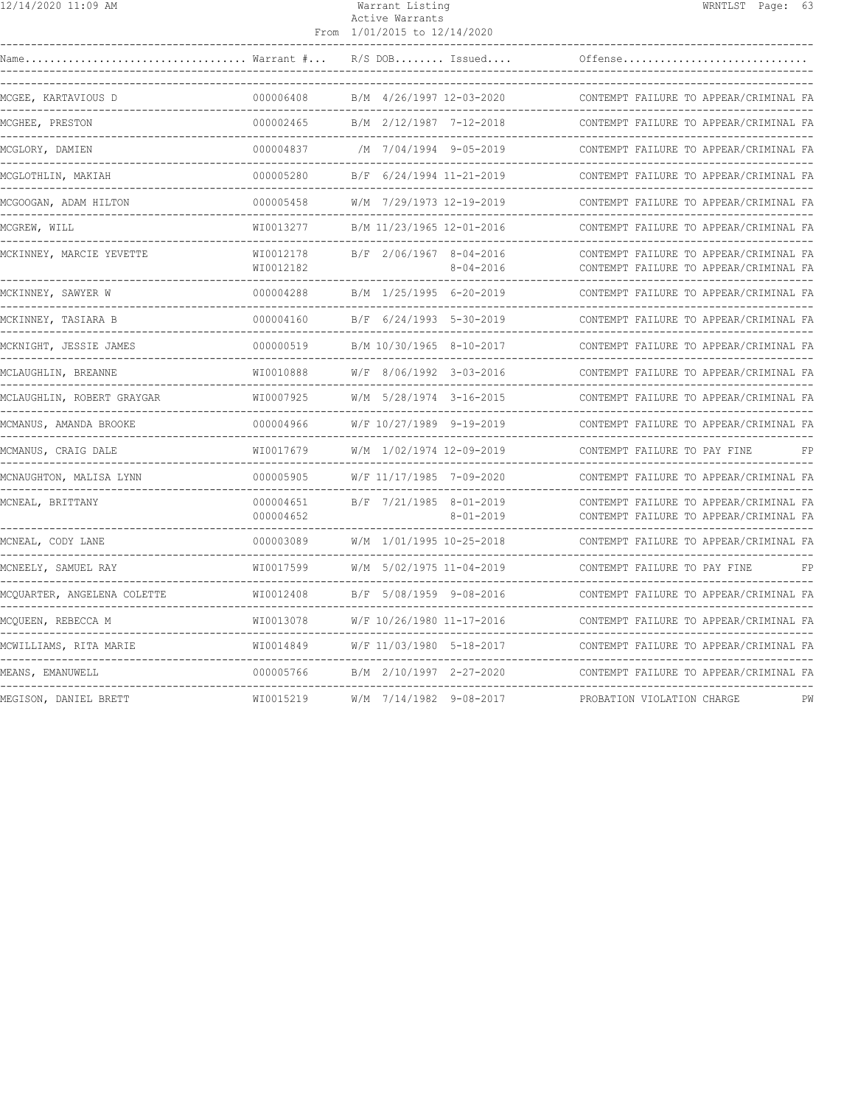|--|

#### Warrant Listing WRNTLST Page: 63 Active Warrants From 1/01/2015 to 12/14/2020

| MCGEE, KARTAVIOUS D         | 000006408              | B/M 4/26/1997 12-03-2020                                    | CONTEMPT FAILURE TO APPEAR/CRIMINAL FA                                           |
|-----------------------------|------------------------|-------------------------------------------------------------|----------------------------------------------------------------------------------|
| MCGHEE, PRESTON             | 000002465              | B/M 2/12/1987 7-12-2018                                     | CONTEMPT FAILURE TO APPEAR/CRIMINAL FA                                           |
| MCGLORY, DAMIEN             | 000004837              | /M 7/04/1994 9-05-2019<br>-------------------------------   | CONTEMPT FAILURE TO APPEAR/CRIMINAL FA                                           |
| MCGLOTHLIN, MAKIAH          | 000005280              | B/F 6/24/1994 11-21-2019                                    | CONTEMPT FAILURE TO APPEAR/CRIMINAL FA                                           |
| MCGOOGAN, ADAM HILTON       | 000005458              | W/M 7/29/1973 12-19-2019                                    | CONTEMPT FAILURE TO APPEAR/CRIMINAL FA                                           |
| MCGREW, WILL                | WI0013277              | B/M 11/23/1965 12-01-2016<br>.                              | CONTEMPT FAILURE TO APPEAR/CRIMINAL FA                                           |
| MCKINNEY, MARCIE YEVETTE    | WI0012178<br>WI0012182 | B/F 2/06/1967 8-04-2016<br>8-04-2016                        | CONTEMPT FAILURE TO APPEAR/CRIMINAL FA<br>CONTEMPT FAILURE TO APPEAR/CRIMINAL FA |
| MCKINNEY, SAWYER W          | 000004288              | B/M 1/25/1995 6-20-2019<br>--------------------             | CONTEMPT FAILURE TO APPEAR/CRIMINAL FA                                           |
| MCKINNEY, TASIARA B         | 000004160              | B/F 6/24/1993 5-30-2019                                     | CONTEMPT FAILURE TO APPEAR/CRIMINAL FA                                           |
| MCKNIGHT, JESSIE JAMES      | 000000519              | B/M 10/30/1965 8-10-2017                                    | CONTEMPT FAILURE TO APPEAR/CRIMINAL FA                                           |
| MCLAUGHLIN, BREANNE         | WI0010888              | W/F 8/06/1992 3-03-2016                                     | CONTEMPT FAILURE TO APPEAR/CRIMINAL FA                                           |
| MCLAUGHLIN, ROBERT GRAYGAR  | WI0007925              | W/M 5/28/1974 3-16-2015                                     | CONTEMPT FAILURE TO APPEAR/CRIMINAL FA                                           |
| MCMANUS, AMANDA BROOKE      | 000004966              | W/F 10/27/1989 9-19-2019<br>-------------------------       | CONTEMPT FAILURE TO APPEAR/CRIMINAL FA                                           |
| MCMANUS, CRAIG DALE         | WI0017679              | W/M 1/02/1974 12-09-2019                                    | CONTEMPT FAILURE TO PAY FINE<br>FP.                                              |
| MCNAUGHTON, MALISA LYNN     | 000005905              | W/F 11/17/1985 7-09-2020                                    | CONTEMPT FAILURE TO APPEAR/CRIMINAL FA                                           |
| MCNEAL, BRITTANY            | 000004651<br>000004652 | B/F 7/21/1985 8-01-2019<br>$8 - 01 - 2019$                  | CONTEMPT FAILURE TO APPEAR/CRIMINAL FA<br>CONTEMPT FAILURE TO APPEAR/CRIMINAL FA |
| MCNEAL, CODY LANE           | 000003089              | W/M 1/01/1995 10-25-2018                                    | CONTEMPT FAILURE TO APPEAR/CRIMINAL FA                                           |
| MCNEELY, SAMUEL RAY         | WI0017599              | W/M 5/02/1975 11-04-2019<br>------------------------------- | CONTEMPT FAILURE TO PAY FINE<br>FP                                               |
| MCQUARTER, ANGELENA COLETTE | WI0012408              | B/F 5/08/1959 9-08-2016<br>--------------------             | CONTEMPT FAILURE TO APPEAR/CRIMINAL FA                                           |
| MCOUEEN, REBECCA M          | WI0013078              | W/F 10/26/1980 11-17-2016                                   | CONTEMPT FAILURE TO APPEAR/CRIMINAL FA                                           |
| MCWILLIAMS, RITA MARIE      | WI0014849              | W/F 11/03/1980 5-18-2017<br>--------------------            | CONTEMPT FAILURE TO APPEAR/CRIMINAL FA                                           |
| MEANS, EMANUWELL            | 000005766              | B/M 2/10/1997 2-27-2020                                     | CONTEMPT FAILURE TO APPEAR/CRIMINAL FA                                           |
| MEGISON, DANIEL BRETT       | WI0015219              | W/M 7/14/1982 9-08-2017                                     | PROBATION VIOLATION CHARGE<br>PW                                                 |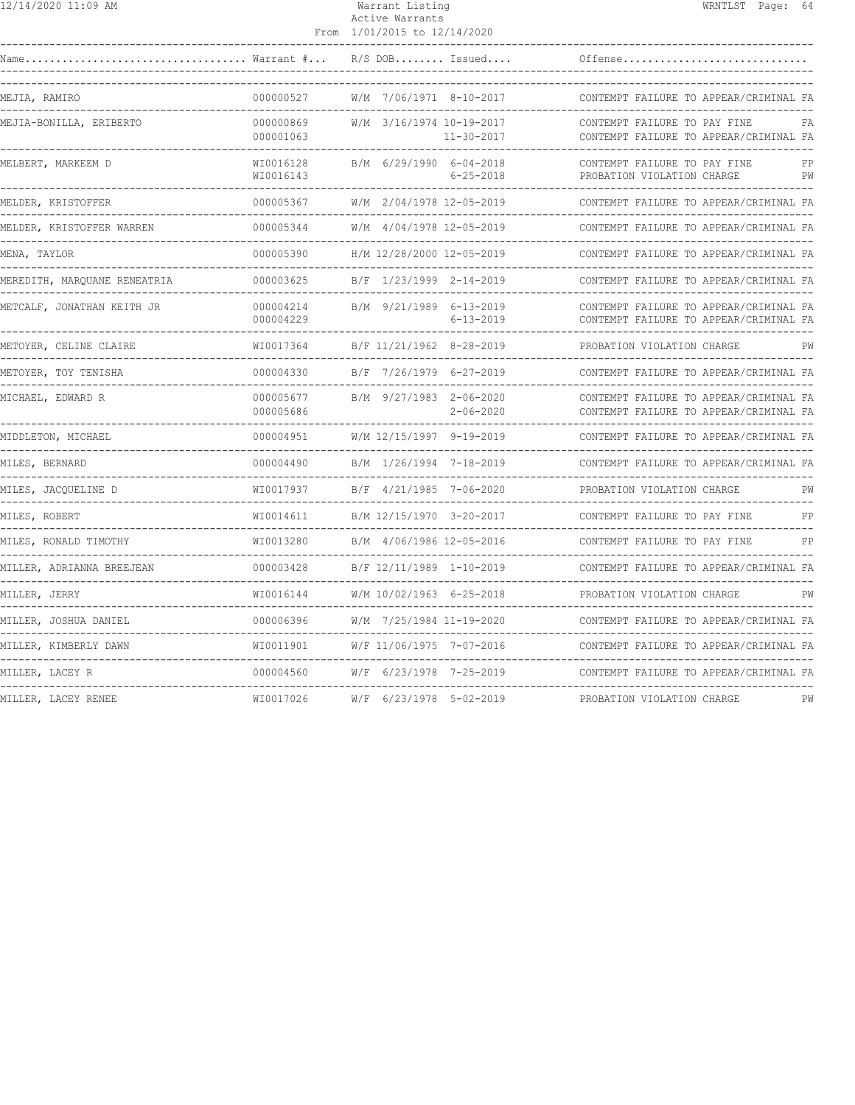| 12/14/2020 11:09 AM                     |                        | Warrant Listing<br>Active Warrants<br>From 1/01/2015 to 12/14/2020 | WRNTLST Page: 64                                                                         |
|-----------------------------------------|------------------------|--------------------------------------------------------------------|------------------------------------------------------------------------------------------|
|                                         |                        | $R/S$ DOB Issued                                                   | Offense                                                                                  |
| ----------------------<br>MEJIA, RAMIRO | 000000527              | W/M 7/06/1971 8-10-2017                                            | CONTEMPT FAILURE TO APPEAR/CRIMINAL FA                                                   |
| MEJIA-BONILLA, ERIBERTO                 | 000000869<br>000001063 | W/M 3/16/1974 10-19-2017<br>11-30-2017                             | CONTEMPT FAILURE TO PAY FINE<br>FA<br>CONTEMPT FAILURE TO APPEAR/CRIMINAL FA             |
| MELBERT, MARKEEM D                      | WI0016128<br>WI0016143 | B/M 6/29/1990 6-04-2018<br>$6 - 25 - 2018$                         | --------------------<br>CONTEMPT FAILURE TO PAY FINE<br>PROBATION VIOLATION CHARGE<br>PW |
| MELDER, KRISTOFFER                      | 000005367              | W/M 2/04/1978 12-05-2019                                           | CONTEMPT FAILURE TO APPEAR/CRIMINAL FA                                                   |
| MELDER, KRISTOFFER WARREN               | 000005344              | W/M 4/04/1978 12-05-2019                                           | CONTEMPT FAILURE TO APPEAR/CRIMINAL FA                                                   |
| MENA, TAYLOR                            | 000005390              | H/M 12/28/2000 12-05-2019                                          | CONTEMPT FAILURE TO APPEAR/CRIMINAL FA                                                   |
| MEREDITH, MARQUANE RENEATRIA            | 000003625              | B/F 1/23/1999 2-14-2019                                            | CONTEMPT FAILURE TO APPEAR/CRIMINAL FA                                                   |
| METCALF, JONATHAN KEITH JR              | 000004214<br>000004229 | B/M 9/21/1989 6-13-2019<br>$6 - 13 - 2019$                         | CONTEMPT FAILURE TO APPEAR/CRIMINAL FA<br>CONTEMPT FAILURE TO APPEAR/CRIMINAL FA         |
| METOYER, CELINE CLAIRE                  | WI0017364              | B/F 11/21/1962 8-28-2019                                           | PROBATION VIOLATION CHARGE<br>PW                                                         |
| METOYER, TOY TENISHA                    | 000004330              | B/F 7/26/1979 6-27-2019                                            | CONTEMPT FAILURE TO APPEAR/CRIMINAL FA                                                   |
| _______________<br>MICHAEL, EDWARD R    | 000005677<br>000005686 | B/M 9/27/1983 2-06-2020<br>2-06-2020                               | CONTEMPT FAILURE TO APPEAR/CRIMINAL FA<br>CONTEMPT FAILURE TO APPEAR/CRIMINAL FA         |
| MIDDLETON, MICHAEL                      | 000004951              | W/M 12/15/1997 9-19-2019                                           | CONTEMPT FAILURE TO APPEAR/CRIMINAL FA                                                   |
| MILES, BERNARD                          | 000004490              | B/M 1/26/1994 7-18-2019                                            | CONTEMPT FAILURE TO APPEAR/CRIMINAL FA                                                   |
| MILES, JACQUELINE D                     | WI0017937              | B/F 4/21/1985 7-06-2020                                            | PROBATION VIOLATION CHARGE<br>PW                                                         |
| MILES, ROBERT                           | WI0014611              | B/M 12/15/1970 3-20-2017                                           | FP<br>CONTEMPT FAILURE TO PAY FINE                                                       |
| MILES, RONALD TIMOTHY                   | WI0013280              | B/M 4/06/1986 12-05-2016                                           | CONTEMPT FAILURE TO PAY FINE<br>FP                                                       |
| MILLER, ADRIANNA BREEJEAN               | 000003428              | B/F 12/11/1989 1-10-2019                                           | CONTEMPT FAILURE TO APPEAR/CRIMINAL FA                                                   |
| MILLER, JERRY                           | WI0016144              | W/M 10/02/1963 6-25-2018                                           | PROBATION VIOLATION CHARGE<br>PW                                                         |
| MILLER, JOSHUA DANIEL                   | 000006396              | W/M 7/25/1984 11-19-2020                                           | CONTEMPT FAILURE TO APPEAR/CRIMINAL FA                                                   |
| MILLER, KIMBERLY DAWN                   | WI0011901              | ------------------------<br>W/F 11/06/1975 7-07-2016               | CONTEMPT FAILURE TO APPEAR/CRIMINAL FA                                                   |
| MILLER, LACEY R                         | 000004560              | W/F 6/23/1978 7-25-2019                                            | CONTEMPT FAILURE TO APPEAR/CRIMINAL FA                                                   |
| MILLER, LACEY RENEE                     | WI0017026              | W/F 6/23/1978 5-02-2019                                            | PROBATION VIOLATION CHARGE<br>PW                                                         |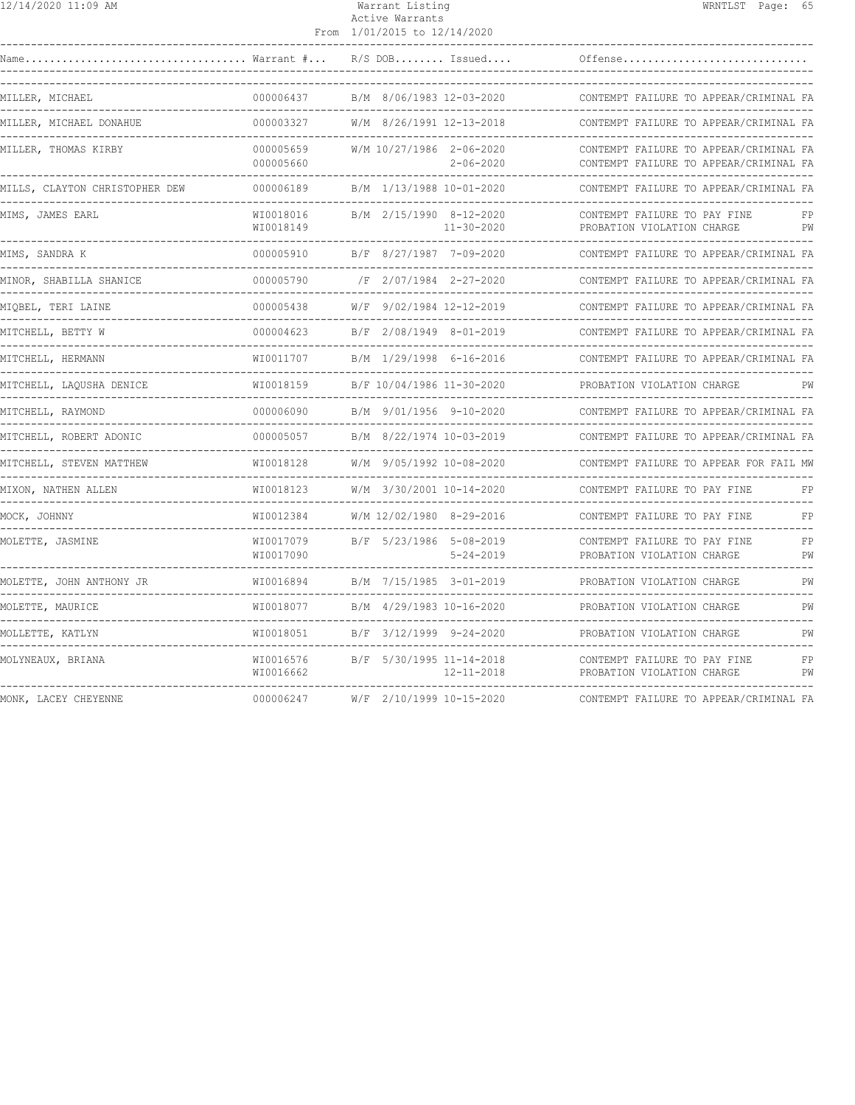| 12/14/2020 11:09 AM                                         |                        | Warrant Listing<br>Active Warrants<br>From 1/01/2015 to 12/14/2020 | WRNTLST Page: 65                                                                 |          |
|-------------------------------------------------------------|------------------------|--------------------------------------------------------------------|----------------------------------------------------------------------------------|----------|
|                                                             |                        | $R/S$ DOB Issued<br>---------------------------------              | Offense                                                                          |          |
| MILLER, MICHAEL                                             | 000006437              | B/M 8/06/1983 12-03-2020                                           | CONTEMPT FAILURE TO APPEAR/CRIMINAL FA                                           |          |
| MILLER, MICHAEL DONAHUE                                     |                        | 000003327 W/M 8/26/1991 12-13-2018                                 | CONTEMPT FAILURE TO APPEAR/CRIMINAL FA                                           |          |
| MILLER, THOMAS KIRBY                                        | 000005659<br>000005660 | W/M 10/27/1986 2-06-2020<br>$2 - 06 - 2020$<br>----------------    | CONTEMPT FAILURE TO APPEAR/CRIMINAL FA<br>CONTEMPT FAILURE TO APPEAR/CRIMINAL FA |          |
| MILLS, CLAYTON CHRISTOPHER DEW                              | 000006189              | B/M 1/13/1988 10-01-2020                                           | CONTEMPT FAILURE TO APPEAR/CRIMINAL FA                                           |          |
| MIMS, JAMES EARL                                            | WI0018016<br>WI0018149 | B/M 2/15/1990 8-12-2020<br>11-30-2020                              | CONTEMPT FAILURE TO PAY FINE<br>PROBATION VIOLATION CHARGE                       | FP<br>PW |
| MIMS, SANDRA K                                              | 000005910              | B/F 8/27/1987 7-09-2020                                            | CONTEMPT FAILURE TO APPEAR/CRIMINAL FA                                           |          |
| MINOR, SHABILLA SHANICE                                     | 000005790              | /F 2/07/1984 2-27-2020                                             | CONTEMPT FAILURE TO APPEAR/CRIMINAL FA                                           |          |
| MIQBEL, TERI LAINE                                          | 000005438              | W/F 9/02/1984 12-12-2019                                           | CONTEMPT FAILURE TO APPEAR/CRIMINAL FA                                           |          |
| MITCHELL, BETTY W<br>--------------------------------       |                        | 000004623 B/F 2/08/1949 8-01-2019<br>----------------------------  | CONTEMPT FAILURE TO APPEAR/CRIMINAL FA                                           |          |
| MITCHELL, HERMANN                                           | WI0011707              | B/M 1/29/1998 6-16-2016                                            | CONTEMPT FAILURE TO APPEAR/CRIMINAL FA                                           |          |
| MITCHELL, LAOUSHA DENICE                                    | WI0018159              | B/F 10/04/1986 11-30-2020                                          | PROBATION VIOLATION CHARGE                                                       | PW       |
| MITCHELL, RAYMOND                                           | 000006090              | B/M 9/01/1956 9-10-2020                                            | CONTEMPT FAILURE TO APPEAR/CRIMINAL FA                                           |          |
| MITCHELL, ROBERT ADONIC                                     | 000005057              | B/M 8/22/1974 10-03-2019                                           | CONTEMPT FAILURE TO APPEAR/CRIMINAL FA                                           |          |
| MITCHELL, STEVEN MATTHEW                                    |                        | WI0018128 W/M 9/05/1992 10-08-2020                                 | CONTEMPT FAILURE TO APPEAR FOR FAIL MW                                           |          |
| MIXON, NATHEN ALLEN                                         |                        | WI0018123 W/M 3/30/2001 10-14-2020                                 | CONTEMPT FAILURE TO PAY FINE                                                     | $F$ P    |
| MOCK, JOHNNY<br>-------------<br>-------------------------- | WI0012384              | W/M 12/02/1980 8-29-2016                                           | CONTEMPT FAILURE TO PAY FINE                                                     | FP       |
| MOLETTE, JASMINE                                            | WI0017079<br>WI0017090 | B/F 5/23/1986 5-08-2019<br>5-24-2019                               | CONTEMPT FAILURE TO PAY FINE<br>PROBATION VIOLATION CHARGE                       | FP<br>PW |
| MOLETTE, JOHN ANTHONY JR                                    | WI0016894              | B/M 7/15/1985 3-01-2019                                            | PROBATION VIOLATION CHARGE                                                       | PW       |
| MOLETTE, MAURICE                                            | WI0018077              | B/M 4/29/1983 10-16-2020                                           | PROBATION VIOLATION CHARGE                                                       | PW       |
| MOLLETTE, KATLYN                                            | WI0018051              | B/F 3/12/1999 9-24-2020                                            | PROBATION VIOLATION CHARGE                                                       | PW       |
| MOLYNEAUX, BRIANA                                           | WI0016576<br>WI0016662 | B/F 5/30/1995 11-14-2018<br>12-11-2018                             | CONTEMPT FAILURE TO PAY FINE<br>PROBATION VIOLATION CHARGE                       | FP<br>PW |
| MONK, LACEY CHEYENNE                                        | 000006247              | W/F 2/10/1999 10-15-2020                                           | CONTEMPT FAILURE TO APPEAR/CRIMINAL FA                                           |          |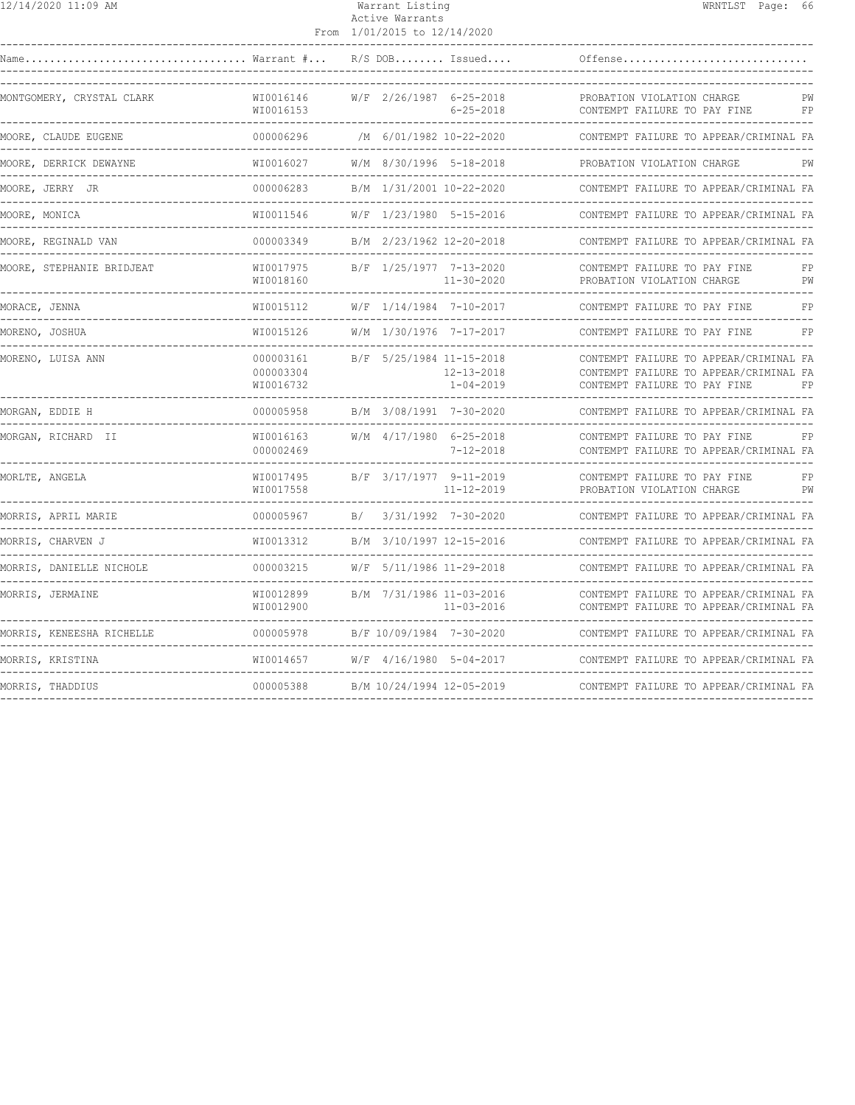|--|

## 12/14/2020 11:09 AM Warrant Listing WRNTLST Page: 66 Active Warrants

|                                           |                                     | From 1/01/2015 to 12/14/2020                    |                                     |                                                                                                                   |          |
|-------------------------------------------|-------------------------------------|-------------------------------------------------|-------------------------------------|-------------------------------------------------------------------------------------------------------------------|----------|
| Warrant #<br>Name                         |                                     | $R/S$ DOB Issued                                |                                     | Offense                                                                                                           |          |
| MONTGOMERY, CRYSTAL CLARK                 | WI0016146<br>WI0016153              | W/F 2/26/1987 6-25-2018                         | $6 - 25 - 2018$                     | PROBATION VIOLATION CHARGE<br>CONTEMPT FAILURE TO PAY FINE                                                        | PW<br>FP |
| MOORE, CLAUDE EUGENE                      | 000006296                           | /M 6/01/1982 10-22-2020<br>-----------------    |                                     | CONTEMPT FAILURE TO APPEAR/CRIMINAL FA                                                                            |          |
| MOORE, DERRICK DEWAYNE                    | WI0016027                           | W/M 8/30/1996 5-18-2018                         |                                     | PROBATION VIOLATION CHARGE                                                                                        | PW       |
| MOORE, JERRY JR                           | 000006283                           | B/M 1/31/2001 10-22-2020                        |                                     | CONTEMPT FAILURE TO APPEAR/CRIMINAL FA                                                                            |          |
| MOORE, MONICA                             | WI0011546                           | W/F 1/23/1980 5-15-2016                         |                                     | CONTEMPT FAILURE TO APPEAR/CRIMINAL FA                                                                            |          |
| MOORE, REGINALD VAN                       | 000003349                           | B/M 2/23/1962 12-20-2018                        |                                     | CONTEMPT FAILURE TO APPEAR/CRIMINAL FA                                                                            |          |
| MOORE, STEPHANIE BRIDJEAT                 | WI0017975<br>WI0018160              | B/F 1/25/1977 7-13-2020                         | $11 - 30 - 2020$                    | CONTEMPT FAILURE TO PAY FINE<br>PROBATION VIOLATION CHARGE                                                        | FP<br>PW |
| MORACE, JENNA                             | WI0015112                           | W/F 1/14/1984 7-10-2017                         |                                     | CONTEMPT FAILURE TO PAY FINE                                                                                      | FP       |
| MORENO, JOSHUA<br>----------------------- | WI0015126                           | W/M 1/30/1976 7-17-2017<br>-------------------- |                                     | CONTEMPT FAILURE TO PAY FINE                                                                                      | FP       |
| MORENO, LUISA ANN                         | 000003161<br>000003304<br>WI0016732 | B/F 5/25/1984 11-15-2018                        | $12 - 13 - 2018$<br>$1 - 04 - 2019$ | CONTEMPT FAILURE TO APPEAR/CRIMINAL FA<br>CONTEMPT FAILURE TO APPEAR/CRIMINAL FA<br>CONTEMPT FAILURE TO PAY FINE  | FP       |
| MORGAN, EDDIE H                           | 000005958                           | B/M 3/08/1991 7-30-2020                         |                                     | CONTEMPT FAILURE TO APPEAR/CRIMINAL FA                                                                            |          |
| MORGAN, RICHARD II                        | WI0016163<br>000002469              | W/M 4/17/1980 6-25-2018                         | $7 - 12 - 2018$                     | CONTEMPT FAILURE TO PAY FINE<br>CONTEMPT FAILURE TO APPEAR/CRIMINAL FA                                            | FP       |
| MORLTE, ANGELA                            | WI0017495<br>WI0017558              | B/F 3/17/1977 9-11-2019                         | $11 - 12 - 2019$                    | CONTEMPT FAILURE TO PAY FINE<br>PROBATION VIOLATION CHARGE                                                        | FP<br>PW |
| MORRIS, APRIL MARIE                       | 000005967                           | B/                                              | $3/31/1992$ 7-30-2020               | CONTEMPT FAILURE TO APPEAR/CRIMINAL FA                                                                            |          |
| MORRIS, CHARVEN J                         | WI0013312                           | B/M 3/10/1997 12-15-2016                        |                                     | CONTEMPT FAILURE TO APPEAR/CRIMINAL FA                                                                            |          |
| MORRIS, DANIELLE NICHOLE                  | 000003215                           | W/F 5/11/1986 11-29-2018                        |                                     | CONTEMPT FAILURE TO APPEAR/CRIMINAL FA                                                                            |          |
| MORRIS, JERMAINE                          | WI0012899<br>WI0012900              | B/M 7/31/1986 11-03-2016                        | $11 - 03 - 2016$                    | CONTEMPT FAILURE TO APPEAR/CRIMINAL FA<br>CONTEMPT FAILURE TO APPEAR/CRIMINAL FA<br>----------------------------- |          |
| MORRIS, KENEESHA RICHELLE                 | 000005978                           | B/F 10/09/1984 7-30-2020                        |                                     | CONTEMPT FAILURE TO APPEAR/CRIMINAL FA                                                                            |          |
| MORRIS, KRISTINA                          | WI0014657                           | W/F 4/16/1980 5-04-2017                         |                                     | CONTEMPT FAILURE TO APPEAR/CRIMINAL FA                                                                            |          |
| MORRIS, THADDIUS                          | 000005388                           | B/M 10/24/1994 12-05-2019                       |                                     | CONTEMPT FAILURE TO APPEAR/CRIMINAL FA                                                                            |          |
|                                           |                                     |                                                 |                                     |                                                                                                                   |          |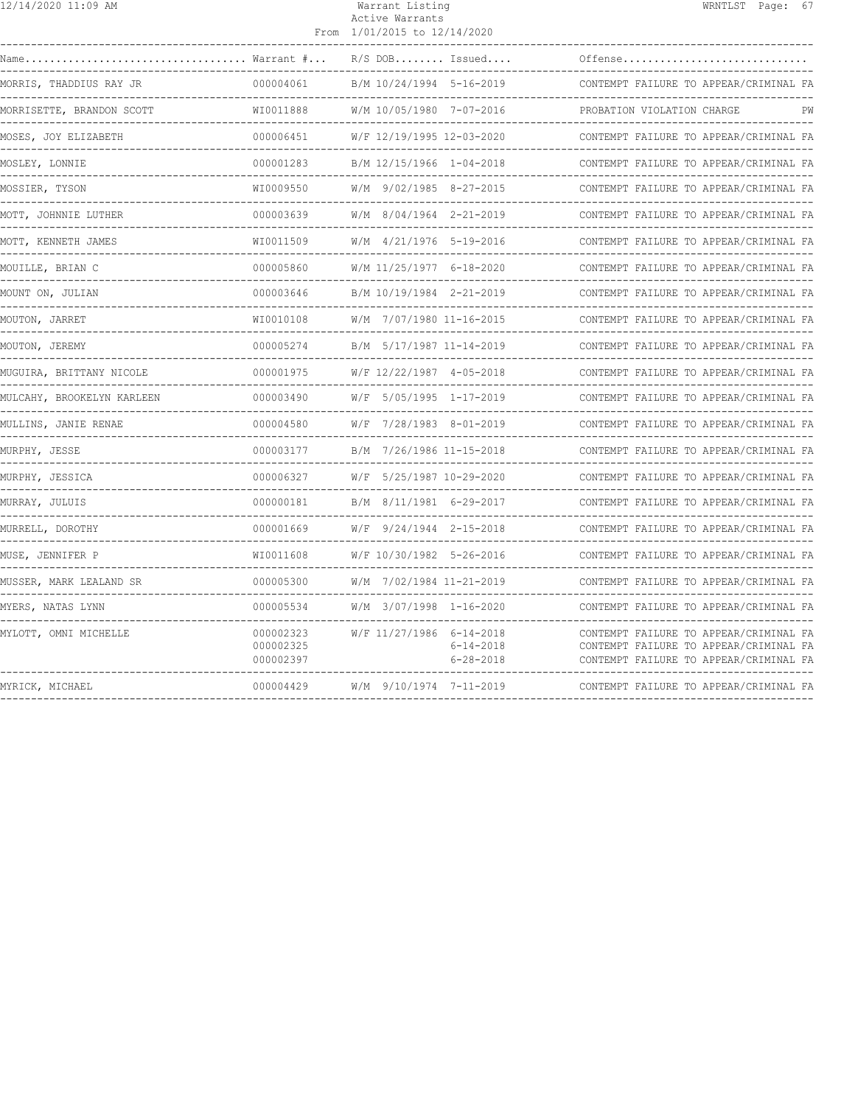| 12/14/2020 11:09 AM        |                                                  | Warrant Listing<br>Active Warrants<br>From 1/01/2015 to 12/14/2020 |                                                                    |                                                                                                                            | WRNTLST Page: 67 |    |
|----------------------------|--------------------------------------------------|--------------------------------------------------------------------|--------------------------------------------------------------------|----------------------------------------------------------------------------------------------------------------------------|------------------|----|
| Warrant #<br>Name          |                                                  | $R/S$ DOB Issued                                                   |                                                                    | Offense                                                                                                                    |                  |    |
| MORRIS, THADDIUS RAY JR    | 000004061                                        | B/M 10/24/1994 5-16-2019                                           |                                                                    | CONTEMPT FAILURE TO APPEAR/CRIMINAL FA                                                                                     |                  |    |
| MORRISETTE, BRANDON SCOTT  | WI0011888                                        | W/M 10/05/1980 7-07-2016                                           |                                                                    | PROBATION VIOLATION CHARGE                                                                                                 |                  | РW |
| MOSES, JOY ELIZABETH       | <u> - - - - - - - - - - - - - -</u><br>000006451 | W/F 12/19/1995 12-03-2020                                          |                                                                    | CONTEMPT FAILURE TO APPEAR/CRIMINAL FA                                                                                     |                  |    |
| MOSLEY, LONNIE             | -----------<br>000001283                         | B/M 12/15/1966 1-04-2018                                           |                                                                    | CONTEMPT FAILURE TO APPEAR/CRIMINAL FA                                                                                     |                  |    |
| MOSSIER, TYSON             | WI0009550                                        | W/M 9/02/1985 8-27-2015                                            |                                                                    | CONTEMPT FAILURE TO APPEAR/CRIMINAL FA                                                                                     |                  |    |
| MOTT, JOHNNIE LUTHER       | 000003639                                        | W/M 8/04/1964 2-21-2019                                            |                                                                    | CONTEMPT FAILURE TO APPEAR/CRIMINAL FA                                                                                     |                  |    |
| MOTT, KENNETH JAMES        | WI0011509<br>---------------                     | W/M 4/21/1976 5-19-2016                                            |                                                                    | CONTEMPT FAILURE TO APPEAR/CRIMINAL FA                                                                                     |                  |    |
| MOUILLE, BRIAN C           | 000005860                                        | W/M 11/25/1977 6-18-2020                                           |                                                                    | CONTEMPT FAILURE TO APPEAR/CRIMINAL FA                                                                                     |                  |    |
| MOUNT ON, JULIAN           | 000003646                                        | B/M 10/19/1984 2-21-2019                                           |                                                                    | CONTEMPT FAILURE TO APPEAR/CRIMINAL FA                                                                                     |                  |    |
| MOUTON, JARRET             | WI0010108                                        |                                                                    | W/M 7/07/1980 11-16-2015                                           | CONTEMPT FAILURE TO APPEAR/CRIMINAL FA                                                                                     |                  |    |
| MOUTON, JEREMY             | 000005274                                        | B/M 5/17/1987 11-14-2019                                           |                                                                    | CONTEMPT FAILURE TO APPEAR/CRIMINAL FA                                                                                     |                  |    |
| MUGUIRA, BRITTANY NICOLE   | 000001975                                        | W/F 12/22/1987 4-05-2018                                           |                                                                    | CONTEMPT FAILURE TO APPEAR/CRIMINAL FA                                                                                     |                  |    |
| MULCAHY, BROOKELYN KARLEEN | 000003490                                        | W/F 5/05/1995 1-17-2019                                            |                                                                    | CONTEMPT FAILURE TO APPEAR/CRIMINAL FA                                                                                     |                  |    |
| MULLINS, JANIE RENAE       | 000004580                                        | W/F 7/28/1983 8-01-2019                                            |                                                                    | CONTEMPT FAILURE TO APPEAR/CRIMINAL FA                                                                                     |                  |    |
| MURPHY, JESSE              | 000003177                                        |                                                                    | B/M 7/26/1986 11-15-2018                                           | CONTEMPT FAILURE TO APPEAR/CRIMINAL FA                                                                                     |                  |    |
| MURPHY, JESSICA            | 000006327                                        |                                                                    | W/F 5/25/1987 10-29-2020<br>-------------------------------------- | CONTEMPT FAILURE TO APPEAR/CRIMINAL FA                                                                                     |                  |    |
| MURRAY, JULUIS             | 000000181                                        | B/M 8/11/1981 6-29-2017                                            |                                                                    | CONTEMPT FAILURE TO APPEAR/CRIMINAL FA                                                                                     |                  |    |
| MURRELL, DOROTHY           | 000001669                                        | W/F 9/24/1944 2-15-2018                                            |                                                                    | CONTEMPT FAILURE TO APPEAR/CRIMINAL FA                                                                                     |                  |    |
| MUSE, JENNIFER P           | WI0011608                                        | W/F 10/30/1982 5-26-2016                                           |                                                                    | CONTEMPT FAILURE TO APPEAR/CRIMINAL FA                                                                                     |                  |    |
| MUSSER, MARK LEALAND SR    | 000005300<br>---------------                     |                                                                    | W/M 7/02/1984 11-21-2019                                           | CONTEMPT FAILURE TO APPEAR/CRIMINAL FA                                                                                     |                  |    |
| MYERS, NATAS LYNN          | 000005534                                        | W/M 3/07/1998 1-16-2020                                            |                                                                    | CONTEMPT FAILURE TO APPEAR/CRIMINAL FA                                                                                     |                  |    |
| MYLOTT, OMNI MICHELLE      | 000002323<br>000002325<br>000002397              | W/F 11/27/1986 6-14-2018                                           | $6 - 14 - 2018$<br>$6 - 28 - 2018$                                 | CONTEMPT FAILURE TO APPEAR/CRIMINAL FA<br>CONTEMPT FAILURE TO APPEAR/CRIMINAL FA<br>CONTEMPT FAILURE TO APPEAR/CRIMINAL FA |                  |    |
| MYRICK, MICHAEL            | 000004429                                        | W/M 9/10/1974 7-11-2019                                            |                                                                    | CONTEMPT FAILURE TO APPEAR/CRIMINAL FA                                                                                     |                  |    |
|                            |                                                  |                                                                    |                                                                    |                                                                                                                            |                  |    |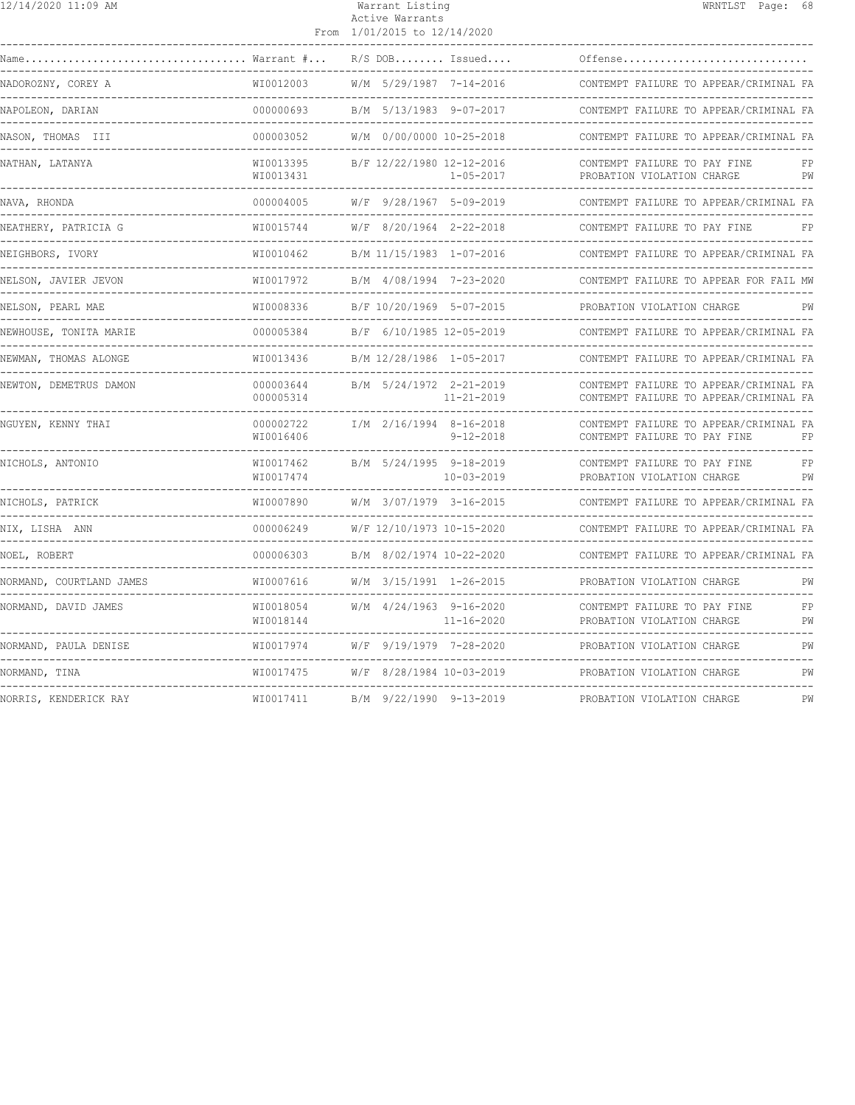| 12/14/2020 11:09 AM      |                                            | Warrant Listing<br>Active Warrants<br>From 1/01/2015 to 12/14/2020 | WRNTLST Page: 68                                                                 |
|--------------------------|--------------------------------------------|--------------------------------------------------------------------|----------------------------------------------------------------------------------|
| Name                     | Warrant #                                  | $R/S$ DOB Issued                                                   | Offense                                                                          |
| NADOROZNY, COREY A       | WI0012003                                  | W/M 5/29/1987 7-14-2016                                            | CONTEMPT FAILURE TO APPEAR/CRIMINAL FA                                           |
| NAPOLEON, DARIAN         | 000000693                                  | B/M 5/13/1983 9-07-2017                                            | CONTEMPT FAILURE TO APPEAR/CRIMINAL FA                                           |
| NASON, THOMAS III        | 000003052                                  | W/M 0/00/0000 10-25-2018                                           | CONTEMPT FAILURE TO APPEAR/CRIMINAL FA                                           |
| NATHAN, LATANYA          | WI0013395<br>WI0013431                     | B/F 12/22/1980 12-12-2016<br>$1 - 05 - 2017$                       | CONTEMPT FAILURE TO PAY FINE<br>PROBATION VIOLATION CHARGE<br>PW                 |
| NAVA, RHONDA             | 000004005                                  | W/F 9/28/1967 5-09-2019<br>----------------                        | CONTEMPT FAILURE TO APPEAR/CRIMINAL FA<br>--------------------------             |
| NEATHERY, PATRICIA G     | WI0015744                                  | W/F 8/20/1964 2-22-2018                                            | CONTEMPT FAILURE TO PAY FINE<br>FP                                               |
| NEIGHBORS, IVORY         | WI0010462                                  | B/M 11/15/1983 1-07-2016                                           | CONTEMPT FAILURE TO APPEAR/CRIMINAL FA                                           |
| NELSON, JAVIER JEVON     | WI0017972                                  | B/M 4/08/1994 7-23-2020                                            | CONTEMPT FAILURE TO APPEAR FOR FAIL MW                                           |
| NELSON, PEARL MAE        | WI0008336                                  | B/F 10/20/1969 5-07-2015                                           | PROBATION VIOLATION CHARGE<br>PW                                                 |
| NEWHOUSE, TONITA MARIE   | 000005384                                  | B/F 6/10/1985 12-05-2019                                           | CONTEMPT FAILURE TO APPEAR/CRIMINAL FA                                           |
| NEWMAN, THOMAS ALONGE    | WI0013436                                  | B/M 12/28/1986 1-05-2017                                           | CONTEMPT FAILURE TO APPEAR/CRIMINAL FA                                           |
| NEWTON, DEMETRUS DAMON   | 000003644<br>000005314<br>________________ | B/M 5/24/1972 2-21-2019<br>$11 - 21 - 2019$<br>-------------       | CONTEMPT FAILURE TO APPEAR/CRIMINAL FA<br>CONTEMPT FAILURE TO APPEAR/CRIMINAL FA |
| NGUYEN, KENNY THAI       | 000002722<br>WI0016406                     | I/M 2/16/1994 8-16-2018<br>$9 - 12 - 2018$                         | CONTEMPT FAILURE TO APPEAR/CRIMINAL FA<br>CONTEMPT FAILURE TO PAY FINE<br>FP     |
| NICHOLS, ANTONIO         | WI0017462<br>WI0017474                     | B/M 5/24/1995 9-18-2019<br>10-03-2019                              | CONTEMPT FAILURE TO PAY FINE<br>FP<br>PROBATION VIOLATION CHARGE<br>PW           |
| NICHOLS, PATRICK         | WT0007890                                  | $W/M$ 3/07/1979 3-16-2015                                          | CONTEMPT FAILURE TO APPEAR/CRIMINAL FA                                           |
| NIX, LISHA ANN           | 000006249                                  | W/F 12/10/1973 10-15-2020                                          | CONTEMPT FAILURE TO APPEAR/CRIMINAL FA                                           |
| NOEL, ROBERT             | 000006303                                  | B/M 8/02/1974 10-22-2020                                           | CONTEMPT FAILURE TO APPEAR/CRIMINAL FA<br>----------------------------           |
| NORMAND, COURTLAND JAMES | WI0007616                                  | W/M 3/15/1991 1-26-2015                                            | PROBATION VIOLATION CHARGE<br>PW<br>----------------------------                 |
| NORMAND, DAVID JAMES     | WI0018054<br>WI0018144                     | $W/M$ 4/24/1963 9-16-2020<br>11-16-2020                            | FP<br>CONTEMPT FAILURE TO PAY FINE<br>PW<br>PROBATION VIOLATION CHARGE           |
| NORMAND, PAULA DENISE    | WI0017974                                  | W/F 9/19/1979 7-28-2020                                            | PROBATION VIOLATION CHARGE<br>PW                                                 |
| NORMAND, TINA            | WI0017475                                  | W/F 8/28/1984 10-03-2019                                           | PW<br>PROBATION VIOLATION CHARGE                                                 |
| NORRIS, KENDERICK RAY    | WI0017411                                  | B/M 9/22/1990 9-13-2019                                            | PROBATION VIOLATION CHARGE<br>PW                                                 |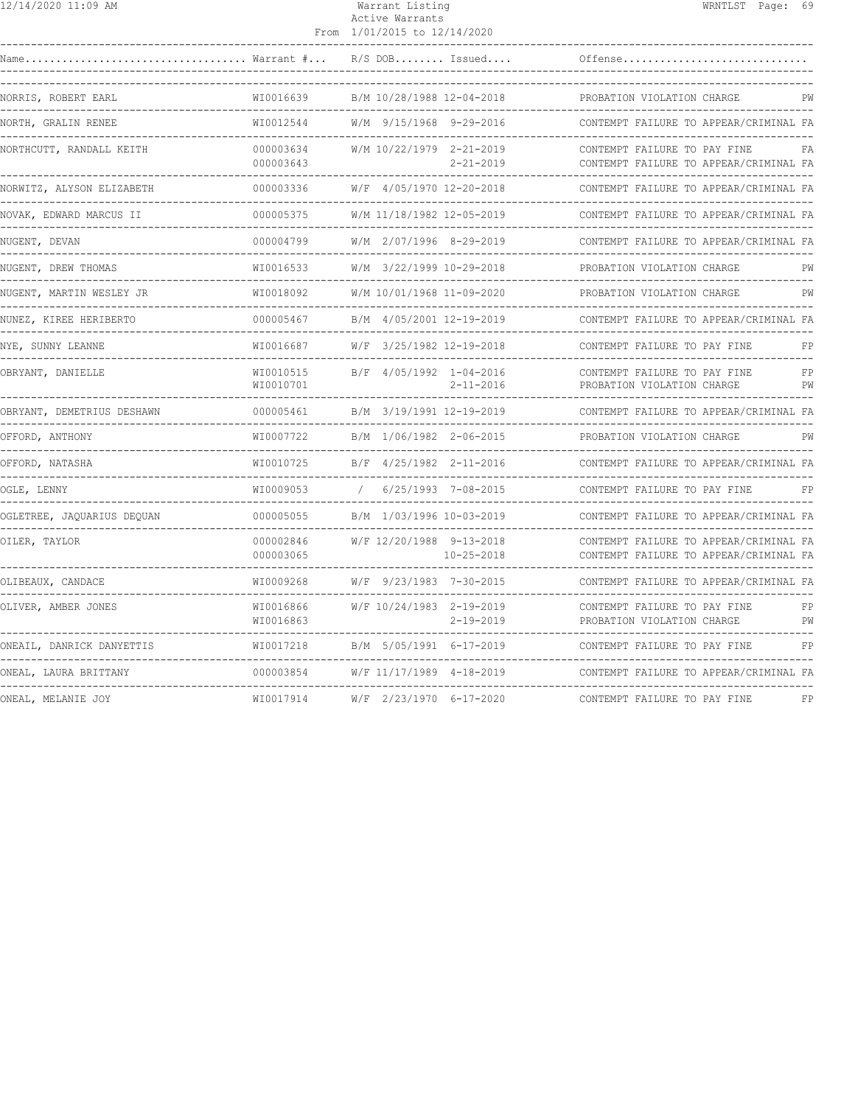| $\frac{12}{14}$ /14/2020 11:09 AM            |                        | Warrant Listing<br>Active Warrants<br>From 1/01/2015 to 12/14/2020 | WRNTLST Page: 69                                                                 |
|----------------------------------------------|------------------------|--------------------------------------------------------------------|----------------------------------------------------------------------------------|
|                                              |                        | $R/S$ DOB Issued                                                   | Offense                                                                          |
| NORRIS, ROBERT EARL                          | WI0016639              | B/M 10/28/1988 12-04-2018                                          | PROBATION VIOLATION CHARGE                                                       |
| NORTH, GRALIN RENEE                          | WI0012544              | W/M 9/15/1968 9-29-2016                                            | CONTEMPT FAILURE TO APPEAR/CRIMINAL FA                                           |
| NORTHCUTT, RANDALL KEITH                     | 000003634<br>000003643 | W/M 10/22/1979 2-21-2019<br>$2 - 21 - 2019$                        | CONTEMPT FAILURE TO PAY FINE<br>FA<br>CONTEMPT FAILURE TO APPEAR/CRIMINAL FA     |
| NORWITZ, ALYSON ELIZABETH                    | 000003336              | W/F 4/05/1970 12-20-2018                                           | CONTEMPT FAILURE TO APPEAR/CRIMINAL FA                                           |
| NOVAK, EDWARD MARCUS II                      | 000005375              | W/M 11/18/1982 12-05-2019                                          | CONTEMPT FAILURE TO APPEAR/CRIMINAL FA<br>__________________________________     |
| NUGENT, DEVAN                                | 000004799              | W/M 2/07/1996 8-29-2019                                            | CONTEMPT FAILURE TO APPEAR/CRIMINAL FA                                           |
| -------------<br>NUGENT, DREW THOMAS         | WI0016533              | W/M 3/22/1999 10-29-2018                                           | PROBATION VIOLATION CHARGE<br>PW                                                 |
| NUGENT, MARTIN WESLEY JR                     | WI0018092              | W/M 10/01/1968 11-09-2020                                          | PROBATION VIOLATION CHARGE<br>PW                                                 |
| NUNEZ, KIREE HERIBERTO                       | 000005467              | B/M 4/05/2001 12-19-2019                                           | CONTEMPT FAILURE TO APPEAR/CRIMINAL FA                                           |
| NYE, SUNNY LEANNE<br>-------------           | WI0016687              | W/F 3/25/1982 12-19-2018                                           | CONTEMPT FAILURE TO PAY FINE<br>FP<br>---------------------------------          |
| OBRYANT, DANIELLE                            | WI0010515<br>WI0010701 | B/F 4/05/1992 1-04-2016<br>$2 - 11 - 2016$                         | CONTEMPT FAILURE TO PAY FINE<br>FP<br>PROBATION VIOLATION CHARGE<br>PW           |
| OBRYANT, DEMETRIUS DESHAWN                   | 000005461              | B/M 3/19/1991 12-19-2019                                           | CONTEMPT FAILURE TO APPEAR/CRIMINAL FA                                           |
| OFFORD, ANTHONY                              | WI0007722              | B/M 1/06/1982 2-06-2015                                            | PROBATION VIOLATION CHARGE<br>PW                                                 |
| OFFORD, NATASHA                              | WI0010725              | B/F 4/25/1982 2-11-2016                                            | CONTEMPT FAILURE TO APPEAR/CRIMINAL FA                                           |
| -----------<br>OGLE, LENNY                   | WI0009053              | 6/25/1993 7-08-2015                                                | CONTEMPT FAILURE TO PAY FINE<br>FP                                               |
| OGLETREE, JAQUARIUS DEQUAN                   | 000005055              | B/M 1/03/1996 10-03-2019                                           | CONTEMPT FAILURE TO APPEAR/CRIMINAL FA                                           |
| OILER, TAYLOR                                | 000002846<br>000003065 | W/F 12/20/1988 9-13-2018<br>$10 - 25 - 2018$                       | CONTEMPT FAILURE TO APPEAR/CRIMINAL FA<br>CONTEMPT FAILURE TO APPEAR/CRIMINAL FA |
| OLIBEAUX, CANDACE                            | WI0009268              | W/F 9/23/1983 7-30-2015                                            | CONTEMPT FAILURE TO APPEAR/CRIMINAL FA                                           |
| OLIVER, AMBER JONES                          | WI0016866<br>WI0016863 | W/F 10/24/1983 2-19-2019<br>$2 - 19 - 2019$                        | CONTEMPT FAILURE TO PAY FINE<br>FP<br>PW<br>PROBATION VIOLATION CHARGE           |
| ONEAIL, DANRICK DANYETTIS                    | WI0017218              | B/M 5/05/1991 6-17-2019                                            | CONTEMPT FAILURE TO PAY FINE<br>FP                                               |
| ONEAL, LAURA BRITTANY<br>___________________ | 000003854              | W/F 11/17/1989 4-18-2019                                           | CONTEMPT FAILURE TO APPEAR/CRIMINAL FA                                           |
| ONEAL, MELANIE JOY                           | WI0017914              | W/F 2/23/1970 6-17-2020                                            | CONTEMPT FAILURE TO PAY FINE<br>FP                                               |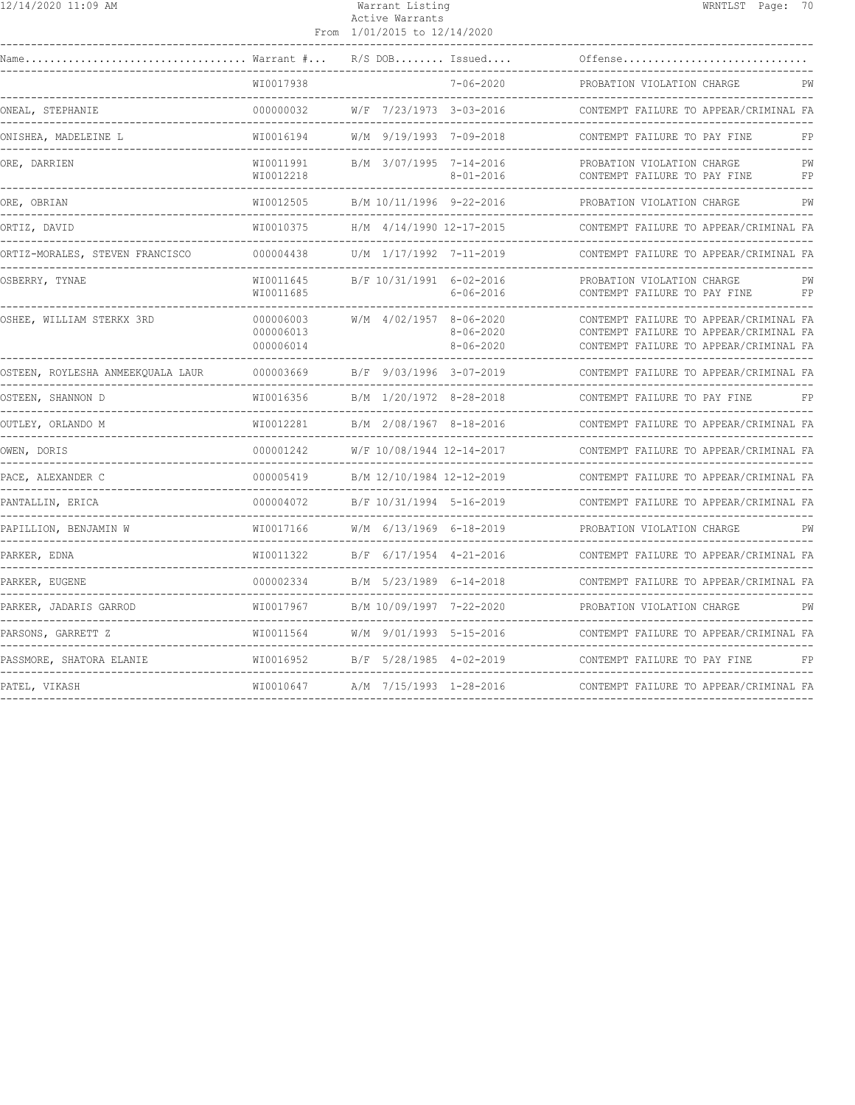| 12/14/2020 11:09 AM                                               |                                     | Warrant Listing<br>Active Warrants<br>From 1/01/2015 to 12/14/2020 | WRNTLST Page: 70                                                                                                           |          |
|-------------------------------------------------------------------|-------------------------------------|--------------------------------------------------------------------|----------------------------------------------------------------------------------------------------------------------------|----------|
|                                                                   |                                     | $R/S$ DOB Issued                                                   | Offense                                                                                                                    |          |
|                                                                   | WI0017938                           | $7 - 06 - 2020$                                                    | PROBATION VIOLATION CHARGE                                                                                                 | PW       |
| ONEAL, STEPHANIE                                                  | 000000032                           | W/F 7/23/1973 3-03-2016                                            | CONTEMPT FAILURE TO APPEAR/CRIMINAL FA                                                                                     |          |
| ONISHEA, MADELEINE L                                              | WI0016194                           | W/M 9/19/1993 7-09-2018                                            | CONTEMPT FAILURE TO PAY FINE                                                                                               | FP       |
| ORE, DARRIEN                                                      | WI0011991<br>WI0012218              | B/M 3/07/1995 7-14-2016<br>$8 - 01 - 2016$                         | PROBATION VIOLATION CHARGE<br>CONTEMPT FAILURE TO PAY FINE                                                                 | PW<br>FP |
| ORE, OBRIAN<br>------------                                       | WI0012505                           | B/M 10/11/1996 9-22-2016                                           | PROBATION VIOLATION CHARGE                                                                                                 | PW       |
| ORTIZ, DAVID                                                      | WI0010375                           | H/M 4/14/1990 12-17-2015                                           | CONTEMPT FAILURE TO APPEAR/CRIMINAL FA                                                                                     |          |
| ORTIZ-MORALES, STEVEN FRANCISCO<br>______________________________ | 000004438                           | U/M 1/17/1992 7-11-2019                                            | CONTEMPT FAILURE TO APPEAR/CRIMINAL FA                                                                                     |          |
| OSBERRY, TYNAE                                                    | WI0011645<br>WI0011685              | B/F 10/31/1991 6-02-2016<br>$6 - 06 - 2016$                        | PROBATION VIOLATION CHARGE<br>CONTEMPT FAILURE TO PAY FINE                                                                 | PW<br>FP |
| OSHEE, WILLIAM STERKX 3RD                                         | 000006003<br>000006013<br>000006014 | W/M 4/02/1957 8-06-2020<br>$8 - 06 - 2020$<br>$8 - 06 - 2020$      | CONTEMPT FAILURE TO APPEAR/CRIMINAL FA<br>CONTEMPT FAILURE TO APPEAR/CRIMINAL FA<br>CONTEMPT FAILURE TO APPEAR/CRIMINAL FA |          |
| OSTEEN, ROYLESHA ANMEEKOUALA LAUR                                 | 000003669                           | B/F 9/03/1996 3-07-2019                                            | CONTEMPT FAILURE TO APPEAR/CRIMINAL FA                                                                                     |          |
| OSTEEN, SHANNON D                                                 | WI0016356                           | B/M 1/20/1972 8-28-2018                                            | CONTEMPT FAILURE TO PAY FINE                                                                                               | FP       |
| OUTLEY, ORLANDO M                                                 | WI0012281                           | B/M 2/08/1967 8-18-2016                                            | CONTEMPT FAILURE TO APPEAR/CRIMINAL FA                                                                                     |          |
| OWEN, DORIS<br>-------------------------------------              | 000001242                           | W/F 10/08/1944 12-14-2017                                          | CONTEMPT FAILURE TO APPEAR/CRIMINAL FA                                                                                     |          |
| PACE, ALEXANDER C<br>-----------------------                      | 000005419                           | B/M 12/10/1984 12-12-2019                                          | CONTEMPT FAILURE TO APPEAR/CRIMINAL FA                                                                                     |          |
| PANTALLIN, ERICA                                                  | 000004072                           | _____________________<br>B/F 10/31/1994 5-16-2019                  | CONTEMPT FAILURE TO APPEAR/CRIMINAL FA                                                                                     |          |
| --------------------------------------<br>PAPILLION, BENJAMIN W   | WI0017166                           | W/M 6/13/1969 6-18-2019                                            | PROBATION VIOLATION CHARGE                                                                                                 | PW       |
| PARKER, EDNA                                                      | WI0011322                           | B/F 6/17/1954 4-21-2016                                            | CONTEMPT FAILURE TO APPEAR/CRIMINAL FA                                                                                     |          |
| PARKER, EUGENE                                                    | 000002334                           | B/M 5/23/1989 6-14-2018                                            | CONTEMPT FAILURE TO APPEAR/CRIMINAL FA                                                                                     |          |
| PARKER, JADARIS GARROD                                            | WI0017967                           | B/M 10/09/1997 7-22-2020                                           | PROBATION VIOLATION CHARGE                                                                                                 | PW       |
| PARSONS, GARRETT Z                                                | WI0011564                           | W/M 9/01/1993 5-15-2016                                            | CONTEMPT FAILURE TO APPEAR/CRIMINAL FA                                                                                     |          |
| PASSMORE, SHATORA ELANIE                                          | WI0016952                           | B/F 5/28/1985 4-02-2019                                            | CONTEMPT FAILURE TO PAY FINE                                                                                               | FP       |
| PATEL, VIKASH                                                     | WI0010647                           | A/M 7/15/1993 1-28-2016                                            | CONTEMPT FAILURE TO APPEAR/CRIMINAL FA                                                                                     |          |

------------------------------------------------------------------------------------------------------------------------------------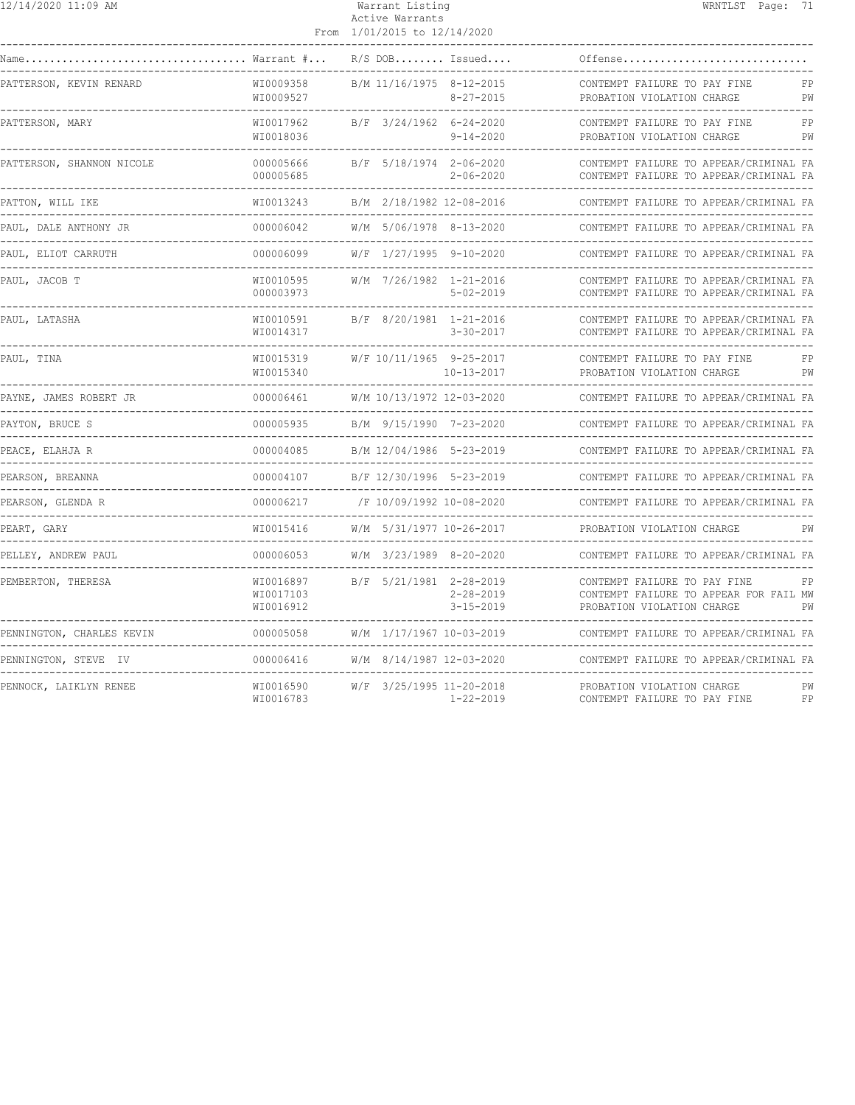| 12/14/2020 11:09 AM                       |                                     | Warrant Listing<br>Active Warrants<br>From 1/01/2015 to 12/14/2020 |                                    |                                                                                                      | WRNTLST Page: 71 |          |
|-------------------------------------------|-------------------------------------|--------------------------------------------------------------------|------------------------------------|------------------------------------------------------------------------------------------------------|------------------|----------|
| Warrant #                                 |                                     | $R/S$ DOB Issued                                                   |                                    | Offense                                                                                              |                  |          |
| PATTERSON, KEVIN RENARD                   | WI0009358<br>WI0009527              | B/M 11/16/1975 8-12-2015                                           | $8 - 27 - 2015$                    | CONTEMPT FAILURE TO PAY FINE<br>PROBATION VIOLATION CHARGE                                           |                  | FP<br>PW |
| PATTERSON, MARY                           | WI0017962<br>WI0018036              | B/F 3/24/1962 6-24-2020                                            | $9 - 14 - 2020$                    | CONTEMPT FAILURE TO PAY FINE<br>PROBATION VIOLATION CHARGE                                           |                  | FP<br>PW |
| PATTERSON, SHANNON NICOLE                 | 000005666<br>000005685              | B/F 5/18/1974 2-06-2020                                            | $2 - 06 - 2020$                    | CONTEMPT FAILURE TO APPEAR/CRIMINAL FA<br>CONTEMPT FAILURE TO APPEAR/CRIMINAL FA                     |                  |          |
| PATTON, WILL IKE<br>. _ _ _ _ _ _ _ _ _ _ | WI0013243                           | B/M 2/18/1982 12-08-2016                                           |                                    | CONTEMPT FAILURE TO APPEAR/CRIMINAL FA                                                               |                  |          |
| PAUL, DALE ANTHONY JR                     | 000006042                           | W/M 5/06/1978 8-13-2020                                            |                                    | CONTEMPT FAILURE TO APPEAR/CRIMINAL FA                                                               |                  |          |
| PAUL, ELIOT CARRUTH                       | 000006099                           | W/F 1/27/1995 9-10-2020                                            |                                    | CONTEMPT FAILURE TO APPEAR/CRIMINAL FA                                                               |                  |          |
| PAUL, JACOB T                             | WI0010595<br>000003973              | W/M 7/26/1982 1-21-2016                                            | $5 - 02 - 2019$                    | CONTEMPT FAILURE TO APPEAR/CRIMINAL FA<br>CONTEMPT FAILURE TO APPEAR/CRIMINAL FA                     |                  |          |
| PAUL, LATASHA                             | WI0010591<br>WI0014317              | B/F 8/20/1981 1-21-2016                                            | $3 - 30 - 2017$                    | CONTEMPT FAILURE TO APPEAR/CRIMINAL FA<br>CONTEMPT FAILURE TO APPEAR/CRIMINAL FA                     |                  |          |
| PAUL, TINA                                | WI0015319<br>WI0015340              | W/F 10/11/1965 9-25-2017                                           | $10 - 13 - 2017$                   | CONTEMPT FAILURE TO PAY FINE<br>PROBATION VIOLATION CHARGE                                           |                  | FP<br>PW |
| PAYNE, JAMES ROBERT JR                    | 000006461                           | W/M 10/13/1972 12-03-2020                                          |                                    | CONTEMPT FAILURE TO APPEAR/CRIMINAL FA                                                               |                  |          |
| PAYTON, BRUCE S                           | 000005935                           | B/M 9/15/1990 7-23-2020                                            |                                    | CONTEMPT FAILURE TO APPEAR/CRIMINAL FA                                                               |                  |          |
| PEACE, ELAHJA R<br>. _ _ _ _ _ _ _ _ _ _  | 000004085<br>-----------            | B/M 12/04/1986 5-23-2019                                           |                                    | CONTEMPT FAILURE TO APPEAR/CRIMINAL FA                                                               |                  |          |
| PEARSON, BREANNA                          | 000004107                           | B/F 12/30/1996 5-23-2019                                           |                                    | CONTEMPT FAILURE TO APPEAR/CRIMINAL FA                                                               |                  |          |
| PEARSON, GLENDA R                         | 000006217                           | /F 10/09/1992 10-08-2020                                           |                                    | CONTEMPT FAILURE TO APPEAR/CRIMINAL FA                                                               |                  |          |
| PEART, GARY                               | WI0015416                           | W/M 5/31/1977 10-26-2017                                           |                                    | PROBATION VIOLATION CHARGE                                                                           |                  | PW       |
| PELLEY, ANDREW PAUL                       | 000006053                           | W/M 3/23/1989 8-20-2020                                            |                                    | CONTEMPT FAILURE TO APPEAR/CRIMINAL FA                                                               |                  |          |
| PEMBERTON, THERESA                        | WI0016897<br>WI0017103<br>WI0016912 | B/F 5/21/1981 2-28-2019                                            | $2 - 28 - 2019$<br>$3 - 15 - 2019$ | CONTEMPT FAILURE TO PAY FINE<br>CONTEMPT FAILURE TO APPEAR FOR FAIL MW<br>PROBATION VIOLATION CHARGE |                  | FP<br>PW |
| PENNINGTON, CHARLES KEVIN                 | 000005058                           | W/M 1/17/1967 10-03-2019                                           |                                    | CONTEMPT FAILURE TO APPEAR/CRIMINAL FA                                                               |                  |          |
| PENNINGTON, STEVE IV                      | 000006416                           | W/M 8/14/1987 12-03-2020                                           |                                    | CONTEMPT FAILURE TO APPEAR/CRIMINAL FA                                                               |                  |          |
| PENNOCK, LAIKLYN RENEE                    | WI0016590<br>WI0016783              | W/F 3/25/1995 11-20-2018                                           | $1 - 22 - 2019$                    | PROBATION VIOLATION CHARGE<br>CONTEMPT FAILURE TO PAY FINE                                           |                  | PW<br>FP |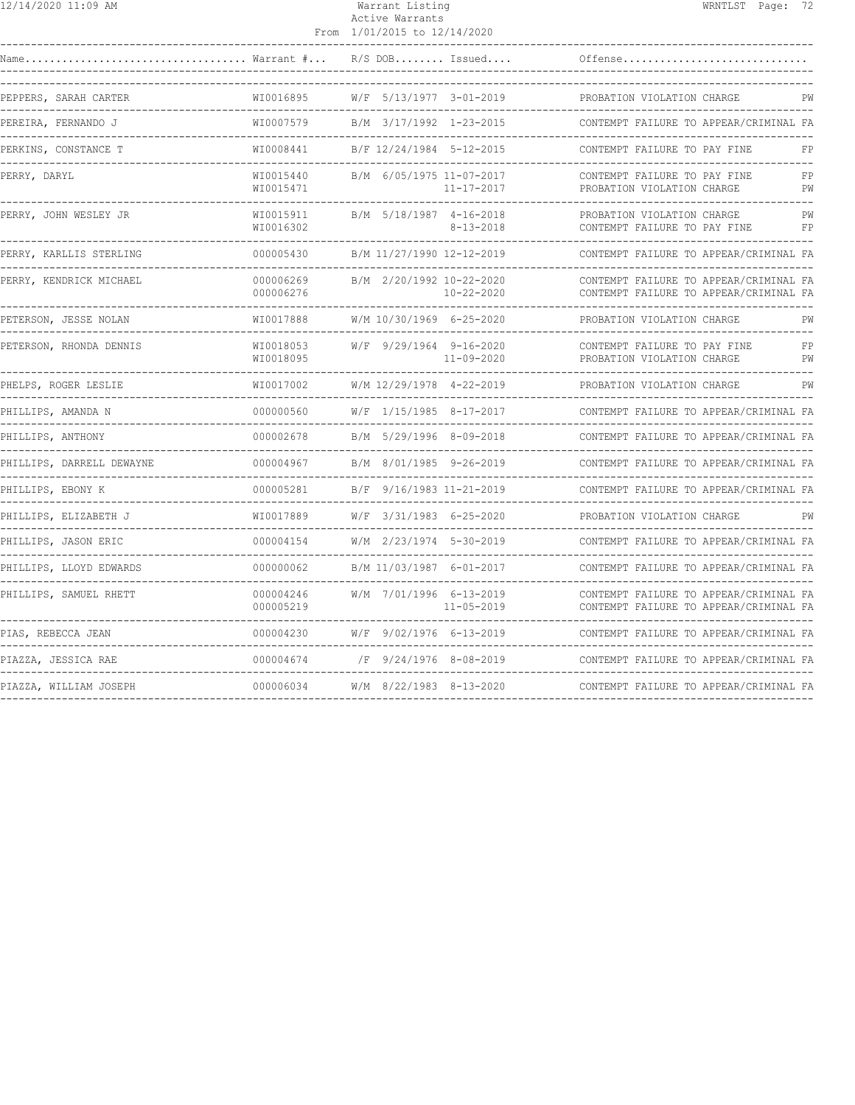| 12/14/2020 11:09 AM                                       |                                           | Warrant Listing<br>Active Warrants<br>From 1/01/2015 to 12/14/2020           | WRNTLST Page: 72                                                                     |          |
|-----------------------------------------------------------|-------------------------------------------|------------------------------------------------------------------------------|--------------------------------------------------------------------------------------|----------|
| $\ldots \ldots \ldots \ldots$ Warrant $\# \ldots$<br>Name |                                           | $R/S$ DOB Issued                                                             | Offense                                                                              |          |
| PEPPERS, SARAH CARTER                                     | WI0016895                                 | W/F 5/13/1977 3-01-2019                                                      | PROBATION VIOLATION CHARGE                                                           | PW       |
| PEREIRA, FERNANDO J<br>----------------                   | WI0007579                                 | B/M 3/17/1992 1-23-2015                                                      | CONTEMPT FAILURE TO APPEAR/CRIMINAL FA<br>---------------------------                |          |
| PERKINS, CONSTANCE T                                      | WI0008441                                 | B/F 12/24/1984 5-12-2015                                                     | CONTEMPT FAILURE TO PAY FINE<br>-----------------------------------                  | FP       |
| PERRY, DARYL                                              | WI0015440<br>WI0015471                    | B/M 6/05/1975 11-07-2017<br>$11 - 17 - 2017$                                 | CONTEMPT FAILURE TO PAY FINE<br>PROBATION VIOLATION CHARGE<br>---------------------- | FP<br>PW |
| PERRY, JOHN WESLEY JR                                     | WI0015911<br>WI0016302<br>--------------- | B/M 5/18/1987 4-16-2018<br>$8 - 13 - 2018$                                   | PROBATION VIOLATION CHARGE<br>CONTEMPT FAILURE TO PAY FINE                           | PW<br>FP |
| PERRY, KARLLIS STERLING                                   | 000005430                                 | B/M 11/27/1990 12-12-2019                                                    | CONTEMPT FAILURE TO APPEAR/CRIMINAL FA                                               |          |
| PERRY, KENDRICK MICHAEL                                   | 000006269<br>000006276                    | B/M 2/20/1992 10-22-2020<br>$10 - 22 - 2020$                                 | CONTEMPT FAILURE TO APPEAR/CRIMINAL FA<br>CONTEMPT FAILURE TO APPEAR/CRIMINAL FA     |          |
| PETERSON, JESSE NOLAN                                     | WI0017888                                 | W/M 10/30/1969 6-25-2020                                                     | PROBATION VIOLATION CHARGE<br>---------------------------                            | PW       |
| PETERSON, RHONDA DENNIS                                   | WI0018053<br>WI0018095                    | W/F 9/29/1964 9-16-2020<br>$11 - 09 - 2020$<br>----------------------------- | CONTEMPT FAILURE TO PAY FINE<br>PROBATION VIOLATION CHARGE<br>---------------------  | FP<br>PW |
| PHELPS, ROGER LESLIE                                      | WI0017002                                 | W/M 12/29/1978 4-22-2019                                                     | PROBATION VIOLATION CHARGE                                                           | PW       |
| PHILLIPS, AMANDA N                                        | 000000560                                 | W/F 1/15/1985 8-17-2017                                                      | CONTEMPT FAILURE TO APPEAR/CRIMINAL FA                                               |          |
| PHILLIPS, ANTHONY                                         | 000002678                                 | B/M 5/29/1996 8-09-2018<br>--------------------------------------            | CONTEMPT FAILURE TO APPEAR/CRIMINAL FA                                               |          |
| PHILLIPS, DARRELL DEWAYNE                                 | 000004967                                 | B/M 8/01/1985 9-26-2019                                                      | CONTEMPT FAILURE TO APPEAR/CRIMINAL FA                                               |          |
| PHILLIPS, EBONY K                                         | 000005281                                 | B/F 9/16/1983 11-21-2019                                                     | CONTEMPT FAILURE TO APPEAR/CRIMINAL FA                                               |          |
| PHILLIPS, ELIZABETH J                                     | WI0017889                                 | W/F 3/31/1983 6-25-2020                                                      | PROBATION VIOLATION CHARGE                                                           | PW       |
| PHILLIPS, JASON ERIC                                      | 000004154                                 | W/M 2/23/1974 5-30-2019                                                      | CONTEMPT FAILURE TO APPEAR/CRIMINAL FA                                               |          |
| PHILLIPS, LLOYD EDWARDS                                   | 000000062                                 | B/M 11/03/1987 6-01-2017                                                     | CONTEMPT FAILURE TO APPEAR/CRIMINAL FA                                               |          |
| PHILLIPS, SAMUEL RHETT                                    | 000004246<br>000005219                    | W/M 7/01/1996 6-13-2019<br>$11 - 05 - 2019$                                  | CONTEMPT FAILURE TO APPEAR/CRIMINAL FA<br>CONTEMPT FAILURE TO APPEAR/CRIMINAL FA     |          |
| PIAS, REBECCA JEAN                                        | 000004230                                 | W/F 9/02/1976 6-13-2019                                                      | CONTEMPT FAILURE TO APPEAR/CRIMINAL FA                                               |          |
| PIAZZA, JESSICA RAE                                       | 000004674                                 | /F 9/24/1976 8-08-2019                                                       | CONTEMPT FAILURE TO APPEAR/CRIMINAL FA                                               |          |
| PIAZZA, WILLIAM JOSEPH                                    | 000006034                                 | W/M 8/22/1983 8-13-2020                                                      | CONTEMPT FAILURE TO APPEAR/CRIMINAL FA                                               |          |
|                                                           |                                           |                                                                              |                                                                                      |          |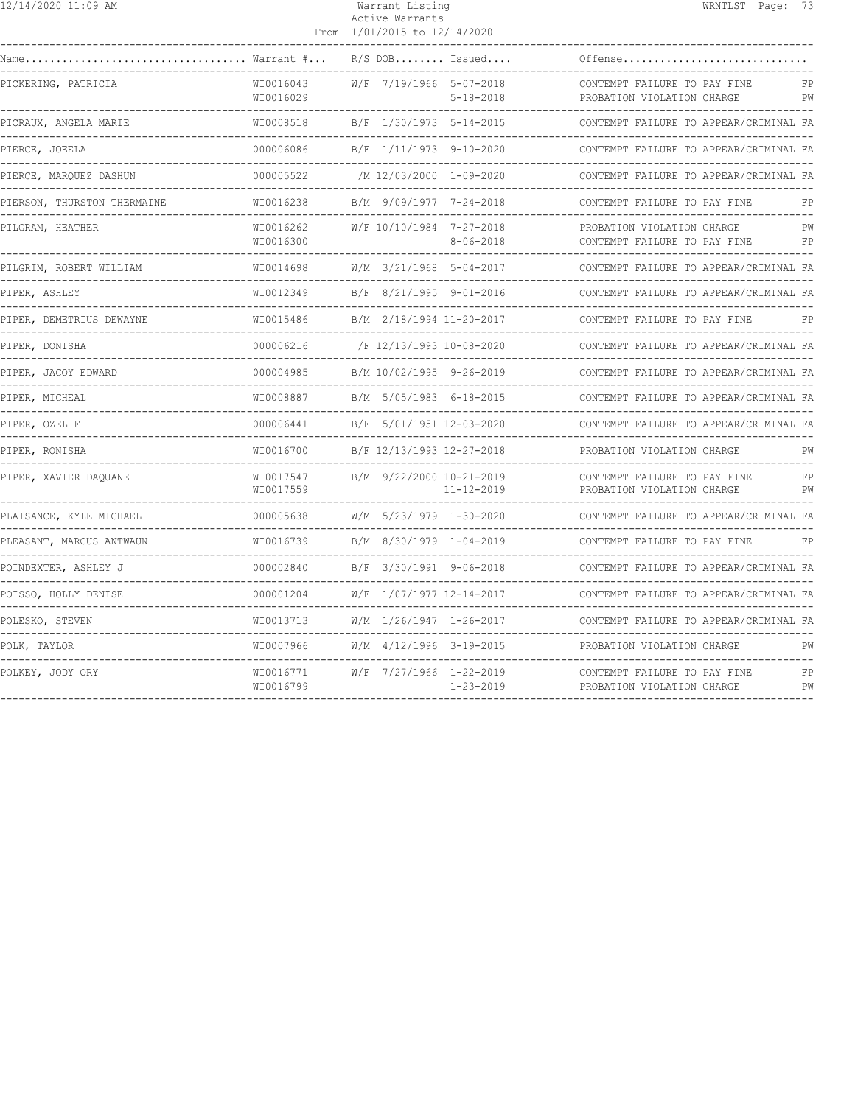| 12/14/2020 11:09 AM                                   |                              | Warrant Listing<br>Active Warrants<br>From 1/01/2015 to 12/14/2020 |                                              |                                                                          | WRNTLST Page: 73 |          |
|-------------------------------------------------------|------------------------------|--------------------------------------------------------------------|----------------------------------------------|--------------------------------------------------------------------------|------------------|----------|
| Warrant #                                             |                              |                                                                    | $R/S$ DOB Issued                             | Offense                                                                  |                  |          |
| PICKERING, PATRICIA                                   | WI0016043<br>WI0016029       |                                                                    | W/F 7/19/1966 5-07-2018<br>$5 - 18 - 2018$   | CONTEMPT FAILURE TO PAY FINE<br>PROBATION VIOLATION CHARGE               |                  | FP<br>PW |
| PICRAUX, ANGELA MARIE                                 | WI0008518                    | B/F 1/30/1973 5-14-2015                                            | -------                                      | ------------------------------<br>CONTEMPT FAILURE TO APPEAR/CRIMINAL FA |                  |          |
| PIERCE, JOEELA<br>. _ _ _ _ _ _ _ _ _ _ _ _ _ _ _ _ _ | 000006086<br>--------------  |                                                                    | B/F 1/11/1973 9-10-2020                      | CONTEMPT FAILURE TO APPEAR/CRIMINAL FA                                   |                  |          |
| PIERCE, MAROUEZ DASHUN                                | 000005522<br>--------------- | /M 12/03/2000 1-09-2020                                            |                                              | CONTEMPT FAILURE TO APPEAR/CRIMINAL FA                                   |                  |          |
| PIERSON, THURSTON THERMAINE                           | WI0016238                    | B/M 9/09/1977 7-24-2018                                            |                                              | CONTEMPT FAILURE TO PAY FINE                                             |                  |          |
| PILGRAM, HEATHER                                      | WI0016262<br>WI0016300       |                                                                    | W/F 10/10/1984 7-27-2018<br>$8 - 06 - 2018$  | PROBATION VIOLATION CHARGE<br>CONTEMPT FAILURE TO PAY FINE               |                  | PW<br>FP |
| PILGRIM, ROBERT WILLIAM                               | WI0014698                    |                                                                    | $W/M$ 3/21/1968 5-04-2017                    | CONTEMPT FAILURE TO APPEAR/CRIMINAL FA                                   |                  |          |
| PIPER, ASHLEY                                         | WI0012349                    | B/F 8/21/1995 9-01-2016                                            |                                              | CONTEMPT FAILURE TO APPEAR/CRIMINAL FA                                   |                  |          |
| PIPER, DEMETRIUS DEWAYNE                              | WI0015486                    |                                                                    | B/M 2/18/1994 11-20-2017                     | CONTEMPT FAILURE TO PAY FINE                                             |                  | FP       |
| PIPER, DONISHA                                        | 000006216                    | /F 12/13/1993 10-08-2020                                           |                                              | CONTEMPT FAILURE TO APPEAR/CRIMINAL FA                                   |                  |          |
| PIPER, JACOY EDWARD                                   | 000004985                    |                                                                    | B/M 10/02/1995 9-26-2019                     | CONTEMPT FAILURE TO APPEAR/CRIMINAL FA                                   |                  |          |
| PIPER, MICHEAL                                        | WI0008887                    |                                                                    | B/M 5/05/1983 6-18-2015                      | CONTEMPT FAILURE TO APPEAR/CRIMINAL FA                                   |                  |          |
| PIPER, OZEL F                                         | 000006441                    | B/F 5/01/1951 12-03-2020                                           |                                              | CONTEMPT FAILURE TO APPEAR/CRIMINAL FA                                   |                  |          |
| PIPER, RONISHA                                        | WI0016700<br>______________  |                                                                    | B/F 12/13/1993 12-27-2018                    | PROBATION VIOLATION CHARGE                                               |                  | PW       |
| PIPER, XAVIER DAQUANE                                 | WI0017547<br>WI0017559       |                                                                    | B/M 9/22/2000 10-21-2019<br>$11 - 12 - 2019$ | CONTEMPT FAILURE TO PAY FINE<br>PROBATION VIOLATION CHARGE               |                  | FP<br>PW |
| PLAISANCE, KYLE MICHAEL                               | 000005638                    | W/M 5/23/1979 1-30-2020                                            |                                              | CONTEMPT FAILURE TO APPEAR/CRIMINAL FA                                   |                  |          |
| PLEASANT, MARCUS ANTWAUN                              | WI0016739                    |                                                                    | B/M 8/30/1979 1-04-2019                      | CONTEMPT FAILURE TO PAY FINE                                             |                  | FP       |
| POINDEXTER, ASHLEY J                                  | 000002840                    | B/F 3/30/1991 9-06-2018                                            |                                              | CONTEMPT FAILURE TO APPEAR/CRIMINAL FA                                   |                  |          |
| POISSO, HOLLY DENISE                                  | 000001204                    | W/F 1/07/1977 12-14-2017                                           |                                              | CONTEMPT FAILURE TO APPEAR/CRIMINAL FA                                   |                  |          |
| POLESKO, STEVEN                                       | WI0013713                    |                                                                    | W/M 1/26/1947 1-26-2017                      | CONTEMPT FAILURE TO APPEAR/CRIMINAL FA                                   |                  |          |
| POLK, TAYLOR                                          | WI0007966                    | W/M 4/12/1996 3-19-2015                                            |                                              | PROBATION VIOLATION CHARGE                                               |                  | PW       |
| POLKEY, JODY ORY                                      | WI0016771<br>WI0016799       | W/F 7/27/1966 1-22-2019                                            | $1 - 23 - 2019$                              | CONTEMPT FAILURE TO PAY FINE<br>PROBATION VIOLATION CHARGE               |                  | FP<br>PW |
|                                                       |                              |                                                                    |                                              |                                                                          |                  |          |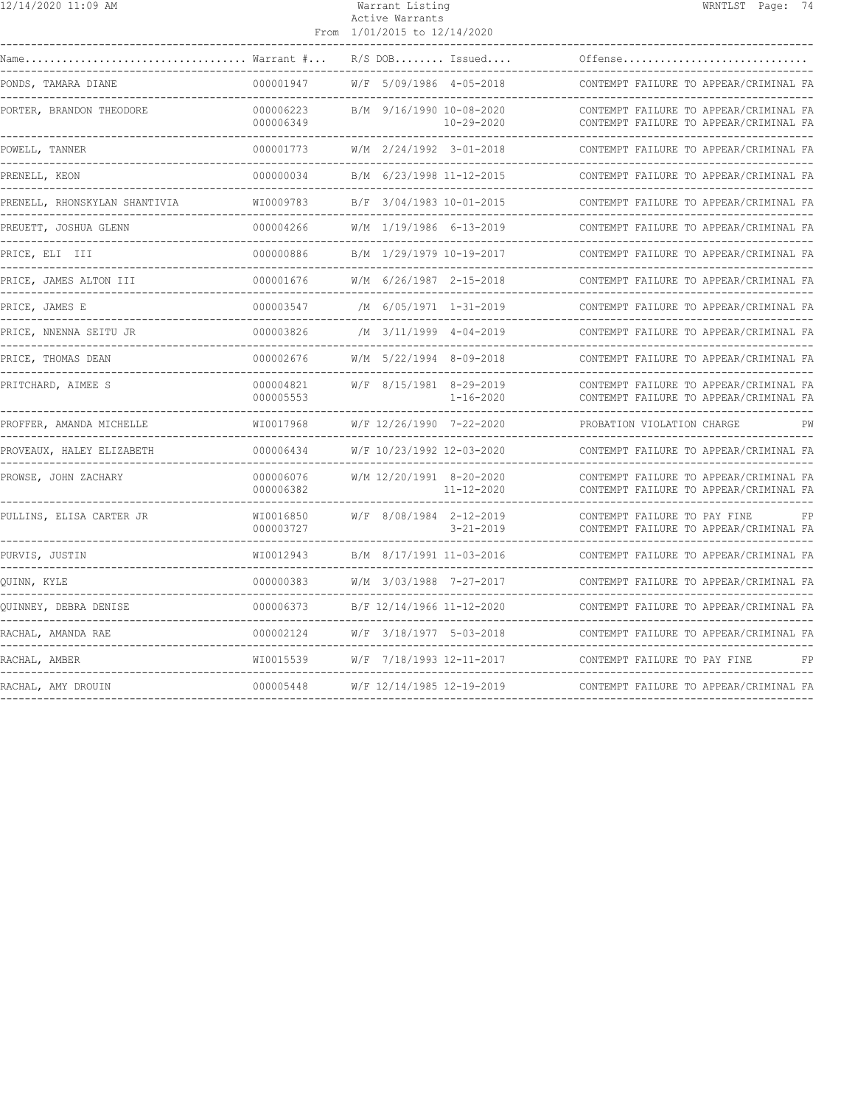| 12/14/2020 11:09 AM                                 |                        | Warrant Listing<br>Active Warrants<br>From 1/01/2015 to 12/14/2020 | WRNTLST Page: 74                                                                 |
|-----------------------------------------------------|------------------------|--------------------------------------------------------------------|----------------------------------------------------------------------------------|
| Warrant #                                           |                        | $R/S$ DOB Issued                                                   | Offense                                                                          |
| PONDS, TAMARA DIANE                                 | 000001947              | W/F 5/09/1986 4-05-2018                                            | CONTEMPT FAILURE TO APPEAR/CRIMINAL FA                                           |
| PORTER, BRANDON THEODORE                            | 000006223<br>000006349 | B/M 9/16/1990 10-08-2020<br>$10 - 29 - 2020$                       | CONTEMPT FAILURE TO APPEAR/CRIMINAL FA<br>CONTEMPT FAILURE TO APPEAR/CRIMINAL FA |
| POWELL, TANNER                                      | 000001773              | W/M 2/24/1992 3-01-2018                                            | CONTEMPT FAILURE TO APPEAR/CRIMINAL FA                                           |
| PRENELL, KEON                                       | 000000034              | B/M 6/23/1998 11-12-2015                                           | CONTEMPT FAILURE TO APPEAR/CRIMINAL FA                                           |
| PRENELL, RHONSKYLAN SHANTIVIA                       | WI0009783              | B/F 3/04/1983 10-01-2015                                           | CONTEMPT FAILURE TO APPEAR/CRIMINAL FA                                           |
| PREUETT, JOSHUA GLENN                               | 000004266              | W/M 1/19/1986 6-13-2019                                            | CONTEMPT FAILURE TO APPEAR/CRIMINAL FA                                           |
| PRICE, ELI III                                      | 000000886              | B/M 1/29/1979 10-19-2017                                           | CONTEMPT FAILURE TO APPEAR/CRIMINAL FA                                           |
| PRICE, JAMES ALTON III                              | 000001676              | W/M 6/26/1987 2-15-2018                                            | CONTEMPT FAILURE TO APPEAR/CRIMINAL FA                                           |
| PRICE, JAMES E                                      | 000003547              | /M 6/05/1971 1-31-2019                                             | CONTEMPT FAILURE TO APPEAR/CRIMINAL FA                                           |
| PRICE, NNENNA SEITU JR                              | 000003826              | $/M$ 3/11/1999 4-04-2019                                           | CONTEMPT FAILURE TO APPEAR/CRIMINAL FA                                           |
| PRICE, THOMAS DEAN                                  | 000002676              | W/M 5/22/1994 8-09-2018                                            | CONTEMPT FAILURE TO APPEAR/CRIMINAL FA                                           |
| PRITCHARD, AIMEE S                                  | 000004821<br>000005553 | W/F 8/15/1981 8-29-2019<br>$1 - 16 - 2020$                         | CONTEMPT FAILURE TO APPEAR/CRIMINAL FA<br>CONTEMPT FAILURE TO APPEAR/CRIMINAL FA |
| PROFFER, AMANDA MICHELLE                            | WI0017968              | W/F 12/26/1990 7-22-2020                                           | PROBATION VIOLATION CHARGE<br>PW                                                 |
| PROVEAUX, HALEY ELIZABETH                           | 000006434<br>.         | W/F 10/23/1992 12-03-2020<br>----------------------                | CONTEMPT FAILURE TO APPEAR/CRIMINAL FA<br>-----------------------------------    |
| PROWSE, JOHN ZACHARY                                | 000006076<br>000006382 | W/M 12/20/1991 8-20-2020<br>$11 - 12 - 2020$                       | CONTEMPT FAILURE TO APPEAR/CRIMINAL FA<br>CONTEMPT FAILURE TO APPEAR/CRIMINAL FA |
| PULLINS, ELISA CARTER JR                            | WI0016850<br>000003727 | W/F 8/08/1984 2-12-2019<br>$3 - 21 - 2019$                         | CONTEMPT FAILURE TO PAY FINE<br>FP<br>CONTEMPT FAILURE TO APPEAR/CRIMINAL FA     |
| PURVIS, JUSTIN                                      | WI0012943              | B/M 8/17/1991 11-03-2016                                           | CONTEMPT FAILURE TO APPEAR/CRIMINAL FA                                           |
| QUINN, KYLE                                         | 000000383              | W/M 3/03/1988 7-27-2017                                            | CONTEMPT FAILURE TO APPEAR/CRIMINAL FA                                           |
| OUINNEY, DEBRA DENISE                               | 000006373              | B/F 12/14/1966 11-12-2020                                          | CONTEMPT FAILURE TO APPEAR/CRIMINAL FA                                           |
| RACHAL, AMANDA RAE                                  | 000002124              | W/F 3/18/1977 5-03-2018                                            | CONTEMPT FAILURE TO APPEAR/CRIMINAL FA                                           |
| RACHAL, AMBER<br>---------------------------------- | WI0015539              | W/F 7/18/1993 12-11-2017                                           | CONTEMPT FAILURE TO PAY FINE<br>FP                                               |
| RACHAL, AMY DROUIN                                  | 000005448              | W/F 12/14/1985 12-19-2019                                          | CONTEMPT FAILURE TO APPEAR/CRIMINAL FA                                           |
|                                                     |                        |                                                                    |                                                                                  |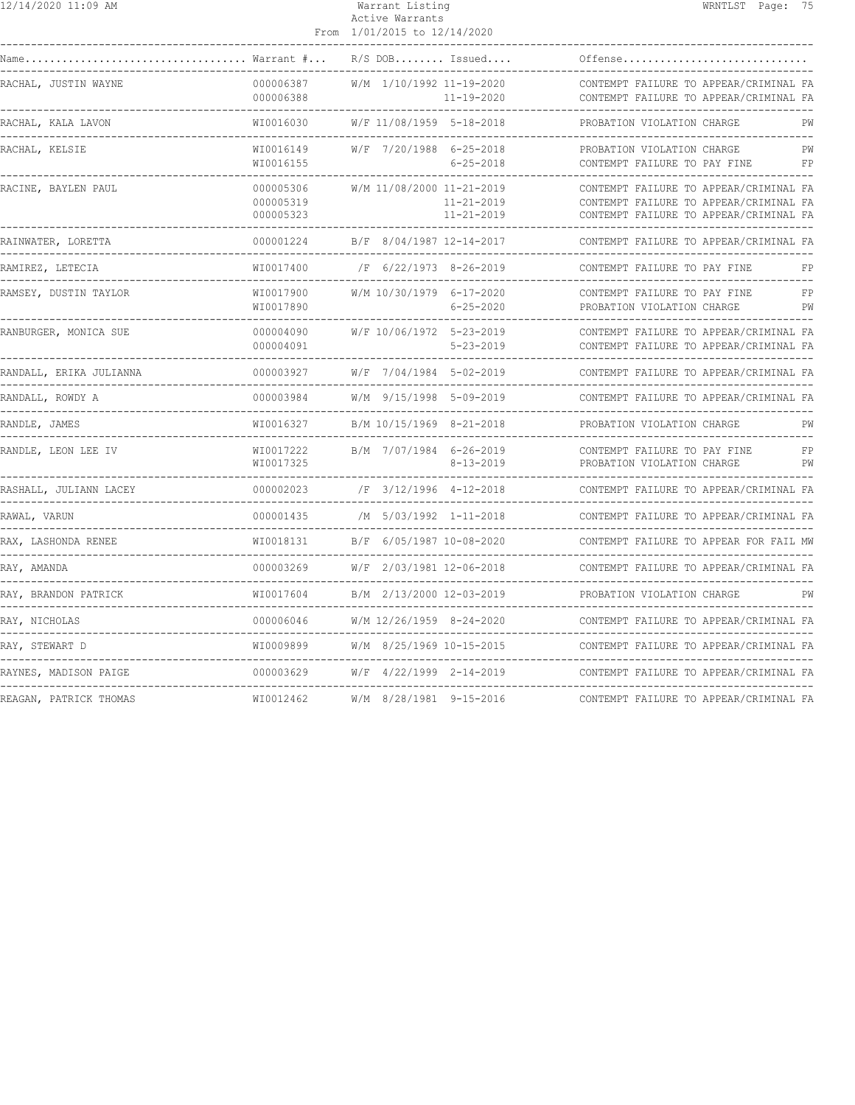| 12/14/2020 11:09 AM                                                                                                               |                                     |  | Warrant Listing<br>Active Warrants<br>From 1/01/2015 to 12/14/2020 |                                                                   | WRNTLST Page: 75                                                                                                           |
|-----------------------------------------------------------------------------------------------------------------------------------|-------------------------------------|--|--------------------------------------------------------------------|-------------------------------------------------------------------|----------------------------------------------------------------------------------------------------------------------------|
| ___________________<br>$\texttt{Name} \dots \dots \dots \dots \dots \dots \dots \dots \dots \dots \dots \dots$ Warrant $\# \dots$ |                                     |  |                                                                    | $R/S$ DOB Issued                                                  | Offense                                                                                                                    |
| RACHAL, JUSTIN WAYNE                                                                                                              | 000006387<br>000006388              |  |                                                                    | W/M 1/10/1992 11-19-2020<br>$11 - 19 - 2020$                      | CONTEMPT FAILURE TO APPEAR/CRIMINAL FA<br>CONTEMPT FAILURE TO APPEAR/CRIMINAL FA                                           |
| RACHAL, KALA LAVON                                                                                                                | WI0016030                           |  |                                                                    | W/F 11/08/1959 5-18-2018                                          | PROBATION VIOLATION CHARGE<br>PW                                                                                           |
| RACHAL, KELSIE                                                                                                                    | WI0016149<br>WI0016155              |  |                                                                    | W/F 7/20/1988 6-25-2018<br>$6 - 25 - 2018$                        | PROBATION VIOLATION CHARGE<br>PW<br>CONTEMPT FAILURE TO PAY FINE<br>FP                                                     |
| RACINE, BAYLEN PAUL<br>-------------------------------------                                                                      | 000005306<br>000005319<br>000005323 |  |                                                                    | W/M 11/08/2000 11-21-2019<br>$11 - 21 - 2019$<br>$11 - 21 - 2019$ | CONTEMPT FAILURE TO APPEAR/CRIMINAL FA<br>CONTEMPT FAILURE TO APPEAR/CRIMINAL FA<br>CONTEMPT FAILURE TO APPEAR/CRIMINAL FA |
| RAINWATER, LORETTA                                                                                                                | 000001224                           |  |                                                                    | B/F 8/04/1987 12-14-2017                                          | CONTEMPT FAILURE TO APPEAR/CRIMINAL FA                                                                                     |
| RAMIREZ, LETECIA<br>---------------------------------                                                                             | WI0017400<br>---------------------- |  |                                                                    | /F 6/22/1973 8-26-2019<br>$- - - - - - - - -$                     | CONTEMPT FAILURE TO PAY FINE<br>FP                                                                                         |
| RAMSEY, DUSTIN TAYLOR                                                                                                             | WI0017900<br>WI0017890              |  |                                                                    | W/M 10/30/1979 6-17-2020<br>$6 - 25 - 2020$                       | CONTEMPT FAILURE TO PAY FINE<br>FP<br>PROBATION VIOLATION CHARGE<br>PW                                                     |
| RANBURGER, MONICA SUE                                                                                                             | 000004090<br>000004091              |  |                                                                    | W/F 10/06/1972 5-23-2019<br>$5 - 23 - 2019$                       | CONTEMPT FAILURE TO APPEAR/CRIMINAL FA<br>CONTEMPT FAILURE TO APPEAR/CRIMINAL FA                                           |
| RANDALL, ERIKA JULIANNA                                                                                                           | 000003927                           |  |                                                                    | W/F 7/04/1984 5-02-2019                                           | CONTEMPT FAILURE TO APPEAR/CRIMINAL FA                                                                                     |
| RANDALL, ROWDY A                                                                                                                  | 000003984                           |  |                                                                    | W/M 9/15/1998 5-09-2019                                           | CONTEMPT FAILURE TO APPEAR/CRIMINAL FA                                                                                     |
| RANDLE, JAMES                                                                                                                     | WT0016327                           |  |                                                                    | B/M 10/15/1969 8-21-2018                                          | PROBATION VIOLATION CHARGE<br>PW                                                                                           |
| RANDLE, LEON LEE IV                                                                                                               | WI0017222<br>WI0017325              |  |                                                                    | B/M 7/07/1984 6-26-2019<br>$8 - 13 - 2019$                        | CONTEMPT FAILURE TO PAY FINE<br>FP<br>PW<br>PROBATION VIOLATION CHARGE                                                     |
| RASHALL, JULIANN LACEY                                                                                                            | 000002023                           |  |                                                                    | /F 3/12/1996 4-12-2018                                            | CONTEMPT FAILURE TO APPEAR/CRIMINAL FA                                                                                     |
| RAWAL, VARUN                                                                                                                      | 000001435                           |  |                                                                    | /M 5/03/1992 1-11-2018                                            | CONTEMPT FAILURE TO APPEAR/CRIMINAL FA<br>-----------------------------------                                              |
| RAX, LASHONDA RENEE                                                                                                               | WI0018131                           |  |                                                                    | B/F 6/05/1987 10-08-2020                                          | CONTEMPT FAILURE TO APPEAR FOR FAIL MW                                                                                     |
| RAY, AMANDA                                                                                                                       | 000003269                           |  |                                                                    | W/F 2/03/1981 12-06-2018                                          | CONTEMPT FAILURE TO APPEAR/CRIMINAL FA                                                                                     |
| RAY, BRANDON PATRICK                                                                                                              | WI0017604                           |  |                                                                    | B/M 2/13/2000 12-03-2019                                          | PROBATION VIOLATION CHARGE<br>PW                                                                                           |
| RAY, NICHOLAS                                                                                                                     | 000006046                           |  |                                                                    | W/M 12/26/1959 8-24-2020                                          | CONTEMPT FAILURE TO APPEAR/CRIMINAL FA                                                                                     |
| RAY, STEWART D                                                                                                                    | WI0009899                           |  |                                                                    | W/M 8/25/1969 10-15-2015                                          | CONTEMPT FAILURE TO APPEAR/CRIMINAL FA                                                                                     |
| RAYNES, MADISON PAIGE                                                                                                             | 000003629                           |  |                                                                    | W/F 4/22/1999 2-14-2019                                           | CONTEMPT FAILURE TO APPEAR/CRIMINAL FA                                                                                     |
| REAGAN, PATRICK THOMAS                                                                                                            | WI0012462                           |  |                                                                    | W/M 8/28/1981 9-15-2016                                           | CONTEMPT FAILURE TO APPEAR/CRIMINAL FA                                                                                     |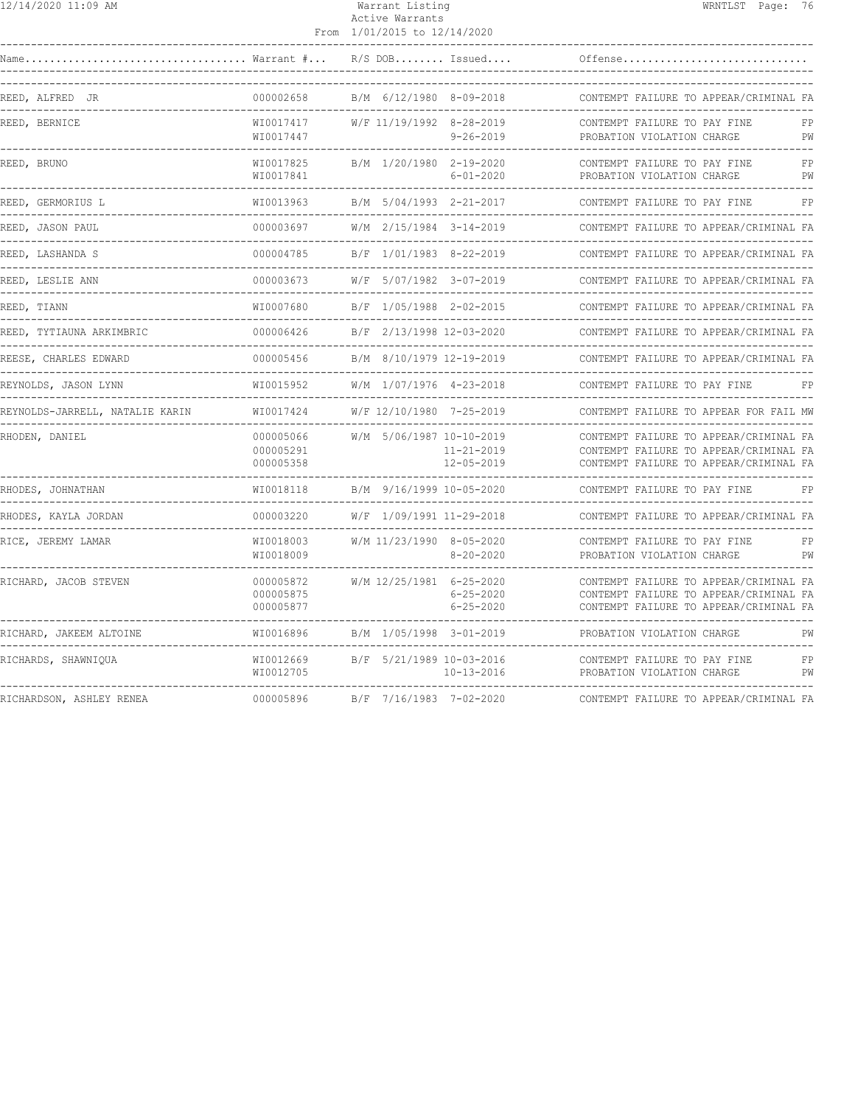|  | 12/14/2020 11:09 AM |  |  |
|--|---------------------|--|--|
|--|---------------------|--|--|

## Warrant Listing National Communication of MRNTLST Page: 76 Active Warrants

|                                                       |                                     | From 1/01/2015 to 12/14/2020 |                                      |                                                                                                                            |          |
|-------------------------------------------------------|-------------------------------------|------------------------------|--------------------------------------|----------------------------------------------------------------------------------------------------------------------------|----------|
| Name Warrant #                                        |                                     |                              |                                      | Offense                                                                                                                    |          |
| REED, ALFRED JR                                       | 000002658                           | B/M 6/12/1980 8-09-2018      |                                      | CONTEMPT FAILURE TO APPEAR/CRIMINAL FA                                                                                     |          |
| REED, BERNICE                                         | WI0017417<br>WI0017447              | W/F 11/19/1992 8-28-2019     | $9 - 26 - 2019$                      | CONTEMPT FAILURE TO PAY FINE<br>PROBATION VIOLATION CHARGE                                                                 | FP<br>PW |
| REED, BRUNO                                           | WI0017825<br>WI0017841              | B/M 1/20/1980 2-19-2020      | $6 - 01 - 2020$                      | CONTEMPT FAILURE TO PAY FINE<br>PROBATION VIOLATION CHARGE<br>-----------------                                            | FP<br>PW |
| REED, GERMORIUS L                                     | WI0013963                           | B/M 5/04/1993 2-21-2017      |                                      | CONTEMPT FAILURE TO PAY FINE                                                                                               | FP       |
| REED, JASON PAUL                                      | 000003697                           | W/M 2/15/1984 3-14-2019      |                                      | CONTEMPT FAILURE TO APPEAR/CRIMINAL FA                                                                                     |          |
| REED, LASHANDA S                                      | 000004785                           | B/F 1/01/1983 8-22-2019      |                                      | CONTEMPT FAILURE TO APPEAR/CRIMINAL FA                                                                                     |          |
| REED, LESLIE ANN                                      | 000003673                           | W/F 5/07/1982 3-07-2019      |                                      | CONTEMPT FAILURE TO APPEAR/CRIMINAL FA                                                                                     |          |
| REED, TIANN                                           | WI0007680                           | B/F 1/05/1988 2-02-2015      |                                      | CONTEMPT FAILURE TO APPEAR/CRIMINAL FA                                                                                     |          |
| REED, TYTIAUNA ARKIMBRIC                              | 000006426                           | B/F 2/13/1998 12-03-2020     |                                      | CONTEMPT FAILURE TO APPEAR/CRIMINAL FA                                                                                     |          |
| REESE, CHARLES EDWARD                                 | 000005456                           | B/M 8/10/1979 12-19-2019     |                                      | CONTEMPT FAILURE TO APPEAR/CRIMINAL FA                                                                                     |          |
| REYNOLDS, JASON LYNN                                  | WI0015952                           | W/M 1/07/1976 4-23-2018      |                                      | CONTEMPT FAILURE TO PAY FINE                                                                                               |          |
| REYNOLDS-JARRELL, NATALIE KARIN                       | WI0017424                           | W/F 12/10/1980 7-25-2019     |                                      | CONTEMPT FAILURE TO APPEAR FOR FAIL MW                                                                                     |          |
| RHODEN, DANIEL                                        | 000005066<br>000005291<br>000005358 | W/M 5/06/1987 10-10-2019     | $11 - 21 - 2019$<br>$12 - 05 - 2019$ | CONTEMPT FAILURE TO APPEAR/CRIMINAL FA<br>CONTEMPT FAILURE TO APPEAR/CRIMINAL FA<br>CONTEMPT FAILURE TO APPEAR/CRIMINAL FA |          |
| RHODES, JOHNATHAN<br>-------------------------------- | WI0018118                           | B/M 9/16/1999 10-05-2020     |                                      | CONTEMPT FAILURE TO PAY FINE                                                                                               | FP       |
| RHODES, KAYLA JORDAN                                  | 000003220                           | W/F 1/09/1991 11-29-2018     |                                      | CONTEMPT FAILURE TO APPEAR/CRIMINAL FA                                                                                     |          |
| RICE, JEREMY LAMAR                                    | WI0018003<br>WI0018009              | W/M 11/23/1990 8-05-2020     | $8 - 20 - 2020$                      | CONTEMPT FAILURE TO PAY FINE<br>PROBATION VIOLATION CHARGE                                                                 | FP<br>PW |
| RICHARD, JACOB STEVEN                                 | 000005872<br>000005875<br>000005877 | W/M 12/25/1981 6-25-2020     | $6 - 25 - 2020$<br>$6 - 25 - 2020$   | CONTEMPT FAILURE TO APPEAR/CRIMINAL FA<br>CONTEMPT FAILURE TO APPEAR/CRIMINAL FA<br>CONTEMPT FAILURE TO APPEAR/CRIMINAL FA |          |
| RICHARD, JAKEEM ALTOINE                               | WI0016896                           | B/M 1/05/1998 3-01-2019      |                                      | PROBATION VIOLATION CHARGE                                                                                                 | PW       |
| RICHARDS, SHAWNIQUA                                   | WI0012669<br>WI0012705              | B/F 5/21/1989 10-03-2016     | $10 - 13 - 2016$                     | CONTEMPT FAILURE TO PAY FINE<br>PROBATION VIOLATION CHARGE                                                                 | FP<br>PW |
| RICHARDSON, ASHLEY RENEA                              | 000005896                           | B/F 7/16/1983 7-02-2020      |                                      | CONTEMPT FAILURE TO APPEAR/CRIMINAL FA                                                                                     |          |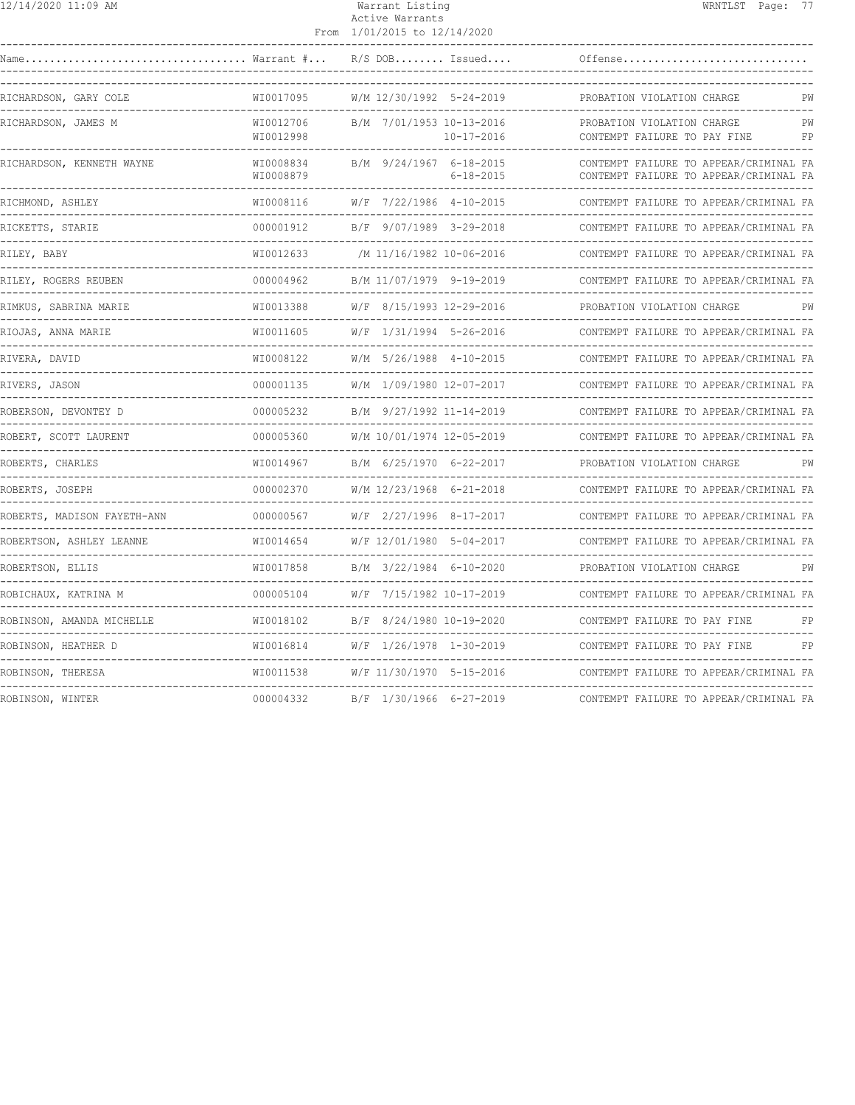| 12/14/2020 11:09 AM         |                        | Warrant Listing<br>Active Warrants<br>From 1/01/2015 to 12/14/2020 |                                                                                  | WRNTLST Page: 77 |          |
|-----------------------------|------------------------|--------------------------------------------------------------------|----------------------------------------------------------------------------------|------------------|----------|
| Name                        | Warrant #              | $R/S$ DOB Issued                                                   | Offense                                                                          |                  |          |
| RICHARDSON, GARY COLE       | WI0017095              | W/M 12/30/1992 5-24-2019                                           | PROBATION VIOLATION CHARGE<br>----------------------------------                 |                  | PW       |
| RICHARDSON, JAMES M         | WI0012706<br>WI0012998 | B/M 7/01/1953 10-13-2016<br>$10 - 17 - 2016$                       | PROBATION VIOLATION CHARGE<br>CONTEMPT FAILURE TO PAY FINE                       |                  | PW<br>FP |
| RICHARDSON, KENNETH WAYNE   | WI0008834<br>WI0008879 | B/M 9/24/1967 6-18-2015<br>$6 - 18 - 2015$                         | CONTEMPT FAILURE TO APPEAR/CRIMINAL FA<br>CONTEMPT FAILURE TO APPEAR/CRIMINAL FA |                  |          |
| RICHMOND, ASHLEY            | WI0008116              | W/F 7/22/1986 4-10-2015                                            | CONTEMPT FAILURE TO APPEAR/CRIMINAL FA                                           |                  |          |
| RICKETTS, STARIE            | 000001912              | B/F 9/07/1989 3-29-2018                                            | CONTEMPT FAILURE TO APPEAR/CRIMINAL FA                                           |                  |          |
| RILEY, BABY                 | WI0012633              | /M 11/16/1982 10-06-2016                                           | CONTEMPT FAILURE TO APPEAR/CRIMINAL FA                                           |                  |          |
| RILEY, ROGERS REUBEN        | 000004962              | B/M 11/07/1979 9-19-2019                                           | CONTEMPT FAILURE TO APPEAR/CRIMINAL FA                                           |                  |          |
| RIMKUS, SABRINA MARIE       | WI0013388              | W/F 8/15/1993 12-29-2016                                           | PROBATION VIOLATION CHARGE                                                       |                  |          |
| RIOJAS, ANNA MARIE          | WI0011605              | W/F 1/31/1994 5-26-2016                                            | CONTEMPT FAILURE TO APPEAR/CRIMINAL FA                                           |                  |          |
| RIVERA, DAVID               | WI0008122              | W/M 5/26/1988 4-10-2015                                            | CONTEMPT FAILURE TO APPEAR/CRIMINAL FA                                           |                  |          |
| RIVERS, JASON               | 000001135              | W/M 1/09/1980 12-07-2017                                           | CONTEMPT FAILURE TO APPEAR/CRIMINAL FA                                           |                  |          |
| ROBERSON, DEVONTEY D        | 000005232              | B/M 9/27/1992 11-14-2019                                           | CONTEMPT FAILURE TO APPEAR/CRIMINAL FA                                           |                  |          |
| ROBERT, SCOTT LAURENT       | 000005360              | W/M 10/01/1974 12-05-2019                                          | CONTEMPT FAILURE TO APPEAR/CRIMINAL FA                                           |                  |          |
| ROBERTS, CHARLES            | WI0014967              | B/M 6/25/1970 6-22-2017                                            | PROBATION VIOLATION CHARGE                                                       |                  | PW       |
| ROBERTS, JOSEPH             | 000002370              | W/M 12/23/1968 6-21-2018                                           | CONTEMPT FAILURE TO APPEAR/CRIMINAL FA                                           |                  |          |
| ROBERTS, MADISON FAYETH-ANN | 000000567              | W/F 2/27/1996 8-17-2017                                            | CONTEMPT FAILURE TO APPEAR/CRIMINAL FA                                           |                  |          |
| ROBERTSON, ASHLEY LEANNE    | WI0014654              | W/F 12/01/1980 5-04-2017                                           | CONTEMPT FAILURE TO APPEAR/CRIMINAL FA                                           |                  |          |
| ROBERTSON, ELLIS            | WI0017858              | B/M 3/22/1984 6-10-2020                                            | PROBATION VIOLATION CHARGE                                                       |                  | PW       |
| ROBICHAUX, KATRINA M        | 000005104              | W/F 7/15/1982 10-17-2019                                           | CONTEMPT FAILURE TO APPEAR/CRIMINAL FA                                           |                  |          |
| ROBINSON, AMANDA MICHELLE   | WI0018102              | B/F 8/24/1980 10-19-2020                                           | CONTEMPT FAILURE TO PAY FINE                                                     |                  | FP       |
| ROBINSON, HEATHER D         | WI0016814              | W/F 1/26/1978 1-30-2019                                            | CONTEMPT FAILURE TO PAY FINE                                                     |                  | FP       |
| ROBINSON, THERESA           | WI0011538              | -------------------<br>W/F 11/30/1970 5-15-2016                    | CONTEMPT FAILURE TO APPEAR/CRIMINAL FA                                           |                  |          |
|                             |                        |                                                                    |                                                                                  |                  |          |

ROBINSON, WINTER 000004332 B/F 1/30/1966 6-27-2019 CONTEMPT FAILURE TO APPEAR/CRIMINAL FA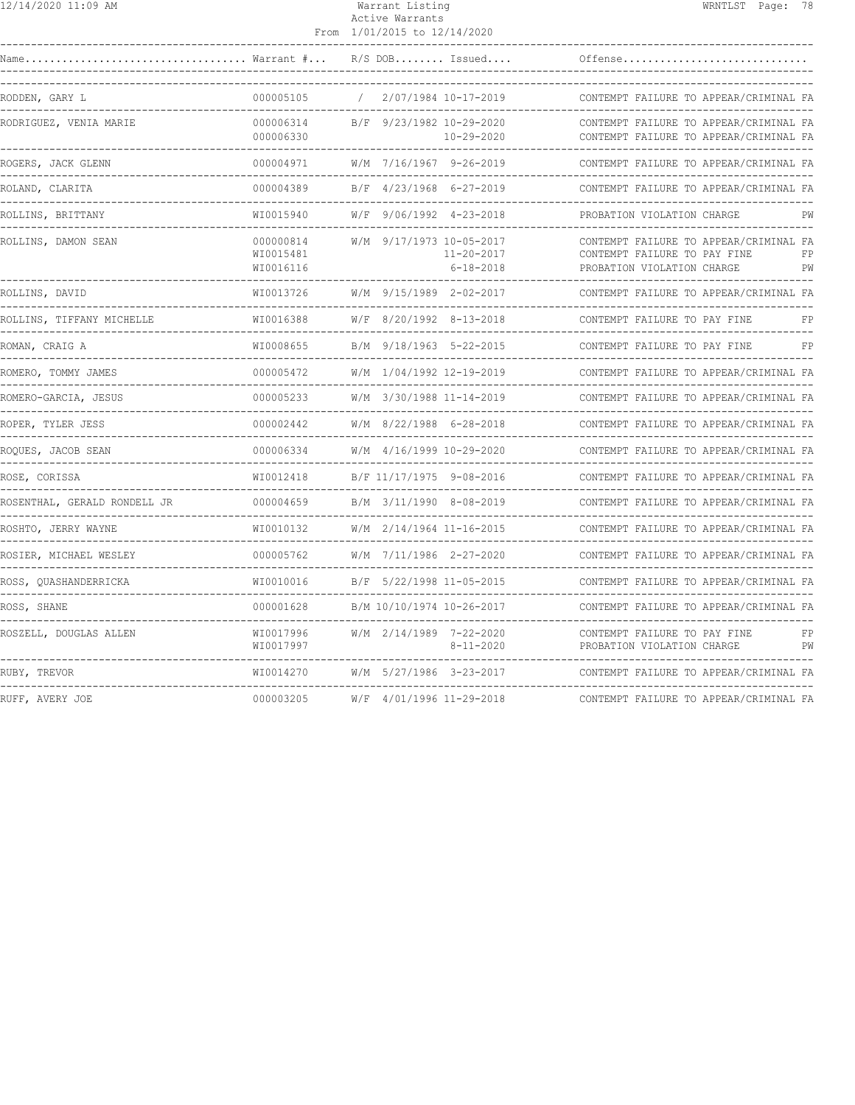|--|

#### Warrant Listing WRNTLST Page: 78 Active Warrants From 1/01/2015 to 12/14/2020

| Name                         |                                     | $R/S$ DOB Issued                       |                                     | Offense                                                                                                          |
|------------------------------|-------------------------------------|----------------------------------------|-------------------------------------|------------------------------------------------------------------------------------------------------------------|
| RODDEN, GARY L               | 000005105                           |                                        | 2/07/1984 10-17-2019                | CONTEMPT FAILURE TO APPEAR/CRIMINAL FA                                                                           |
| RODRIGUEZ, VENIA MARIE       | 000006314<br>000006330              | B/F 9/23/1982 10-29-2020               | $10 - 29 - 2020$                    | CONTEMPT FAILURE TO APPEAR/CRIMINAL FA<br>CONTEMPT FAILURE TO APPEAR/CRIMINAL FA                                 |
| ROGERS, JACK GLENN           | 000004971                           | W/M 7/16/1967 9-26-2019<br>___________ |                                     | CONTEMPT FAILURE TO APPEAR/CRIMINAL FA                                                                           |
| ROLAND, CLARITA              | 000004389                           | B/F 4/23/1968 6-27-2019                |                                     | CONTEMPT FAILURE TO APPEAR/CRIMINAL FA                                                                           |
| ROLLINS, BRITTANY            | WI0015940                           | W/F 9/06/1992 4-23-2018                |                                     | PROBATION VIOLATION CHARGE<br>PW                                                                                 |
| ROLLINS, DAMON SEAN          | 000000814<br>WI0015481<br>WI0016116 | W/M 9/17/1973 10-05-2017               | $11 - 20 - 2017$<br>$6 - 18 - 2018$ | CONTEMPT FAILURE TO APPEAR/CRIMINAL FA<br>CONTEMPT FAILURE TO PAY FINE<br>FP<br>PROBATION VIOLATION CHARGE<br>PW |
| ROLLINS, DAVID               | WI0013726                           | W/M 9/15/1989 2-02-2017                |                                     | CONTEMPT FAILURE TO APPEAR/CRIMINAL FA                                                                           |
| ROLLINS, TIFFANY MICHELLE    | WI0016388                           | W/F 8/20/1992 8-13-2018                |                                     | CONTEMPT FAILURE TO PAY FINE<br>FP                                                                               |
| ROMAN, CRAIG A               | WI0008655                           | B/M 9/18/1963 5-22-2015                |                                     | FP<br>CONTEMPT FAILURE TO PAY FINE                                                                               |
| ROMERO, TOMMY JAMES          | 000005472                           | W/M 1/04/1992 12-19-2019               |                                     | CONTEMPT FAILURE TO APPEAR/CRIMINAL FA                                                                           |
| ROMERO-GARCIA, JESUS         | 000005233                           | W/M 3/30/1988 11-14-2019               |                                     | CONTEMPT FAILURE TO APPEAR/CRIMINAL FA                                                                           |
| ROPER, TYLER JESS            | 000002442                           | W/M 8/22/1988 6-28-2018                |                                     | CONTEMPT FAILURE TO APPEAR/CRIMINAL FA                                                                           |
| ROOUES, JACOB SEAN           | 000006334                           | W/M 4/16/1999 10-29-2020               |                                     | CONTEMPT FAILURE TO APPEAR/CRIMINAL FA                                                                           |
| ROSE, CORISSA                | WI0012418                           | B/F 11/17/1975 9-08-2016               |                                     | CONTEMPT FAILURE TO APPEAR/CRIMINAL FA                                                                           |
| ROSENTHAL, GERALD RONDELL JR | 000004659                           | B/M 3/11/1990 8-08-2019                |                                     | CONTEMPT FAILURE TO APPEAR/CRIMINAL FA                                                                           |
| ROSHTO, JERRY WAYNE          | WI0010132                           | W/M 2/14/1964 11-16-2015               |                                     | CONTEMPT FAILURE TO APPEAR/CRIMINAL FA                                                                           |
| ROSIER, MICHAEL WESLEY       | 000005762                           | W/M 7/11/1986 2-27-2020                |                                     | CONTEMPT FAILURE TO APPEAR/CRIMINAL FA                                                                           |
| ROSS, QUASHANDERRICKA        | WI0010016                           | B/F 5/22/1998 11-05-2015               |                                     | CONTEMPT FAILURE TO APPEAR/CRIMINAL FA                                                                           |
| ROSS, SHANE                  | 000001628                           | B/M 10/10/1974 10-26-2017              |                                     | CONTEMPT FAILURE TO APPEAR/CRIMINAL FA                                                                           |
| ROSZELL, DOUGLAS ALLEN       | WI0017996<br>WI0017997              | W/M 2/14/1989 7-22-2020                | $8 - 11 - 2020$                     | CONTEMPT FAILURE TO PAY FINE<br>FP<br>PROBATION VIOLATION CHARGE<br>PW                                           |
| RUBY, TREVOR                 | WI0014270                           | W/M 5/27/1986 3-23-2017                |                                     | CONTEMPT FAILURE TO APPEAR/CRIMINAL FA                                                                           |
| RUFF, AVERY JOE              | 000003205                           | W/F 4/01/1996 11-29-2018               |                                     | CONTEMPT FAILURE TO APPEAR/CRIMINAL FA                                                                           |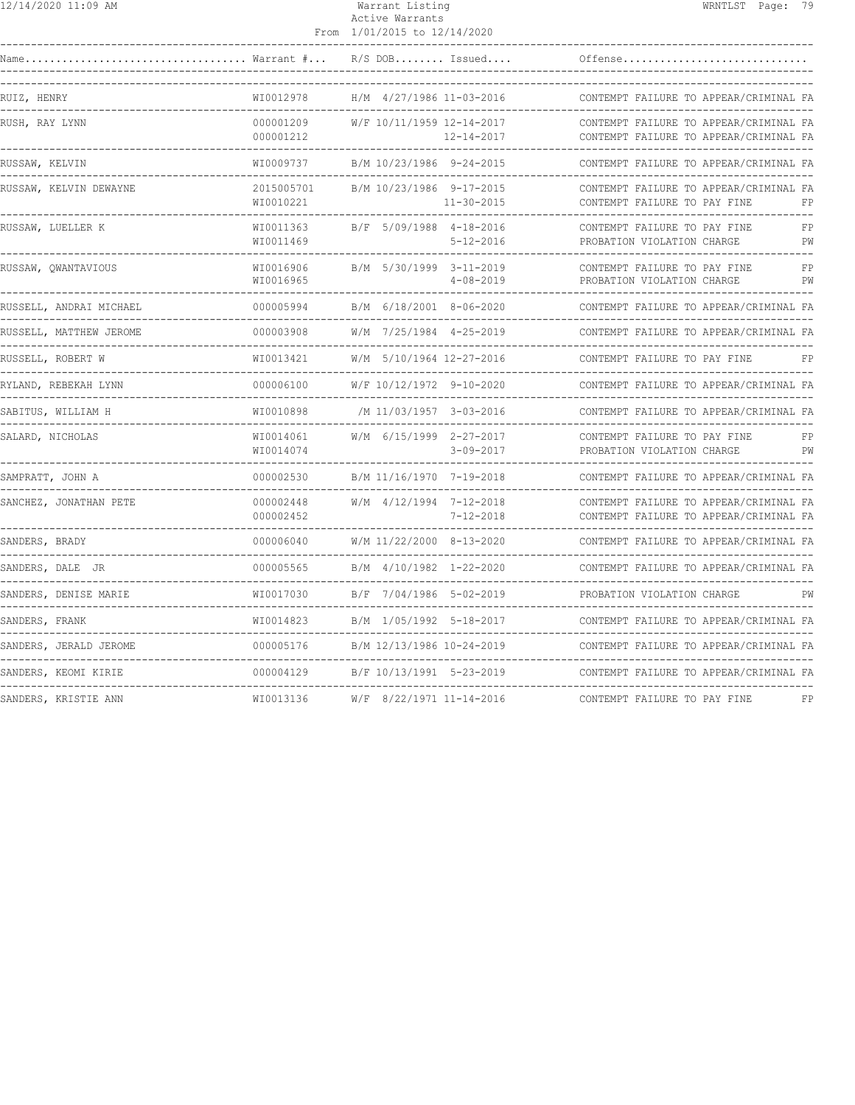| 12/14/2020 11:09 AM |
|---------------------|
|---------------------|

## Warrant Listing WRNTLST Page: 79 Active Warrants

|                                          |                              | From 1/01/2015 to 12/14/2020                 |                                                                                  |
|------------------------------------------|------------------------------|----------------------------------------------|----------------------------------------------------------------------------------|
|                                          |                              | $R/S$ DOB Issued                             | Offense                                                                          |
| RUIZ, HENRY<br>---------                 | WI0012978                    | H/M 4/27/1986 11-03-2016                     | CONTEMPT FAILURE TO APPEAR/CRIMINAL FA                                           |
| RUSH, RAY LYNN                           | 000001209<br>000001212       | W/F 10/11/1959 12-14-2017<br>12-14-2017      | CONTEMPT FAILURE TO APPEAR/CRIMINAL FA<br>CONTEMPT FAILURE TO APPEAR/CRIMINAL FA |
| RUSSAW, KELVIN                           | WI0009737                    | B/M 10/23/1986 9-24-2015                     | CONTEMPT FAILURE TO APPEAR/CRIMINAL FA                                           |
| RUSSAW, KELVIN DEWAYNE                   | 2015005701<br>WI0010221      | B/M 10/23/1986 9-17-2015<br>$11 - 30 - 2015$ | CONTEMPT FAILURE TO APPEAR/CRIMINAL FA<br>CONTEMPT FAILURE TO PAY FINE<br>FP     |
| RUSSAW, LUELLER K                        | WI0011363<br>WI0011469       | B/F 5/09/1988 4-18-2016<br>$5 - 12 - 2016$   | FP<br>CONTEMPT FAILURE TO PAY FINE<br>PROBATION VIOLATION CHARGE<br>PW           |
| RUSSAW, QWANTAVIOUS                      | WI0016906<br>WI0016965       | B/M 5/30/1999 3-11-2019<br>$4 - 08 - 2019$   | CONTEMPT FAILURE TO PAY FINE<br>FP<br>PROBATION VIOLATION CHARGE<br>PW           |
| RUSSELL, ANDRAI MICHAEL                  | 000005994                    | B/M 6/18/2001 8-06-2020                      | CONTEMPT FAILURE TO APPEAR/CRIMINAL FA                                           |
| RUSSELL, MATTHEW JEROME<br>------------- | 000003908                    | W/M 7/25/1984 4-25-2019                      | CONTEMPT FAILURE TO APPEAR/CRIMINAL FA                                           |
| RUSSELL, ROBERT W                        | WI0013421                    | W/M 5/10/1964 12-27-2016                     | CONTEMPT FAILURE TO PAY FINE<br>FP                                               |
| RYLAND, REBEKAH LYNN                     | 000006100                    | W/F 10/12/1972 9-10-2020                     | CONTEMPT FAILURE TO APPEAR/CRIMINAL FA                                           |
| SABITUS, WILLIAM H                       | WI0010898                    | /M 11/03/1957 3-03-2016                      | CONTEMPT FAILURE TO APPEAR/CRIMINAL FA<br>--------------------                   |
| SALARD, NICHOLAS                         | WI0014061<br>WI0014074       | W/M 6/15/1999 2-27-2017<br>$3 - 09 - 2017$   | CONTEMPT FAILURE TO PAY FINE<br>FP<br>PROBATION VIOLATION CHARGE<br>PW           |
| SAMPRATT, JOHN A                         | 000002530                    | B/M 11/16/1970 7-19-2018                     | CONTEMPT FAILURE TO APPEAR/CRIMINAL FA                                           |
| SANCHEZ, JONATHAN PETE                   | 000002448<br>000002452       | W/M 4/12/1994 7-12-2018<br>$7 - 12 - 2018$   | CONTEMPT FAILURE TO APPEAR/CRIMINAL FA<br>CONTEMPT FAILURE TO APPEAR/CRIMINAL FA |
| SANDERS, BRADY                           | 000006040                    | W/M 11/22/2000 8-13-2020<br>--------         | CONTEMPT FAILURE TO APPEAR/CRIMINAL FA                                           |
| SANDERS, DALE JR                         | 000005565                    | B/M 4/10/1982 1-22-2020                      | CONTEMPT FAILURE TO APPEAR/CRIMINAL FA                                           |
| SANDERS, DENISE MARIE                    | WI0017030                    | B/F 7/04/1986 5-02-2019                      | PROBATION VIOLATION CHARGE<br>PW                                                 |
| SANDERS, FRANK                           | WI0014823                    | B/M 1/05/1992 5-18-2017                      | CONTEMPT FAILURE TO APPEAR/CRIMINAL FA                                           |
| SANDERS, JERALD JEROME                   | 000005176<br>--------------- | B/M 12/13/1986 10-24-2019                    | CONTEMPT FAILURE TO APPEAR/CRIMINAL FA                                           |
| SANDERS, KEOMI KIRIE                     | 000004129                    | B/F 10/13/1991 5-23-2019                     | CONTEMPT FAILURE TO APPEAR/CRIMINAL FA                                           |
| SANDERS, KRISTIE ANN                     | WI0013136                    | W/F 8/22/1971 11-14-2016                     | CONTEMPT FAILURE TO PAY FINE<br>FP                                               |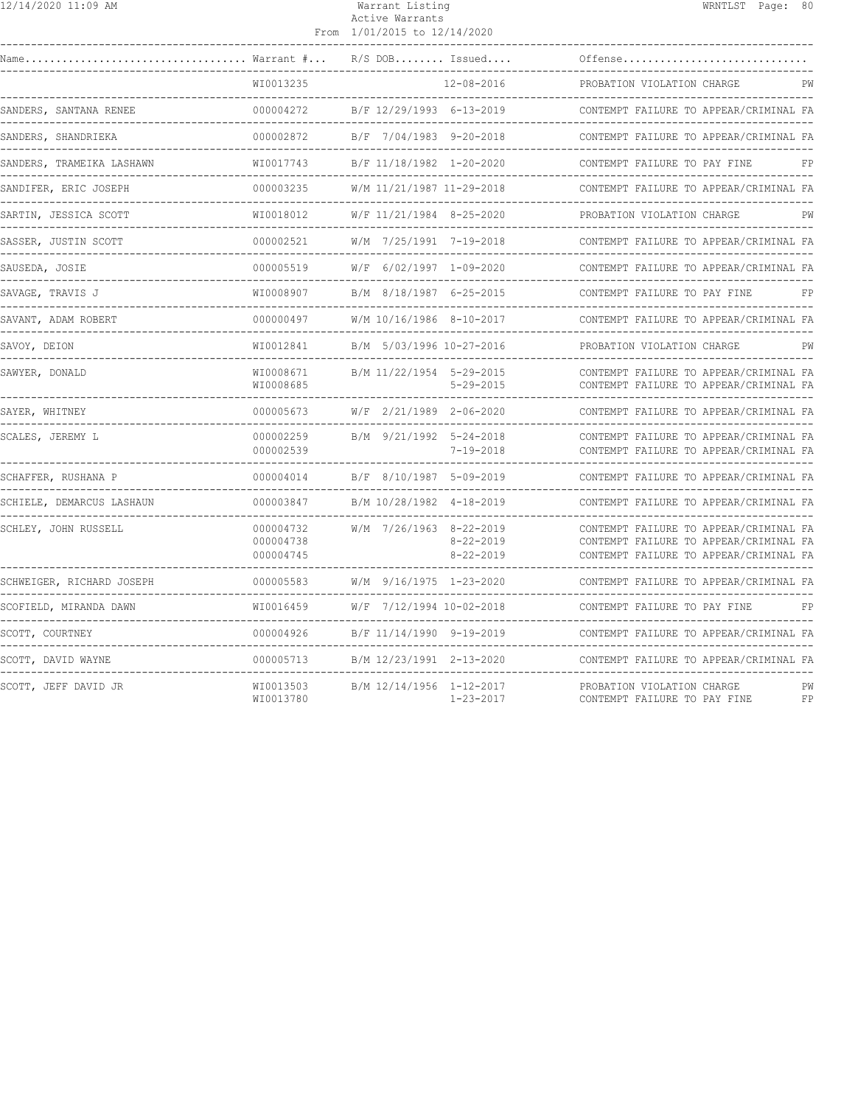|  | 12/14/2020 11:09 AM |  |
|--|---------------------|--|
|--|---------------------|--|

#### Warrant Listing WRNTLST Page: 80 Active Warrants From 1/01/2015 to 12/14/2020

| Name                                              | $\ldots \ldots \ldots$ Warrant $\# \ldots$ | $R/S$ DOB Issued          |                                    | Offense                                                                                                                    |          |
|---------------------------------------------------|--------------------------------------------|---------------------------|------------------------------------|----------------------------------------------------------------------------------------------------------------------------|----------|
|                                                   | WI0013235                                  |                           | $12 - 08 - 2016$                   | PROBATION VIOLATION CHARGE                                                                                                 | PW       |
| SANDERS, SANTANA RENEE<br>_______________________ | 000004272                                  | B/F 12/29/1993 6-13-2019  |                                    | CONTEMPT FAILURE TO APPEAR/CRIMINAL FA                                                                                     |          |
| SANDERS, SHANDRIEKA                               | 000002872                                  | B/F 7/04/1983 9-20-2018   |                                    | CONTEMPT FAILURE TO APPEAR/CRIMINAL FA                                                                                     |          |
| SANDERS, TRAMEIKA LASHAWN                         | WI0017743                                  | B/F 11/18/1982 1-20-2020  |                                    | CONTEMPT FAILURE TO PAY FINE                                                                                               | FP       |
| SANDIFER, ERIC JOSEPH                             | 000003235                                  | W/M 11/21/1987 11-29-2018 |                                    | CONTEMPT FAILURE TO APPEAR/CRIMINAL FA                                                                                     |          |
| SARTIN, JESSICA SCOTT                             | WI0018012                                  | W/F 11/21/1984 8-25-2020  |                                    | PROBATION VIOLATION CHARGE                                                                                                 | РW       |
| SASSER, JUSTIN SCOTT                              | 000002521                                  | W/M 7/25/1991 7-19-2018   |                                    | CONTEMPT FAILURE TO APPEAR/CRIMINAL FA                                                                                     |          |
| SAUSEDA, JOSIE                                    | 000005519                                  | W/F 6/02/1997 1-09-2020   |                                    | CONTEMPT FAILURE TO APPEAR/CRIMINAL FA                                                                                     |          |
| SAVAGE, TRAVIS J                                  | WI0008907                                  | B/M 8/18/1987 6-25-2015   |                                    | CONTEMPT FAILURE TO PAY FINE                                                                                               | FP       |
| SAVANT, ADAM ROBERT                               | 000000497<br>---------------               | W/M 10/16/1986 8-10-2017  |                                    | CONTEMPT FAILURE TO APPEAR/CRIMINAL FA                                                                                     |          |
| SAVOY, DEION                                      | WI0012841                                  | B/M 5/03/1996 10-27-2016  |                                    | PROBATION VIOLATION CHARGE                                                                                                 | РW       |
| SAWYER, DONALD                                    | WI0008671<br>WI0008685                     | B/M 11/22/1954 5-29-2015  | $5 - 29 - 2015$                    | CONTEMPT FAILURE TO APPEAR/CRIMINAL FA<br>CONTEMPT FAILURE TO APPEAR/CRIMINAL FA                                           |          |
| SAYER, WHITNEY                                    | 000005673                                  | W/F 2/21/1989 2-06-2020   |                                    | CONTEMPT FAILURE TO APPEAR/CRIMINAL FA                                                                                     |          |
| SCALES, JEREMY L                                  | 000002259<br>000002539                     | B/M 9/21/1992 5-24-2018   | $7 - 19 - 2018$                    | CONTEMPT FAILURE TO APPEAR/CRIMINAL FA<br>CONTEMPT FAILURE TO APPEAR/CRIMINAL FA<br>___________________________________    |          |
| SCHAFFER, RUSHANA P                               | 000004014                                  | B/F 8/10/1987 5-09-2019   |                                    | CONTEMPT FAILURE TO APPEAR/CRIMINAL FA                                                                                     |          |
| SCHIELE, DEMARCUS LASHAUN                         | 000003847                                  | B/M 10/28/1982 4-18-2019  |                                    | CONTEMPT FAILURE TO APPEAR/CRIMINAL FA                                                                                     |          |
| SCHLEY, JOHN RUSSELL                              | 000004732<br>000004738<br>000004745        | W/M 7/26/1963 8-22-2019   | $8 - 22 - 2019$<br>$8 - 22 - 2019$ | CONTEMPT FAILURE TO APPEAR/CRIMINAL FA<br>CONTEMPT FAILURE TO APPEAR/CRIMINAL FA<br>CONTEMPT FAILURE TO APPEAR/CRIMINAL FA |          |
| SCHWEIGER, RICHARD JOSEPH                         | 000005583                                  | W/M 9/16/1975 1-23-2020   |                                    | CONTEMPT FAILURE TO APPEAR/CRIMINAL FA                                                                                     |          |
| SCOFIELD, MIRANDA DAWN                            | WI0016459                                  | W/F 7/12/1994 10-02-2018  |                                    | CONTEMPT FAILURE TO PAY FINE<br>___________________________                                                                | FP       |
| SCOTT, COURTNEY                                   | 000004926<br>.                             | B/F 11/14/1990 9-19-2019  |                                    | CONTEMPT FAILURE TO APPEAR/CRIMINAL FA                                                                                     |          |
| SCOTT, DAVID WAYNE                                | 000005713                                  | B/M 12/23/1991 2-13-2020  |                                    | CONTEMPT FAILURE TO APPEAR/CRIMINAL FA                                                                                     |          |
| SCOTT, JEFF DAVID JR                              | WI0013503<br>WI0013780                     | B/M 12/14/1956 1-12-2017  | $1 - 23 - 2017$                    | PROBATION VIOLATION CHARGE<br>CONTEMPT FAILURE TO PAY FINE                                                                 | PW<br>FP |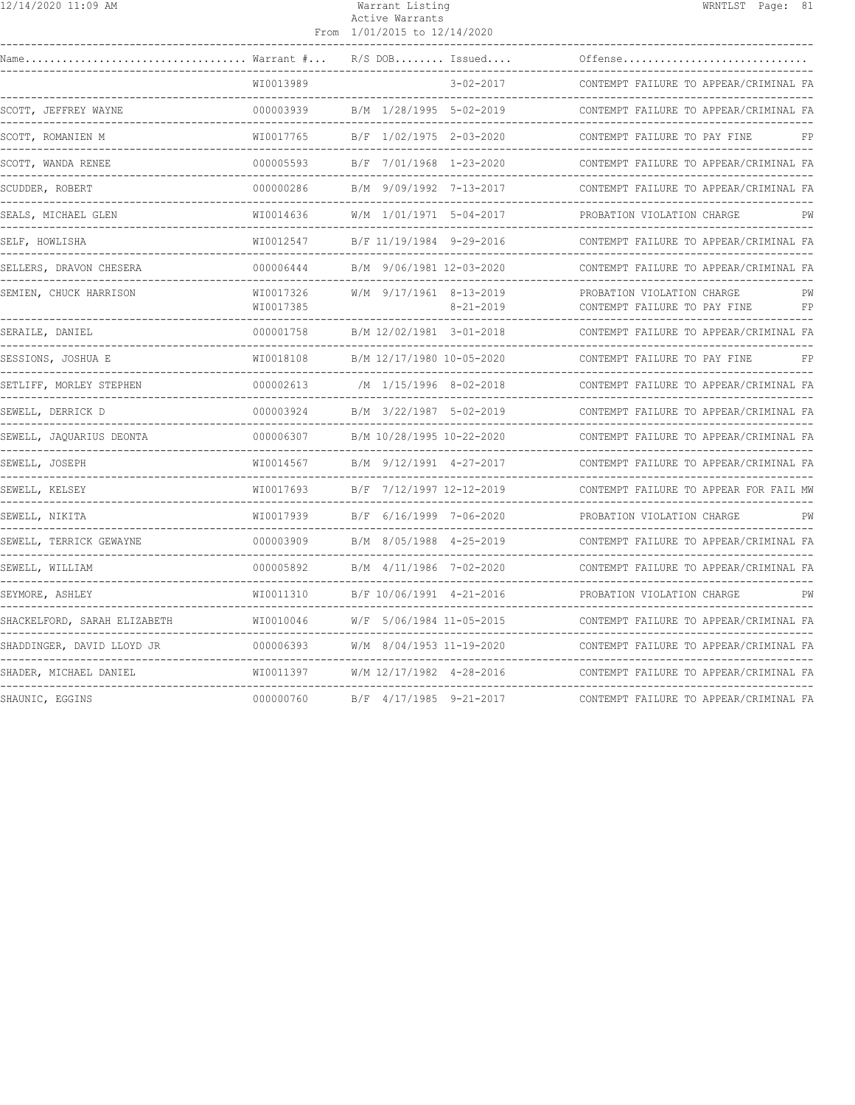### 12/14/2020 11:09 AM Warrant Listing WRNTLST Page: 81 Active Warrants

|                                |                        | From 1/01/2015 to 12/14/2020 |                 |                                                            |    |
|--------------------------------|------------------------|------------------------------|-----------------|------------------------------------------------------------|----|
| Name                           | Warrant #              | $R/S$ DOB Issued             |                 | Offense                                                    |    |
|                                | WI0013989              |                              | $3 - 02 - 2017$ | CONTEMPT FAILURE TO APPEAR/CRIMINAL FA                     |    |
| SCOTT, JEFFREY WAYNE           | 000003939              | B/M 1/28/1995 5-02-2019      |                 | CONTEMPT FAILURE TO APPEAR/CRIMINAL FA                     |    |
| SCOTT, ROMANIEN M              | WI0017765              | B/F 1/02/1975 2-03-2020      |                 | CONTEMPT FAILURE TO PAY FINE                               | FP |
| SCOTT, WANDA RENEE             | 000005593              | B/F 7/01/1968 1-23-2020      |                 | CONTEMPT FAILURE TO APPEAR/CRIMINAL FA                     |    |
| SCUDDER, ROBERT                | 000000286              | B/M 9/09/1992 7-13-2017      |                 | CONTEMPT FAILURE TO APPEAR/CRIMINAL FA                     |    |
| SEALS, MICHAEL GLEN            | WI0014636              | W/M 1/01/1971 5-04-2017      |                 | PROBATION VIOLATION CHARGE                                 | PW |
| SELF, HOWLISHA                 | WI0012547              | B/F 11/19/1984 9-29-2016     |                 | CONTEMPT FAILURE TO APPEAR/CRIMINAL FA                     |    |
| SELLERS, DRAVON CHESERA        | 000006444              | B/M 9/06/1981 12-03-2020     |                 | CONTEMPT FAILURE TO APPEAR/CRIMINAL FA                     |    |
| SEMIEN, CHUCK HARRISON         | WI0017326<br>WI0017385 | W/M 9/17/1961 8-13-2019      | $8 - 21 - 2019$ | PROBATION VIOLATION CHARGE<br>CONTEMPT FAILURE TO PAY FINE | FP |
| SERAILE, DANIEL<br>----------- | 000001758              | B/M 12/02/1981 3-01-2018     |                 | CONTEMPT FAILURE TO APPEAR/CRIMINAL FA                     |    |
| SESSIONS, JOSHUA E             | WI0018108              | B/M 12/17/1980 10-05-2020    |                 | CONTEMPT FAILURE TO PAY FINE                               | FP |
| SETLIFF, MORLEY STEPHEN        | 000002613              | /M 1/15/1996 8-02-2018       |                 | CONTEMPT FAILURE TO APPEAR/CRIMINAL FA                     |    |
| SEWELL, DERRICK D              | 000003924              | B/M 3/22/1987 5-02-2019      |                 | CONTEMPT FAILURE TO APPEAR/CRIMINAL FA                     |    |
| SEWELL, JAQUARIUS DEONTA       | 000006307              | B/M 10/28/1995 10-22-2020    |                 | CONTEMPT FAILURE TO APPEAR/CRIMINAL FA                     |    |
| SEWELL, JOSEPH                 | WI0014567              | B/M 9/12/1991 4-27-2017      |                 | CONTEMPT FAILURE TO APPEAR/CRIMINAL FA                     |    |
| SEWELL, KELSEY                 | WI0017693              | B/F 7/12/1997 12-12-2019     |                 | CONTEMPT FAILURE TO APPEAR FOR FAIL MW                     |    |
| SEWELL, NIKITA                 | WI0017939              | B/F 6/16/1999 7-06-2020      |                 | PROBATION VIOLATION CHARGE                                 | PW |
| SEWELL, TERRICK GEWAYNE        | 000003909              | B/M 8/05/1988 4-25-2019      |                 | CONTEMPT FAILURE TO APPEAR/CRIMINAL FA                     |    |
| SEWELL, WILLIAM                | 000005892              | B/M 4/11/1986 7-02-2020      |                 | CONTEMPT FAILURE TO APPEAR/CRIMINAL FA                     |    |
| SEYMORE, ASHLEY                | WI0011310              | B/F 10/06/1991 4-21-2016     |                 | PROBATION VIOLATION CHARGE                                 | PW |
| SHACKELFORD, SARAH ELIZABETH   | WI0010046              | W/F 5/06/1984 11-05-2015     |                 | CONTEMPT FAILURE TO APPEAR/CRIMINAL FA                     |    |
| SHADDINGER, DAVID LLOYD JR     | 000006393              | W/M 8/04/1953 11-19-2020     |                 | CONTEMPT FAILURE TO APPEAR/CRIMINAL FA                     |    |
| SHADER, MICHAEL DANIEL         | WI0011397              | W/M 12/17/1982 4-28-2016     |                 | CONTEMPT FAILURE TO APPEAR/CRIMINAL FA                     |    |
| SHAUNIC, EGGINS                | 000000760              | B/F 4/17/1985 9-21-2017      |                 | CONTEMPT FAILURE TO APPEAR/CRIMINAL FA                     |    |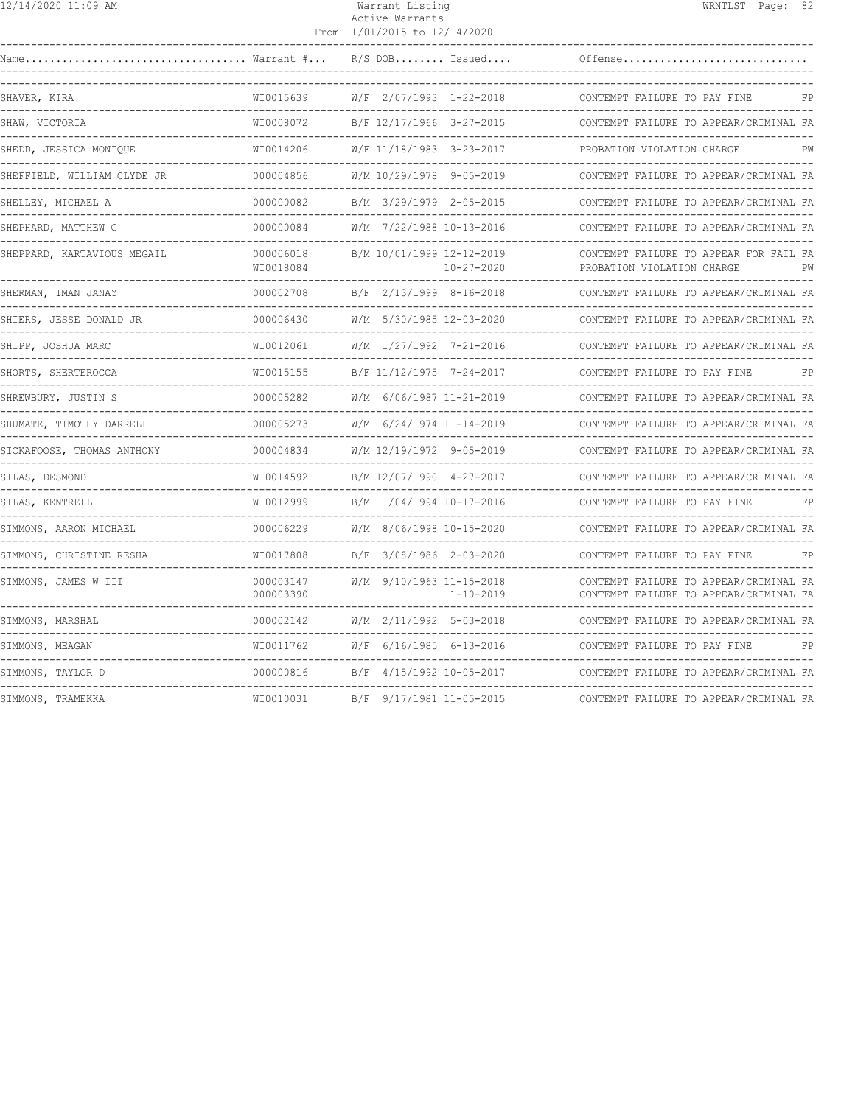| 12/14/2020 11:09 AM                    |                        | Warrant Listing<br>Active Warrants<br>From 1/01/2015 to 12/14/2020 | WRNTLST Page: 82                                                                 |
|----------------------------------------|------------------------|--------------------------------------------------------------------|----------------------------------------------------------------------------------|
|                                        |                        | $R/S$ DOB Issued                                                   | Offense                                                                          |
| SHAVER, KIRA                           | WI0015639              | W/F 2/07/1993 1-22-2018                                            | CONTEMPT FAILURE TO PAY FINE<br>FP                                               |
| SHAW, VICTORIA                         | WI0008072              | B/F 12/17/1966 3-27-2015                                           | CONTEMPT FAILURE TO APPEAR/CRIMINAL FA                                           |
| SHEDD, JESSICA MONIQUE                 | WI0014206              | W/F 11/18/1983 3-23-2017                                           | PROBATION VIOLATION CHARGE<br>PW                                                 |
| SHEFFIELD, WILLIAM CLYDE JR            | 000004856              | W/M 10/29/1978 9-05-2019                                           | CONTEMPT FAILURE TO APPEAR/CRIMINAL FA                                           |
| SHELLEY, MICHAEL A                     | 000000082              | B/M 3/29/1979 2-05-2015                                            | CONTEMPT FAILURE TO APPEAR/CRIMINAL FA                                           |
| SHEPHARD, MATTHEW G                    | 000000084              | W/M 7/22/1988 10-13-2016                                           | CONTEMPT FAILURE TO APPEAR/CRIMINAL FA                                           |
| SHEPPARD, KARTAVIOUS MEGAIL            | 000006018<br>WI0018084 | B/M 10/01/1999 12-12-2019<br>$10 - 27 - 2020$                      | CONTEMPT FAILURE TO APPEAR FOR FAIL FA<br>PROBATION VIOLATION CHARGE<br>PW       |
| SHERMAN, IMAN JANAY                    | 000002708              | B/F 2/13/1999 8-16-2018                                            | CONTEMPT FAILURE TO APPEAR/CRIMINAL FA                                           |
| SHIERS, JESSE DONALD JR                | 000006430              | W/M 5/30/1985 12-03-2020                                           | CONTEMPT FAILURE TO APPEAR/CRIMINAL FA                                           |
| SHIPP, JOSHUA MARC                     | WI0012061              | W/M 1/27/1992 7-21-2016                                            | CONTEMPT FAILURE TO APPEAR/CRIMINAL FA                                           |
| SHORTS, SHERTEROCCA                    | WI0015155              | B/F 11/12/1975 7-24-2017                                           | CONTEMPT FAILURE TO PAY FINE                                                     |
| SHREWBURY, JUSTIN S                    | 000005282              | W/M 6/06/1987 11-21-2019                                           | CONTEMPT FAILURE TO APPEAR/CRIMINAL FA                                           |
| SHUMATE, TIMOTHY DARRELL               | 000005273              | W/M 6/24/1974 11-14-2019                                           | CONTEMPT FAILURE TO APPEAR/CRIMINAL FA                                           |
| SICKAFOOSE, THOMAS ANTHONY             | 000004834              | W/M 12/19/1972 9-05-2019                                           | CONTEMPT FAILURE TO APPEAR/CRIMINAL FA                                           |
| SILAS, DESMOND                         | WI0014592              | B/M 12/07/1990 4-27-2017                                           | CONTEMPT FAILURE TO APPEAR/CRIMINAL FA                                           |
| SILAS, KENTRELL                        | WI0012999              | -------------------------------------<br>B/M 1/04/1994 10-17-2016  | ---------------------------------<br>CONTEMPT FAILURE TO PAY FINE<br>FP          |
| ------------<br>SIMMONS, AARON MICHAEL | 000006229              | W/M 8/06/1998 10-15-2020                                           | CONTEMPT FAILURE TO APPEAR/CRIMINAL FA                                           |
| SIMMONS, CHRISTINE RESHA               | WI0017808              | B/F 3/08/1986 2-03-2020                                            | -----------------------------------<br>CONTEMPT FAILURE TO PAY FINE<br>FP        |
| SIMMONS, JAMES W III                   | 000003147<br>000003390 | W/M 9/10/1963 11-15-2018<br>$1 - 10 - 2019$                        | CONTEMPT FAILURE TO APPEAR/CRIMINAL FA<br>CONTEMPT FAILURE TO APPEAR/CRIMINAL FA |
| SIMMONS, MARSHAL                       | 000002142              | W/M 2/11/1992 5-03-2018                                            | CONTEMPT FAILURE TO APPEAR/CRIMINAL FA                                           |
| SIMMONS, MEAGAN                        | WI0011762              | W/F 6/16/1985 6-13-2016                                            | CONTEMPT FAILURE TO PAY FINE                                                     |
| SIMMONS, TAYLOR D                      | 000000816              | B/F 4/15/1992 10-05-2017                                           | CONTEMPT FAILURE TO APPEAR/CRIMINAL FA                                           |
| -------------<br>SIMMONS, TRAMEKKA     | WI0010031              | B/F 9/17/1981 11-05-2015                                           | ---------------------------------<br>CONTEMPT FAILURE TO APPEAR/CRIMINAL FA      |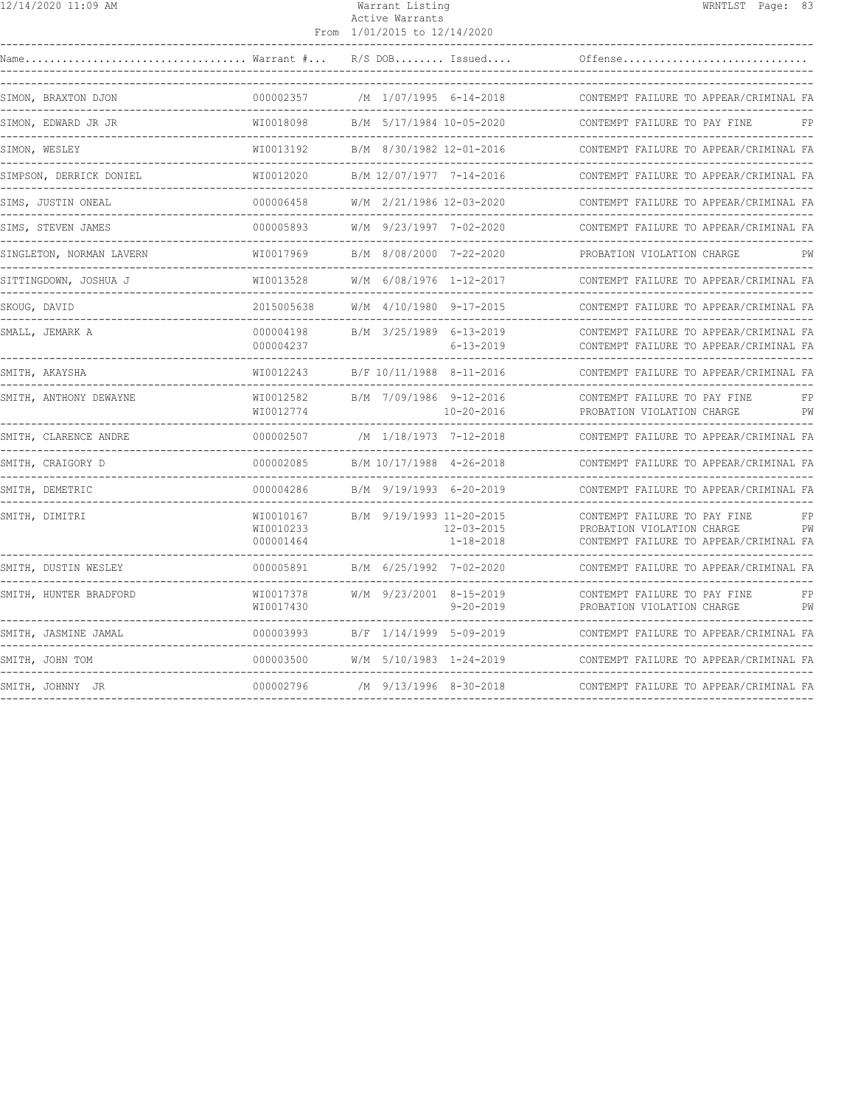| 12/14/2020 11:09 AM<br>Warrant Listing | WRNTLST Page: 83 |  |  |
|----------------------------------------|------------------|--|--|
|----------------------------------------|------------------|--|--|

# Active Warrants

|                                                   |                                     | From 1/01/2015 to 12/14/2020 |                                     |                                                                                                      |          |
|---------------------------------------------------|-------------------------------------|------------------------------|-------------------------------------|------------------------------------------------------------------------------------------------------|----------|
| $\ldots$ Warrant $\#$<br>Name                     |                                     |                              | $R/S$ DOB Issued                    | Offense                                                                                              |          |
| SIMON, BRAXTON DJON                               | 000002357                           | /M 1/07/1995 6-14-2018       |                                     | CONTEMPT FAILURE TO APPEAR/CRIMINAL FA                                                               |          |
| SIMON, EDWARD JR JR                               | WI0018098                           | B/M 5/17/1984 10-05-2020     |                                     | CONTEMPT FAILURE TO PAY FINE                                                                         | FP       |
| SIMON, WESLEY<br>-------------------------------- | WI0013192                           | B/M 8/30/1982 12-01-2016     |                                     | CONTEMPT FAILURE TO APPEAR/CRIMINAL FA                                                               |          |
| SIMPSON, DERRICK DONIEL                           | WI0012020                           | B/M 12/07/1977 7-14-2016     |                                     | CONTEMPT FAILURE TO APPEAR/CRIMINAL FA                                                               |          |
| SIMS, JUSTIN ONEAL                                | 000006458                           | W/M 2/21/1986 12-03-2020     |                                     | CONTEMPT FAILURE TO APPEAR/CRIMINAL FA                                                               |          |
| SIMS, STEVEN JAMES                                | 000005893                           | W/M 9/23/1997 7-02-2020      |                                     | CONTEMPT FAILURE TO APPEAR/CRIMINAL FA                                                               |          |
| SINGLETON, NORMAN LAVERN                          | WI0017969                           | B/M 8/08/2000 7-22-2020      |                                     | PROBATION VIOLATION CHARGE                                                                           |          |
| SITTINGDOWN, JOSHUA J                             | WI0013528                           |                              | W/M 6/08/1976 1-12-2017             | CONTEMPT FAILURE TO APPEAR/CRIMINAL FA                                                               |          |
| SKOUG, DAVID                                      | 2015005638                          | W/M 4/10/1980 9-17-2015      |                                     | CONTEMPT FAILURE TO APPEAR/CRIMINAL FA                                                               |          |
| SMALL, JEMARK A                                   | 000004198<br>000004237              | B/M 3/25/1989 6-13-2019      | $6 - 13 - 2019$                     | CONTEMPT FAILURE TO APPEAR/CRIMINAL FA<br>CONTEMPT FAILURE TO APPEAR/CRIMINAL FA                     |          |
| SMITH, AKAYSHA                                    | WI0012243                           | B/F 10/11/1988 8-11-2016     |                                     | CONTEMPT FAILURE TO APPEAR/CRIMINAL FA                                                               |          |
| SMITH, ANTHONY DEWAYNE                            | WI0012582<br>WI0012774              | B/M 7/09/1986 9-12-2016      | $10 - 20 - 2016$                    | CONTEMPT FAILURE TO PAY FINE<br>PROBATION VIOLATION CHARGE                                           | FP<br>PW |
| SMITH, CLARENCE ANDRE                             | 000002507                           | /M 1/18/1973 7-12-2018       |                                     | CONTEMPT FAILURE TO APPEAR/CRIMINAL FA                                                               |          |
| SMITH, CRAIGORY D                                 | 000002085                           | B/M 10/17/1988 4-26-2018     |                                     | CONTEMPT FAILURE TO APPEAR/CRIMINAL FA                                                               |          |
| SMITH, DEMETRIC                                   | 000004286                           | B/M 9/19/1993 6-20-2019      |                                     | CONTEMPT FAILURE TO APPEAR/CRIMINAL FA                                                               |          |
| SMITH, DIMITRI<br>--------------                  | WI0010167<br>WI0010233<br>000001464 | B/M 9/19/1993 11-20-2015     | $12 - 03 - 2015$<br>$1 - 18 - 2018$ | CONTEMPT FAILURE TO PAY FINE<br>PROBATION VIOLATION CHARGE<br>CONTEMPT FAILURE TO APPEAR/CRIMINAL FA | FP<br>PW |
| SMITH, DUSTIN WESLEY                              | 000005891                           | B/M 6/25/1992 7-02-2020      |                                     | CONTEMPT FAILURE TO APPEAR/CRIMINAL FA                                                               |          |
| SMITH, HUNTER BRADFORD                            | WI0017378<br>WI0017430              | W/M 9/23/2001 8-15-2019      | $9 - 20 - 2019$                     | CONTEMPT FAILURE TO PAY FINE<br>PROBATION VIOLATION CHARGE                                           | FP<br>PW |
| SMITH, JASMINE JAMAL                              | 000003993                           | B/F 1/14/1999 5-09-2019      |                                     | CONTEMPT FAILURE TO APPEAR/CRIMINAL FA                                                               |          |
| SMITH, JOHN TOM                                   | 000003500                           | W/M 5/10/1983 1-24-2019      |                                     | CONTEMPT FAILURE TO APPEAR/CRIMINAL FA                                                               |          |
| SMITH, JOHNNY JR                                  | 000002796                           | /M 9/13/1996 8-30-2018       |                                     | CONTEMPT FAILURE TO APPEAR/CRIMINAL FA                                                               |          |
|                                                   |                                     |                              |                                     |                                                                                                      |          |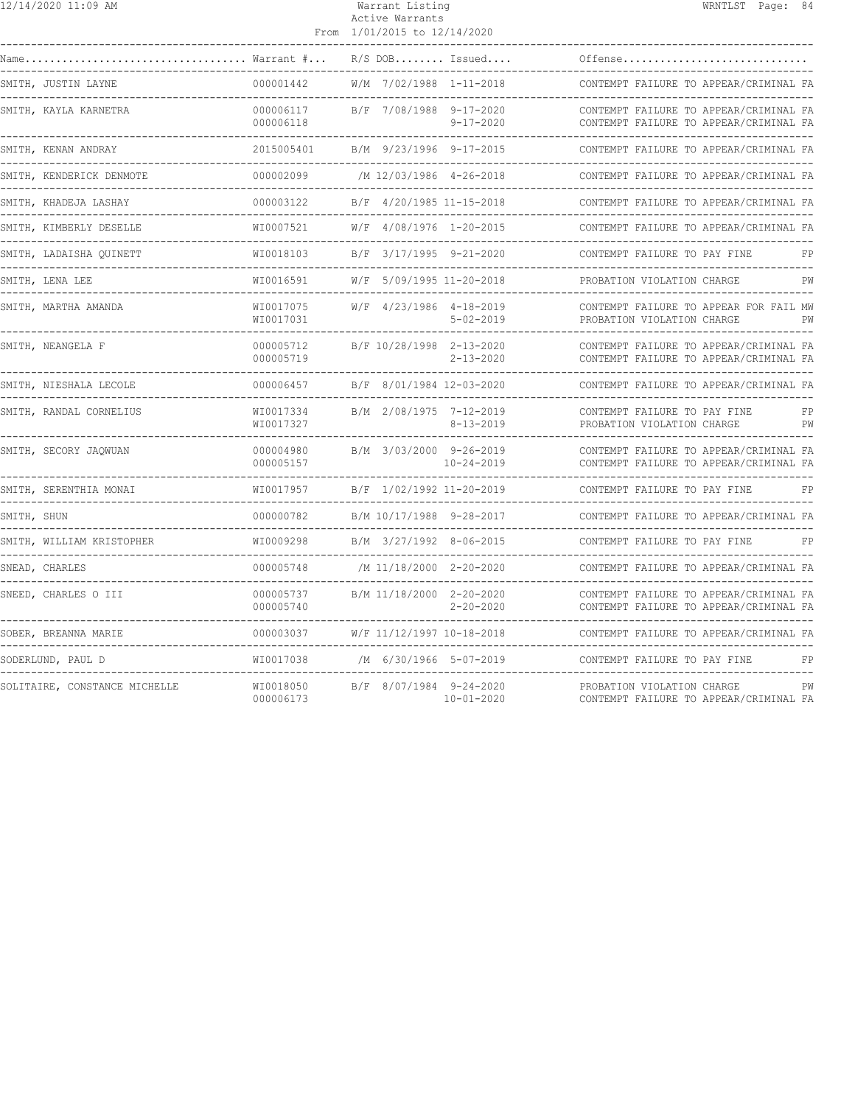| 12/14/2020 11:09 AM           |                                       | Warrant Listing<br>Active Warrants<br>From 1/01/2015 to 12/14/2020 | WRNTLST Page: 84                                                                                         |
|-------------------------------|---------------------------------------|--------------------------------------------------------------------|----------------------------------------------------------------------------------------------------------|
|                               | Warrant #                             | $R/S$ DOB Issued                                                   | Offense                                                                                                  |
| SMITH, JUSTIN LAYNE           | 000001442                             | W/M 7/02/1988 1-11-2018                                            | CONTEMPT FAILURE TO APPEAR/CRIMINAL FA                                                                   |
| SMITH, KAYLA KARNETRA         | 000006117<br>000006118                | B/F 7/08/1988 9-17-2020<br>$9 - 17 - 2020$                         | CONTEMPT FAILURE TO APPEAR/CRIMINAL FA<br>CONTEMPT FAILURE TO APPEAR/CRIMINAL FA                         |
| SMITH, KENAN ANDRAY           | 2015005401<br>. _ _ _ _ _ _ _ _ _ _ _ | B/M 9/23/1996 9-17-2015                                            | CONTEMPT FAILURE TO APPEAR/CRIMINAL FA                                                                   |
| SMITH, KENDERICK DENMOTE      | 000002099                             | /M 12/03/1986 4-26-2018                                            | CONTEMPT FAILURE TO APPEAR/CRIMINAL FA                                                                   |
| SMITH, KHADEJA LASHAY         | 000003122                             | B/F 4/20/1985 11-15-2018                                           | CONTEMPT FAILURE TO APPEAR/CRIMINAL FA                                                                   |
| SMITH, KIMBERLY DESELLE       | WI0007521                             | W/F 4/08/1976 1-20-2015                                            | CONTEMPT FAILURE TO APPEAR/CRIMINAL FA<br>____________________                                           |
| SMITH, LADAISHA OUINETT       | WI0018103                             | B/F 3/17/1995 9-21-2020                                            | CONTEMPT FAILURE TO PAY FINE<br>FP                                                                       |
| SMITH, LENA LEE               | WI0016591                             | W/F 5/09/1995 11-20-2018                                           | PROBATION VIOLATION CHARGE<br>PW                                                                         |
| SMITH, MARTHA AMANDA          | WI0017075<br>WI0017031                | $W/F$ 4/23/1986 4-18-2019<br>$5 - 02 - 2019$                       | CONTEMPT FAILURE TO APPEAR FOR FAIL MW<br>PROBATION VIOLATION CHARGE<br>PW                               |
| SMITH, NEANGELA F             | 000005712<br>000005719                | B/F 10/28/1998 2-13-2020<br>$2 - 13 - 2020$                        | CONTEMPT FAILURE TO APPEAR/CRIMINAL FA<br>CONTEMPT FAILURE TO APPEAR/CRIMINAL FA<br>-------------------- |
| SMITH, NIESHALA LECOLE        | 000006457                             | B/F 8/01/1984 12-03-2020                                           | CONTEMPT FAILURE TO APPEAR/CRIMINAL FA                                                                   |
| SMITH, RANDAL CORNELIUS       | WI0017334<br>WI0017327                | B/M 2/08/1975 7-12-2019<br>$8 - 13 - 2019$                         | CONTEMPT FAILURE TO PAY FINE<br>FP<br>PROBATION VIOLATION CHARGE<br>PW                                   |
| SMITH, SECORY JAQWUAN         | 000004980<br>000005157                | B/M 3/03/2000 9-26-2019<br>$10 - 24 - 2019$                        | CONTEMPT FAILURE TO APPEAR/CRIMINAL FA<br>CONTEMPT FAILURE TO APPEAR/CRIMINAL FA                         |
| SMITH, SERENTHIA MONAI        | WI0017957                             | B/F 1/02/1992 11-20-2019                                           | CONTEMPT FAILURE TO PAY FINE<br>FP                                                                       |
| SMITH, SHUN                   | 000000782                             | B/M 10/17/1988 9-28-2017                                           | CONTEMPT FAILURE TO APPEAR/CRIMINAL FA                                                                   |
| SMITH, WILLIAM KRISTOPHER     | WI0009298                             | B/M 3/27/1992 8-06-2015                                            | CONTEMPT FAILURE TO PAY FINE                                                                             |
| SNEAD, CHARLES                | 000005748                             | /M 11/18/2000 2-20-2020                                            | CONTEMPT FAILURE TO APPEAR/CRIMINAL FA                                                                   |
| SNEED, CHARLES O III          | 000005737<br>000005740                | B/M 11/18/2000 2-20-2020<br>$2 - 20 - 2020$                        | CONTEMPT FAILURE TO APPEAR/CRIMINAL FA<br>CONTEMPT FAILURE TO APPEAR/CRIMINAL FA                         |
| SOBER, BREANNA MARIE          | 000003037                             | W/F 11/12/1997 10-18-2018                                          | CONTEMPT FAILURE TO APPEAR/CRIMINAL FA                                                                   |
| SODERLUND, PAUL D             | WI0017038                             | /M 6/30/1966 5-07-2019                                             | CONTEMPT FAILURE TO PAY FINE<br>FP                                                                       |
| SOLITAIRE, CONSTANCE MICHELLE | WI0018050<br>000006173                | B/F 8/07/1984 9-24-2020<br>$10 - 01 - 2020$                        | PROBATION VIOLATION CHARGE<br>PW<br>CONTEMPT FAILURE TO APPEAR/CRIMINAL FA                               |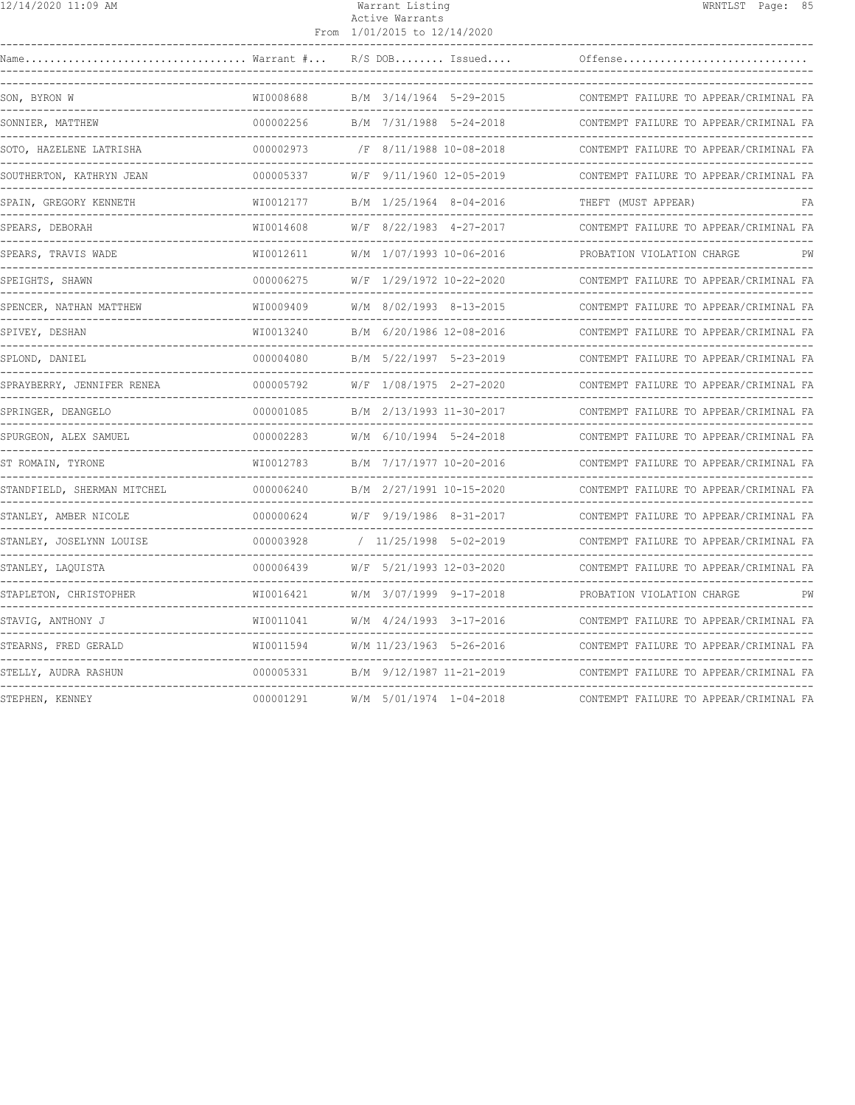|  | 12/14/2020 11:09 AM |  |  |
|--|---------------------|--|--|
|--|---------------------|--|--|

#### Warrant Listing WRNTLST Page: 85 Active Warrants From 1/01/2015 to 12/14/2020

| Name                        | $\ldots$ Warrant $\# \ldots$ |  | $R/S$ DOB Issued             | Offense                                |
|-----------------------------|------------------------------|--|------------------------------|----------------------------------------|
| SON, BYRON W                | WI0008688                    |  | B/M 3/14/1964 5-29-2015      | CONTEMPT FAILURE TO APPEAR/CRIMINAL FA |
| SONNIER, MATTHEW            | 000002256                    |  | B/M 7/31/1988 5-24-2018      | CONTEMPT FAILURE TO APPEAR/CRIMINAL FA |
| SOTO, HAZELENE LATRISHA     | 000002973                    |  | /F 8/11/1988 10-08-2018      | CONTEMPT FAILURE TO APPEAR/CRIMINAL FA |
| SOUTHERTON, KATHRYN JEAN    | 000005337                    |  | W/F 9/11/1960 12-05-2019     | CONTEMPT FAILURE TO APPEAR/CRIMINAL FA |
| SPAIN, GREGORY KENNETH      | WI0012177                    |  | B/M 1/25/1964 8-04-2016      | THEFT (MUST APPEAR)<br>FA              |
| SPEARS, DEBORAH             | WI0014608                    |  | W/F 8/22/1983 4-27-2017      | CONTEMPT FAILURE TO APPEAR/CRIMINAL FA |
| SPEARS, TRAVIS WADE         | WI0012611                    |  | W/M 1/07/1993 10-06-2016     | PROBATION VIOLATION CHARGE<br>PW       |
| SPEIGHTS, SHAWN             | 000006275                    |  | W/F 1/29/1972 10-22-2020     | CONTEMPT FAILURE TO APPEAR/CRIMINAL FA |
| SPENCER, NATHAN MATTHEW     | WI0009409                    |  | W/M 8/02/1993 8-13-2015      | CONTEMPT FAILURE TO APPEAR/CRIMINAL FA |
| SPIVEY, DESHAN              | WI0013240                    |  | B/M 6/20/1986 12-08-2016     | CONTEMPT FAILURE TO APPEAR/CRIMINAL FA |
| SPLOND, DANIEL              | 000004080                    |  | B/M 5/22/1997 5-23-2019      | CONTEMPT FAILURE TO APPEAR/CRIMINAL FA |
| SPRAYBERRY, JENNIFER RENEA  | 000005792                    |  | W/F 1/08/1975 2-27-2020      | CONTEMPT FAILURE TO APPEAR/CRIMINAL FA |
| SPRINGER, DEANGELO          | 000001085                    |  | B/M 2/13/1993 11-30-2017     | CONTEMPT FAILURE TO APPEAR/CRIMINAL FA |
| SPURGEON, ALEX SAMUEL       | 000002283                    |  | W/M 6/10/1994 5-24-2018      | CONTEMPT FAILURE TO APPEAR/CRIMINAL FA |
| ST ROMAIN, TYRONE           | WI0012783                    |  | B/M 7/17/1977 10-20-2016     | CONTEMPT FAILURE TO APPEAR/CRIMINAL FA |
| STANDFIELD, SHERMAN MITCHEL | 000006240                    |  | B/M 2/27/1991 10-15-2020     | CONTEMPT FAILURE TO APPEAR/CRIMINAL FA |
| STANLEY, AMBER NICOLE       | 000000624                    |  | W/F 9/19/1986 8-31-2017      | CONTEMPT FAILURE TO APPEAR/CRIMINAL FA |
| STANLEY, JOSELYNN LOUISE    | 000003928                    |  | $/ 11/25/1998 5 - 02 - 2019$ | CONTEMPT FAILURE TO APPEAR/CRIMINAL FA |
| STANLEY, LAQUISTA           | 000006439                    |  | W/F 5/21/1993 12-03-2020     | CONTEMPT FAILURE TO APPEAR/CRIMINAL FA |
| STAPLETON, CHRISTOPHER      | WI0016421                    |  | W/M 3/07/1999 9-17-2018      | PROBATION VIOLATION CHARGE<br>PW       |
| STAVIG, ANTHONY J           | WI0011041                    |  | W/M 4/24/1993 3-17-2016      | CONTEMPT FAILURE TO APPEAR/CRIMINAL FA |
| STEARNS, FRED GERALD        | WI0011594                    |  | W/M 11/23/1963 5-26-2016     | CONTEMPT FAILURE TO APPEAR/CRIMINAL FA |
| STELLY, AUDRA RASHUN        | 000005331                    |  | B/M 9/12/1987 11-21-2019     | CONTEMPT FAILURE TO APPEAR/CRIMINAL FA |
| STEPHEN, KENNEY             | 000001291                    |  | W/M 5/01/1974 1-04-2018      | CONTEMPT FAILURE TO APPEAR/CRIMINAL FA |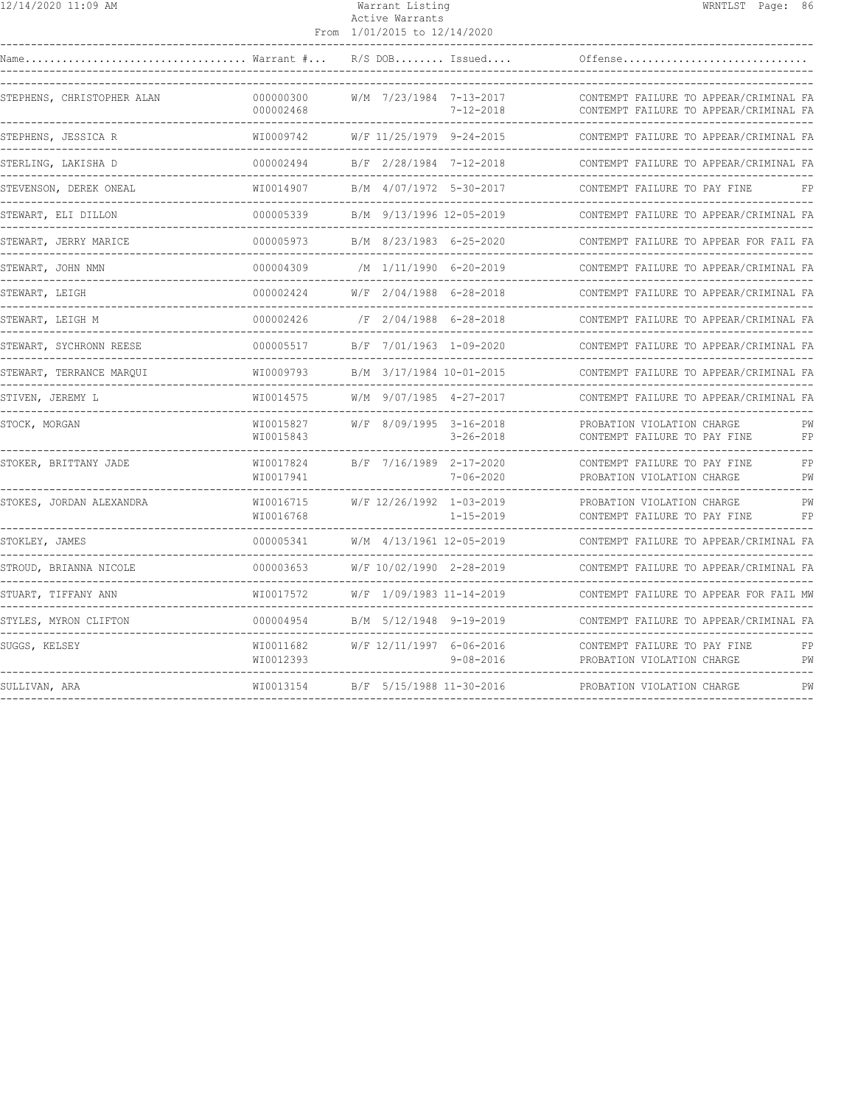| 2/14/2020 11:09 AM |  |  |
|--------------------|--|--|
|--------------------|--|--|

## 12/14/2020 11:09 AM Warrant Listing WRNTLST Page: 86 Active Warrants

|                                                                                                            |                          | From 1/01/2015 to 12/14/2020 |                 |                                                                                  |          |
|------------------------------------------------------------------------------------------------------------|--------------------------|------------------------------|-----------------|----------------------------------------------------------------------------------|----------|
| $\texttt{Name} \dots \dots \dots \dots \dots \dots \dots \dots \dots \dots \dots \dots$ Warrant $\# \dots$ |                          | $R/S$ DOB Issued             |                 | Offense                                                                          |          |
| STEPHENS, CHRISTOPHER ALAN                                                                                 | 000000300<br>000002468   | W/M 7/23/1984 7-13-2017      | $7 - 12 - 2018$ | CONTEMPT FAILURE TO APPEAR/CRIMINAL FA<br>CONTEMPT FAILURE TO APPEAR/CRIMINAL FA |          |
| STEPHENS, JESSICA R                                                                                        | WI0009742                | W/F 11/25/1979 9-24-2015     |                 | CONTEMPT FAILURE TO APPEAR/CRIMINAL FA<br>--------------------------------       |          |
| STERLING, LAKISHA D                                                                                        | 000002494                | B/F 2/28/1984 7-12-2018      |                 | CONTEMPT FAILURE TO APPEAR/CRIMINAL FA                                           |          |
| STEVENSON, DEREK ONEAL                                                                                     | WI0014907                | B/M 4/07/1972 5-30-2017      |                 | CONTEMPT FAILURE TO PAY FINE                                                     | FP       |
| STEWART, ELI DILLON                                                                                        | 000005339                | B/M 9/13/1996 12-05-2019     |                 | CONTEMPT FAILURE TO APPEAR/CRIMINAL FA                                           |          |
| STEWART, JERRY MARICE                                                                                      | 000005973                | B/M 8/23/1983 6-25-2020      |                 | CONTEMPT FAILURE TO APPEAR FOR FAIL FA                                           |          |
| STEWART, JOHN NMN                                                                                          | 000004309                | /M 1/11/1990 6-20-2019       |                 | CONTEMPT FAILURE TO APPEAR/CRIMINAL FA                                           |          |
| STEWART, LEIGH                                                                                             | 000002424                | W/F 2/04/1988 6-28-2018      |                 | CONTEMPT FAILURE TO APPEAR/CRIMINAL FA                                           |          |
| STEWART, LEIGH M                                                                                           | 000002426                | /F 2/04/1988 6-28-2018       |                 | CONTEMPT FAILURE TO APPEAR/CRIMINAL FA                                           |          |
| STEWART, SYCHRONN REESE                                                                                    | 000005517                | B/F 7/01/1963 1-09-2020      |                 | CONTEMPT FAILURE TO APPEAR/CRIMINAL FA                                           |          |
| STEWART, TERRANCE MARQUI<br>---------------------------------                                              | WI0009793                | B/M 3/17/1984 10-01-2015     |                 | CONTEMPT FAILURE TO APPEAR/CRIMINAL FA<br>---------------------------------      |          |
| STIVEN, JEREMY L                                                                                           | WI0014575                | W/M 9/07/1985 4-27-2017      |                 | CONTEMPT FAILURE TO APPEAR/CRIMINAL FA                                           |          |
| STOCK, MORGAN                                                                                              | WI0015827<br>WI0015843   | W/F 8/09/1995 3-16-2018      | $3 - 26 - 2018$ | PROBATION VIOLATION CHARGE<br>CONTEMPT FAILURE TO PAY FINE                       | PW<br>FP |
| STOKER, BRITTANY JADE                                                                                      | WI0017824<br>WI0017941   | B/F 7/16/1989 2-17-2020      | $7 - 06 - 2020$ | CONTEMPT FAILURE TO PAY FINE<br>PROBATION VIOLATION CHARGE                       | FP<br>PW |
| STOKES, JORDAN ALEXANDRA                                                                                   | WI0016715<br>WI0016768   | W/F 12/26/1992 1-03-2019     | $1 - 15 - 2019$ | PROBATION VIOLATION CHARGE<br>CONTEMPT FAILURE TO PAY FINE                       | PW<br>FP |
| STOKLEY, JAMES                                                                                             | 000005341                | W/M 4/13/1961 12-05-2019     |                 | CONTEMPT FAILURE TO APPEAR/CRIMINAL FA                                           |          |
| STROUD, BRIANNA NICOLE                                                                                     | 000003653                | W/F 10/02/1990 2-28-2019     |                 | CONTEMPT FAILURE TO APPEAR/CRIMINAL FA                                           |          |
| STUART, TIFFANY ANN<br>--------------------                                                                | WI0017572<br>----------- | W/F 1/09/1983 11-14-2019     |                 | CONTEMPT FAILURE TO APPEAR FOR FAIL MW<br>---------------------------            |          |
| STYLES, MYRON CLIFTON                                                                                      | 000004954                | B/M 5/12/1948 9-19-2019      |                 | CONTEMPT FAILURE TO APPEAR/CRIMINAL FA                                           |          |
| SUGGS, KELSEY                                                                                              | WI0011682<br>WI0012393   | W/F 12/11/1997 6-06-2016     | $9 - 08 - 2016$ | CONTEMPT FAILURE TO PAY FINE<br>PROBATION VIOLATION CHARGE                       | FP<br>PW |
| SULLIVAN, ARA                                                                                              | WI0013154                | B/F 5/15/1988 11-30-2016     |                 | PROBATION VIOLATION CHARGE                                                       | PW       |
|                                                                                                            |                          |                              |                 |                                                                                  |          |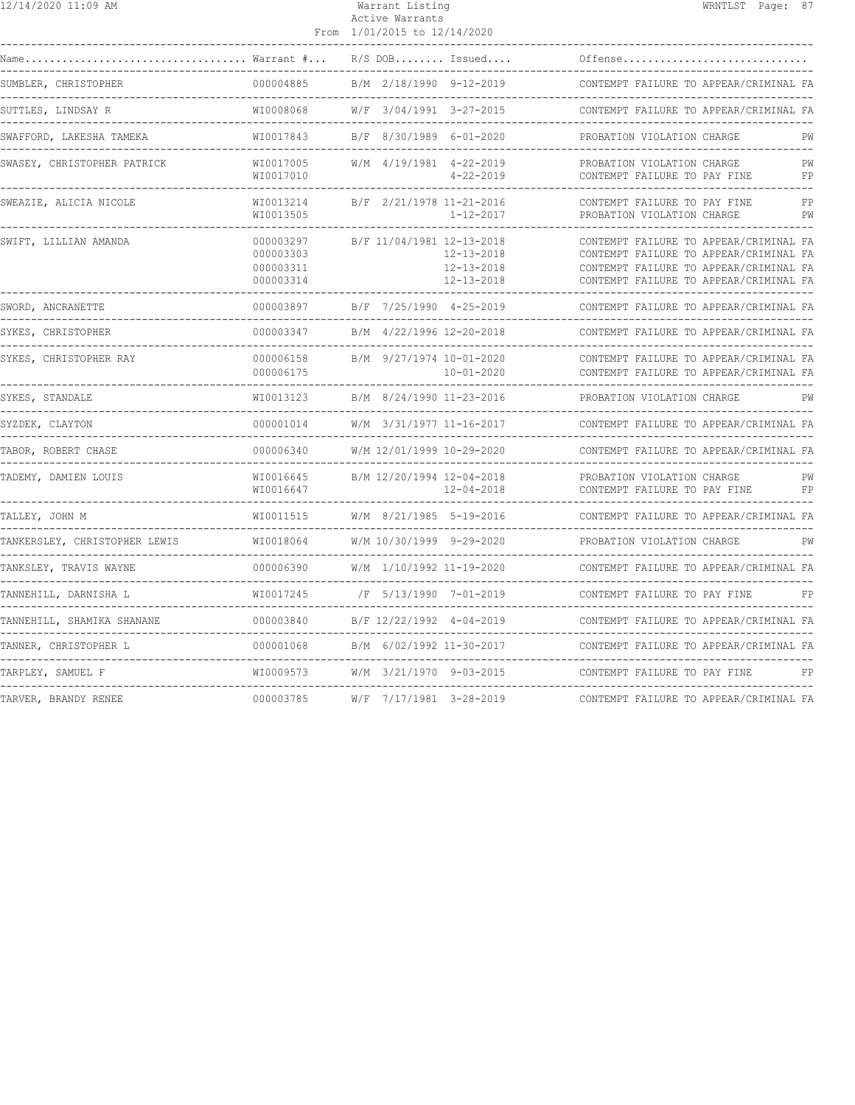| 12/14/2020 11:09 AM                  |                                                   | Warrant Listing<br>Active Warrants<br>From 1/01/2015 to 12/14/2020              | WRNTLST Page: 87                                                                                                                                                     |
|--------------------------------------|---------------------------------------------------|---------------------------------------------------------------------------------|----------------------------------------------------------------------------------------------------------------------------------------------------------------------|
|                                      | $\ldots \ldots \ldots \ldots$ Warrant $\# \ldots$ | $R/S$ DOB Issued                                                                | Offense                                                                                                                                                              |
| SUMBLER, CHRISTOPHER                 | 000004885                                         | B/M 2/18/1990 9-12-2019                                                         | CONTEMPT FAILURE TO APPEAR/CRIMINAL FA                                                                                                                               |
| SUTTLES, LINDSAY R                   | WI0008068                                         | W/F 3/04/1991 3-27-2015                                                         | CONTEMPT FAILURE TO APPEAR/CRIMINAL FA                                                                                                                               |
| SWAFFORD, LAKESHA TAMEKA             | WI0017843                                         | B/F 8/30/1989 6-01-2020                                                         | PROBATION VIOLATION CHARGE<br>PW                                                                                                                                     |
| SWASEY, CHRISTOPHER PATRICK          | WI0017005<br>WI0017010                            | W/M 4/19/1981 4-22-2019<br>$4 - 22 - 2019$                                      | PW<br>PROBATION VIOLATION CHARGE<br>CONTEMPT FAILURE TO PAY FINE<br>FP                                                                                               |
| SWEAZIE, ALICIA NICOLE               | WI0013214<br>WI0013505                            | B/F 2/21/1978 11-21-2016<br>$1 - 12 - 2017$                                     | CONTEMPT FAILURE TO PAY FINE<br>FP<br>PROBATION VIOLATION CHARGE<br>PW                                                                                               |
| SWIFT, LILLIAN AMANDA                | 000003297<br>000003303<br>000003311<br>000003314  | B/F 11/04/1981 12-13-2018<br>$12 - 13 - 2018$<br>12-13-2018<br>$12 - 13 - 2018$ | CONTEMPT FAILURE TO APPEAR/CRIMINAL FA<br>CONTEMPT FAILURE TO APPEAR/CRIMINAL FA<br>CONTEMPT FAILURE TO APPEAR/CRIMINAL FA<br>CONTEMPT FAILURE TO APPEAR/CRIMINAL FA |
| SWORD, ANCRANETTE                    | 000003897                                         | B/F 7/25/1990 4-25-2019                                                         | CONTEMPT FAILURE TO APPEAR/CRIMINAL FA                                                                                                                               |
| SYKES, CHRISTOPHER                   | 000003347                                         | B/M 4/22/1996 12-20-2018                                                        | CONTEMPT FAILURE TO APPEAR/CRIMINAL FA                                                                                                                               |
| SYKES, CHRISTOPHER RAY               | 000006158<br>000006175                            | B/M 9/27/1974 10-01-2020<br>$10 - 01 - 2020$                                    | CONTEMPT FAILURE TO APPEAR/CRIMINAL FA<br>CONTEMPT FAILURE TO APPEAR/CRIMINAL FA                                                                                     |
| SYKES, STANDALE                      | WI0013123                                         | B/M 8/24/1990 11-23-2016                                                        | PROBATION VIOLATION CHARGE<br>PW                                                                                                                                     |
| SYZDEK, CLAYTON                      | 000001014                                         | W/M 3/31/1977 11-16-2017                                                        | CONTEMPT FAILURE TO APPEAR/CRIMINAL FA                                                                                                                               |
| TABOR, ROBERT CHASE                  | 000006340                                         | W/M 12/01/1999 10-29-2020<br>---------------------                              | CONTEMPT FAILURE TO APPEAR/CRIMINAL FA<br>-------------------------------                                                                                            |
| TADEMY, DAMIEN LOUIS                 | WI0016645<br>WI0016647                            | B/M 12/20/1994 12-04-2018<br>$12 - 04 - 2018$                                   | PROBATION VIOLATION CHARGE<br>PW<br>CONTEMPT FAILURE TO PAY FINE<br>FP                                                                                               |
| TALLEY, JOHN M                       | WI0011515                                         | W/M 8/21/1985 5-19-2016                                                         | CONTEMPT FAILURE TO APPEAR/CRIMINAL FA                                                                                                                               |
| TANKERSLEY, CHRISTOPHER LEWIS        | WI0018064                                         | W/M 10/30/1999 9-29-2020                                                        | PROBATION VIOLATION CHARGE<br>PW                                                                                                                                     |
| TANKSLEY, TRAVIS WAYNE               | 000006390                                         | W/M 1/10/1992 11-19-2020                                                        | CONTEMPT FAILURE TO APPEAR/CRIMINAL FA                                                                                                                               |
| TANNEHILL, DARNISHA L                | WI0017245                                         | /F 5/13/1990 7-01-2019                                                          | CONTEMPT FAILURE TO PAY FINE<br>FP                                                                                                                                   |
| TANNEHILL, SHAMIKA SHANANE           | 000003840                                         | B/F 12/22/1992 4-04-2019                                                        | CONTEMPT FAILURE TO APPEAR/CRIMINAL FA                                                                                                                               |
| TANNER, CHRISTOPHER L                | 000001068                                         | B/M 6/02/1992 11-30-2017                                                        | CONTEMPT FAILURE TO APPEAR/CRIMINAL FA<br>__________________________________                                                                                         |
| TARPLEY, SAMUEL F                    | WI0009573                                         | W/M 3/21/1970 9-03-2015                                                         | CONTEMPT FAILURE TO PAY FINE<br>FP                                                                                                                                   |
| ------------<br>TARVER, BRANDY RENEE | 000003785                                         | W/F 7/17/1981 3-28-2019                                                         | CONTEMPT FAILURE TO APPEAR/CRIMINAL FA                                                                                                                               |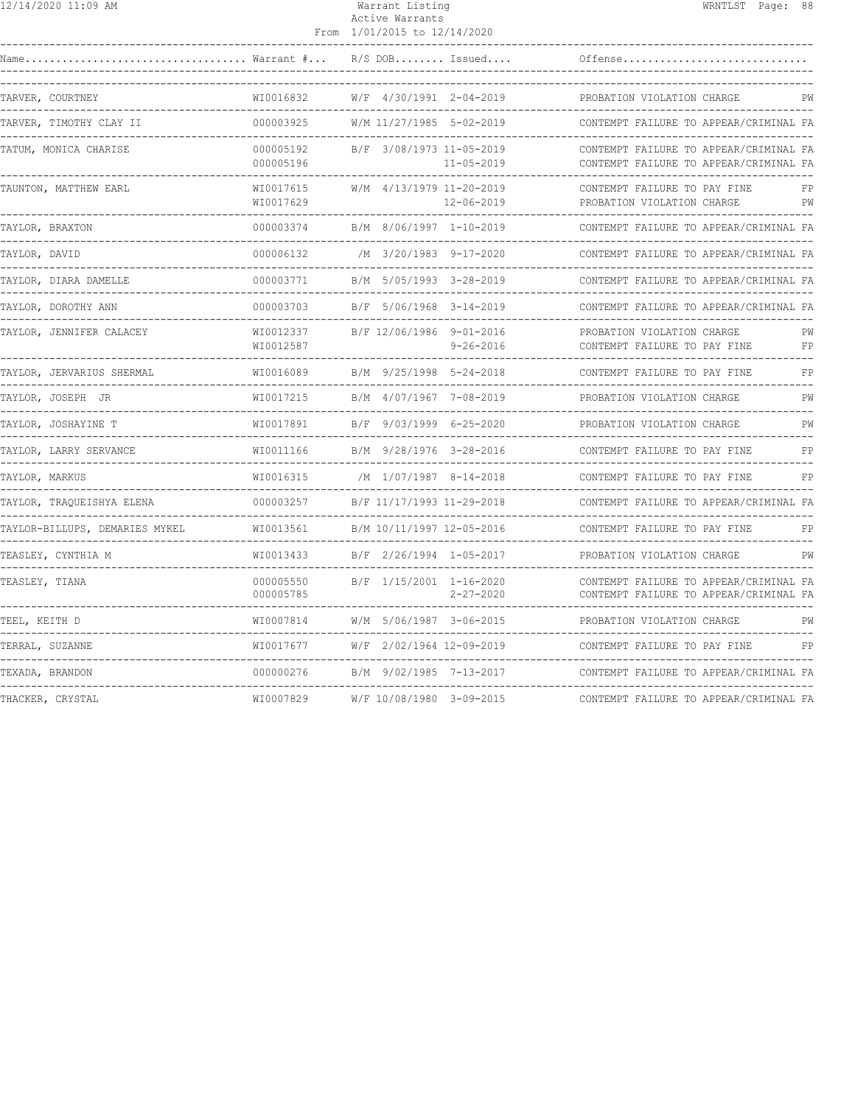| 12/14/2020 11:09 AM             |                                                | Warrant Listing<br>Active Warrants<br>From 1/01/2015 to 12/14/2020  |                         |                                                                                  | WRNTLST Page: 88 |          |
|---------------------------------|------------------------------------------------|---------------------------------------------------------------------|-------------------------|----------------------------------------------------------------------------------|------------------|----------|
|                                 |                                                |                                                                     | $R/S$ DOB Issued        | Offense                                                                          |                  |          |
| TARVER, COURTNEY                | WI0016832                                      | W/F 4/30/1991 2-04-2019                                             |                         | PROBATION VIOLATION CHARGE                                                       |                  | PW       |
| TARVER, TIMOTHY CLAY II         | 000003925                                      | W/M 11/27/1985 5-02-2019                                            |                         | CONTEMPT FAILURE TO APPEAR/CRIMINAL FA                                           |                  |          |
| TATUM, MONICA CHARISE           | 000005192<br>000005196                         | B/F 3/08/1973 11-05-2019                                            | $11 - 05 - 2019$        | CONTEMPT FAILURE TO APPEAR/CRIMINAL FA<br>CONTEMPT FAILURE TO APPEAR/CRIMINAL FA |                  |          |
| TAUNTON, MATTHEW EARL           | WI0017615<br>WI0017629                         | W/M 4/13/1979 11-20-2019                                            | 12-06-2019              | CONTEMPT FAILURE TO PAY FINE<br>PROBATION VIOLATION CHARGE                       |                  | FP<br>PW |
| TAYLOR, BRAXTON                 | 000003374                                      | B/M 8/06/1997 1-10-2019                                             |                         | CONTEMPT FAILURE TO APPEAR/CRIMINAL FA                                           |                  |          |
| TAYLOR, DAVID                   | 000006132                                      | /M 3/20/1983 9-17-2020                                              |                         | CONTEMPT FAILURE TO APPEAR/CRIMINAL FA                                           |                  |          |
| TAYLOR, DIARA DAMELLE           | 000003771                                      | B/M 5/05/1993 3-28-2019                                             |                         | CONTEMPT FAILURE TO APPEAR/CRIMINAL FA                                           |                  |          |
| TAYLOR, DOROTHY ANN             | 000003703                                      | B/F 5/06/1968 3-14-2019                                             |                         | CONTEMPT FAILURE TO APPEAR/CRIMINAL FA                                           |                  |          |
| TAYLOR, JENNIFER CALACEY        | WI0012337<br>WI0012587                         | B/F 12/06/1986 9-01-2016                                            | $9 - 26 - 2016$         | PROBATION VIOLATION CHARGE<br>CONTEMPT FAILURE TO PAY FINE                       |                  | PW<br>FP |
| TAYLOR, JERVARIUS SHERMAL       | WI0016089                                      |                                                                     | B/M 9/25/1998 5-24-2018 | CONTEMPT FAILURE TO PAY FINE                                                     |                  | FP       |
| TAYLOR, JOSEPH JR               | WI0017215                                      | B/M 4/07/1967 7-08-2019                                             |                         | PROBATION VIOLATION CHARGE                                                       |                  | PW       |
| TAYLOR, JOSHAYINE T             | WI0017891                                      | B/F 9/03/1999 6-25-2020                                             |                         | PROBATION VIOLATION CHARGE                                                       |                  | PW       |
| TAYLOR, LARRY SERVANCE          | WI0011166                                      | B/M 9/28/1976 3-28-2016                                             |                         | --------------------------------<br>CONTEMPT FAILURE TO PAY FINE                 |                  | FP       |
| TAYLOR, MARKUS                  | WI0016315                                      | /M 1/07/1987 8-14-2018                                              |                         | CONTEMPT FAILURE TO PAY FINE                                                     |                  | FP       |
| TAYLOR, TRAQUEISHYA ELENA       | 000003257                                      | B/F 11/17/1993 11-29-2018                                           |                         | CONTEMPT FAILURE TO APPEAR/CRIMINAL FA                                           |                  |          |
| TAYLOR-BILLUPS, DEMARIES MYKEL  | WI0013561                                      | B/M 10/11/1997 12-05-2016<br>-------------------------------------- |                         | CONTEMPT FAILURE TO PAY FINE                                                     |                  | FP       |
| TEASLEY, CYNTHIA M              | WI0013433                                      | B/F 2/26/1994 1-05-2017                                             |                         | PROBATION VIOLATION CHARGE                                                       |                  | PW       |
| TEASLEY, TIANA                  | 000005550<br>000005785<br>-------------------- | B/F 1/15/2001 1-16-2020                                             | $2 - 27 - 2020$         | CONTEMPT FAILURE TO APPEAR/CRIMINAL FA<br>CONTEMPT FAILURE TO APPEAR/CRIMINAL FA |                  |          |
| TEEL, KEITH D                   | WI0007814                                      | W/M 5/06/1987 3-06-2015                                             |                         | PROBATION VIOLATION CHARGE                                                       |                  | PW       |
| ------------<br>TERRAL, SUZANNE | WI0017677                                      | W/F 2/02/1964 12-09-2019                                            |                         | CONTEMPT FAILURE TO PAY FINE                                                     |                  | FP       |
| TEXADA, BRANDON                 | 000000276                                      | B/M 9/02/1985 7-13-2017                                             |                         | CONTEMPT FAILURE TO APPEAR/CRIMINAL FA                                           |                  |          |
| THACKER, CRYSTAL                | WI0007829                                      | W/F 10/08/1980 3-09-2015                                            |                         | CONTEMPT FAILURE TO APPEAR/CRIMINAL FA                                           |                  |          |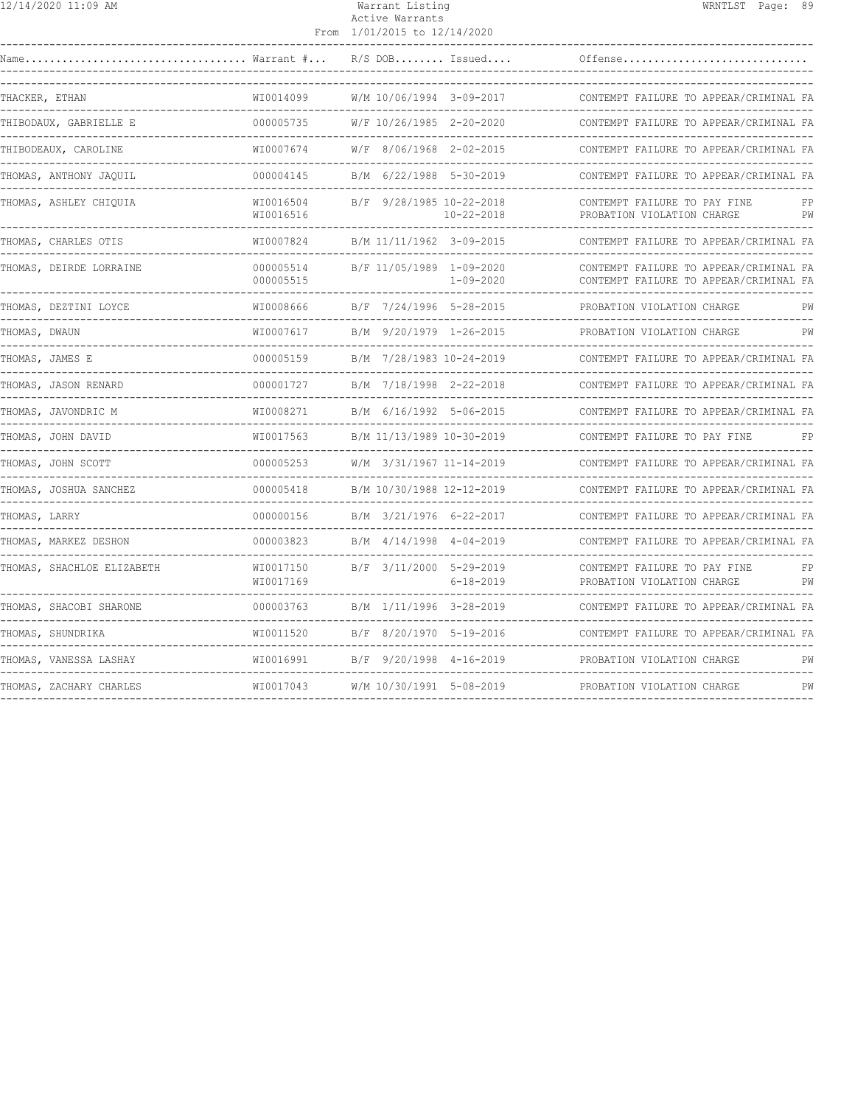| 12/14/2020 11:09 AM                                                                                        |                        | Warrant Listing<br>Active Warrants<br>From 1/01/2015 to 12/14/2020 | WRNTLST Page: 89                                                                 |
|------------------------------------------------------------------------------------------------------------|------------------------|--------------------------------------------------------------------|----------------------------------------------------------------------------------|
| $\texttt{Name} \dots \dots \dots \dots \dots \dots \dots \dots \dots \dots \dots \dots$ Warrant $\# \dots$ |                        | $R/S$ DOB Issued                                                   | Offense                                                                          |
| THACKER, ETHAN                                                                                             | WI0014099              | W/M 10/06/1994 3-09-2017                                           | CONTEMPT FAILURE TO APPEAR/CRIMINAL FA                                           |
| THIBODAUX, GABRIELLE E                                                                                     | 000005735              | W/F 10/26/1985 2-20-2020                                           | CONTEMPT FAILURE TO APPEAR/CRIMINAL FA                                           |
| THIBODEAUX, CAROLINE                                                                                       | WI0007674              | W/F 8/06/1968 2-02-2015                                            | CONTEMPT FAILURE TO APPEAR/CRIMINAL FA                                           |
| THOMAS, ANTHONY JAOUIL<br>________________________________                                                 | 000004145              | B/M 6/22/1988 5-30-2019                                            | CONTEMPT FAILURE TO APPEAR/CRIMINAL FA                                           |
| THOMAS, ASHLEY CHIQUIA                                                                                     | WI0016504<br>WI0016516 | B/F 9/28/1985 10-22-2018<br>$10 - 22 - 2018$                       | CONTEMPT FAILURE TO PAY FINE<br>FP<br>PROBATION VIOLATION CHARGE<br>PW           |
| THOMAS, CHARLES OTIS                                                                                       | WI0007824              | B/M 11/11/1962 3-09-2015                                           | CONTEMPT FAILURE TO APPEAR/CRIMINAL FA                                           |
| THOMAS, DEIRDE LORRAINE                                                                                    | 000005514<br>000005515 | B/F 11/05/1989 1-09-2020<br>1-09-2020                              | CONTEMPT FAILURE TO APPEAR/CRIMINAL FA<br>CONTEMPT FAILURE TO APPEAR/CRIMINAL FA |
| THOMAS, DEZTINI LOYCE                                                                                      | WI0008666              | B/F 7/24/1996 5-28-2015                                            | PROBATION VIOLATION CHARGE<br>PW                                                 |
| THOMAS, DWAUN                                                                                              | WI0007617              | B/M 9/20/1979 1-26-2015                                            | PROBATION VIOLATION CHARGE<br>PW                                                 |
| THOMAS, JAMES E                                                                                            | 000005159              | B/M 7/28/1983 10-24-2019                                           | CONTEMPT FAILURE TO APPEAR/CRIMINAL FA                                           |
| THOMAS, JASON RENARD                                                                                       | 000001727              | B/M 7/18/1998 2-22-2018                                            | CONTEMPT FAILURE TO APPEAR/CRIMINAL FA                                           |
|                                                                                                            | WI0008271              |                                                                    | CONTEMPT FAILURE TO APPEAR/CRIMINAL FA                                           |
| THOMAS, JOHN DAVID                                                                                         | WI0017563              | B/M 11/13/1989 10-30-2019                                          | CONTEMPT FAILURE TO PAY FINE                                                     |
| THOMAS, JOHN SCOTT                                                                                         | 000005253              | W/M 3/31/1967 11-14-2019                                           | CONTEMPT FAILURE TO APPEAR/CRIMINAL FA                                           |
| THOMAS, JOSHUA SANCHEZ                                                                                     | 000005418              | B/M 10/30/1988 12-12-2019                                          | CONTEMPT FAILURE TO APPEAR/CRIMINAL FA                                           |
| THOMAS, LARRY                                                                                              | 000000156              | B/M 3/21/1976 6-22-2017                                            | CONTEMPT FAILURE TO APPEAR/CRIMINAL FA                                           |
| THOMAS, MARKEZ DESHON                                                                                      | 000003823              | B/M 4/14/1998 4-04-2019                                            | CONTEMPT FAILURE TO APPEAR/CRIMINAL FA<br>-------------------------------------  |
| THOMAS, SHACHLOE ELIZABETH                                                                                 | WI0017150<br>WI0017169 | B/F 3/11/2000 5-29-2019<br>6-18-2019                               | CONTEMPT FAILURE TO PAY FINE<br>FP<br>PROBATION VIOLATION CHARGE<br>PW           |
| THOMAS, SHACOBI SHARONE                                                                                    | 000003763              | B/M 1/11/1996 3-28-2019                                            | CONTEMPT FAILURE TO APPEAR/CRIMINAL FA                                           |
| THOMAS, SHUNDRIKA                                                                                          | WI0011520              | B/F 8/20/1970 5-19-2016                                            | CONTEMPT FAILURE TO APPEAR/CRIMINAL FA                                           |
| THOMAS, VANESSA LASHAY                                                                                     | WI0016991              | B/F 9/20/1998 4-16-2019                                            | PROBATION VIOLATION CHARGE<br>PW                                                 |
| THOMAS, ZACHARY CHARLES                                                                                    |                        |                                                                    | PW                                                                               |
|                                                                                                            |                        |                                                                    |                                                                                  |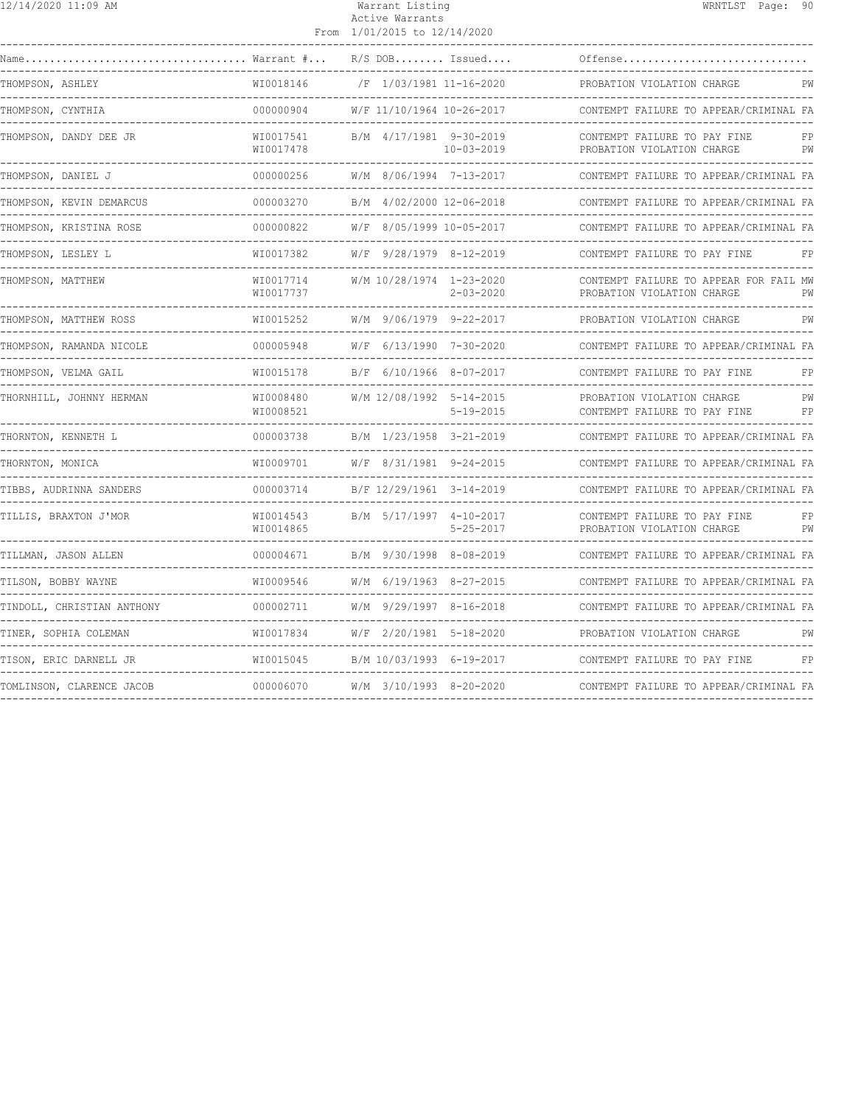| 12/14/2020 11:09 AM        |                                           | Warrant Listing<br>Active Warrants<br>From 1/01/2015 to 12/14/2020 | WRNTLST Page: 90                                                                                   |
|----------------------------|-------------------------------------------|--------------------------------------------------------------------|----------------------------------------------------------------------------------------------------|
| Warrant #<br>Name          |                                           | $R/S$ DOB Issued                                                   | Offense                                                                                            |
| THOMPSON, ASHLEY           | WI0018146                                 | /F 1/03/1981 11-16-2020                                            | PROBATION VIOLATION CHARGE<br>PW                                                                   |
| THOMPSON, CYNTHIA          | 000000904                                 | W/F 11/10/1964 10-26-2017                                          | CONTEMPT FAILURE TO APPEAR/CRIMINAL FA                                                             |
| THOMPSON, DANDY DEE JR     | WI0017541<br>WI0017478                    | B/M 4/17/1981 9-30-2019<br>$10 - 03 - 2019$<br>----------------    | CONTEMPT FAILURE TO PAY FINE<br>FP<br>PROBATION VIOLATION CHARGE<br>PW<br>------------------------ |
| THOMPSON, DANIEL J         | 000000256<br>------------                 | W/M 8/06/1994 7-13-2017                                            | CONTEMPT FAILURE TO APPEAR/CRIMINAL FA                                                             |
| THOMPSON, KEVIN DEMARCUS   | 000003270<br>-------------                | B/M 4/02/2000 12-06-2018                                           | CONTEMPT FAILURE TO APPEAR/CRIMINAL FA                                                             |
| THOMPSON, KRISTINA ROSE    | 000000822                                 | W/F 8/05/1999 10-05-2017                                           | CONTEMPT FAILURE TO APPEAR/CRIMINAL FA<br>------------------------------                           |
| THOMPSON, LESLEY L         | WI0017382                                 | W/F 9/28/1979 8-12-2019                                            | CONTEMPT FAILURE TO PAY FINE<br>FP                                                                 |
| THOMPSON, MATTHEW          | WI0017714<br>WI0017737                    | W/M 10/28/1974 1-23-2020<br>$2 - 03 - 2020$                        | CONTEMPT FAILURE TO APPEAR FOR FAIL MW<br>PROBATION VIOLATION CHARGE<br>PW                         |
| THOMPSON, MATTHEW ROSS     | WI0015252                                 | W/M 9/06/1979 9-22-2017                                            | PROBATION VIOLATION CHARGE<br>PW<br>-----------------------------------                            |
| THOMPSON, RAMANDA NICOLE   | 000005948                                 | W/F 6/13/1990 7-30-2020                                            | CONTEMPT FAILURE TO APPEAR/CRIMINAL FA                                                             |
| THOMPSON, VELMA GAIL       | WI0015178                                 | B/F 6/10/1966 8-07-2017                                            | CONTEMPT FAILURE TO PAY FINE<br>FP                                                                 |
| THORNHILL, JOHNNY HERMAN   | WI0008480<br>WI0008521                    | W/M 12/08/1992 5-14-2015<br>$5 - 19 - 2015$                        | PROBATION VIOLATION CHARGE<br>PW<br>CONTEMPT FAILURE TO PAY FINE<br>FP                             |
| THORNTON, KENNETH L        | 000003738                                 | B/M 1/23/1958 3-21-2019                                            | CONTEMPT FAILURE TO APPEAR/CRIMINAL FA                                                             |
| THORNTON, MONICA           | WI0009701                                 | W/F 8/31/1981 9-24-2015                                            | CONTEMPT FAILURE TO APPEAR/CRIMINAL FA                                                             |
| TIBBS, AUDRINNA SANDERS    | 000003714                                 | B/F 12/29/1961 3-14-2019                                           | CONTEMPT FAILURE TO APPEAR/CRIMINAL FA                                                             |
| TILLIS, BRAXTON J'MOR      | WI0014543<br>WI0014865<br>--------------- | B/M 5/17/1997 4-10-2017<br>$5 - 25 - 2017$<br>--------             | CONTEMPT FAILURE TO PAY FINE<br>FP<br>PROBATION VIOLATION CHARGE<br>PW                             |
| TILLMAN, JASON ALLEN       | 000004671                                 | B/M 9/30/1998 8-08-2019                                            | CONTEMPT FAILURE TO APPEAR/CRIMINAL FA                                                             |
| TILSON, BOBBY WAYNE        | WI0009546                                 | W/M 6/19/1963 8-27-2015                                            | CONTEMPT FAILURE TO APPEAR/CRIMINAL FA                                                             |
| TINDOLL, CHRISTIAN ANTHONY | 000002711                                 | W/M 9/29/1997 8-16-2018                                            | CONTEMPT FAILURE TO APPEAR/CRIMINAL FA                                                             |
| TINER, SOPHIA COLEMAN      | WI0017834                                 | W/F 2/20/1981 5-18-2020                                            | PROBATION VIOLATION CHARGE<br>PW                                                                   |
| TISON, ERIC DARNELL JR     | WI0015045                                 | B/M 10/03/1993 6-19-2017                                           | CONTEMPT FAILURE TO PAY FINE<br>FP                                                                 |
| TOMLINSON, CLARENCE JACOB  | 000006070                                 | W/M 3/10/1993 8-20-2020                                            | CONTEMPT FAILURE TO APPEAR/CRIMINAL FA                                                             |
|                            |                                           |                                                                    |                                                                                                    |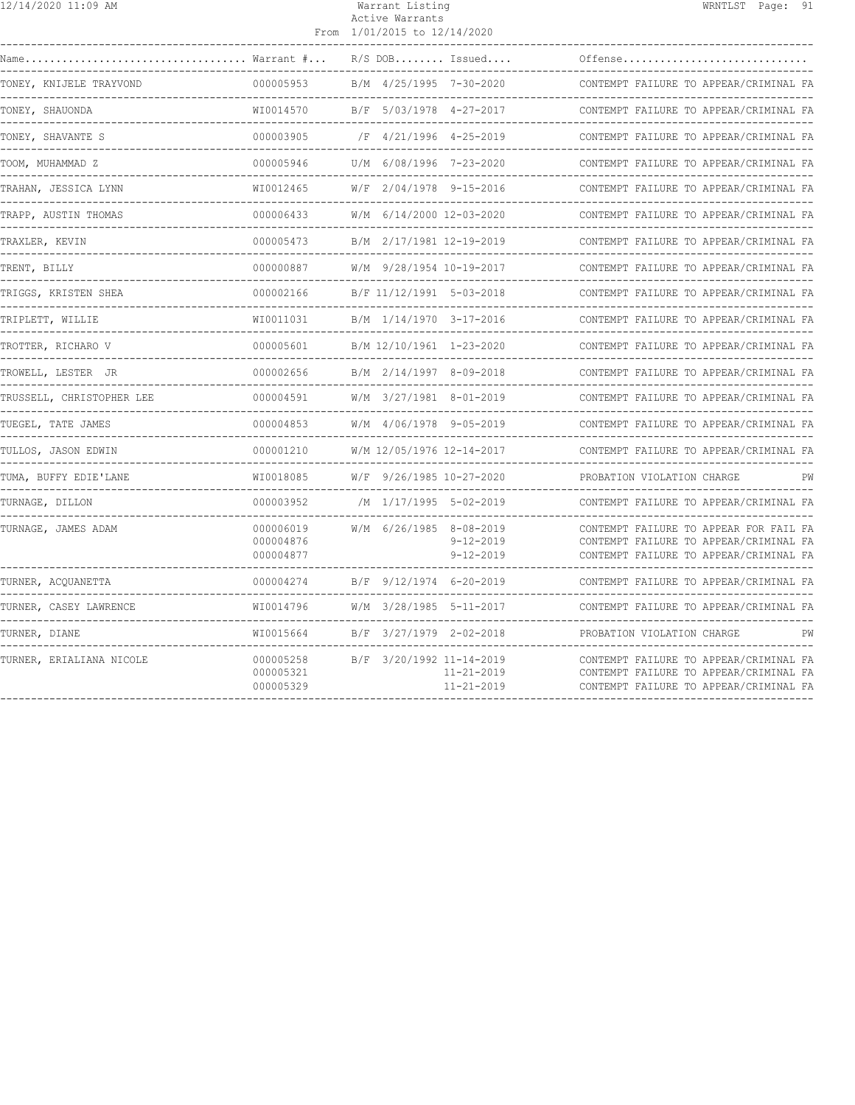| 12/14/2020 11:09 AM       |                                     | Warrant Listing<br>Active Warrants<br>From 1/01/2015 to 12/14/2020 |                                                                  | WRNTLST Page: 91                                                                                                           |  |
|---------------------------|-------------------------------------|--------------------------------------------------------------------|------------------------------------------------------------------|----------------------------------------------------------------------------------------------------------------------------|--|
|                           |                                     |                                                                    | $R/S$ DOB Issued                                                 | Offense                                                                                                                    |  |
| TONEY, KNIJELE TRAYVOND   | 000005953                           |                                                                    | B/M 4/25/1995 7-30-2020                                          | CONTEMPT FAILURE TO APPEAR/CRIMINAL FA                                                                                     |  |
| TONEY, SHAUONDA           | WI0014570                           |                                                                    | B/F 5/03/1978 4-27-2017                                          | CONTEMPT FAILURE TO APPEAR/CRIMINAL FA                                                                                     |  |
| TONEY, SHAVANTE S         | 000003905                           |                                                                    | /F 4/21/1996 4-25-2019                                           | CONTEMPT FAILURE TO APPEAR/CRIMINAL FA                                                                                     |  |
| TOOM, MUHAMMAD Z          |                                     |                                                                    |                                                                  | CONTEMPT FAILURE TO APPEAR/CRIMINAL FA                                                                                     |  |
| TRAHAN, JESSICA LYNN      | WI0012465                           |                                                                    | W/F 2/04/1978 9-15-2016                                          | CONTEMPT FAILURE TO APPEAR/CRIMINAL FA                                                                                     |  |
| TRAPP, AUSTIN THOMAS      | 000006433                           |                                                                    | W/M 6/14/2000 12-03-2020                                         | CONTEMPT FAILURE TO APPEAR/CRIMINAL FA                                                                                     |  |
| TRAXLER, KEVIN            | 000005473                           |                                                                    | B/M 2/17/1981 12-19-2019                                         | CONTEMPT FAILURE TO APPEAR/CRIMINAL FA                                                                                     |  |
| TRENT, BILLY              | 000000887                           |                                                                    | W/M 9/28/1954 10-19-2017                                         | CONTEMPT FAILURE TO APPEAR/CRIMINAL FA                                                                                     |  |
| TRIGGS, KRISTEN SHEA      | 000002166                           |                                                                    | B/F 11/12/1991 5-03-2018                                         | CONTEMPT FAILURE TO APPEAR/CRIMINAL FA                                                                                     |  |
| TRIPLETT, WILLIE          | WI0011031                           |                                                                    | B/M 1/14/1970 3-17-2016                                          | CONTEMPT FAILURE TO APPEAR/CRIMINAL FA                                                                                     |  |
| TROTTER, RICHARO V        | 000005601                           |                                                                    | B/M 12/10/1961 1-23-2020                                         | CONTEMPT FAILURE TO APPEAR/CRIMINAL FA                                                                                     |  |
| TROWELL, LESTER JR        | 000002656                           |                                                                    | B/M 2/14/1997 8-09-2018                                          | CONTEMPT FAILURE TO APPEAR/CRIMINAL FA                                                                                     |  |
| TRUSSELL, CHRISTOPHER LEE | 000004591                           |                                                                    | W/M 3/27/1981 8-01-2019                                          | CONTEMPT FAILURE TO APPEAR/CRIMINAL FA                                                                                     |  |
| TUEGEL, TATE JAMES        | 000004853                           |                                                                    | W/M 4/06/1978 9-05-2019                                          | CONTEMPT FAILURE TO APPEAR/CRIMINAL FA                                                                                     |  |
| TULLOS, JASON EDWIN       | 000001210                           |                                                                    | W/M 12/05/1976 12-14-2017                                        | CONTEMPT FAILURE TO APPEAR/CRIMINAL FA                                                                                     |  |
| TUMA, BUFFY EDIE'LANE     | WI0018085                           |                                                                    | W/F 9/26/1985 10-27-2020                                         | PROBATION VIOLATION CHARGE<br>PW                                                                                           |  |
| TURNAGE, DILLON           | 000003952                           |                                                                    | /M 1/17/1995 5-02-2019                                           | CONTEMPT FAILURE TO APPEAR/CRIMINAL FA<br>-------------------------------                                                  |  |
| TURNAGE, JAMES ADAM       | 000006019<br>000004876<br>000004877 |                                                                    | W/M 6/26/1985 8-08-2019<br>$9 - 12 - 2019$<br>$9 - 12 - 2019$    | CONTEMPT FAILURE TO APPEAR FOR FAIL FA<br>CONTEMPT FAILURE TO APPEAR/CRIMINAL FA<br>CONTEMPT FAILURE TO APPEAR/CRIMINAL FA |  |
| TURNER, ACQUANETTA        | 000004274                           |                                                                    | B/F 9/12/1974 6-20-2019                                          | CONTEMPT FAILURE TO APPEAR/CRIMINAL FA                                                                                     |  |
| TURNER, CASEY LAWRENCE    | WI0014796                           |                                                                    | W/M 3/28/1985 5-11-2017                                          | CONTEMPT FAILURE TO APPEAR/CRIMINAL FA                                                                                     |  |
| TURNER, DIANE             | WI0015664                           |                                                                    | B/F 3/27/1979 2-02-2018                                          | PROBATION VIOLATION CHARGE<br>PW                                                                                           |  |
| TURNER, ERIALIANA NICOLE  | 000005258<br>000005321<br>000005329 |                                                                    | B/F 3/20/1992 11-14-2019<br>$11 - 21 - 2019$<br>$11 - 21 - 2019$ | CONTEMPT FAILURE TO APPEAR/CRIMINAL FA<br>CONTEMPT FAILURE TO APPEAR/CRIMINAL FA<br>CONTEMPT FAILURE TO APPEAR/CRIMINAL FA |  |
|                           |                                     |                                                                    |                                                                  |                                                                                                                            |  |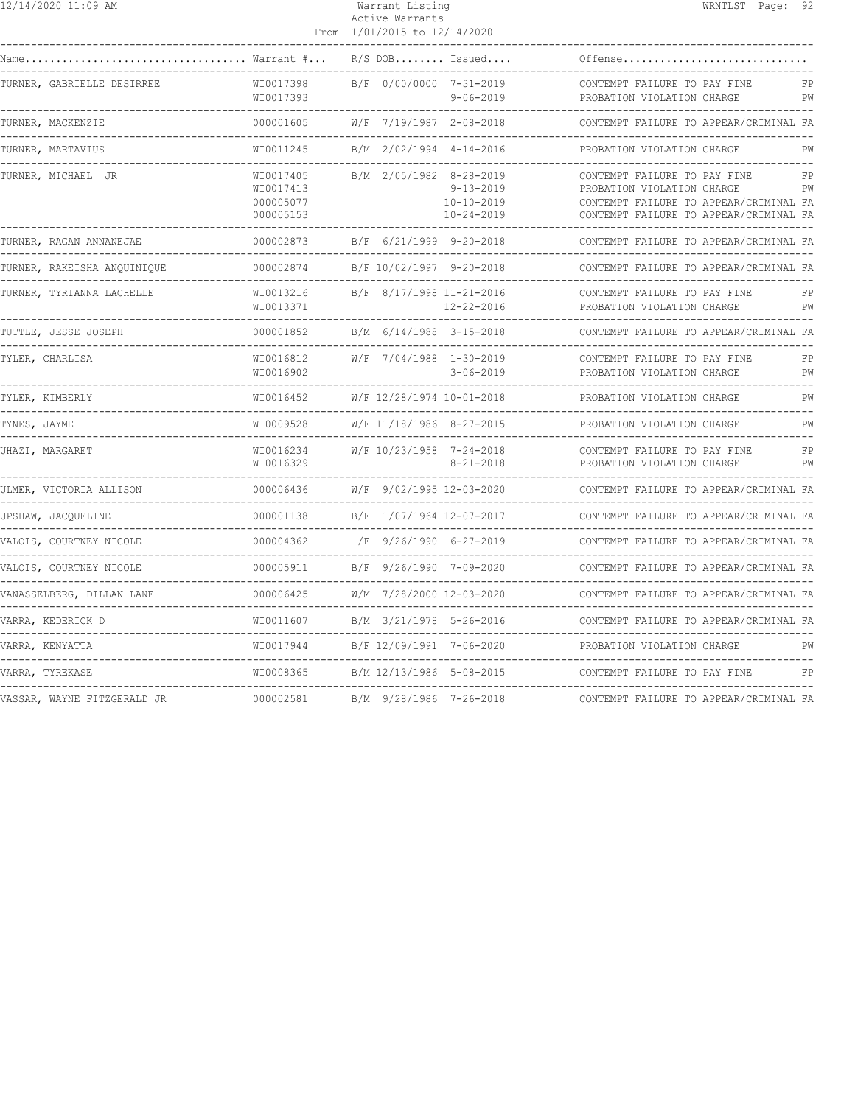| 12/14/2020 11:09 AM                                   |                                                                   | Warrant Listing<br>Active Warrants<br>From 1/01/2015 to 12/14/2020                                         | WRNTLST Page: 92                                                                                                                                           |
|-------------------------------------------------------|-------------------------------------------------------------------|------------------------------------------------------------------------------------------------------------|------------------------------------------------------------------------------------------------------------------------------------------------------------|
| Name<br>Warrant #                                     |                                                                   | $R/S$ DOB Issued                                                                                           | Offense                                                                                                                                                    |
| TURNER, GABRIELLE DESIRREE                            | WI0017398<br>WI0017393                                            | B/F 0/00/0000 7-31-2019<br>$9 - 06 - 2019$                                                                 | CONTEMPT FAILURE TO PAY FINE<br>FP<br>PROBATION VIOLATION CHARGE<br>PW                                                                                     |
| TURNER, MACKENZIE                                     | .<br>000001605                                                    | -------<br>W/F 7/19/1987 2-08-2018                                                                         | ------------------------------<br>CONTEMPT FAILURE TO APPEAR/CRIMINAL FA<br>-------------------                                                            |
| TURNER, MARTAVIUS<br>. _ _ _ _ _ _ _ _ _ _ _ _ _      | WI0011245                                                         | B/M 2/02/1994 4-14-2016<br>_____________________________                                                   | PROBATION VIOLATION CHARGE<br>PW<br>-----------------------------                                                                                          |
| TURNER, MICHAEL JR                                    | WI0017405<br>WI0017413<br>000005077<br>000005153<br>------------- | B/M 2/05/1982 8-28-2019<br>$9 - 13 - 2019$<br>$10 - 10 - 2019$<br>$10 - 24 - 2019$<br>-------------------- | CONTEMPT FAILURE TO PAY FINE<br>FP<br>PROBATION VIOLATION CHARGE<br>PW<br>CONTEMPT FAILURE TO APPEAR/CRIMINAL FA<br>CONTEMPT FAILURE TO APPEAR/CRIMINAL FA |
| TURNER, RAGAN ANNANEJAE                               | 000002873                                                         | B/F 6/21/1999 9-20-2018                                                                                    | CONTEMPT FAILURE TO APPEAR/CRIMINAL FA<br>-----------------------------                                                                                    |
| TURNER, RAKEISHA ANOUINIOUE                           | 000002874                                                         | B/F 10/02/1997 9-20-2018                                                                                   | CONTEMPT FAILURE TO APPEAR/CRIMINAL FA                                                                                                                     |
| TURNER, TYRIANNA LACHELLE                             | WI0013216<br>WI0013371                                            | B/F 8/17/1998 11-21-2016<br>$12 - 22 - 2016$                                                               | CONTEMPT FAILURE TO PAY FINE<br>FP<br>PROBATION VIOLATION CHARGE<br>PW                                                                                     |
| TUTTLE, JESSE JOSEPH                                  | 000001852                                                         | B/M 6/14/1988 3-15-2018                                                                                    | CONTEMPT FAILURE TO APPEAR/CRIMINAL FA<br>--------------------------                                                                                       |
| TYLER, CHARLISA                                       | WI0016812<br>WI0016902                                            | W/F 7/04/1988 1-30-2019<br>$3 - 06 - 2019$                                                                 | CONTEMPT FAILURE TO PAY FINE<br>FP<br>PROBATION VIOLATION CHARGE<br>PW                                                                                     |
| TYLER, KIMBERLY<br>-----------------------            | WI0016452                                                         | W/F 12/28/1974 10-01-2018                                                                                  | PROBATION VIOLATION CHARGE<br>PW<br>----------------------------                                                                                           |
| TYNES, JAYME                                          | WI0009528                                                         | W/F 11/18/1986 8-27-2015                                                                                   | PROBATION VIOLATION CHARGE<br>PW                                                                                                                           |
| UHAZI, MARGARET                                       | WI0016234<br>WI0016329                                            | W/F 10/23/1958 7-24-2018<br>$8 - 21 - 2018$                                                                | CONTEMPT FAILURE TO PAY FINE<br>FP<br>PROBATION VIOLATION CHARGE<br>PW                                                                                     |
| ULMER, VICTORIA ALLISON                               | 000006436                                                         | W/F 9/02/1995 12-03-2020                                                                                   | CONTEMPT FAILURE TO APPEAR/CRIMINAL FA<br>---------------------                                                                                            |
| UPSHAW, JACQUELINE                                    | 000001138<br>---------                                            | B/F 1/07/1964 12-07-2017                                                                                   | CONTEMPT FAILURE TO APPEAR/CRIMINAL FA                                                                                                                     |
| VALOIS, COURTNEY NICOLE                               | 000004362                                                         | /F 9/26/1990 6-27-2019                                                                                     | CONTEMPT FAILURE TO APPEAR/CRIMINAL FA                                                                                                                     |
| VALOIS, COURTNEY NICOLE                               | 000005911                                                         | B/F 9/26/1990 7-09-2020                                                                                    | CONTEMPT FAILURE TO APPEAR/CRIMINAL FA                                                                                                                     |
| VANASSELBERG, DILLAN LANE                             | 000006425                                                         | W/M 7/28/2000 12-03-2020                                                                                   | CONTEMPT FAILURE TO APPEAR/CRIMINAL FA                                                                                                                     |
| VARRA, KEDERICK D                                     | WI0011607                                                         | B/M 3/21/1978 5-26-2016                                                                                    | CONTEMPT FAILURE TO APPEAR/CRIMINAL FA                                                                                                                     |
| VARRA, KENYATTA<br>---------------------------------- | WI0017944                                                         | B/F 12/09/1991 7-06-2020                                                                                   | PROBATION VIOLATION CHARGE<br>PW<br>-------------------------------                                                                                        |
| VARRA, TYREKASE                                       | WI0008365                                                         | B/M 12/13/1986 5-08-2015                                                                                   | CONTEMPT FAILURE TO PAY FINE<br>FP                                                                                                                         |
| VASSAR, WAYNE FITZGERALD JR                           | 000002581                                                         | B/M 9/28/1986 7-26-2018                                                                                    | CONTEMPT FAILURE TO APPEAR/CRIMINAL FA                                                                                                                     |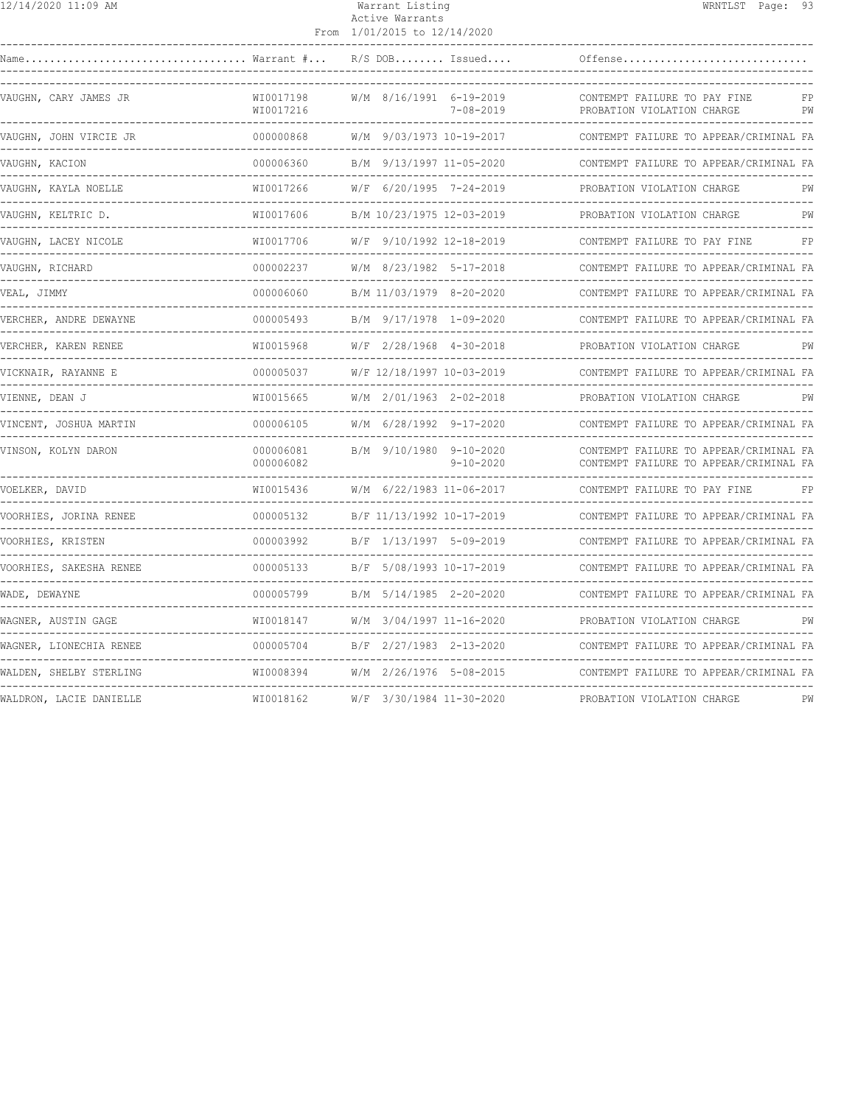|--|

#### Warrant Listing WRNTLST Page: 93 Active Warrants From 1/01/2015 to 12/14/2020

| Name                    | $\ldots$ Warrant $\# \ldots$ | $R/S$ DOB Issued                                              |                 | Offense                                                                          |          |
|-------------------------|------------------------------|---------------------------------------------------------------|-----------------|----------------------------------------------------------------------------------|----------|
| VAUGHN, CARY JAMES JR   | WI0017198<br>WI0017216       | W/M 8/16/1991 6-19-2019                                       | $7 - 08 - 2019$ | CONTEMPT FAILURE TO PAY FINE<br>PROBATION VIOLATION CHARGE                       | FP<br>PW |
| VAUGHN, JOHN VIRCIE JR  | 000000868                    | W/M 9/03/1973 10-19-2017                                      |                 | CONTEMPT FAILURE TO APPEAR/CRIMINAL FA                                           |          |
| VAUGHN, KACION          | 000006360                    | B/M 9/13/1997 11-05-2020                                      |                 | CONTEMPT FAILURE TO APPEAR/CRIMINAL FA                                           |          |
| VAUGHN, KAYLA NOELLE    | WI0017266                    | W/F 6/20/1995 7-24-2019                                       |                 | PROBATION VIOLATION CHARGE                                                       | PW       |
| VAUGHN, KELTRIC D.      | WI0017606                    | B/M 10/23/1975 12-03-2019                                     |                 | PROBATION VIOLATION CHARGE                                                       | РW       |
| VAUGHN, LACEY NICOLE    | WI0017706                    | W/F 9/10/1992 12-18-2019                                      |                 | CONTEMPT FAILURE TO PAY FINE                                                     | FP       |
| VAUGHN, RICHARD         | 000002237                    | W/M 8/23/1982 5-17-2018                                       |                 | CONTEMPT FAILURE TO APPEAR/CRIMINAL FA                                           |          |
| VEAL, JIMMY             | 000006060                    | B/M 11/03/1979 8-20-2020                                      |                 | CONTEMPT FAILURE TO APPEAR/CRIMINAL FA                                           |          |
| VERCHER, ANDRE DEWAYNE  | 000005493                    | B/M 9/17/1978 1-09-2020                                       |                 | CONTEMPT FAILURE TO APPEAR/CRIMINAL FA                                           |          |
| VERCHER, KAREN RENEE    | WI0015968                    | $W/F$ 2/28/1968 4-30-2018                                     |                 | PROBATION VIOLATION CHARGE                                                       | PW       |
| VICKNAIR, RAYANNE E     | 000005037                    | W/F 12/18/1997 10-03-2019                                     |                 | CONTEMPT FAILURE TO APPEAR/CRIMINAL FA                                           |          |
| VIENNE, DEAN J          | WI0015665                    | W/M 2/01/1963 2-02-2018<br>__________________________________ |                 | PROBATION VIOLATION CHARGE                                                       | PW       |
| VINCENT, JOSHUA MARTIN  | 000006105                    | W/M 6/28/1992 9-17-2020                                       |                 | CONTEMPT FAILURE TO APPEAR/CRIMINAL FA                                           |          |
| VINSON, KOLYN DARON     | 000006081<br>000006082       | B/M 9/10/1980 9-10-2020                                       | $9 - 10 - 2020$ | CONTEMPT FAILURE TO APPEAR/CRIMINAL FA<br>CONTEMPT FAILURE TO APPEAR/CRIMINAL FA |          |
| VOELKER, DAVID          | WI0015436                    | W/M 6/22/1983 11-06-2017                                      |                 | CONTEMPT FAILURE TO PAY FINE                                                     | FP       |
| VOORHIES, JORINA RENEE  | 000005132                    | B/F 11/13/1992 10-17-2019                                     |                 | CONTEMPT FAILURE TO APPEAR/CRIMINAL FA                                           |          |
| VOORHIES, KRISTEN       | 000003992                    | B/F 1/13/1997 5-09-2019                                       |                 | CONTEMPT FAILURE TO APPEAR/CRIMINAL FA                                           |          |
| VOORHIES, SAKESHA RENEE | 000005133                    | B/F 5/08/1993 10-17-2019                                      |                 | CONTEMPT FAILURE TO APPEAR/CRIMINAL FA                                           |          |
| WADE, DEWAYNE           | 000005799                    | B/M 5/14/1985 2-20-2020                                       |                 | CONTEMPT FAILURE TO APPEAR/CRIMINAL FA                                           |          |
| WAGNER, AUSTIN GAGE     | WI0018147                    | W/M 3/04/1997 11-16-2020                                      |                 | PROBATION VIOLATION CHARGE                                                       | PW       |
| WAGNER, LIONECHIA RENEE | 000005704                    | B/F 2/27/1983 2-13-2020                                       |                 | CONTEMPT FAILURE TO APPEAR/CRIMINAL FA                                           |          |
| WALDEN, SHELBY STERLING | WI0008394                    | W/M 2/26/1976 5-08-2015                                       |                 | CONTEMPT FAILURE TO APPEAR/CRIMINAL FA                                           |          |
| WALDRON, LACIE DANIELLE | WI0018162                    | W/F 3/30/1984 11-30-2020                                      |                 | PROBATION VIOLATION CHARGE                                                       | PW       |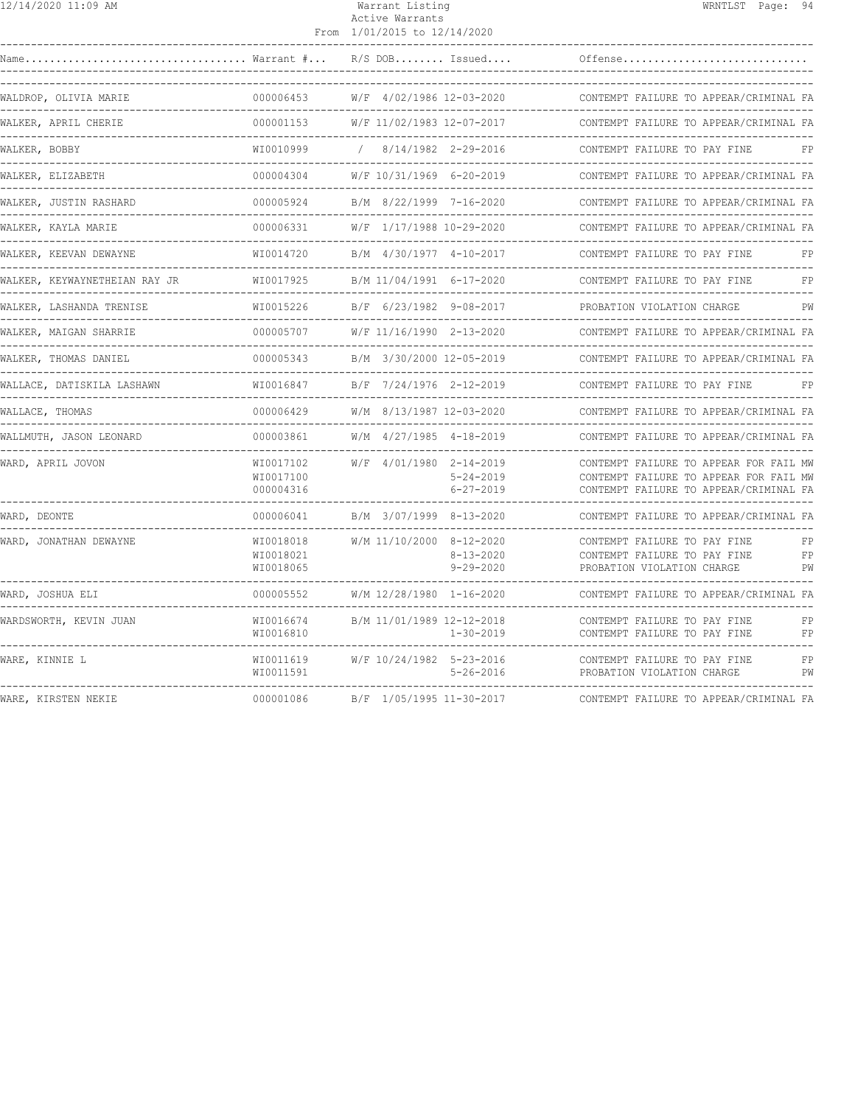| 12/14/2020 11:09 AM                                              |                        | Warrant Listing<br>Active Warrants<br>From 1/01/2015 to 12/14/2020      | WRNTLST Page: 94                                                                                                           |
|------------------------------------------------------------------|------------------------|-------------------------------------------------------------------------|----------------------------------------------------------------------------------------------------------------------------|
|                                                                  |                        |                                                                         |                                                                                                                            |
| WALDROP, OLIVIA MARIE                                            |                        | 000006453 W/F 4/02/1986 12-03-2020                                      | CONTEMPT FAILURE TO APPEAR/CRIMINAL FA                                                                                     |
| WALKER, APRIL CHERIE                                             |                        | 000001153    W/F 11/02/1983 12-07-2017                                  | CONTEMPT FAILURE TO APPEAR/CRIMINAL FA                                                                                     |
| WALKER, BOBBY                                                    |                        | WI0010999 / 8/14/1982 2-29-2016                                         | CONTEMPT FAILURE TO PAY FINE<br>FP                                                                                         |
| WALKER, ELIZABETH                                                |                        |                                                                         | 000004304 W/F 10/31/1969 6-20-2019 CONTEMPT FAILURE TO APPEAR/CRIMINAL FA                                                  |
| WALKER, JUSTIN RASHARD                                           |                        |                                                                         |                                                                                                                            |
| WALKER, KAYLA MARIE                                              |                        |                                                                         | 000006331 W/F 1/17/1988 10-29-2020 CONTEMPT FAILURE TO APPEAR/CRIMINAL FA                                                  |
| WALKER, KEEVAN DEWAYNE                                           |                        |                                                                         | WI0014720 B/M 4/30/1977 4-10-2017 CONTEMPT FAILURE TO PAY FINE FP                                                          |
|                                                                  |                        |                                                                         | CONTEMPT FAILURE TO PAY FINE FP                                                                                            |
| WALKER, LASHANDA TRENISE                                         |                        |                                                                         | WI0015226 B/F 6/23/1982 9-08-2017 PROBATION VIOLATION CHARGE PW                                                            |
| WALKER, MAIGAN SHARRIE<br>-------------------------------------- |                        | ---------------------                                                   | 000005707 W/F 11/16/1990 2-13-2020 CONTEMPT FAILURE TO APPEAR/CRIMINAL FA                                                  |
| WALKER, THOMAS DANIEL                                            |                        |                                                                         | 000005343 B/M 3/30/2000 12-05-2019 CONTEMPT FAILURE TO APPEAR/CRIMINAL FA                                                  |
| WALLACE, DATISKILA LASHAWN                                       |                        | --------------------------------                                        | WI0016847    B/F 7/24/1976 2-12-2019      CONTEMPT FAILURE TO PAY FINE    FP                                               |
| WALLACE, THOMAS                                                  |                        |                                                                         | 000006429 W/M 8/13/1987 12-03-2020 CONTEMPT FAILURE TO APPEAR/CRIMINAL FA                                                  |
| WALLMUTH, JASON LEONARD                                          |                        |                                                                         |                                                                                                                            |
| WARD, APRIL JOVON                                                | WT0017100<br>000004316 | WI0017102 W/F 4/01/1980 2-14-2019<br>$5 - 24 - 2019$<br>$6 - 27 - 2019$ | CONTEMPT FAILURE TO APPEAR FOR FAIL MW<br>CONTEMPT FAILURE TO APPEAR FOR FAIL MW<br>CONTEMPT FAILURE TO APPEAR/CRIMINAL FA |

------------------------------------------------------------------------------------------------------------------------------------ WARD, DEONTE 000006041 B/M 3/07/1999 8-13-2020 CONTEMPT FAILURE TO APPEAR/CRIMINAL FA ------------------------------------------------------------------------------------------------------------------------------------ WARD, JONATHAN DEWAYNE WI0018018 W/M 11/10/2000 8-12-2020 CONTEMPT FAILURE TO PAY FINE FP

------------------------------------------------------------------------------------------------------------------------------------ WARE, KINNIE L<br>WIDO11619 W/F 10/24/1982 5-23-2016 CONTEMPT FAILURE TO PAY FINE FP

------------------------------------------------------------------------------------------------------------------------------------ WARE, KIRSTEN NEKIE 000001086 B/F 1/05/1995 11-30-2017 CONTEMPT FAILURE TO APPEAR/CRIMINAL FA

------------------------------------------------------------------------------------------------------------------------------------ WARD, JOSHUA ELI 000005552 W/M 12/28/1980 1-16-2020 CONTEMPT FAILURE TO APPEAR/CRIMINAL FA ------------------------------------------------------------------------------------------------------------------------------------ WARDSWORTH, KEVIN JUAN WI0016674 B/M 11/01/1989 12-12-2018 CONTEMPT FAILURE TO PAY FINE FP

PROBATION VIOLATION CHARGE

WI0018021 8-13-2020 CONTEMPT FAILURE TO PAY FINE FP

WI0016810 1-30-2019 CONTEMPT FAILURE TO PAY FINE FP

WI0011591 5-26-2016 PROBATION VIOLATION CHARGE PW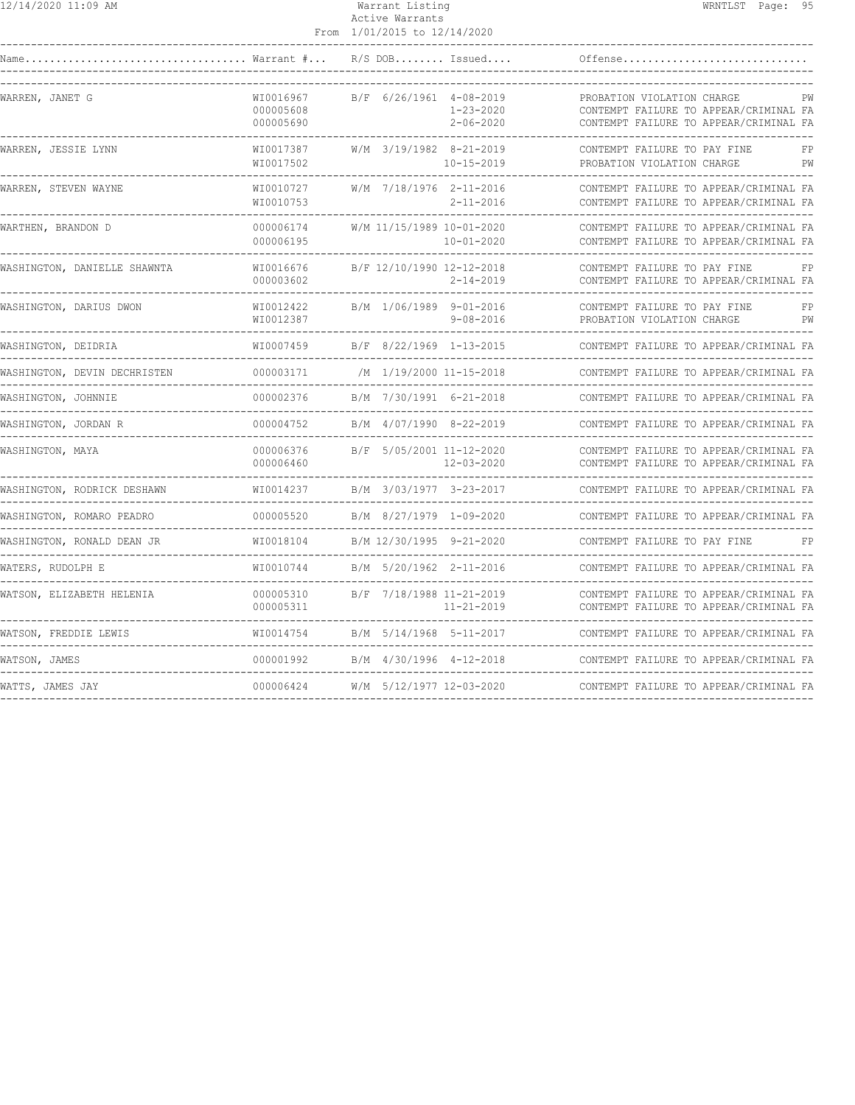## Active Warrants From 1/01/2015 to 12/14/2020

|                                                                   |                                     | TAATIYATI LO TINTANYAY    |                                    |                                                                                                                                                    |
|-------------------------------------------------------------------|-------------------------------------|---------------------------|------------------------------------|----------------------------------------------------------------------------------------------------------------------------------------------------|
| Warrant # R/S DOB Issued                                          |                                     |                           |                                    | Offense                                                                                                                                            |
| WARREN, JANET G                                                   | WI0016967<br>000005608<br>000005690 | B/F 6/26/1961 4-08-2019   | $1 - 23 - 2020$<br>$2 - 06 - 2020$ | PROBATION VIOLATION CHARGE<br>PW<br>CONTEMPT FAILURE TO APPEAR/CRIMINAL FA<br>CONTEMPT FAILURE TO APPEAR/CRIMINAL FA<br>-------------------------- |
| WARREN, JESSIE LYNN                                               | WI0017387<br>WI0017502              | W/M 3/19/1982 8-21-2019   | $10 - 15 - 2019$                   | CONTEMPT FAILURE TO PAY FINE<br>FP<br>PROBATION VIOLATION CHARGE<br>PW                                                                             |
| WARREN, STEVEN WAYNE                                              | WI0010727<br>WI0010753              | W/M 7/18/1976 2-11-2016   | $2 - 11 - 2016$                    | CONTEMPT FAILURE TO APPEAR/CRIMINAL FA<br>CONTEMPT FAILURE TO APPEAR/CRIMINAL FA                                                                   |
| WARTHEN, BRANDON D                                                | 000006174<br>000006195              | W/M 11/15/1989 10-01-2020 | $10 - 01 - 2020$                   | CONTEMPT FAILURE TO APPEAR/CRIMINAL FA<br>CONTEMPT FAILURE TO APPEAR/CRIMINAL FA                                                                   |
| WASHINGTON, DANIELLE SHAWNTA                                      | WI0016676<br>000003602              | B/F 12/10/1990 12-12-2018 | $2 - 14 - 2019$                    | CONTEMPT FAILURE TO PAY FINE<br>FP<br>CONTEMPT FAILURE TO APPEAR/CRIMINAL FA                                                                       |
| WASHINGTON, DARIUS DWON                                           | WI0012422<br>WI0012387              | B/M 1/06/1989 9-01-2016   | $9 - 08 - 2016$                    | CONTEMPT FAILURE TO PAY FINE<br>FP<br>PW<br>PROBATION VIOLATION CHARGE                                                                             |
| WASHINGTON, DEIDRIA                                               | WI0007459                           | B/F 8/22/1969 1-13-2015   |                                    | CONTEMPT FAILURE TO APPEAR/CRIMINAL FA                                                                                                             |
| WASHINGTON, DEVIN DECHRISTEN                                      | 000003171                           | /M 1/19/2000 11-15-2018   |                                    | CONTEMPT FAILURE TO APPEAR/CRIMINAL FA                                                                                                             |
| WASHINGTON, JOHNNIE<br>----------------------                     | 000002376                           | B/M 7/30/1991 6-21-2018   |                                    | CONTEMPT FAILURE TO APPEAR/CRIMINAL FA                                                                                                             |
| WASHINGTON, JORDAN R                                              | 000004752                           | B/M 4/07/1990 8-22-2019   |                                    | CONTEMPT FAILURE TO APPEAR/CRIMINAL FA<br>_____________________________                                                                            |
| WASHINGTON, MAYA                                                  | 000006376<br>000006460              | B/F 5/05/2001 11-12-2020  | 12-03-2020                         | CONTEMPT FAILURE TO APPEAR/CRIMINAL FA<br>CONTEMPT FAILURE TO APPEAR/CRIMINAL FA                                                                   |
| WASHINGTON, RODRICK DESHAWN<br>__________________________________ | WI0014237                           | B/M 3/03/1977 3-23-2017   |                                    | CONTEMPT FAILURE TO APPEAR/CRIMINAL FA                                                                                                             |
| WASHINGTON, ROMARO PEADRO                                         | 000005520                           | B/M 8/27/1979 1-09-2020   |                                    | CONTEMPT FAILURE TO APPEAR/CRIMINAL FA                                                                                                             |
| WASHINGTON, RONALD DEAN JR                                        | WI0018104                           | B/M 12/30/1995 9-21-2020  |                                    | CONTEMPT FAILURE TO PAY FINE<br>FP                                                                                                                 |
| WATERS, RUDOLPH E<br>----------------------                       | WI0010744                           | B/M 5/20/1962 2-11-2016   |                                    | CONTEMPT FAILURE TO APPEAR/CRIMINAL FA                                                                                                             |
| WATSON, ELIZABETH HELENIA                                         | 000005310<br>000005311              | B/F 7/18/1988 11-21-2019  | $11 - 21 - 2019$                   | CONTEMPT FAILURE TO APPEAR/CRIMINAL FA<br>CONTEMPT FAILURE TO APPEAR/CRIMINAL FA<br>____________________                                           |
| WATSON, FREDDIE LEWIS                                             | WI0014754                           | B/M 5/14/1968 5-11-2017   |                                    | CONTEMPT FAILURE TO APPEAR/CRIMINAL FA                                                                                                             |
| WATSON, JAMES                                                     | 000001992                           | B/M 4/30/1996 4-12-2018   |                                    | CONTEMPT FAILURE TO APPEAR/CRIMINAL FA                                                                                                             |
| WATTS, JAMES JAY                                                  | 000006424                           | W/M 5/12/1977 12-03-2020  |                                    | CONTEMPT FAILURE TO APPEAR/CRIMINAL FA                                                                                                             |
|                                                                   |                                     |                           |                                    |                                                                                                                                                    |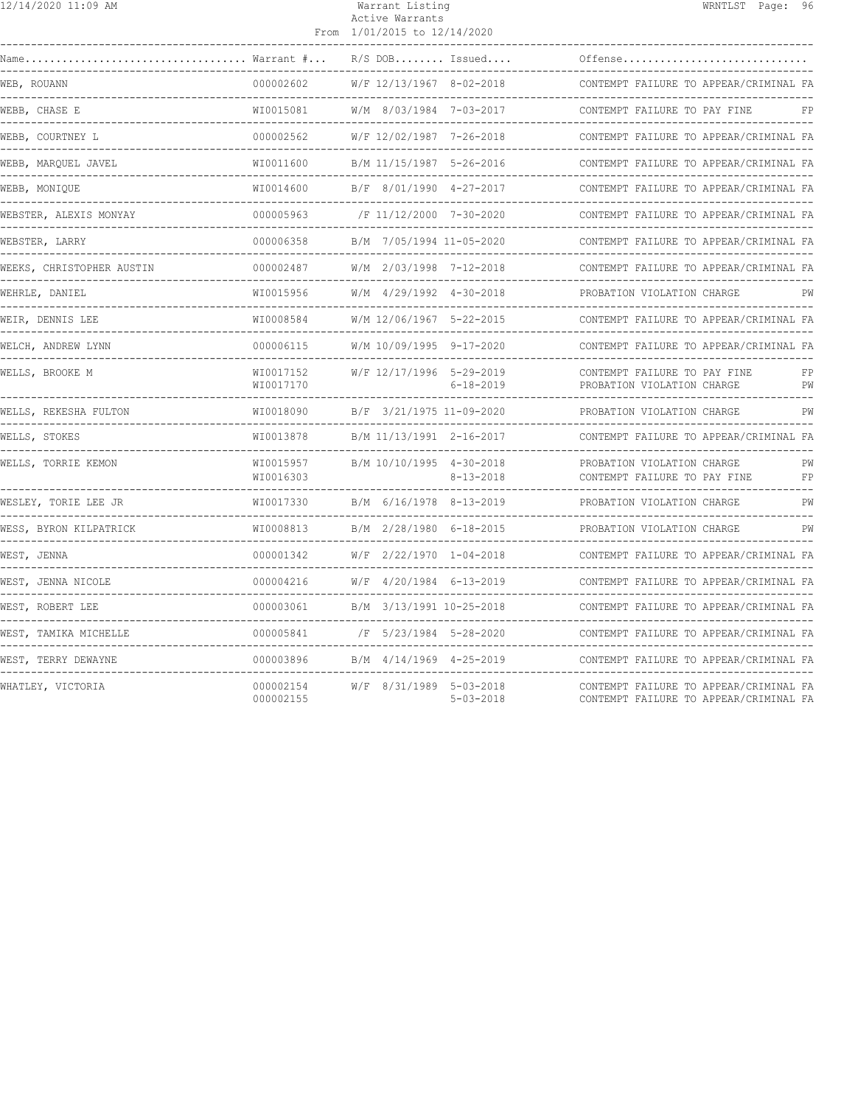| 12/14/2020 11:09 AM                           |                              | Warrant Listing<br>Active Warrants<br>From 1/01/2015 to 12/14/2020 |                                             |                                                                                               | WRNTLST Page: 96 |          |
|-----------------------------------------------|------------------------------|--------------------------------------------------------------------|---------------------------------------------|-----------------------------------------------------------------------------------------------|------------------|----------|
|                                               |                              |                                                                    | $R/S$ DOB Issued                            | Offense                                                                                       |                  |          |
| WEB, ROUANN                                   | 000002602                    |                                                                    | W/F 12/13/1967 8-02-2018                    | CONTEMPT FAILURE TO APPEAR/CRIMINAL FA                                                        |                  |          |
| WEBB, CHASE E                                 | WI0015081                    |                                                                    | W/M 8/03/1984 7-03-2017                     | CONTEMPT FAILURE TO PAY FINE                                                                  |                  | FP       |
| WEBB, COURTNEY L                              | ___________<br>000002562     |                                                                    | W/F 12/02/1987 7-26-2018                    | CONTEMPT FAILURE TO APPEAR/CRIMINAL FA                                                        |                  |          |
| ------------<br>WEBB, MARQUEL JAVEL           | WT0011600                    | B/M 11/15/1987 5-26-2016                                           |                                             | CONTEMPT FAILURE TO APPEAR/CRIMINAL FA                                                        |                  |          |
| WEBB, MONIOUE                                 | WI0014600                    |                                                                    | B/F 8/01/1990 4-27-2017                     | CONTEMPT FAILURE TO APPEAR/CRIMINAL FA                                                        |                  |          |
| WEBSTER, ALEXIS MONYAY                        | 000005963                    |                                                                    | /F 11/12/2000 7-30-2020                     | CONTEMPT FAILURE TO APPEAR/CRIMINAL FA                                                        |                  |          |
| WEBSTER, LARRY                                | 000006358                    |                                                                    | B/M 7/05/1994 11-05-2020                    | CONTEMPT FAILURE TO APPEAR/CRIMINAL FA                                                        |                  |          |
| ----------------<br>WEEKS, CHRISTOPHER AUSTIN | ---------------<br>000002487 |                                                                    | W/M 2/03/1998 7-12-2018                     | CONTEMPT FAILURE TO APPEAR/CRIMINAL FA                                                        |                  |          |
| WEHRLE, DANIEL                                | WT0015956                    |                                                                    | $W/M$ 4/29/1992 4-30-2018                   | PROBATION VIOLATION CHARGE                                                                    |                  |          |
| ------------<br>WEIR, DENNIS LEE              | WI0008584                    |                                                                    | W/M 12/06/1967 5-22-2015                    | CONTEMPT FAILURE TO APPEAR/CRIMINAL FA                                                        |                  |          |
| WELCH, ANDREW LYNN                            | 000006115                    |                                                                    | W/M 10/09/1995 9-17-2020                    | CONTEMPT FAILURE TO APPEAR/CRIMINAL FA                                                        |                  |          |
| WELLS, BROOKE M                               | WI0017152<br>WI0017170       |                                                                    | W/F 12/17/1996 5-29-2019<br>6-18-2019       | _______________________________<br>CONTEMPT FAILURE TO PAY FINE<br>PROBATION VIOLATION CHARGE |                  | FP<br>PW |
| WELLS, REKESHA FULTON                         | WI0018090                    |                                                                    | B/F 3/21/1975 11-09-2020                    | PROBATION VIOLATION CHARGE                                                                    |                  | PW       |
| WELLS, STOKES                                 | WI0013878                    |                                                                    | B/M 11/13/1991 2-16-2017                    | CONTEMPT FAILURE TO APPEAR/CRIMINAL FA                                                        |                  |          |
| WELLS, TORRIE KEMON                           | WI0015957<br>WI0016303       |                                                                    | B/M 10/10/1995 4-30-2018<br>$8 - 13 - 2018$ | PROBATION VIOLATION CHARGE<br>CONTEMPT FAILURE TO PAY FINE                                    |                  | PW<br>FP |
| WESLEY, TORIE LEE JR                          | WI0017330                    |                                                                    | B/M 6/16/1978 8-13-2019                     | PROBATION VIOLATION CHARGE                                                                    |                  | PW       |
| _______________<br>WESS, BYRON KILPATRICK     | WI0008813                    | B/M 2/28/1980 6-18-2015                                            |                                             | PROBATION VIOLATION CHARGE                                                                    |                  | PW       |
| WEST, JENNA                                   | 000001342                    | W/F 2/22/1970 1-04-2018                                            |                                             | CONTEMPT FAILURE TO APPEAR/CRIMINAL FA                                                        |                  |          |
| WEST, JENNA NICOLE                            | 000004216                    |                                                                    | W/F 4/20/1984 6-13-2019                     | CONTEMPT FAILURE TO APPEAR/CRIMINAL FA                                                        |                  |          |
| ------------<br>WEST, ROBERT LEE              | ---------------<br>000003061 | B/M 3/13/1991 10-25-2018                                           |                                             | CONTEMPT FAILURE TO APPEAR/CRIMINAL FA                                                        |                  |          |
| -----------------<br>WEST, TAMIKA MICHELLE    | 000005841                    |                                                                    | /F 5/23/1984 5-28-2020                      | CONTEMPT FAILURE TO APPEAR/CRIMINAL FA                                                        |                  |          |
| WEST, TERRY DEWAYNE                           | 000003896                    |                                                                    | B/M 4/14/1969 4-25-2019                     | CONTEMPT FAILURE TO APPEAR/CRIMINAL FA                                                        |                  |          |
| WHATLEY, VICTORIA                             | 000002154<br>000002155       | W/F 8/31/1989 5-03-2018                                            | $5 - 03 - 2018$                             | CONTEMPT FAILURE TO APPEAR/CRIMINAL FA<br>CONTEMPT FAILURE TO APPEAR/CRIMINAL FA              |                  |          |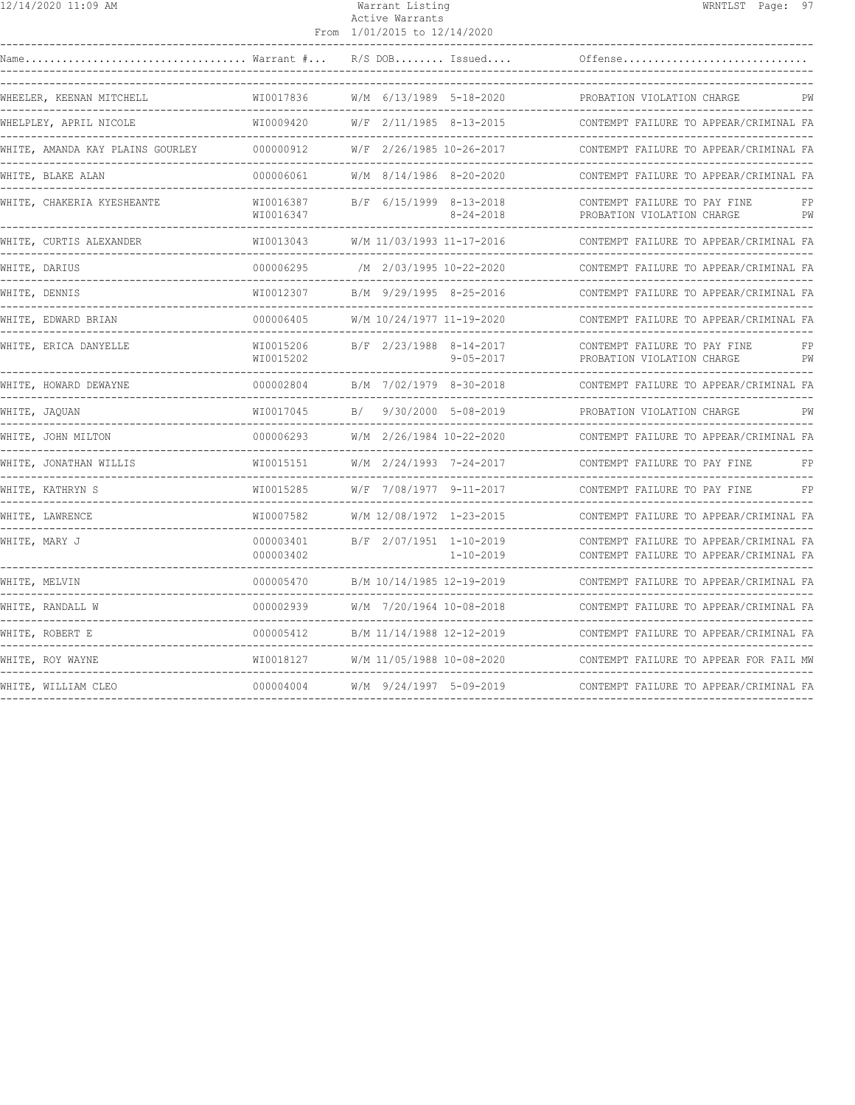| 12/14/2020 11:09 AM                      |                               | Warrant Listing<br>Active Warrants<br>From 1/01/2015 to 12/14/2020 | WRNTLST Page: 97                                                                 |
|------------------------------------------|-------------------------------|--------------------------------------------------------------------|----------------------------------------------------------------------------------|
|                                          |                               | $R/S$ DOB Issued                                                   | Offense                                                                          |
| WHEELER, KEENAN MITCHELL                 | WI0017836                     | W/M 6/13/1989 5-18-2020                                            | PROBATION VIOLATION CHARGE                                                       |
| WHELPLEY, APRIL NICOLE                   | WI0009420                     | W/F 2/11/1985 8-13-2015                                            | CONTEMPT FAILURE TO APPEAR/CRIMINAL FA                                           |
| WHITE, AMANDA KAY PLAINS GOURLEY         | 000000912                     | W/F 2/26/1985 10-26-2017                                           | CONTEMPT FAILURE TO APPEAR/CRIMINAL FA                                           |
| WHITE, BLAKE ALAN                        | 000006061                     | W/M 8/14/1986 8-20-2020                                            | CONTEMPT FAILURE TO APPEAR/CRIMINAL FA                                           |
| WHITE, CHAKERIA KYESHEANTE               | WI0016387<br>WI0016347        | B/F 6/15/1999 8-13-2018<br>$8 - 24 - 2018$                         | CONTEMPT FAILURE TO PAY FINE<br>FP<br>PROBATION VIOLATION CHARGE<br>PW           |
| WHITE, CURTIS ALEXANDER<br>------------- | WI0013043                     | W/M 11/03/1993 11-17-2016                                          | CONTEMPT FAILURE TO APPEAR/CRIMINAL FA                                           |
| WHITE, DARIUS<br>------------            | 000006295                     | /M 2/03/1995 10-22-2020                                            | CONTEMPT FAILURE TO APPEAR/CRIMINAL FA                                           |
| WHITE, DENNIS                            | WI0012307                     | B/M 9/29/1995 8-25-2016                                            | CONTEMPT FAILURE TO APPEAR/CRIMINAL FA                                           |
| WHITE, EDWARD BRIAN                      | 000006405                     | W/M 10/24/1977 11-19-2020                                          | CONTEMPT FAILURE TO APPEAR/CRIMINAL FA                                           |
| WHITE, ERICA DANYELLE                    | WI0015206<br>WI0015202        | B/F 2/23/1988 8-14-2017<br>$9 - 05 - 2017$                         | CONTEMPT FAILURE TO PAY FINE<br>PROBATION VIOLATION CHARGE<br>PW                 |
| WHITE, HOWARD DEWAYNE                    | 000002804                     | B/M 7/02/1979 8-30-2018                                            | CONTEMPT FAILURE TO APPEAR/CRIMINAL FA                                           |
| WHITE, JAQUAN                            | WI0017045                     | B/<br>9/30/2000 5-08-2019                                          | PROBATION VIOLATION CHARGE<br>PW                                                 |
| WHITE, JOHN MILTON                       | 000006293                     | W/M 2/26/1984 10-22-2020                                           | CONTEMPT FAILURE TO APPEAR/CRIMINAL FA                                           |
| WHITE, JONATHAN WILLIS<br>-------------  | WT0015151                     | $W/M$ 2/24/1993 7-24-2017                                          | CONTEMPT FAILURE TO PAY FINE                                                     |
| WHITE, KATHRYN S                         | WI0015285                     | W/F 7/08/1977 9-11-2017                                            | CONTEMPT FAILURE TO PAY FINE<br>FP                                               |
| WHITE, LAWRENCE                          | WI0007582                     | W/M 12/08/1972 1-23-2015                                           | CONTEMPT FAILURE TO APPEAR/CRIMINAL FA                                           |
| WHITE, MARY J                            | 000003401<br>000003402        | B/F 2/07/1951 1-10-2019<br>$1 - 10 - 2019$                         | CONTEMPT FAILURE TO APPEAR/CRIMINAL FA<br>CONTEMPT FAILURE TO APPEAR/CRIMINAL FA |
| WHITE, MELVIN                            | 000005470<br>---------------- | B/M 10/14/1985 12-19-2019                                          | CONTEMPT FAILURE TO APPEAR/CRIMINAL FA<br>______________________________         |
| WHITE, RANDALL W                         | 000002939                     | W/M 7/20/1964 10-08-2018                                           | CONTEMPT FAILURE TO APPEAR/CRIMINAL FA                                           |
| WHITE, ROBERT E                          | 000005412                     | B/M 11/14/1988 12-12-2019                                          | CONTEMPT FAILURE TO APPEAR/CRIMINAL FA                                           |
| WHITE, ROY WAYNE                         | WI0018127                     | W/M 11/05/1988 10-08-2020                                          | CONTEMPT FAILURE TO APPEAR FOR FAIL MW                                           |
| WHITE, WILLIAM CLEO                      | 000004004                     | W/M 9/24/1997 5-09-2019                                            | CONTEMPT FAILURE TO APPEAR/CRIMINAL FA                                           |
|                                          |                               |                                                                    |                                                                                  |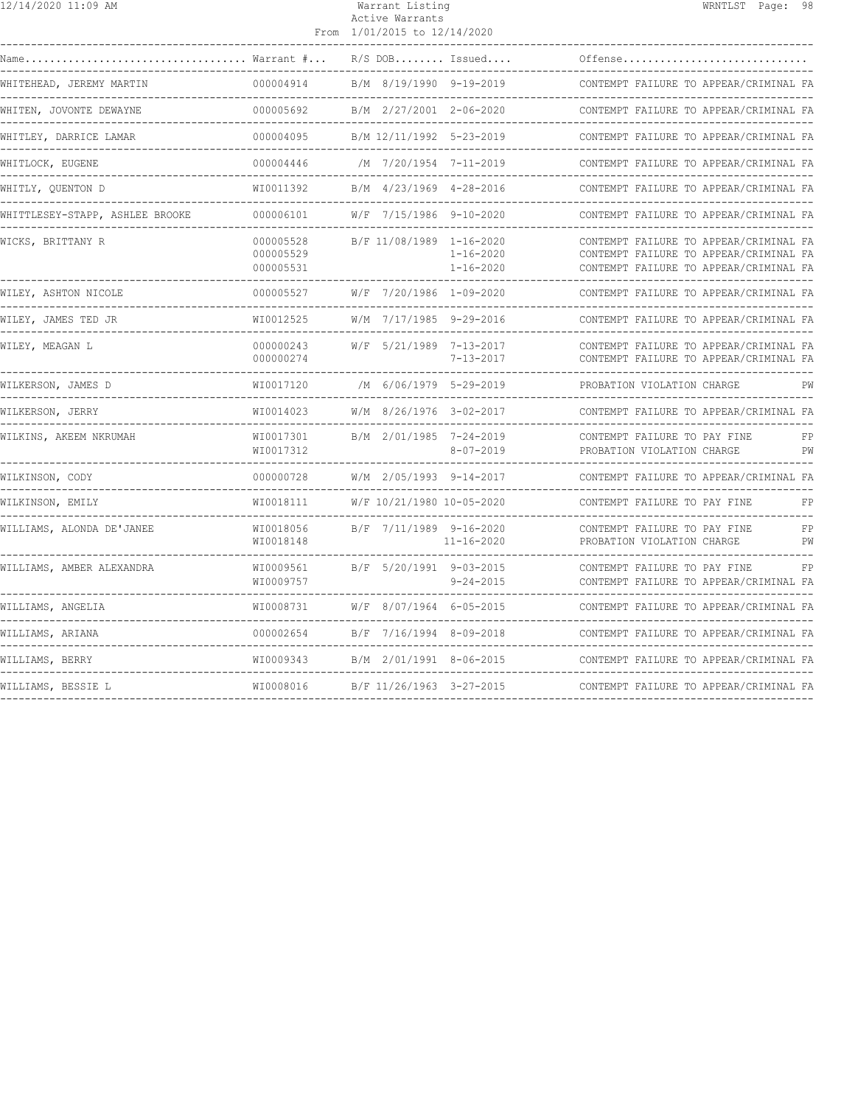| 12/14/2020 11:09 AM             |                                     | Warrant Listing<br>Active Warrants<br>From 1/01/2015 to 12/14/2020 |                                                                   |                                                                                                                            | WRNTLST Page: 98 |          |
|---------------------------------|-------------------------------------|--------------------------------------------------------------------|-------------------------------------------------------------------|----------------------------------------------------------------------------------------------------------------------------|------------------|----------|
| Name Warrant $\# \ldots$        |                                     |                                                                    | $R/S$ DOB Issued                                                  | Offense                                                                                                                    |                  |          |
| WHITEHEAD, JEREMY MARTIN        | 000004914                           |                                                                    | B/M 8/19/1990 9-19-2019                                           | CONTEMPT FAILURE TO APPEAR/CRIMINAL FA                                                                                     |                  |          |
| WHITEN, JOVONTE DEWAYNE         | 000005692                           |                                                                    | B/M 2/27/2001 2-06-2020                                           | CONTEMPT FAILURE TO APPEAR/CRIMINAL FA                                                                                     |                  |          |
| WHITLEY, DARRICE LAMAR          | 000004095                           |                                                                    | B/M 12/11/1992 5-23-2019                                          | CONTEMPT FAILURE TO APPEAR/CRIMINAL FA                                                                                     |                  |          |
| WHITLOCK, EUGENE                | 000004446                           |                                                                    | /M 7/20/1954 7-11-2019                                            | CONTEMPT FAILURE TO APPEAR/CRIMINAL FA                                                                                     |                  |          |
| WHITLY, QUENTON D               | WI0011392                           |                                                                    | B/M 4/23/1969 4-28-2016                                           | CONTEMPT FAILURE TO APPEAR/CRIMINAL FA                                                                                     |                  |          |
| WHITTLESEY-STAPP, ASHLEE BROOKE | 000006101                           |                                                                    | W/F 7/15/1986 9-10-2020                                           | CONTEMPT FAILURE TO APPEAR/CRIMINAL FA                                                                                     |                  |          |
| WICKS, BRITTANY R               | 000005528<br>000005529<br>000005531 |                                                                    | B/F 11/08/1989 1-16-2020<br>$1 - 16 - 2020$<br>$1 - 16 - 2020$    | CONTEMPT FAILURE TO APPEAR/CRIMINAL FA<br>CONTEMPT FAILURE TO APPEAR/CRIMINAL FA<br>CONTEMPT FAILURE TO APPEAR/CRIMINAL FA |                  |          |
| WILEY, ASHTON NICOLE            | 000005527                           |                                                                    | W/F 7/20/1986 1-09-2020                                           | CONTEMPT FAILURE TO APPEAR/CRIMINAL FA                                                                                     |                  |          |
| WILEY, JAMES TED JR             | WI0012525                           |                                                                    | W/M 7/17/1985 9-29-2016                                           | CONTEMPT FAILURE TO APPEAR/CRIMINAL FA                                                                                     |                  |          |
| WILEY, MEAGAN L                 | 000000243<br>000000274              |                                                                    | W/F 5/21/1989 7-13-2017<br>7-13-2017                              | CONTEMPT FAILURE TO APPEAR/CRIMINAL FA<br>CONTEMPT FAILURE TO APPEAR/CRIMINAL FA                                           |                  |          |
| WILKERSON, JAMES D              | WI0017120                           |                                                                    | /M 6/06/1979 5-29-2019                                            | PROBATION VIOLATION CHARGE                                                                                                 |                  | PW       |
| WILKERSON, JERRY                | WI0014023<br>---------------        |                                                                    | W/M 8/26/1976 3-02-2017<br>-------------------------------------- | CONTEMPT FAILURE TO APPEAR/CRIMINAL FA<br>------------------------------------                                             |                  |          |
| WILKINS, AKEEM NKRUMAH          | WI0017301<br>WI0017312              |                                                                    | B/M 2/01/1985 7-24-2019<br>$8 - 07 - 2019$                        | CONTEMPT FAILURE TO PAY FINE<br>PROBATION VIOLATION CHARGE                                                                 |                  | FP<br>PW |
| WILKINSON, CODY                 | 000000728                           |                                                                    | W/M 2/05/1993 9-14-2017                                           | CONTEMPT FAILURE TO APPEAR/CRIMINAL FA                                                                                     |                  |          |
| WILKINSON, EMILY                | WI0018111                           | W/F 10/21/1980 10-05-2020                                          |                                                                   | CONTEMPT FAILURE TO PAY FINE                                                                                               |                  | FP       |
| WILLIAMS, ALONDA DE'JANEE       | WI0018056<br>WI0018148              |                                                                    | B/F 7/11/1989 9-16-2020<br>11-16-2020                             | CONTEMPT FAILURE TO PAY FINE<br>PROBATION VIOLATION CHARGE<br>-----------------------------                                |                  | FP<br>PW |
| WILLIAMS, AMBER ALEXANDRA       | WI0009561<br>WI0009757              | B/F 5/20/1991 9-03-2015                                            | $9 - 24 - 2015$                                                   | CONTEMPT FAILURE TO PAY FINE<br>CONTEMPT FAILURE TO APPEAR/CRIMINAL FA<br>---------------------------                      |                  | FP       |
| WILLIAMS, ANGELIA               | WI0008731                           | W/F 8/07/1964 6-05-2015                                            |                                                                   | CONTEMPT FAILURE TO APPEAR/CRIMINAL FA                                                                                     |                  |          |
| WILLIAMS, ARIANA                | 000002654                           |                                                                    | B/F 7/16/1994 8-09-2018                                           | CONTEMPT FAILURE TO APPEAR/CRIMINAL FA                                                                                     |                  |          |
| WILLIAMS, BERRY                 | WI0009343                           |                                                                    | B/M 2/01/1991 8-06-2015                                           | CONTEMPT FAILURE TO APPEAR/CRIMINAL FA                                                                                     |                  |          |
| WILLIAMS, BESSIE L              |                                     |                                                                    |                                                                   | CONTEMPT FAILURE TO APPEAR/CRIMINAL FA                                                                                     |                  |          |
|                                 |                                     |                                                                    |                                                                   |                                                                                                                            |                  |          |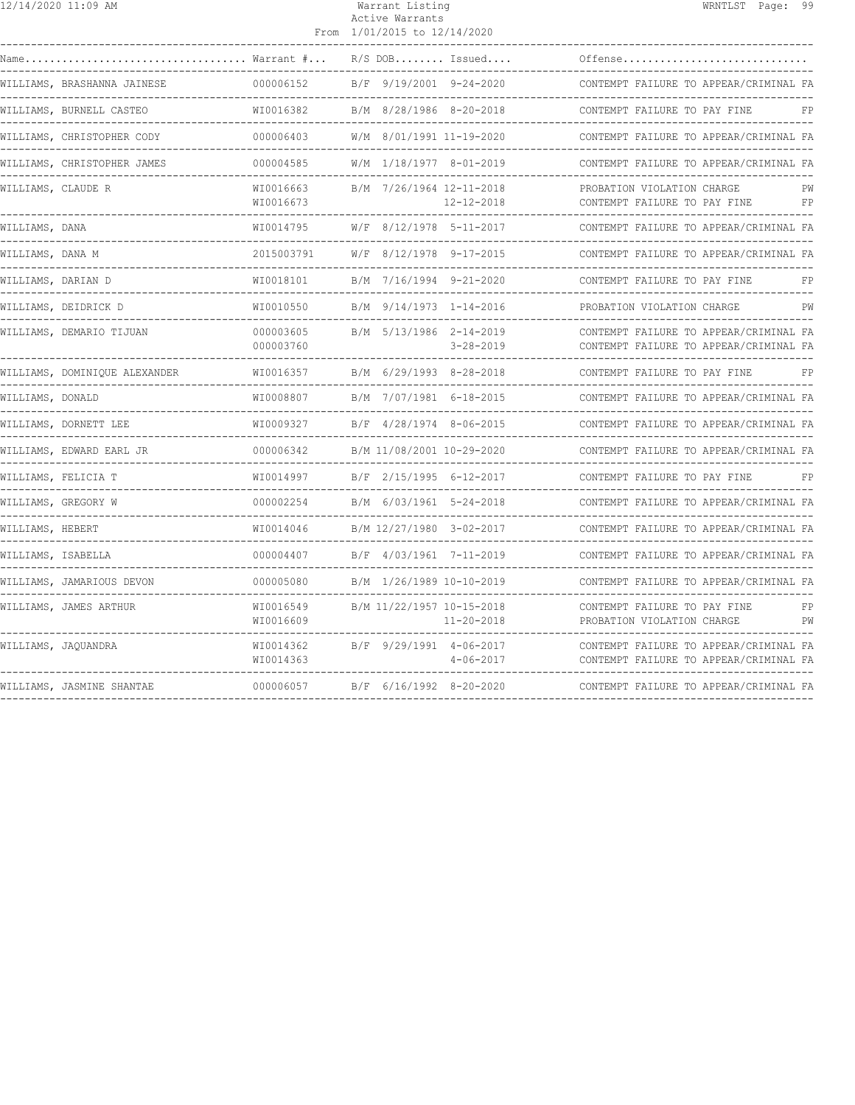|                    | $\frac{12}{12}$ 14/2020 11:09 AM                                                                           |                                                               | Warrant Listing<br>Active Warrants<br>From 1/01/2015 to 12/14/2020 |                                               | WRNTLST Page: 99                                                                 |
|--------------------|------------------------------------------------------------------------------------------------------------|---------------------------------------------------------------|--------------------------------------------------------------------|-----------------------------------------------|----------------------------------------------------------------------------------|
|                    | $\texttt{Name} \dots \dots \dots \dots \dots \dots \dots \dots \dots \dots \dots \dots$ Warrant $\# \dots$ |                                                               |                                                                    | $R/S$ DOB Issued                              | Offense                                                                          |
|                    | WILLIAMS, BRASHANNA JAINESE                                                                                | 000006152                                                     |                                                                    | B/F 9/19/2001 9-24-2020                       | CONTEMPT FAILURE TO APPEAR/CRIMINAL FA                                           |
|                    | WILLIAMS, BURNELL CASTEO                                                                                   | WI0016382                                                     |                                                                    | B/M 8/28/1986 8-20-2018                       | CONTEMPT FAILURE TO PAY FINE<br>FP                                               |
|                    | WILLIAMS, CHRISTOPHER CODY                                                                                 | . _ _ _ _ _ _ _ _ _ _ _ _ _<br>000006403                      |                                                                    | W/M 8/01/1991 11-19-2020                      | CONTEMPT FAILURE TO APPEAR/CRIMINAL FA                                           |
|                    | WILLIAMS, CHRISTOPHER JAMES                                                                                | 000004585                                                     |                                                                    | W/M 1/18/1977 8-01-2019                       | CONTEMPT FAILURE TO APPEAR/CRIMINAL FA                                           |
| WILLIAMS, CLAUDE R |                                                                                                            | WI0016663<br>WI0016673                                        |                                                                    | B/M 7/26/1964 12-11-2018<br>12-12-2018        | PROBATION VIOLATION CHARGE<br>PW<br>CONTEMPT FAILURE TO PAY FINE<br>FP           |
| WILLIAMS, DANA     |                                                                                                            | WI0014795                                                     |                                                                    | W/F 8/12/1978 5-11-2017                       | CONTEMPT FAILURE TO APPEAR/CRIMINAL FA                                           |
| WILLIAMS, DANA M   |                                                                                                            | 2015003791                                                    |                                                                    | W/F 8/12/1978 9-17-2015                       | CONTEMPT FAILURE TO APPEAR/CRIMINAL FA                                           |
|                    | WILLIAMS, DARIAN D                                                                                         | WI0018101<br>--------------                                   |                                                                    | B/M 7/16/1994 9-21-2020                       | CONTEMPT FAILURE TO PAY FINE<br>FP                                               |
|                    | WILLIAMS, DEIDRICK D                                                                                       | WI0010550                                                     |                                                                    | B/M 9/14/1973 1-14-2016                       | PROBATION VIOLATION CHARGE<br>PW                                                 |
|                    | WILLIAMS, DEMARIO TIJUAN                                                                                   | 000003605<br>000003760<br>----------------------------------- |                                                                    | B/M 5/13/1986 2-14-2019<br>$3 - 28 - 2019$    | CONTEMPT FAILURE TO APPEAR/CRIMINAL FA<br>CONTEMPT FAILURE TO APPEAR/CRIMINAL FA |
|                    | WILLIAMS, DOMINIQUE ALEXANDER                                                                              | WI0016357                                                     |                                                                    | B/M 6/29/1993 8-28-2018                       | CONTEMPT FAILURE TO PAY FINE<br>FP                                               |
| WILLIAMS, DONALD   |                                                                                                            | WI0008807                                                     |                                                                    | B/M 7/07/1981 6-18-2015                       | CONTEMPT FAILURE TO APPEAR/CRIMINAL FA                                           |
|                    | WILLIAMS, DORNETT LEE                                                                                      | WI0009327                                                     |                                                                    | B/F 4/28/1974 8-06-2015                       | CONTEMPT FAILURE TO APPEAR/CRIMINAL FA                                           |
|                    | WILLIAMS, EDWARD EARL JR                                                                                   | 000006342                                                     |                                                                    | B/M 11/08/2001 10-29-2020                     | CONTEMPT FAILURE TO APPEAR/CRIMINAL FA                                           |
|                    | WILLIAMS, FELICIA T                                                                                        | WI0014997<br>------------                                     |                                                                    | B/F 2/15/1995 6-12-2017                       | CONTEMPT FAILURE TO PAY FINE                                                     |
|                    | WILLIAMS, GREGORY W                                                                                        | 000002254                                                     |                                                                    | B/M 6/03/1961 5-24-2018                       | CONTEMPT FAILURE TO APPEAR/CRIMINAL FA                                           |
| WILLIAMS, HEBERT   |                                                                                                            | WI0014046                                                     |                                                                    | B/M 12/27/1980 3-02-2017                      | CONTEMPT FAILURE TO APPEAR/CRIMINAL FA                                           |
| WILLIAMS, ISABELLA |                                                                                                            | 000004407                                                     |                                                                    | B/F 4/03/1961 7-11-2019                       | CONTEMPT FAILURE TO APPEAR/CRIMINAL FA                                           |
|                    | WILLIAMS, JAMARIOUS DEVON                                                                                  | 000005080<br>_______________                                  |                                                                    | B/M 1/26/1989 10-10-2019                      | CONTEMPT FAILURE TO APPEAR/CRIMINAL FA<br>------------------------------------   |
|                    | WILLIAMS, JAMES ARTHUR                                                                                     | WI0016549<br>WI0016609                                        |                                                                    | B/M 11/22/1957 10-15-2018<br>$11 - 20 - 2018$ | CONTEMPT FAILURE TO PAY FINE<br>FP<br>PROBATION VIOLATION CHARGE<br>PW           |
|                    | WILLIAMS, JAQUANDRA                                                                                        | WI0014362<br>WI0014363                                        |                                                                    | B/F 9/29/1991 4-06-2017<br>$4 - 06 - 2017$    | CONTEMPT FAILURE TO APPEAR/CRIMINAL FA<br>CONTEMPT FAILURE TO APPEAR/CRIMINAL FA |
|                    | WILLIAMS, JASMINE SHANTAE                                                                                  | 000006057                                                     |                                                                    | B/F 6/16/1992 8-20-2020                       | CONTEMPT FAILURE TO APPEAR/CRIMINAL FA                                           |
|                    |                                                                                                            |                                                               |                                                                    |                                               |                                                                                  |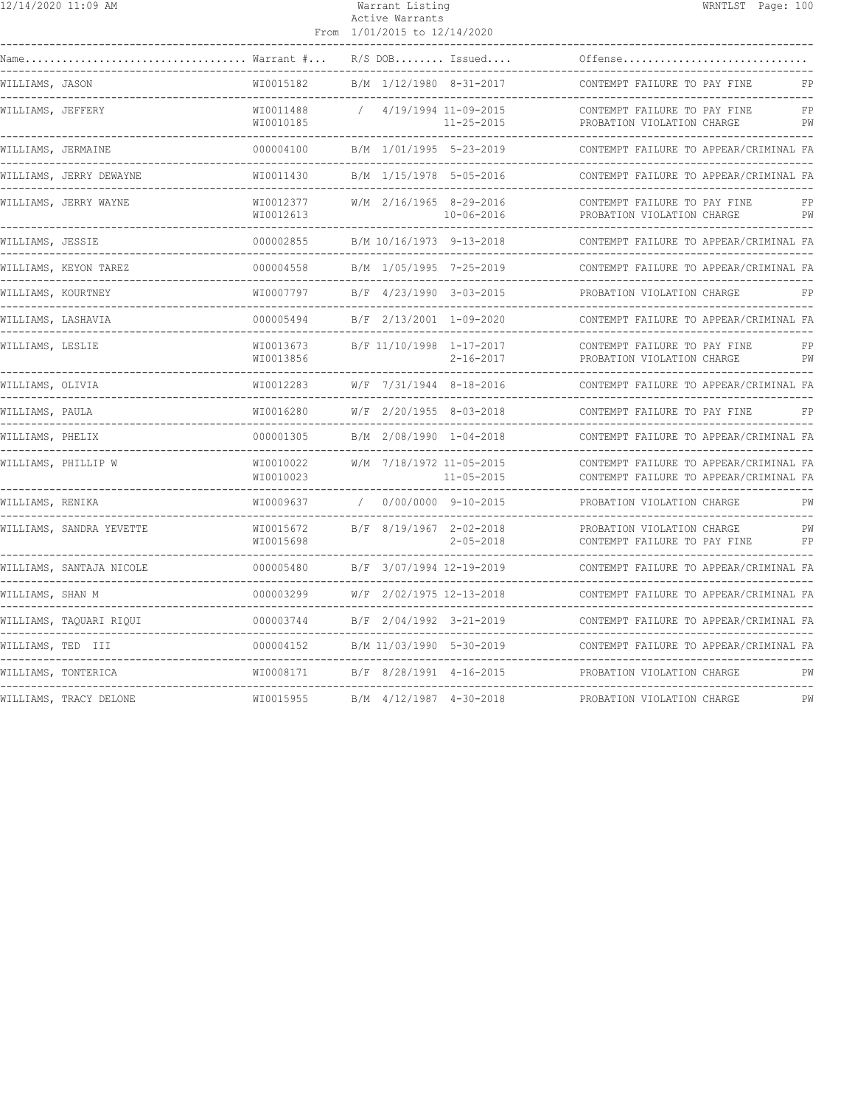| $\overline{12}/14/2020$ 11:09 AM |                          | Warrant Listing<br>Active Warrants |  |                              |                  | WRNTLST Page: 100                                                                |  |  |
|----------------------------------|--------------------------|------------------------------------|--|------------------------------|------------------|----------------------------------------------------------------------------------|--|--|
|                                  |                          |                                    |  | From 1/01/2015 to 12/14/2020 |                  |                                                                                  |  |  |
|                                  |                          |                                    |  | $R/S$ DOB Issued             |                  | Offense                                                                          |  |  |
| WILLIAMS, JASON                  |                          | WI0015182                          |  | B/M 1/12/1980 8-31-2017      |                  | CONTEMPT FAILURE TO PAY FINE<br>FP.                                              |  |  |
| WILLIAMS, JEFFERY                |                          | WI0011488<br>WI0010185             |  | / 4/19/1994 11-09-2015       | 11-25-2015       | CONTEMPT FAILURE TO PAY FINE<br>FP<br>PW<br>PROBATION VIOLATION CHARGE           |  |  |
| WILLIAMS, JERMAINE               |                          | 000004100                          |  | B/M 1/01/1995 5-23-2019      |                  | CONTEMPT FAILURE TO APPEAR/CRIMINAL FA                                           |  |  |
|                                  | WILLIAMS, JERRY DEWAYNE  | WI0011430                          |  | B/M 1/15/1978 5-05-2016      |                  | CONTEMPT FAILURE TO APPEAR/CRIMINAL FA                                           |  |  |
|                                  | WILLIAMS, JERRY WAYNE    | WI0012377<br>WI0012613             |  | W/M 2/16/1965 8-29-2016      | $10 - 06 - 2016$ | CONTEMPT FAILURE TO PAY FINE<br>FP<br>PROBATION VIOLATION CHARGE<br>PW           |  |  |
| WILLIAMS, JESSIE                 |                          | 000002855                          |  | B/M 10/16/1973 9-13-2018     |                  | CONTEMPT FAILURE TO APPEAR/CRIMINAL FA                                           |  |  |
|                                  | WILLIAMS, KEYON TAREZ    | 000004558                          |  | B/M 1/05/1995 7-25-2019      |                  | CONTEMPT FAILURE TO APPEAR/CRIMINAL FA                                           |  |  |
| WILLIAMS, KOURTNEY               |                          | WI0007797                          |  | B/F 4/23/1990 3-03-2015      |                  | PROBATION VIOLATION CHARGE                                                       |  |  |
|                                  | WILLIAMS, LASHAVIA       | 000005494                          |  | B/F 2/13/2001 1-09-2020      |                  | CONTEMPT FAILURE TO APPEAR/CRIMINAL FA                                           |  |  |
| WILLIAMS, LESLIE                 |                          | WI0013673<br>WI0013856             |  | B/F 11/10/1998 1-17-2017     | $2 - 16 - 2017$  | CONTEMPT FAILURE TO PAY FINE<br>FP<br>PROBATION VIOLATION CHARGE<br>PW           |  |  |
| WILLIAMS, OLIVIA                 |                          | WI0012283                          |  | W/F 7/31/1944 8-18-2016      |                  | CONTEMPT FAILURE TO APPEAR/CRIMINAL FA                                           |  |  |
| WILLIAMS, PAULA                  |                          | WI0016280                          |  | W/F 2/20/1955 8-03-2018      |                  | CONTEMPT FAILURE TO PAY FINE<br>FP                                               |  |  |
| WILLIAMS, PHELIX                 |                          | 000001305                          |  | B/M 2/08/1990 1-04-2018      |                  | CONTEMPT FAILURE TO APPEAR/CRIMINAL FA                                           |  |  |
|                                  | WILLIAMS, PHILLIP W      | WI0010022<br>WI0010023             |  | W/M 7/18/1972 11-05-2015     | $11 - 05 - 2015$ | CONTEMPT FAILURE TO APPEAR/CRIMINAL FA<br>CONTEMPT FAILURE TO APPEAR/CRIMINAL FA |  |  |
| WILLIAMS, RENIKA                 |                          | WI0009637 / 0/00/0000 9-10-2015    |  |                              |                  | PROBATION VIOLATION CHARGE<br>____________________________________               |  |  |
|                                  | WILLIAMS, SANDRA YEVETTE | WI0015672<br>WI0015698             |  | B/F 8/19/1967 2-02-2018      | $2 - 05 - 2018$  | PROBATION VIOLATION CHARGE<br>PW<br>CONTEMPT FAILURE TO PAY FINE<br>FP           |  |  |
|                                  | WILLIAMS, SANTAJA NICOLE | 000005480                          |  | B/F 3/07/1994 12-19-2019     |                  | CONTEMPT FAILURE TO APPEAR/CRIMINAL FA                                           |  |  |
| WILLIAMS, SHAN M                 |                          | 000003299                          |  | W/F 2/02/1975 12-13-2018     |                  | CONTEMPT FAILURE TO APPEAR/CRIMINAL FA                                           |  |  |
|                                  | WILLIAMS, TAQUARI RIQUI  | 000003744                          |  | B/F 2/04/1992 3-21-2019      |                  | CONTEMPT FAILURE TO APPEAR/CRIMINAL FA                                           |  |  |
|                                  | WILLIAMS, TED III        | 000004152                          |  | B/M 11/03/1990 5-30-2019     |                  | CONTEMPT FAILURE TO APPEAR/CRIMINAL FA                                           |  |  |
|                                  | WILLIAMS, TONTERICA      | WI0008171                          |  | B/F 8/28/1991 4-16-2015      |                  | PROBATION VIOLATION CHARGE<br>PW                                                 |  |  |
|                                  | WILLIAMS, TRACY DELONE   | WI0015955                          |  | B/M 4/12/1987 4-30-2018      |                  | PROBATION VIOLATION CHARGE<br>PW                                                 |  |  |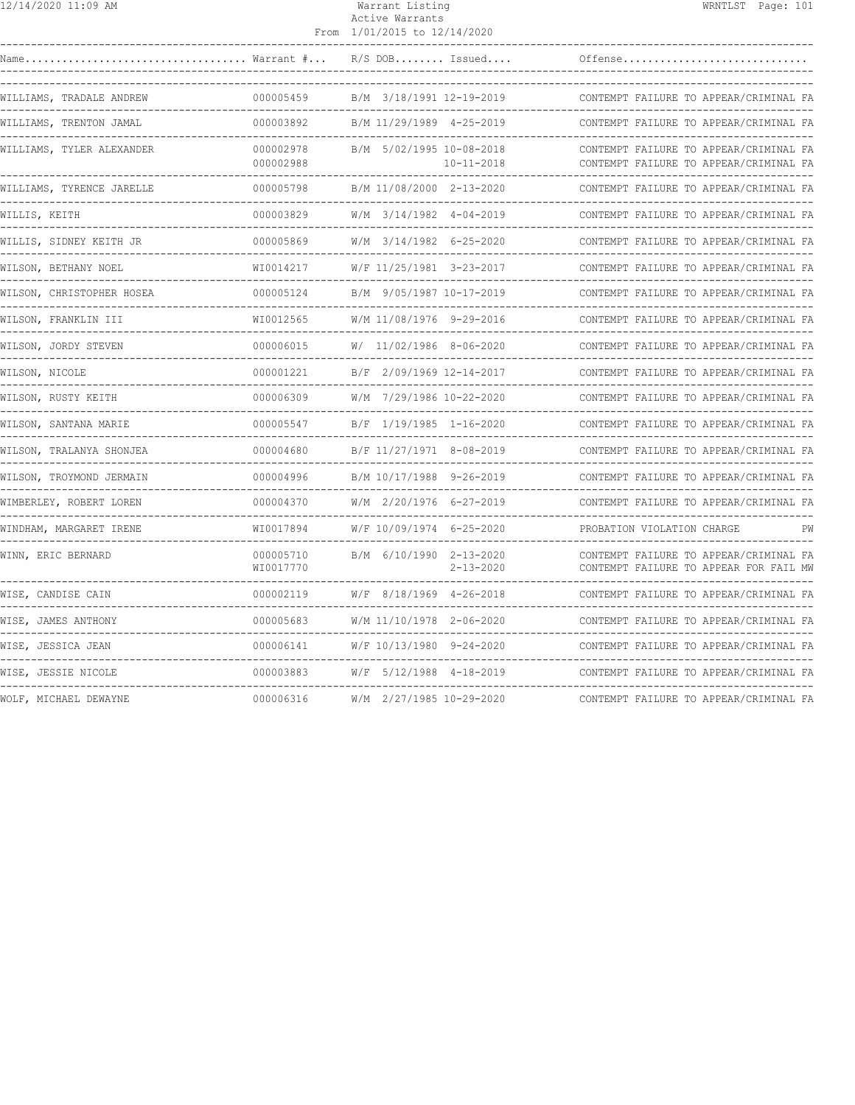| 12/14/2020 11:09 AM       |                            | Warrant Listing<br>Active Warrants<br>From 1/01/2015 to 12/14/2020 | WRNTLST Page: 101                                                                |
|---------------------------|----------------------------|--------------------------------------------------------------------|----------------------------------------------------------------------------------|
|                           |                            |                                                                    |                                                                                  |
| WILLIAMS, TRADALE ANDREW  | 000005459<br>------------- | B/M 3/18/1991 12-19-2019                                           | CONTEMPT FAILURE TO APPEAR/CRIMINAL FA<br>___________________________________    |
| WILLIAMS, TRENTON JAMAL   | 000003892                  | B/M 11/29/1989 4-25-2019                                           | CONTEMPT FAILURE TO APPEAR/CRIMINAL FA                                           |
| WILLIAMS, TYLER ALEXANDER | 000002978<br>000002988     | B/M 5/02/1995 10-08-2018<br>$10 - 11 - 2018$                       | CONTEMPT FAILURE TO APPEAR/CRIMINAL FA<br>CONTEMPT FAILURE TO APPEAR/CRIMINAL FA |
| WILLIAMS, TYRENCE JARELLE | 000005798                  | B/M 11/08/2000 2-13-2020                                           | CONTEMPT FAILURE TO APPEAR/CRIMINAL FA                                           |
| WILLIS, KEITH             | 000003829                  | W/M 3/14/1982 4-04-2019                                            | CONTEMPT FAILURE TO APPEAR/CRIMINAL FA                                           |
| WILLIS, SIDNEY KEITH JR   | 000005869                  | W/M 3/14/1982 6-25-2020                                            | CONTEMPT FAILURE TO APPEAR/CRIMINAL FA                                           |
| WILSON, BETHANY NOEL      | WI0014217                  | W/F 11/25/1981 3-23-2017                                           | CONTEMPT FAILURE TO APPEAR/CRIMINAL FA                                           |
| WILSON, CHRISTOPHER HOSEA | 000005124                  | B/M 9/05/1987 10-17-2019                                           | CONTEMPT FAILURE TO APPEAR/CRIMINAL FA                                           |
| WILSON, FRANKLIN III      | WI0012565                  | W/M 11/08/1976 9-29-2016                                           | CONTEMPT FAILURE TO APPEAR/CRIMINAL FA                                           |
| WILSON, JORDY STEVEN      | 000006015                  | W/ 11/02/1986 8-06-2020                                            | CONTEMPT FAILURE TO APPEAR/CRIMINAL FA                                           |
| WILSON, NICOLE            | 000001221                  | B/F 2/09/1969 12-14-2017                                           | CONTEMPT FAILURE TO APPEAR/CRIMINAL FA                                           |
| WILSON, RUSTY KEITH       | -------------<br>000006309 | W/M 7/29/1986 10-22-2020                                           | CONTEMPT FAILURE TO APPEAR/CRIMINAL FA                                           |
| WILSON, SANTANA MARIE     | 000005547                  | B/F 1/19/1985 1-16-2020                                            | CONTEMPT FAILURE TO APPEAR/CRIMINAL FA                                           |
| WILSON, TRALANYA SHONJEA  | 000004680                  | B/F 11/27/1971 8-08-2019                                           | CONTEMPT FAILURE TO APPEAR/CRIMINAL FA                                           |
| WILSON, TROYMOND JERMAIN  | 000004996                  | B/M 10/17/1988    9-26-2019    CONTE                               | CONTEMPT FAILURE TO APPEAR/CRIMINAL FA                                           |
| WIMBERLEY, ROBERT LOREN   | 000004370                  | W/M 2/20/1976 6-27-2019                                            | CONTEMPT FAILURE TO APPEAR/CRIMINAL FA                                           |
| WINDHAM, MARGARET IRENE   | WI0017894                  | W/F 10/09/1974 6-25-2020                                           | PROBATION VIOLATION CHARGE                                                       |
| WINN, ERIC BERNARD        | 000005710<br>WI0017770     | B/M 6/10/1990 2-13-2020<br>$2 - 13 - 2020$                         | CONTEMPT FAILURE TO APPEAR/CRIMINAL FA<br>CONTEMPT FAILURE TO APPEAR FOR FAIL MW |
| WISE, CANDISE CAIN        | 000002119                  | W/F 8/18/1969 4-26-2018 CONTE                                      | CONTEMPT FAILURE TO APPEAR/CRIMINAL FA                                           |
| WISE, JAMES ANTHONY       | 000005683                  | W/M 11/10/1978 2-06-2020                                           | CONTEMPT FAILURE TO APPEAR/CRIMINAL FA                                           |
| WISE, JESSICA JEAN        | 000006141                  | W/F 10/13/1980 9-24-2020                                           | CONTEMPT FAILURE TO APPEAR/CRIMINAL FA                                           |
| WISE, JESSIE NICOLE       | 000003883                  | W/F 5/12/1988 4-18-2019                                            | CONTEMPT FAILURE TO APPEAR/CRIMINAL FA                                           |
| WOLF, MICHAEL DEWAYNE     | 000006316                  | W/M 2/27/1985 10-29-2020                                           | --------------------------------<br>CONTEMPT FAILURE TO APPEAR/CRIMINAL FA       |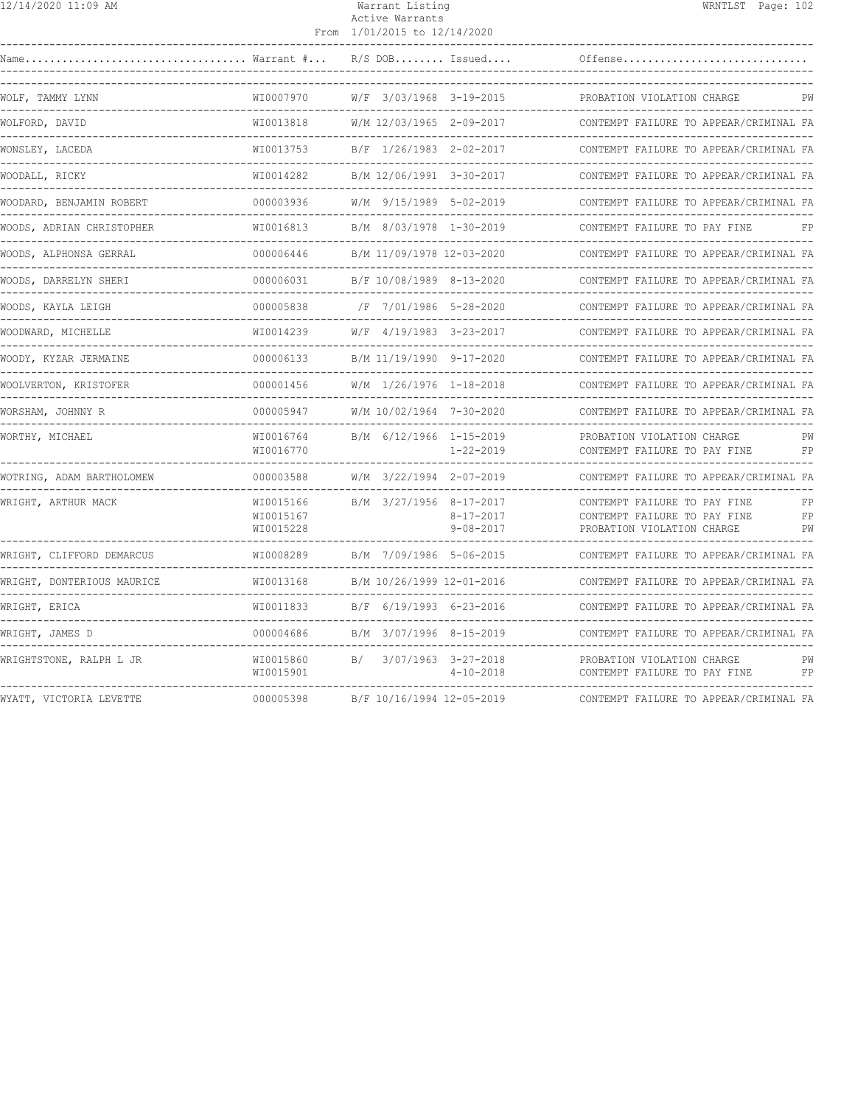|--|

## Warrant Listing WRNTLST Page: 102 Active Warrants

|                            |                                       | From 1/01/2015 to 12/14/2020 |                                            |                                                                                            |                |
|----------------------------|---------------------------------------|------------------------------|--------------------------------------------|--------------------------------------------------------------------------------------------|----------------|
| Name                       | $\ldots \ldots$ . Warrant $\# \ldots$ | $R/S$ DOB Issued             |                                            | Offense                                                                                    |                |
| WOLF, TAMMY LYNN           | WI0007970                             | W/F 3/03/1968 3-19-2015      |                                            | PROBATION VIOLATION CHARGE                                                                 |                |
| WOLFORD, DAVID             | WI0013818                             | W/M 12/03/1965 2-09-2017     |                                            | CONTEMPT FAILURE TO APPEAR/CRIMINAL FA                                                     |                |
| WONSLEY, LACEDA            | WI0013753                             | B/F 1/26/1983 2-02-2017      |                                            | CONTEMPT FAILURE TO APPEAR/CRIMINAL FA                                                     |                |
| WOODALL, RICKY             | WI0014282                             | B/M 12/06/1991 3-30-2017     |                                            | CONTEMPT FAILURE TO APPEAR/CRIMINAL FA                                                     |                |
| WOODARD, BENJAMIN ROBERT   | 000003936                             | W/M 9/15/1989 5-02-2019      |                                            | CONTEMPT FAILURE TO APPEAR/CRIMINAL FA                                                     |                |
| WOODS, ADRIAN CHRISTOPHER  | WI0016813                             | B/M 8/03/1978 1-30-2019      |                                            | CONTEMPT FAILURE TO PAY FINE                                                               | FP             |
| WOODS, ALPHONSA GERRAL     | 000006446                             | B/M 11/09/1978 12-03-2020    |                                            | CONTEMPT FAILURE TO APPEAR/CRIMINAL FA                                                     |                |
| WOODS, DARRELYN SHERI      | 000006031                             | B/F 10/08/1989 8-13-2020     |                                            | CONTEMPT FAILURE TO APPEAR/CRIMINAL FA                                                     |                |
| WOODS, KAYLA LEIGH         | 000005838                             | /F 7/01/1986 5-28-2020       |                                            | CONTEMPT FAILURE TO APPEAR/CRIMINAL FA                                                     |                |
| WOODWARD, MICHELLE         | WI0014239                             | W/F 4/19/1983 3-23-2017      |                                            | CONTEMPT FAILURE TO APPEAR/CRIMINAL FA                                                     |                |
| WOODY, KYZAR JERMAINE      | 000006133                             | B/M 11/19/1990 9-17-2020     |                                            | CONTEMPT FAILURE TO APPEAR/CRIMINAL FA                                                     |                |
| WOOLVERTON, KRISTOFER      | 000001456                             | W/M 1/26/1976 1-18-2018      |                                            | CONTEMPT FAILURE TO APPEAR/CRIMINAL FA                                                     |                |
| WORSHAM, JOHNNY R          | 000005947                             | W/M 10/02/1964 7-30-2020     |                                            | CONTEMPT FAILURE TO APPEAR/CRIMINAL FA                                                     |                |
| WORTHY, MICHAEL            | WI0016764<br>WI0016770                | B/M 6/12/1966 1-15-2019      | $1 - 22 - 2019$                            | PROBATION VIOLATION CHARGE<br>CONTEMPT FAILURE TO PAY FINE                                 | PW<br>FP       |
| WOTRING, ADAM BARTHOLOMEW  | 000003588                             | W/M 3/22/1994 2-07-2019      |                                            | CONTEMPT FAILURE TO APPEAR/CRIMINAL FA                                                     |                |
| WRIGHT, ARTHUR MACK        | WI0015166<br>WI0015167<br>WI0015228   | B/M 3/27/1956 8-17-2017      | $8 - 17 - 2017$<br>$9 - 08 - 2017$         | CONTEMPT FAILURE TO PAY FINE<br>CONTEMPT FAILURE TO PAY FINE<br>PROBATION VIOLATION CHARGE | FP<br>FP<br>PW |
| WRIGHT, CLIFFORD DEMARCUS  | WI0008289                             | B/M 7/09/1986 5-06-2015      |                                            | CONTEMPT FAILURE TO APPEAR/CRIMINAL FA                                                     |                |
| WRIGHT, DONTERIOUS MAURICE | WI0013168                             | B/M 10/26/1999 12-01-2016    |                                            | CONTEMPT FAILURE TO APPEAR/CRIMINAL FA                                                     |                |
| WRIGHT, ERICA              | WI0011833                             | B/F 6/19/1993 6-23-2016      |                                            | CONTEMPT FAILURE TO APPEAR/CRIMINAL FA                                                     |                |
| WRIGHT, JAMES D            | 000004686                             | B/M 3/07/1996 8-15-2019      |                                            | CONTEMPT FAILURE TO APPEAR/CRIMINAL FA                                                     |                |
| WRIGHTSTONE, RALPH L JR    | WI0015860<br>WI0015901                | B/                           | $3/07/1963$ $3-27-2018$<br>$4 - 10 - 2018$ | PROBATION VIOLATION CHARGE<br>CONTEMPT FAILURE TO PAY FINE                                 | PW<br>FP       |
| WYATT, VICTORIA LEVETTE    | 000005398                             | B/F 10/16/1994 12-05-2019    |                                            | CONTEMPT FAILURE TO APPEAR/CRIMINAL FA                                                     |                |